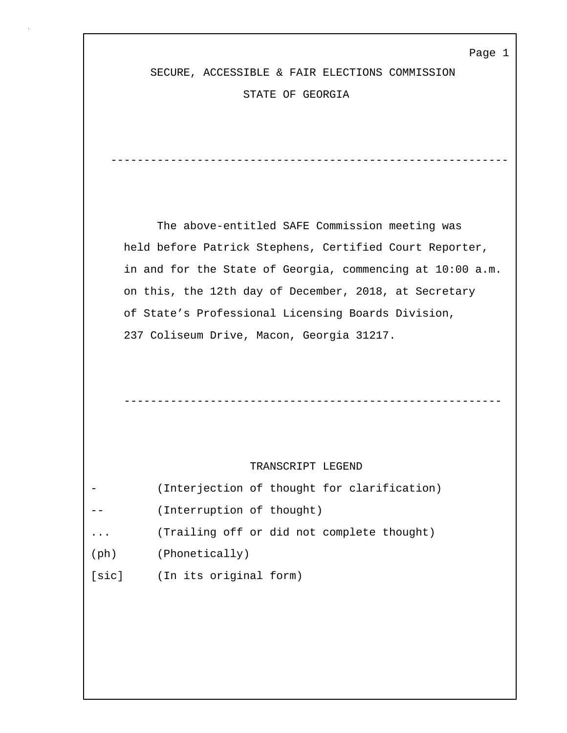SECURE, ACCESSIBLE & FAIR ELECTIONS COMMISSION

STATE OF GEORGIA

 The above-entitled SAFE Commission meeting was held before Patrick Stephens, Certified Court Reporter, in and for the State of Georgia, commencing at 10:00 a.m. on this, the 12th day of December, 2018, at Secretary of State's Professional Licensing Boards Division, 237 Coliseum Drive, Macon, Georgia 31217.

------------------------------------------------------------

---------------------------------------------------------

### TRANSCRIPT LEGEND

|               | (Interjection of thought for clarification) |
|---------------|---------------------------------------------|
|               | (Interruption of thought)                   |
| $\ddotsc$     | (Trailing off or did not complete thought)  |
| $(\text{ph})$ | (Phonetically)                              |
| [sic]         | (In its original form)                      |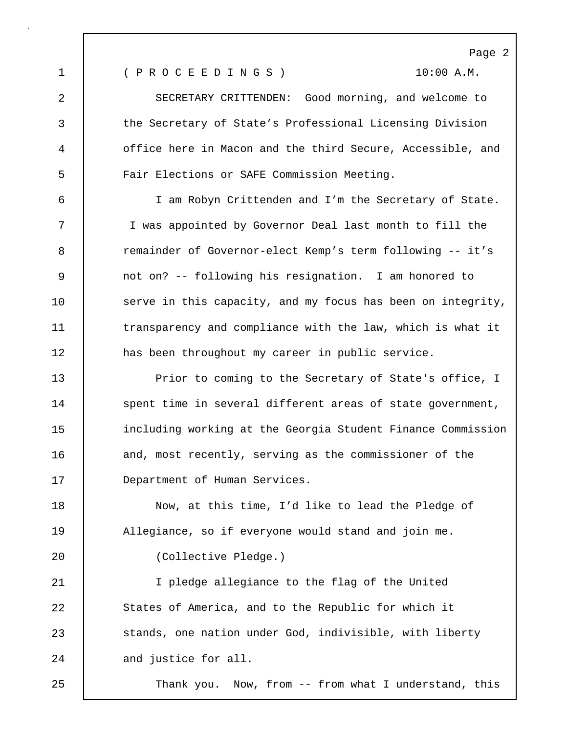1 ( P R O C E E D I N G S ) 10:00 A.M.

2 SECRETARY CRITTENDEN: Good morning, and welcome to 3 the Secretary of State's Professional Licensing Division 4 office here in Macon and the third Secure, Accessible, and 5 Fair Elections or SAFE Commission Meeting.

6 I am Robyn Crittenden and I'm the Secretary of State. 7 I was appointed by Governor Deal last month to fill the 8 **8** remainder of Governor-elect Kemp's term following -- it's 9 not on? -- following his resignation. I am honored to 10 | serve in this capacity, and my focus has been on integrity, 11 transparency and compliance with the law, which is what it 12 has been throughout my career in public service.

13 Prior to coming to the Secretary of State's office, I 14 spent time in several different areas of state government, 15 including working at the Georgia Student Finance Commission 16 and, most recently, serving as the commissioner of the 17 | Department of Human Services.

18 Now, at this time, I'd like to lead the Pledge of 19 | Allegiance, so if everyone would stand and join me.

20 (Collective Pledge.)

21 I pledge allegiance to the flag of the United 22 States of America, and to the Republic for which it 23 Stands, one nation under God, indivisible, with liberty 24 and justice for all.

25 Thank you. Now, from -- from what I understand, this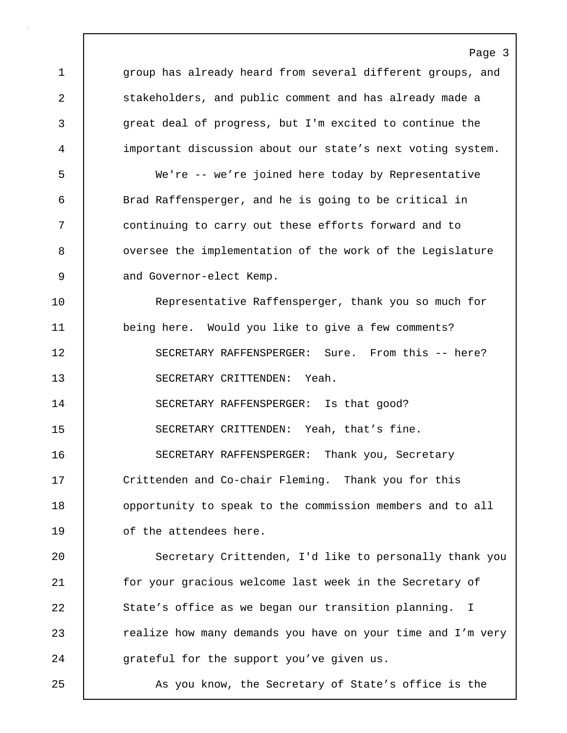Page 3 1 group has already heard from several different groups, and 2 stakeholders, and public comment and has already made a 3 great deal of progress, but I'm excited to continue the 4 important discussion about our state's next voting system. 5 We're -- we're joined here today by Representative 6 Brad Raffensperger, and he is going to be critical in 7 continuing to carry out these efforts forward and to 8 | oversee the implementation of the work of the Legislature 9 and Governor-elect Kemp. 10 Representative Raffensperger, thank you so much for 11 being here. Would you like to give a few comments? 12 SECRETARY RAFFENSPERGER: Sure. From this -- here? 13 SECRETARY CRITTENDEN: Yeah. 14 SECRETARY RAFFENSPERGER: Is that good? 15 SECRETARY CRITTENDEN: Yeah, that's fine. 16 SECRETARY RAFFENSPERGER: Thank you, Secretary 17 Crittenden and Co-chair Fleming. Thank you for this 18 | opportunity to speak to the commission members and to all 19 of the attendees here. 20 | Secretary Crittenden, I'd like to personally thank you 21 | for your gracious welcome last week in the Secretary of 22 State's office as we began our transition planning. I 23 **Parame 23** realize how many demands you have on your time and I'm very 24 grateful for the support you've given us. 25 As you know, the Secretary of State's office is the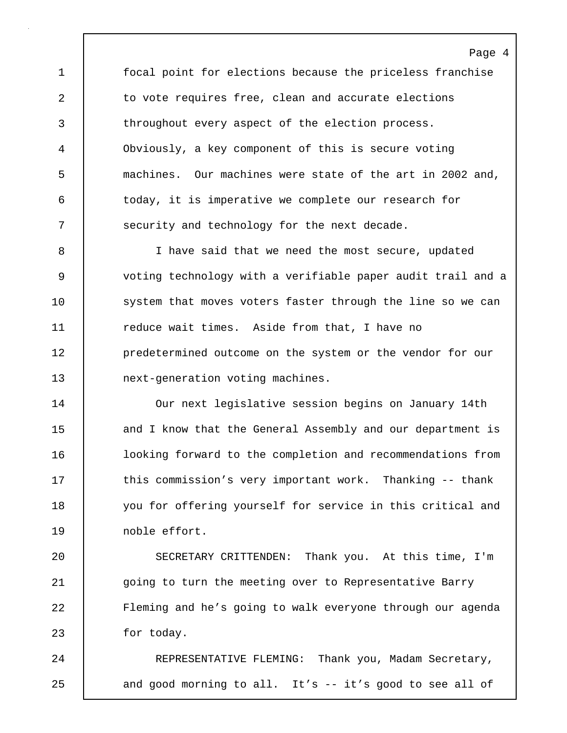1 focal point for elections because the priceless franchise 2 to vote requires free, clean and accurate elections 3 throughout every aspect of the election process. 4 Obviously, a key component of this is secure voting 5 machines. Our machines were state of the art in 2002 and, 6 today, it is imperative we complete our research for 7 Security and technology for the next decade.

8 I have said that we need the most secure, updated 9 voting technology with a verifiable paper audit trail and a 10 system that moves voters faster through the line so we can 11 Teduce wait times. Aside from that, I have no 12 **predetermined outcome on the system or the vendor for our** 13 next-generation voting machines.

14 Our next legislative session begins on January 14th 15 and I know that the General Assembly and our department is 16 looking forward to the completion and recommendations from 17 | this commission's very important work. Thanking -- thank 18 you for offering yourself for service in this critical and 19 noble effort.

20 SECRETARY CRITTENDEN: Thank you. At this time, I'm 21 going to turn the meeting over to Representative Barry 22 Fleming and he's going to walk everyone through our agenda 23 for today.

24 REPRESENTATIVE FLEMING: Thank you, Madam Secretary, 25 | and good morning to all. It's -- it's good to see all of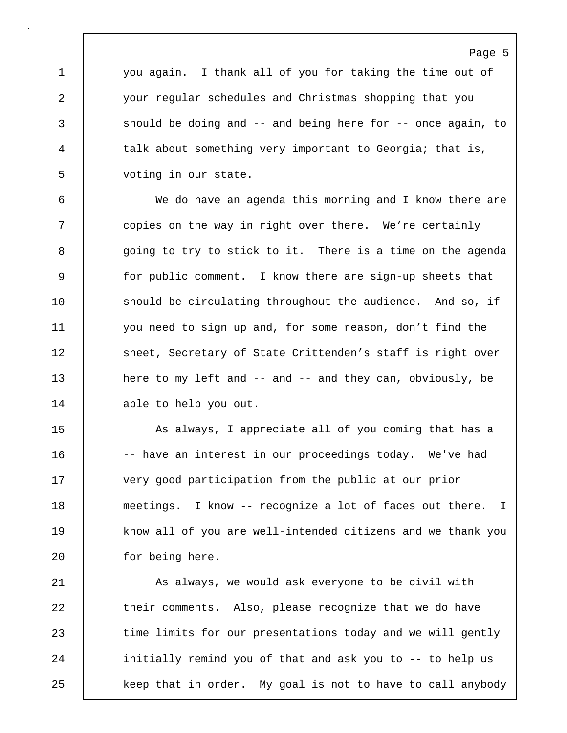1 you again. I thank all of you for taking the time out of 2 your regular schedules and Christmas shopping that you 3 should be doing and -- and being here for -- once again, to 4 talk about something very important to Georgia; that is, 5 voting in our state.

6 We do have an agenda this morning and I know there are 7 | copies on the way in right over there. We're certainly 8 going to try to stick to it. There is a time on the agenda 9 for public comment. I know there are sign-up sheets that 10 should be circulating throughout the audience. And so, if 11 you need to sign up and, for some reason, don't find the 12 Sheet, Secretary of State Crittenden's staff is right over 13 | here to my left and -- and -- and they can, obviously, be 14 able to help you out.

15 | As always, I appreciate all of you coming that has a 16 | -- have an interest in our proceedings today. We've had 17 Very good participation from the public at our prior 18 meetings. I know -- recognize a lot of faces out there. I 19 know all of you are well-intended citizens and we thank you 20 for being here.

21 | As always, we would ask everyone to be civil with 22 their comments. Also, please recognize that we do have 23 time limits for our presentations today and we will gently 24 | initially remind you of that and ask you to -- to help us 25 | keep that in order. My goal is not to have to call anybody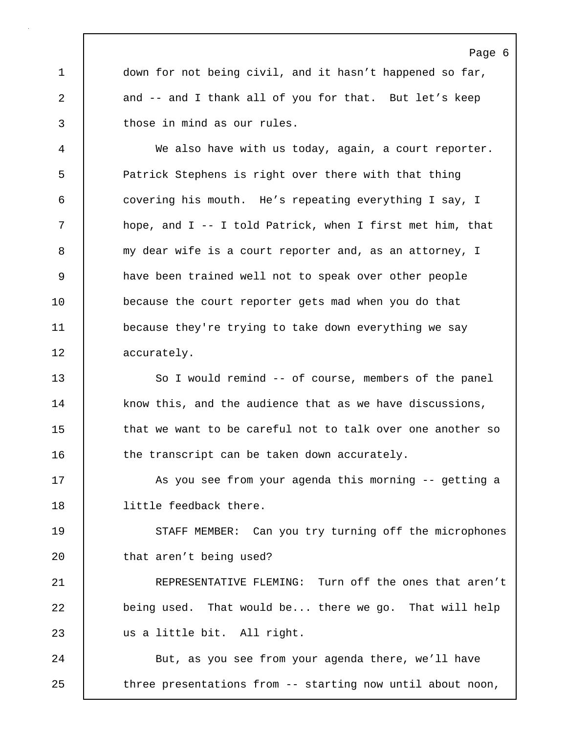1 down for not being civil, and it hasn't happened so far, 2 and -- and I thank all of you for that. But let's keep 3 those in mind as our rules.

4 We also have with us today, again, a court reporter. 5 Patrick Stephens is right over there with that thing 6 covering his mouth. He's repeating everything I say, I 7 hope, and I -- I told Patrick, when I first met him, that 8 | my dear wife is a court reporter and, as an attorney, I 9 have been trained well not to speak over other people 10 because the court reporter gets mad when you do that 11 because they're trying to take down everything we say 12 accurately.

13 So I would remind -- of course, members of the panel 14 | know this, and the audience that as we have discussions, 15 **that we want to be careful not to talk over one another so** 16 the transcript can be taken down accurately.

17 | As you see from your agenda this morning -- getting a 18 little feedback there.

19 | STAFF MEMBER: Can you try turning off the microphones 20 | that aren't being used?

21 REPRESENTATIVE FLEMING: Turn off the ones that aren't 22 being used. That would be... there we go. That will help 23 | us a little bit. All right.

24 | But, as you see from your agenda there, we'll have 25 three presentations from -- starting now until about noon,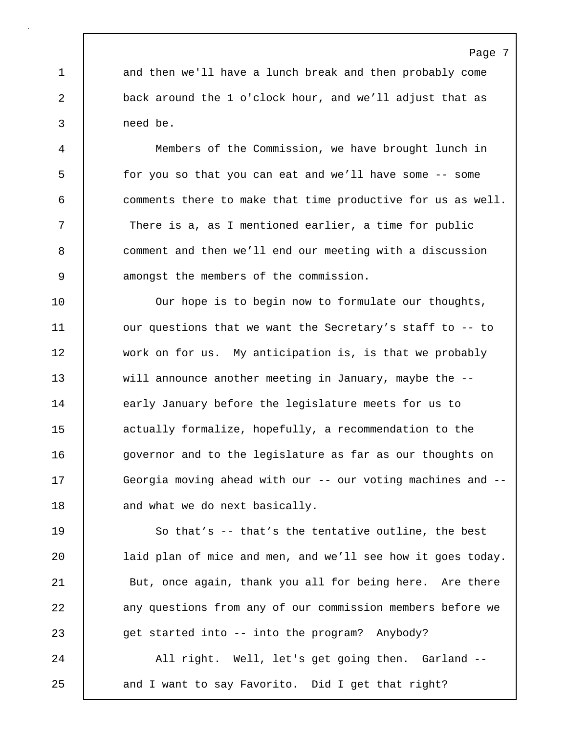1 and then we'll have a lunch break and then probably come 2 back around the 1 o'clock hour, and we'll adjust that as 3 need be.

4 Members of the Commission, we have brought lunch in 5 for you so that you can eat and we'll have some -- some 6 comments there to make that time productive for us as well. 7 There is a, as I mentioned earlier, a time for public 8 comment and then we'll end our meeting with a discussion 9 amongst the members of the commission.

10 | Our hope is to begin now to formulate our thoughts, 11 | our questions that we want the Secretary's staff to -- to 12 work on for us. My anticipation is, is that we probably 13 will announce another meeting in January, maybe the --14 | early January before the legislature meets for us to 15 **actually formalize, hopefully, a recommendation to the** 16 | governor and to the legislature as far as our thoughts on 17 Georgia moving ahead with our -- our voting machines and --18 | and what we do next basically.

19 So that's -- that's the tentative outline, the best 20 | laid plan of mice and men, and we'll see how it goes today. 21 | But, once again, thank you all for being here. Are there 22 **any questions from any of our commission members before we** 23 get started into -- into the program? Anybody? 24 | All right. Well, let's get going then. Garland --

25 and I want to say Favorito. Did I get that right?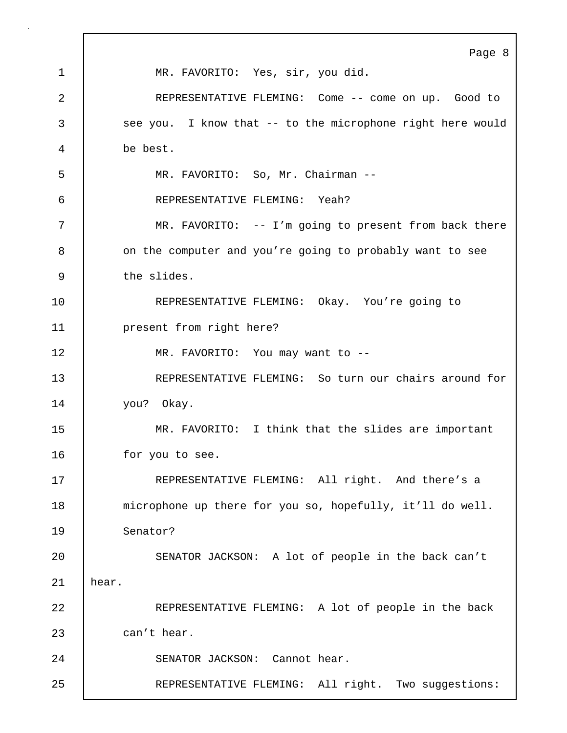|    | Page 8                                                     |
|----|------------------------------------------------------------|
| 1  | MR. FAVORITO: Yes, sir, you did.                           |
| 2  | REPRESENTATIVE FLEMING: Come -- come on up. Good to        |
| 3  | see you. I know that -- to the microphone right here would |
| 4  | be best.                                                   |
| 5  | MR. FAVORITO: So, Mr. Chairman --                          |
| 6  | REPRESENTATIVE FLEMING: Yeah?                              |
| 7  | MR. FAVORITO: -- I'm going to present from back there      |
| 8  | on the computer and you're going to probably want to see   |
| 9  | the slides.                                                |
| 10 | REPRESENTATIVE FLEMING: Okay. You're going to              |
| 11 | present from right here?                                   |
| 12 | MR. FAVORITO: You may want to --                           |
| 13 | REPRESENTATIVE FLEMING: So turn our chairs around for      |
| 14 | you? Okay.                                                 |
| 15 | MR. FAVORITO: I think that the slides are important        |
| 16 | for you to see.                                            |
| 17 | REPRESENTATIVE FLEMING: All right. And there's a           |
| 18 | microphone up there for you so, hopefully, it'll do well.  |
| 19 | Senator?                                                   |
| 20 | SENATOR JACKSON: A lot of people in the back can't         |
| 21 | hear.                                                      |
| 22 | REPRESENTATIVE FLEMING: A lot of people in the back        |
| 23 | can't hear.                                                |
| 24 | SENATOR JACKSON: Cannot hear.                              |
| 25 | REPRESENTATIVE FLEMING: All right. Two suggestions:        |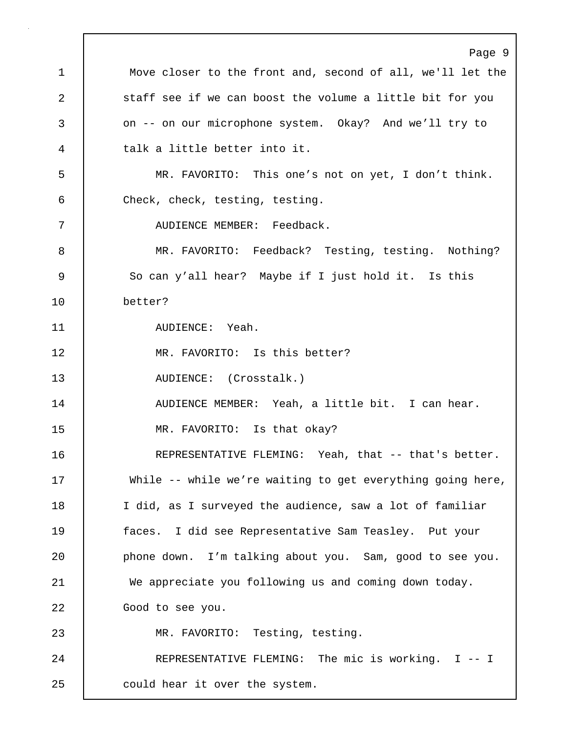Page 9 1 | Move closer to the front and, second of all, we'll let the 2 staff see if we can boost the volume a little bit for you 3 on -- on our microphone system. Okay? And we'll try to 4 talk a little better into it. 5 MR. FAVORITO: This one's not on yet, I don't think. 6 Check, check, testing, testing. 7 AUDIENCE MEMBER: Feedback. 8 MR. FAVORITO: Feedback? Testing, testing. Nothing? 9 So can y'all hear? Maybe if I just hold it. Is this 10 better? 11 | AUDIENCE: Yeah. 12 | MR. FAVORITO: Is this better? 13 AUDIENCE: (Crosstalk.) 14 | AUDIENCE MEMBER: Yeah, a little bit. I can hear. 15 MR. FAVORITO: Is that okay? 16 REPRESENTATIVE FLEMING: Yeah, that -- that's better. 17 | While -- while we're waiting to get everything going here, 18 I did, as I surveyed the audience, saw a lot of familiar 19 faces. I did see Representative Sam Teasley. Put your 20 **phone down.** I'm talking about you. Sam, good to see you. 21 We appreciate you following us and coming down today. 22 | Good to see you. 23 MR. FAVORITO: Testing, testing. 24 | REPRESENTATIVE FLEMING: The mic is working. I -- I 25 could hear it over the system.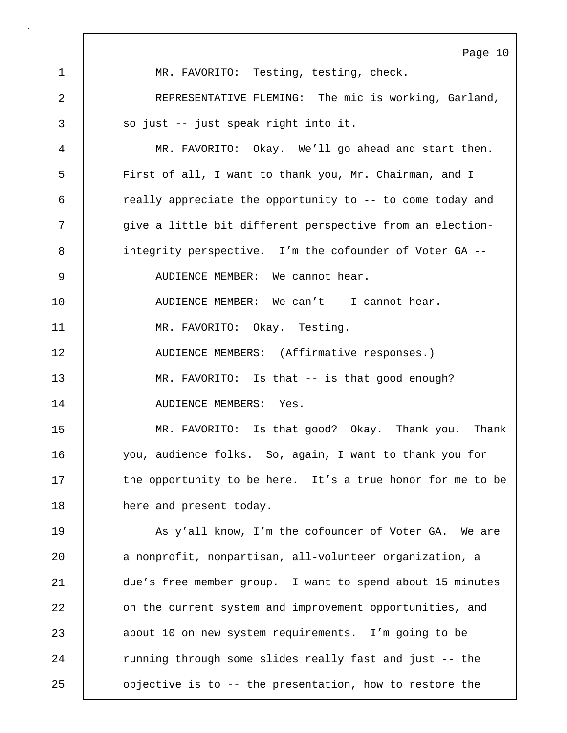Page 10 1 MR. FAVORITO: Testing, testing, check. 2 REPRESENTATIVE FLEMING: The mic is working, Garland, 3 | so just -- just speak right into it. 4 MR. FAVORITO: Okay. We'll go ahead and start then. 5 First of all, I want to thank you, Mr. Chairman, and I 6 really appreciate the opportunity to -- to come today and 7 | give a little bit different perspective from an election-8 integrity perspective. I'm the cofounder of Voter GA -- 9 | AUDIENCE MEMBER: We cannot hear. 10 AUDIENCE MEMBER: We can't -- I cannot hear. 11 | MR. FAVORITO: Okay. Testing. 12 | AUDIENCE MEMBERS: (Affirmative responses.) 13 MR. FAVORITO: Is that -- is that good enough? 14 | AUDIENCE MEMBERS: Yes. 15 MR. FAVORITO: Is that good? Okay. Thank you. Thank 16 you, audience folks. So, again, I want to thank you for 17 the opportunity to be here. It's a true honor for me to be 18 | here and present today. 19 | As y'all know, I'm the cofounder of Voter GA. We are 20 a nonprofit, nonpartisan, all-volunteer organization, a 21 due's free member group. I want to spend about 15 minutes 22 **on the current system and improvement opportunities, and** 23 about 10 on new system requirements. I'm going to be 24 Tunning through some slides really fast and just -- the 25 objective is to -- the presentation, how to restore the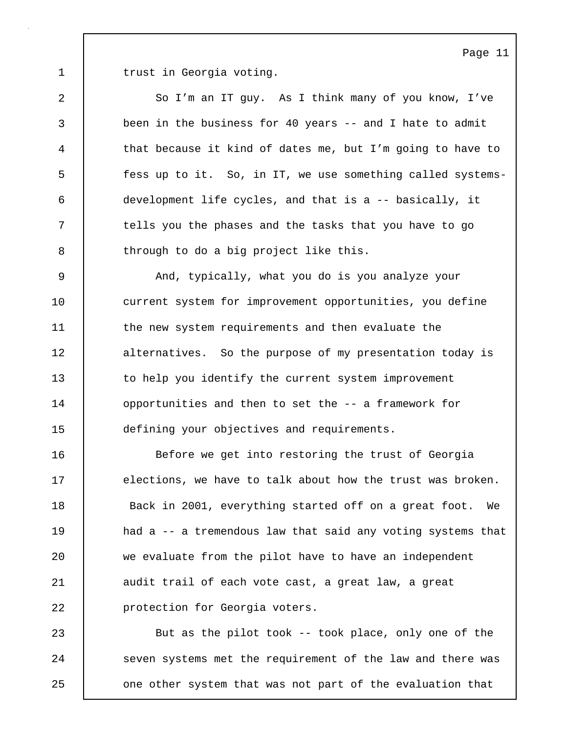1 trust in Georgia voting.

2 So I'm an IT guy. As I think many of you know, I've 3 been in the business for 40 years -- and I hate to admit 4 that because it kind of dates me, but I'm going to have to 5 fess up to it. So, in IT, we use something called systems-6 development life cycles, and that is a -- basically, it 7 | tells you the phases and the tasks that you have to go 8 through to do a big project like this.

9 And, typically, what you do is you analyze your 10 current system for improvement opportunities, you define 11 the new system requirements and then evaluate the 12 alternatives. So the purpose of my presentation today is 13 to help you identify the current system improvement 14 **opportunities and then to set the -- a framework for** 15 defining your objectives and requirements.

16 Before we get into restoring the trust of Georgia 17 elections, we have to talk about how the trust was broken. 18 Back in 2001, everything started off on a great foot. We 19 had a -- a tremendous law that said any voting systems that 20 we evaluate from the pilot have to have an independent 21 | audit trail of each vote cast, a great law, a great 22 **protection for Georgia voters.** 

23 | But as the pilot took -- took place, only one of the 24 | seven systems met the requirement of the law and there was 25 | one other system that was not part of the evaluation that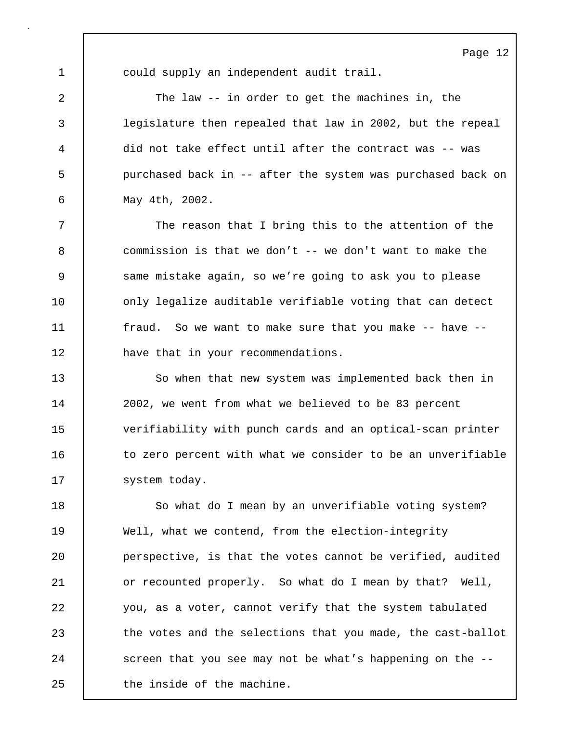1 could supply an independent audit trail.

2 The law -- in order to get the machines in, the 3 legislature then repealed that law in 2002, but the repeal 4 did not take effect until after the contract was -- was 5 purchased back in -- after the system was purchased back on 6 May 4th, 2002.

7 The reason that I bring this to the attention of the 8 commission is that we don't -- we don't want to make the 9 Same mistake again, so we're going to ask you to please 10 | only legalize auditable verifiable voting that can detect 11 | fraud. So we want to make sure that you make -- have --12 **have that in your recommendations.** 

13 So when that new system was implemented back then in 14 | 2002, we went from what we believed to be 83 percent 15 verifiability with punch cards and an optical-scan printer 16 to zero percent with what we consider to be an unverifiable 17 | system today.

18 | So what do I mean by an unverifiable voting system? 19 Well, what we contend, from the election-integrity 20 **perspective, is that the votes cannot be verified, audited** 21 | or recounted properly. So what do I mean by that? Well, 22 you, as a voter, cannot verify that the system tabulated 23 the votes and the selections that you made, the cast-ballot 24 Screen that you see may not be what's happening on the --25 I the inside of the machine.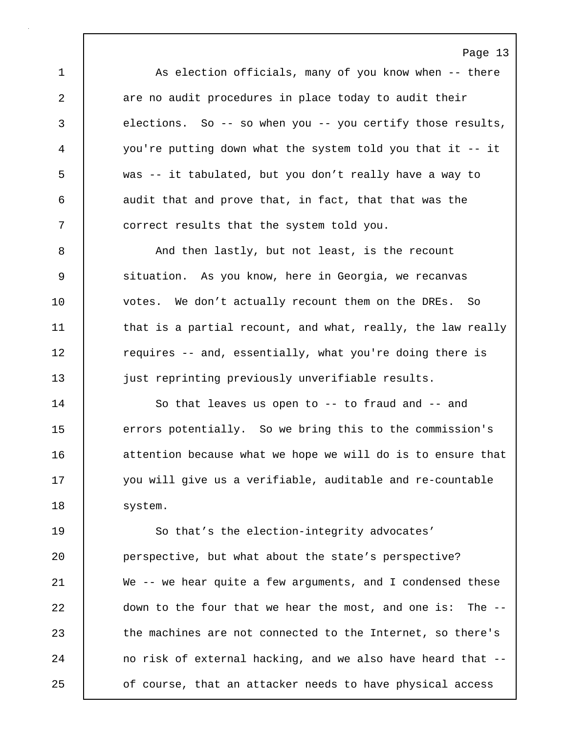1 As election officials, many of you know when -- there 2 are no audit procedures in place today to audit their 3 elections. So -- so when you -- you certify those results, 4 you're putting down what the system told you that it -- it 5 was -- it tabulated, but you don't really have a way to 6 audit that and prove that, in fact, that that was the 7 correct results that the system told you.

8 And then lastly, but not least, is the recount 9 situation. As you know, here in Georgia, we recanvas 10 votes. We don't actually recount them on the DREs. So 11 | that is a partial recount, and what, really, the law really 12 Tequires -- and, essentially, what you're doing there is 13 just reprinting previously unverifiable results.

14 | So that leaves us open to -- to fraud and -- and 15 errors potentially. So we bring this to the commission's 16 **decive** attention because what we hope we will do is to ensure that 17 you will give us a verifiable, auditable and re-countable 18 | system.

19 | So that's the election-integrity advocates' 20 perspective, but what about the state's perspective? 21 | We -- we hear quite a few arguments, and I condensed these 22 down to the four that we hear the most, and one is: The --23 the machines are not connected to the Internet, so there's 24 no risk of external hacking, and we also have heard that --25 **o**f course, that an attacker needs to have physical access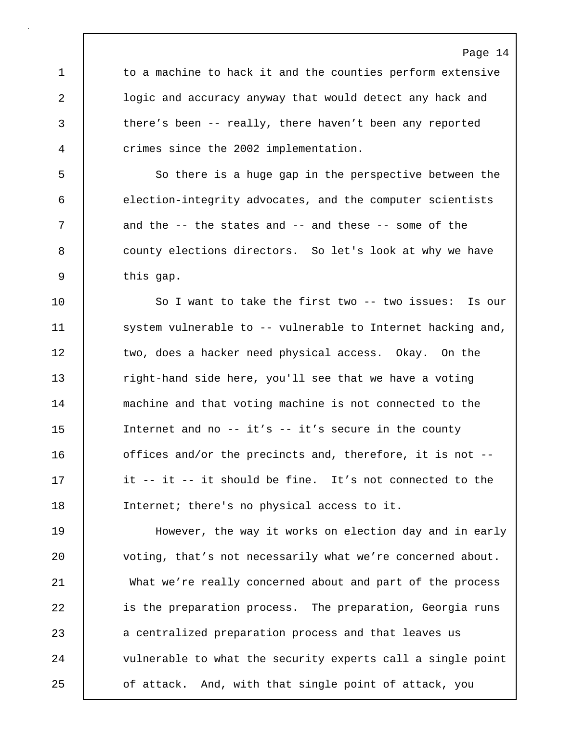Page 14 1 to a machine to hack it and the counties perform extensive 2 | logic and accuracy anyway that would detect any hack and 3 there's been -- really, there haven't been any reported 4 crimes since the 2002 implementation. 5 | So there is a huge gap in the perspective between the 6 election-integrity advocates, and the computer scientists 7 and the -- the states and -- and these -- some of the 8 **b** county elections directors. So let's look at why we have 9 | this gap. 10 | So I want to take the first two -- two issues: Is our 11 | system vulnerable to -- vulnerable to Internet hacking and, 12 two, does a hacker need physical access. Okay. On the 13 Tight-hand side here, you'll see that we have a voting 14 machine and that voting machine is not connected to the 15 Internet and no -- it's -- it's secure in the county 16 **deta)** offices and/or the precincts and, therefore, it is not --17 | it -- it -- it should be fine. It's not connected to the 18 Internet; there's no physical access to it. 19 However, the way it works on election day and in early 20 voting, that's not necessarily what we're concerned about. 21 What we're really concerned about and part of the process 22 | is the preparation process. The preparation, Georgia runs 23 a centralized preparation process and that leaves us 24 vulnerable to what the security experts call a single point 25 of attack. And, with that single point of attack, you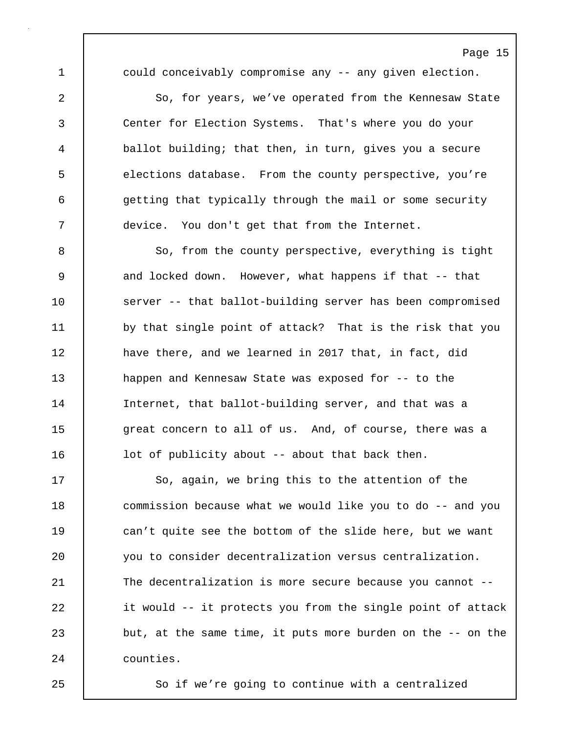1 could conceivably compromise any -- any given election.

2 So, for years, we've operated from the Kennesaw State 3 Center for Election Systems. That's where you do your 4 ballot building; that then, in turn, gives you a secure 5 elections database. From the county perspective, you're 6 getting that typically through the mail or some security 7 device. You don't get that from the Internet.

8 So, from the county perspective, everything is tight 9 and locked down. However, what happens if that -- that 10 server -- that ballot-building server has been compromised 11 by that single point of attack? That is the risk that you 12 have there, and we learned in 2017 that, in fact, did 13 happen and Kennesaw State was exposed for -- to the 14 Internet, that ballot-building server, and that was a 15 great concern to all of us. And, of course, there was a 16 | lot of publicity about -- about that back then.

17 So, again, we bring this to the attention of the 18 **commission because what we would like you to do** -- and you 19 can't quite see the bottom of the slide here, but we want 20 you to consider decentralization versus centralization. 21 | The decentralization is more secure because you cannot --22 it would -- it protects you from the single point of attack 23 but, at the same time, it puts more burden on the -- on the 24 counties.

25 So if we're going to continue with a centralized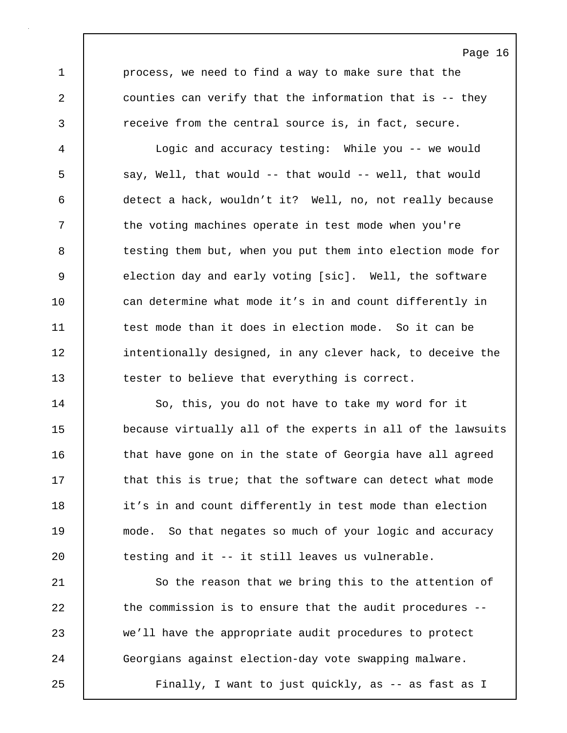1 process, we need to find a way to make sure that the 2 counties can verify that the information that is -- they 3 The receive from the central source is, in fact, secure.

4 Logic and accuracy testing: While you -- we would 5 say, Well, that would -- that would -- well, that would 6 detect a hack, wouldn't it? Well, no, not really because 7 T the voting machines operate in test mode when you're 8 testing them but, when you put them into election mode for 9 election day and early voting [sic]. Well, the software 10 can determine what mode it's in and count differently in 11 test mode than it does in election mode. So it can be 12 | intentionally designed, in any clever hack, to deceive the 13 tester to believe that everything is correct.

14 | So, this, you do not have to take my word for it 15 because virtually all of the experts in all of the lawsuits 16 **that have gone on in the state of Georgia have all agreed** 17 **that this is true; that the software can detect what mode** 18 it's in and count differently in test mode than election 19 mode. So that negates so much of your logic and accuracy  $20$  testing and it -- it still leaves us vulnerable.

21 So the reason that we bring this to the attention of 22 the commission is to ensure that the audit procedures --23 we'll have the appropriate audit procedures to protect 24 Georgians against election-day vote swapping malware. 25 Finally, I want to just quickly, as -- as fast as I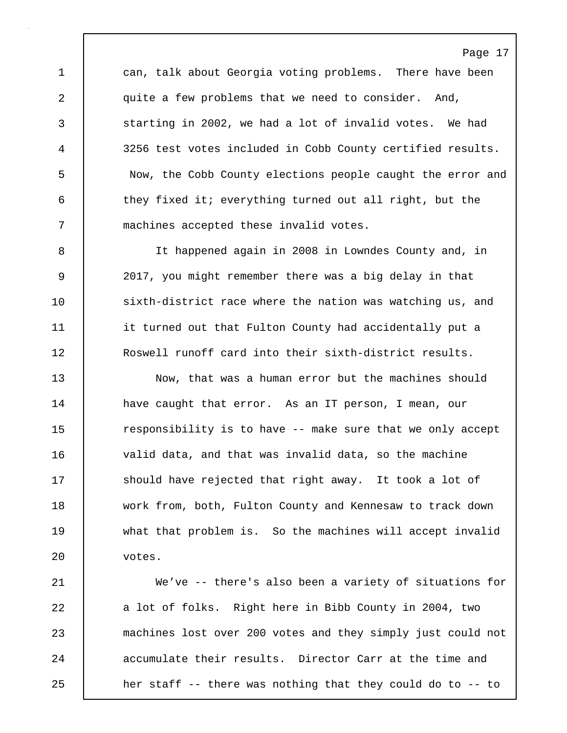1 can, talk about Georgia voting problems. There have been 2 quite a few problems that we need to consider. And, 3 starting in 2002, we had a lot of invalid votes. We had 4 3256 test votes included in Cobb County certified results. 5 Now, the Cobb County elections people caught the error and 6 they fixed it; everything turned out all right, but the 7 machines accepted these invalid votes.

8 It happened again in 2008 in Lowndes County and, in 9 2017, you might remember there was a big delay in that 10 sixth-district race where the nation was watching us, and 11 | it turned out that Fulton County had accidentally put a 12 Roswell runoff card into their sixth-district results.

13 Now, that was a human error but the machines should 14 have caught that error. As an IT person, I mean, our 15 The responsibility is to have -- make sure that we only accept 16 valid data, and that was invalid data, so the machine 17 Should have rejected that right away. It took a lot of 18 work from, both, Fulton County and Kennesaw to track down 19 what that problem is. So the machines will accept invalid 20 votes.

21 We've -- there's also been a variety of situations for 22 a lot of folks. Right here in Bibb County in 2004, two 23 machines lost over 200 votes and they simply just could not 24 accumulate their results. Director Carr at the time and 25 **heap her staff -- there was nothing that they could do to -- to**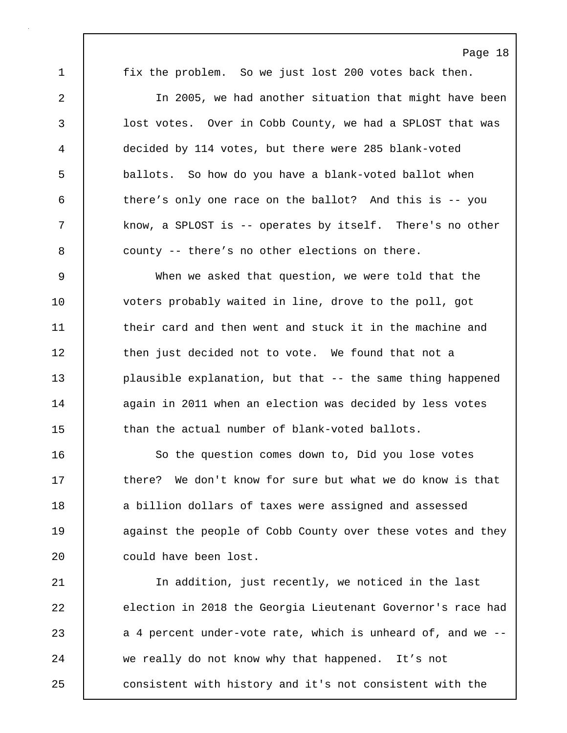1 fix the problem. So we just lost 200 votes back then.

2 In 2005, we had another situation that might have been 3 | lost votes. Over in Cobb County, we had a SPLOST that was 4 decided by 114 votes, but there were 285 blank-voted 5 ballots. So how do you have a blank-voted ballot when 6 there's only one race on the ballot? And this is -- you 7 know, a SPLOST is -- operates by itself. There's no other 8 county -- there's no other elections on there.

9 When we asked that question, we were told that the 10 voters probably waited in line, drove to the poll, got 11 **their card and then went and stuck it in the machine and** 12 then just decided not to vote. We found that not a 13 **plausible explanation, but that -- the same thing happened** 14 again in 2011 when an election was decided by less votes 15 than the actual number of blank-voted ballots.

16 | So the question comes down to, Did you lose votes 17 **there?** We don't know for sure but what we do know is that 18 a billion dollars of taxes were assigned and assessed 19 **against the people of Cobb County over these votes and they** 20 | could have been lost.

21 | In addition, just recently, we noticed in the last 22 election in 2018 the Georgia Lieutenant Governor's race had 23 a 4 percent under-vote rate, which is unheard of, and we --24 we really do not know why that happened. It's not 25 **consistent with history and it's not consistent with the**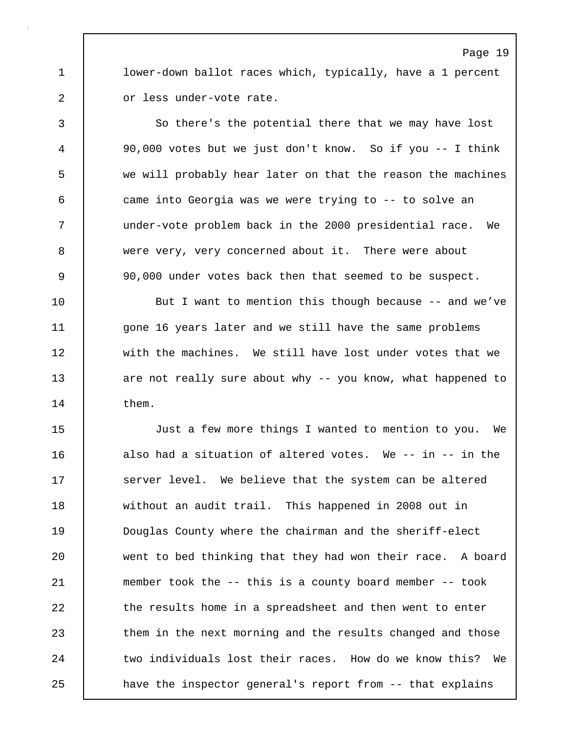1 lower-down ballot races which, typically, have a 1 percent 2 or less under-vote rate.

3 So there's the potential there that we may have lost 4 90,000 votes but we just don't know. So if you -- I think 5 we will probably hear later on that the reason the machines 6 came into Georgia was we were trying to -- to solve an 7 under-vote problem back in the 2000 presidential race. We 8 were very, very concerned about it. There were about 9 90,000 under votes back then that seemed to be suspect.

10 But I want to mention this though because -- and we've 11 | gone 16 years later and we still have the same problems 12 | with the machines. We still have lost under votes that we 13 are not really sure about why -- you know, what happened to 14 them.

15 Just a few more things I wanted to mention to you. We 16 also had a situation of altered votes. We -- in -- in the 17 Server level. We believe that the system can be altered 18 without an audit trail. This happened in 2008 out in 19 Douglas County where the chairman and the sheriff-elect 20 went to bed thinking that they had won their race. A board 21 member took the -- this is a county board member -- took 22 the results home in a spreadsheet and then went to enter 23 them in the next morning and the results changed and those 24 two individuals lost their races. How do we know this? We 25 have the inspector general's report from -- that explains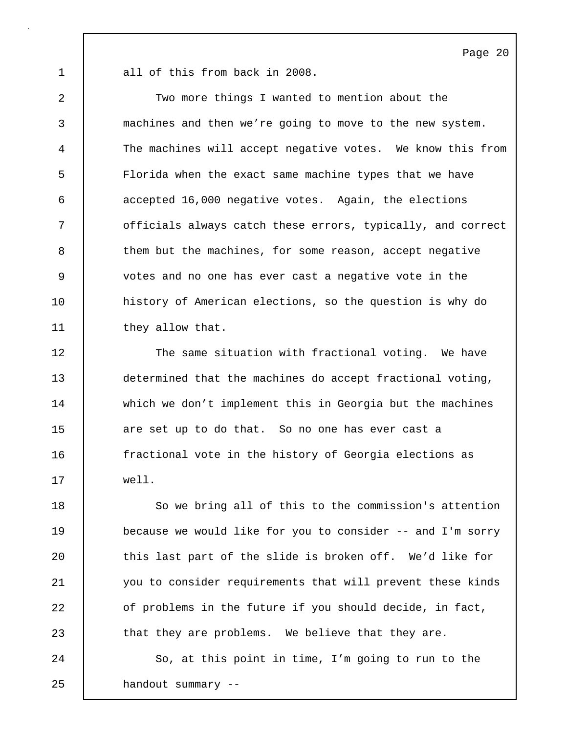1 all of this from back in 2008.

2 Two more things I wanted to mention about the 3 machines and then we're going to move to the new system. 4 The machines will accept negative votes. We know this from 5 Florida when the exact same machine types that we have 6 accepted 16,000 negative votes. Again, the elections 7 | officials always catch these errors, typically, and correct 8 them but the machines, for some reason, accept negative 9 votes and no one has ever cast a negative vote in the 10 history of American elections, so the question is why do 11 | they allow that.

12 The same situation with fractional voting. We have 13 determined that the machines do accept fractional voting, 14 which we don't implement this in Georgia but the machines 15 are set up to do that. So no one has ever cast a 16 fractional vote in the history of Georgia elections as 17 well.

18 So we bring all of this to the commission's attention 19 because we would like for you to consider -- and I'm sorry 20 | this last part of the slide is broken off. We'd like for 21 you to consider requirements that will prevent these kinds 22 of problems in the future if you should decide, in fact, 23 | that they are problems. We believe that they are.

24 | So, at this point in time, I'm going to run to the 25 handout summary --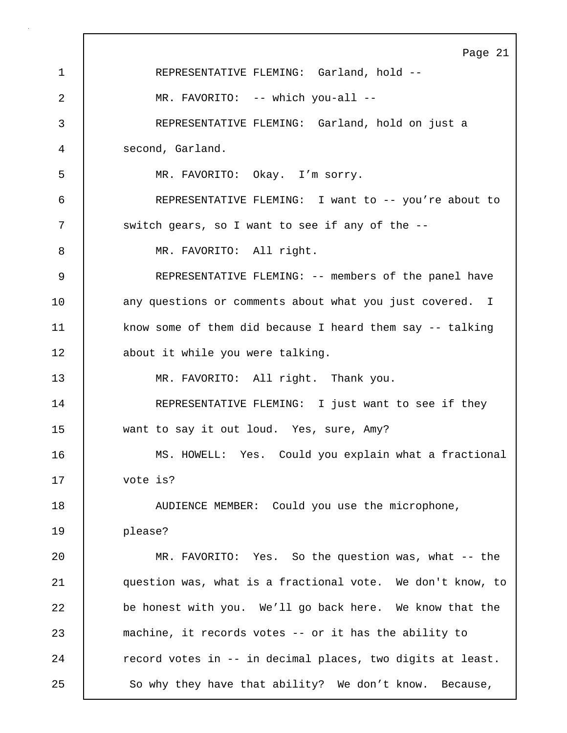Page 21 1 REPRESENTATIVE FLEMING: Garland, hold -- 2 | MR. FAVORITO: -- which you-all --3 REPRESENTATIVE FLEMING: Garland, hold on just a 4 second, Garland. 5 MR. FAVORITO: Okay. I'm sorry. 6 REPRESENTATIVE FLEMING: I want to -- you're about to 7 | switch gears, so I want to see if any of the --8 | MR. FAVORITO: All right. 9 REPRESENTATIVE FLEMING: -- members of the panel have 10 | any questions or comments about what you just covered. I 11 | know some of them did because I heard them say -- talking 12 about it while you were talking. 13 MR. FAVORITO: All right. Thank you. 14 | REPRESENTATIVE FLEMING: I just want to see if they 15 want to say it out loud. Yes, sure, Amy? 16 MS. HOWELL: Yes. Could you explain what a fractional 17 vote is? 18 | AUDIENCE MEMBER: Could you use the microphone, 19 please? 20 MR. FAVORITO: Yes. So the question was, what -- the 21 question was, what is a fractional vote. We don't know, to 22 be honest with you. We'll go back here. We know that the 23 machine, it records votes -- or it has the ability to 24 Tecord votes in -- in decimal places, two digits at least. 25 So why they have that ability? We don't know. Because,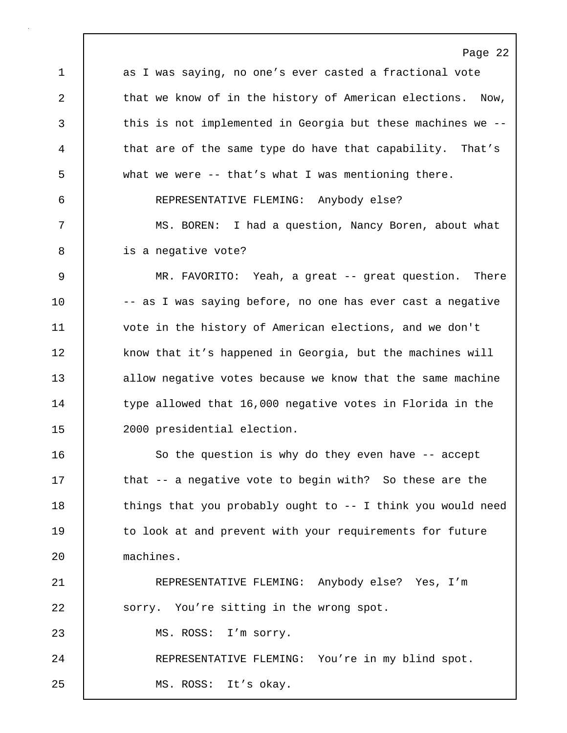Page 22 1 as I was saying, no one's ever casted a fractional vote 2 that we know of in the history of American elections. Now, 3 this is not implemented in Georgia but these machines we --4 that are of the same type do have that capability. That's 5 what we were -- that's what I was mentioning there. 6 REPRESENTATIVE FLEMING: Anybody else? 7 MS. BOREN: I had a question, Nancy Boren, about what 8 is a negative vote? 9 MR. FAVORITO: Yeah, a great -- great question. There 10 | -- as I was saying before, no one has ever cast a negative 11 vote in the history of American elections, and we don't 12 | know that it's happened in Georgia, but the machines will 13 allow negative votes because we know that the same machine 14 type allowed that 16,000 negative votes in Florida in the 15 2000 presidential election. 16 | So the question is why do they even have -- accept 17 that -- a negative vote to begin with? So these are the 18 | things that you probably ought to -- I think you would need 19 | to look at and prevent with your requirements for future 20 machines. 21 REPRESENTATIVE FLEMING: Anybody else? Yes, I'm 22 | sorry. You're sitting in the wrong spot. 23 | MS. ROSS: I'm sorry. 24 | REPRESENTATIVE FLEMING: You're in my blind spot.

25 | MS. ROSS: It's okay.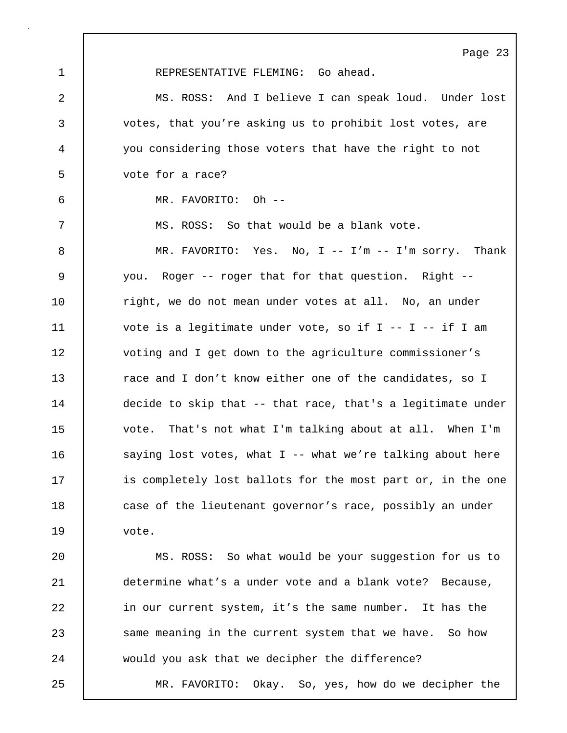Page 23 1 REPRESENTATIVE FLEMING: Go ahead. 2 MS. ROSS: And I believe I can speak loud. Under lost 3 votes, that you're asking us to prohibit lost votes, are 4 you considering those voters that have the right to not 5 vote for a race? 6 MR. FAVORITO: Oh -- 7 | MS. ROSS: So that would be a blank vote. 8 MR. FAVORITO: Yes. No, I -- I'm -- I'm sorry. Thank 9 you. Roger -- roger that for that question. Right -- 10 | right, we do not mean under votes at all. No, an under 11 vote is a legitimate under vote, so if I -- I -- if I am 12 voting and I get down to the agriculture commissioner's 13 **13** race and I don't know either one of the candidates, so I 14 decide to skip that -- that race, that's a legitimate under 15 vote. That's not what I'm talking about at all. When I'm 16 | saying lost votes, what I -- what we're talking about here 17 is completely lost ballots for the most part or, in the one 18 case of the lieutenant governor's race, possibly an under 19 vote. 20 | MS. ROSS: So what would be your suggestion for us to 21 determine what's a under vote and a blank vote? Because, 22 in our current system, it's the same number. It has the 23 same meaning in the current system that we have. So how 24 would you ask that we decipher the difference? 25 MR. FAVORITO: Okay. So, yes, how do we decipher the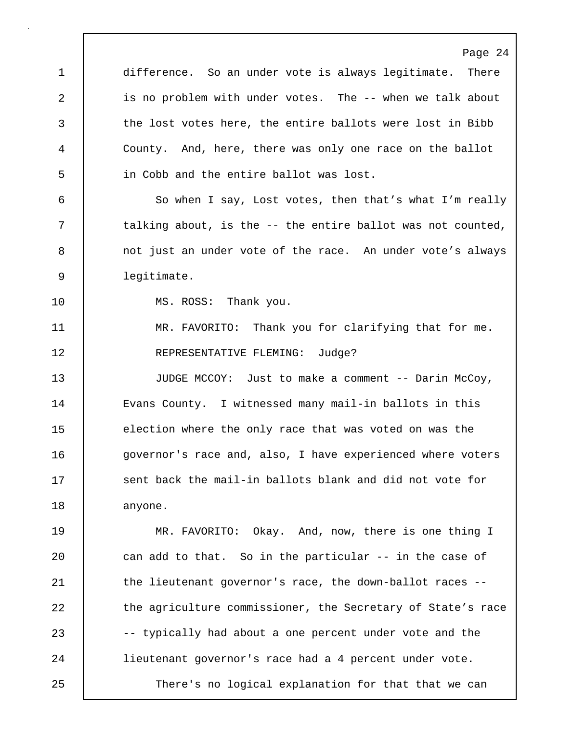Page 24 1 difference. So an under vote is always legitimate. There 2 is no problem with under votes. The -- when we talk about 3 the lost votes here, the entire ballots were lost in Bibb 4 County. And, here, there was only one race on the ballot 5 in Cobb and the entire ballot was lost. 6 So when I say, Lost votes, then that's what I'm really 7 | talking about, is the -- the entire ballot was not counted, 8 | not just an under vote of the race. An under vote's always 9 legitimate. 10 | MS. ROSS: Thank you. 11 | MR. FAVORITO: Thank you for clarifying that for me. 12 REPRESENTATIVE FLEMING: Judge? 13 JUDGE MCCOY: Just to make a comment -- Darin McCoy, 14 | Evans County. I witnessed many mail-in ballots in this 15 election where the only race that was voted on was the 16 **governor's race and, also, I have experienced where voters** 17 Sent back the mail-in ballots blank and did not vote for 18 | anyone. 19 MR. FAVORITO: Okay. And, now, there is one thing I 20 can add to that. So in the particular -- in the case of 21 | the lieutenant governor's race, the down-ballot races --22 the agriculture commissioner, the Secretary of State's race 23 -- typically had about a one percent under vote and the 24 lieutenant governor's race had a 4 percent under vote. 25 There's no logical explanation for that that we can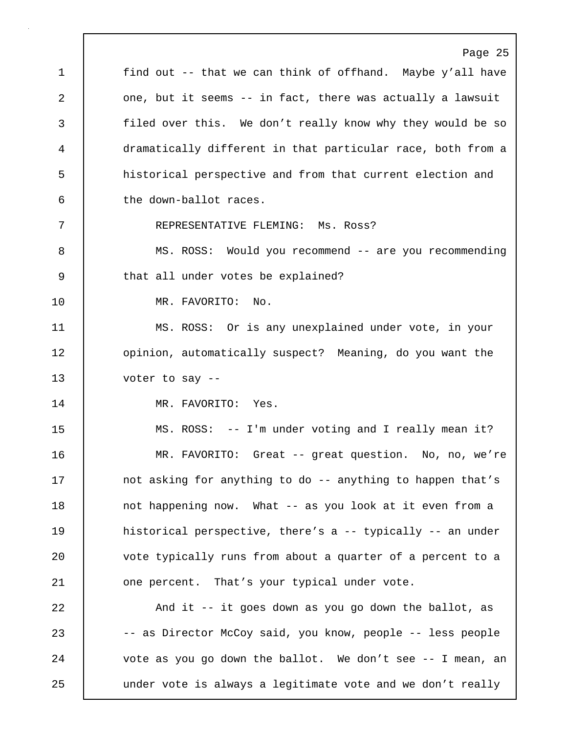Page 25 1 | find out -- that we can think of offhand. Maybe y'all have 2 one, but it seems -- in fact, there was actually a lawsuit 3 filed over this. We don't really know why they would be so 4 dramatically different in that particular race, both from a 5 historical perspective and from that current election and 6 the down-ballot races. 7 REPRESENTATIVE FLEMING: Ms. Ross? 8 MS. ROSS: Would you recommend -- are you recommending 9 | that all under votes be explained? 10 MR. FAVORITO: No. 11 MS. ROSS: Or is any unexplained under vote, in your 12 **dege** opinion, automatically suspect? Meaning, do you want the 13 voter to say -- 14 MR. FAVORITO: Yes. 15 MS. ROSS: -- I'm under voting and I really mean it? 16 MR. FAVORITO: Great -- great question. No, no, we're 17 | not asking for anything to do -- anything to happen that's 18 | not happening now. What -- as you look at it even from a 19 **historical perspective, there's a -- typically -- an under** 20 vote typically runs from about a quarter of a percent to a 21 **one percent.** That's your typical under vote. 22 And it -- it goes down as you go down the ballot, as 23 -- as Director McCoy said, you know, people -- less people 24 | vote as you go down the ballot. We don't see -- I mean, an 25 | under vote is always a legitimate vote and we don't really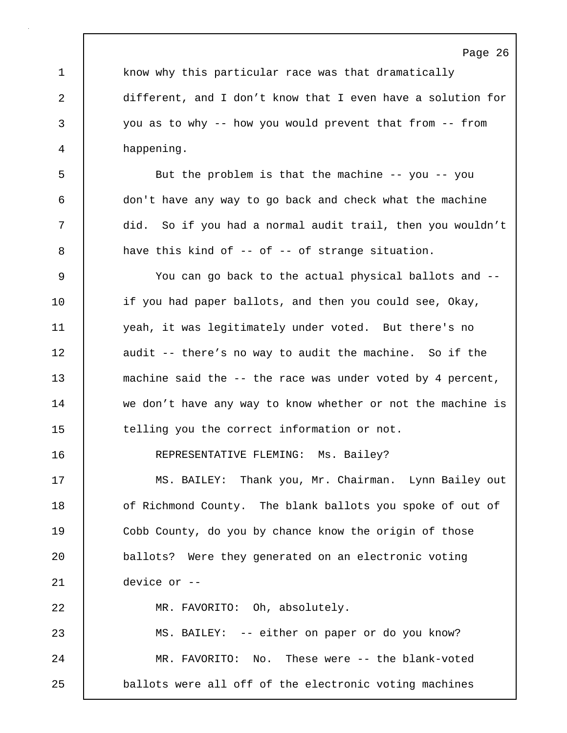1 know why this particular race was that dramatically 2 different, and I don't know that I even have a solution for 3 you as to why -- how you would prevent that from -- from 4 happening.

5 But the problem is that the machine -- you -- you 6 don't have any way to go back and check what the machine 7 did. So if you had a normal audit trail, then you wouldn't 8 a have this kind of -- of -- of strange situation.

9 You can go back to the actual physical ballots and -- 10 if you had paper ballots, and then you could see, Okay, 11 yeah, it was legitimately under voted. But there's no 12 audit -- there's no way to audit the machine. So if the 13 machine said the -- the race was under voted by 4 percent, 14 | we don't have any way to know whether or not the machine is 15 telling you the correct information or not.

16 | REPRESENTATIVE FLEMING: Ms. Bailey?

17 | MS. BAILEY: Thank you, Mr. Chairman. Lynn Bailey out 18 **o**f Richmond County. The blank ballots you spoke of out of 19 Cobb County, do you by chance know the origin of those 20 ballots? Were they generated on an electronic voting 21 device or -- 22 MR. FAVORITO: Oh, absolutely.

23 MS. BAILEY: -- either on paper or do you know? 24 | MR. FAVORITO: No. These were -- the blank-voted 25 **ballots were all off of the electronic voting machines**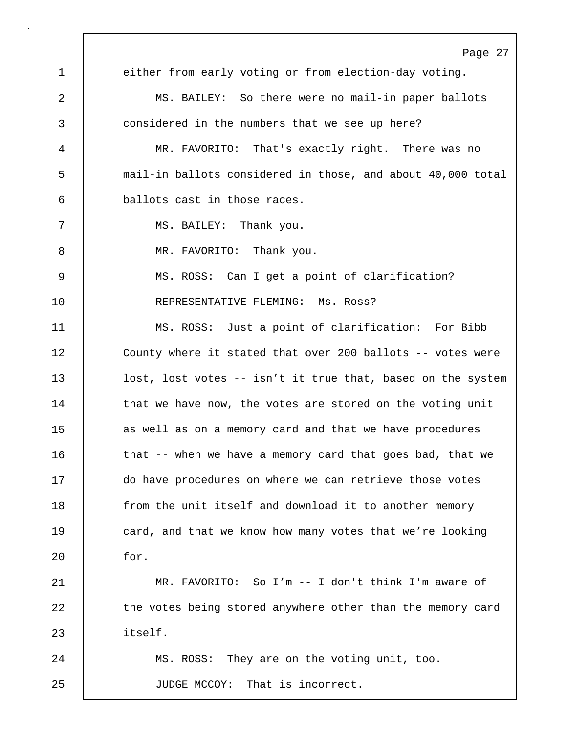Page 27 1 either from early voting or from election-day voting. 2 MS. BAILEY: So there were no mail-in paper ballots 3 considered in the numbers that we see up here? 4 MR. FAVORITO: That's exactly right. There was no 5 mail-in ballots considered in those, and about 40,000 total 6 ballots cast in those races. 7 | MS. BAILEY: Thank you. 8 | MR. FAVORITO: Thank you. 9 MS. ROSS: Can I get a point of clarification? 10 REPRESENTATIVE FLEMING: Ms. Ross? 11 MS. ROSS: Just a point of clarification: For Bibb 12 | County where it stated that over 200 ballots -- votes were 13 lost, lost votes -- isn't it true that, based on the system 14 that we have now, the votes are stored on the voting unit 15 | as well as on a memory card and that we have procedures 16 | that -- when we have a memory card that goes bad, that we 17 do have procedures on where we can retrieve those votes 18 **from the unit itself and download it to another memory** 19 card, and that we know how many votes that we're looking 20 for. 21 MR. FAVORITO: So I'm -- I don't think I'm aware of 22 the votes being stored anywhere other than the memory card 23 itself. 24 MS. ROSS: They are on the voting unit, too. 25 JUDGE MCCOY: That is incorrect.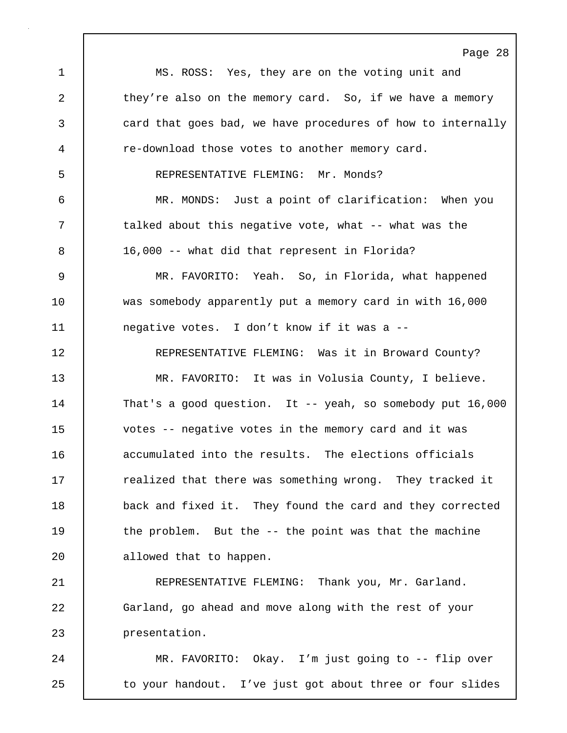Page 28 1 MS. ROSS: Yes, they are on the voting unit and 2 they're also on the memory card. So, if we have a memory 3 card that goes bad, we have procedures of how to internally 4 re-download those votes to another memory card. 5 REPRESENTATIVE FLEMING: Mr. Monds? 6 MR. MONDS: Just a point of clarification: When you 7 | talked about this negative vote, what -- what was the 8 16,000 -- what did that represent in Florida? 9 MR. FAVORITO: Yeah. So, in Florida, what happened 10 | was somebody apparently put a memory card in with 16,000 11 **negative votes.** I don't know if it was a --12 | REPRESENTATIVE FLEMING: Was it in Broward County? 13 MR. FAVORITO: It was in Volusia County, I believe. 14 That's a good question. It -- yeah, so somebody put 16,000 15 votes -- negative votes in the memory card and it was 16 | accumulated into the results. The elections officials 17 The realized that there was something wrong. They tracked it 18 back and fixed it. They found the card and they corrected 19 the problem. But the -- the point was that the machine 20 | allowed that to happen. 21 | REPRESENTATIVE FLEMING: Thank you, Mr. Garland. 22 Garland, go ahead and move along with the rest of your 23 presentation. 24 MR. FAVORITO: Okay. I'm just going to -- flip over 25 to your handout. I've just got about three or four slides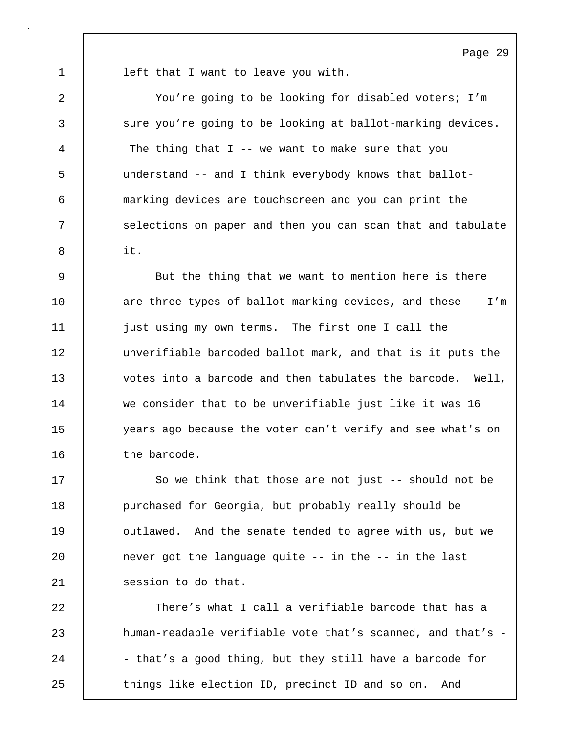1 **left that I want to leave you with.** 

2 You're going to be looking for disabled voters; I'm 3 sure you're going to be looking at ballot-marking devices. 4 The thing that I -- we want to make sure that you 5 understand -- and I think everybody knows that ballot-6 marking devices are touchscreen and you can print the 7 | selections on paper and then you can scan that and tabulate  $8 \quad \text{I} \quad \text{it}.$ 

9 But the thing that we want to mention here is there 10 are three types of ballot-marking devices, and these -- I'm 11 just using my own terms. The first one I call the 12 unverifiable barcoded ballot mark, and that is it puts the 13 votes into a barcode and then tabulates the barcode. Well, 14 we consider that to be unverifiable just like it was 16 15 years ago because the voter can't verify and see what's on 16 | the barcode.

17 So we think that those are not just -- should not be 18 **purchased for Georgia, but probably really should be** 19 | outlawed. And the senate tended to agree with us, but we 20 **never got the language quite -- in the -- in the last** 21 | session to do that.

22 There's what I call a verifiable barcode that has a 23 **human-readable verifiable vote that's scanned, and that's -**24 - that's a good thing, but they still have a barcode for 25 Things like election ID, precinct ID and so on. And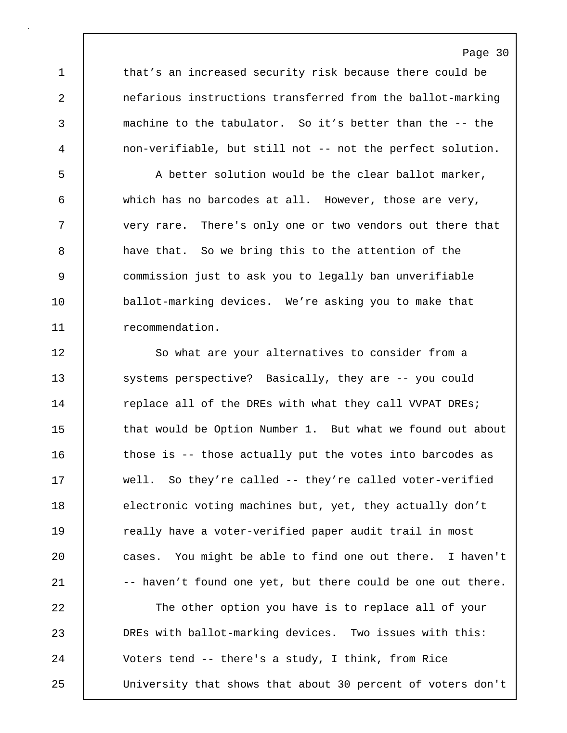1 that's an increased security risk because there could be 2 nefarious instructions transferred from the ballot-marking 3 machine to the tabulator. So it's better than the -- the 4 non-verifiable, but still not -- not the perfect solution.

5 A better solution would be the clear ballot marker, 6 which has no barcodes at all. However, those are very, 7 very rare. There's only one or two vendors out there that 8 a have that. So we bring this to the attention of the 9 commission just to ask you to legally ban unverifiable 10 ballot-marking devices. We're asking you to make that 11 recommendation.

12 So what are your alternatives to consider from a 13 | systems perspective? Basically, they are -- you could 14 Teplace all of the DREs with what they call VVPAT DREs; 15 that would be Option Number 1. But what we found out about 16 | those is -- those actually put the votes into barcodes as 17 well. So they're called -- they're called voter-verified 18 electronic voting machines but, yet, they actually don't 19 Teally have a voter-verified paper audit trail in most 20 cases. You might be able to find one out there. I haven't 21 -- haven't found one yet, but there could be one out there. 22 The other option you have is to replace all of your

23 DREs with ballot-marking devices. Two issues with this: 24 Voters tend -- there's a study, I think, from Rice 25 University that shows that about 30 percent of voters don't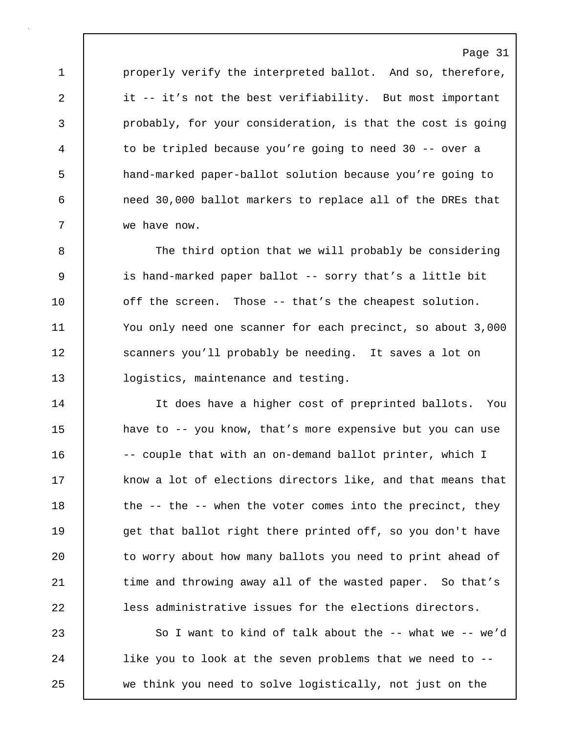1 properly verify the interpreted ballot. And so, therefore, 2 it -- it's not the best verifiability. But most important 3 probably, for your consideration, is that the cost is going 4 to be tripled because you're going to need 30 -- over a 5 hand-marked paper-ballot solution because you're going to 6 need 30,000 ballot markers to replace all of the DREs that 7 we have now.

8 The third option that we will probably be considering 9 is hand-marked paper ballot -- sorry that's a little bit 10 off the screen. Those -- that's the cheapest solution. 11 You only need one scanner for each precinct, so about 3,000 12 Scanners you'll probably be needing. It saves a lot on 13 **logistics, maintenance and testing.** 

14 It does have a higher cost of preprinted ballots. You 15 **have to -- you know, that's more expensive but you can use** 16 -- couple that with an on-demand ballot printer, which I 17 know a lot of elections directors like, and that means that 18 | the -- the -- when the voter comes into the precinct, they 19 et that ballot right there printed off, so you don't have 20 to worry about how many ballots you need to print ahead of 21 | time and throwing away all of the wasted paper. So that's 22 **less administrative issues for the elections directors.** 

23 So I want to kind of talk about the -- what we -- we'd 24 **like you to look at the seven problems that we need to --**25 we think you need to solve logistically, not just on the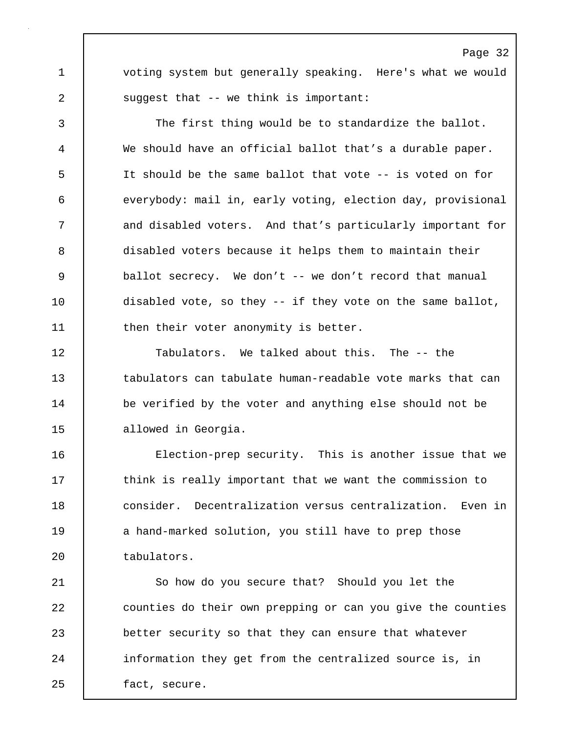1 voting system but generally speaking. Here's what we would 2 | suggest that -- we think is important:

3 The first thing would be to standardize the ballot. 4 We should have an official ballot that's a durable paper. 5 It should be the same ballot that vote -- is voted on for 6 everybody: mail in, early voting, election day, provisional 7 and disabled voters. And that's particularly important for 8 disabled voters because it helps them to maintain their 9 ballot secrecy. We don't -- we don't record that manual 10 | disabled vote, so they -- if they vote on the same ballot, 11 then their voter anonymity is better.

12 Tabulators. We talked about this. The -- the 13 tabulators can tabulate human-readable vote marks that can 14 be verified by the voter and anything else should not be 15 allowed in Georgia.

16 Election-prep security. This is another issue that we 17 **think is really important that we want the commission to** 18 consider. Decentralization versus centralization. Even in 19 a hand-marked solution, you still have to prep those 20 tabulators.

21 So how do you secure that? Should you let the 22 counties do their own prepping or can you give the counties 23 better security so that they can ensure that whatever 24 | information they get from the centralized source is, in 25 | fact, secure.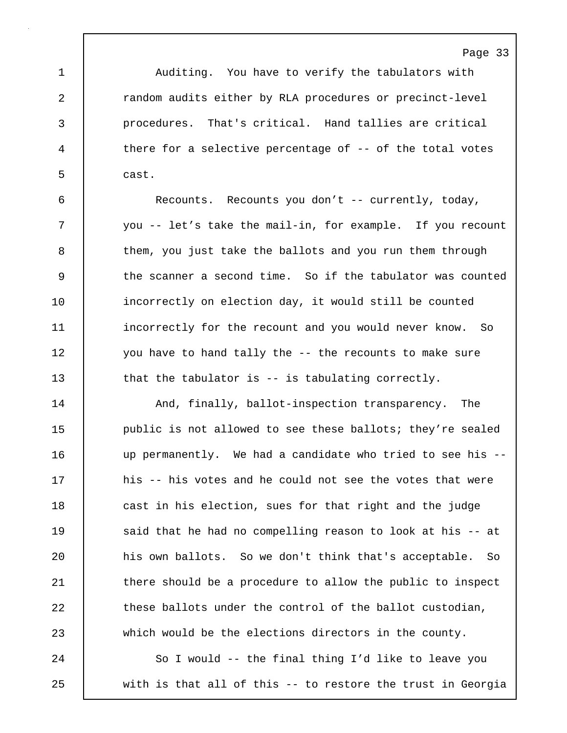1 Auditing. You have to verify the tabulators with 2 **cano** random audits either by RLA procedures or precinct-level 3 procedures. That's critical. Hand tallies are critical 4 there for a selective percentage of -- of the total votes 5 cast.

6 Recounts. Recounts you don't -- currently, today, 7 you -- let's take the mail-in, for example. If you recount 8 them, you just take the ballots and you run them through 9 the scanner a second time. So if the tabulator was counted 10 | incorrectly on election day, it would still be counted 11 incorrectly for the recount and you would never know. So 12 you have to hand tally the -- the recounts to make sure 13 that the tabulator is -- is tabulating correctly.

14 | And, finally, ballot-inspection transparency. The 15 **public is not allowed to see these ballots; they're sealed** 16 up permanently. We had a candidate who tried to see his -- 17 his -- his votes and he could not see the votes that were 18 cast in his election, sues for that right and the judge 19 | said that he had no compelling reason to look at his -- at 20 **h**is own ballots. So we don't think that's acceptable. So 21 | there should be a procedure to allow the public to inspect 22 **these ballots under the control of the ballot custodian,** 23 which would be the elections directors in the county.

24 So I would -- the final thing I'd like to leave you 25 with is that all of this -- to restore the trust in Georgia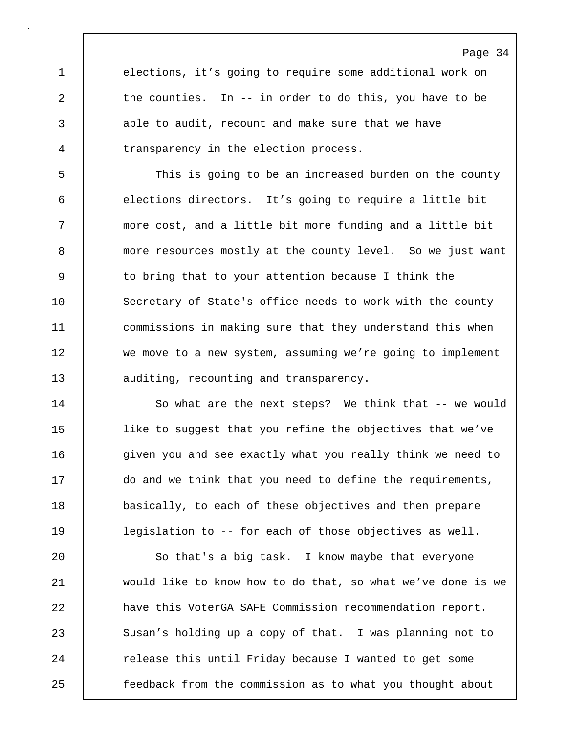1 elections, it's going to require some additional work on 2 the counties. In -- in order to do this, you have to be 3 able to audit, recount and make sure that we have 4 Terransparency in the election process.

5 This is going to be an increased burden on the county 6 elections directors. It's going to require a little bit 7 more cost, and a little bit more funding and a little bit 8 | more resources mostly at the county level. So we just want 9 | to bring that to your attention because I think the 10 Secretary of State's office needs to work with the county 11 commissions in making sure that they understand this when 12 we move to a new system, assuming we're going to implement 13 auditing, recounting and transparency.

14 | So what are the next steps? We think that -- we would 15 like to suggest that you refine the objectives that we've 16 **given** you and see exactly what you really think we need to 17 do and we think that you need to define the requirements, 18 basically, to each of these objectives and then prepare 19 legislation to -- for each of those objectives as well.

20 | So that's a big task. I know maybe that everyone 21 would like to know how to do that, so what we've done is we 22 have this VoterGA SAFE Commission recommendation report. 23 Susan's holding up a copy of that. I was planning not to 24 | release this until Friday because I wanted to get some 25 feedback from the commission as to what you thought about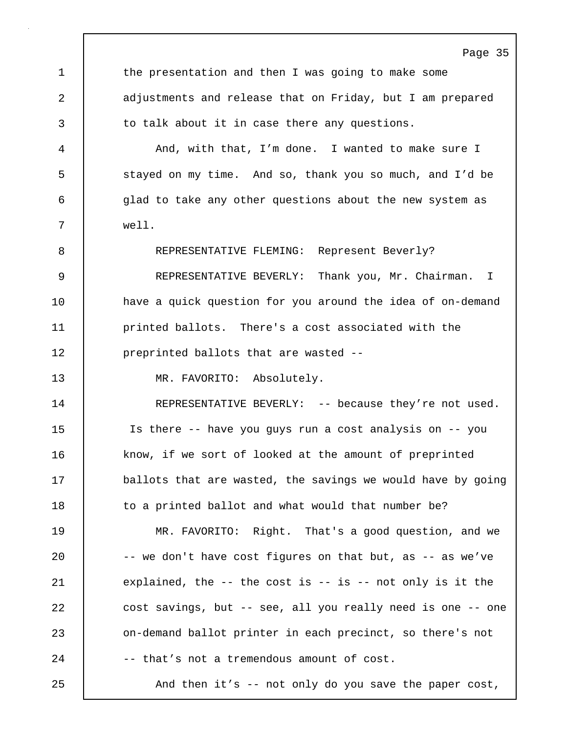Page 35 1 the presentation and then I was going to make some 2 adjustments and release that on Friday, but I am prepared 3 to talk about it in case there any questions. 4 And, with that, I'm done. I wanted to make sure I 5 stayed on my time. And so, thank you so much, and I'd be 6 glad to take any other questions about the new system as 7 well. 8 REPRESENTATIVE FLEMING: Represent Beverly? 9 REPRESENTATIVE BEVERLY: Thank you, Mr. Chairman. I 10 have a quick question for you around the idea of on-demand 11 **printed ballots.** There's a cost associated with the 12 **preprinted ballots that are wasted --**13 MR. FAVORITO: Absolutely. 14 REPRESENTATIVE BEVERLY: -- because they're not used. 15 Is there -- have you guys run a cost analysis on -- you 16 know, if we sort of looked at the amount of preprinted 17 ballots that are wasted, the savings we would have by going 18 | to a printed ballot and what would that number be? 19 MR. FAVORITO: Right. That's a good question, and we 20  $\vert$  -- we don't have cost figures on that but, as -- as we've 21 explained, the -- the cost is -- is -- not only is it the 22 cost savings, but -- see, all you really need is one -- one 23 on-demand ballot printer in each precinct, so there's not 24  $\vert$  -- that's not a tremendous amount of cost. 25 And then it's -- not only do you save the paper cost,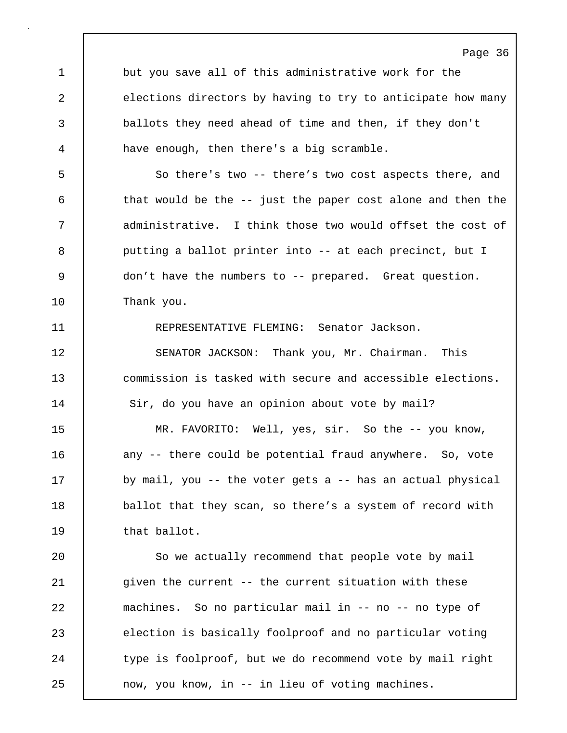Page 36 1 but you save all of this administrative work for the 2 elections directors by having to try to anticipate how many 3 ballots they need ahead of time and then, if they don't 4 have enough, then there's a big scramble. 5 So there's two -- there's two cost aspects there, and 6 that would be the -- just the paper cost alone and then the 7 administrative. I think those two would offset the cost of 8 | putting a ballot printer into -- at each precinct, but I 9 don't have the numbers to -- prepared. Great question. 10 Thank you. 11 REPRESENTATIVE FLEMING: Senator Jackson. 12 SENATOR JACKSON: Thank you, Mr. Chairman. This 13 commission is tasked with secure and accessible elections. 14 | Sir, do you have an opinion about vote by mail? 15 MR. FAVORITO: Well, yes, sir. So the -- you know, 16 | any -- there could be potential fraud anywhere. So, vote 17 | by mail, you -- the voter gets a -- has an actual physical 18 | ballot that they scan, so there's a system of record with 19 that ballot. 20 So we actually recommend that people vote by mail 21 | given the current -- the current situation with these 22 machines. So no particular mail in -- no -- no type of 23 election is basically foolproof and no particular voting 24 | type is foolproof, but we do recommend vote by mail right 25 | now, you know, in -- in lieu of voting machines.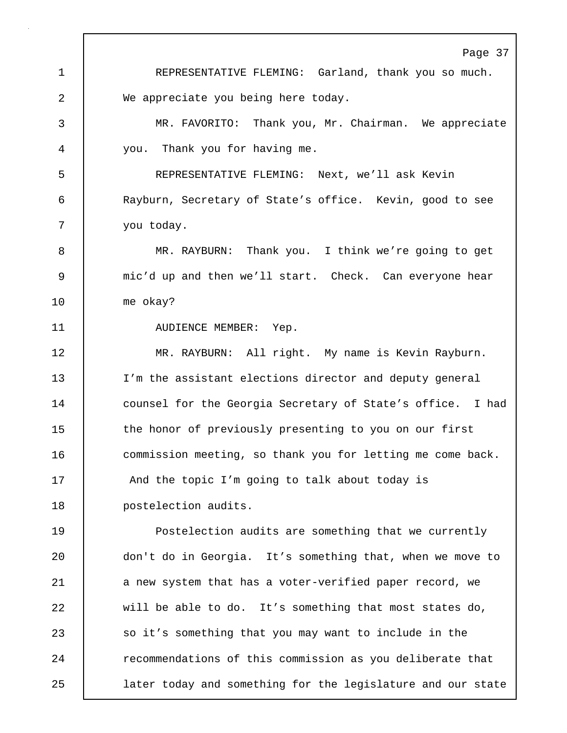Page 37 1 REPRESENTATIVE FLEMING: Garland, thank you so much. 2 We appreciate you being here today. 3 MR. FAVORITO: Thank you, Mr. Chairman. We appreciate 4 you. Thank you for having me. 5 REPRESENTATIVE FLEMING: Next, we'll ask Kevin 6 Rayburn, Secretary of State's office. Kevin, good to see 7 | you today. 8 MR. RAYBURN: Thank you. I think we're going to get 9 mic'd up and then we'll start. Check. Can everyone hear 10 me okay? 11 | AUDIENCE MEMBER: Yep. 12 | MR. RAYBURN: All right. My name is Kevin Rayburn. 13 I'm the assistant elections director and deputy general 14 counsel for the Georgia Secretary of State's office. I had 15 the honor of previously presenting to you on our first 16 **commission meeting, so thank you for letting me come back.** 17 | And the topic I'm going to talk about today is 18 | postelection audits. 19 Postelection audits are something that we currently 20 don't do in Georgia. It's something that, when we move to 21 a new system that has a voter-verified paper record, we 22 will be able to do. It's something that most states do, 23 so it's something that you may want to include in the 24 **Paramic Exerc** recommendations of this commission as you deliberate that 25 later today and something for the legislature and our state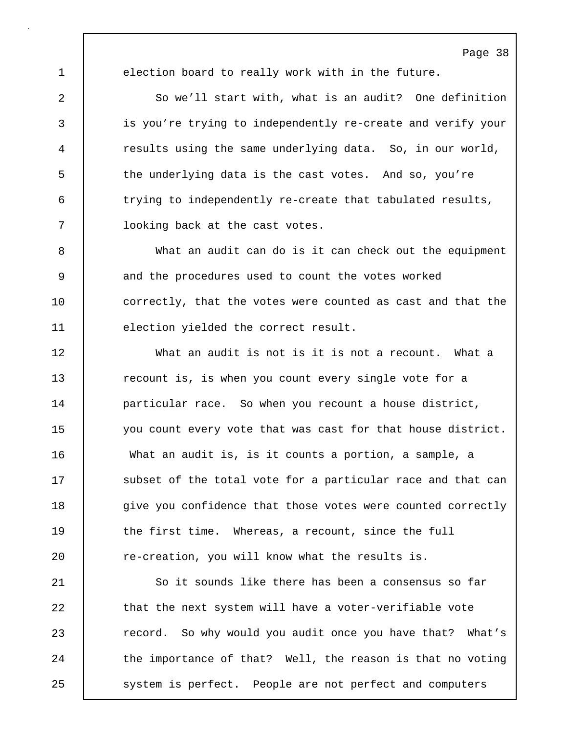1 election board to really work with in the future.

2 So we'll start with, what is an audit? One definition 3 is you're trying to independently re-create and verify your 4 results using the same underlying data. So, in our world, 5 the underlying data is the cast votes. And so, you're 6 trying to independently re-create that tabulated results, 7 | looking back at the cast votes.

8 What an audit can do is it can check out the equipment 9 and the procedures used to count the votes worked 10 correctly, that the votes were counted as cast and that the 11 election yielded the correct result.

12 What an audit is not is it is not a recount. What a 13 **recount is, is when you count every single vote for a** 14 **particular race.** So when you recount a house district, 15 you count every vote that was cast for that house district. 16 What an audit is, is it counts a portion, a sample, a 17 Subset of the total vote for a particular race and that can 18 **give you confidence that those votes were counted correctly** 19 the first time. Whereas, a recount, since the full 20 **c** re-creation, you will know what the results is.

21 So it sounds like there has been a consensus so far 22 that the next system will have a voter-verifiable vote 23 **Paramel Exter** 23 record. So why would you audit once you have that? What's 24 | the importance of that? Well, the reason is that no voting 25 system is perfect. People are not perfect and computers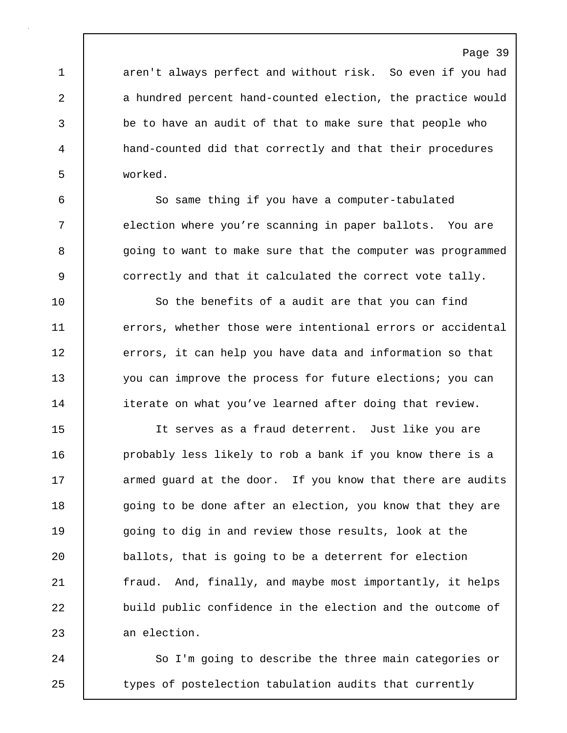1 aren't always perfect and without risk. So even if you had 2 a hundred percent hand-counted election, the practice would 3 be to have an audit of that to make sure that people who 4 hand-counted did that correctly and that their procedures 5 worked.

6 So same thing if you have a computer-tabulated 7 election where you're scanning in paper ballots. You are 8 | going to want to make sure that the computer was programmed 9 correctly and that it calculated the correct vote tally.

10 So the benefits of a audit are that you can find 11 errors, whether those were intentional errors or accidental 12 errors, it can help you have data and information so that 13 you can improve the process for future elections; you can 14 iterate on what you've learned after doing that review.

15 It serves as a fraud deterrent. Just like you are 16 | probably less likely to rob a bank if you know there is a 17 armed quard at the door. If you know that there are audits 18 going to be done after an election, you know that they are 19 going to dig in and review those results, look at the 20 ballots, that is going to be a deterrent for election 21 | fraud. And, finally, and maybe most importantly, it helps 22 build public confidence in the election and the outcome of 23 an election.

24 So I'm going to describe the three main categories or 25 | types of postelection tabulation audits that currently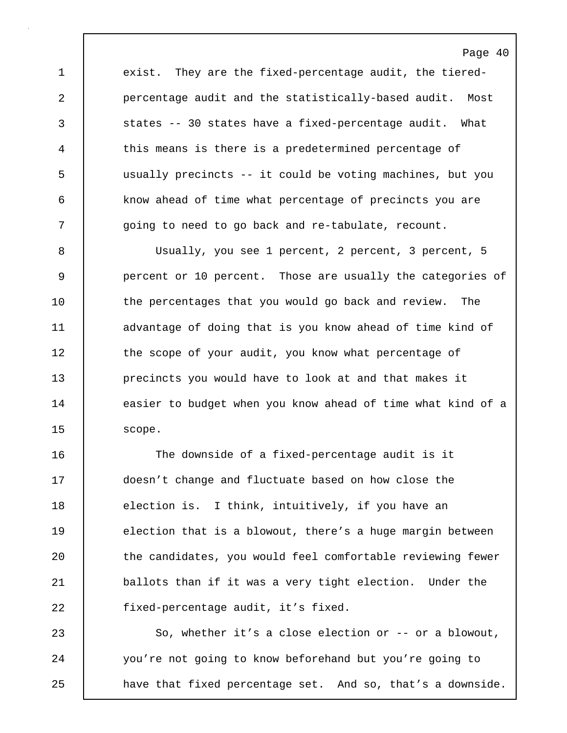1 exist. They are the fixed-percentage audit, the tiered-2 percentage audit and the statistically-based audit. Most 3 states -- 30 states have a fixed-percentage audit. What 4 this means is there is a predetermined percentage of 5 usually precincts -- it could be voting machines, but you 6 know ahead of time what percentage of precincts you are 7 | going to need to go back and re-tabulate, recount.

8 Usually, you see 1 percent, 2 percent, 3 percent, 5 9 percent or 10 percent. Those are usually the categories of 10 the percentages that you would go back and review. The 11 advantage of doing that is you know ahead of time kind of 12 the scope of your audit, you know what percentage of 13 **precincts you would have to look at and that makes it** 14 | easier to budget when you know ahead of time what kind of a 15 | scope.

16 The downside of a fixed-percentage audit is it 17 doesn't change and fluctuate based on how close the 18 election is. I think, intuitively, if you have an 19 | election that is a blowout, there's a huge margin between 20 the candidates, you would feel comfortable reviewing fewer 21 **ballots than if it was a very tight election.** Under the 22 fixed-percentage audit, it's fixed.

23 So, whether it's a close election or -- or a blowout, 24 you're not going to know beforehand but you're going to 25 **have that fixed percentage set.** And so, that's a downside.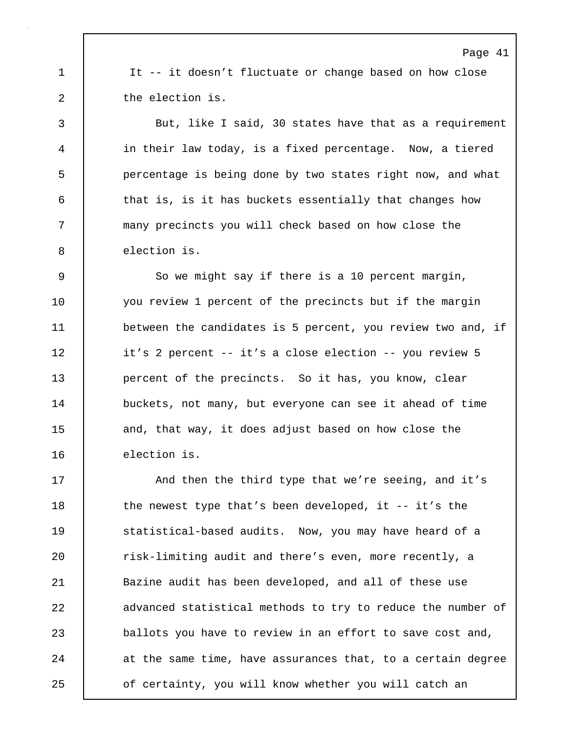1 It -- it doesn't fluctuate or change based on how close 2 the election is.

3 But, like I said, 30 states have that as a requirement 4 in their law today, is a fixed percentage. Now, a tiered 5 percentage is being done by two states right now, and what 6 that is, is it has buckets essentially that changes how 7 many precincts you will check based on how close the 8 election is.

9 So we might say if there is a 10 percent margin, 10 you review 1 percent of the precincts but if the margin 11 between the candidates is 5 percent, you review two and, if 12 it's 2 percent -- it's a close election -- you review 5 13 **percent of the precincts.** So it has, you know, clear 14 buckets, not many, but everyone can see it ahead of time 15 and, that way, it does adjust based on how close the 16 | election is.

17 | And then the third type that we're seeing, and it's 18 the newest type that's been developed, it -- it's the 19 Statistical-based audits. Now, you may have heard of a 20 Tisk-limiting audit and there's even, more recently, a 21 Bazine audit has been developed, and all of these use 22 advanced statistical methods to try to reduce the number of 23 ballots you have to review in an effort to save cost and, 24 at the same time, have assurances that, to a certain degree 25 **o**f certainty, you will know whether you will catch an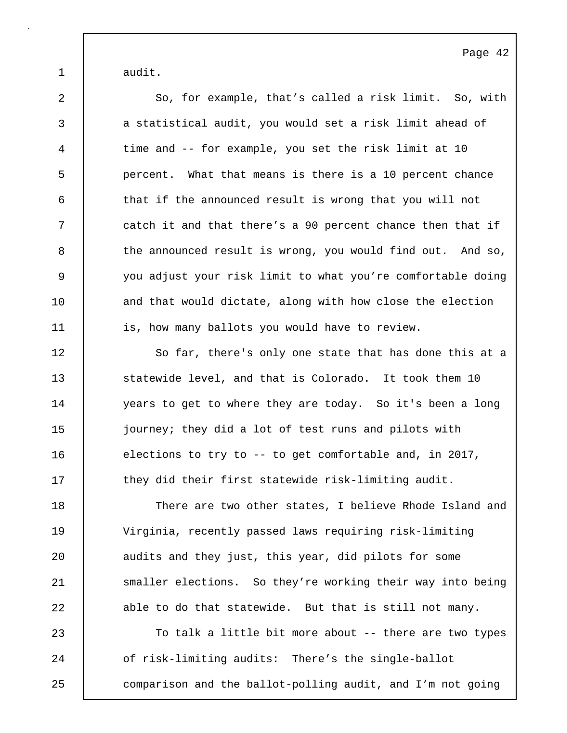1 audit.

2 So, for example, that's called a risk limit. So, with 3 a statistical audit, you would set a risk limit ahead of 4 time and -- for example, you set the risk limit at 10 5 percent. What that means is there is a 10 percent chance 6 that if the announced result is wrong that you will not 7 catch it and that there's a 90 percent chance then that if 8 the announced result is wrong, you would find out. And so, 9 you adjust your risk limit to what you're comfortable doing 10 and that would dictate, along with how close the election 11 is, how many ballots you would have to review. 12 So far, there's only one state that has done this at a 13 Statewide level, and that is Colorado. It took them 10 14 | years to get to where they are today. So it's been a long 15 journey; they did a lot of test runs and pilots with 16 elections to try to -- to get comfortable and, in 2017, 17 they did their first statewide risk-limiting audit. 18 There are two other states, I believe Rhode Island and 19 Virginia, recently passed laws requiring risk-limiting 20 **audits and they just, this year, did pilots for some** 21 Smaller elections. So they're working their way into being

23 To talk a little bit more about -- there are two types 24 of risk-limiting audits: There's the single-ballot 25 comparison and the ballot-polling audit, and I'm not going

22 able to do that statewide. But that is still not many.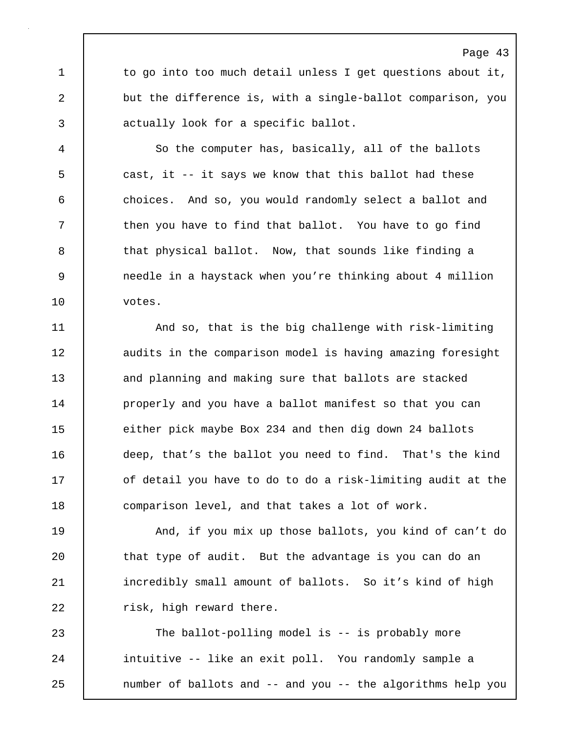1 to go into too much detail unless I get questions about it, 2 but the difference is, with a single-ballot comparison, you 3 actually look for a specific ballot.

Page 43

4 So the computer has, basically, all of the ballots 5 cast, it -- it says we know that this ballot had these 6 choices. And so, you would randomly select a ballot and 7 Then you have to find that ballot. You have to go find 8 that physical ballot. Now, that sounds like finding a 9 needle in a haystack when you're thinking about 4 million 10 votes.

11 | And so, that is the big challenge with risk-limiting 12 | audits in the comparison model is having amazing foresight 13 and planning and making sure that ballots are stacked 14 | properly and you have a ballot manifest so that you can 15 either pick maybe Box 234 and then dig down 24 ballots 16 deep, that's the ballot you need to find. That's the kind 17 **o**f detail you have to do to do a risk-limiting audit at the 18 comparison level, and that takes a lot of work.

19 And, if you mix up those ballots, you kind of can't do 20 | that type of audit. But the advantage is you can do an 21 incredibly small amount of ballots. So it's kind of high 22 | risk, high reward there.

23 The ballot-polling model is -- is probably more 24 | intuitive -- like an exit poll. You randomly sample a 25 | number of ballots and -- and you -- the algorithms help you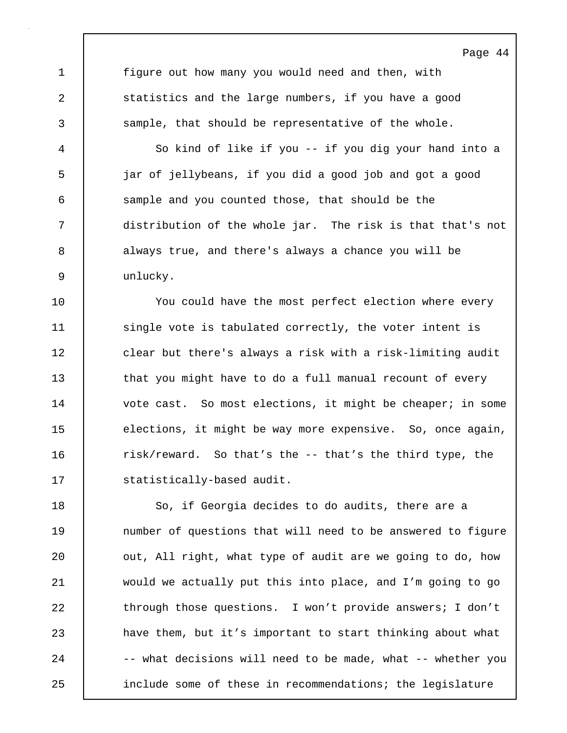1 figure out how many you would need and then, with 2 Statistics and the large numbers, if you have a good 3 sample, that should be representative of the whole.

Page 44

4 So kind of like if you -- if you dig your hand into a 5 jar of jellybeans, if you did a good job and got a good 6 sample and you counted those, that should be the 7 distribution of the whole jar. The risk is that that's not 8 always true, and there's always a chance you will be 9 unlucky.

10 You could have the most perfect election where every 11 | single vote is tabulated correctly, the voter intent is 12 clear but there's always a risk with a risk-limiting audit 13 that you might have to do a full manual recount of every 14 | vote cast. So most elections, it might be cheaper; in some 15 elections, it might be way more expensive. So, once again, 16 Tisk/reward. So that's the -- that's the third type, the 17 | statistically-based audit.

18 So, if Georgia decides to do audits, there are a 19 **19** number of questions that will need to be answered to figure 20 | out, All right, what type of audit are we going to do, how 21 would we actually put this into place, and I'm going to go 22 through those questions. I won't provide answers; I don't 23 have them, but it's important to start thinking about what 24 -- what decisions will need to be made, what -- whether you 25 include some of these in recommendations; the legislature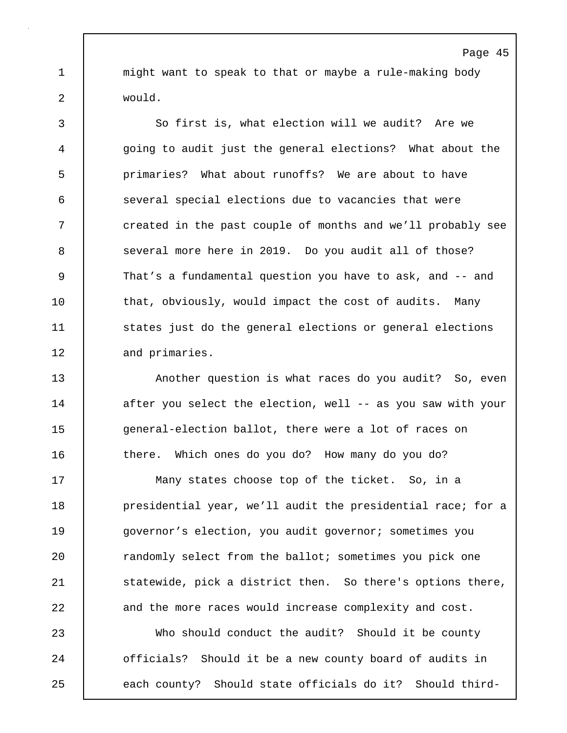1 | might want to speak to that or maybe a rule-making body 2 would.

3 So first is, what election will we audit? Are we 4 going to audit just the general elections? What about the 5 primaries? What about runoffs? We are about to have 6 several special elections due to vacancies that were 7 created in the past couple of months and we'll probably see 8 | several more here in 2019. Do you audit all of those? 9 That's a fundamental question you have to ask, and -- and 10 | that, obviously, would impact the cost of audits. Many 11 | states just do the general elections or general elections 12 and primaries.

13 **Another question is what races do you audit?** So, even 14 after you select the election, well -- as you saw with your 15 | general-election ballot, there were a lot of races on 16 there. Which ones do you do? How many do you do?

17 | Many states choose top of the ticket. So, in a 18 **presidential year, we'll audit the presidential race; for a** 19 governor's election, you audit governor; sometimes you 20 Trandomly select from the ballot; sometimes you pick one 21 | statewide, pick a district then. So there's options there, 22 and the more races would increase complexity and cost.

23 Who should conduct the audit? Should it be county 24 **o**fficials? Should it be a new county board of audits in 25 | each county? Should state officials do it? Should third-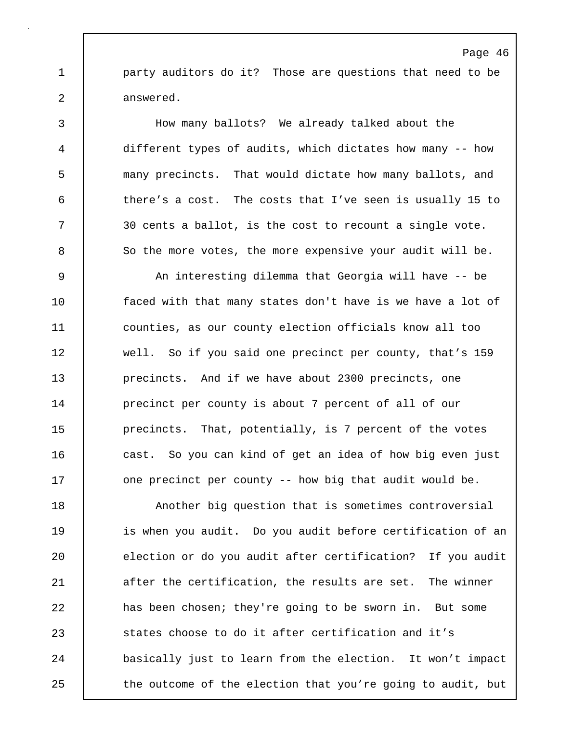1 party auditors do it? Those are questions that need to be 2 answered.

3 How many ballots? We already talked about the 4 different types of audits, which dictates how many -- how 5 many precincts. That would dictate how many ballots, and 6 there's a cost. The costs that I've seen is usually 15 to 7 30 cents a ballot, is the cost to recount a single vote. 8 So the more votes, the more expensive your audit will be.

9 An interesting dilemma that Georgia will have -- be 10 **faced with that many states don't have is we have a lot of** 11 counties, as our county election officials know all too 12 well. So if you said one precinct per county, that's 159 13 **precincts.** And if we have about 2300 precincts, one 14 **precinct per county is about 7 percent of all of our** 15 | precincts. That, potentially, is 7 percent of the votes 16 cast. So you can kind of get an idea of how big even just 17 **one precinct per county -- how big that audit would be.** 

18 **Another big question that is sometimes controversial** 19 | is when you audit. Do you audit before certification of an 20 election or do you audit after certification? If you audit 21 after the certification, the results are set. The winner 22 has been chosen; they're going to be sworn in. But some 23 States choose to do it after certification and it's 24 basically just to learn from the election. It won't impact 25 the outcome of the election that you're going to audit, but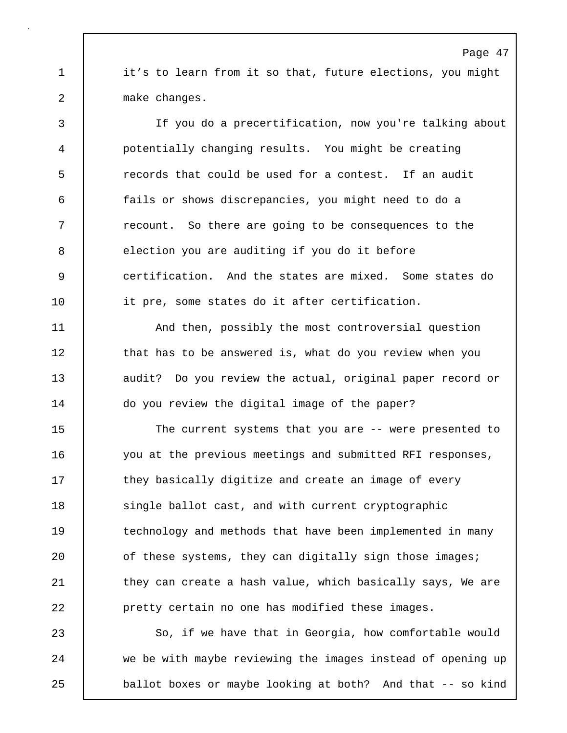1 it's to learn from it so that, future elections, you might 2 make changes.

3 If you do a precertification, now you're talking about 4 potentially changing results. You might be creating 5 **Fig.** 5 **records** that could be used for a contest. If an audit 6 fails or shows discrepancies, you might need to do a 7 T recount. So there are going to be consequences to the 8 election you are auditing if you do it before 9 certification. And the states are mixed. Some states do 10 it pre, some states do it after certification.

11 | And then, possibly the most controversial question 12 | that has to be answered is, what do you review when you 13 audit? Do you review the actual, original paper record or 14 | do you review the digital image of the paper?

15 | The current systems that you are -- were presented to 16 you at the previous meetings and submitted RFI responses, 17 They basically digitize and create an image of every 18 single ballot cast, and with current cryptographic 19 | technology and methods that have been implemented in many 20 **c** of these systems, they can digitally sign those images; 21 | they can create a hash value, which basically says, We are 22 pretty certain no one has modified these images.

23 So, if we have that in Georgia, how comfortable would 24 we be with maybe reviewing the images instead of opening up 25 **ballot boxes or maybe looking at both?** And that -- so kind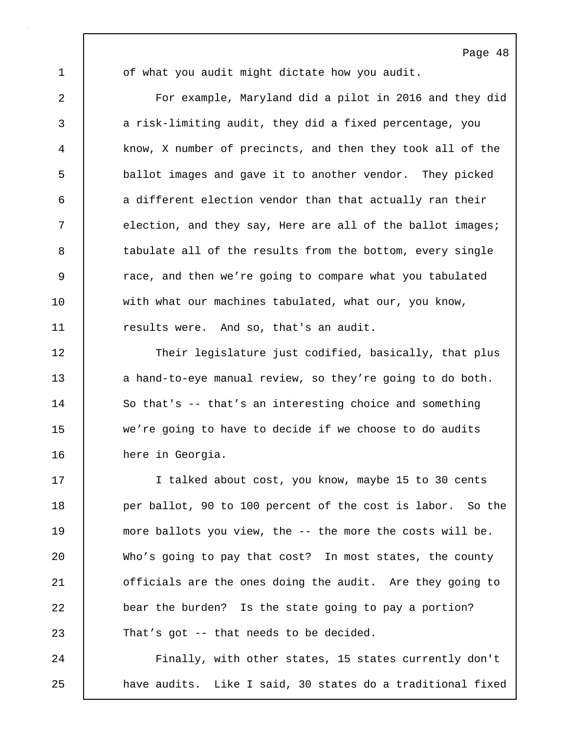1 of what you audit might dictate how you audit.

2 For example, Maryland did a pilot in 2016 and they did 3 a risk-limiting audit, they did a fixed percentage, you 4 know, X number of precincts, and then they took all of the 5 ballot images and gave it to another vendor. They picked 6 a different election vendor than that actually ran their 7 election, and they say, Here are all of the ballot images; 8 tabulate all of the results from the bottom, every single 9 Theorem 2 race, and then we're going to compare what you tabulated 10 with what our machines tabulated, what our, you know, 11 Tesults were. And so, that's an audit.

12 Their legislature just codified, basically, that plus 13 a hand-to-eye manual review, so they're going to do both. 14 So that's -- that's an interesting choice and something 15 we're going to have to decide if we choose to do audits 16 here in Georgia.

17 | I talked about cost, you know, maybe 15 to 30 cents 18 per ballot, 90 to 100 percent of the cost is labor. So the 19 more ballots you view, the -- the more the costs will be. 20 Who's going to pay that cost? In most states, the county 21 | officials are the ones doing the audit. Are they going to 22 bear the burden? Is the state going to pay a portion? 23 That's got -- that needs to be decided.

24 | Finally, with other states, 15 states currently don't 25 | have audits. Like I said, 30 states do a traditional fixed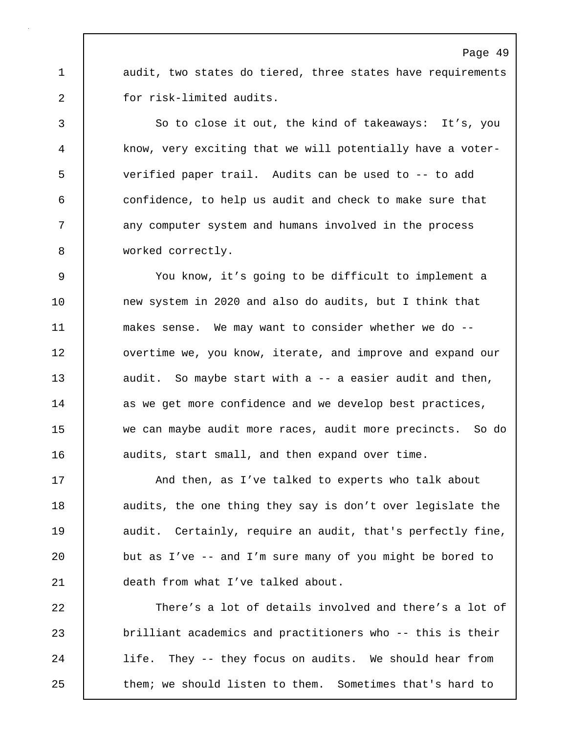1 audit, two states do tiered, three states have requirements 2 for risk-limited audits.

3 So to close it out, the kind of takeaways: It's, you 4 know, very exciting that we will potentially have a voter-5 verified paper trail. Audits can be used to -- to add 6 confidence, to help us audit and check to make sure that 7 any computer system and humans involved in the process 8 worked correctly.

9 You know, it's going to be difficult to implement a 10 new system in 2020 and also do audits, but I think that 11 | makes sense. We may want to consider whether we do --12 **overtime we, you know, iterate, and improve and expand our** 13 audit. So maybe start with a -- a easier audit and then, 14 | as we get more confidence and we develop best practices, 15 we can maybe audit more races, audit more precincts. So do 16 audits, start small, and then expand over time.

17 | And then, as I've talked to experts who talk about 18 audits, the one thing they say is don't over legislate the 19 audit. Certainly, require an audit, that's perfectly fine, 20 but as I've -- and I'm sure many of you might be bored to 21 death from what I've talked about.

22 There's a lot of details involved and there's a lot of 23 brilliant academics and practitioners who -- this is their 24 life. They -- they focus on audits. We should hear from 25 **them;** we should listen to them. Sometimes that's hard to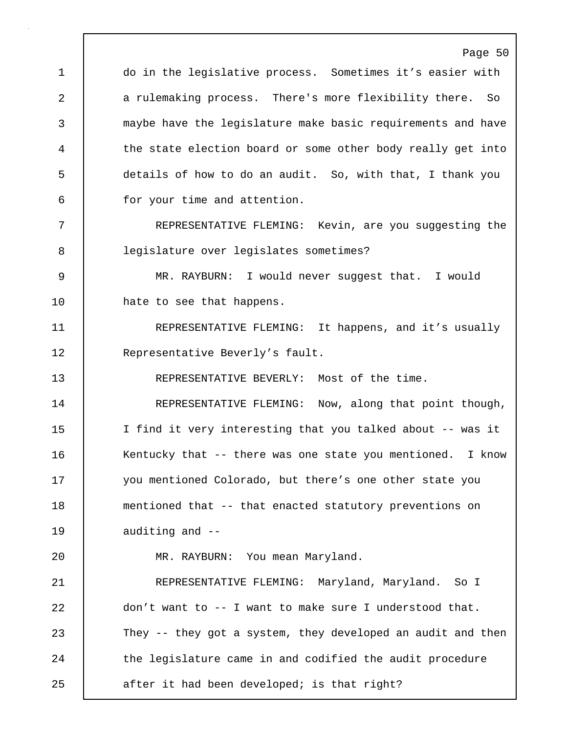Page 50 1 do in the legislative process. Sometimes it's easier with 2 a rulemaking process. There's more flexibility there. So 3 maybe have the legislature make basic requirements and have 4 the state election board or some other body really get into 5 details of how to do an audit. So, with that, I thank you 6 for your time and attention. 7 REPRESENTATIVE FLEMING: Kevin, are you suggesting the 8 legislature over legislates sometimes? 9 MR. RAYBURN: I would never suggest that. I would 10 | hate to see that happens. 11 | REPRESENTATIVE FLEMING: It happens, and it's usually 12 | Representative Beverly's fault. 13 REPRESENTATIVE BEVERLY: Most of the time. 14 **REPRESENTATIVE FLEMING:** Now, along that point though, 15 | I find it very interesting that you talked about -- was it 16 | Kentucky that -- there was one state you mentioned. I know 17 you mentioned Colorado, but there's one other state you 18 mentioned that -- that enacted statutory preventions on 19 auditing and --20 MR. RAYBURN: You mean Maryland. 21 | REPRESENTATIVE FLEMING: Maryland, Maryland. So I 22 don't want to -- I want to make sure I understood that. 23 They -- they got a system, they developed an audit and then 24 the legislature came in and codified the audit procedure 25 after it had been developed; is that right?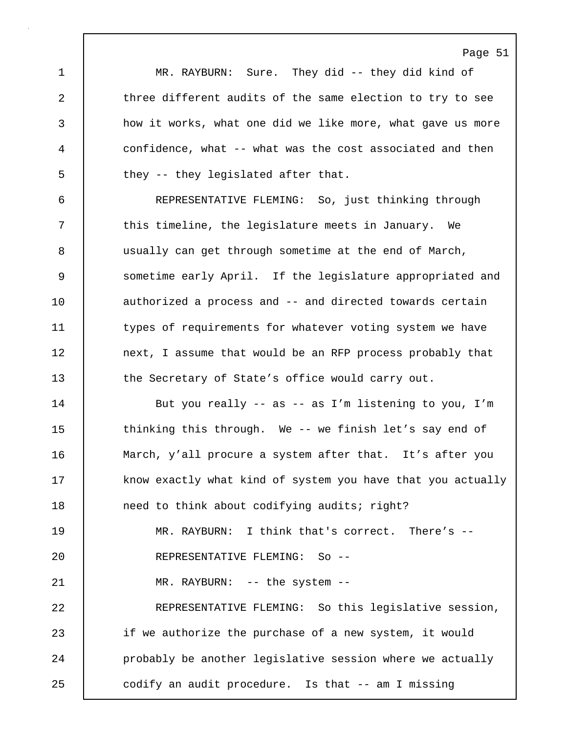Page 51 1 MR. RAYBURN: Sure. They did -- they did kind of 2 three different audits of the same election to try to see 3 how it works, what one did we like more, what gave us more 4 confidence, what -- what was the cost associated and then 5 they -- they legislated after that. 6 REPRESENTATIVE FLEMING: So, just thinking through 7 This timeline, the legislature meets in January. We 8 usually can get through sometime at the end of March, 9 sometime early April. If the legislature appropriated and 10 authorized a process and -- and directed towards certain 11 types of requirements for whatever voting system we have 12 | next, I assume that would be an RFP process probably that 13 the Secretary of State's office would carry out. 14 | But you really -- as -- as I'm listening to you, I'm 15 | thinking this through. We -- we finish let's say end of 16 | March, y'all procure a system after that. It's after you 17 | know exactly what kind of system you have that you actually 18 | need to think about codifying audits; right? 19 MR. RAYBURN: I think that's correct. There's -- 20 REPRESENTATIVE FLEMING: So -- 21 MR. RAYBURN: -- the system --22 REPRESENTATIVE FLEMING: So this legislative session, 23 if we authorize the purchase of a new system, it would 24 | probably be another legislative session where we actually 25 codify an audit procedure. Is that -- am I missing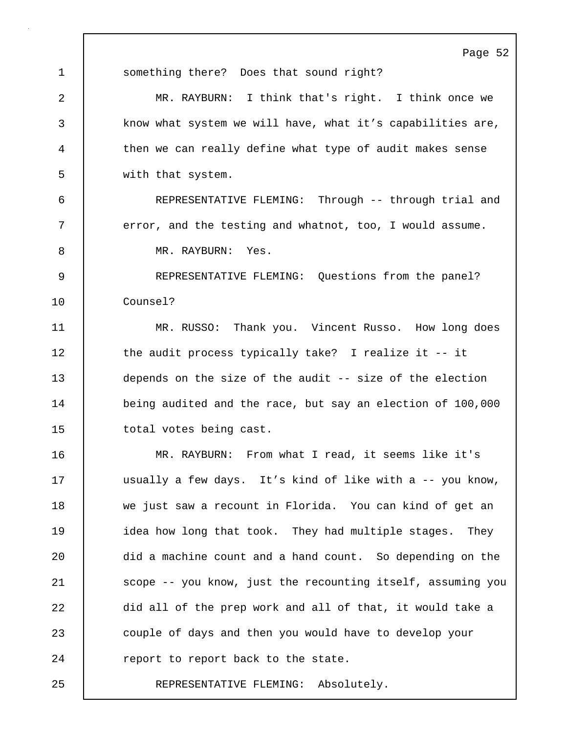1 | something there? Does that sound right? 2 MR. RAYBURN: I think that's right. I think once we 3 know what system we will have, what it's capabilities are, 4 then we can really define what type of audit makes sense 5 with that system. 6 REPRESENTATIVE FLEMING: Through -- through trial and 7 | error, and the testing and whatnot, too, I would assume. 8 MR. RAYBURN: Yes. 9 REPRESENTATIVE FLEMING: Questions from the panel? 10 Counsel? 11 | MR. RUSSO: Thank you. Vincent Russo. How long does 12 the audit process typically take? I realize it -- it 13 depends on the size of the audit -- size of the election 14 being audited and the race, but say an election of 100,000 15 | total votes being cast. 16 MR. RAYBURN: From what I read, it seems like it's 17 | usually a few days. It's kind of like with a -- you know, 18 we just saw a recount in Florida. You can kind of get an 19 idea how long that took. They had multiple stages. They 20 did a machine count and a hand count. So depending on the 21 | scope -- you know, just the recounting itself, assuming you 22 did all of the prep work and all of that, it would take a 23 couple of days and then you would have to develop your 24 **Preport to report back to the state.** 25 REPRESENTATIVE FLEMING: Absolutely.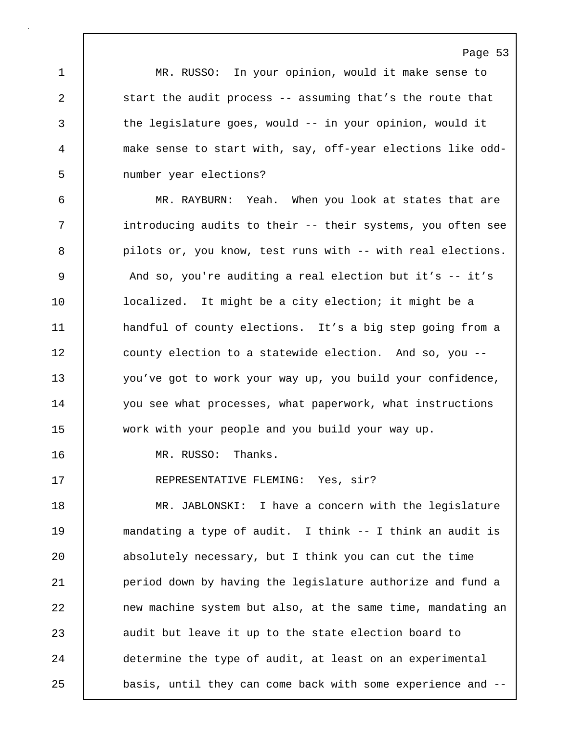1 MR. RUSSO: In your opinion, would it make sense to 2 Start the audit process -- assuming that's the route that 3 the legislature goes, would -- in your opinion, would it 4 make sense to start with, say, off-year elections like odd-5 number year elections?

6 MR. RAYBURN: Yeah. When you look at states that are 7 | introducing audits to their -- their systems, you often see 8 | pilots or, you know, test runs with -- with real elections. 9 And so, you're auditing a real election but it's -- it's 10 | localized. It might be a city election; it might be a 11 | handful of county elections. It's a big step going from a 12 | county election to a statewide election. And so, you --13 you've got to work your way up, you build your confidence, 14 you see what processes, what paperwork, what instructions 15 work with your people and you build your way up.

16 MR. RUSSO: Thanks.

17 | REPRESENTATIVE FLEMING: Yes, sir?

18 MR. JABLONSKI: I have a concern with the legislature 19 mandating a type of audit. I think -- I think an audit is 20 absolutely necessary, but I think you can cut the time 21 | period down by having the legislature authorize and fund a 22 **new machine system but also, at the same time, mandating an** 23 audit but leave it up to the state election board to 24 determine the type of audit, at least on an experimental 25 basis, until they can come back with some experience and --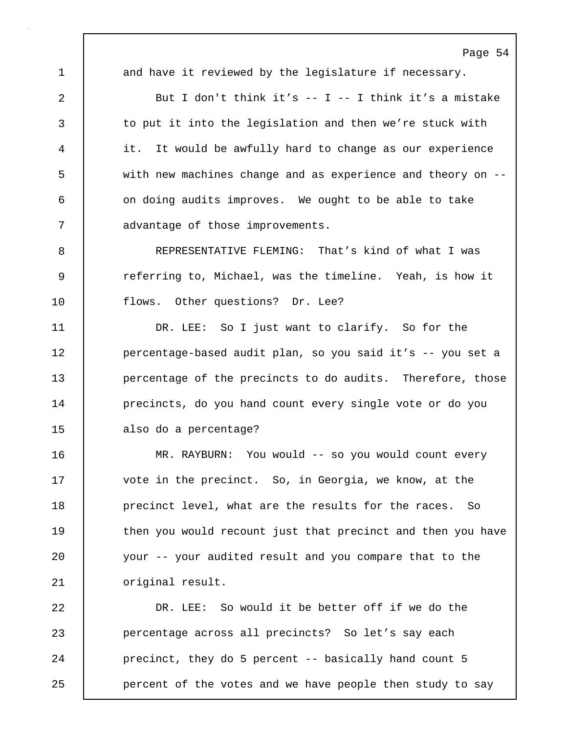Page 54 1 and have it reviewed by the legislature if necessary. 2 But I don't think it's -- I -- I think it's a mistake 3 to put it into the legislation and then we're stuck with 4 it. It would be awfully hard to change as our experience 5 with new machines change and as experience and theory on -- 6 | on doing audits improves. We ought to be able to take 7 **deg advantage of those improvements.** 8 REPRESENTATIVE FLEMING: That's kind of what I was 9 | referring to, Michael, was the timeline. Yeah, is how it 10 | flows. Other questions? Dr. Lee? 11 DR. LEE: So I just want to clarify. So for the 12 | percentage-based audit plan, so you said it's -- you set a 13 **percentage of the precincts to do audits.** Therefore, those 14 **precincts, do you hand count every single vote or do you** 15 also do a percentage? 16 MR. RAYBURN: You would -- so you would count every 17 | vote in the precinct. So, in Georgia, we know, at the 18 **precinct level, what are the results for the races.** So 19 then you would recount just that precinct and then you have 20 your -- your audited result and you compare that to the 21 | original result. 22 DR. LEE: So would it be better off if we do the 23 percentage across all precincts? So let's say each

24 **precinct, they do 5 percent -- basically hand count 5** 25 **parament** of the votes and we have people then study to say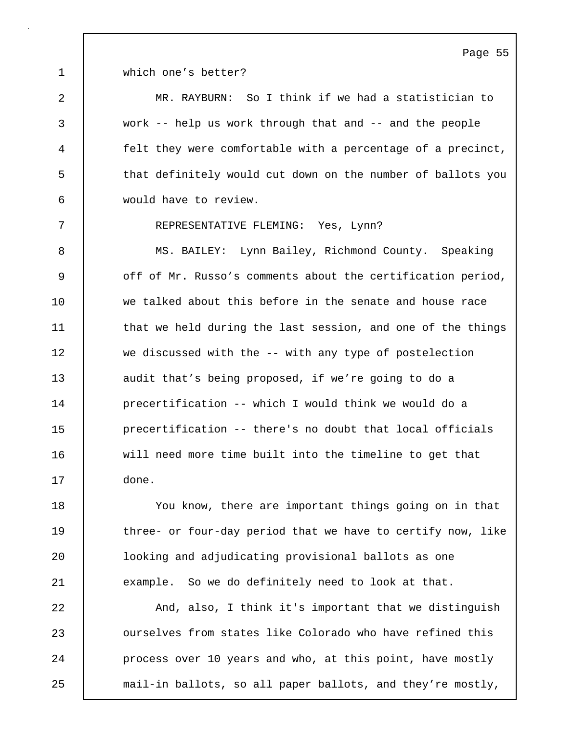1 which one's better?

2 MR. RAYBURN: So I think if we had a statistician to 3 work -- help us work through that and -- and the people 4 felt they were comfortable with a percentage of a precinct, 5 that definitely would cut down on the number of ballots you 6 would have to review.

7 REPRESENTATIVE FLEMING: Yes, Lynn?

8 MS. BAILEY: Lynn Bailey, Richmond County. Speaking 9 off of Mr. Russo's comments about the certification period, 10 we talked about this before in the senate and house race 11 that we held during the last session, and one of the things 12 we discussed with the -- with any type of postelection 13 audit that's being proposed, if we're going to do a 14 precertification -- which I would think we would do a 15 precertification -- there's no doubt that local officials 16 will need more time built into the timeline to get that 17 done.

18 You know, there are important things going on in that 19 three- or four-day period that we have to certify now, like 20 looking and adjudicating provisional ballots as one 21 example. So we do definitely need to look at that.

22 And, also, I think it's important that we distinguish 23 **c** ourselves from states like Colorado who have refined this 24 | process over 10 years and who, at this point, have mostly 25 mail-in ballots, so all paper ballots, and they're mostly,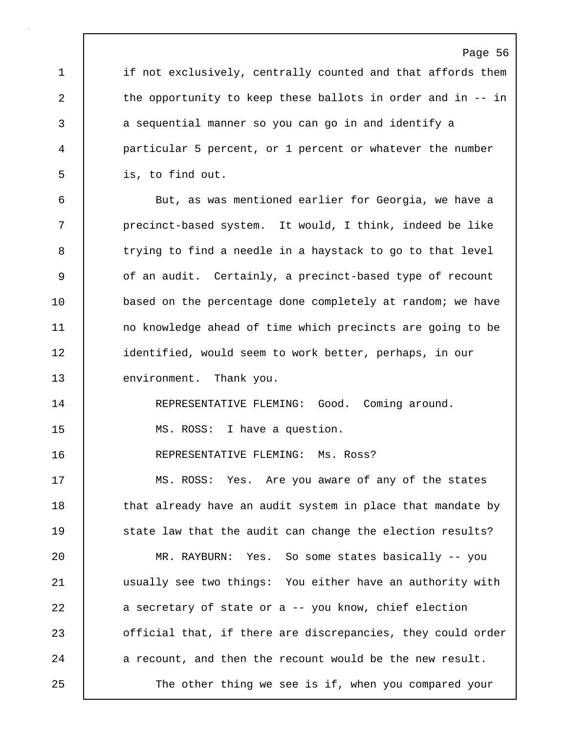# Page 56 1 if not exclusively, centrally counted and that affords them 2 the opportunity to keep these ballots in order and in -- in 3 a sequential manner so you can go in and identify a 4 particular 5 percent, or 1 percent or whatever the number 5 is, to find out. 6 But, as was mentioned earlier for Georgia, we have a 7 precinct-based system. It would, I think, indeed be like 8 trying to find a needle in a haystack to go to that level 9 of an audit. Certainly, a precinct-based type of recount 10 | based on the percentage done completely at random; we have 11 | no knowledge ahead of time which precincts are going to be 12 identified, would seem to work better, perhaps, in our 13 environment. Thank you. 14 REPRESENTATIVE FLEMING: Good. Coming around. 15 | MS. ROSS: I have a question. 16 REPRESENTATIVE FLEMING: Ms. Ross? 17 MS. ROSS: Yes. Are you aware of any of the states 18 | that already have an audit system in place that mandate by 19 | state law that the audit can change the election results? 20 MR. RAYBURN: Yes. So some states basically -- you 21 usually see two things: You either have an authority with 22 a secretary of state or a -- you know, chief election 23 official that, if there are discrepancies, they could order 24 a recount, and then the recount would be the new result. 25 The other thing we see is if, when you compared your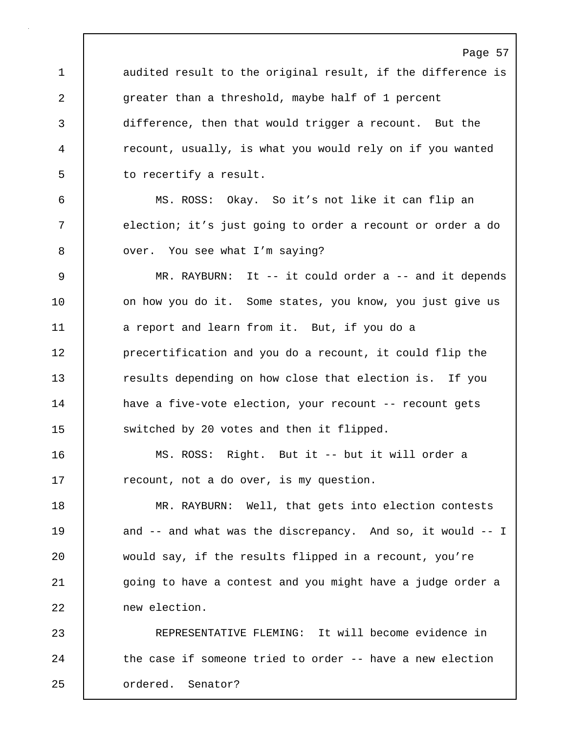Page 57 1 audited result to the original result, if the difference is 2 greater than a threshold, maybe half of 1 percent 3 difference, then that would trigger a recount. But the 4 recount, usually, is what you would rely on if you wanted 5 **b** to recertify a result. 6 MS. ROSS: Okay. So it's not like it can flip an 7 election; it's just going to order a recount or order a do 8 | over. You see what I'm saying? 9 MR. RAYBURN: It -- it could order a -- and it depends 10 | on how you do it. Some states, you know, you just give us 11 a report and learn from it. But, if you do a 12 **precertification and you do a recount, it could flip the** 13 **results depending on how close that election is.** If you 14 | have a five-vote election, your recount -- recount gets 15 | switched by 20 votes and then it flipped. 16 MS. ROSS: Right. But it -- but it will order a 17 **example 17** recount, not a do over, is my question. 18 MR. RAYBURN: Well, that gets into election contests 19 and -- and what was the discrepancy. And so, it would -- I 20 would say, if the results flipped in a recount, you're 21 | going to have a contest and you might have a judge order a 22 new election. 23 REPRESENTATIVE FLEMING: It will become evidence in 24 the case if someone tried to order -- have a new election 25 ordered. Senator?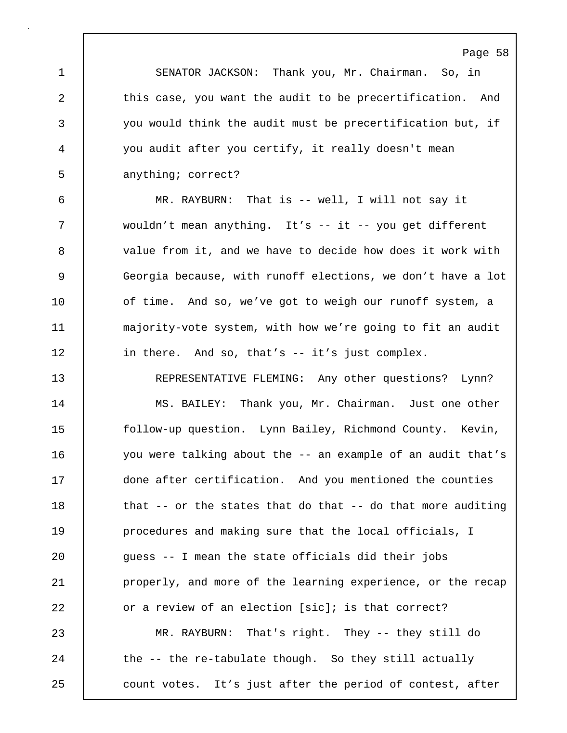1 SENATOR JACKSON: Thank you, Mr. Chairman. So, in 2 this case, you want the audit to be precertification. And 3 you would think the audit must be precertification but, if 4 you audit after you certify, it really doesn't mean 5 anything; correct?

6 MR. RAYBURN: That is -- well, I will not say it 7 wouldn't mean anything. It's -- it -- you get different 8 value from it, and we have to decide how does it work with 9 Georgia because, with runoff elections, we don't have a lot 10 of time. And so, we've got to weigh our runoff system, a 11 majority-vote system, with how we're going to fit an audit 12 | in there. And so, that's -- it's just complex.

13 REPRESENTATIVE FLEMING: Any other questions? Lynn? 14 | MS. BAILEY: Thank you, Mr. Chairman. Just one other 15 follow-up question. Lynn Bailey, Richmond County. Kevin, 16 you were talking about the -- an example of an audit that's 17 done after certification. And you mentioned the counties 18 that -- or the states that do that -- do that more auditing 19 **procedures and making sure that the local officials, I** 20 guess -- I mean the state officials did their jobs 21 **properly, and more of the learning experience, or the recap** 22 **or a review of an election** [sic]; is that correct? 23 MR. RAYBURN: That's right. They -- they still do 24 the -- the re-tabulate though. So they still actually

25 count votes. It's just after the period of contest, after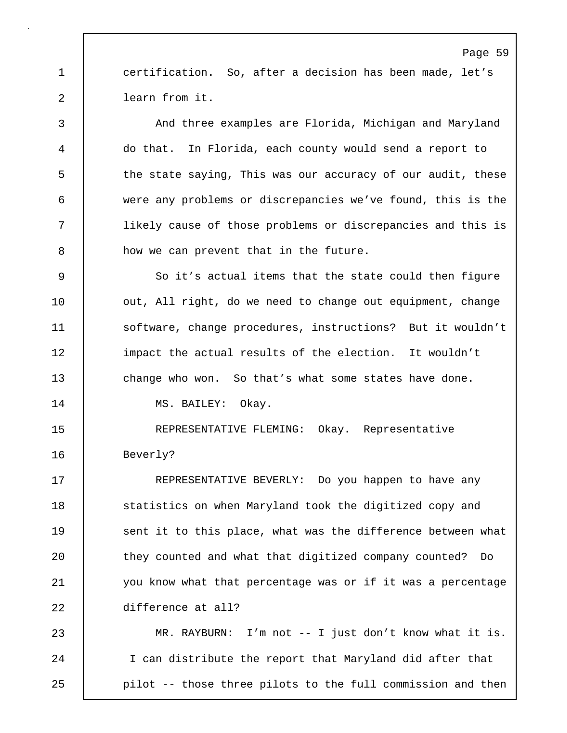1 certification. So, after a decision has been made, let's 2 learn from it.

3 And three examples are Florida, Michigan and Maryland 4 do that. In Florida, each county would send a report to 5 the state saying, This was our accuracy of our audit, these 6 were any problems or discrepancies we've found, this is the 7 likely cause of those problems or discrepancies and this is 8 how we can prevent that in the future.

9 So it's actual items that the state could then figure 10 | out, All right, do we need to change out equipment, change 11 Software, change procedures, instructions? But it wouldn't 12 impact the actual results of the election. It wouldn't 13 change who won. So that's what some states have done.

14 | MS. BAILEY: Okay.

15 REPRESENTATIVE FLEMING: Okay. Representative 16 Beverly?

17 | REPRESENTATIVE BEVERLY: Do you happen to have any 18 | statistics on when Maryland took the digitized copy and 19 Sent it to this place, what was the difference between what 20 | they counted and what that digitized company counted? Do 21 you know what that percentage was or if it was a percentage 22 difference at all?

23 MR. RAYBURN: I'm not -- I just don't know what it is. 24 | I can distribute the report that Maryland did after that 25 pilot -- those three pilots to the full commission and then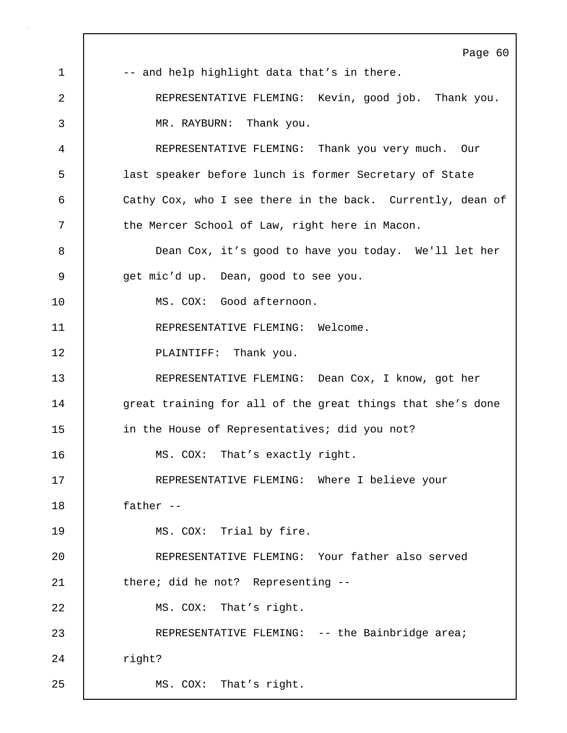Page 60 1 |  $-$  and help highlight data that's in there. 2 REPRESENTATIVE FLEMING: Kevin, good job. Thank you. 3 MR. RAYBURN: Thank you. 4 REPRESENTATIVE FLEMING: Thank you very much. Our 5 last speaker before lunch is former Secretary of State 6 Cathy Cox, who I see there in the back. Currently, dean of 7 the Mercer School of Law, right here in Macon. 8 Dean Cox, it's good to have you today. We'll let her 9 | get mic'd up. Dean, good to see you. 10 MS. COX: Good afternoon. 11 REPRESENTATIVE FLEMING: Welcome. 12 | PLAINTIFF: Thank you. 13 REPRESENTATIVE FLEMING: Dean Cox, I know, got her 14 | great training for all of the great things that she's done 15 in the House of Representatives; did you not? 16 | MS. COX: That's exactly right. 17 REPRESENTATIVE FLEMING: Where I believe your 18 father -- 19 | MS. COX: Trial by fire. 20 REPRESENTATIVE FLEMING: Your father also served 21 there; did he not? Representing --22 | MS. COX: That's right. 23 REPRESENTATIVE FLEMING: -- the Bainbridge area; 24 | right? 25 | MS. COX: That's right.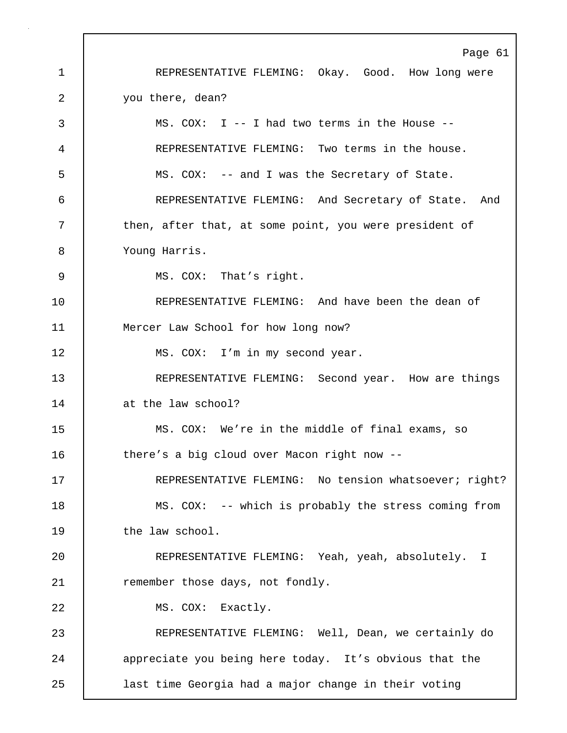Page 61 1 REPRESENTATIVE FLEMING: Okay. Good. How long were 2 vou there, dean? 3 MS. COX: I -- I had two terms in the House -- 4 REPRESENTATIVE FLEMING: Two terms in the house. 5 MS. COX: -- and I was the Secretary of State. 6 REPRESENTATIVE FLEMING: And Secretary of State. And 7 | then, after that, at some point, you were president of 8 Young Harris. 9 | MS. COX: That's right. 10 REPRESENTATIVE FLEMING: And have been the dean of 11 Mercer Law School for how long now? 12 MS. COX: I'm in my second year. 13 REPRESENTATIVE FLEMING: Second year. How are things 14 at the law school? 15 MS. COX: We're in the middle of final exams, so 16 there's a big cloud over Macon right now --17 | REPRESENTATIVE FLEMING: No tension whatsoever; right? 18 | MS. COX: -- which is probably the stress coming from 19 the law school. 20 REPRESENTATIVE FLEMING: Yeah, yeah, absolutely. I 21 Temember those days, not fondly. 22 | MS. COX: Exactly. 23 REPRESENTATIVE FLEMING: Well, Dean, we certainly do 24 appreciate you being here today. It's obvious that the 25 last time Georgia had a major change in their voting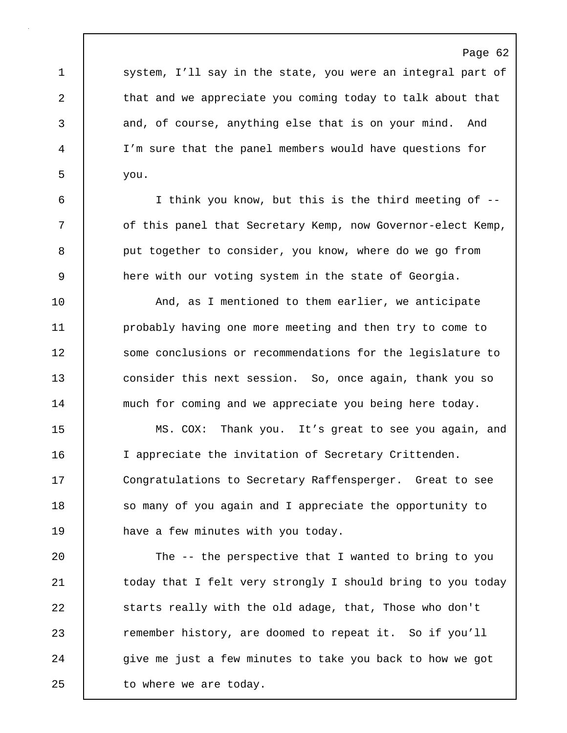1 system, I'll say in the state, you were an integral part of 2 that and we appreciate you coming today to talk about that 3 and, of course, anything else that is on your mind. And 4 I'm sure that the panel members would have questions for  $5 \quad$  you.

6 I think you know, but this is the third meeting of -- 7 | of this panel that Secretary Kemp, now Governor-elect Kemp, 8 put together to consider, you know, where do we go from 9 here with our voting system in the state of Georgia.

10 | And, as I mentioned to them earlier, we anticipate 11 **probably having one more meeting and then try to come to** 12 Some conclusions or recommendations for the legislature to 13 consider this next session. So, once again, thank you so 14 much for coming and we appreciate you being here today.

15 MS. COX: Thank you. It's great to see you again, and 16 I appreciate the invitation of Secretary Crittenden. 17 Congratulations to Secretary Raffensperger. Great to see 18 So many of you again and I appreciate the opportunity to 19 have a few minutes with you today.

20 The -- the perspective that I wanted to bring to you 21 | today that I felt very strongly I should bring to you today 22 starts really with the old adage, that, Those who don't 23 extember history, are doomed to repeat it. So if you'll 24 | give me just a few minutes to take you back to how we got 25 | to where we are today.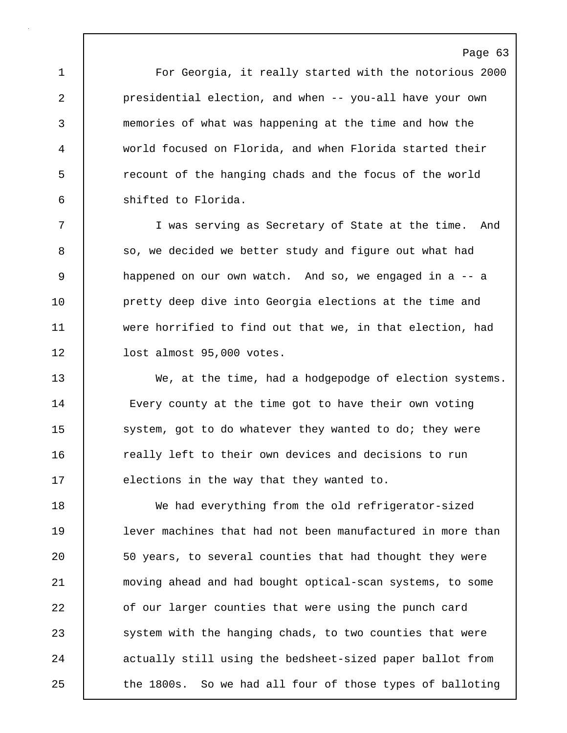1 For Georgia, it really started with the notorious 2000 2 presidential election, and when -- you-all have your own 3 memories of what was happening at the time and how the 4 world focused on Florida, and when Florida started their 5 recount of the hanging chads and the focus of the world 6 shifted to Florida.

7 I was serving as Secretary of State at the time. And 8 so, we decided we better study and figure out what had 9 happened on our own watch. And so, we engaged in a -- a 10 **pretty deep dive into Georgia elections at the time and** 11 were horrified to find out that we, in that election, had 12 | lost almost 95,000 votes.

13 We, at the time, had a hodgepodge of election systems. 14 Every county at the time got to have their own voting 15 | system, got to do whatever they wanted to do; they were 16 **c** really left to their own devices and decisions to run 17 **elections in the way that they wanted to.** 

18 We had everything from the old refrigerator-sized 19 lever machines that had not been manufactured in more than 20 50 years, to several counties that had thought they were 21 moving ahead and had bought optical-scan systems, to some 22 of our larger counties that were using the punch card 23 | system with the hanging chads, to two counties that were 24 actually still using the bedsheet-sized paper ballot from 25 the 1800s. So we had all four of those types of balloting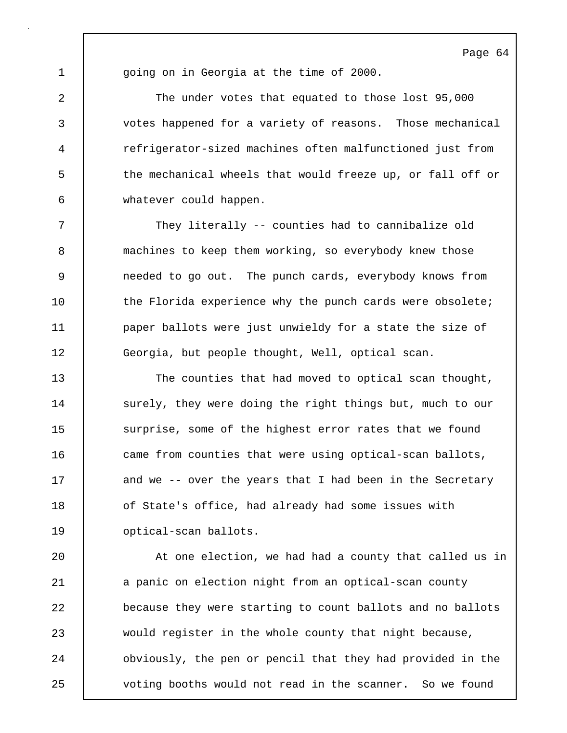1 | going on in Georgia at the time of 2000.

2 The under votes that equated to those lost 95,000 3 votes happened for a variety of reasons. Those mechanical 4 refrigerator-sized machines often malfunctioned just from 5 the mechanical wheels that would freeze up, or fall off or 6 whatever could happen.

7 They literally -- counties had to cannibalize old 8 machines to keep them working, so everybody knew those 9 needed to go out. The punch cards, everybody knows from 10 | the Florida experience why the punch cards were obsolete; 11 **paper ballots were just unwieldy for a state the size of** 12 Georgia, but people thought, Well, optical scan.

13 The counties that had moved to optical scan thought, 14 | surely, they were doing the right things but, much to our 15 surprise, some of the highest error rates that we found 16 came from counties that were using optical-scan ballots, 17 | and we -- over the years that I had been in the Secretary 18 **of State's office, had already had some issues with** 19 optical-scan ballots.

20 At one election, we had had a county that called us in 21 a panic on election night from an optical-scan county 22 **because they were starting to count ballots and no ballots** 23 would register in the whole county that night because, 24 obviously, the pen or pencil that they had provided in the 25 voting booths would not read in the scanner. So we found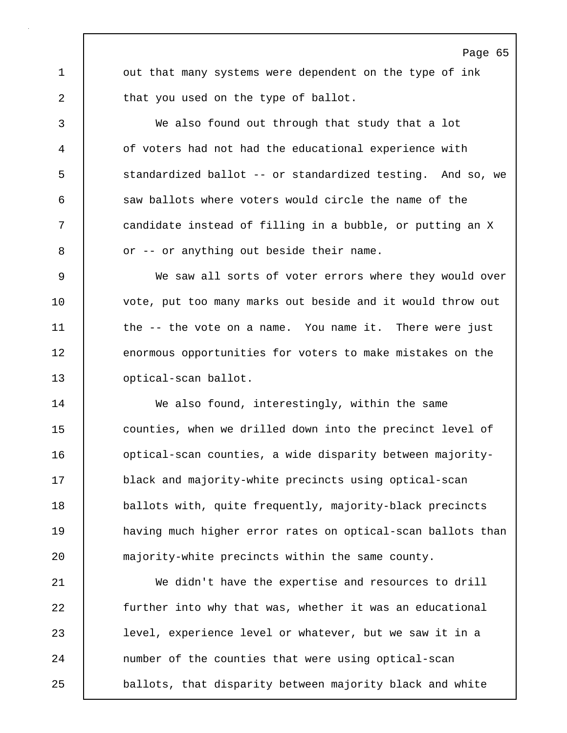1 out that many systems were dependent on the type of ink 2 **that you used on the type of ballot.** 

Page 65

3 We also found out through that study that a lot 4 of voters had not had the educational experience with 5 standardized ballot -- or standardized testing. And so, we 6 saw ballots where voters would circle the name of the 7 candidate instead of filling in a bubble, or putting an X 8 or -- or anything out beside their name.

9 | We saw all sorts of voter errors where they would over 10 vote, put too many marks out beside and it would throw out 11 the -- the vote on a name. You name it. There were just 12 enormous opportunities for voters to make mistakes on the 13 **optical-scan ballot**.

14 We also found, interestingly, within the same 15 counties, when we drilled down into the precinct level of 16 **dege is a locat of the standard in the standard Control** optical-scan counties, a wide disparity-17 black and majority-white precincts using optical-scan 18 ballots with, quite frequently, majority-black precincts 19 **having much higher error rates on optical-scan ballots than** 20 majority-white precincts within the same county.

21 We didn't have the expertise and resources to drill 22 further into why that was, whether it was an educational 23 level, experience level or whatever, but we saw it in a 24 | number of the counties that were using optical-scan 25 ballots, that disparity between majority black and white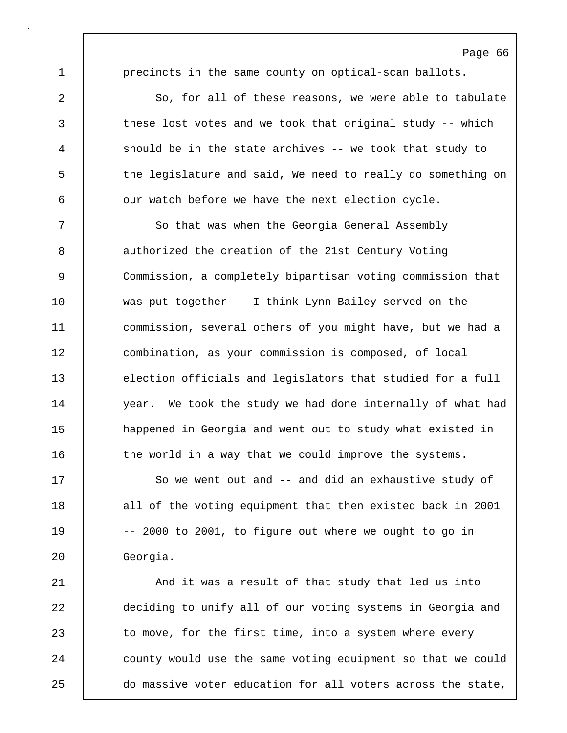1 **precincts in the same county on optical-scan ballots.** 

2 So, for all of these reasons, we were able to tabulate 3 these lost votes and we took that original study -- which 4 should be in the state archives -- we took that study to 5 the legislature and said, We need to really do something on 6 | our watch before we have the next election cycle.

7 So that was when the Georgia General Assembly 8 authorized the creation of the 21st Century Voting 9 Commission, a completely bipartisan voting commission that 10 was put together -- I think Lynn Bailey served on the 11 commission, several others of you might have, but we had a 12 combination, as your commission is composed, of local 13 election officials and legislators that studied for a full 14 year. We took the study we had done internally of what had 15 **happened in Georgia and went out to study what existed in** 16 the world in a way that we could improve the systems.

17 So we went out and -- and did an exhaustive study of 18 all of the voting equipment that then existed back in 2001 19 | -- 2000 to 2001, to figure out where we ought to go in 20 Georgia.

21 | And it was a result of that study that led us into 22 deciding to unify all of our voting systems in Georgia and 23 to move, for the first time, into a system where every 24 | county would use the same voting equipment so that we could 25 do massive voter education for all voters across the state,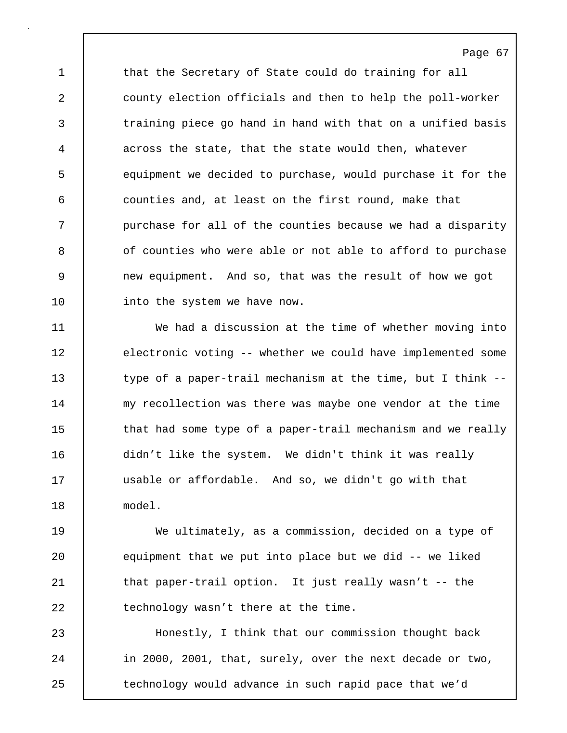1 that the Secretary of State could do training for all 2 county election officials and then to help the poll-worker 3 training piece go hand in hand with that on a unified basis 4 across the state, that the state would then, whatever 5 equipment we decided to purchase, would purchase it for the 6 counties and, at least on the first round, make that 7 | purchase for all of the counties because we had a disparity 8 | of counties who were able or not able to afford to purchase 9 new equipment. And so, that was the result of how we got 10 | into the system we have now.

Page 67

11 We had a discussion at the time of whether moving into 12 electronic voting -- whether we could have implemented some 13 type of a paper-trail mechanism at the time, but I think --14 | my recollection was there was maybe one vendor at the time 15 that had some type of a paper-trail mechanism and we really 16 didn't like the system. We didn't think it was really 17 usable or affordable. And so, we didn't go with that 18 model.

19 We ultimately, as a commission, decided on a type of 20 equipment that we put into place but we did -- we liked 21 | that paper-trail option. It just really wasn't -- the 22 technology wasn't there at the time.

23 Honestly, I think that our commission thought back 24 in 2000, 2001, that, surely, over the next decade or two, 25 technology would advance in such rapid pace that we'd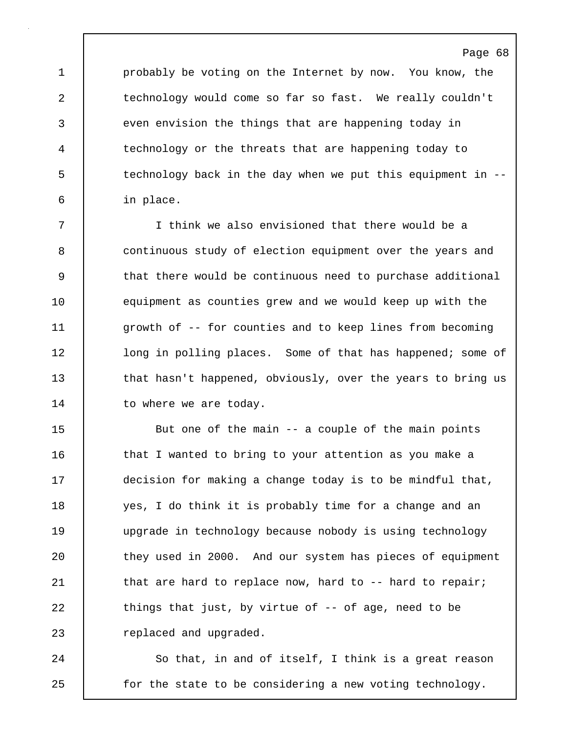1 probably be voting on the Internet by now. You know, the 2 technology would come so far so fast. We really couldn't 3 even envision the things that are happening today in 4 technology or the threats that are happening today to 5 technology back in the day when we put this equipment in -- 6 in place.

7 I think we also envisioned that there would be a 8 continuous study of election equipment over the years and 9 that there would be continuous need to purchase additional 10 equipment as counties grew and we would keep up with the 11 growth of -- for counties and to keep lines from becoming 12 | long in polling places. Some of that has happened; some of 13 that hasn't happened, obviously, over the years to bring us 14 to where we are today.

15 But one of the main -- a couple of the main points 16 | that I wanted to bring to your attention as you make a 17 decision for making a change today is to be mindful that, 18 yes, I do think it is probably time for a change and an 19 upgrade in technology because nobody is using technology 20 they used in 2000. And our system has pieces of equipment 21 | that are hard to replace now, hard to -- hard to repair; 22 things that just, by virtue of -- of age, need to be 23 **Fig.** replaced and upgraded.

24 So that, in and of itself, I think is a great reason 25 **for the state to be considering a new voting technology.**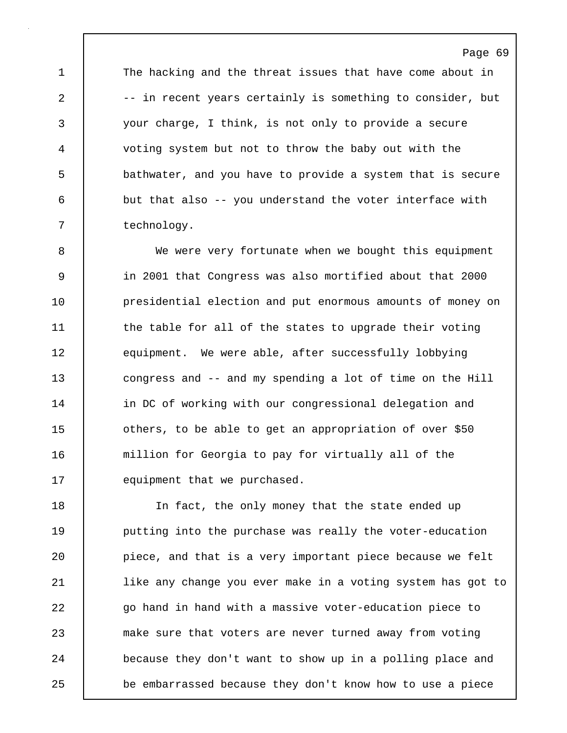1 The hacking and the threat issues that have come about in 2 -- in recent years certainly is something to consider, but 3 your charge, I think, is not only to provide a secure 4 voting system but not to throw the baby out with the 5 bathwater, and you have to provide a system that is secure 6 but that also -- you understand the voter interface with 7 | technology.

8 We were very fortunate when we bought this equipment 9 in 2001 that Congress was also mortified about that 2000 10 **presidential election and put enormous amounts of money on** 11 the table for all of the states to upgrade their voting 12 equipment. We were able, after successfully lobbying 13 congress and -- and my spending a lot of time on the Hill 14 | in DC of working with our congressional delegation and 15 **decimal** others, to be able to get an appropriation of over \$50 16 million for Georgia to pay for virtually all of the 17 **equipment** that we purchased.

18 In fact, the only money that the state ended up 19 **putting into the purchase was really the voter-education** 20 **piece, and that is a very important piece because we felt** 21 like any change you ever make in a voting system has got to 22 go hand in hand with a massive voter-education piece to 23 make sure that voters are never turned away from voting 24 **because they don't want to show up in a polling place and** 25 be embarrassed because they don't know how to use a piece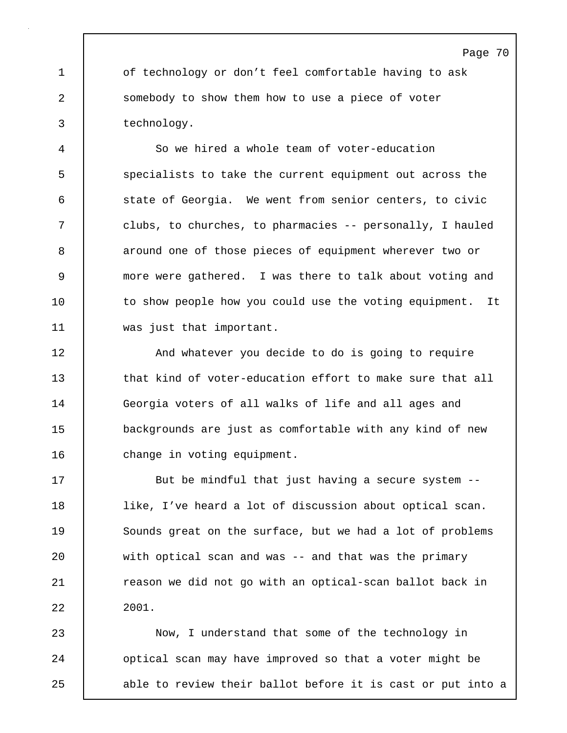1 of technology or don't feel comfortable having to ask 2 somebody to show them how to use a piece of voter 3 technology.

4 So we hired a whole team of voter-education 5 specialists to take the current equipment out across the 6 state of Georgia. We went from senior centers, to civic 7 clubs, to churches, to pharmacies -- personally, I hauled 8 around one of those pieces of equipment wherever two or 9 more were gathered. I was there to talk about voting and 10 | to show people how you could use the voting equipment. It 11 was just that important.

12 | And whatever you decide to do is going to require 13 that kind of voter-education effort to make sure that all 14 Georgia voters of all walks of life and all ages and 15 backgrounds are just as comfortable with any kind of new 16 | change in voting equipment.

17 **But be mindful that just having a secure system --**18 like, I've heard a lot of discussion about optical scan. 19 Sounds great on the surface, but we had a lot of problems 20 with optical scan and was -- and that was the primary 21 **cason we did not go with an optical-scan ballot back in** 22 2001.

23 Now, I understand that some of the technology in 24 | optical scan may have improved so that a voter might be 25 able to review their ballot before it is cast or put into a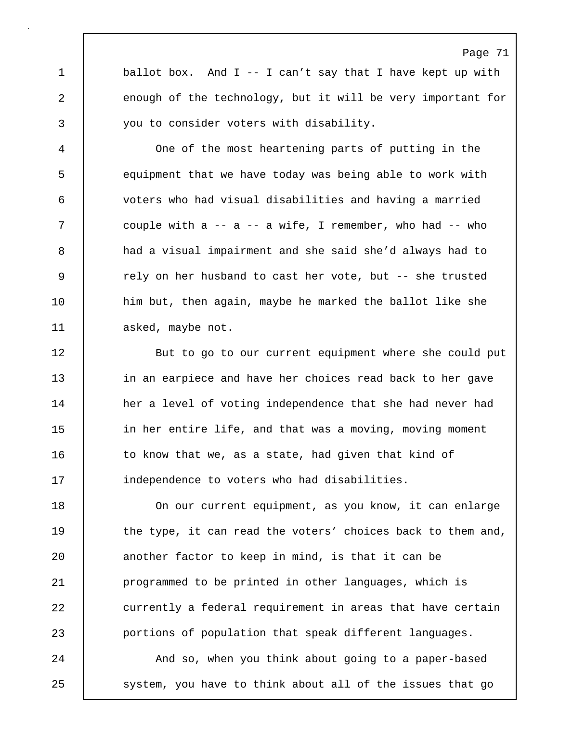1 ballot box. And I -- I can't say that I have kept up with 2 enough of the technology, but it will be very important for 3 you to consider voters with disability.

4 One of the most heartening parts of putting in the 5 equipment that we have today was being able to work with 6 voters who had visual disabilities and having a married 7 couple with a -- a -- a wife, I remember, who had -- who 8 had a visual impairment and she said she'd always had to 9 | rely on her husband to cast her vote, but -- she trusted 10 him but, then again, maybe he marked the ballot like she 11 | asked, maybe not.

12 | But to go to our current equipment where she could put 13 in an earpiece and have her choices read back to her gave 14 her a level of voting independence that she had never had 15 in her entire life, and that was a moving, moving moment 16 | to know that we, as a state, had given that kind of 17 **independence to voters who had disabilities.** 

18 On our current equipment, as you know, it can enlarge 19 the type, it can read the voters' choices back to them and, 20 **another factor to keep in mind, is that it can be** 21 **programmed to be printed in other languages, which is** 22 currently a federal requirement in areas that have certain 23 portions of population that speak different languages.

24 | And so, when you think about going to a paper-based 25 | system, you have to think about all of the issues that go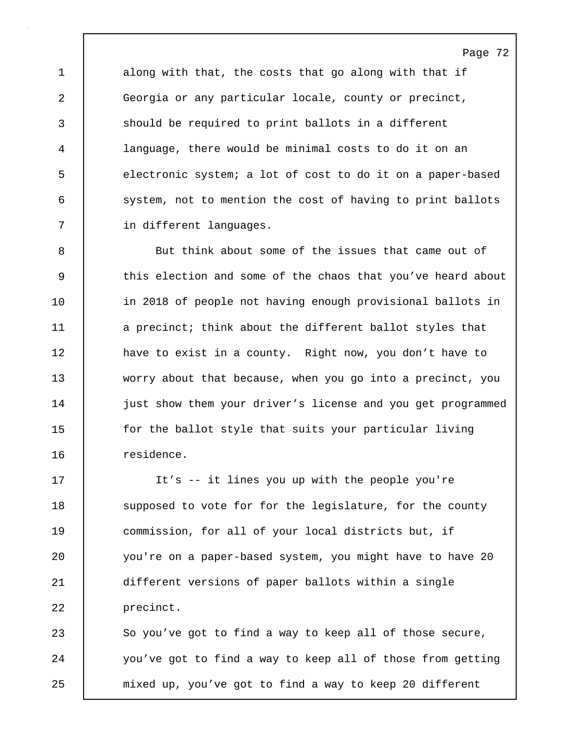1 along with that, the costs that go along with that if 2 Georgia or any particular locale, county or precinct, 3 should be required to print ballots in a different 4 language, there would be minimal costs to do it on an 5 electronic system; a lot of cost to do it on a paper-based 6 system, not to mention the cost of having to print ballots 7 | in different languages.

8 But think about some of the issues that came out of 9 this election and some of the chaos that you've heard about 10 | in 2018 of people not having enough provisional ballots in 11 a precinct; think about the different ballot styles that 12 | have to exist in a county. Right now, you don't have to 13 worry about that because, when you go into a precinct, you 14 | just show them your driver's license and you get programmed 15 for the ballot style that suits your particular living 16 residence.

17 It's -- it lines you up with the people you're 18 Supposed to vote for for the legislature, for the county 19 commission, for all of your local districts but, if 20 you're on a paper-based system, you might have to have 20 21 different versions of paper ballots within a single 22 | precinct.

23 So you've got to find a way to keep all of those secure, 24 you've got to find a way to keep all of those from getting 25 mixed up, you've got to find a way to keep 20 different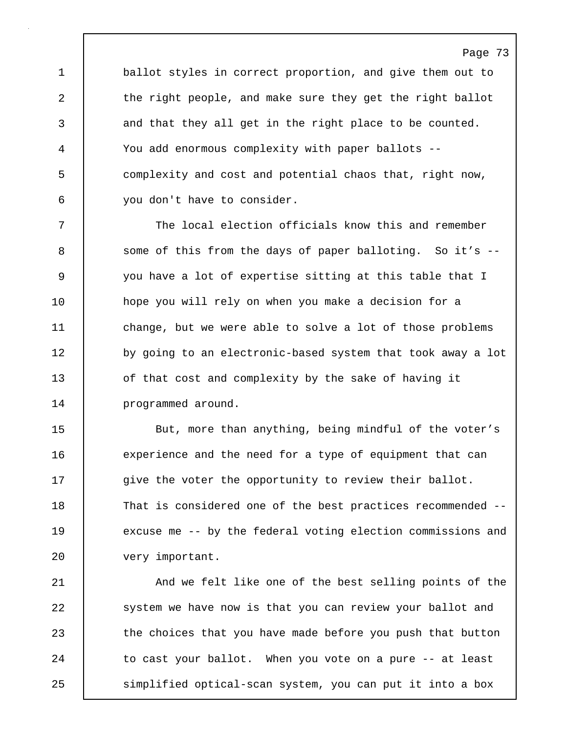1 ballot styles in correct proportion, and give them out to 2 the right people, and make sure they get the right ballot 3 and that they all get in the right place to be counted. 4 You add enormous complexity with paper ballots -- 5 complexity and cost and potential chaos that, right now, 6 you don't have to consider.

Page 73

7 The local election officials know this and remember 8 Some of this from the days of paper balloting. So it's --9 you have a lot of expertise sitting at this table that I 10 hope you will rely on when you make a decision for a 11 change, but we were able to solve a lot of those problems 12 by going to an electronic-based system that took away a lot 13 of that cost and complexity by the sake of having it 14 | programmed around.

15 But, more than anything, being mindful of the voter's 16 experience and the need for a type of equipment that can 17  $\vert$  give the voter the opportunity to review their ballot. 18 That is considered one of the best practices recommended -- 19 excuse me -- by the federal voting election commissions and 20 very important.

21 | And we felt like one of the best selling points of the 22 system we have now is that you can review your ballot and 23 the choices that you have made before you push that button 24 | to cast your ballot. When you vote on a pure -- at least 25 simplified optical-scan system, you can put it into a box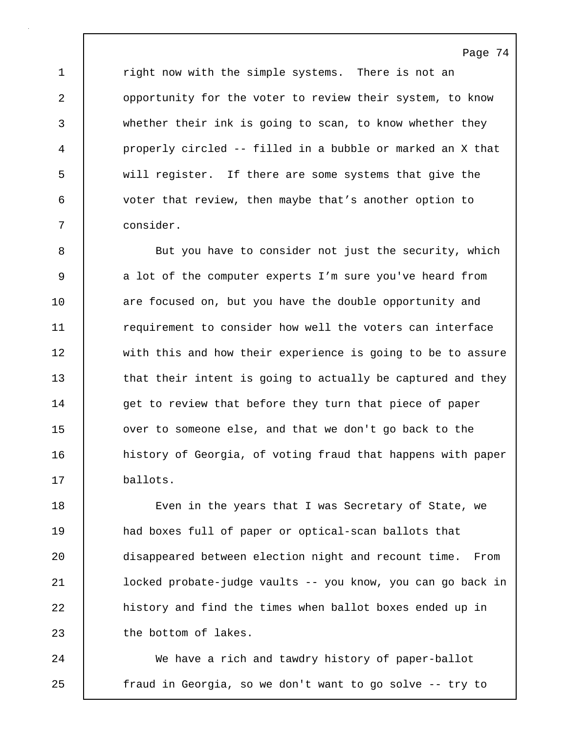1 | right now with the simple systems. There is not an 2 opportunity for the voter to review their system, to know 3 whether their ink is going to scan, to know whether they 4 properly circled -- filled in a bubble or marked an X that 5 will register. If there are some systems that give the 6 voter that review, then maybe that's another option to 7 consider.

8 But you have to consider not just the security, which 9 a lot of the computer experts I'm sure you've heard from 10 **are focused on, but you have the double opportunity and** 11 **1** requirement to consider how well the voters can interface 12 with this and how their experience is going to be to assure 13 that their intent is going to actually be captured and they 14 | get to review that before they turn that piece of paper 15 ver to someone else, and that we don't go back to the 16 history of Georgia, of voting fraud that happens with paper 17 ballots.

18 **Exermic Even in the years that I was Secretary of State, we** 19 and boxes full of paper or optical-scan ballots that 20 disappeared between election night and recount time. From 21 locked probate-judge vaults -- you know, you can go back in 22 **history and find the times when ballot boxes ended up in** 23 the bottom of lakes.

24 We have a rich and tawdry history of paper-ballot 25 fraud in Georgia, so we don't want to go solve -- try to

Page 74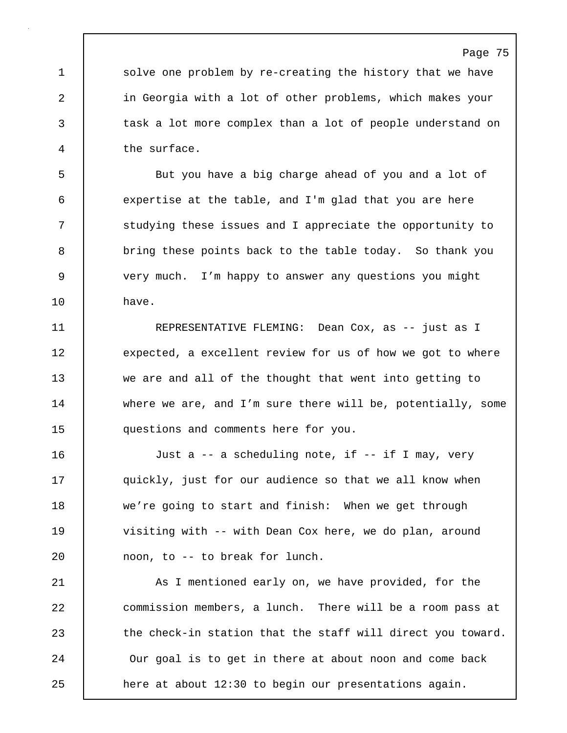1 solve one problem by re-creating the history that we have 2 in Georgia with a lot of other problems, which makes your 3 task a lot more complex than a lot of people understand on 4 the surface.

5 But you have a big charge ahead of you and a lot of 6 expertise at the table, and I'm glad that you are here 7 studying these issues and I appreciate the opportunity to 8 bring these points back to the table today. So thank you 9 very much. I'm happy to answer any questions you might 10 have.

11 | REPRESENTATIVE FLEMING: Dean Cox, as -- just as I 12 | expected, a excellent review for us of how we got to where 13 we are and all of the thought that went into getting to 14 where we are, and I'm sure there will be, potentially, some 15 questions and comments here for you.

16 Just a -- a scheduling note, if -- if I may, very 17 | quickly, just for our audience so that we all know when 18 we're going to start and finish: When we get through 19 | visiting with -- with Dean Cox here, we do plan, around 20 noon, to -- to break for lunch.

21 | As I mentioned early on, we have provided, for the 22 commission members, a lunch. There will be a room pass at 23 the check-in station that the staff will direct you toward. 24 Our goal is to get in there at about noon and come back 25 **heat about 12:30** to begin our presentations again.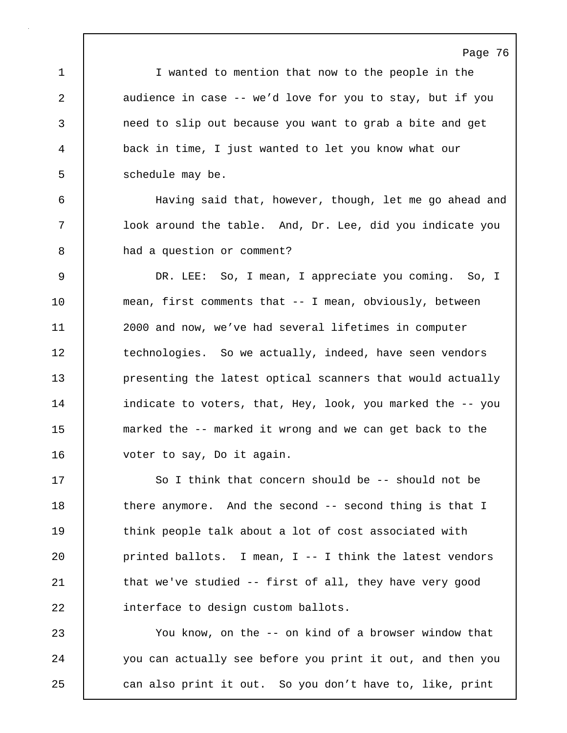Page 76 1 I wanted to mention that now to the people in the 2 audience in case -- we'd love for you to stay, but if you 3 need to slip out because you want to grab a bite and get 4 back in time, I just wanted to let you know what our 5 | schedule may be. 6 Having said that, however, though, let me go ahead and 7 | look around the table. And, Dr. Lee, did you indicate you 8 a had a question or comment? 9 DR. LEE: So, I mean, I appreciate you coming. So, I 10 mean, first comments that -- I mean, obviously, between 11 2000 and now, we've had several lifetimes in computer 12 technologies. So we actually, indeed, have seen vendors 13 **presenting the latest optical scanners that would actually** 14 | indicate to voters, that, Hey, look, you marked the -- you 15 marked the -- marked it wrong and we can get back to the 16 voter to say, Do it again. 17 So I think that concern should be -- should not be

18 there anymore. And the second -- second thing is that I 19 **think people talk about a lot of cost associated with** 20 printed ballots. I mean, I -- I think the latest vendors 21 | that we've studied -- first of all, they have very good 22 interface to design custom ballots.

23 You know, on the -- on kind of a browser window that 24 you can actually see before you print it out, and then you 25 can also print it out. So you don't have to, like, print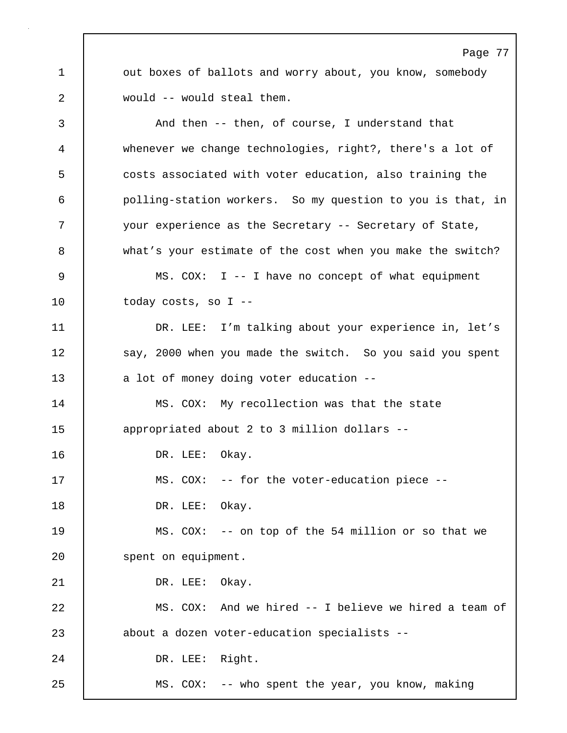1 out boxes of ballots and worry about, you know, somebody 2 would -- would steal them.

3 And then -- then, of course, I understand that 4 whenever we change technologies, right?, there's a lot of 5 costs associated with voter education, also training the 6 polling-station workers. So my question to you is that, in 7 your experience as the Secretary -- Secretary of State, 8 what's your estimate of the cost when you make the switch? 9 MS. COX: I -- I have no concept of what equipment 10 today costs, so I --11 DR. LEE: I'm talking about your experience in, let's 12 | say, 2000 when you made the switch. So you said you spent 13 a lot of money doing voter education --14 MS. COX: My recollection was that the state 15 appropriated about 2 to 3 million dollars -- 16 | DR. LEE: Okay. 17 | MS. COX: -- for the voter-education piece --18 | DR. LEE: Okay. 19 MS. COX: -- on top of the 54 million or so that we 20 | spent on equipment. 21 | DR. LEE: Okay. 22 MS. COX: And we hired -- I believe we hired a team of 23 about a dozen voter-education specialists --24 DR. LEE: Right. 25 MS. COX: -- who spent the year, you know, making

Page 77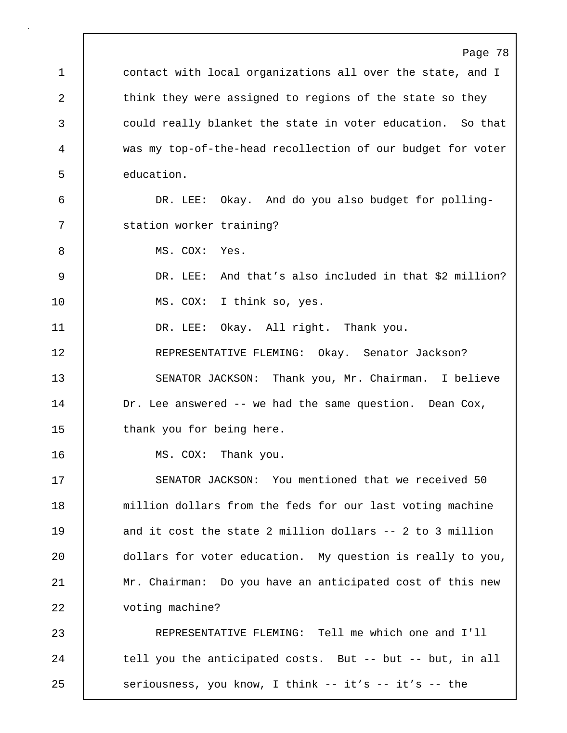Page 78 1 contact with local organizations all over the state, and I 2 think they were assigned to regions of the state so they 3 could really blanket the state in voter education. So that 4 was my top-of-the-head recollection of our budget for voter 5 education. 6 DR. LEE: Okay. And do you also budget for polling-7 | station worker training? 8 MS. COX: Yes. 9 DR. LEE: And that's also included in that \$2 million? 10 | MS. COX: I think so, yes. 11 | DR. LEE: Okay. All right. Thank you. 12 REPRESENTATIVE FLEMING: Okay. Senator Jackson? 13 SENATOR JACKSON: Thank you, Mr. Chairman. I believe 14 Dr. Lee answered -- we had the same question. Dean Cox, 15 | thank you for being here. 16 | MS. COX: Thank you. 17 SENATOR JACKSON: You mentioned that we received 50 18 | million dollars from the feds for our last voting machine 19 and it cost the state 2 million dollars -- 2 to 3 million 20 **dollars for voter education.** My question is really to you, 21 Mr. Chairman: Do you have an anticipated cost of this new 22 voting machine? 23 REPRESENTATIVE FLEMING: Tell me which one and I'll 24 tell you the anticipated costs. But -- but -- but, in all 25 seriousness, you know, I think -- it's -- it's -- the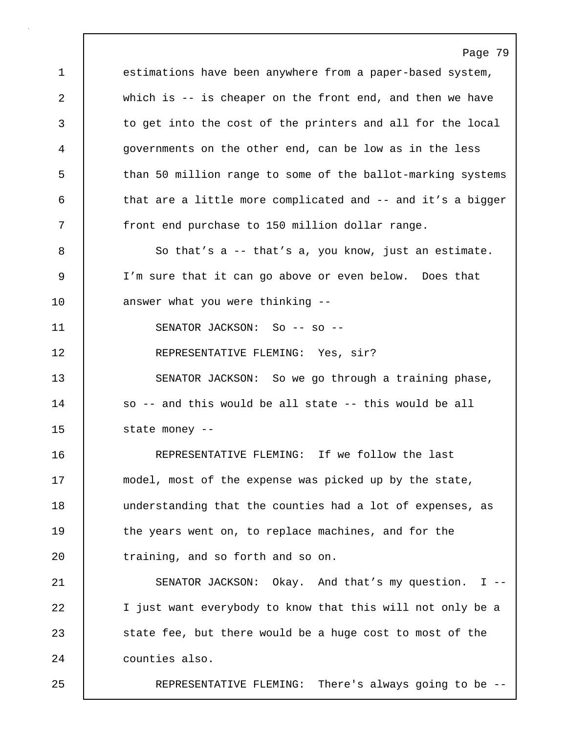1 estimations have been anywhere from a paper-based system, 2 which is -- is cheaper on the front end, and then we have 3 to get into the cost of the printers and all for the local 4 governments on the other end, can be low as in the less 5 than 50 million range to some of the ballot-marking systems 6 that are a little more complicated and -- and it's a bigger 7 front end purchase to 150 million dollar range.

Page 79

8 So that's a -- that's a, you know, just an estimate. 9 I'm sure that it can go above or even below. Does that 10 | answer what you were thinking --

11 | SENATOR JACKSON: So -- so --

12 REPRESENTATIVE FLEMING: Yes, sir?

13 SENATOR JACKSON: So we go through a training phase, 14 so -- and this would be all state -- this would be all 15 state money --

16 REPRESENTATIVE FLEMING: If we follow the last 17 | model, most of the expense was picked up by the state, 18 | understanding that the counties had a lot of expenses, as 19 the years went on, to replace machines, and for the 20 training, and so forth and so on.

21 SENATOR JACKSON: Okay. And that's my question. I -- 22 | I just want everybody to know that this will not only be a 23 State fee, but there would be a huge cost to most of the 24 | counties also.

25 REPRESENTATIVE FLEMING: There's always going to be --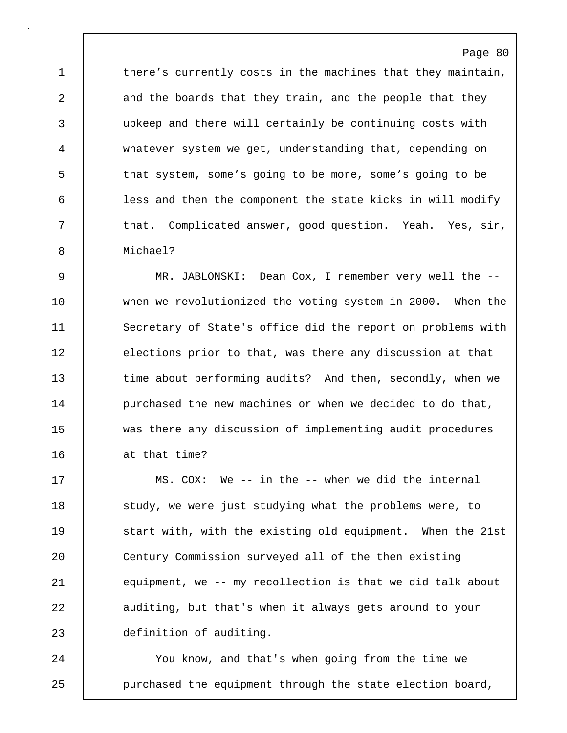1 there's currently costs in the machines that they maintain, 2 and the boards that they train, and the people that they 3 upkeep and there will certainly be continuing costs with 4 whatever system we get, understanding that, depending on 5 that system, some's going to be more, some's going to be 6 less and then the component the state kicks in will modify 7 that. Complicated answer, good question. Yeah. Yes, sir, 8 Michael?

Page 80

9 MR. JABLONSKI: Dean Cox, I remember very well the -- 10 when we revolutionized the voting system in 2000. When the 11 Secretary of State's office did the report on problems with 12 elections prior to that, was there any discussion at that 13 time about performing audits? And then, secondly, when we 14 **purchased the new machines or when we decided to do that,** 15 was there any discussion of implementing audit procedures 16 at that time?

17 MS. COX: We -- in the -- when we did the internal 18 **Study, we were just studying what the problems were, to** 19 Start with, with the existing old equipment. When the 21st 20 Century Commission surveyed all of the then existing 21 equipment, we -- my recollection is that we did talk about 22 auditing, but that's when it always gets around to your 23 definition of auditing.

24 You know, and that's when going from the time we 25 **purchased the equipment through the state election board,**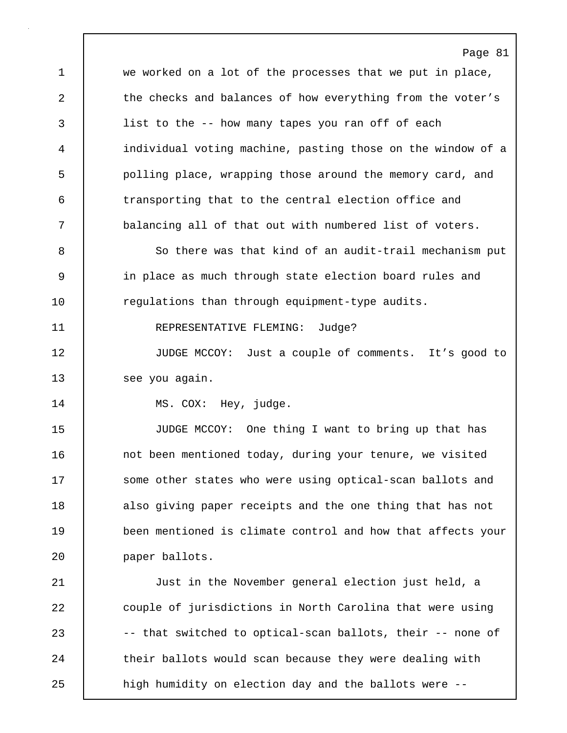1 we worked on a lot of the processes that we put in place, 2 the checks and balances of how everything from the voter's 3 list to the -- how many tapes you ran off of each 4 individual voting machine, pasting those on the window of a 5 polling place, wrapping those around the memory card, and 6 transporting that to the central election office and 7 balancing all of that out with numbered list of voters.

8 So there was that kind of an audit-trail mechanism put 9 in place as much through state election board rules and 10 **regulations than through equipment-type audits.** 

11 REPRESENTATIVE FLEMING: Judge?

12 JUDGE MCCOY: Just a couple of comments. It's good to 13 see you again.

14 MS. COX: Hey, judge.

15 JUDGE MCCOY: One thing I want to bring up that has 16 | not been mentioned today, during your tenure, we visited 17 Some other states who were using optical-scan ballots and 18 also giving paper receipts and the one thing that has not 19 been mentioned is climate control and how that affects your 20 **paper ballots.** 

21 Just in the November general election just held, a 22 couple of jurisdictions in North Carolina that were using 23 -- that switched to optical-scan ballots, their -- none of 24 their ballots would scan because they were dealing with 25 | high humidity on election day and the ballots were --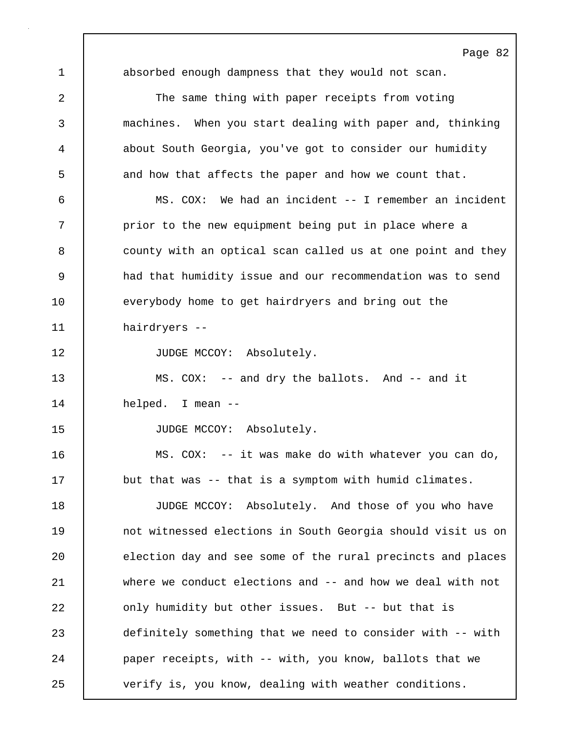1 absorbed enough dampness that they would not scan. 2 The same thing with paper receipts from voting 3 machines. When you start dealing with paper and, thinking 4 about South Georgia, you've got to consider our humidity 5 and how that affects the paper and how we count that. 6 MS. COX: We had an incident -- I remember an incident 7 | prior to the new equipment being put in place where a 8 county with an optical scan called us at one point and they 9 had that humidity issue and our recommendation was to send 10 everybody home to get hairdryers and bring out the 11 hairdryers -- 12 | JUDGE MCCOY: Absolutely. 13 MS. COX: -- and dry the ballots. And -- and it 14 helped. I mean -- 15 JUDGE MCCOY: Absolutely. 16 MS. COX: -- it was make do with whatever you can do, 17 but that was -- that is a symptom with humid climates. 18 JUDGE MCCOY: Absolutely. And those of you who have 19 **not witnessed elections in South Georgia should visit us on** 20 election day and see some of the rural precincts and places 21 where we conduct elections and -- and how we deal with not 22 **only humidity but other issues.** But -- but that is 23 definitely something that we need to consider with -- with 24 **paper receipts, with -- with, you know, ballots that we** 25 verify is, you know, dealing with weather conditions.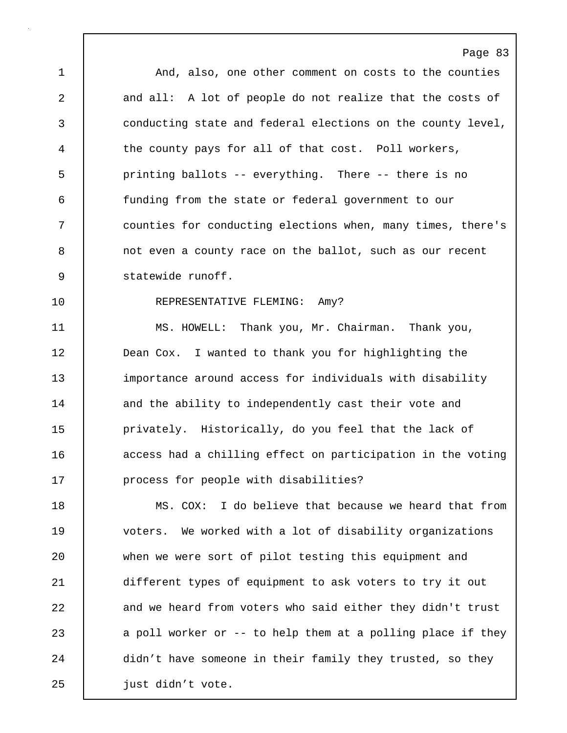1 And, also, one other comment on costs to the counties 2 and all: A lot of people do not realize that the costs of 3 conducting state and federal elections on the county level, 4 the county pays for all of that cost. Poll workers, 5 printing ballots -- everything. There -- there is no 6 funding from the state or federal government to our 7 counties for conducting elections when, many times, there's 8 not even a county race on the ballot, such as our recent 9 statewide runoff.

Page 83

# 10 REPRESENTATIVE FLEMING: Amy?

11 | MS. HOWELL: Thank you, Mr. Chairman. Thank you, 12 **Dean Cox.** I wanted to thank you for highlighting the 13 importance around access for individuals with disability 14 and the ability to independently cast their vote and 15 | privately. Historically, do you feel that the lack of 16 **access had a chilling effect on participation in the voting** 17 **process for people with disabilities?** 

18 MS. COX: I do believe that because we heard that from 19 voters. We worked with a lot of disability organizations 20 when we were sort of pilot testing this equipment and 21 different types of equipment to ask voters to try it out 22 and we heard from voters who said either they didn't trust 23 a poll worker or -- to help them at a polling place if they 24 didn't have someone in their family they trusted, so they 25 | just didn't vote.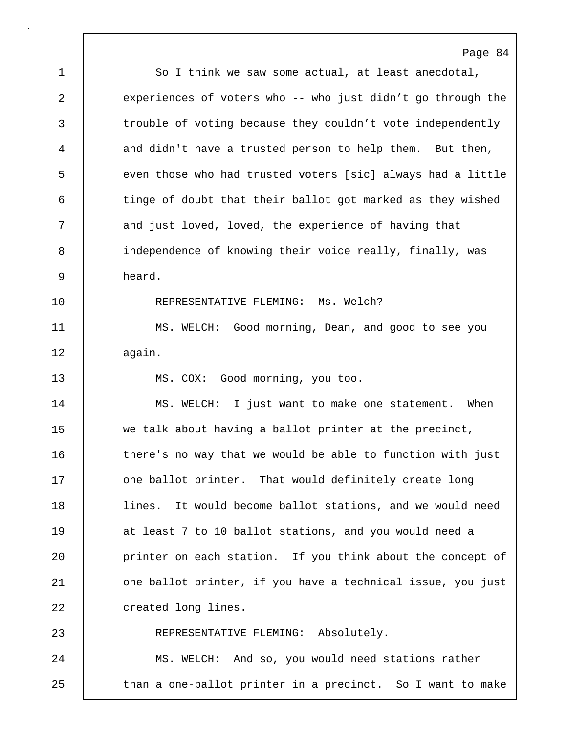Page 84 1 So I think we saw some actual, at least anecdotal, 2 experiences of voters who -- who just didn't go through the 3 trouble of voting because they couldn't vote independently 4 and didn't have a trusted person to help them. But then, 5 even those who had trusted voters [sic] always had a little 6 tinge of doubt that their ballot got marked as they wished 7 and just loved, loved, the experience of having that 8 independence of knowing their voice really, finally, was 9 heard. 10 **REPRESENTATIVE FLEMING:** Ms. Welch? 11 MS. WELCH: Good morning, Dean, and good to see you 12 | again. 13 MS. COX: Good morning, you too. 14 MS. WELCH: I just want to make one statement. When 15 we talk about having a ballot printer at the precinct, 16 there's no way that we would be able to function with just 17 one ballot printer. That would definitely create long 18 lines. It would become ballot stations, and we would need 19 at least 7 to 10 ballot stations, and you would need a 20 **printer** on each station. If you think about the concept of 21 | one ballot printer, if you have a technical issue, you just 22 | created long lines. 23 REPRESENTATIVE FLEMING: Absolutely. 24 | MS. WELCH: And so, you would need stations rather 25 | than a one-ballot printer in a precinct. So I want to make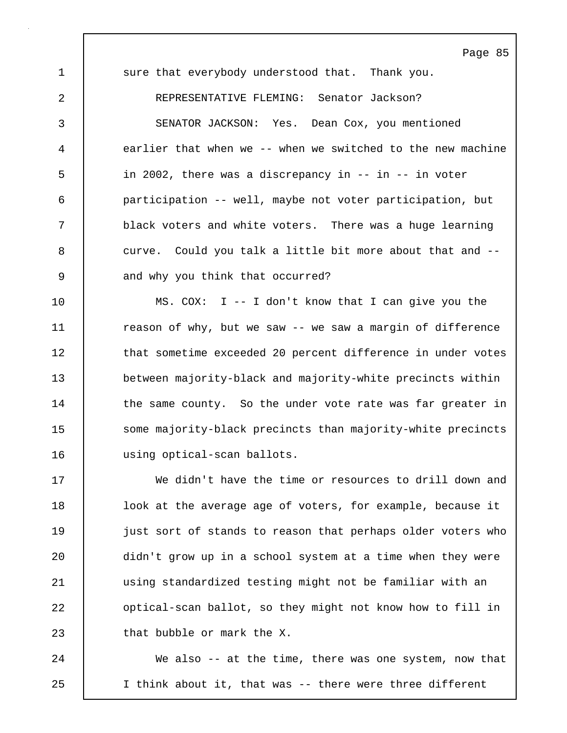1 sure that everybody understood that. Thank you. 2 REPRESENTATIVE FLEMING: Senator Jackson? 3 SENATOR JACKSON: Yes. Dean Cox, you mentioned 4 earlier that when we -- when we switched to the new machine 5 in 2002, there was a discrepancy in -- in -- in voter 6 participation -- well, maybe not voter participation, but 7 black voters and white voters. There was a huge learning 8 curve. Could you talk a little bit more about that and --9 and why you think that occurred?

10 MS. COX: I -- I don't know that I can give you the 11 | reason of why, but we saw -- we saw a margin of difference 12 that sometime exceeded 20 percent difference in under votes 13 between majority-black and majority-white precincts within 14 the same county. So the under vote rate was far greater in 15 Some majority-black precincts than majority-white precincts 16 using optical-scan ballots.

17 We didn't have the time or resources to drill down and 18 | look at the average age of voters, for example, because it 19 just sort of stands to reason that perhaps older voters who 20 didn't grow up in a school system at a time when they were 21 using standardized testing might not be familiar with an 22 **o**ptical-scan ballot, so they might not know how to fill in 23 **that bubble or mark the X.** 

24 We also -- at the time, there was one system, now that 25 I think about it, that was -- there were three different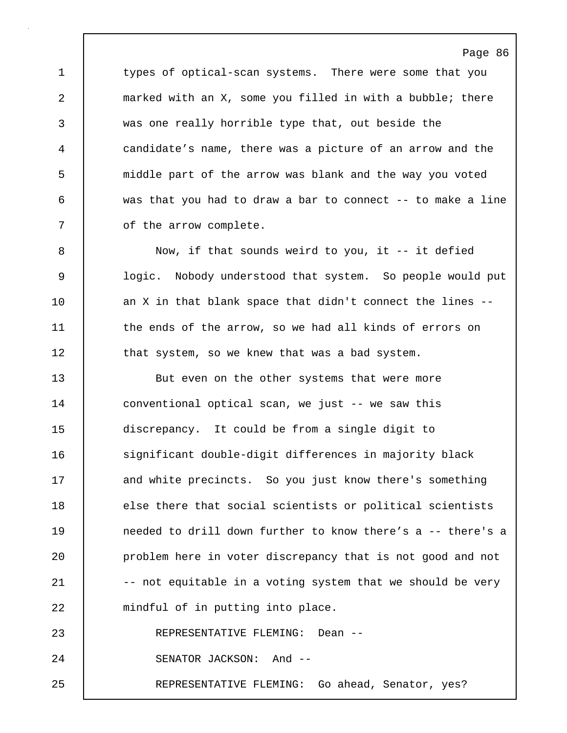1 types of optical-scan systems. There were some that you 2 marked with an X, some you filled in with a bubble; there 3 was one really horrible type that, out beside the 4 candidate's name, there was a picture of an arrow and the 5 middle part of the arrow was blank and the way you voted 6 was that you had to draw a bar to connect -- to make a line 7 **b** of the arrow complete.

Page 86

8 Now, if that sounds weird to you, it -- it defied 9 logic. Nobody understood that system. So people would put 10 an X in that blank space that didn't connect the lines --11 | the ends of the arrow, so we had all kinds of errors on 12 that system, so we knew that was a bad system.

13 But even on the other systems that were more 14 conventional optical scan, we just -- we saw this 15 discrepancy. It could be from a single digit to 16 | significant double-digit differences in majority black 17 and white precincts. So you just know there's something 18 else there that social scientists or political scientists 19 **19** needed to drill down further to know there's a -- there's a 20 **problem here in voter discrepancy that is not good and not** 21  $\vert$  -- not equitable in a voting system that we should be very 22 | mindful of in putting into place. 23 REPRESENTATIVE FLEMING: Dean -- 24 | SENATOR JACKSON: And --25 REPRESENTATIVE FLEMING: Go ahead, Senator, yes?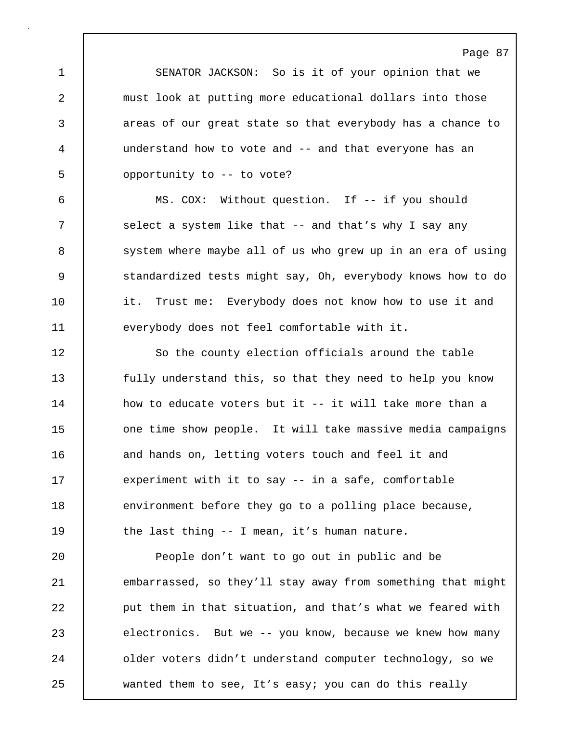1 SENATOR JACKSON: So is it of your opinion that we 2 must look at putting more educational dollars into those 3 areas of our great state so that everybody has a chance to 4 understand how to vote and -- and that everyone has an 5 opportunity to -- to vote?

6 MS. COX: Without question. If -- if you should 7 Select a system like that -- and that's why I say any 8 system where maybe all of us who grew up in an era of using 9 Standardized tests might say, Oh, everybody knows how to do 10 it. Trust me: Everybody does not know how to use it and 11 everybody does not feel comfortable with it.

12 So the county election officials around the table 13 **fully understand this, so that they need to help you know** 14 how to educate voters but it -- it will take more than a 15 **one time show people.** It will take massive media campaigns 16 and hands on, letting voters touch and feel it and 17 | experiment with it to say -- in a safe, comfortable 18 environment before they go to a polling place because, 19 The last thing -- I mean, it's human nature.

20 **People don't want to go out in public and be** 21 embarrassed, so they'll stay away from something that might 22 **put them in that situation, and that's what we feared with** 23 electronics. But we -- you know, because we knew how many 24 **deciary older voters didn't understand computer technology, so we** 25 wanted them to see, It's easy; you can do this really

# Page 87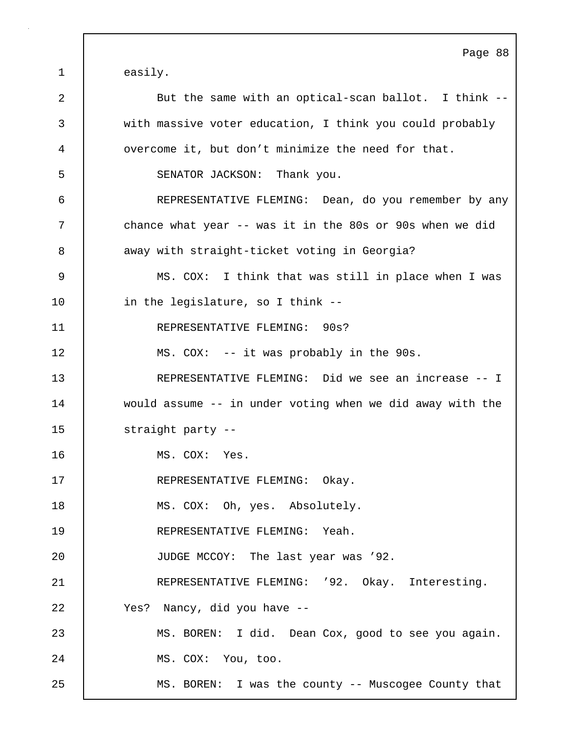Page 88 1 | easily. 2 But the same with an optical-scan ballot. I think --3 with massive voter education, I think you could probably 4 overcome it, but don't minimize the need for that. 5 SENATOR JACKSON: Thank you. 6 REPRESENTATIVE FLEMING: Dean, do you remember by any 7 chance what year -- was it in the 80s or 90s when we did 8 away with straight-ticket voting in Georgia? 9 MS. COX: I think that was still in place when I was 10 in the legislature, so I think --11 REPRESENTATIVE FLEMING: 90s? 12 | MS. COX: -- it was probably in the 90s. 13 REPRESENTATIVE FLEMING: Did we see an increase -- I 14 would assume -- in under voting when we did away with the 15 | straight party --16 MS. COX: Yes. 17 REPRESENTATIVE FLEMING: Okay. 18 | MS. COX: Oh, yes. Absolutely. 19 REPRESENTATIVE FLEMING: Yeah. 20 JUDGE MCCOY: The last year was '92. 21 | REPRESENTATIVE FLEMING: '92. Okay. Interesting. 22 Yes? Nancy, did you have -- 23 MS. BOREN: I did. Dean Cox, good to see you again. 24 | MS. COX: You, too. 25 MS. BOREN: I was the county -- Muscogee County that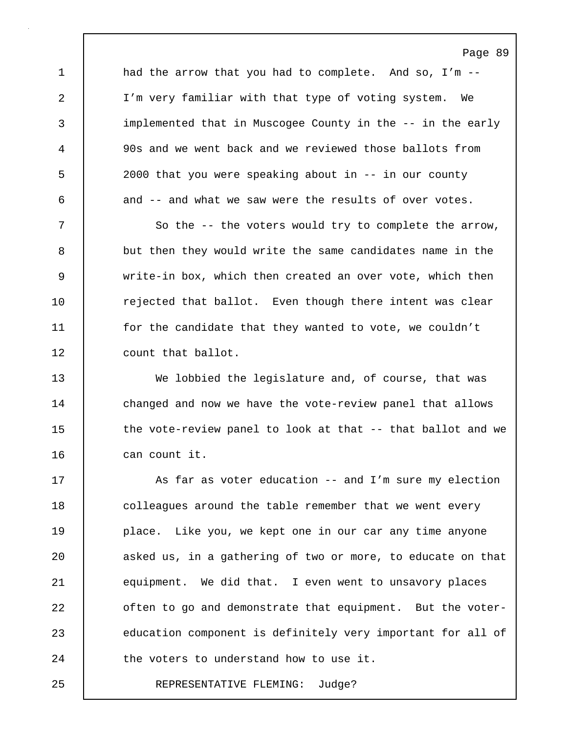1 and the arrow that you had to complete. And so, I'm --2 I'm very familiar with that type of voting system. We 3 implemented that in Muscogee County in the -- in the early 4 90s and we went back and we reviewed those ballots from 5 2000 that you were speaking about in -- in our county 6 and -- and what we saw were the results of over votes.

7 So the -- the voters would try to complete the arrow, 8 but then they would write the same candidates name in the 9 write-in box, which then created an over vote, which then 10 Tejected that ballot. Even though there intent was clear 11 | for the candidate that they wanted to vote, we couldn't 12 | count that ballot.

13 We lobbied the legislature and, of course, that was 14 changed and now we have the vote-review panel that allows 15 the vote-review panel to look at that -- that ballot and we 16 can count it.

17 | As far as voter education -- and I'm sure my election 18 colleagues around the table remember that we went every 19 place. Like you, we kept one in our car any time anyone 20 asked us, in a gathering of two or more, to educate on that 21 equipment. We did that. I even went to unsavory places 22 **often to go and demonstrate that equipment.** But the voter-23 education component is definitely very important for all of 24 the voters to understand how to use it.

25 REPRESENTATIVE FLEMING: Judge?

#### Page 89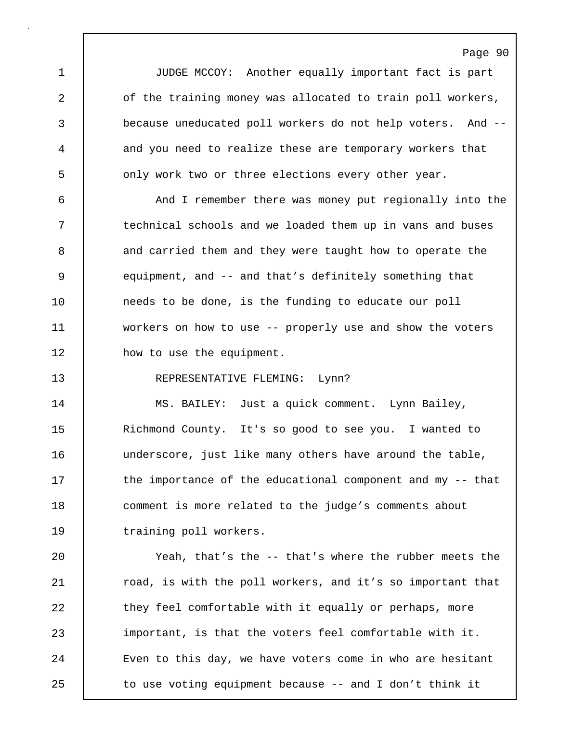1 JUDGE MCCOY: Another equally important fact is part 2 of the training money was allocated to train poll workers, 3 because uneducated poll workers do not help voters. And -- 4 and you need to realize these are temporary workers that 5 **b** only work two or three elections every other year.

6 And I remember there was money put regionally into the 7 | technical schools and we loaded them up in vans and buses 8 and carried them and they were taught how to operate the 9 equipment, and -- and that's definitely something that 10 needs to be done, is the funding to educate our poll 11 workers on how to use -- properly use and show the voters 12 **how** to use the equipment.

13 REPRESENTATIVE FLEMING: Lynn?

14 MS. BAILEY: Just a quick comment. Lynn Bailey, 15 | Richmond County. It's so good to see you. I wanted to 16 underscore, just like many others have around the table, 17 the importance of the educational component and my -- that 18 comment is more related to the judge's comments about 19 | training poll workers.

20 Yeah, that's the -- that's where the rubber meets the 21 | road, is with the poll workers, and it's so important that 22 they feel comfortable with it equally or perhaps, more 23 important, is that the voters feel comfortable with it. 24 | Even to this day, we have voters come in who are hesitant 25 to use voting equipment because -- and I don't think it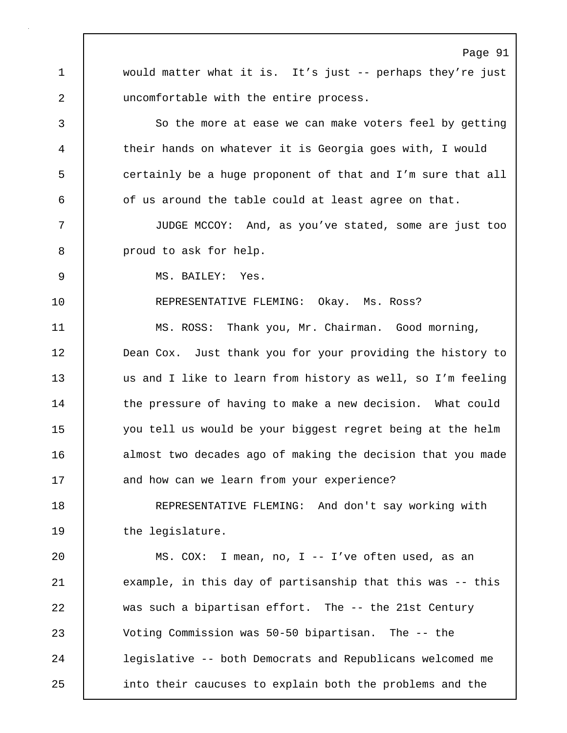Page 91 1 would matter what it is. It's just -- perhaps they're just 2 uncomfortable with the entire process. 3 So the more at ease we can make voters feel by getting 4 their hands on whatever it is Georgia goes with, I would 5 | certainly be a huge proponent of that and I'm sure that all 6 of us around the table could at least agree on that. 7 JUDGE MCCOY: And, as you've stated, some are just too 8 proud to ask for help. 9 MS. BAILEY: Yes. 10 REPRESENTATIVE FLEMING: Okay. Ms. Ross? 11 MS. ROSS: Thank you, Mr. Chairman. Good morning, 12 **Dean Cox.** Just thank you for your providing the history to 13 us and I like to learn from history as well, so I'm feeling 14 the pressure of having to make a new decision. What could 15 you tell us would be your biggest regret being at the helm 16 almost two decades ago of making the decision that you made 17 and how can we learn from your experience? 18 REPRESENTATIVE FLEMING: And don't say working with 19 | the legislature. 20 MS. COX: I mean, no, I -- I've often used, as an 21 example, in this day of partisanship that this was -- this 22 was such a bipartisan effort. The -- the 21st Century 23 Voting Commission was 50-50 bipartisan. The -- the 24 legislative -- both Democrats and Republicans welcomed me 25 into their caucuses to explain both the problems and the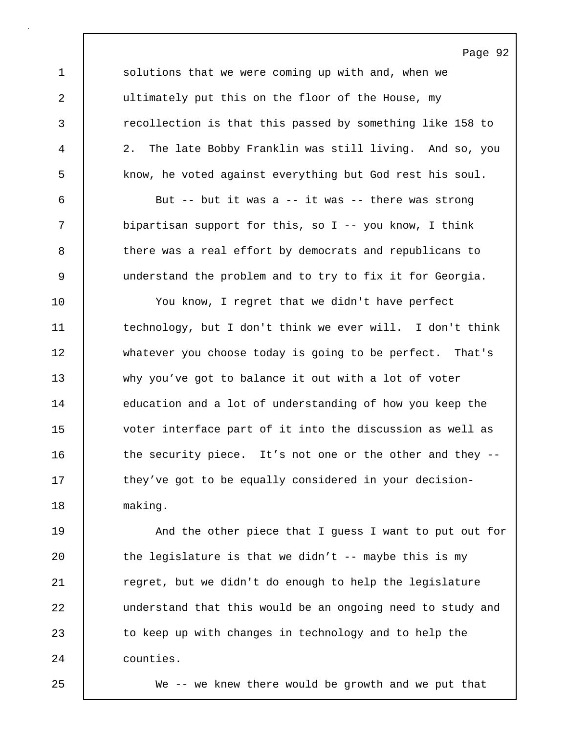Page 92 1 solutions that we were coming up with and, when we 2 ultimately put this on the floor of the House, my 3 recollection is that this passed by something like 158 to 4 2. The late Bobby Franklin was still living. And so, you 5 know, he voted against everything but God rest his soul. 6 But -- but it was a -- it was -- there was strong 7 bipartisan support for this, so I -- you know, I think 8 there was a real effort by democrats and republicans to

9 understand the problem and to try to fix it for Georgia.

10 | You know, I regret that we didn't have perfect 11 technology, but I don't think we ever will. I don't think 12 whatever you choose today is going to be perfect. That's 13 why you've got to balance it out with a lot of voter 14 education and a lot of understanding of how you keep the 15 voter interface part of it into the discussion as well as 16 | the security piece. It's not one or the other and they --17 they've got to be equally considered in your decision-18 making.

19 | And the other piece that I guess I want to put out for 20  $\blacksquare$  the legislature is that we didn't -- maybe this is my 21 | regret, but we didn't do enough to help the legislature 22 **understand that this would be an ongoing need to study and** 23 to keep up with changes in technology and to help the 24 counties.

25 We -- we knew there would be growth and we put that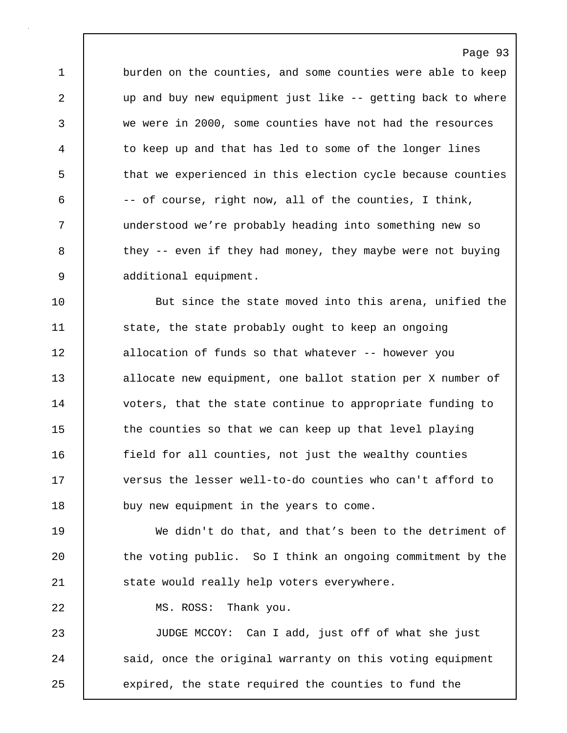1 burden on the counties, and some counties were able to keep 2 up and buy new equipment just like -- getting back to where 3 we were in 2000, some counties have not had the resources 4 to keep up and that has led to some of the longer lines 5 that we experienced in this election cycle because counties 6 -- of course, right now, all of the counties, I think, 7 understood we're probably heading into something new so 8 they -- even if they had money, they maybe were not buying 9 additional equipment.

Page 93

10 But since the state moved into this arena, unified the 11 State, the state probably ought to keep an ongoing 12 | allocation of funds so that whatever -- however you 13 allocate new equipment, one ballot station per X number of 14 | voters, that the state continue to appropriate funding to 15 the counties so that we can keep up that level playing 16 **field for all counties, not just the wealthy counties** 17  $\parallel$  versus the lesser well-to-do counties who can't afford to 18 **buy new equipment in the years to come.** 

19 We didn't do that, and that's been to the detriment of 20 the voting public. So I think an ongoing commitment by the 21 | state would really help voters everywhere.

22 | MS. ROSS: Thank you.

23 | JUDGE MCCOY: Can I add, just off of what she just 24 | said, once the original warranty on this voting equipment 25 expired, the state required the counties to fund the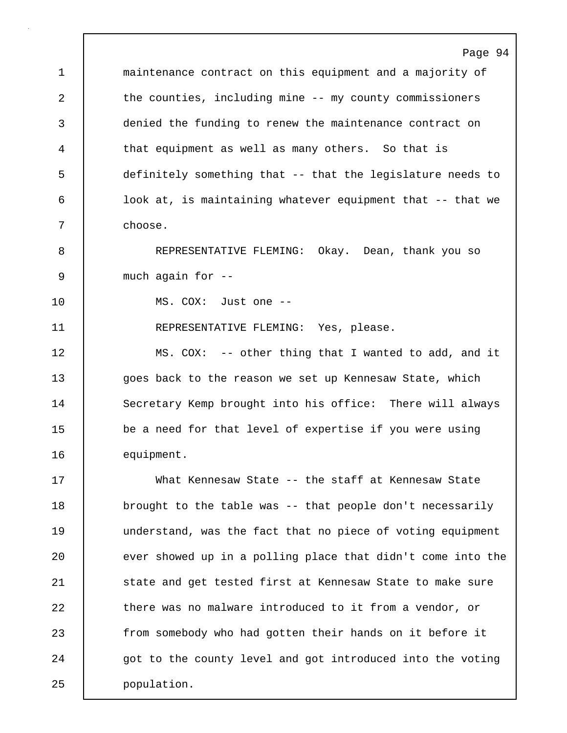Page 94 1 **maintenance contract on this equipment and a majority of** 2 the counties, including mine -- my county commissioners 3 denied the funding to renew the maintenance contract on 4 that equipment as well as many others. So that is 5 definitely something that -- that the legislature needs to 6 | look at, is maintaining whatever equipment that -- that we 7 choose. 8 REPRESENTATIVE FLEMING: Okay. Dean, thank you so 9 much again for -- 10 MS. COX: Just one -- 11 | REPRESENTATIVE FLEMING: Yes, please. 12 | MS. COX: -- other thing that I wanted to add, and it 13 goes back to the reason we set up Kennesaw State, which 14 Secretary Kemp brought into his office: There will always 15 be a need for that level of expertise if you were using 16 equipment. 17 What Kennesaw State -- the staff at Kennesaw State 18 | brought to the table was -- that people don't necessarily 19 understand, was the fact that no piece of voting equipment 20 ever showed up in a polling place that didn't come into the 21 | state and get tested first at Kennesaw State to make sure 22 there was no malware introduced to it from a vendor, or 23 from somebody who had gotten their hands on it before it 24 got to the county level and got introduced into the voting 25 population.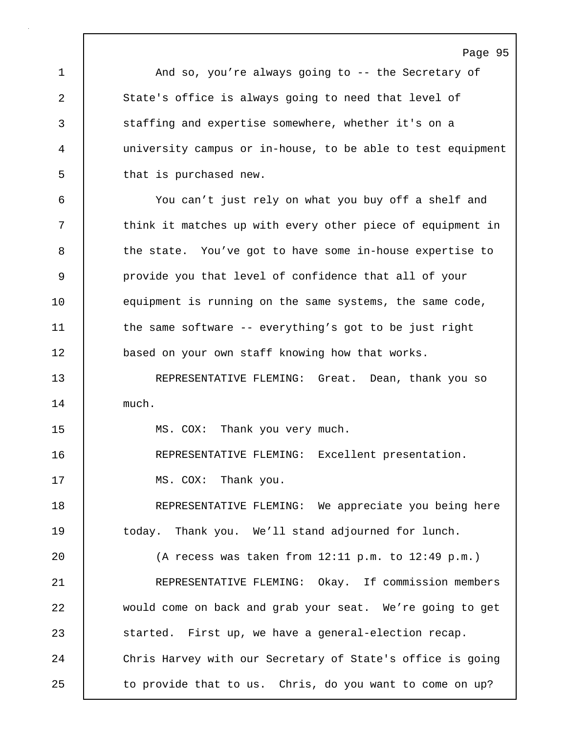Page 95 1 **And so, you're always going to -- the Secretary of** 2 State's office is always going to need that level of 3 staffing and expertise somewhere, whether it's on a 4 university campus or in-house, to be able to test equipment 5 **b** that is purchased new. 6 You can't just rely on what you buy off a shelf and 7 | think it matches up with every other piece of equipment in 8 the state. You've got to have some in-house expertise to 9 provide you that level of confidence that all of your 10 | equipment is running on the same systems, the same code, 11 the same software -- everything's got to be just right 12 based on your own staff knowing how that works. 13 REPRESENTATIVE FLEMING: Great. Dean, thank you so 14 much. 15 MS. COX: Thank you very much. 16 REPRESENTATIVE FLEMING: Excellent presentation. 17 | MS. COX: Thank you. 18 | REPRESENTATIVE FLEMING: We appreciate you being here 19 today. Thank you. We'll stand adjourned for lunch. 20 (A recess was taken from 12:11 p.m. to 12:49 p.m.) 21 REPRESENTATIVE FLEMING: Okay. If commission members 22 would come on back and grab your seat. We're going to get 23 Started. First up, we have a general-election recap. 24 Chris Harvey with our Secretary of State's office is going 25 | to provide that to us. Chris, do you want to come on up?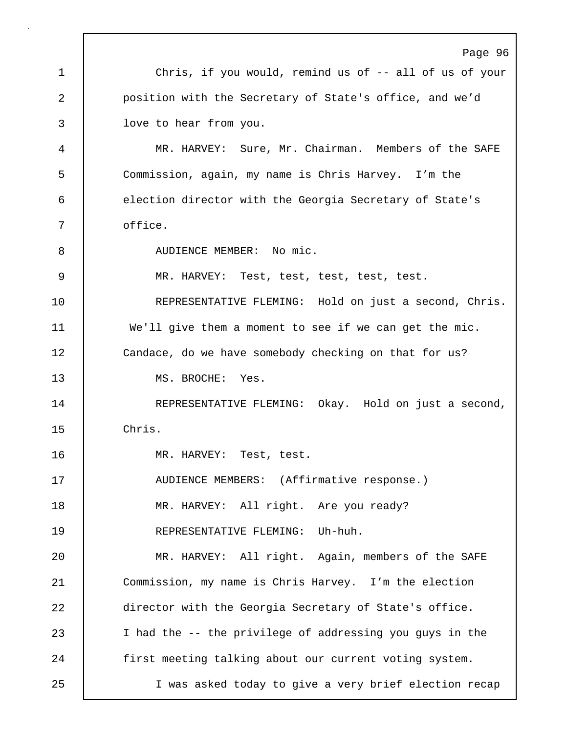|    | Page 96                                                  |
|----|----------------------------------------------------------|
| 1  | Chris, if you would, remind us of -- all of us of your   |
| 2  | position with the Secretary of State's office, and we'd  |
| 3  | love to hear from you.                                   |
| 4  | MR. HARVEY: Sure, Mr. Chairman. Members of the SAFE      |
| 5  | Commission, again, my name is Chris Harvey. I'm the      |
| 6  | election director with the Georgia Secretary of State's  |
| 7  | office.                                                  |
| 8  | AUDIENCE MEMBER: No mic.                                 |
| 9  | MR. HARVEY: Test, test, test, test, test.                |
| 10 | REPRESENTATIVE FLEMING: Hold on just a second, Chris.    |
| 11 | We'll give them a moment to see if we can get the mic.   |
| 12 | Candace, do we have somebody checking on that for us?    |
| 13 | MS. BROCHE:<br>Yes.                                      |
| 14 | REPRESENTATIVE FLEMING: Okay. Hold on just a second,     |
| 15 | Chris.                                                   |
| 16 | MR. HARVEY: Test, test.                                  |
| 17 | AUDIENCE MEMBERS: (Affirmative response.)                |
| 18 | MR. HARVEY: All right. Are you ready?                    |
| 19 | REPRESENTATIVE FLEMING: Uh-huh.                          |
| 20 | MR. HARVEY: All right. Again, members of the SAFE        |
| 21 | Commission, my name is Chris Harvey. I'm the election    |
| 22 | director with the Georgia Secretary of State's office.   |
| 23 | I had the -- the privilege of addressing you guys in the |
| 24 | first meeting talking about our current voting system.   |
| 25 | I was asked today to give a very brief election recap    |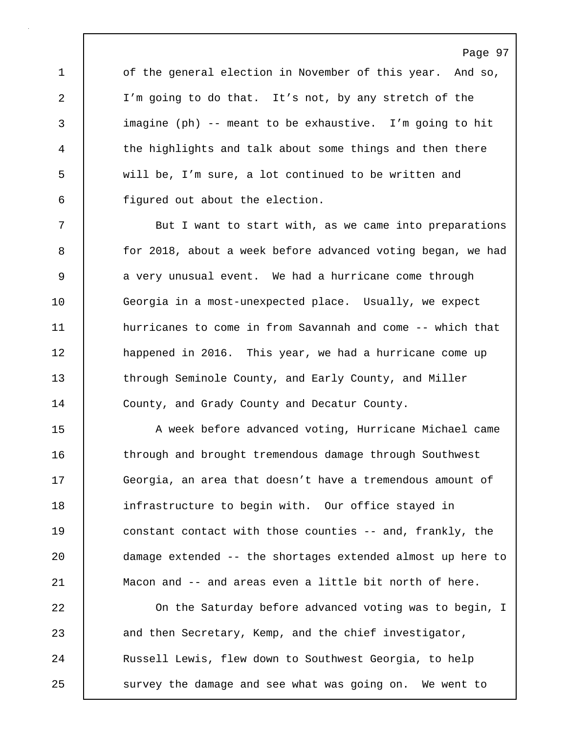1 of the general election in November of this year. And so, 2 I'm going to do that. It's not, by any stretch of the 3 imagine (ph) -- meant to be exhaustive. I'm going to hit 4 the highlights and talk about some things and then there 5 will be, I'm sure, a lot continued to be written and 6 figured out about the election.

Page 97

7 | But I want to start with, as we came into preparations 8 for 2018, about a week before advanced voting began, we had 9 a very unusual event. We had a hurricane come through 10 Georgia in a most-unexpected place. Usually, we expect 11 **hurricanes to come in from Savannah and come -- which that** 12 **happened in 2016.** This year, we had a hurricane come up 13 through Seminole County, and Early County, and Miller 14 County, and Grady County and Decatur County.

15 A week before advanced voting, Hurricane Michael came 16 | through and brought tremendous damage through Southwest 17 Georgia, an area that doesn't have a tremendous amount of 18 infrastructure to begin with. Our office stayed in 19 constant contact with those counties -- and, frankly, the 20 damage extended -- the shortages extended almost up here to 21 Macon and -- and areas even a little bit north of here.

22 On the Saturday before advanced voting was to begin, I 23 and then Secretary, Kemp, and the chief investigator, 24 | Russell Lewis, flew down to Southwest Georgia, to help 25 | survey the damage and see what was going on. We went to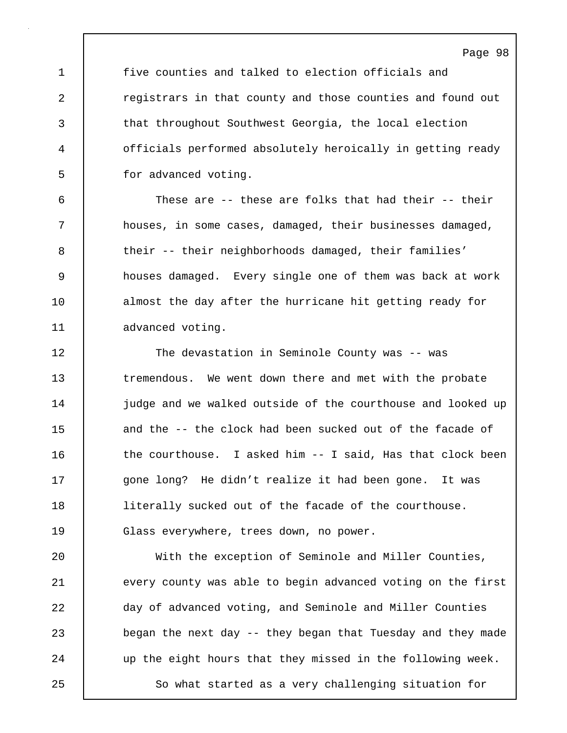1 five counties and talked to election officials and 2 **Parage 2** registrars in that county and those counties and found out 3 that throughout Southwest Georgia, the local election 4 officials performed absolutely heroically in getting ready 5 for advanced voting.

Page 98

6 These are -- these are folks that had their -- their 7 houses, in some cases, damaged, their businesses damaged, 8 their -- their neighborhoods damaged, their families' 9 houses damaged. Every single one of them was back at work 10 almost the day after the hurricane hit getting ready for 11 | advanced voting.

12 The devastation in Seminole County was -- was 13 | tremendous. We went down there and met with the probate 14 **judge and we walked outside of the courthouse and looked up** 15 and the -- the clock had been sucked out of the facade of 16 the courthouse. I asked him -- I said, Has that clock been 17 | gone long? He didn't realize it had been gone. It was 18 | literally sucked out of the facade of the courthouse. 19 Glass everywhere, trees down, no power.

20 With the exception of Seminole and Miller Counties, 21 every county was able to begin advanced voting on the first 22 day of advanced voting, and Seminole and Miller Counties 23 began the next day -- they began that Tuesday and they made 24 vup the eight hours that they missed in the following week. 25 | So what started as a very challenging situation for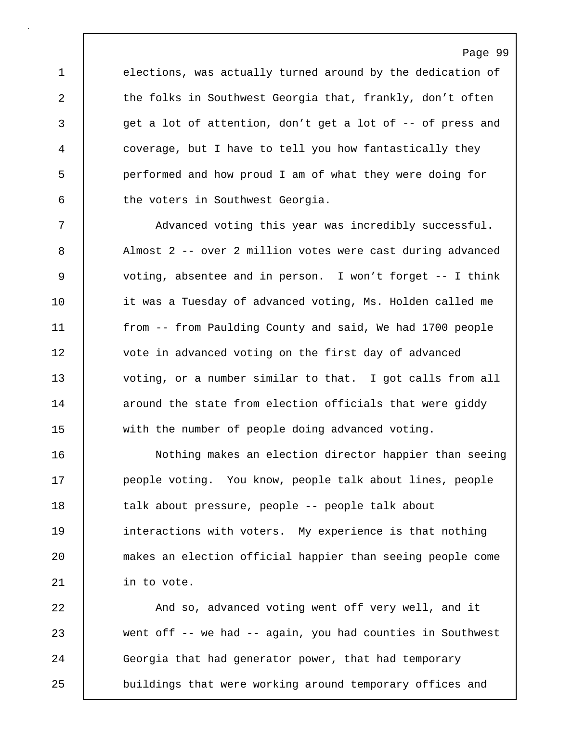1 elections, was actually turned around by the dedication of 2 the folks in Southwest Georgia that, frankly, don't often 3 get a lot of attention, don't get a lot of -- of press and 4 coverage, but I have to tell you how fantastically they 5 performed and how proud I am of what they were doing for 6 the voters in Southwest Georgia.

7 Advanced voting this year was incredibly successful. 8 Almost 2 -- over 2 million votes were cast during advanced 9 voting, absentee and in person. I won't forget -- I think 10 it was a Tuesday of advanced voting, Ms. Holden called me 11 from -- from Paulding County and said, We had 1700 people 12 vote in advanced voting on the first day of advanced 13 voting, or a number similar to that. I got calls from all 14 **around the state from election officials that were giddy** 15 with the number of people doing advanced voting.

16 Nothing makes an election director happier than seeing 17 **people voting.** You know, people talk about lines, people 18 | talk about pressure, people -- people talk about 19 **interactions with voters.** My experience is that nothing 20 makes an election official happier than seeing people come 21 | in to vote.

22 And so, advanced voting went off very well, and it 23 went off -- we had -- again, you had counties in Southwest 24 Georgia that had generator power, that had temporary 25 buildings that were working around temporary offices and

# Page 99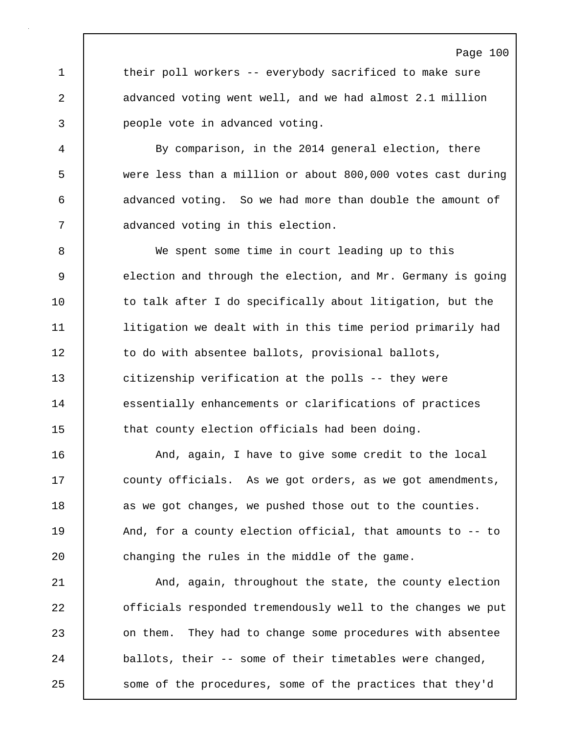1 their poll workers -- everybody sacrificed to make sure 2 advanced voting went well, and we had almost 2.1 million 3 people vote in advanced voting.

4 By comparison, in the 2014 general election, there 5 were less than a million or about 800,000 votes cast during 6 advanced voting. So we had more than double the amount of 7 | advanced voting in this election.

8 We spent some time in court leading up to this 9 election and through the election, and Mr. Germany is going 10 | to talk after I do specifically about litigation, but the 11 litigation we dealt with in this time period primarily had 12 | to do with absentee ballots, provisional ballots, 13 citizenship verification at the polls -- they were 14 essentially enhancements or clarifications of practices 15 that county election officials had been doing.

16 | And, again, I have to give some credit to the local 17 | county officials. As we got orders, as we got amendments, 18 as we got changes, we pushed those out to the counties. 19 | And, for a county election official, that amounts to -- to 20 **changing the rules in the middle of the game.** 

21 | And, again, throughout the state, the county election 22 officials responded tremendously well to the changes we put 23 **on them.** They had to change some procedures with absentee 24 ballots, their -- some of their timetables were changed, 25 | some of the procedures, some of the practices that they'd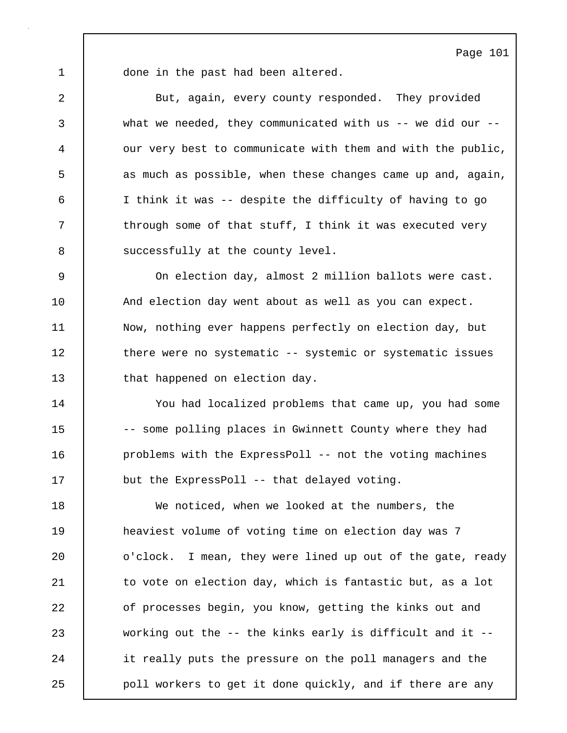1 | done in the past had been altered.

2 But, again, every county responded. They provided 3 what we needed, they communicated with us -- we did our -- 4 our very best to communicate with them and with the public, 5 as much as possible, when these changes came up and, again, 6 I think it was -- despite the difficulty of having to go 7 Through some of that stuff, I think it was executed very 8 | successfully at the county level.

9 On election day, almost 2 million ballots were cast. 10 | And election day went about as well as you can expect. 11 Now, nothing ever happens perfectly on election day, but 12 there were no systematic -- systemic or systematic issues 13 that happened on election day.

14 You had localized problems that came up, you had some 15 -- some polling places in Gwinnett County where they had 16 | problems with the ExpressPoll -- not the voting machines 17 but the ExpressPoll -- that delayed voting.

18 We noticed, when we looked at the numbers, the 19 | heaviest volume of voting time on election day was 7 20 **o'clock.** I mean, they were lined up out of the gate, ready 21 | to vote on election day, which is fantastic but, as a lot 22 of processes begin, you know, getting the kinks out and 23 working out the -- the kinks early is difficult and it -- 24 it really puts the pressure on the poll managers and the 25 **poll workers to get it done quickly, and if there are any**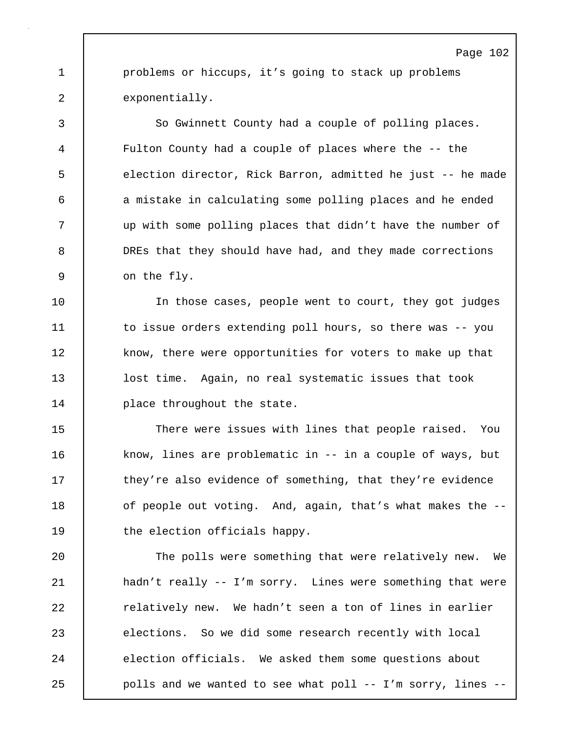1 problems or hiccups, it's going to stack up problems 2 exponentially.

3 So Gwinnett County had a couple of polling places. 4 Fulton County had a couple of places where the -- the 5 election director, Rick Barron, admitted he just -- he made 6 a mistake in calculating some polling places and he ended 7 up with some polling places that didn't have the number of 8 DREs that they should have had, and they made corrections 9 on the fly.

10 | The those cases, people went to court, they got judges 11 to issue orders extending poll hours, so there was -- you 12 | know, there were opportunities for voters to make up that 13 lost time. Again, no real systematic issues that took 14 | place throughout the state.

15 There were issues with lines that people raised. You 16 know, lines are problematic in -- in a couple of ways, but 17 they're also evidence of something, that they're evidence 18 of people out voting. And, again, that's what makes the --19 the election officials happy.

20 The polls were something that were relatively new. We 21 hadn't really -- I'm sorry. Lines were something that were 22 **Parame Exercise 1** relatively new. We hadn't seen a ton of lines in earlier 23 elections. So we did some research recently with local 24 election officials. We asked them some questions about 25 | polls and we wanted to see what poll -- I'm sorry, lines --

## Page 102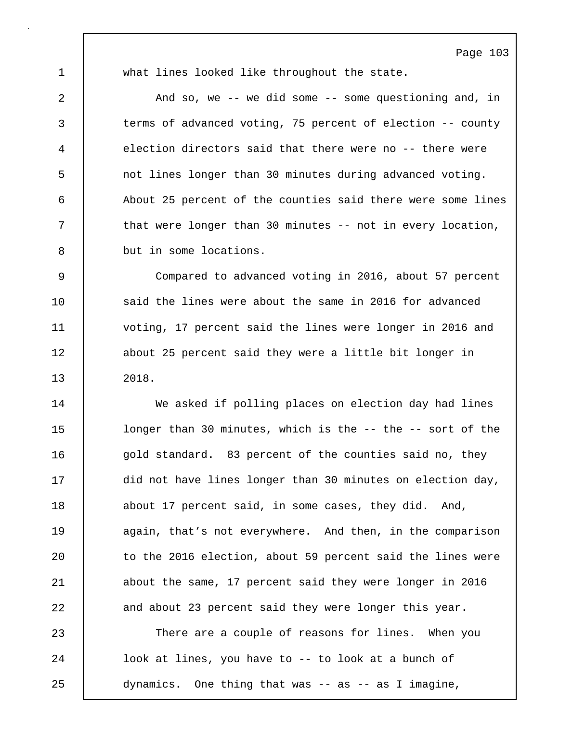1 what lines looked like throughout the state.

2 And so, we -- we did some -- some questioning and, in 3 terms of advanced voting, 75 percent of election -- county 4 election directors said that there were no -- there were 5 not lines longer than 30 minutes during advanced voting. 6 About 25 percent of the counties said there were some lines 7 T that were longer than 30 minutes -- not in every location, 8 but in some locations.

9 Compared to advanced voting in 2016, about 57 percent 10 | said the lines were about the same in 2016 for advanced 11 voting, 17 percent said the lines were longer in 2016 and 12 about 25 percent said they were a little bit longer in 13 2018.

14 | We asked if polling places on election day had lines 15 | longer than 30 minutes, which is the -- the -- sort of the 16 gold standard. 83 percent of the counties said no, they 17 | did not have lines longer than 30 minutes on election day, 18 about 17 percent said, in some cases, they did. And, 19 again, that's not everywhere. And then, in the comparison 20 | to the 2016 election, about 59 percent said the lines were 21 about the same, 17 percent said they were longer in 2016 22 and about 23 percent said they were longer this year.

23 There are a couple of reasons for lines. When you 24 | look at lines, you have to -- to look at a bunch of 25 dynamics. One thing that was -- as -- as I imagine,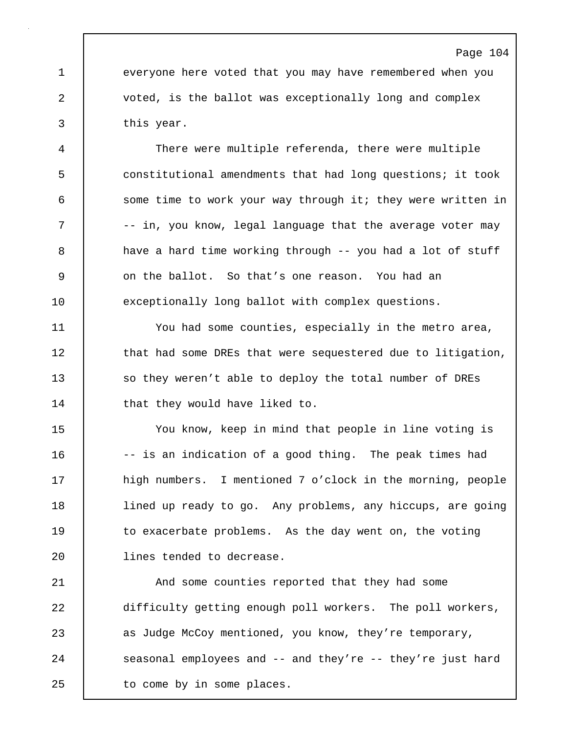1 everyone here voted that you may have remembered when you 2 voted, is the ballot was exceptionally long and complex 3 this year.

4 There were multiple referenda, there were multiple 5 constitutional amendments that had long questions; it took 6 some time to work your way through it; they were written in 7 |  $-$  in, you know, legal language that the average voter may 8 a have a hard time working through -- you had a lot of stuff 9 | on the ballot. So that's one reason. You had an 10 exceptionally long ballot with complex questions.

11 You had some counties, especially in the metro area, 12 that had some DREs that were sequestered due to litigation, 13 so they weren't able to deploy the total number of DREs 14 that they would have liked to.

15 You know, keep in mind that people in line voting is 16 | -- is an indication of a good thing. The peak times had 17 | high numbers. I mentioned 7 o'clock in the morning, people 18 **lined up ready to go. Any problems, any hiccups, are going** 19 to exacerbate problems. As the day went on, the voting 20 | lines tended to decrease.

21 | And some counties reported that they had some 22 difficulty getting enough poll workers. The poll workers, 23 as Judge McCoy mentioned, you know, they're temporary, 24 | seasonal employees and -- and they're -- they're just hard 25 | to come by in some places.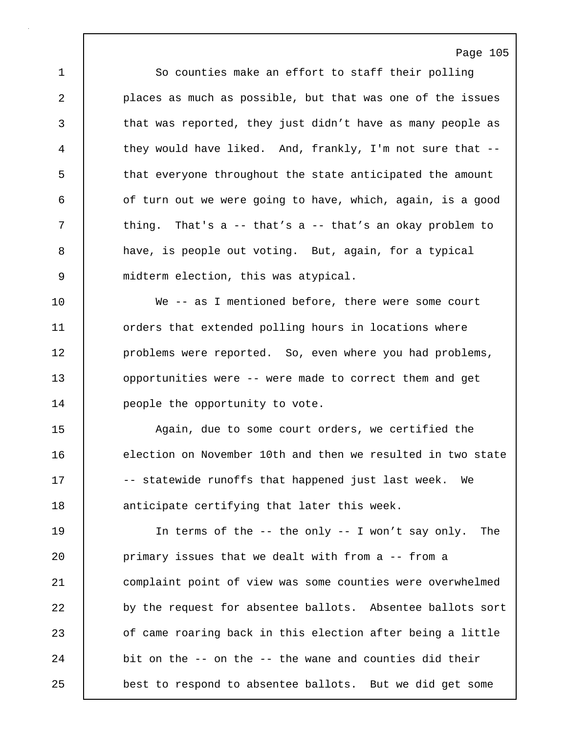Page 105 1 So counties make an effort to staff their polling 2 places as much as possible, but that was one of the issues 3 that was reported, they just didn't have as many people as 4 they would have liked. And, frankly, I'm not sure that --5 that everyone throughout the state anticipated the amount 6 **6** of turn out we were going to have, which, again, is a good 7 | thing. That's a -- that's a -- that's an okay problem to 8 have, is people out voting. But, again, for a typical 9 midterm election, this was atypical.

10 We -- as I mentioned before, there were some court 11 **decis** orders that extended polling hours in locations where 12 | problems were reported. So, even where you had problems, 13 **opportunities were -- were made to correct them and get** 14 **people the opportunity to vote.** 

15 Again, due to some court orders, we certified the 16 election on November 10th and then we resulted in two state 17 | -- statewide runoffs that happened just last week. We 18 anticipate certifying that later this week.

19 In terms of the -- the only -- I won't say only. The 20 **primary issues that we dealt with from a -- from a** 21 complaint point of view was some counties were overwhelmed 22 by the request for absentee ballots. Absentee ballots sort 23 **b** of came roaring back in this election after being a little 24 bit on the -- on the -- the wane and counties did their 25 best to respond to absentee ballots. But we did get some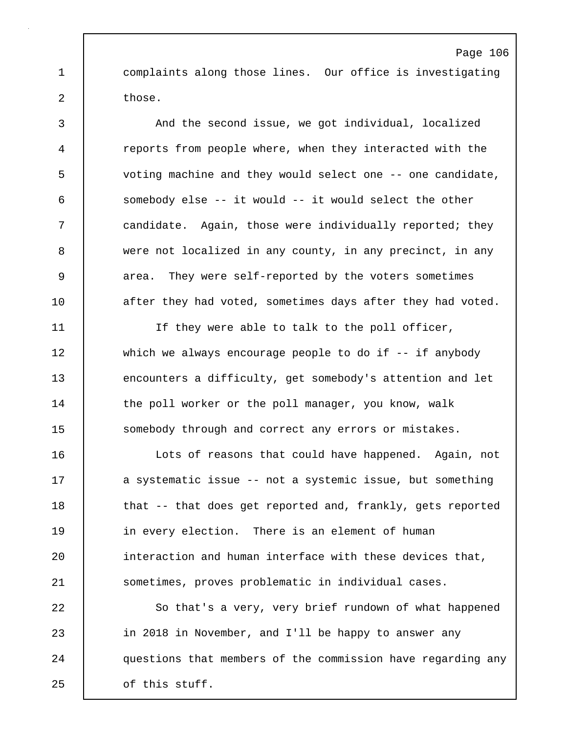1 complaints along those lines. Our office is investigating 2 those.

Page 106

3 And the second issue, we got individual, localized 4 reports from people where, when they interacted with the 5 voting machine and they would select one -- one candidate, 6 somebody else -- it would -- it would select the other 7 candidate. Again, those were individually reported; they 8 were not localized in any county, in any precinct, in any 9 area. They were self-reported by the voters sometimes 10 **after they had voted, sometimes days after they had voted.** 

11 If they were able to talk to the poll officer, 12 which we always encourage people to do if -- if anybody 13 encounters a difficulty, get somebody's attention and let 14 the poll worker or the poll manager, you know, walk 15 Somebody through and correct any errors or mistakes.

16 | Lots of reasons that could have happened. Again, not 17 | a systematic issue -- not a systemic issue, but something 18 | that -- that does get reported and, frankly, gets reported 19 | in every election. There is an element of human 20 **interaction and human interface with these devices that,** 21 sometimes, proves problematic in individual cases.

22 So that's a very, very brief rundown of what happened 23 in 2018 in November, and I'll be happy to answer any 24 questions that members of the commission have regarding any 25 of this stuff.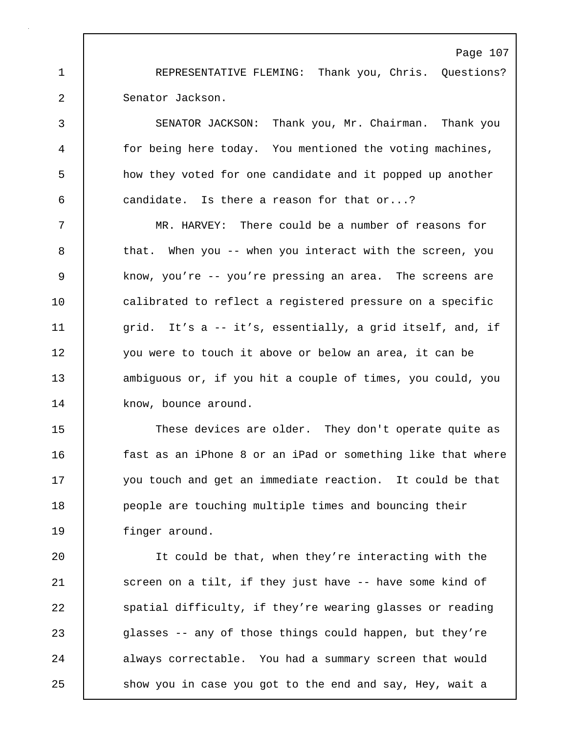1 REPRESENTATIVE FLEMING: Thank you, Chris. Questions? 2 Senator Jackson.

3 SENATOR JACKSON: Thank you, Mr. Chairman. Thank you 4 for being here today. You mentioned the voting machines, 5 how they voted for one candidate and it popped up another 6 candidate. Is there a reason for that or...?

7 MR. HARVEY: There could be a number of reasons for 8 that. When you -- when you interact with the screen, you 9 know, you're -- you're pressing an area. The screens are 10 **calibrated to reflect a registered pressure on a specific** 11 grid. It's a -- it's, essentially, a grid itself, and, if 12 you were to touch it above or below an area, it can be 13 ambiguous or, if you hit a couple of times, you could, you 14 know, bounce around.

15 These devices are older. They don't operate quite as 16 fast as an iPhone 8 or an iPad or something like that where 17 you touch and get an immediate reaction. It could be that 18 **people are touching multiple times and bouncing their** 19 finger around.

20 It could be that, when they're interacting with the 21 | screen on a tilt, if they just have -- have some kind of 22 spatial difficulty, if they're wearing glasses or reading 23 glasses -- any of those things could happen, but they're 24 always correctable. You had a summary screen that would 25 | show you in case you got to the end and say, Hey, wait a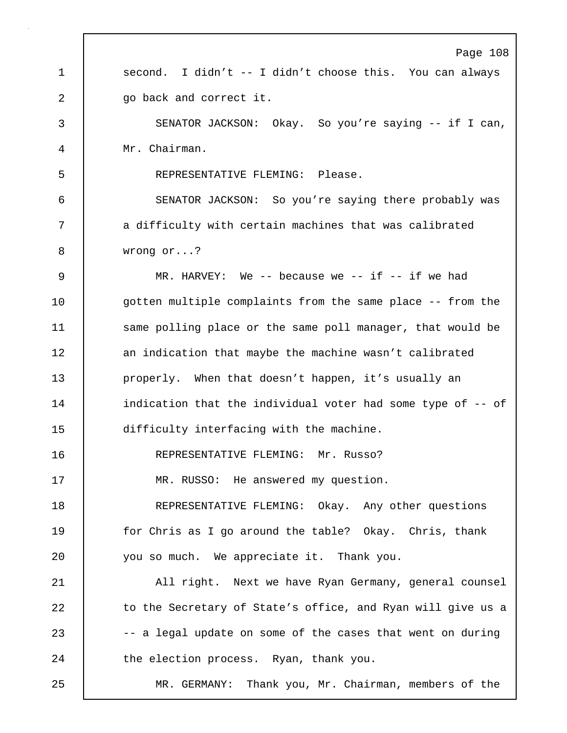|    | Page 108                                                    |
|----|-------------------------------------------------------------|
| 1  | second. I didn't -- I didn't choose this. You can always    |
| 2  | go back and correct it.                                     |
| 3  | SENATOR JACKSON: Okay. So you're saying -- if I can,        |
| 4  | Mr. Chairman.                                               |
| 5  | REPRESENTATIVE FLEMING: Please.                             |
| 6  | SENATOR JACKSON: So you're saying there probably was        |
| 7  | a difficulty with certain machines that was calibrated      |
| 8  | wrong $or?$                                                 |
| 9  | MR. HARVEY: We -- because we -- if -- if we had             |
| 10 | gotten multiple complaints from the same place -- from the  |
| 11 | same polling place or the same poll manager, that would be  |
| 12 | an indication that maybe the machine wasn't calibrated      |
| 13 | properly. When that doesn't happen, it's usually an         |
| 14 | indication that the individual voter had some type of -- of |
| 15 | difficulty interfacing with the machine.                    |
| 16 | REPRESENTATIVE FLEMING: Mr. Russo?                          |
| 17 | MR. RUSSO: He answered my question.                         |
| 18 | REPRESENTATIVE FLEMING: Okay. Any other questions           |
| 19 | for Chris as I go around the table? Okay. Chris, thank      |
| 20 | you so much. We appreciate it. Thank you.                   |
| 21 | All right. Next we have Ryan Germany, general counsel       |
| 22 | to the Secretary of State's office, and Ryan will give us a |
| 23 | -- a legal update on some of the cases that went on during  |
| 24 | the election process. Ryan, thank you.                      |
| 25 | MR. GERMANY: Thank you, Mr. Chairman, members of the        |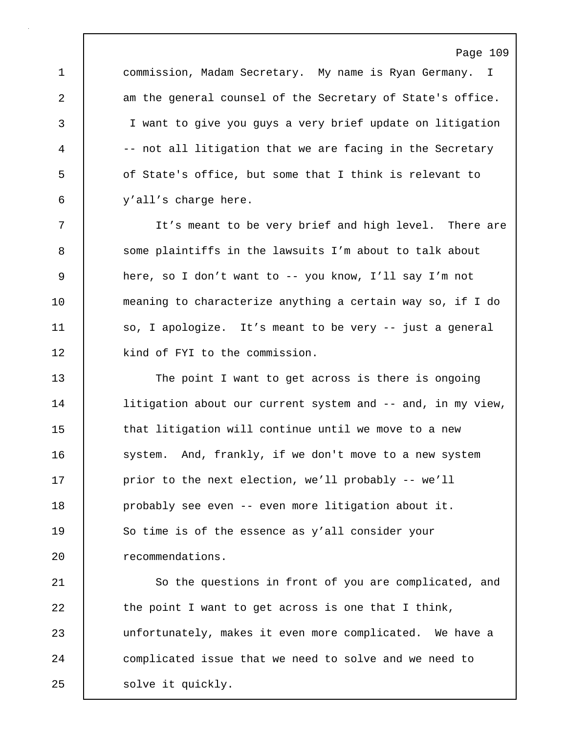1 commission, Madam Secretary. My name is Ryan Germany. I 2 am the general counsel of the Secretary of State's office. 3 I want to give you guys a very brief update on litigation 4 -- not all litigation that we are facing in the Secretary 5 of State's office, but some that I think is relevant to 6 y'all's charge here.

7 It's meant to be very brief and high level. There are 8 Some plaintiffs in the lawsuits I'm about to talk about 9 here, so I don't want to -- you know, I'll say I'm not 10 | meaning to characterize anything a certain way so, if I do 11 | so, I apologize. It's meant to be very -- just a general 12 | kind of FYI to the commission.

13 The point I want to get across is there is ongoing 14 | litigation about our current system and -- and, in my view, 15 **that litigation will continue until we move to a new** 16 system. And, frankly, if we don't move to a new system 17 | prior to the next election, we'll probably -- we'll 18 | probably see even -- even more litigation about it. 19 So time is of the essence as y'all consider your 20 **c** recommendations.

21 | So the questions in front of you are complicated, and 22 the point I want to get across is one that I think, 23 unfortunately, makes it even more complicated. We have a 24 complicated issue that we need to solve and we need to 25 | solve it quickly.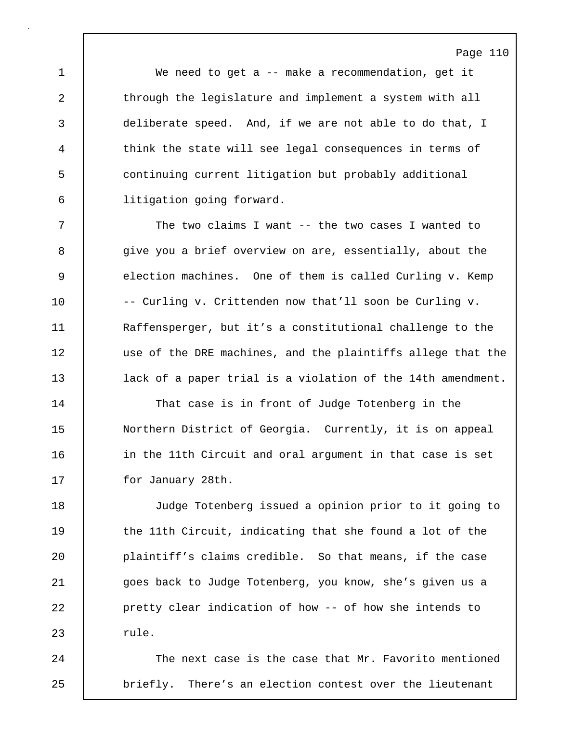1 We need to get a -- make a recommendation, get it 2 through the legislature and implement a system with all 3 deliberate speed. And, if we are not able to do that, I 4 think the state will see legal consequences in terms of 5 continuing current litigation but probably additional 6 litigation going forward.

7 The two claims I want -- the two cases I wanted to 8 give you a brief overview on are, essentially, about the 9 election machines. One of them is called Curling v. Kemp 10 -- Curling v. Crittenden now that'll soon be Curling v. 11 Raffensperger, but it's a constitutional challenge to the 12 use of the DRE machines, and the plaintiffs allege that the 13 **lack of a paper trial is a violation of the 14th amendment.** 

14 That case is in front of Judge Totenberg in the 15 Northern District of Georgia. Currently, it is on appeal 16 | in the 11th Circuit and oral argument in that case is set 17 | for January 28th.

18 Judge Totenberg issued a opinion prior to it going to 19 the 11th Circuit, indicating that she found a lot of the 20 plaintiff's claims credible. So that means, if the case 21 goes back to Judge Totenberg, you know, she's given us a 22 **pretty clear indication of how -- of how she intends to**  $23$  rule.

24 The next case is the case that Mr. Favorito mentioned 25 briefly. There's an election contest over the lieutenant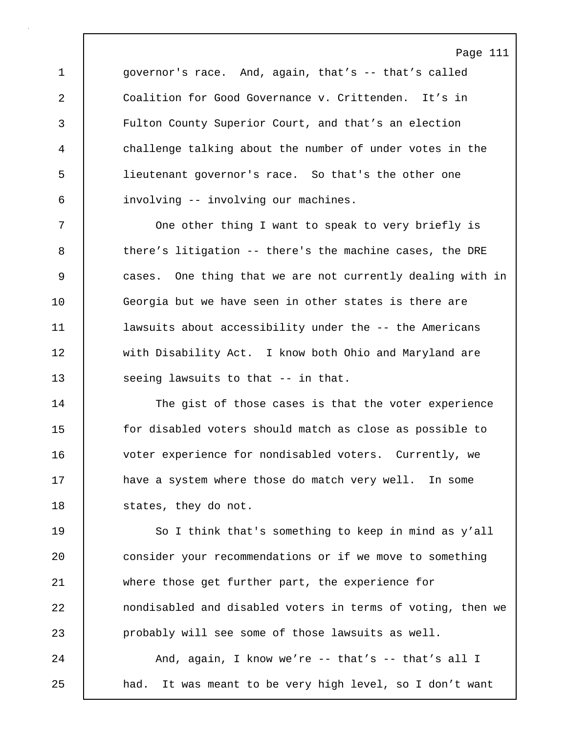1 governor's race. And, again, that's -- that's called 2 Coalition for Good Governance v. Crittenden. It's in 3 Fulton County Superior Court, and that's an election 4 challenge talking about the number of under votes in the 5 lieutenant governor's race. So that's the other one 6 involving -- involving our machines.

7 | One other thing I want to speak to very briefly is 8 there's litigation -- there's the machine cases, the DRE 9 cases. One thing that we are not currently dealing with in 10 Georgia but we have seen in other states is there are 11 lawsuits about accessibility under the -- the Americans 12 | with Disability Act. I know both Ohio and Maryland are 13 Seeing lawsuits to that -- in that.

14 | The gist of those cases is that the voter experience 15 for disabled voters should match as close as possible to 16 voter experience for nondisabled voters. Currently, we 17 have a system where those do match very well. In some 18 | states, they do not.

19 | So I think that's something to keep in mind as y'all 20 consider your recommendations or if we move to something 21 where those get further part, the experience for 22 **nondisabled and disabled voters in terms of voting, then we** 23 probably will see some of those lawsuits as well. 24 And, again, I know we're -- that's -- that's all I

25 | had. It was meant to be very high level, so I don't want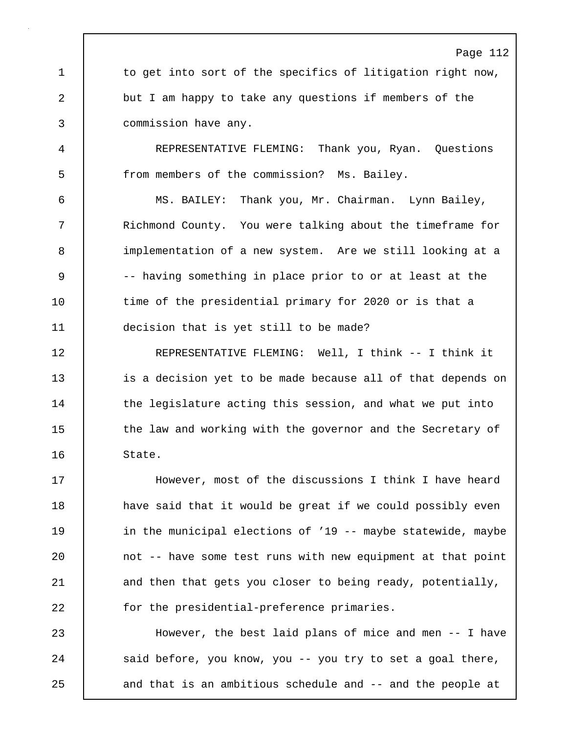Page 112 1 to get into sort of the specifics of litigation right now, 2 but I am happy to take any questions if members of the 3 commission have any. 4 REPRESENTATIVE FLEMING: Thank you, Ryan. Questions 5 from members of the commission? Ms. Bailey. 6 MS. BAILEY: Thank you, Mr. Chairman. Lynn Bailey, 7 Richmond County. You were talking about the timeframe for 8 | implementation of a new system. Are we still looking at a 9 -- having something in place prior to or at least at the 10 time of the presidential primary for 2020 or is that a 11 **decision that is yet still to be made?** 12 REPRESENTATIVE FLEMING: Well, I think -- I think it 13 is a decision yet to be made because all of that depends on 14 The legislature acting this session, and what we put into 15 | the law and working with the governor and the Secretary of 16 State. 17 However, most of the discussions I think I have heard 18 | have said that it would be great if we could possibly even 19 **in the municipal elections of '19 -- maybe statewide, maybe** 20 not -- have some test runs with new equipment at that point 21 and then that gets you closer to being ready, potentially, 22 **for the presidential-preference primaries.** 23 However, the best laid plans of mice and men -- I have

24 Said before, you know, you -- you try to set a goal there,

25 and that is an ambitious schedule and -- and the people at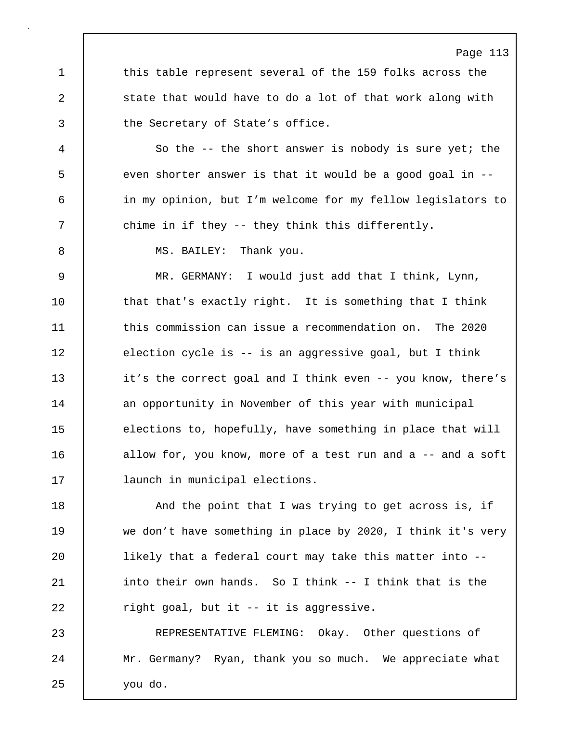1 this table represent several of the 159 folks across the 2 | state that would have to do a lot of that work along with 3 the Secretary of State's office.

4 So the -- the short answer is nobody is sure yet; the 5 even shorter answer is that it would be a good goal in --6 in my opinion, but I'm welcome for my fellow legislators to 7 | chime in if they -- they think this differently.

8 | MS. BAILEY: Thank you.

9 MR. GERMANY: I would just add that I think, Lynn, 10 that that's exactly right. It is something that I think 11 **this commission can issue a recommendation on.** The 2020 12 election cycle is -- is an aggressive goal, but I think 13 it's the correct goal and I think even -- you know, there's 14 an opportunity in November of this year with municipal 15 elections to, hopefully, have something in place that will 16 allow for, you know, more of a test run and a -- and a soft 17 launch in municipal elections.

18 And the point that I was trying to get across is, if 19 we don't have something in place by 2020, I think it's very 20 | likely that a federal court may take this matter into --21 into their own hands. So I think -- I think that is the 22  $\vert$  right goal, but it -- it is aggressive.

23 REPRESENTATIVE FLEMING: Okay. Other questions of 24 | Mr. Germany? Ryan, thank you so much. We appreciate what 25 you do.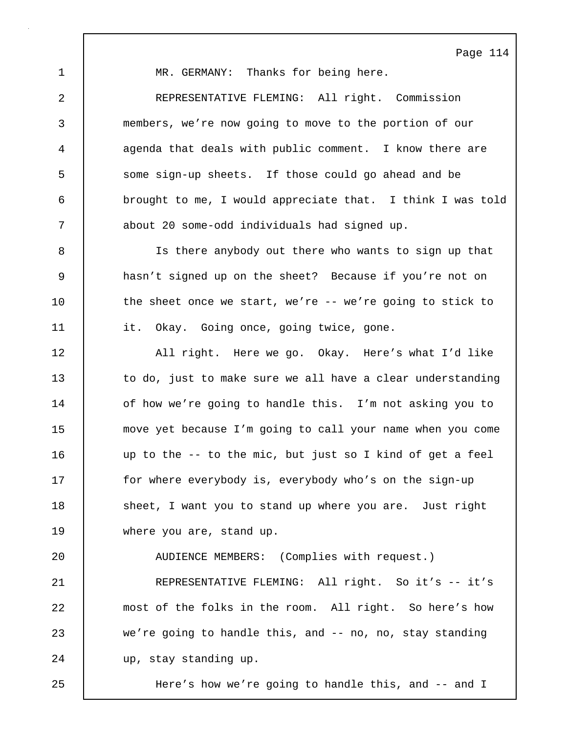1 | MR. GERMANY: Thanks for being here.

2 REPRESENTATIVE FLEMING: All right. Commission 3 members, we're now going to move to the portion of our 4 agenda that deals with public comment. I know there are 5 some sign-up sheets. If those could go ahead and be 6 brought to me, I would appreciate that. I think I was told 7 about 20 some-odd individuals had signed up.

8 Is there anybody out there who wants to sign up that 9 hasn't signed up on the sheet? Because if you're not on 10 the sheet once we start, we're -- we're going to stick to 11 | it. Okay. Going once, going twice, gone.

12 | All right. Here we go. Okay. Here's what I'd like 13 to do, just to make sure we all have a clear understanding 14 | of how we're going to handle this. I'm not asking you to 15 move yet because I'm going to call your name when you come 16 up to the -- to the mic, but just so I kind of get a feel 17 | for where everybody is, everybody who's on the sign-up 18 Sheet, I want you to stand up where you are. Just right 19 where you are, stand up.

20 AUDIENCE MEMBERS: (Complies with request.)

21 REPRESENTATIVE FLEMING: All right. So it's -- it's 22 most of the folks in the room. All right. So here's how 23 we're going to handle this, and -- no, no, stay standing 24 vp, stay standing up.

25 Here's how we're going to handle this, and -- and I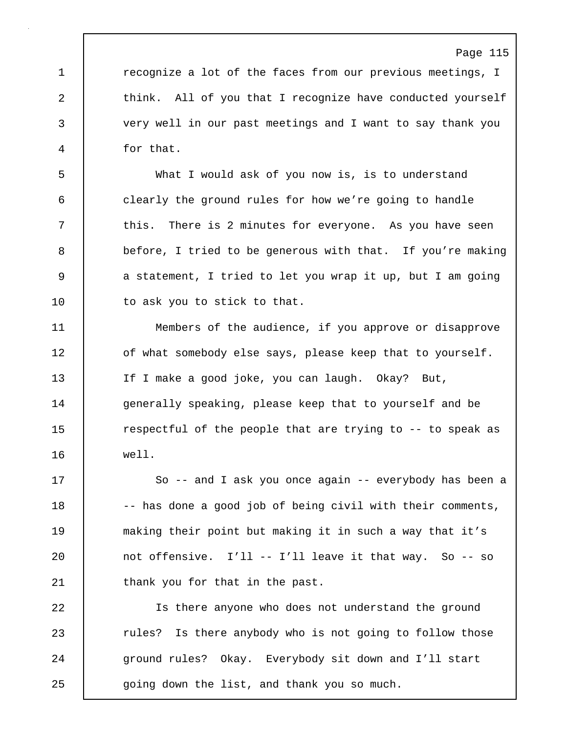1 **1** recognize a lot of the faces from our previous meetings, I 2 think. All of you that I recognize have conducted yourself 3 very well in our past meetings and I want to say thank you 4 for that.

5 What I would ask of you now is, is to understand 6 clearly the ground rules for how we're going to handle 7 this. There is 2 minutes for everyone. As you have seen 8 before, I tried to be generous with that. If you're making 9 a statement, I tried to let you wrap it up, but I am going 10 | to ask you to stick to that.

11 Members of the audience, if you approve or disapprove 12 | of what somebody else says, please keep that to yourself. 13 | If I make a good joke, you can laugh. Okay? But, 14 | generally speaking, please keep that to yourself and be 15 The respectful of the people that are trying to -- to speak as 16 well.

17 So -- and I ask you once again -- everybody has been a 18 -- has done a good job of being civil with their comments, 19 making their point but making it in such a way that it's 20  $\vert$  not offensive. I'll -- I'll leave it that way. So -- so 21 thank you for that in the past.

22 Is there anyone who does not understand the ground 23 Tules? Is there anybody who is not going to follow those 24 ground rules? Okay. Everybody sit down and I'll start 25 going down the list, and thank you so much.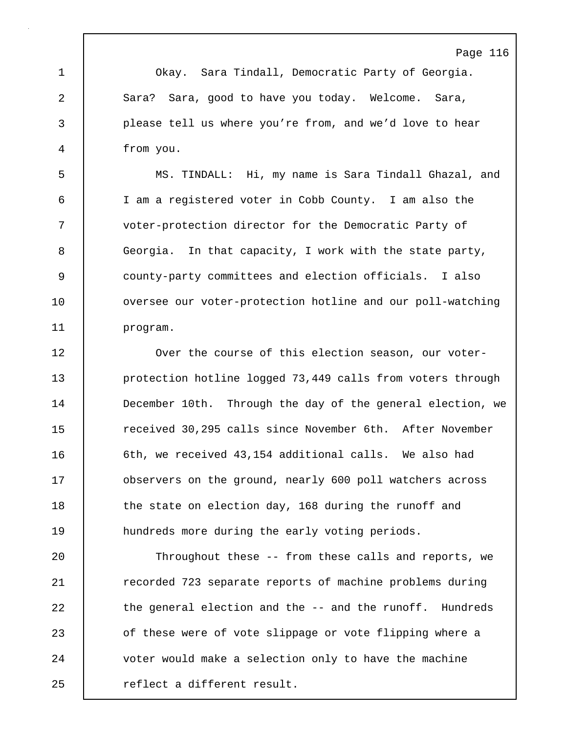1 Okay. Sara Tindall, Democratic Party of Georgia. 2 | Sara? Sara, good to have you today. Welcome. Sara, 3 please tell us where you're from, and we'd love to hear 4 from you.

5 MS. TINDALL: Hi, my name is Sara Tindall Ghazal, and 6 I am a registered voter in Cobb County. I am also the 7 voter-protection director for the Democratic Party of 8 Georgia. In that capacity, I work with the state party, 9 county-party committees and election officials. I also 10 | oversee our voter-protection hotline and our poll-watching 11 program.

**Over the course of this election season, our voter-protection hotline logged 73,449 calls from voters through December 10th.** Through the day of the general election, we 15 Terratived 30,295 calls since November 6th. After November 16 | 6th, we received 43,154 additional calls. We also had **b** observers on the ground, nearly 600 poll watchers across 18 the state on election day, 168 during the runoff and **hundreds more during the early voting periods.** 

20 Throughout these -- from these calls and reports, we 21 The recorded 723 separate reports of machine problems during 22 the general election and the -- and the runoff. Hundreds 23 of these were of vote slippage or vote flipping where a 24 voter would make a selection only to have the machine 25 | reflect a different result.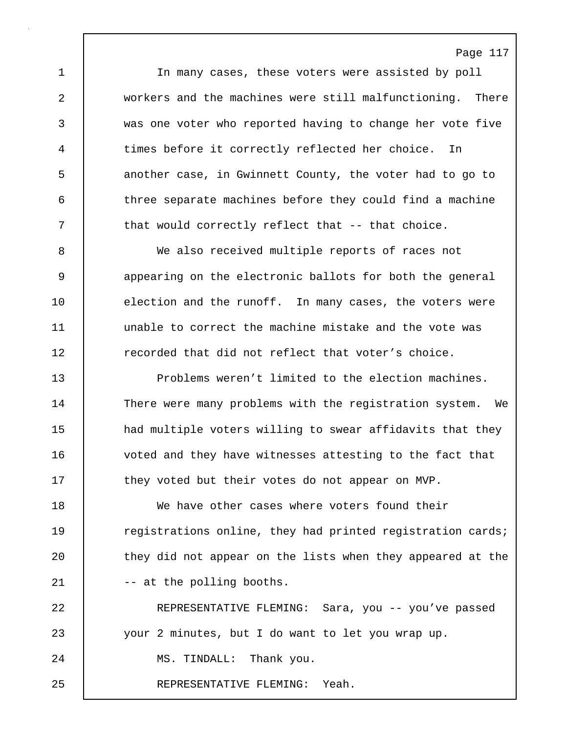1 In many cases, these voters were assisted by poll 2 workers and the machines were still malfunctioning. There 3 was one voter who reported having to change her vote five 4 times before it correctly reflected her choice. In 5 another case, in Gwinnett County, the voter had to go to 6 three separate machines before they could find a machine 7 | that would correctly reflect that -- that choice.

8 We also received multiple reports of races not 9 9 appearing on the electronic ballots for both the general 10 election and the runoff. In many cases, the voters were 11 unable to correct the machine mistake and the vote was 12 **Follow** recorded that did not reflect that voter's choice.

13 Problems weren't limited to the election machines. 14 There were many problems with the registration system. We 15 **had multiple voters willing to swear affidavits that they** 16 voted and they have witnesses attesting to the fact that 17 they voted but their votes do not appear on MVP.

18 We have other cases where voters found their 19 Teqistrations online, they had printed registration cards; 20 they did not appear on the lists when they appeared at the 21 | -- at the polling booths.

22 REPRESENTATIVE FLEMING: Sara, you -- you've passed 23 your 2 minutes, but I do want to let you wrap up. 24 | MS. TINDALL: Thank you. 25 REPRESENTATIVE FLEMING: Yeah.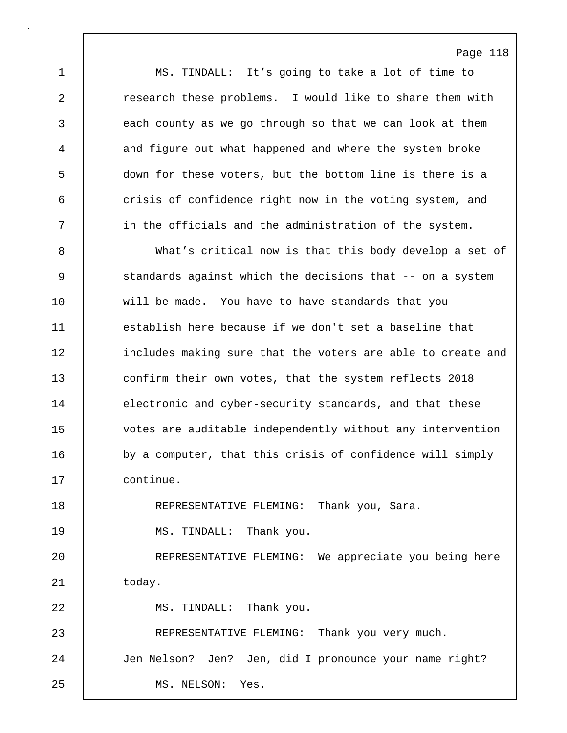1 MS. TINDALL: It's going to take a lot of time to 2 **Fig.** research these problems. I would like to share them with 3 each county as we go through so that we can look at them 4 and figure out what happened and where the system broke 5 down for these voters, but the bottom line is there is a 6 crisis of confidence right now in the voting system, and 7 | in the officials and the administration of the system.

8 What's critical now is that this body develop a set of 9 Standards against which the decisions that -- on a system 10 will be made. You have to have standards that you 11 establish here because if we don't set a baseline that 12 includes making sure that the voters are able to create and 13 confirm their own votes, that the system reflects 2018 14 electronic and cyber-security standards, and that these 15 votes are auditable independently without any intervention 16 by a computer, that this crisis of confidence will simply 17 continue. 18 REPRESENTATIVE FLEMING: Thank you, Sara.

19 | MS. TINDALL: Thank you. 20 REPRESENTATIVE FLEMING: We appreciate you being here

21 today. 22 | MS. TINDALL: Thank you. 23 REPRESENTATIVE FLEMING: Thank you very much. 24 Jen Nelson? Jen? Jen, did I pronounce your name right? 25 MS. NELSON: Yes.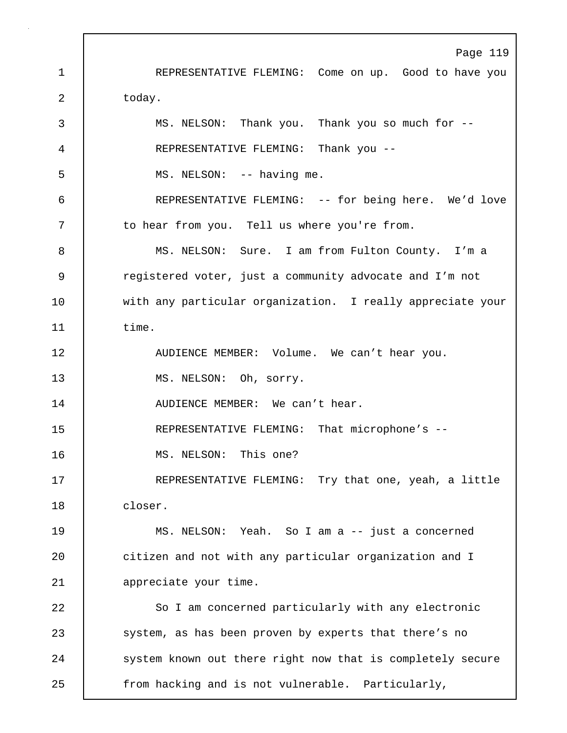Page 119 1 REPRESENTATIVE FLEMING: Come on up. Good to have you 2 today. 3 MS. NELSON: Thank you. Thank you so much for -- 4 REPRESENTATIVE FLEMING: Thank you -- 5 MS. NELSON: -- having me. 6 REPRESENTATIVE FLEMING: -- for being here. We'd love 7 | to hear from you. Tell us where you're from. 8 MS. NELSON: Sure. I am from Fulton County. I'm a 9 | registered voter, just a community advocate and I'm not 10 with any particular organization. I really appreciate your 11 time. 12 | AUDIENCE MEMBER: Volume. We can't hear you. 13 | MS. NELSON: Oh, sorry. 14 | AUDIENCE MEMBER: We can't hear. 15 REPRESENTATIVE FLEMING: That microphone's --16 | MS. NELSON: This one? 17 REPRESENTATIVE FLEMING: Try that one, yeah, a little 18 closer. 19 MS. NELSON: Yeah. So I am a -- just a concerned 20 **citizen and not with any particular organization and I** 21 | appreciate your time. 22 So I am concerned particularly with any electronic 23 system, as has been proven by experts that there's no 24 System known out there right now that is completely secure 25 from hacking and is not vulnerable. Particularly,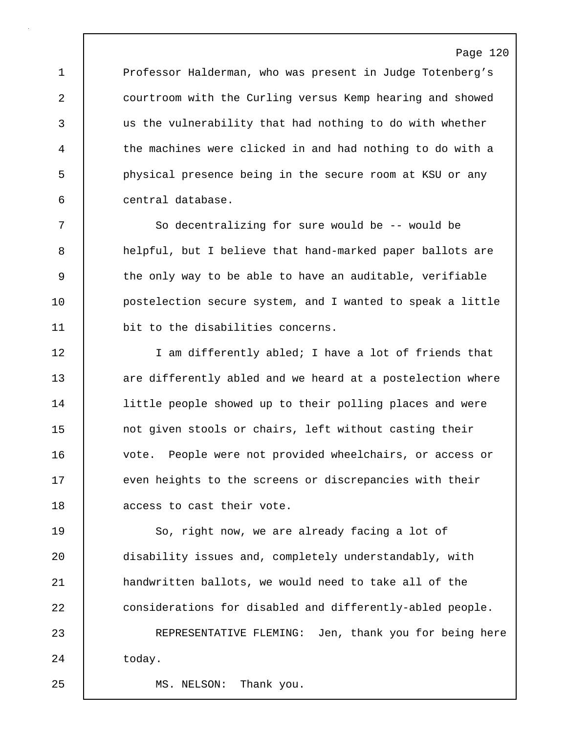1 Professor Halderman, who was present in Judge Totenberg's 2 courtroom with the Curling versus Kemp hearing and showed 3 us the vulnerability that had nothing to do with whether 4 the machines were clicked in and had nothing to do with a 5 physical presence being in the secure room at KSU or any 6 central database.

7 So decentralizing for sure would be -- would be 8 helpful, but I believe that hand-marked paper ballots are 9 the only way to be able to have an auditable, verifiable 10 **postelection secure system, and I wanted to speak a little** 11 bit to the disabilities concerns.

12 I am differently abled; I have a lot of friends that 13 are differently abled and we heard at a postelection where 14 little people showed up to their polling places and were 15 not given stools or chairs, left without casting their 16 vote. People were not provided wheelchairs, or access or 17 even heights to the screens or discrepancies with their 18 | access to cast their vote.

19 So, right now, we are already facing a lot of 20 disability issues and, completely understandably, with 21 handwritten ballots, we would need to take all of the 22 considerations for disabled and differently-abled people. 23 REPRESENTATIVE FLEMING: Jen, thank you for being here

24 today.

25 MS. NELSON: Thank you.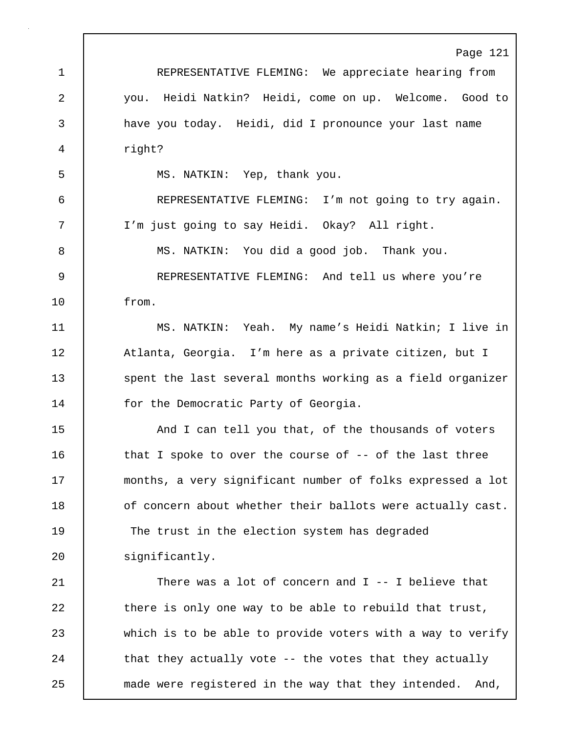Page 121 1 REPRESENTATIVE FLEMING: We appreciate hearing from 2 you. Heidi Natkin? Heidi, come on up. Welcome. Good to 3 have you today. Heidi, did I pronounce your last name 4 right? 5 | MS. NATKIN: Yep, thank you. 6 REPRESENTATIVE FLEMING: I'm not going to try again. 7 I'm just going to say Heidi. Okay? All right. 8 | MS. NATKIN: You did a good job. Thank you. 9 REPRESENTATIVE FLEMING: And tell us where you're 10 from. 11 MS. NATKIN: Yeah. My name's Heidi Natkin; I live in 12 | Atlanta, Georgia. I'm here as a private citizen, but I 13 Spent the last several months working as a field organizer 14 | for the Democratic Party of Georgia. 15 And I can tell you that, of the thousands of voters 16 | that I spoke to over the course of -- of the last three 17 months, a very significant number of folks expressed a lot 18 of concern about whether their ballots were actually cast. 19 The trust in the election system has degraded 20 significantly. 21 There was a lot of concern and I -- I believe that 22 there is only one way to be able to rebuild that trust, 23 which is to be able to provide voters with a way to verify 24 | that they actually vote -- the votes that they actually 25 made were registered in the way that they intended. And,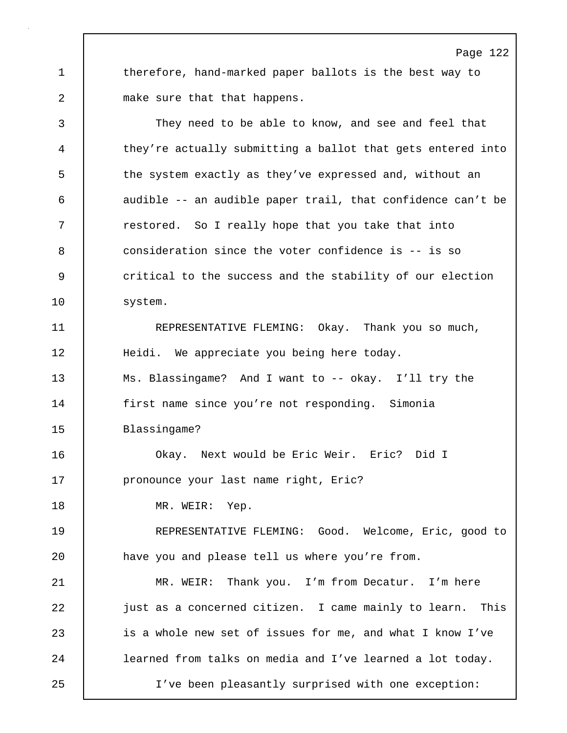1 therefore, hand-marked paper ballots is the best way to 2 make sure that that happens.

3 They need to be able to know, and see and feel that 4 they're actually submitting a ballot that gets entered into 5 the system exactly as they've expressed and, without an 6 audible -- an audible paper trail, that confidence can't be 7 The restored. So I really hope that you take that into 8 consideration since the voter confidence is -- is so 9 critical to the success and the stability of our election 10 | system. 11 REPRESENTATIVE FLEMING: Okay. Thank you so much, 12 | Heidi. We appreciate you being here today. 13 Ms. Blassingame? And I want to -- okay. I'll try the 14 | first name since you're not responding. Simonia 15 Blassingame? 16 Okay. Next would be Eric Weir. Eric? Did I 17 **pronounce your last name right, Eric?** 18 | MR. WEIR: Yep. 19 REPRESENTATIVE FLEMING: Good. Welcome, Eric, good to 20 have you and please tell us where you're from. 21 MR. WEIR: Thank you. I'm from Decatur. I'm here 22 **just as a concerned citizen.** I came mainly to learn. This 23 is a whole new set of issues for me, and what I know I've 24 | learned from talks on media and I've learned a lot today. 25 I've been pleasantly surprised with one exception: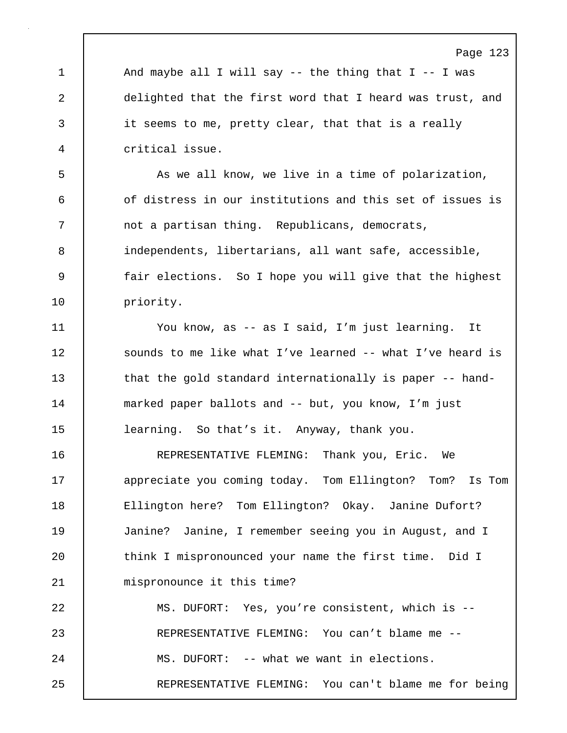1 | And maybe all I will say -- the thing that I -- I was 2 delighted that the first word that I heard was trust, and 3 it seems to me, pretty clear, that that is a really 4 critical issue.

5 As we all know, we live in a time of polarization, 6 of distress in our institutions and this set of issues is 7 | not a partisan thing. Republicans, democrats, 8 independents, libertarians, all want safe, accessible, 9 | fair elections. So I hope you will give that the highest 10 | priority.

11 You know, as -- as I said, I'm just learning. It 12 | sounds to me like what I've learned -- what I've heard is 13 that the gold standard internationally is paper -- hand-14 marked paper ballots and -- but, you know, I'm just 15 learning. So that's it. Anyway, thank you.

16 REPRESENTATIVE FLEMING: Thank you, Eric. We 17 **appreciate you coming today.** Tom Ellington? Tom? Is Tom 18 | Ellington here? Tom Ellington? Okay. Janine Dufort? 19 Janine? Janine, I remember seeing you in August, and I 20 | think I mispronounced your name the first time. Did I 21 | mispronounce it this time? 22 MS. DUFORT: Yes, you're consistent, which is --

23 | REPRESENTATIVE FLEMING: You can't blame me --24 MS. DUFORT: -- what we want in elections. 25 REPRESENTATIVE FLEMING: You can't blame me for being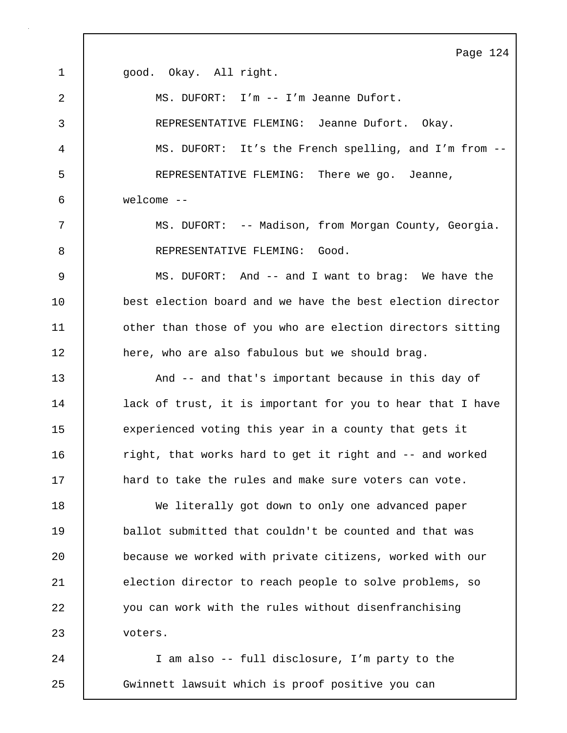Page 124 1 | qood. Okay. All right. 2 MS. DUFORT: I'm -- I'm Jeanne Dufort. 3 REPRESENTATIVE FLEMING: Jeanne Dufort. Okay. 4 MS. DUFORT: It's the French spelling, and I'm from -- 5 REPRESENTATIVE FLEMING: There we go. Jeanne, 6 welcome -- 7 MS. DUFORT: -- Madison, from Morgan County, Georgia. 8 REPRESENTATIVE FLEMING: Good. 9 MS. DUFORT: And -- and I want to brag: We have the 10 **best election board and we have the best election director** 11 | other than those of you who are election directors sitting 12 here, who are also fabulous but we should brag. 13 **And -- and that's important because in this day of** 14 | lack of trust, it is important for you to hear that I have 15 experienced voting this year in a county that gets it 16 | right, that works hard to get it right and -- and worked 17 **hard to take the rules and make sure voters can vote.** 18 We literally got down to only one advanced paper 19 ballot submitted that couldn't be counted and that was 20 because we worked with private citizens, worked with our 21 election director to reach people to solve problems, so 22 you can work with the rules without disenfranchising 23 voters. 24 I am also -- full disclosure, I'm party to the

25 Gwinnett lawsuit which is proof positive you can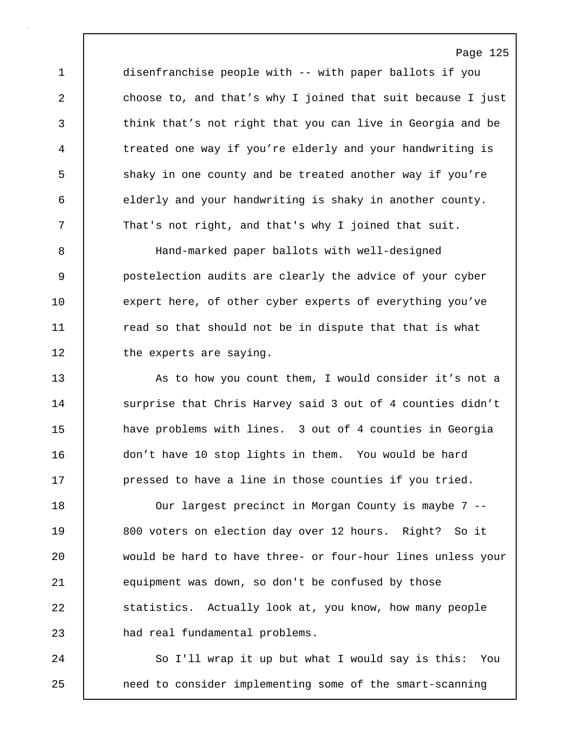1 disenfranchise people with -- with paper ballots if you 2 choose to, and that's why I joined that suit because I just 3 think that's not right that you can live in Georgia and be 4 treated one way if you're elderly and your handwriting is 5 shaky in one county and be treated another way if you're 6 elderly and your handwriting is shaky in another county. 7 That's not right, and that's why I joined that suit.

8 Hand-marked paper ballots with well-designed 9 postelection audits are clearly the advice of your cyber 10 expert here, of other cyber experts of everything you've 11 The read so that should not be in dispute that that is what 12 | the experts are saying.

13 As to how you count them, I would consider it's not a 14 Surprise that Chris Harvey said 3 out of 4 counties didn't 15 **have problems with lines.** 3 out of 4 counties in Georgia 16 don't have 10 stop lights in them. You would be hard 17 **pressed to have a line in those counties if you tried.** 

18 Our largest precinct in Morgan County is maybe 7 -- 19 | 800 voters on election day over 12 hours. Right? So it 20 would be hard to have three- or four-hour lines unless your 21 equipment was down, so don't be confused by those 22 Statistics. Actually look at, you know, how many people 23 | had real fundamental problems.

24 So I'll wrap it up but what I would say is this: You 25 need to consider implementing some of the smart-scanning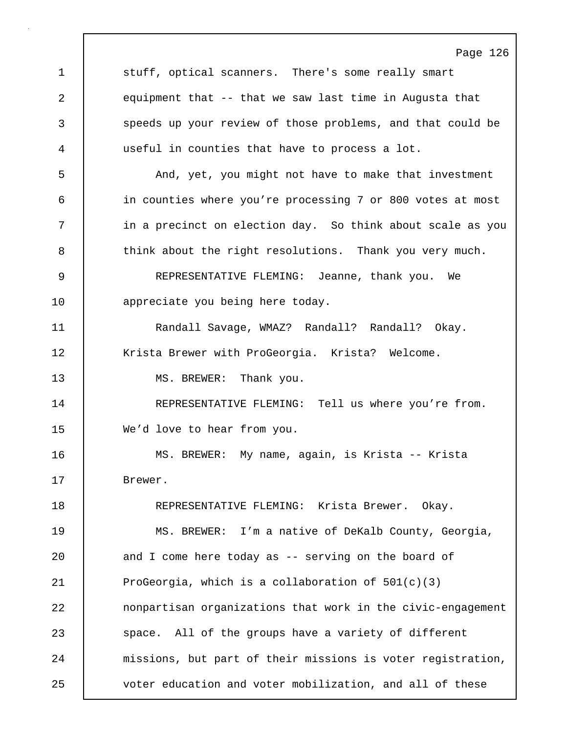Page 126 1 stuff, optical scanners. There's some really smart 2 equipment that -- that we saw last time in Augusta that 3 speeds up your review of those problems, and that could be 4 useful in counties that have to process a lot. 5 | And, yet, you might not have to make that investment 6 in counties where you're processing 7 or 800 votes at most 7 | in a precinct on election day. So think about scale as you 8 think about the right resolutions. Thank you very much. 9 REPRESENTATIVE FLEMING: Jeanne, thank you. We 10 | appreciate you being here today. 11 Randall Savage, WMAZ? Randall? Randall? Okay. 12 | Krista Brewer with ProGeorgia. Krista? Welcome. 13 | MS. BREWER: Thank you. 14 REPRESENTATIVE FLEMING: Tell us where you're from. 15 We'd love to hear from you. 16 MS. BREWER: My name, again, is Krista -- Krista 17 Brewer. 18 | REPRESENTATIVE FLEMING: Krista Brewer. Okay. 19 MS. BREWER: I'm a native of DeKalb County, Georgia, 20 and I come here today as -- serving on the board of 21 ProGeorgia, which is a collaboration of 501(c)(3) 22 nonpartisan organizations that work in the civic-engagement 23 space. All of the groups have a variety of different 24 missions, but part of their missions is voter registration, 25 voter education and voter mobilization, and all of these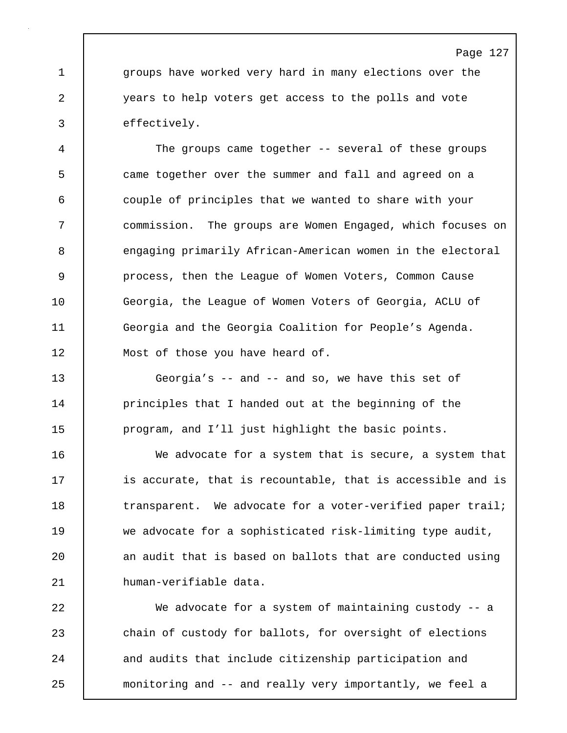1 groups have worked very hard in many elections over the 2 years to help voters get access to the polls and vote 3 effectively.

4 The groups came together -- several of these groups 5 came together over the summer and fall and agreed on a 6 couple of principles that we wanted to share with your 7 commission. The groups are Women Engaged, which focuses on 8 engaging primarily African-American women in the electoral 9 process, then the League of Women Voters, Common Cause 10 Georgia, the League of Women Voters of Georgia, ACLU of 11 Georgia and the Georgia Coalition for People's Agenda. 12 Most of those you have heard of.

13 Georgia's -- and -- and so, we have this set of 14 | principles that I handed out at the beginning of the 15 program, and I'll just highlight the basic points.

16 We advocate for a system that is secure, a system that 17 **is accurate, that is recountable, that is accessible and is** 18 transparent. We advocate for a voter-verified paper trail; 19 we advocate for a sophisticated risk-limiting type audit, 20 | an audit that is based on ballots that are conducted using 21 human-verifiable data.

22 We advocate for a system of maintaining custody -- a 23 chain of custody for ballots, for oversight of elections 24 and audits that include citizenship participation and 25 monitoring and -- and really very importantly, we feel a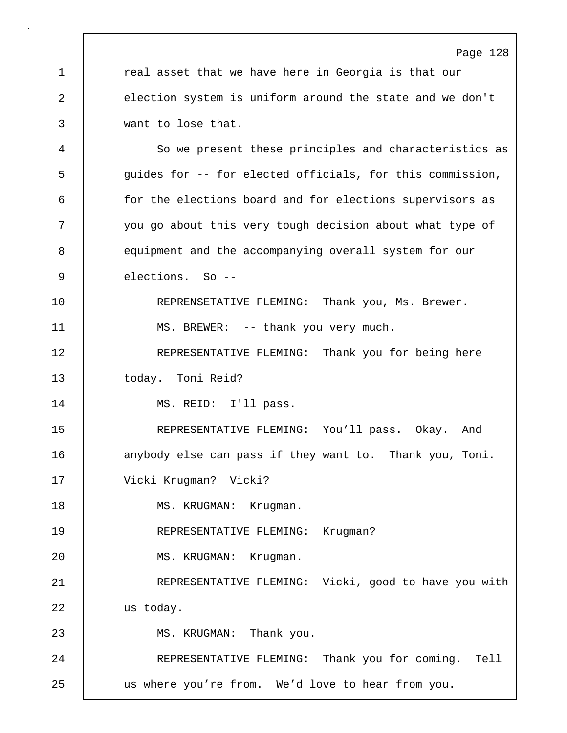Page 128 1 | real asset that we have here in Georgia is that our 2 election system is uniform around the state and we don't 3 want to lose that. 4 So we present these principles and characteristics as 5 guides for -- for elected officials, for this commission, 6 for the elections board and for elections supervisors as 7 you go about this very tough decision about what type of 8 equipment and the accompanying overall system for our 9 elections. So -- 10 REPRENSETATIVE FLEMING: Thank you, Ms. Brewer. 11 | MS. BREWER: -- thank you very much. 12 REPRESENTATIVE FLEMING: Thank you for being here 13 today. Toni Reid? 14 | MS. REID: I'll pass. 15 REPRESENTATIVE FLEMING: You'll pass. Okay. And 16 anybody else can pass if they want to. Thank you, Toni. 17 Vicki Krugman? Vicki? 18 | MS. KRUGMAN: Krugman. 19 | REPRESENTATIVE FLEMING: Krugman? 20 | MS. KRUGMAN: Krugman. 21 | REPRESENTATIVE FLEMING: Vicki, good to have you with 22 us today. 23 | MS. KRUGMAN: Thank you. 24 | REPRESENTATIVE FLEMING: Thank you for coming. Tell 25 us where you're from. We'd love to hear from you.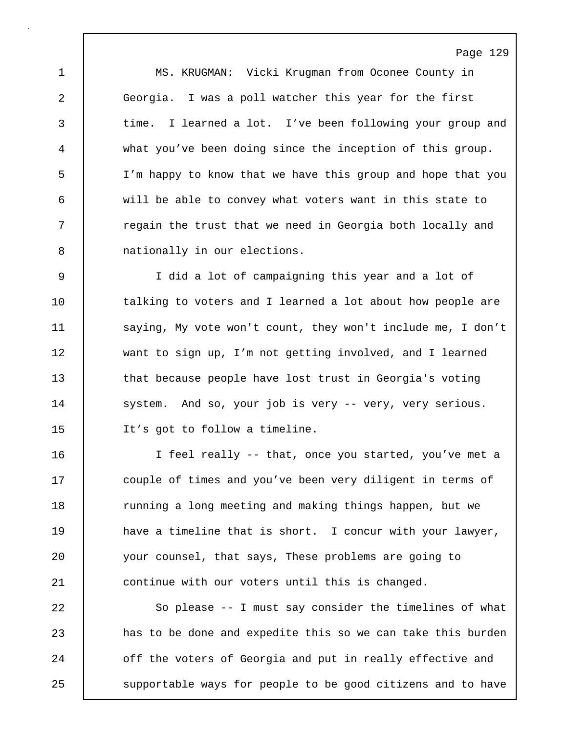1 MS. KRUGMAN: Vicki Krugman from Oconee County in 2 Georgia. I was a poll watcher this year for the first 3 time. I learned a lot. I've been following your group and 4 what you've been doing since the inception of this group. 5 I'm happy to know that we have this group and hope that you 6 will be able to convey what voters want in this state to 7 T regain the trust that we need in Georgia both locally and 8 mationally in our elections.

Page 129

9 I did a lot of campaigning this year and a lot of 10 talking to voters and I learned a lot about how people are 11 saying, My vote won't count, they won't include me, I don't 12 want to sign up, I'm not getting involved, and I learned 13 that because people have lost trust in Georgia's voting 14 system. And so, your job is very -- very, very serious. 15 It's got to follow a timeline.

16 I feel really -- that, once you started, you've met a 17 | couple of times and you've been very diligent in terms of 18 Tunning a long meeting and making things happen, but we 19 **have a timeline that is short.** I concur with your lawyer, 20 your counsel, that says, These problems are going to 21 continue with our voters until this is changed.

22 So please -- I must say consider the timelines of what 23 has to be done and expedite this so we can take this burden 24 **o** off the voters of Georgia and put in really effective and 25 | supportable ways for people to be good citizens and to have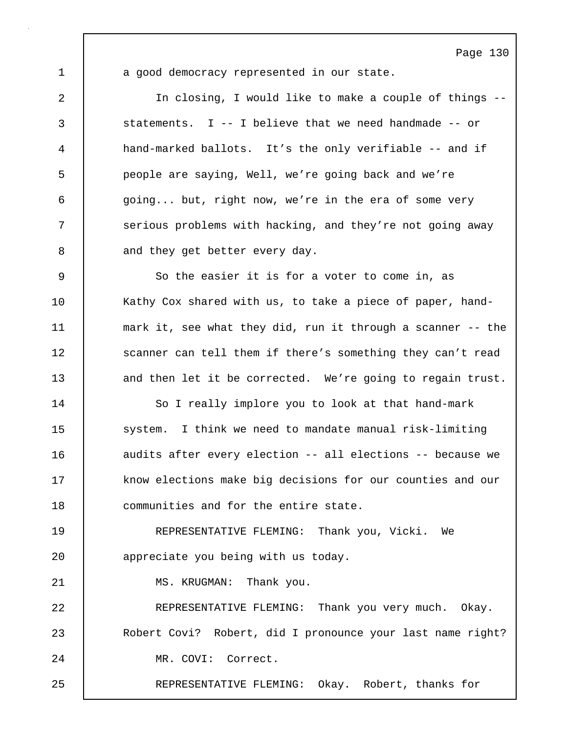1 a good democracy represented in our state.

2 In closing, I would like to make a couple of things -- 3 statements. I -- I believe that we need handmade -- or 4 hand-marked ballots. It's the only verifiable -- and if 5 people are saying, Well, we're going back and we're 6 going... but, right now, we're in the era of some very 7 Serious problems with hacking, and they're not going away 8 and they get better every day. 9 So the easier it is for a voter to come in, as 10 | Kathy Cox shared with us, to take a piece of paper, hand-11 mark it, see what they did, run it through a scanner -- the 12 | scanner can tell them if there's something they can't read 13 and then let it be corrected. We're going to regain trust.

14 | So I really implore you to look at that hand-mark 15 system. I think we need to mandate manual risk-limiting 16 **dece** audits after every election -- all elections -- because we 17 know elections make big decisions for our counties and our 18 communities and for the entire state.

19 REPRESENTATIVE FLEMING: Thank you, Vicki. We 20 **appreciate you being with us today.** 

21 | MS. KRUGMAN: Thank you.

22 REPRESENTATIVE FLEMING: Thank you very much. Okay. 23 Robert Covi? Robert, did I pronounce your last name right? 24 MR. COVI: Correct.

25 | REPRESENTATIVE FLEMING: Okay. Robert, thanks for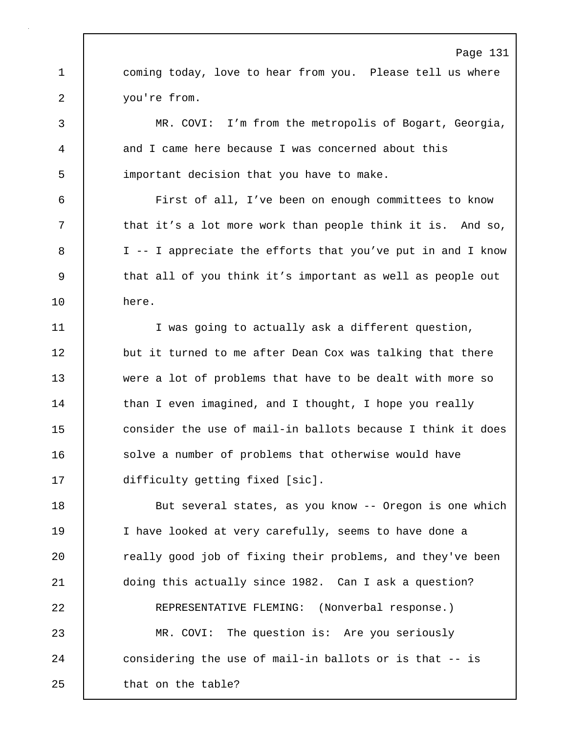Page 131 1 coming today, love to hear from you. Please tell us where 2 you're from. 3 MR. COVI: I'm from the metropolis of Bogart, Georgia, 4 and I came here because I was concerned about this 5 important decision that you have to make. 6 First of all, I've been on enough committees to know 7 | that it's a lot more work than people think it is. And so, 8 | I -- I appreciate the efforts that you've put in and I know 9 that all of you think it's important as well as people out 10 here. 11 | I was going to actually ask a different question, 12 but it turned to me after Dean Cox was talking that there 13 were a lot of problems that have to be dealt with more so 14 | than I even imagined, and I thought, I hope you really 15 **consider the use of mail-in ballots because** I think it does 16 **Solve a number of problems that otherwise would have** 17 difficulty getting fixed [sic]. 18 | But several states, as you know -- Oregon is one which 19 I have looked at very carefully, seems to have done a 20 **c** really good job of fixing their problems, and they've been 21 doing this actually since 1982. Can I ask a question? 22 REPRESENTATIVE FLEMING: (Nonverbal response.) 23 MR. COVI: The question is: Are you seriously 24 considering the use of mail-in ballots or is that -- is 25 | that on the table?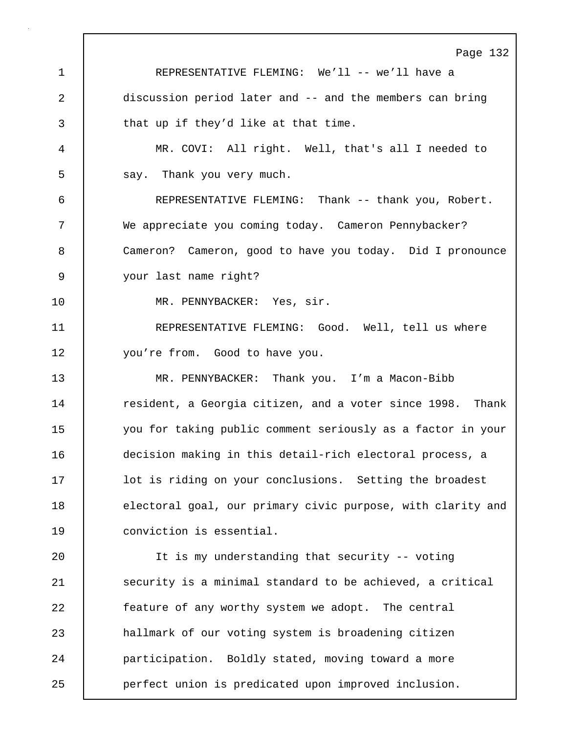Page 132 1 REPRESENTATIVE FLEMING: We'll -- we'll have a 2 discussion period later and -- and the members can bring 3 That up if they'd like at that time. 4 MR. COVI: All right. Well, that's all I needed to 5 say. Thank you very much. 6 REPRESENTATIVE FLEMING: Thank -- thank you, Robert. 7 We appreciate you coming today. Cameron Pennybacker? 8 Cameron? Cameron, good to have you today. Did I pronounce 9 your last name right? 10 | MR. PENNYBACKER: Yes, sir. 11 | REPRESENTATIVE FLEMING: Good. Well, tell us where 12 | you're from. Good to have you. 13 MR. PENNYBACKER: Thank you. I'm a Macon-Bibb 14 Tesident, a Georgia citizen, and a voter since 1998. Thank 15 you for taking public comment seriously as a factor in your 16 decision making in this detail-rich electoral process, a 17 **lack is riding on your conclusions.** Setting the broadest 18 electoral goal, our primary civic purpose, with clarity and 19 conviction is essential. 20 It is my understanding that security -- voting 21 | security is a minimal standard to be achieved, a critical 22 feature of any worthy system we adopt. The central 23 hallmark of our voting system is broadening citizen 24 | participation. Boldly stated, moving toward a more 25 perfect union is predicated upon improved inclusion.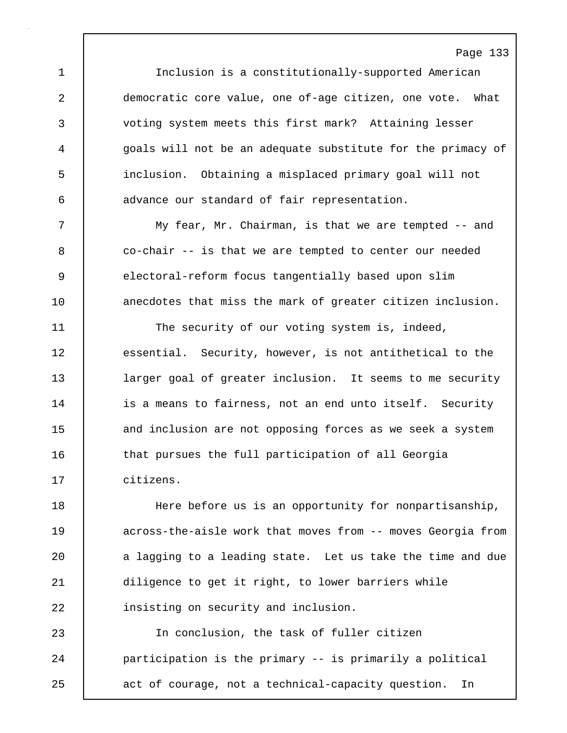1 Inclusion is a constitutionally-supported American 2 democratic core value, one of-age citizen, one vote. What 3 voting system meets this first mark? Attaining lesser 4 goals will not be an adequate substitute for the primacy of 5 inclusion. Obtaining a misplaced primary goal will not 6 advance our standard of fair representation.

7 My fear, Mr. Chairman, is that we are tempted -- and 8 co-chair -- is that we are tempted to center our needed 9 electoral-reform focus tangentially based upon slim 10 **anecdotes that miss the mark of greater citizen inclusion.** 

11 The security of our voting system is, indeed, 12 essential. Security, however, is not antithetical to the 13 **larger goal of greater inclusion.** It seems to me security 14 is a means to fairness, not an end unto itself. Security 15 and inclusion are not opposing forces as we seek a system 16 that pursues the full participation of all Georgia 17 citizens.

18 Here before us is an opportunity for nonpartisanship, 19 **19** across-the-aisle work that moves from -- moves Georgia from 20 a lagging to a leading state. Let us take the time and due 21 diligence to get it right, to lower barriers while 22 insisting on security and inclusion.

23 In conclusion, the task of fuller citizen 24 **participation is the primary -- is primarily a political** 25 act of courage, not a technical-capacity question. In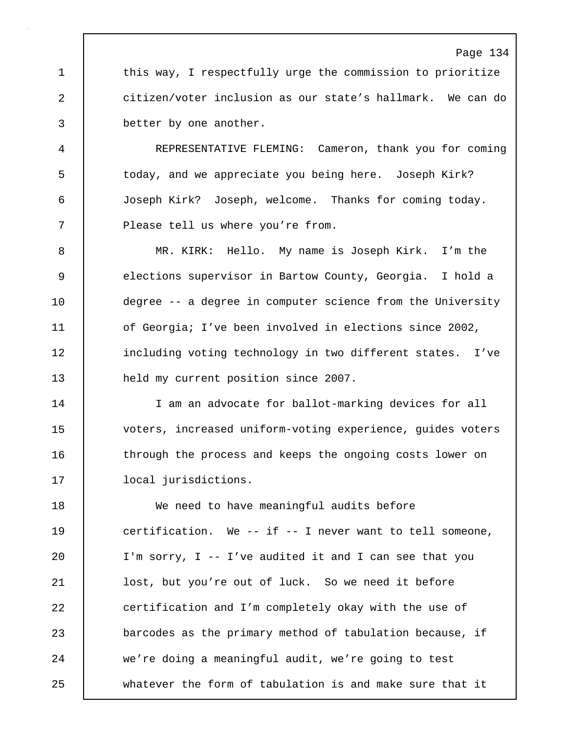1 this way, I respectfully urge the commission to prioritize 2 citizen/voter inclusion as our state's hallmark. We can do 3 better by one another.

4 REPRESENTATIVE FLEMING: Cameron, thank you for coming 5 | today, and we appreciate you being here. Joseph Kirk? 6 Joseph Kirk? Joseph, welcome. Thanks for coming today. 7 | Please tell us where you're from.

8 MR. KIRK: Hello. My name is Joseph Kirk. I'm the 9 elections supervisor in Bartow County, Georgia. I hold a 10 degree -- a degree in computer science from the University 11 **of Georgia; I've been involved in elections since 2002,** 12 including voting technology in two different states. I've 13 held my current position since 2007.

14 I am an advocate for ballot-marking devices for all 15 voters, increased uniform-voting experience, guides voters 16 through the process and keeps the ongoing costs lower on 17 local jurisdictions.

18 We need to have meaningful audits before 19 certification. We -- if -- I never want to tell someone, 20 I'm sorry, I -- I've audited it and I can see that you 21 lost, but you're out of luck. So we need it before 22 certification and I'm completely okay with the use of 23 barcodes as the primary method of tabulation because, if 24 we're doing a meaningful audit, we're going to test 25 whatever the form of tabulation is and make sure that it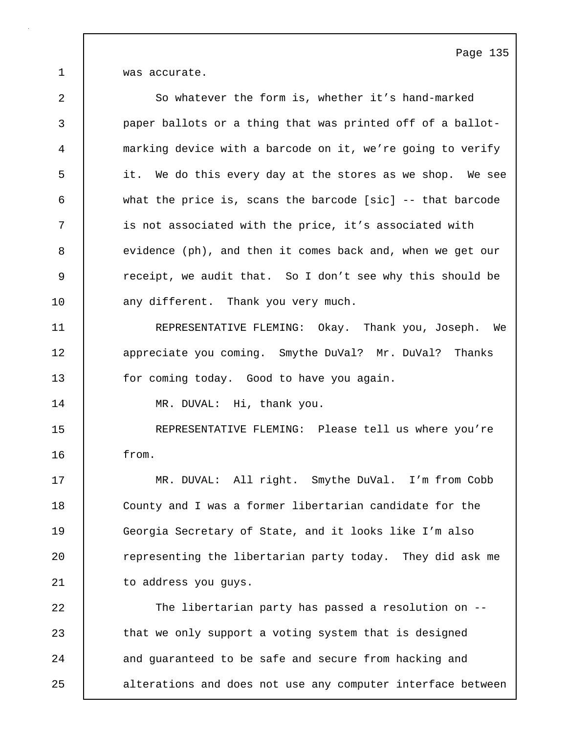1 was accurate.

| $\overline{2}$ | So whatever the form is, whether it's hand-marked            |
|----------------|--------------------------------------------------------------|
| 3              | paper ballots or a thing that was printed off of a ballot-   |
| 4              | marking device with a barcode on it, we're going to verify   |
| 5              | it. We do this every day at the stores as we shop. We see    |
| 6              | what the price is, scans the barcode [sic] $--$ that barcode |
| 7              | is not associated with the price, it's associated with       |
| 8              | evidence (ph), and then it comes back and, when we get our   |
| 9              | receipt, we audit that. So I don't see why this should be    |
| 10             | any different. Thank you very much.                          |
| 11             | REPRESENTATIVE FLEMING: Okay. Thank you, Joseph. We          |
| 12             | appreciate you coming. Smythe DuVal? Mr. DuVal? Thanks       |
| 13             | for coming today. Good to have you again.                    |
| 14             | MR. DUVAL: Hi, thank you.                                    |
| 15             | REPRESENTATIVE FLEMING: Please tell us where you're          |
| 16             | from.                                                        |
| 17             | MR. DUVAL: All right. Smythe DuVal. I'm from Cobb            |
| 18             | County and I was a former libertarian candidate for the      |
| 19             | Georgia Secretary of State, and it looks like I'm also       |
| 20             | representing the libertarian party today. They did ask me    |
| 21             | to address you guys.                                         |
| 22             | The libertarian party has passed a resolution on --          |
| 23             | that we only support a voting system that is designed        |
| 24             | and guaranteed to be safe and secure from hacking and        |
| 25             | alterations and does not use any computer interface between  |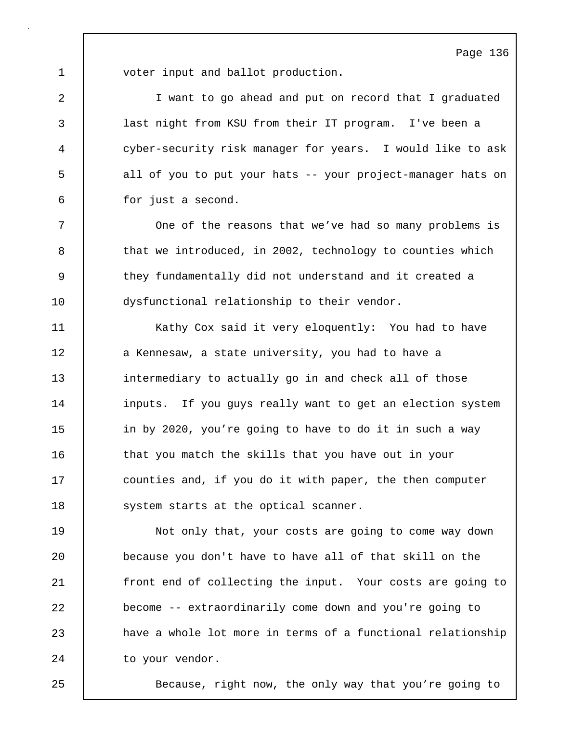1 voter input and ballot production.

2 I want to go ahead and put on record that I graduated 3 last night from KSU from their IT program. I've been a 4 cyber-security risk manager for years. I would like to ask 5 all of you to put your hats -- your project-manager hats on 6 for just a second.

7 | One of the reasons that we've had so many problems is 8 that we introduced, in 2002, technology to counties which 9 they fundamentally did not understand and it created a 10 dysfunctional relationship to their vendor.

11 | Kathy Cox said it very eloquently: You had to have 12 a Kennesaw, a state university, you had to have a 13 intermediary to actually go in and check all of those 14 | inputs. If you guys really want to get an election system 15 **i** in by 2020, you're going to have to do it in such a way 16 that you match the skills that you have out in your 17 **counties and, if you do it with paper, the then computer** 18 | system starts at the optical scanner.

19 Not only that, your costs are going to come way down 20 because you don't have to have all of that skill on the 21 **front end of collecting the input.** Your costs are going to 22 **become -- extraordinarily come down and you're going to** 23 | have a whole lot more in terms of a functional relationship 24 to your vendor.

25 Because, right now, the only way that you're going to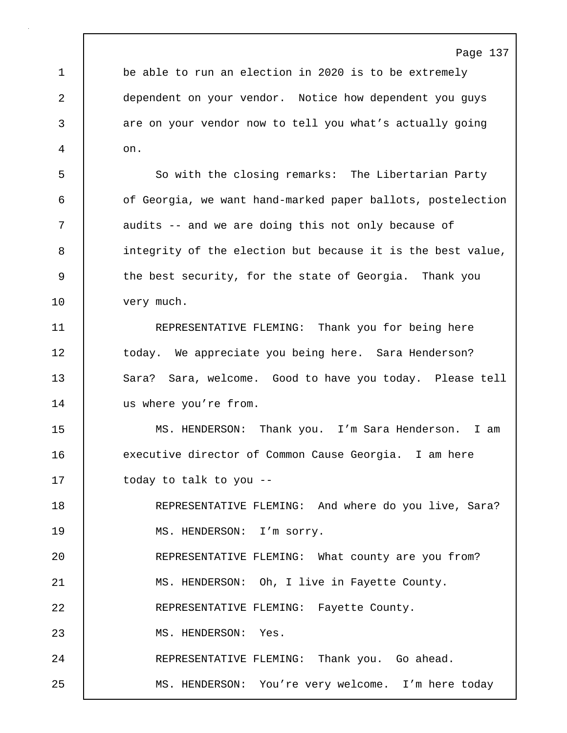1 be able to run an election in 2020 is to be extremely 2 dependent on your vendor. Notice how dependent you guys 3 are on your vendor now to tell you what's actually going 4 on.

5 So with the closing remarks: The Libertarian Party 6 **6** of Georgia, we want hand-marked paper ballots, postelection 7 audits -- and we are doing this not only because of 8 integrity of the election but because it is the best value, 9 the best security, for the state of Georgia. Thank you 10 very much.

11 REPRESENTATIVE FLEMING: Thank you for being here 12 today. We appreciate you being here. Sara Henderson? 13 Sara? Sara, welcome. Good to have you today. Please tell 14 us where you're from.

15 MS. HENDERSON: Thank you. I'm Sara Henderson. I am 16 executive director of Common Cause Georgia. I am here 17 | today to talk to you --

18 REPRESENTATIVE FLEMING: And where do you live, Sara? 19 | MS. HENDERSON: I'm sorry. 20 REPRESENTATIVE FLEMING: What county are you from? 21 | MS. HENDERSON: Oh, I live in Fayette County. 22 REPRESENTATIVE FLEMING: Fayette County. 23 | MS. HENDERSON: Yes. 24 REPRESENTATIVE FLEMING: Thank you. Go ahead. 25 MS. HENDERSON: You're very welcome. I'm here today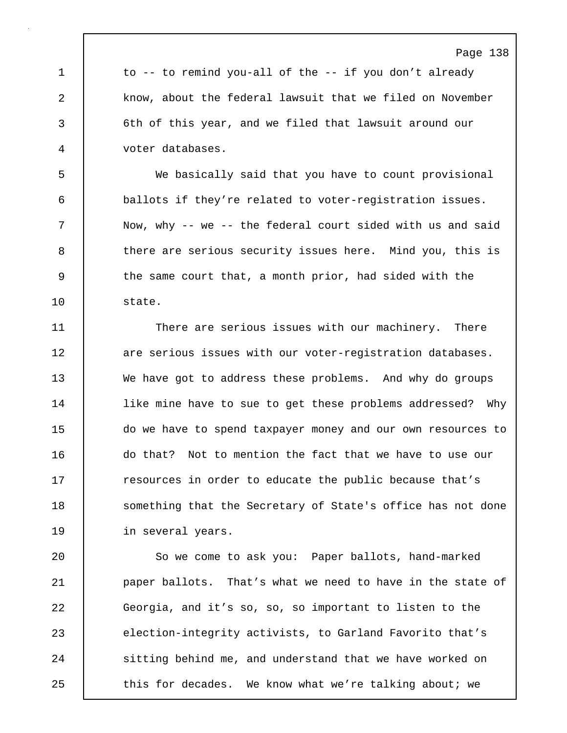1 to -- to remind you-all of the -- if you don't already 2 know, about the federal lawsuit that we filed on November 3 6th of this year, and we filed that lawsuit around our 4 voter databases.

5 We basically said that you have to count provisional 6 ballots if they're related to voter-registration issues. 7 Now, why -- we -- the federal court sided with us and said 8 there are serious security issues here. Mind you, this is 9 the same court that, a month prior, had sided with the 10 state.

11 There are serious issues with our machinery. There 12 **12** are serious issues with our voter-registration databases. 13 We have got to address these problems. And why do groups 14 | like mine have to sue to get these problems addressed? Why 15 do we have to spend taxpayer money and our own resources to 16 do that? Not to mention the fact that we have to use our 17 The resources in order to educate the public because that's 18 Something that the Secretary of State's office has not done 19 in several years.

20 | So we come to ask you: Paper ballots, hand-marked 21 paper ballots. That's what we need to have in the state of 22 Georgia, and it's so, so, so important to listen to the 23 election-integrity activists, to Garland Favorito that's 24 Sitting behind me, and understand that we have worked on 25 this for decades. We know what we're talking about; we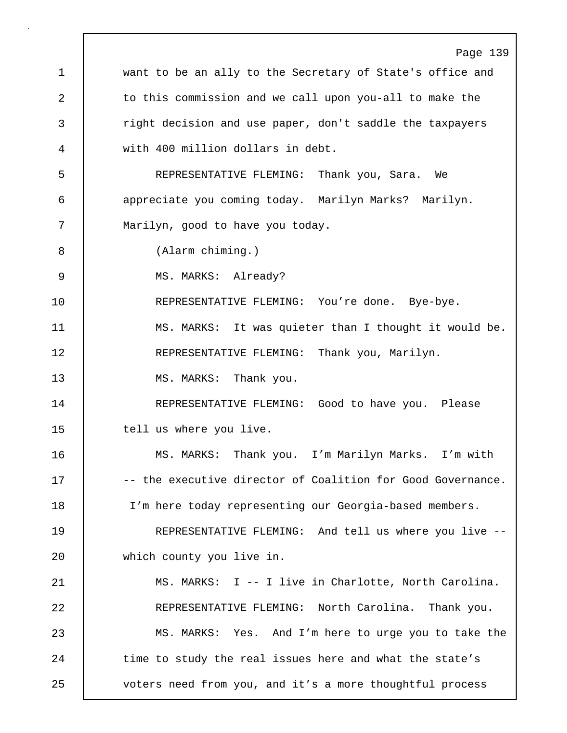Page 139 1 want to be an ally to the Secretary of State's office and 2 to this commission and we call upon you-all to make the 3 right decision and use paper, don't saddle the taxpayers 4 with 400 million dollars in debt. 5 REPRESENTATIVE FLEMING: Thank you, Sara. We 6 appreciate you coming today. Marilyn Marks? Marilyn. 7 | Marilyn, good to have you today. 8 (Alarm chiming.) 9 | MS. MARKS: Already? 10 | REPRESENTATIVE FLEMING: You're done. Bye-bye. 11 | MS. MARKS: It was quieter than I thought it would be. 12 REPRESENTATIVE FLEMING: Thank you, Marilyn. 13 | MS. MARKS: Thank you. 14 | REPRESENTATIVE FLEMING: Good to have you. Please 15 | tell us where you live. 16 MS. MARKS: Thank you. I'm Marilyn Marks. I'm with 17  $\vert$  -- the executive director of Coalition for Good Governance. 18 I'm here today representing our Georgia-based members. 19 REPRESENTATIVE FLEMING: And tell us where you live -- 20 which county you live in. 21 MS. MARKS: I -- I live in Charlotte, North Carolina. 22 REPRESENTATIVE FLEMING: North Carolina. Thank you. 23 MS. MARKS: Yes. And I'm here to urge you to take the 24 time to study the real issues here and what the state's 25 voters need from you, and it's a more thoughtful process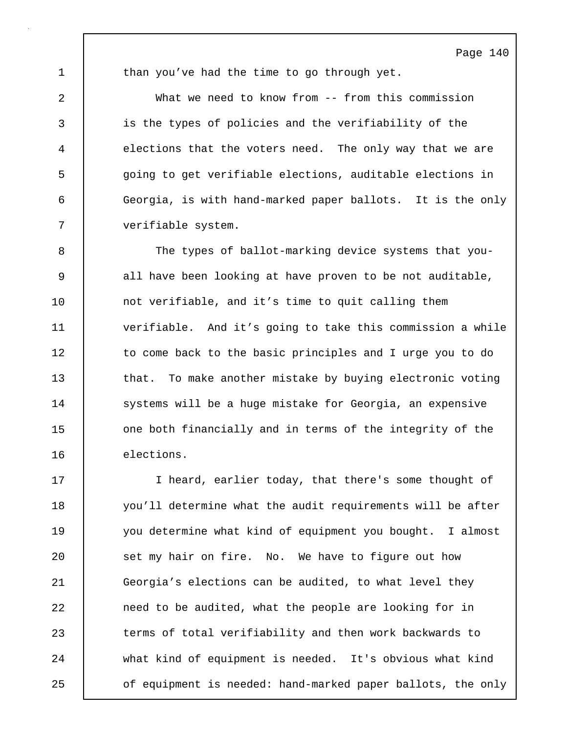1 than you've had the time to go through yet.

2 What we need to know from -- from this commission 3 is the types of policies and the verifiability of the 4 elections that the voters need. The only way that we are 5 going to get verifiable elections, auditable elections in 6 Georgia, is with hand-marked paper ballots. It is the only 7 verifiable system.

8 The types of ballot-marking device systems that you-9 all have been looking at have proven to be not auditable, 10 not verifiable, and it's time to quit calling them 11 verifiable. And it's going to take this commission a while 12 to come back to the basic principles and I urge you to do 13 that. To make another mistake by buying electronic voting 14 Systems will be a huge mistake for Georgia, an expensive 15 one both financially and in terms of the integrity of the 16 elections.

17 | Theard, earlier today, that there's some thought of 18 you'll determine what the audit requirements will be after 19 you determine what kind of equipment you bought. I almost 20 set my hair on fire. No. We have to figure out how 21 Georgia's elections can be audited, to what level they 22 **need to be audited, what the people are looking for in** 23 terms of total verifiability and then work backwards to 24 what kind of equipment is needed. It's obvious what kind 25 of equipment is needed: hand-marked paper ballots, the only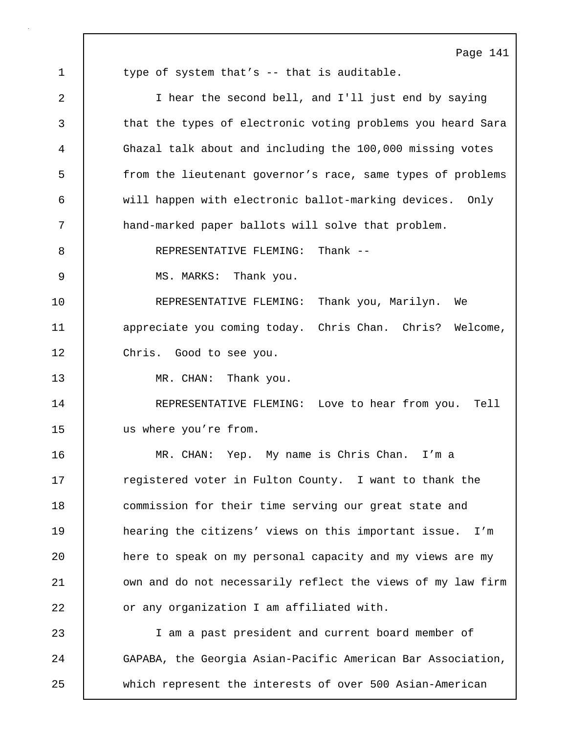Page 141 1 type of system that's -- that is auditable. 2 I hear the second bell, and I'll just end by saying 3 that the types of electronic voting problems you heard Sara 4 Ghazal talk about and including the 100,000 missing votes 5 from the lieutenant governor's race, same types of problems 6 will happen with electronic ballot-marking devices. Only 7 hand-marked paper ballots will solve that problem. 8 | REPRESENTATIVE FLEMING: Thank --9 MS. MARKS: Thank you. 10 REPRESENTATIVE FLEMING: Thank you, Marilyn. We 11 | appreciate you coming today. Chris Chan. Chris? Welcome, 12 | Chris. Good to see you. 13 | MR. CHAN: Thank you. 14 REPRESENTATIVE FLEMING: Love to hear from you. Tell 15 us where you're from. 16 MR. CHAN: Yep. My name is Chris Chan. I'm a 17 The registered voter in Fulton County. I want to thank the 18 **commission for their time serving our great state and** 19 hearing the citizens' views on this important issue. I'm 20 here to speak on my personal capacity and my views are my 21 vown and do not necessarily reflect the views of my law firm 22 **c** or any organization I am affiliated with. 23 I am a past president and current board member of 24 GAPABA, the Georgia Asian-Pacific American Bar Association, 25 which represent the interests of over 500 Asian-American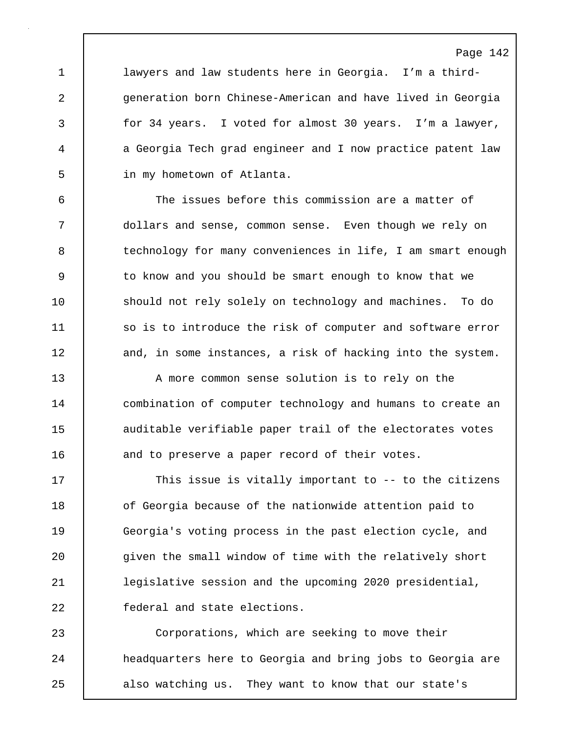1 lawyers and law students here in Georgia. I'm a third-2 generation born Chinese-American and have lived in Georgia 3 for 34 years. I voted for almost 30 years. I'm a lawyer, 4 a Georgia Tech grad engineer and I now practice patent law 5 in my hometown of Atlanta.

6 The issues before this commission are a matter of 7 dollars and sense, common sense. Even though we rely on 8 technology for many conveniences in life, I am smart enough 9 | to know and you should be smart enough to know that we 10 should not rely solely on technology and machines. To do 11 so is to introduce the risk of computer and software error 12 and, in some instances, a risk of hacking into the system.

13 A more common sense solution is to rely on the 14 | combination of computer technology and humans to create an 15 auditable verifiable paper trail of the electorates votes 16 and to preserve a paper record of their votes.

17 This issue is vitally important to -- to the citizens 18 of Georgia because of the nationwide attention paid to 19 Georgia's voting process in the past election cycle, and 20 given the small window of time with the relatively short 21 legislative session and the upcoming 2020 presidential, 22 | federal and state elections.

23 Corporations, which are seeking to move their 24 | headquarters here to Georgia and bring jobs to Georgia are 25 also watching us. They want to know that our state's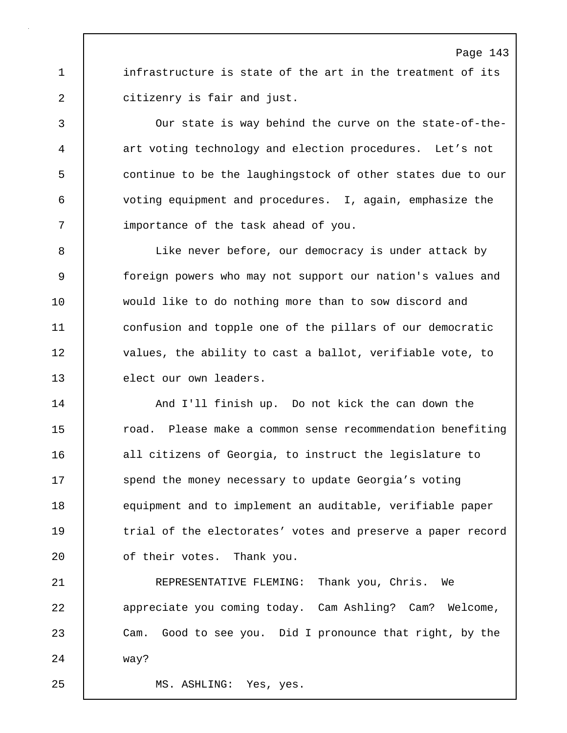1 | infrastructure is state of the art in the treatment of its 2 citizenry is fair and just.

3 Our state is way behind the curve on the state-of-the-4 art voting technology and election procedures. Let's not 5 continue to be the laughingstock of other states due to our 6 voting equipment and procedures. I, again, emphasize the 7 | importance of the task ahead of you.

8 Like never before, our democracy is under attack by 9 foreign powers who may not support our nation's values and 10 would like to do nothing more than to sow discord and 11 confusion and topple one of the pillars of our democratic 12 values, the ability to cast a ballot, verifiable vote, to 13 elect our own leaders.

14 And I'll finish up. Do not kick the can down the 15 To road. Please make a common sense recommendation benefiting 16 all citizens of Georgia, to instruct the legislature to 17 | spend the money necessary to update Georgia's voting 18 equipment and to implement an auditable, verifiable paper 19 trial of the electorates' votes and preserve a paper record 20 | of their votes. Thank you.

21 REPRESENTATIVE FLEMING: Thank you, Chris. We 22 **b** appreciate you coming today. Cam Ashling? Cam? Welcome, 23 Cam. Good to see you. Did I pronounce that right, by the 24 way?

25 MS. ASHLING: Yes, yes.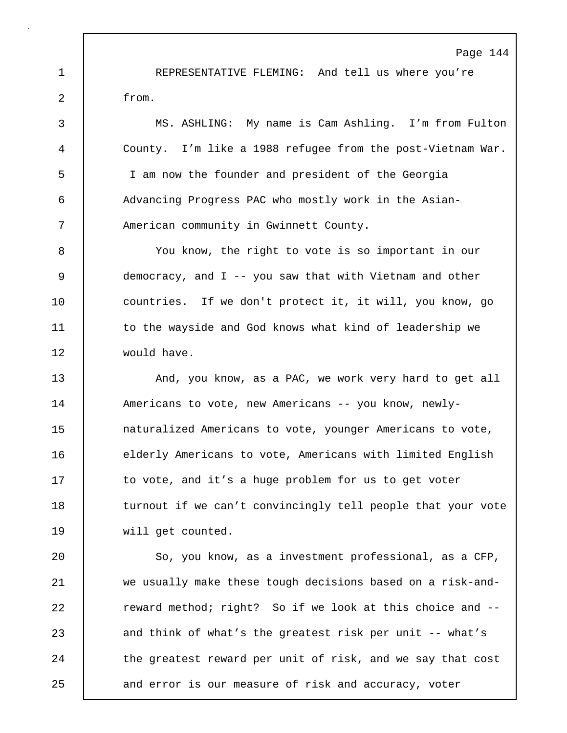1 REPRESENTATIVE FLEMING: And tell us where you're 2 from.

3 MS. ASHLING: My name is Cam Ashling. I'm from Fulton 4 County. I'm like a 1988 refugee from the post-Vietnam War. 5 I am now the founder and president of the Georgia 6 Advancing Progress PAC who mostly work in the Asian-7 American community in Gwinnett County.

8 You know, the right to vote is so important in our 9 democracy, and I -- you saw that with Vietnam and other 10 | countries. If we don't protect it, it will, you know, go 11 | to the wayside and God knows what kind of leadership we 12 would have.

13 And, you know, as a PAC, we work very hard to get all 14 Americans to vote, new Americans -- you know, newly-15 **naturalized Americans to vote, younger Americans to vote,** 16 | elderly Americans to vote, Americans with limited English 17 to vote, and it's a huge problem for us to get voter 18 | turnout if we can't convincingly tell people that your vote 19 will get counted.

20 | So, you know, as a investment professional, as a CFP, 21 | we usually make these tough decisions based on a risk-and-22 **Fig.** reward method; right? So if we look at this choice and --23 and think of what's the greatest risk per unit -- what's 24 the greatest reward per unit of risk, and we say that cost 25 and error is our measure of risk and accuracy, voter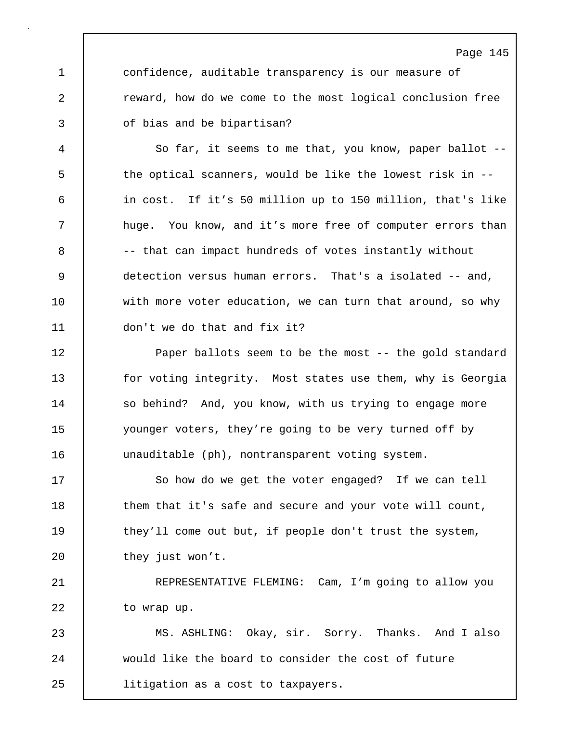1 confidence, auditable transparency is our measure of 2 **c** reward, how do we come to the most logical conclusion free 3 of bias and be bipartisan?

Page 145

4 So far, it seems to me that, you know, paper ballot -- 5 the optical scanners, would be like the lowest risk in --6 in cost. If it's 50 million up to 150 million, that's like 7 | huge. You know, and it's more free of computer errors than 8 |  $-$  that can impact hundreds of votes instantly without 9 detection versus human errors. That's a isolated -- and, 10 with more voter education, we can turn that around, so why 11 don't we do that and fix it?

12 Paper ballots seem to be the most -- the gold standard 13 for voting integrity. Most states use them, why is Georgia 14 | so behind? And, you know, with us trying to engage more 15 younger voters, they're going to be very turned off by 16 unauditable (ph), nontransparent voting system.

17 So how do we get the voter engaged? If we can tell 18 them that it's safe and secure and your vote will count, 19 | they'll come out but, if people don't trust the system, 20 | they just won't.

21 **REPRESENTATIVE FLEMING:** Cam, I'm going to allow you 22 to wrap up.

23 MS. ASHLING: Okay, sir. Sorry. Thanks. And I also 24 would like the board to consider the cost of future 25 litigation as a cost to taxpayers.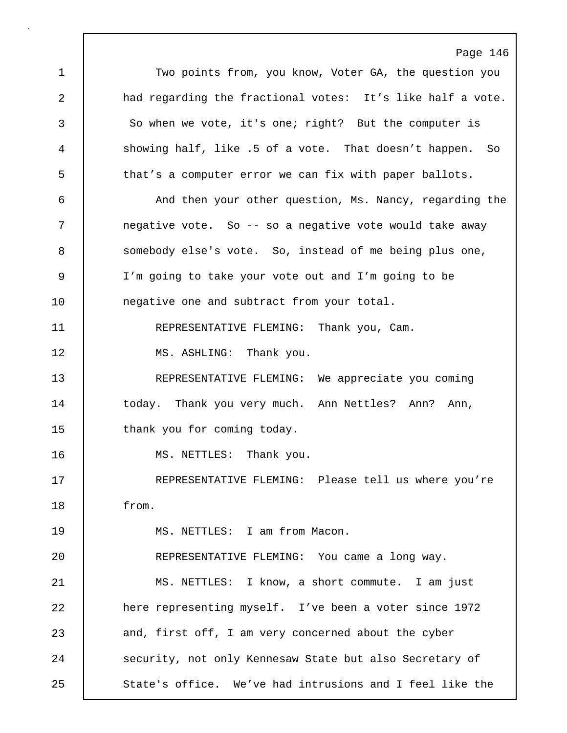Page 146 1 Two points from, you know, Voter GA, the question you 2 a had regarding the fractional votes: It's like half a vote. 3 So when we vote, it's one; right? But the computer is 4 showing half, like .5 of a vote. That doesn't happen. So 5 that's a computer error we can fix with paper ballots. 6 And then your other question, Ms. Nancy, regarding the 7 negative vote. So -- so a negative vote would take away 8 somebody else's vote. So, instead of me being plus one, 9 I'm going to take your vote out and I'm going to be 10 | negative one and subtract from your total. 11 REPRESENTATIVE FLEMING: Thank you, Cam. 12 | MS. ASHLING: Thank you. 13 REPRESENTATIVE FLEMING: We appreciate you coming 14 | today. Thank you very much. Ann Nettles? Ann? Ann, 15 | thank you for coming today. 16 | MS. NETTLES: Thank you. 17 REPRESENTATIVE FLEMING: Please tell us where you're 18 from. 19 MS. NETTLES: I am from Macon. 20 REPRESENTATIVE FLEMING: You came a long way. 21 | MS. NETTLES: I know, a short commute. I am just 22 here representing myself. I've been a voter since 1972 23 and, first off, I am very concerned about the cyber 24 Security, not only Kennesaw State but also Secretary of 25 State's office. We've had intrusions and I feel like the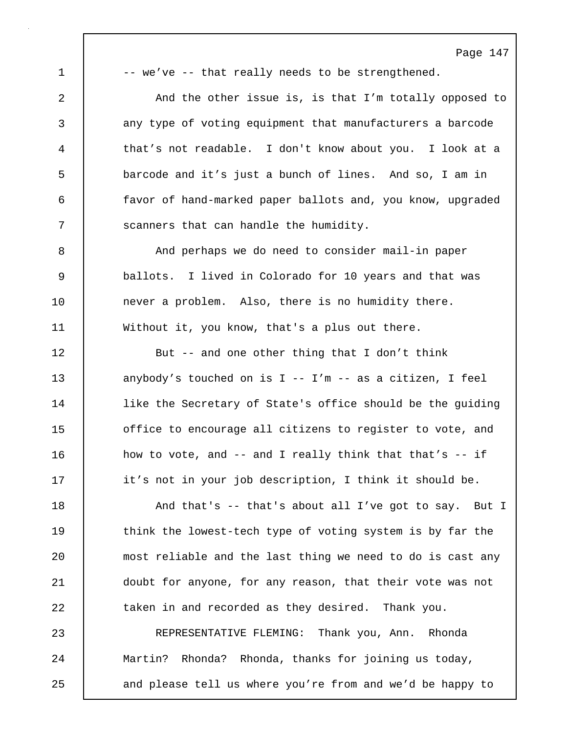$1$   $-$  we've  $-$  that really needs to be strengthened.

2 And the other issue is, is that I'm totally opposed to 3 any type of voting equipment that manufacturers a barcode 4 that's not readable. I don't know about you. I look at a 5 barcode and it's just a bunch of lines. And so, I am in 6 favor of hand-marked paper ballots and, you know, upgraded 7 Scanners that can handle the humidity.

8 | And perhaps we do need to consider mail-in paper 9 ballots. I lived in Colorado for 10 years and that was 10 never a problem. Also, there is no humidity there. 11 Without it, you know, that's a plus out there.

12 But -- and one other thing that I don't think 13 anybody's touched on is I -- I'm -- as a citizen, I feel 14 | like the Secretary of State's office should be the guiding 15 **decist** of fice to encourage all citizens to register to vote, and 16 how to vote, and -- and I really think that that's -- if 17 | it's not in your job description, I think it should be.

18 And that's -- that's about all I've got to say. But I 19 | think the lowest-tech type of voting system is by far the 20 | most reliable and the last thing we need to do is cast any 21 doubt for anyone, for any reason, that their vote was not 22 taken in and recorded as they desired. Thank you.

23 REPRESENTATIVE FLEMING: Thank you, Ann. Rhonda 24 Martin? Rhonda? Rhonda, thanks for joining us today, 25 | and please tell us where you're from and we'd be happy to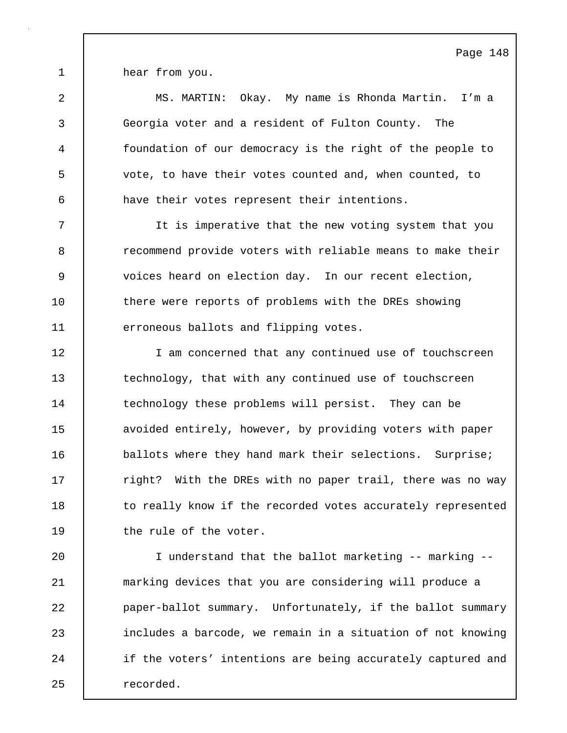1 hear from you.

2 MS. MARTIN: Okay. My name is Rhonda Martin. I'm a 3 Georgia voter and a resident of Fulton County. The 4 foundation of our democracy is the right of the people to 5 vote, to have their votes counted and, when counted, to 6 have their votes represent their intentions.

7 It is imperative that the new voting system that you 8 **8** recommend provide voters with reliable means to make their 9 voices heard on election day. In our recent election, 10 there were reports of problems with the DREs showing 11 erroneous ballots and flipping votes.

12 | I am concerned that any continued use of touchscreen 13 technology, that with any continued use of touchscreen 14 technology these problems will persist. They can be 15 | avoided entirely, however, by providing voters with paper 16 **ballots where they hand mark their selections.** Surprise; 17 The right? With the DREs with no paper trail, there was no way 18 to really know if the recorded votes accurately represented 19 the rule of the voter.

20 I understand that the ballot marketing -- marking -- 21 marking devices that you are considering will produce a 22 **paper-ballot summary.** Unfortunately, if the ballot summary 23 includes a barcode, we remain in a situation of not knowing 24 if the voters' intentions are being accurately captured and 25 recorded.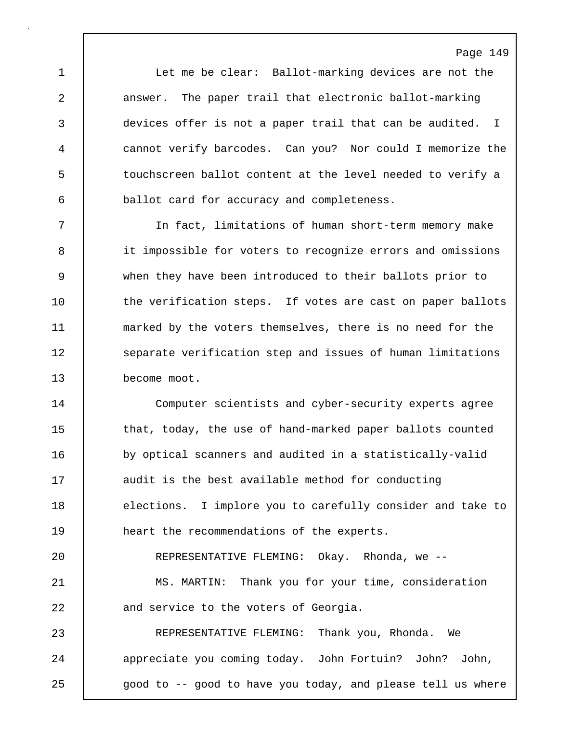1 Let me be clear: Ballot-marking devices are not the 2 answer. The paper trail that electronic ballot-marking 3 devices offer is not a paper trail that can be audited. I 4 cannot verify barcodes. Can you? Nor could I memorize the 5 | touchscreen ballot content at the level needed to verify a 6 ballot card for accuracy and completeness.

7 In fact, limitations of human short-term memory make 8 it impossible for voters to recognize errors and omissions 9 when they have been introduced to their ballots prior to 10 the verification steps. If votes are cast on paper ballots 11 marked by the voters themselves, there is no need for the 12 | separate verification step and issues of human limitations 13 become moot.

14 Computer scientists and cyber-security experts agree 15 | that, today, the use of hand-marked paper ballots counted 16 by optical scanners and audited in a statistically-valid 17 audit is the best available method for conducting 18 elections. I implore you to carefully consider and take to 19 | heart the recommendations of the experts.

20 **REPRESENTATIVE FLEMING:** Okay. Rhonda, we --21 MS. MARTIN: Thank you for your time, consideration 22 and service to the voters of Georgia.

23 REPRESENTATIVE FLEMING: Thank you, Rhonda. We 24 | appreciate you coming today. John Fortuin? John? John, 25 | good to -- good to have you today, and please tell us where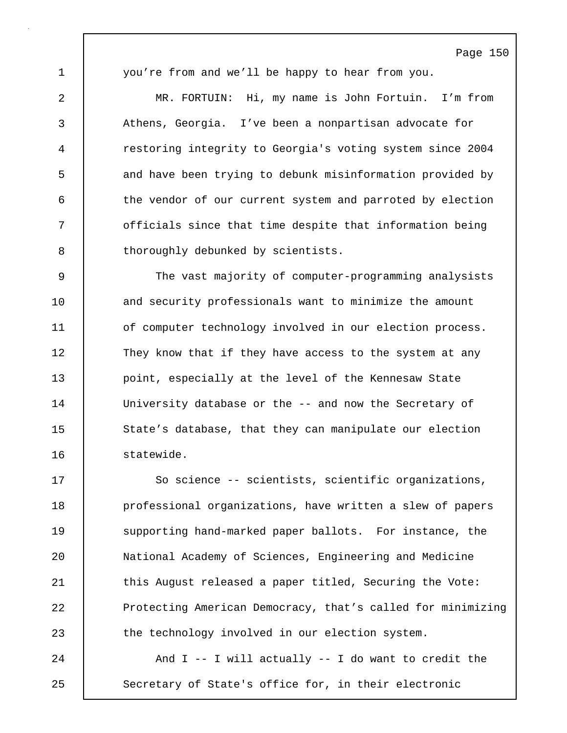1 you're from and we'll be happy to hear from you.

2 MR. FORTUIN: Hi, my name is John Fortuin. I'm from 3 Athens, Georgia. I've been a nonpartisan advocate for 4 restoring integrity to Georgia's voting system since 2004 5 and have been trying to debunk misinformation provided by 6 the vendor of our current system and parroted by election 7 | officials since that time despite that information being 8 | thoroughly debunked by scientists.

9 The vast majority of computer-programming analysists 10 and security professionals want to minimize the amount 11 of computer technology involved in our election process. 12 They know that if they have access to the system at any 13 **point, especially at the level of the Kennesaw State** 14 | University database or the -- and now the Secretary of 15 | State's database, that they can manipulate our election 16 statewide.

17 So science -- scientists, scientific organizations, 18 **professional organizations, have written a slew of papers** 19 Supporting hand-marked paper ballots. For instance, the 20 National Academy of Sciences, Engineering and Medicine 21 | this August released a paper titled, Securing the Vote: 22 Protecting American Democracy, that's called for minimizing 23 the technology involved in our election system.

24 And I -- I will actually -- I do want to credit the 25 Secretary of State's office for, in their electronic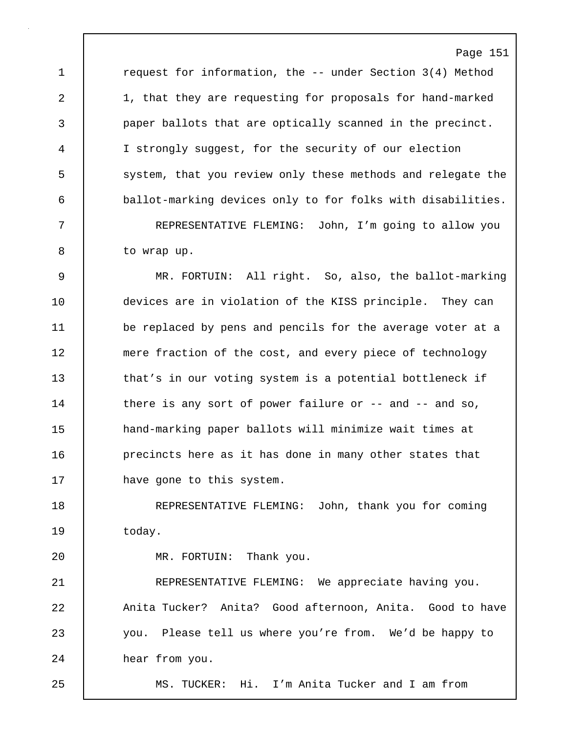1 **c**request for information, the -- under Section 3(4) Method 2 1, that they are requesting for proposals for hand-marked 3 paper ballots that are optically scanned in the precinct. 4 I strongly suggest, for the security of our election 5 system, that you review only these methods and relegate the 6 ballot-marking devices only to for folks with disabilities.

7 REPRESENTATIVE FLEMING: John, I'm going to allow you 8 | to wrap up.

9 MR. FORTUIN: All right. So, also, the ballot-marking 10 | devices are in violation of the KISS principle. They can 11 be replaced by pens and pencils for the average voter at a 12 | mere fraction of the cost, and every piece of technology 13 that's in our voting system is a potential bottleneck if 14 | there is any sort of power failure or -- and -- and so, 15 | hand-marking paper ballots will minimize wait times at 16 **precincts here as it has done in many other states that** 17 **have gone to this system.** 

18 REPRESENTATIVE FLEMING: John, thank you for coming 19 | today.

20 | MR. FORTUIN: Thank you.

21 | REPRESENTATIVE FLEMING: We appreciate having you. 22 | Anita Tucker? Anita? Good afternoon, Anita. Good to have 23 you. Please tell us where you're from. We'd be happy to 24 hear from you.

25 MS. TUCKER: Hi. I'm Anita Tucker and I am from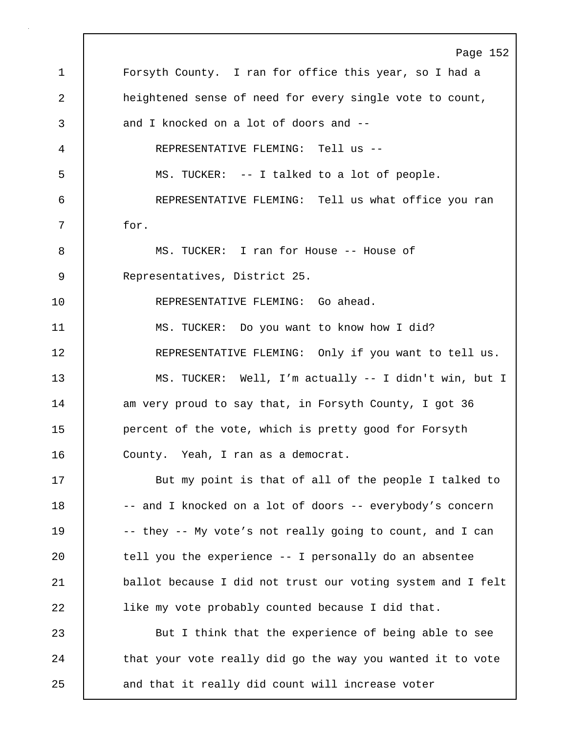Page 152 1 Forsyth County. I ran for office this year, so I had a 2 **heightened sense of need for every single vote to count,** 3 and I knocked on a lot of doors and --4 REPRESENTATIVE FLEMING: Tell us -- 5 MS. TUCKER: -- I talked to a lot of people. 6 REPRESENTATIVE FLEMING: Tell us what office you ran 7 for. 8 MS. TUCKER: I ran for House -- House of 9 Representatives, District 25. 10 REPRESENTATIVE FLEMING: Go ahead. 11 MS. TUCKER: Do you want to know how I did? 12 | REPRESENTATIVE FLEMING: Only if you want to tell us. 13 MS. TUCKER: Well, I'm actually -- I didn't win, but I 14 am very proud to say that, in Forsyth County, I got 36 15 **percent of the vote, which is pretty good for Forsyth** 16 | County. Yeah, I ran as a democrat. 17 But my point is that of all of the people I talked to 18 -- and I knocked on a lot of doors -- everybody's concern 19 | -- they -- My vote's not really going to count, and I can 20 | tell you the experience -- I personally do an absentee 21 ballot because I did not trust our voting system and I felt 22 like my vote probably counted because I did that. 23 **But I think that the experience of being able to see** 24 | that your vote really did go the way you wanted it to vote 25 and that it really did count will increase voter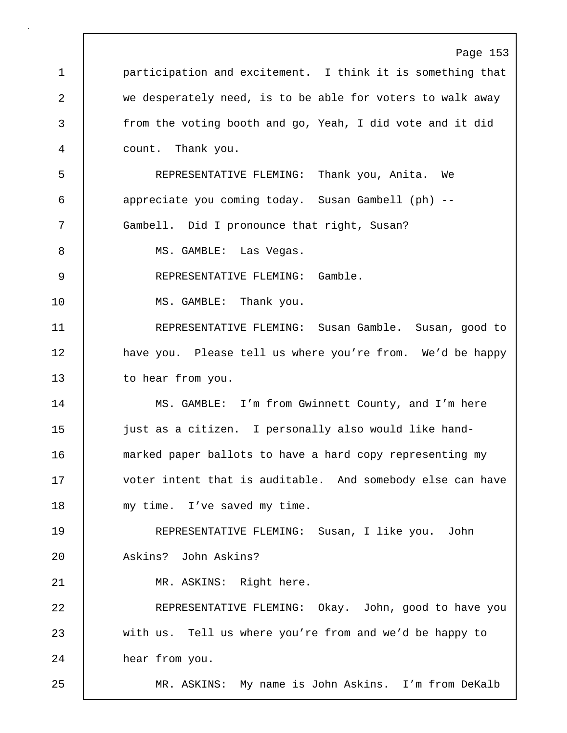Page 153 1 **participation and excitement.** I think it is something that 2 we desperately need, is to be able for voters to walk away 3 from the voting booth and go, Yeah, I did vote and it did 4 count. Thank you. 5 REPRESENTATIVE FLEMING: Thank you, Anita. We 6 appreciate you coming today. Susan Gambell (ph) -- 7 Gambell. Did I pronounce that right, Susan? 8 | MS. GAMBLE: Las Vegas. 9 REPRESENTATIVE FLEMING: Gamble. 10 | MS. GAMBLE: Thank you. 11 REPRESENTATIVE FLEMING: Susan Gamble. Susan, good to 12 | have you. Please tell us where you're from. We'd be happy 13 to hear from you. 14 MS. GAMBLE: I'm from Gwinnett County, and I'm here 15 just as a citizen. I personally also would like hand-16 marked paper ballots to have a hard copy representing my 17 voter intent that is auditable. And somebody else can have 18 | my time. I've saved my time. 19 REPRESENTATIVE FLEMING: Susan, I like you. John 20 Askins? John Askins? 21 | MR. ASKINS: Right here. 22 REPRESENTATIVE FLEMING: Okay. John, good to have you 23 with us. Tell us where you're from and we'd be happy to 24 hear from you. 25 MR. ASKINS: My name is John Askins. I'm from DeKalb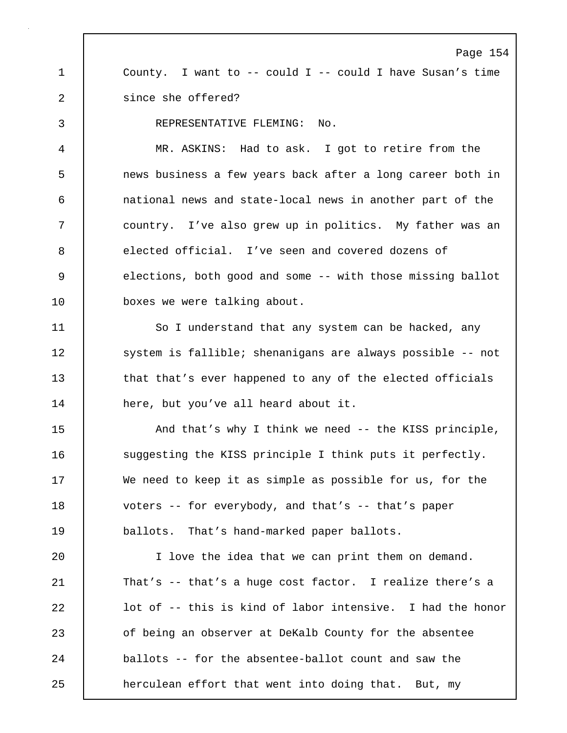Page 154 1 County. I want to -- could I -- could I have Susan's time 2 since she offered? 3 REPRESENTATIVE FLEMING: No. 4 MR. ASKINS: Had to ask. I got to retire from the 5 news business a few years back after a long career both in 6 national news and state-local news in another part of the 7 country. I've also grew up in politics. My father was an 8 elected official. I've seen and covered dozens of 9 elections, both good and some -- with those missing ballot 10 **boxes** we were talking about. 11 | So I understand that any system can be hacked, any 12 system is fallible; shenanigans are always possible -- not 13 that that's ever happened to any of the elected officials 14 here, but you've all heard about it. 15 | And that's why I think we need -- the KISS principle, 16 Suggesting the KISS principle I think puts it perfectly. 17 We need to keep it as simple as possible for us, for the 18 voters -- for everybody, and that's -- that's paper 19 ballots. That's hand-marked paper ballots. 20 I love the idea that we can print them on demand. 21 That's -- that's a huge cost factor. I realize there's a 22 **lack** lot of -- this is kind of labor intensive. I had the honor 23 of being an observer at DeKalb County for the absentee 24 **ballots** -- for the absentee-ballot count and saw the 25 **head a** herculean effort that went into doing that. But, my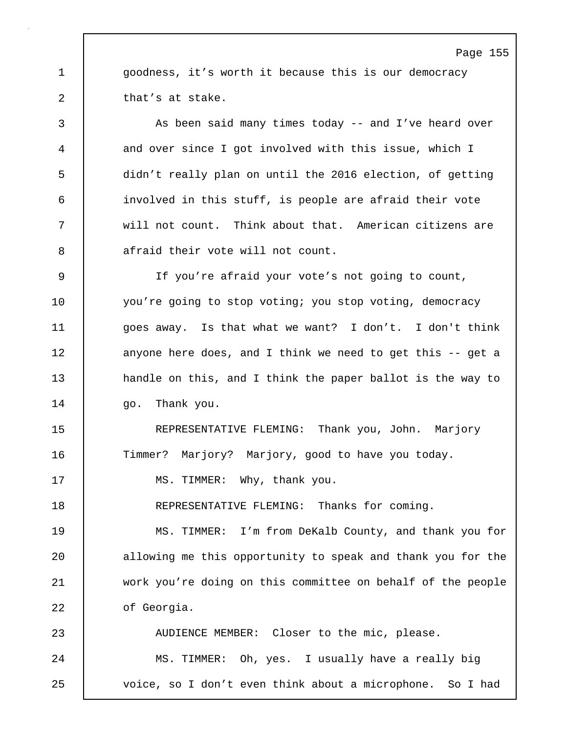1 **goodness, it's worth it because this is our democracy** 2 that's at stake.

3 As been said many times today -- and I've heard over 4 and over since I got involved with this issue, which I 5 didn't really plan on until the 2016 election, of getting 6 involved in this stuff, is people are afraid their vote 7 will not count. Think about that. American citizens are 8 afraid their vote will not count.

9 If you're afraid your vote's not going to count, 10 you're going to stop voting; you stop voting, democracy 11 goes away. Is that what we want? I don't. I don't think 12 anyone here does, and I think we need to get this -- get a 13 handle on this, and I think the paper ballot is the way to 14 | qo. Thank you.

15 | REPRESENTATIVE FLEMING: Thank you, John. Marjory 16 Timmer? Marjory? Marjory, good to have you today.

17 | MS. TIMMER: Why, thank you.

18 REPRESENTATIVE FLEMING: Thanks for coming.

19 MS. TIMMER: I'm from DeKalb County, and thank you for 20 allowing me this opportunity to speak and thank you for the 21 work you're doing on this committee on behalf of the people 22 of Georgia.

23 AUDIENCE MEMBER: Closer to the mic, please. 24 | MS. TIMMER: Oh, yes. I usually have a really big 25 voice, so I don't even think about a microphone. So I had

### Page 155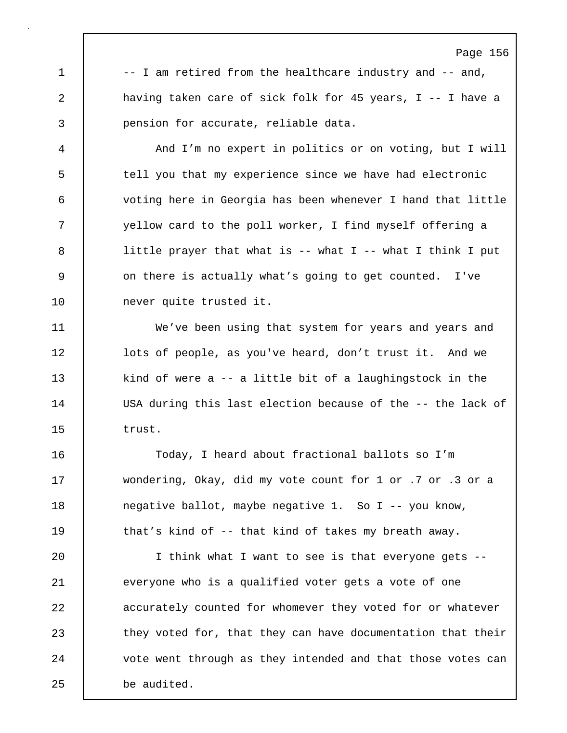1 |  $-$  I am retired from the healthcare industry and  $-$  and, 2 having taken care of sick folk for 45 years, I -- I have a 3 pension for accurate, reliable data.

Page 156

4 And I'm no expert in politics or on voting, but I will 5 tell you that my experience since we have had electronic 6 voting here in Georgia has been whenever I hand that little 7 | vellow card to the poll worker, I find myself offering a 8 | little prayer that what is -- what I -- what I think I put 9 9 on there is actually what's going to get counted. I've 10 never quite trusted it.

11 We've been using that system for years and years and 12 **lots of people, as you've heard, don't trust it.** And we 13 kind of were a -- a little bit of a laughingstock in the 14 USA during this last election because of the -- the lack of 15 trust.

16 Today, I heard about fractional ballots so I'm 17 wondering, Okay, did my vote count for 1 or .7 or .3 or a 18 negative ballot, maybe negative 1. So I -- you know, 19 | that's kind of -- that kind of takes my breath away.

20 I think what I want to see is that everyone gets -- 21 everyone who is a qualified voter gets a vote of one 22 accurately counted for whomever they voted for or whatever 23 they voted for, that they can have documentation that their 24 vote went through as they intended and that those votes can 25 be audited.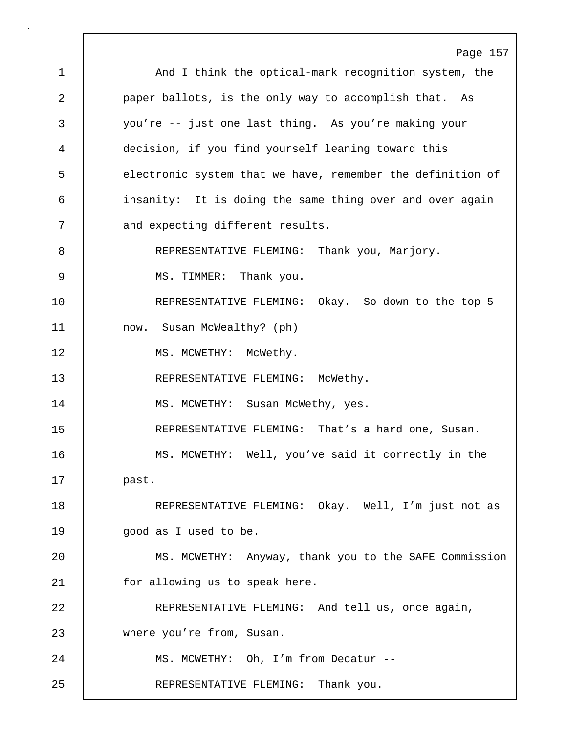Page 157 1 | And I think the optical-mark recognition system, the 2 **paper ballots, is the only way to accomplish that.** As 3 you're -- just one last thing. As you're making your 4 decision, if you find yourself leaning toward this 5 electronic system that we have, remember the definition of 6 insanity: It is doing the same thing over and over again 7 and expecting different results. 8 REPRESENTATIVE FLEMING: Thank you, Marjory. 9 | MS. TIMMER: Thank you. 10 REPRESENTATIVE FLEMING: Okay. So down to the top 5 11 now. Susan McWealthy? (ph) 12 | MS. MCWETHY: McWethy. 13 | REPRESENTATIVE FLEMING: McWethy. 14 | MS. MCWETHY: Susan McWethy, yes. 15 REPRESENTATIVE FLEMING: That's a hard one, Susan. 16 | MS. MCWETHY: Well, you've said it correctly in the 17 past. 18 | REPRESENTATIVE FLEMING: Okay. Well, I'm just not as 19 | qood as I used to be. 20 MS. MCWETHY: Anyway, thank you to the SAFE Commission 21 for allowing us to speak here. 22 REPRESENTATIVE FLEMING: And tell us, once again, 23 where you're from, Susan. 24 | MS. MCWETHY: Oh, I'm from Decatur --25 REPRESENTATIVE FLEMING: Thank you.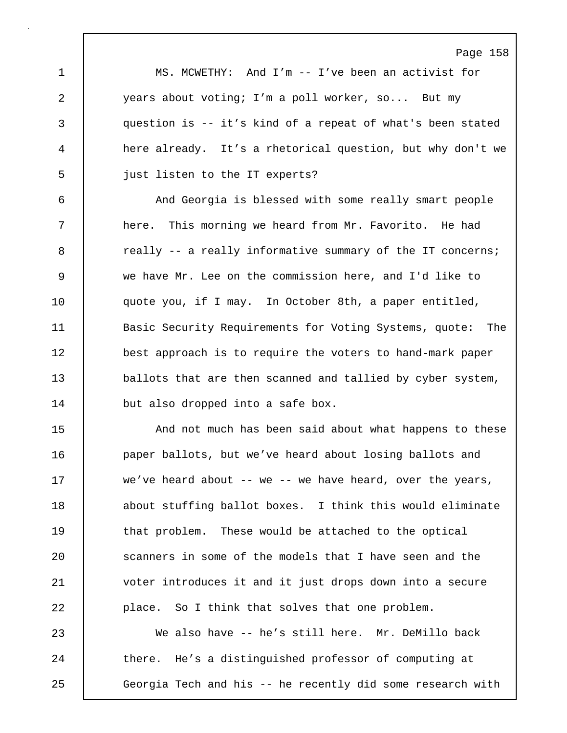Page 158 1 MS. MCWETHY: And I'm -- I've been an activist for 2 years about voting; I'm a poll worker, so... But my 3 question is -- it's kind of a repeat of what's been stated 4 here already. It's a rhetorical question, but why don't we 5 **just listen to the IT experts?** 6 And Georgia is blessed with some really smart people 7 | here. This morning we heard from Mr. Favorito. He had 8 **8** really -- a really informative summary of the IT concerns; 9 we have Mr. Lee on the commission here, and I'd like to 10 | quote you, if I may. In October 8th, a paper entitled, 11 | Basic Security Requirements for Voting Systems, quote: The 12 best approach is to require the voters to hand-mark paper 13 ballots that are then scanned and tallied by cyber system, 14 but also dropped into a safe box. 15 **And not much has been said about what happens to these** 16 **paper ballots, but we've heard about losing ballots and** 17 we've heard about -- we -- we have heard, over the years, 18 | about stuffing ballot boxes. I think this would eliminate 19 that problem. These would be attached to the optical 20 Scanners in some of the models that I have seen and the 21 voter introduces it and it just drops down into a secure 22 **place.** So I think that solves that one problem. 23 We also have -- he's still here. Mr. DeMillo back 24 there. He's a distinguished professor of computing at 25 Georgia Tech and his -- he recently did some research with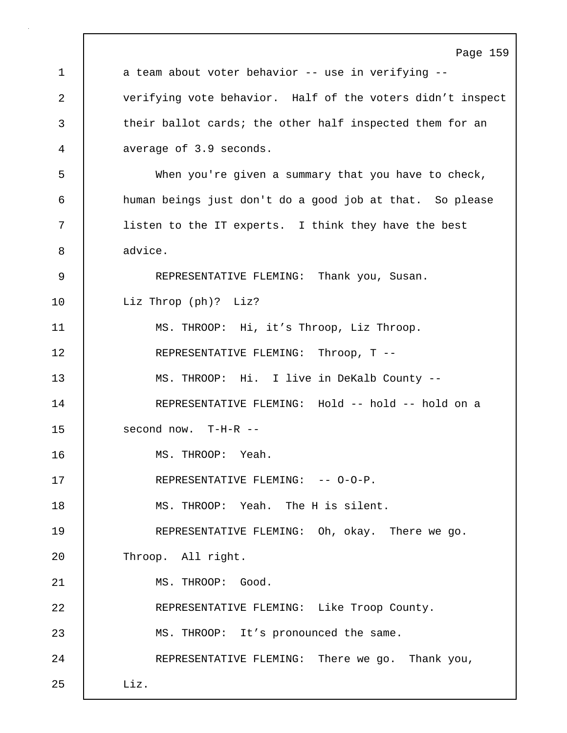Page 159 1 a team about voter behavior -- use in verifying --2 verifying vote behavior. Half of the voters didn't inspect 3 their ballot cards; the other half inspected them for an 4 average of 3.9 seconds. 5 When you're given a summary that you have to check, 6 human beings just don't do a good job at that. So please 7 listen to the IT experts. I think they have the best 8 advice. 9 REPRESENTATIVE FLEMING: Thank you, Susan. 10 | Liz Throp (ph)? Liz? 11 MS. THROOP: Hi, it's Throop, Liz Throop. 12 | REPRESENTATIVE FLEMING: Throop, T --13 MS. THROOP: Hi. I live in DeKalb County -- 14 REPRESENTATIVE FLEMING: Hold -- hold -- hold on a 15 second now. T-H-R -- 16 MS. THROOP: Yeah. 17 REPRESENTATIVE FLEMING: -- 0-0-P. 18 MS. THROOP: Yeah. The H is silent. 19 REPRESENTATIVE FLEMING: Oh, okay. There we go. 20 Throop. All right. 21 | MS. THROOP: Good. 22 REPRESENTATIVE FLEMING: Like Troop County. 23 MS. THROOP: It's pronounced the same. 24 | REPRESENTATIVE FLEMING: There we go. Thank you, 25 Liz.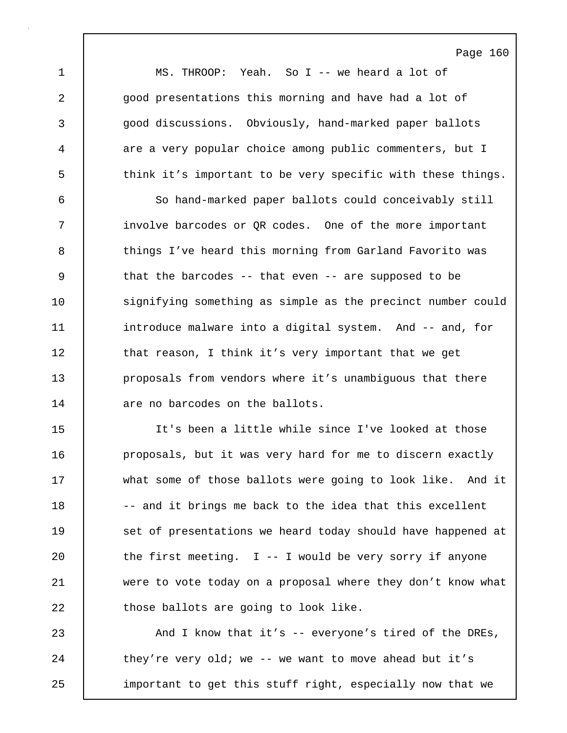Page 160 1 MS. THROOP: Yeah. So I -- we heard a lot of 2 qood presentations this morning and have had a lot of 3 good discussions. Obviously, hand-marked paper ballots 4 are a very popular choice among public commenters, but I 5 think it's important to be very specific with these things. 6 So hand-marked paper ballots could conceivably still 7 involve barcodes or QR codes. One of the more important 8 things I've heard this morning from Garland Favorito was 9 | that the barcodes -- that even -- are supposed to be 10 signifying something as simple as the precinct number could 11 | introduce malware into a digital system. And -- and, for 12 | that reason, I think it's very important that we get 13 **proposals from vendors where it's unambiguous that there** 14 are no barcodes on the ballots. 15 It's been a little while since I've looked at those 16 | proposals, but it was very hard for me to discern exactly 17 what some of those ballots were going to look like. And it 18 -- and it brings me back to the idea that this excellent

23 And I know that it's -- everyone's tired of the DREs, 24 they're very old; we -- we want to move ahead but it's 25 important to get this stuff right, especially now that we

19 **Set of presentations we heard today should have happened at** 

21 were to vote today on a proposal where they don't know what

20  $\vert$  the first meeting. I -- I would be very sorry if anyone

22 those ballots are going to look like.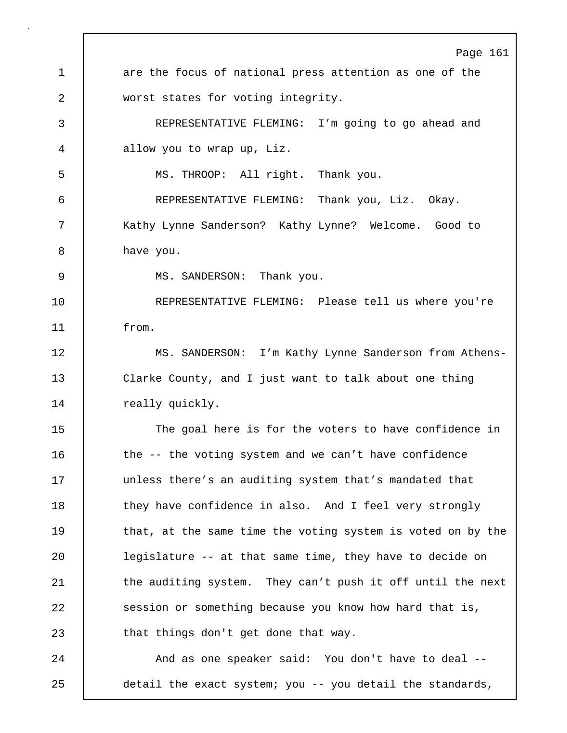Page 161 1 are the focus of national press attention as one of the 2 worst states for voting integrity. 3 REPRESENTATIVE FLEMING: I'm going to go ahead and 4 allow you to wrap up, Liz. 5 MS. THROOP: All right. Thank you. 6 REPRESENTATIVE FLEMING: Thank you, Liz. Okay. 7 Kathy Lynne Sanderson? Kathy Lynne? Welcome. Good to 8 have you. 9 | MS. SANDERSON: Thank you. 10 REPRESENTATIVE FLEMING: Please tell us where you're 11 from. 12 | MS. SANDERSON: I'm Kathy Lynne Sanderson from Athens-13 Clarke County, and I just want to talk about one thing 14 | really quickly. 15 The goal here is for the voters to have confidence in 16 the -- the voting system and we can't have confidence 17 | unless there's an auditing system that's mandated that 18 | they have confidence in also. And I feel very strongly 19 that, at the same time the voting system is voted on by the 20 | legislature -- at that same time, they have to decide on 21 the auditing system. They can't push it off until the next 22 Session or something because you know how hard that is, 23 that things don't get done that way. 24 | And as one speaker said: You don't have to deal --25 detail the exact system; you -- you detail the standards,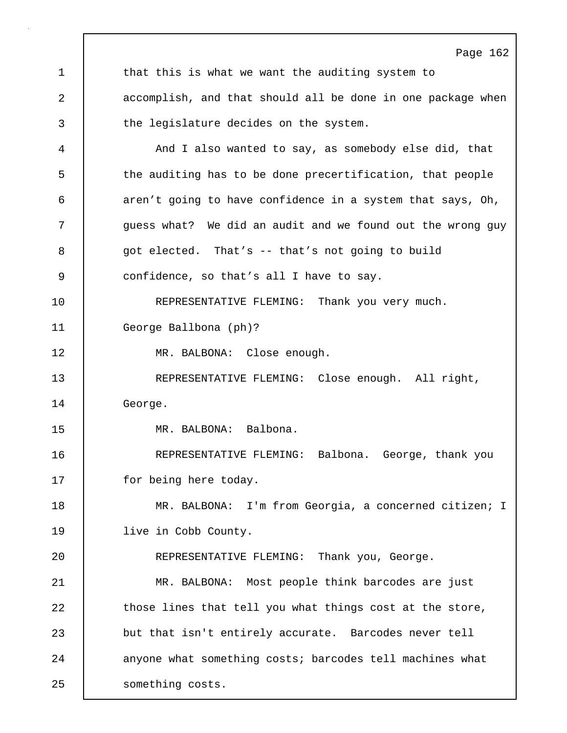Page 162 1 that this is what we want the auditing system to 2 accomplish, and that should all be done in one package when 3 the legislature decides on the system. 4 And I also wanted to say, as somebody else did, that 5 the auditing has to be done precertification, that people 6 aren't going to have confidence in a system that says, Oh, 7 | guess what? We did an audit and we found out the wrong guy 8 9 got elected. That's -- that's not going to build 9 confidence, so that's all I have to say. 10 | REPRESENTATIVE FLEMING: Thank you very much. 11 George Ballbona (ph)? 12 | MR. BALBONA: Close enough. 13 REPRESENTATIVE FLEMING: Close enough. All right, 14 George. 15 MR. BALBONA: Balbona. 16 REPRESENTATIVE FLEMING: Balbona. George, thank you 17 | for being here today. 18 MR. BALBONA: I'm from Georgia, a concerned citizen; I 19 | live in Cobb County. 20 REPRESENTATIVE FLEMING: Thank you, George. 21 MR. BALBONA: Most people think barcodes are just 22 those lines that tell you what things cost at the store, 23 but that isn't entirely accurate. Barcodes never tell 24 anyone what something costs; barcodes tell machines what 25 | something costs.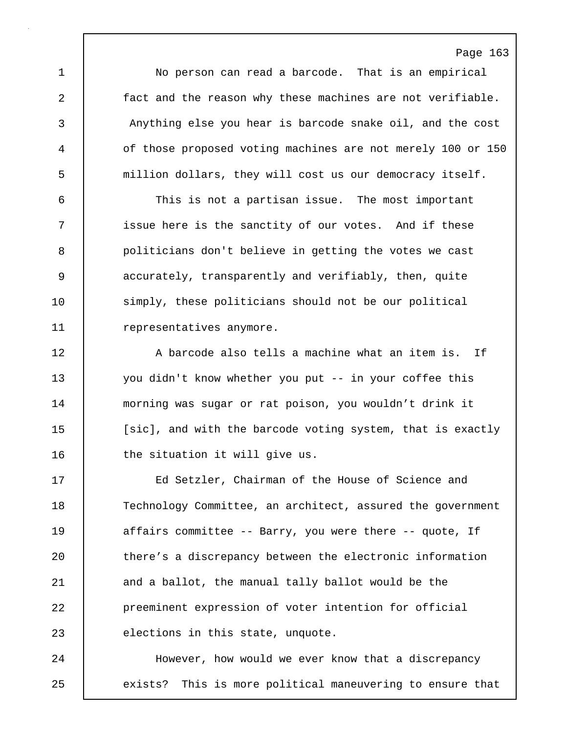1 No person can read a barcode. That is an empirical 2 fact and the reason why these machines are not verifiable. 3 Anything else you hear is barcode snake oil, and the cost 4 of those proposed voting machines are not merely 100 or 150 5 million dollars, they will cost us our democracy itself.

Page 163

6 This is not a partisan issue. The most important 7 | issue here is the sanctity of our votes. And if these 8 politicians don't believe in getting the votes we cast 9 accurately, transparently and verifiably, then, quite 10 simply, these politicians should not be our political 11 | representatives anymore.

12 A barcode also tells a machine what an item is. If 13 you didn't know whether you put -- in your coffee this 14 morning was sugar or rat poison, you wouldn't drink it 15 | [sic], and with the barcode voting system, that is exactly 16 | the situation it will give us.

17 Ed Setzler, Chairman of the House of Science and 18 Technology Committee, an architect, assured the government 19 | affairs committee -- Barry, you were there -- quote, If 20 there's a discrepancy between the electronic information 21 and a ballot, the manual tally ballot would be the 22 preeminent expression of voter intention for official 23 elections in this state, unquote.

24 However, how would we ever know that a discrepancy 25 exists? This is more political maneuvering to ensure that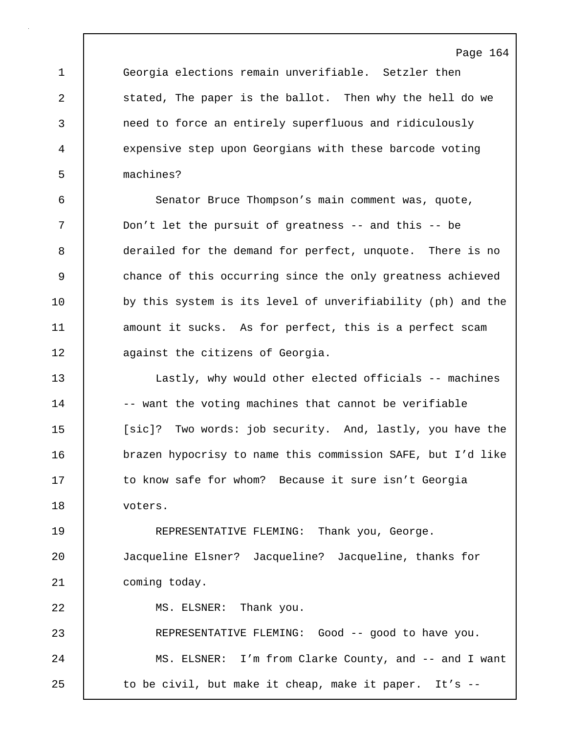1 Georgia elections remain unverifiable. Setzler then 2 stated, The paper is the ballot. Then why the hell do we 3 need to force an entirely superfluous and ridiculously 4 expensive step upon Georgians with these barcode voting 5 machines?

6 Senator Bruce Thompson's main comment was, quote, 7 Don't let the pursuit of greatness -- and this -- be 8 derailed for the demand for perfect, unquote. There is no 9 chance of this occurring since the only greatness achieved 10 by this system is its level of unverifiability (ph) and the 11 amount it sucks. As for perfect, this is a perfect scam 12 **dege** against the citizens of Georgia.

13 Lastly, why would other elected officials -- machines 14 -- want the voting machines that cannot be verifiable 15 | [sic]? Two words: job security. And, lastly, you have the 16 brazen hypocrisy to name this commission SAFE, but I'd like 17 to know safe for whom? Because it sure isn't Georgia 18 voters.

19 REPRESENTATIVE FLEMING: Thank you, George. 20 Jacqueline Elsner? Jacqueline? Jacqueline, thanks for 21 | coming today.

22 | MS. ELSNER: Thank you. 23 REPRESENTATIVE FLEMING: Good -- good to have you. 24 MS. ELSNER: I'm from Clarke County, and -- and I want 25 | to be civil, but make it cheap, make it paper. It's --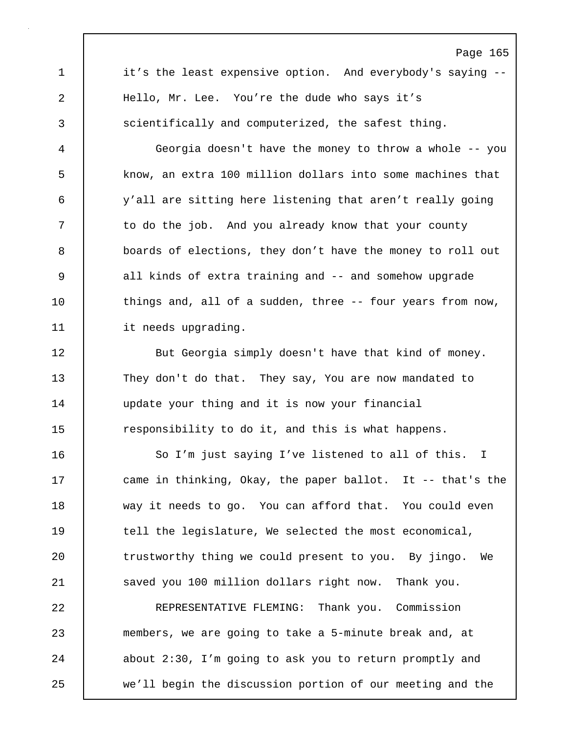1 it's the least expensive option. And everybody's saying --2 Hello, Mr. Lee. You're the dude who says it's 3 scientifically and computerized, the safest thing.

Page 165

4 Georgia doesn't have the money to throw a whole -- you 5 know, an extra 100 million dollars into some machines that 6 y'all are sitting here listening that aren't really going 7 | to do the job. And you already know that your county 8 boards of elections, they don't have the money to roll out 9 all kinds of extra training and -- and somehow upgrade 10 things and, all of a sudden, three -- four years from now, 11 | it needs upgrading.

12 | But Georgia simply doesn't have that kind of money. 13 They don't do that. They say, You are now mandated to 14 | update your thing and it is now your financial 15 The responsibility to do it, and this is what happens.

16 So I'm just saying I've listened to all of this. I 17 came in thinking, Okay, the paper ballot. It -- that's the 18 way it needs to go. You can afford that. You could even 19 tell the legislature, We selected the most economical, 20 The trustworthy thing we could present to you. By jingo. We 21 saved you 100 million dollars right now. Thank you.

22 REPRESENTATIVE FLEMING: Thank you. Commission 23 members, we are going to take a 5-minute break and, at 24 about 2:30, I'm going to ask you to return promptly and 25 we'll begin the discussion portion of our meeting and the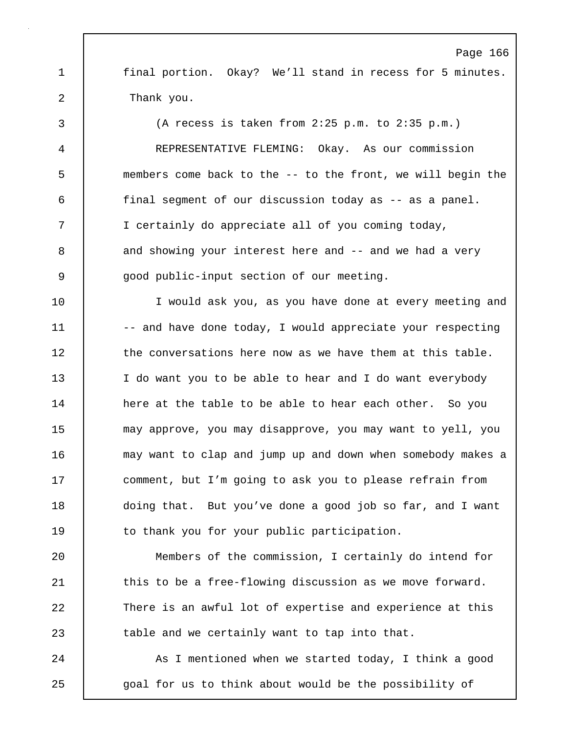Page 166 1 | final portion. Okay? We'll stand in recess for 5 minutes. 2 Thank you. 3 (A recess is taken from 2:25 p.m. to 2:35 p.m.)

4 REPRESENTATIVE FLEMING: Okay. As our commission 5 members come back to the -- to the front, we will begin the 6 final segment of our discussion today as -- as a panel. 7 I certainly do appreciate all of you coming today, 8 and showing your interest here and -- and we had a very 9 | good public-input section of our meeting.

10 I would ask you, as you have done at every meeting and 11 -- and have done today, I would appreciate your respecting 12 the conversations here now as we have them at this table. 13 I do want you to be able to hear and I do want everybody 14 here at the table to be able to hear each other. So you 15 may approve, you may disapprove, you may want to yell, you 16 may want to clap and jump up and down when somebody makes a 17 | comment, but I'm going to ask you to please refrain from 18 doing that. But you've done a good job so far, and I want 19 to thank you for your public participation.

20 Members of the commission, I certainly do intend for 21 this to be a free-flowing discussion as we move forward. 22 There is an awful lot of expertise and experience at this 23 **table and we certainly want to tap into that.** 

24 | As I mentioned when we started today, I think a good 25 | goal for us to think about would be the possibility of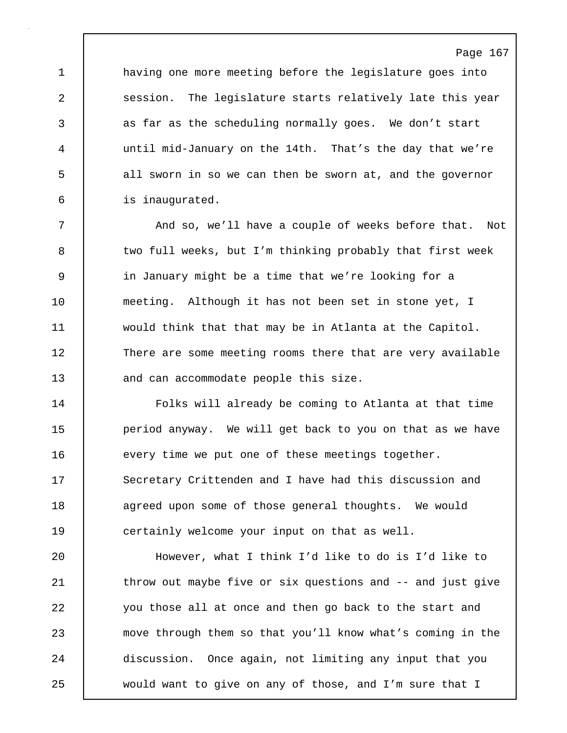1 having one more meeting before the legislature goes into 2 session. The legislature starts relatively late this year 3 as far as the scheduling normally goes. We don't start 4 until mid-January on the 14th. That's the day that we're 5 all sworn in so we can then be sworn at, and the governor 6 is inaugurated.

7 | And so, we'll have a couple of weeks before that. Not 8 two full weeks, but I'm thinking probably that first week 9 in January might be a time that we're looking for a 10 meeting. Although it has not been set in stone yet, I 11 would think that that may be in Atlanta at the Capitol. 12 There are some meeting rooms there that are very available 13 and can accommodate people this size.

14 Folks will already be coming to Atlanta at that time 15 **period anyway.** We will get back to you on that as we have 16 every time we put one of these meetings together. 17 Secretary Crittenden and I have had this discussion and 18 agreed upon some of those general thoughts. We would 19 certainly welcome your input on that as well.

20 However, what I think I'd like to do is I'd like to 21 | throw out maybe five or six questions and -- and just give 22 you those all at once and then go back to the start and 23 move through them so that you'll know what's coming in the 24 discussion. Once again, not limiting any input that you 25 would want to give on any of those, and I'm sure that I

# Page 167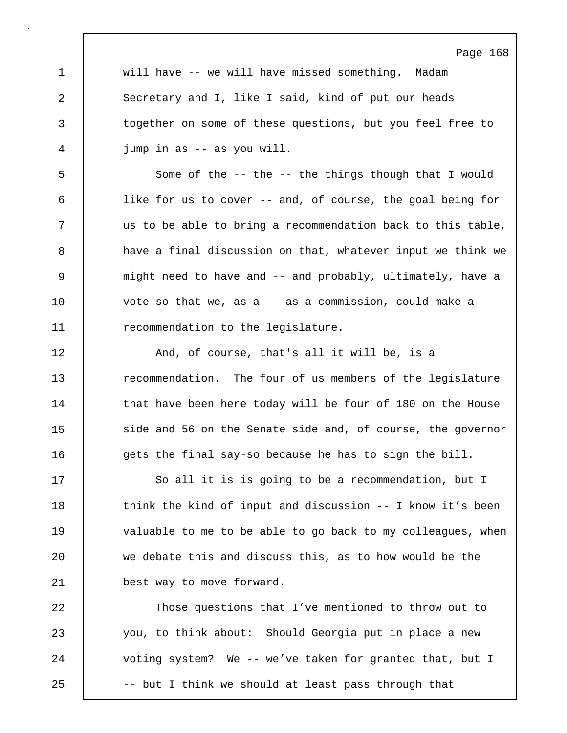Page 168 1 will have -- we will have missed something. Madam 2 Secretary and I, like I said, kind of put our heads 3 together on some of these questions, but you feel free to 4 jump in as -- as you will. 5 Some of the -- the -- the things though that I would 6 like for us to cover -- and, of course, the goal being for 7 us to be able to bring a recommendation back to this table, 8 a have a final discussion on that, whatever input we think we 9 might need to have and -- and probably, ultimately, have a 10 vote so that we, as a -- as a commission, could make a 11 **The recommendation to the legislature.** 12 | And, of course, that's all it will be, is a 13 Tecommendation. The four of us members of the legislature 14 that have been here today will be four of 180 on the House 15 side and 56 on the Senate side and, of course, the governor 16 gets the final say-so because he has to sign the bill. 17 | So all it is is going to be a recommendation, but I 18 | think the kind of input and discussion -- I know it's been 19 valuable to me to be able to go back to my colleagues, when 20 we debate this and discuss this, as to how would be the 21 best way to move forward. 22 Those questions that I've mentioned to throw out to 23 you, to think about: Should Georgia put in place a new 24 voting system? We -- we've taken for granted that, but I

25 | -- but I think we should at least pass through that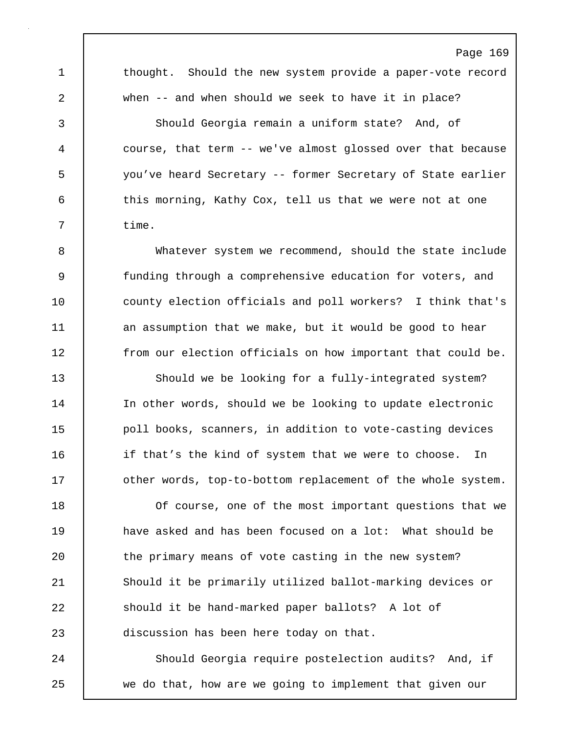Page 169 1 thought. Should the new system provide a paper-vote record 2 when -- and when should we seek to have it in place? 3 Should Georgia remain a uniform state? And, of 4 course, that term -- we've almost glossed over that because 5 you've heard Secretary -- former Secretary of State earlier 6 this morning, Kathy Cox, tell us that we were not at one 7 | time. 8 Whatever system we recommend, should the state include 9 funding through a comprehensive education for voters, and 10 county election officials and poll workers? I think that's 11 an assumption that we make, but it would be good to hear 12 | from our election officials on how important that could be. 13 Should we be looking for a fully-integrated system? 14 | In other words, should we be looking to update electronic 15 **poll books, scanners, in addition to vote-casting devices** 16 **i** if that's the kind of system that we were to choose. In 17 | other words, top-to-bottom replacement of the whole system. 18 Of course, one of the most important questions that we 19 have asked and has been focused on a lot: What should be 20 the primary means of vote casting in the new system? 21 Should it be primarily utilized ballot-marking devices or 22 Should it be hand-marked paper ballots? A lot of 23 discussion has been here today on that. 24 Should Georgia require postelection audits? And, if

25 we do that, how are we going to implement that given our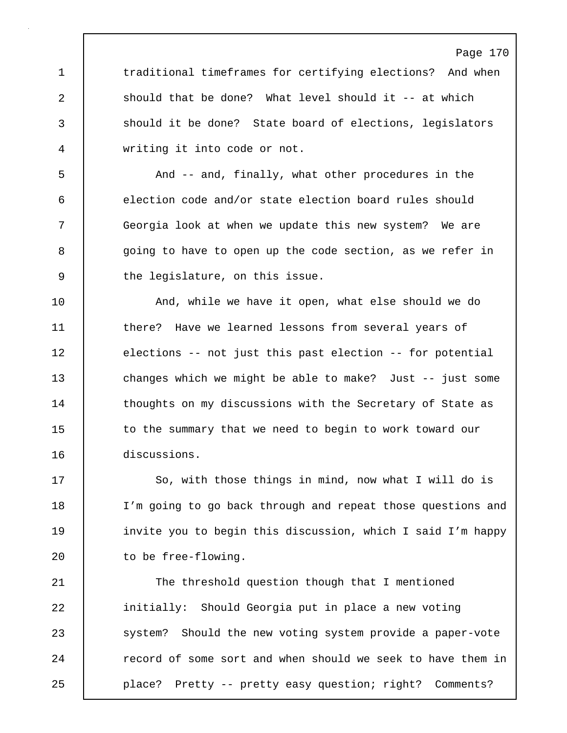1 traditional timeframes for certifying elections? And when 2 should that be done? What level should it -- at which 3 should it be done? State board of elections, legislators 4 writing it into code or not.

5 And -- and, finally, what other procedures in the 6 election code and/or state election board rules should 7 Georgia look at when we update this new system? We are 8 | going to have to open up the code section, as we refer in 9 the legislature, on this issue.

10 | And, while we have it open, what else should we do 11 there? Have we learned lessons from several years of 12 elections -- not just this past election -- for potential 13 changes which we might be able to make? Just -- just some 14 | thoughts on my discussions with the Secretary of State as 15 to the summary that we need to begin to work toward our 16 discussions.

17 | So, with those things in mind, now what I will do is 18 I'm going to go back through and repeat those questions and 19 invite you to begin this discussion, which I said I'm happy 20 | to be free-flowing.

21 | The threshold question though that I mentioned 22 initially: Should Georgia put in place a new voting 23 system? Should the new voting system provide a paper-vote 24 | record of some sort and when should we seek to have them in 25 place? Pretty -- pretty easy question; right? Comments?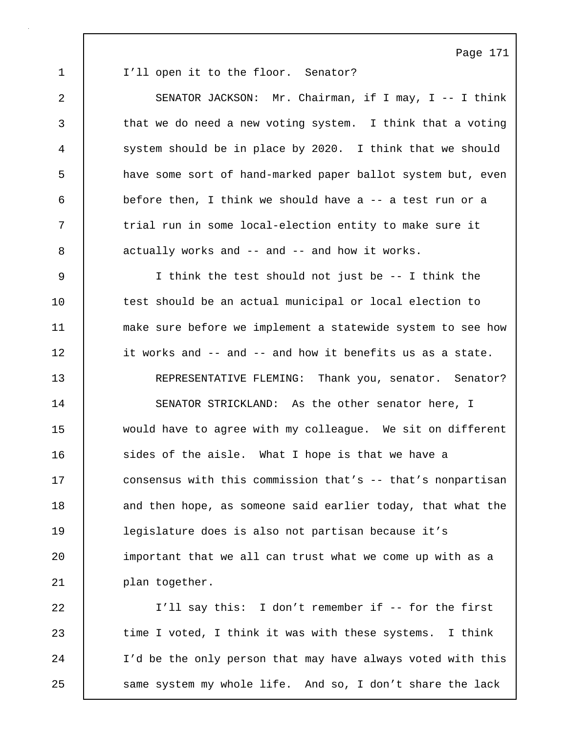1 I'll open it to the floor. Senator?

2 SENATOR JACKSON: Mr. Chairman, if I may, I -- I think 3 that we do need a new voting system. I think that a voting 4 system should be in place by 2020. I think that we should 5 have some sort of hand-marked paper ballot system but, even 6 before then, I think we should have a -- a test run or a 7 | trial run in some local-election entity to make sure it 8 actually works and -- and -- and how it works. 9 I think the test should not just be -- I think the 10 test should be an actual municipal or local election to 11 make sure before we implement a statewide system to see how 12 **i** it works and -- and -- and how it benefits us as a state. 13 REPRESENTATIVE FLEMING: Thank you, senator. Senator? 14 SENATOR STRICKLAND: As the other senator here, I 15 would have to agree with my colleague. We sit on different 16 sides of the aisle. What I hope is that we have a 17 consensus with this commission that's -- that's nonpartisan 18 and then hope, as someone said earlier today, that what the 19 legislature does is also not partisan because it's 20 | important that we all can trust what we come up with as a

21 | plan together.

22 I'll say this: I don't remember if -- for the first 23 time I voted, I think it was with these systems. I think 24 I'd be the only person that may have always voted with this 25 same system my whole life. And so, I don't share the lack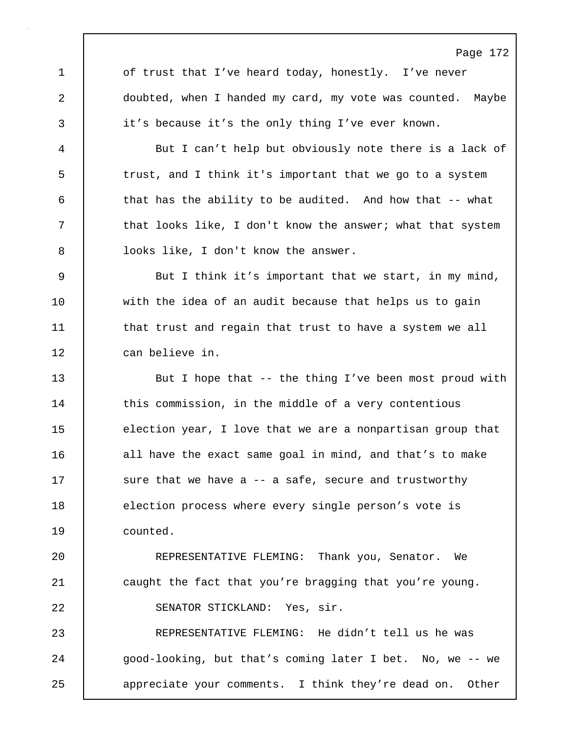Page 172 1 of trust that I've heard today, honestly. I've never 2 doubted, when I handed my card, my vote was counted. Maybe 3 it's because it's the only thing I've ever known. 4 But I can't help but obviously note there is a lack of 5 trust, and I think it's important that we go to a system 6 that has the ability to be audited. And how that -- what 7 | that looks like, I don't know the answer; what that system 8 | looks like, I don't know the answer. 9 But I think it's important that we start, in my mind, 10 with the idea of an audit because that helps us to gain 11 | that trust and regain that trust to have a system we all 12 can believe in. 13 But I hope that -- the thing I've been most proud with 14 this commission, in the middle of a very contentious 15 election year, I love that we are a nonpartisan group that 16 all have the exact same goal in mind, and that's to make 17 Sure that we have a -- a safe, secure and trustworthy 18 election process where every single person's vote is 19 counted. 20 REPRESENTATIVE FLEMING: Thank you, Senator. We 21 caught the fact that you're bragging that you're young. 22 SENATOR STICKLAND: Yes, sir. 23 REPRESENTATIVE FLEMING: He didn't tell us he was 24 | good-looking, but that's coming later I bet. No, we -- we 25 appreciate your comments. I think they're dead on. Other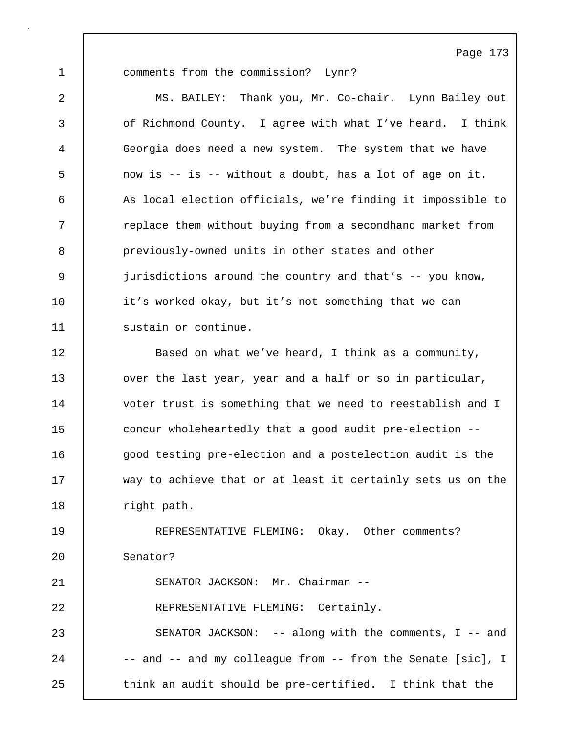1 comments from the commission? Lynn? 2 MS. BAILEY: Thank you, Mr. Co-chair. Lynn Bailey out 3 of Richmond County. I agree with what I've heard. I think 4 Georgia does need a new system. The system that we have 5 now is -- is -- without a doubt, has a lot of age on it. 6 As local election officials, we're finding it impossible to 7 Teplace them without buying from a secondhand market from 8 previously-owned units in other states and other 9 jurisdictions around the country and that's -- you know, 10 it's worked okay, but it's not something that we can 11 | sustain or continue. 12 Based on what we've heard, I think as a community, 13 | over the last year, year and a half or so in particular, 14 voter trust is something that we need to reestablish and I 15 concur wholeheartedly that a good audit pre-election --16 good testing pre-election and a postelection audit is the 17 way to achieve that or at least it certainly sets us on the 18 | right path. 19 REPRESENTATIVE FLEMING: Okay. Other comments? 20 Senator? 21 SENATOR JACKSON: Mr. Chairman -- 22 REPRESENTATIVE FLEMING: Certainly. 23 SENATOR JACKSON: -- along with the comments, I -- and 24 -- and -- and my colleague from -- from the Senate [sic], I

25 | think an audit should be pre-certified. I think that the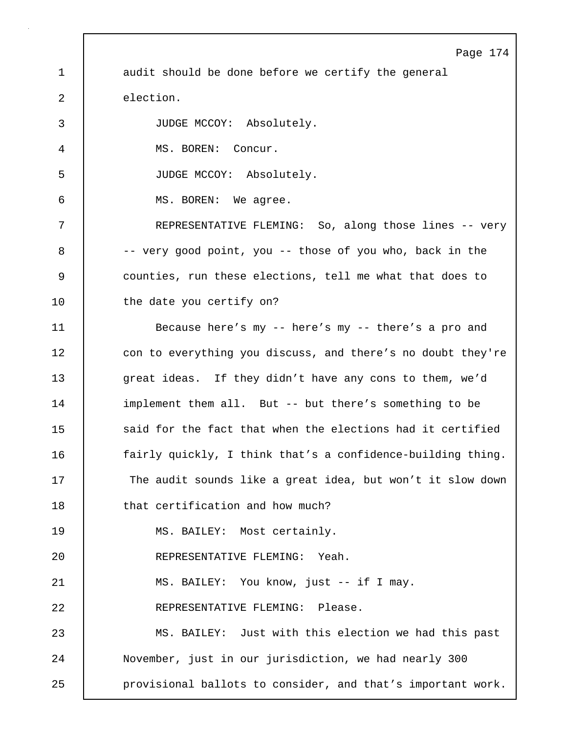Page 174 1 audit should be done before we certify the general 2 election. 3 JUDGE MCCOY: Absolutely. 4 MS. BOREN: Concur. 5 JUDGE MCCOY: Absolutely. 6 MS. BOREN: We agree. 7 REPRESENTATIVE FLEMING: So, along those lines -- very 8 | -- very good point, you -- those of you who, back in the 9 counties, run these elections, tell me what that does to 10 | the date you certify on? 11 Because here's my -- here's my -- there's a pro and 12 con to everything you discuss, and there's no doubt they're 13 error of they didn't have any cons to them, we'd 14 implement them all. But -- but there's something to be 15 **Soure 1** said for the fact that when the elections had it certified 16 **fairly quickly, I think that's a confidence-building thing.** 17 The audit sounds like a great idea, but won't it slow down 18 | that certification and how much? 19 MS. BAILEY: Most certainly. 20 REPRESENTATIVE FLEMING: Yeah. 21 | MS. BAILEY: You know, just -- if I may. 22 | REPRESENTATIVE FLEMING: Please. 23 MS. BAILEY: Just with this election we had this past 24 | November, just in our jurisdiction, we had nearly 300 25 **provisional ballots to consider, and that's important work.**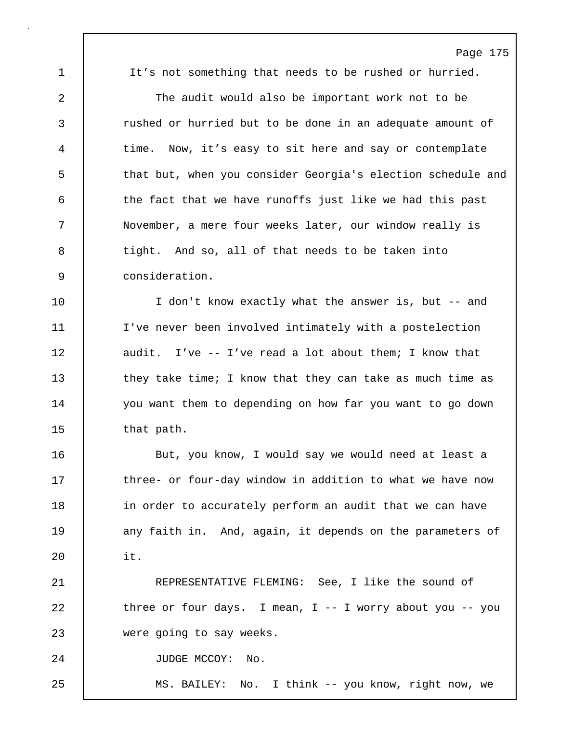1 It's not something that needs to be rushed or hurried.

2 The audit would also be important work not to be 3 rushed or hurried but to be done in an adequate amount of 4 time. Now, it's easy to sit here and say or contemplate 5 that but, when you consider Georgia's election schedule and 6 the fact that we have runoffs just like we had this past 7 November, a mere four weeks later, our window really is 8 tight. And so, all of that needs to be taken into 9 consideration.

10 | I don't know exactly what the answer is, but -- and 11 I've never been involved intimately with a postelection 12 audit. I've -- I've read a lot about them; I know that 13 they take time; I know that they can take as much time as 14 | you want them to depending on how far you want to go down 15 | that path.

16 But, you know, I would say we would need at least a 17 three- or four-day window in addition to what we have now 18 **in** order to accurately perform an audit that we can have 19 any faith in. And, again, it depends on the parameters of 20 it.

21 REPRESENTATIVE FLEMING: See, I like the sound of 22 | three or four days. I mean, I -- I worry about you -- you 23 were going to say weeks.

24 | JUDGE MCCOY: No.

25 MS. BAILEY: No. I think -- you know, right now, we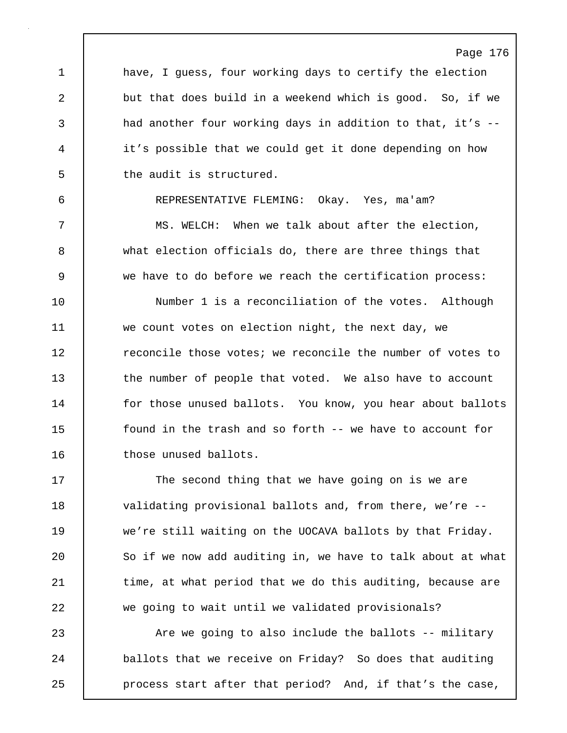1 have, I guess, four working days to certify the election 2 but that does build in a weekend which is good. So, if we 3 a had another four working days in addition to that, it's --4 it's possible that we could get it done depending on how 5 | the audit is structured.

Page 176

6 REPRESENTATIVE FLEMING: Okay. Yes, ma'am? 7 MS. WELCH: When we talk about after the election, 8 what election officials do, there are three things that 9 we have to do before we reach the certification process:

10 Number 1 is a reconciliation of the votes. Although 11 we count votes on election night, the next day, we 12 | reconcile those votes; we reconcile the number of votes to 13 the number of people that voted. We also have to account 14 for those unused ballots. You know, you hear about ballots 15 found in the trash and so forth -- we have to account for 16 those unused ballots.

17 The second thing that we have going on is we are 18 validating provisional ballots and, from there, we're --19 we're still waiting on the UOCAVA ballots by that Friday. 20 So if we now add auditing in, we have to talk about at what 21 | time, at what period that we do this auditing, because are 22 we going to wait until we validated provisionals?

23 Are we going to also include the ballots -- military 24 ballots that we receive on Friday? So does that auditing 25 **process start after that period?** And, if that's the case,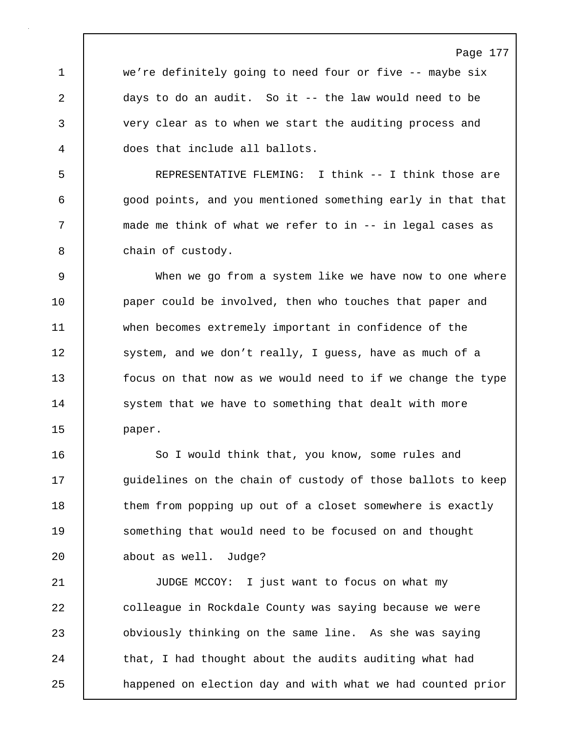1 we're definitely going to need four or five -- maybe six 2 days to do an audit. So it -- the law would need to be 3 very clear as to when we start the auditing process and 4 does that include all ballots.

5 REPRESENTATIVE FLEMING: I think -- I think those are 6 good points, and you mentioned something early in that that 7 made me think of what we refer to in -- in legal cases as 8 chain of custody.

9 When we go from a system like we have now to one where 10 **paper could be involved, then who touches that paper and** 11 when becomes extremely important in confidence of the 12 | system, and we don't really, I guess, have as much of a 13 focus on that now as we would need to if we change the type 14 | system that we have to something that dealt with more 15 | paper.

16 | So I would think that, you know, some rules and 17 quidelines on the chain of custody of those ballots to keep 18 them from popping up out of a closet somewhere is exactly 19 | something that would need to be focused on and thought 20 | about as well. Judge?

21 JUDGE MCCOY: I just want to focus on what my 22 colleague in Rockdale County was saying because we were 23 obviously thinking on the same line. As she was saying 24 that, I had thought about the audits auditing what had 25 **happened on election day and with what we had counted prior** 

### Page 177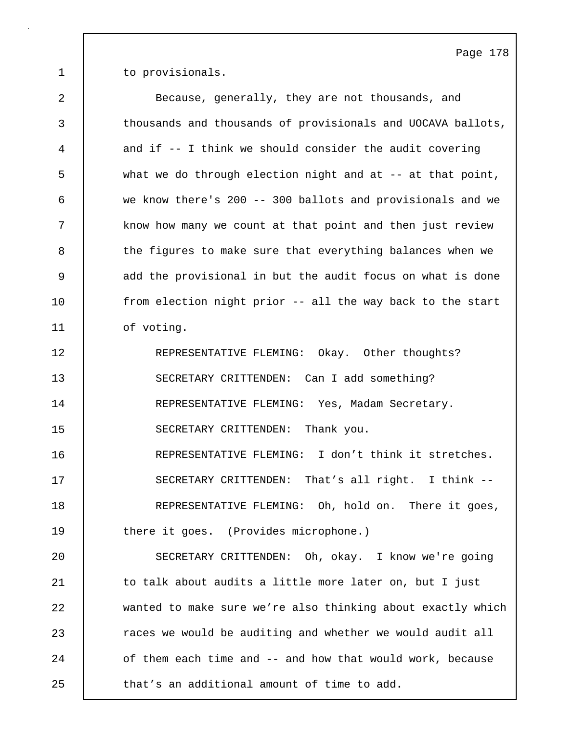1 to provisionals.

| $\overline{2}$ | Because, generally, they are not thousands, and             |
|----------------|-------------------------------------------------------------|
| $\mathsf{3}$   | thousands and thousands of provisionals and UOCAVA ballots, |
| 4              | and if -- I think we should consider the audit covering     |
| 5              | what we do through election night and at -- at that point,  |
| 6              | we know there's 200 -- 300 ballots and provisionals and we  |
| 7              | know how many we count at that point and then just review   |
| 8              | the figures to make sure that everything balances when we   |
| 9              | add the provisional in but the audit focus on what is done  |
| 10             | from election night prior -- all the way back to the start  |
| 11             | of voting.                                                  |
| 12             | REPRESENTATIVE FLEMING: Okay. Other thoughts?               |
| 13             | SECRETARY CRITTENDEN: Can I add something?                  |
| 14             | REPRESENTATIVE FLEMING: Yes, Madam Secretary.               |
| 15             | SECRETARY CRITTENDEN: Thank you.                            |
| 16             | REPRESENTATIVE FLEMING: I don't think it stretches.         |
| 17             | SECRETARY CRITTENDEN: That's all right. I think --          |
| 18             | REPRESENTATIVE FLEMING: Oh, hold on. There it goes,         |
| 19             | there it goes. (Provides microphone.)                       |
| 20             | SECRETARY CRITTENDEN: Oh, okay. I know we're going          |
| 21             | to talk about audits a little more later on, but I just     |
| 22             | wanted to make sure we're also thinking about exactly which |
| 23             | races we would be auditing and whether we would audit all   |
| 24             | of them each time and -- and how that would work, because   |
| 25             | that's an additional amount of time to add.                 |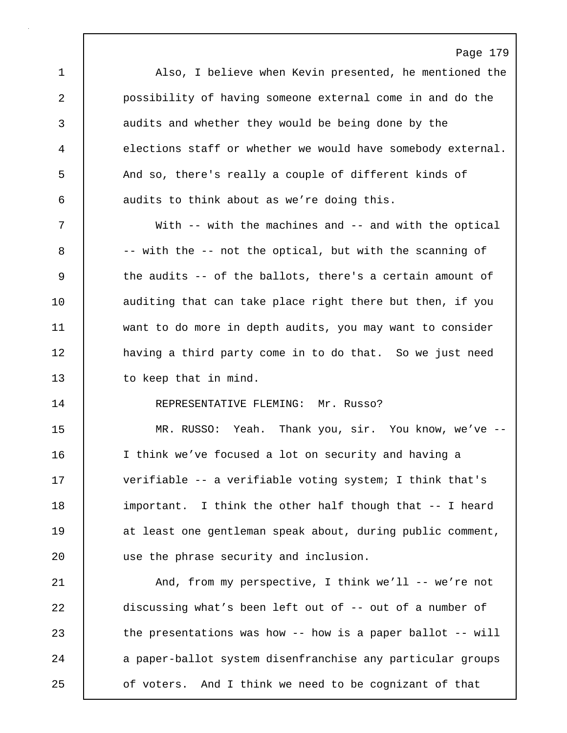Page 179 1 Also, I believe when Kevin presented, he mentioned the 2 possibility of having someone external come in and do the 3 audits and whether they would be being done by the 4 elections staff or whether we would have somebody external. 5 And so, there's really a couple of different kinds of 6 audits to think about as we're doing this. 7 With -- with the machines and -- and with the optical  $8$   $-$  with the  $-$  not the optical, but with the scanning of 9 the audits -- of the ballots, there's a certain amount of 10 | auditing that can take place right there but then, if you 11 want to do more in depth audits, you may want to consider 12 **having a third party come in to do that.** So we just need 13 to keep that in mind. 14 | REPRESENTATIVE FLEMING: Mr. Russo? 15 MR. RUSSO: Yeah. Thank you, sir. You know, we've -- 16 I think we've focused a lot on security and having a 17 verifiable -- a verifiable voting system; I think that's 18 important. I think the other half though that -- I heard 19 at least one gentleman speak about, during public comment, 20 use the phrase security and inclusion. 21 | And, from my perspective, I think we'll -- we're not 22 discussing what's been left out of -- out of a number of 23 the presentations was how -- how is a paper ballot -- will 24 a paper-ballot system disenfranchise any particular groups

25 of voters. And I think we need to be cognizant of that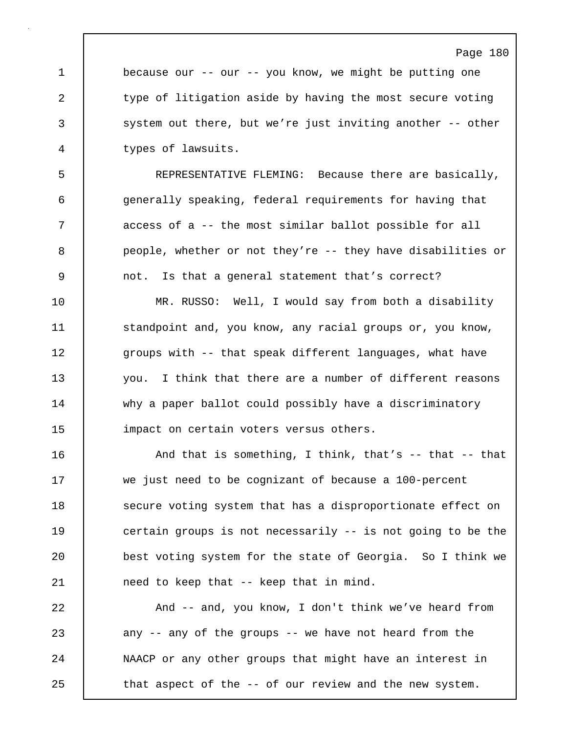| Page |  | 180 |  |
|------|--|-----|--|
|------|--|-----|--|

1 because our -- our -- you know, we might be putting one 2 type of litigation aside by having the most secure voting 3 system out there, but we're just inviting another -- other 4 types of lawsuits.

5 REPRESENTATIVE FLEMING: Because there are basically, 6 generally speaking, federal requirements for having that 7 | access of a -- the most similar ballot possible for all 8 people, whether or not they're -- they have disabilities or 9 not. Is that a general statement that's correct?

10 MR. RUSSO: Well, I would say from both a disability 11 Standpoint and, you know, any racial groups or, you know, 12 **groups with -- that speak different languages, what have** 13 you. I think that there are a number of different reasons 14 why a paper ballot could possibly have a discriminatory 15 | impact on certain voters versus others.

16 **And that is something, I think, that's -- that -- that** 17 we just need to be cognizant of because a 100-percent 18 Secure voting system that has a disproportionate effect on 19 certain groups is not necessarily -- is not going to be the 20 best voting system for the state of Georgia. So I think we 21 | need to keep that -- keep that in mind.

22 And -- and, you know, I don't think we've heard from 23 any -- any of the groups -- we have not heard from the 24 NAACP or any other groups that might have an interest in 25 **that aspect of the -- of our review and the new system.**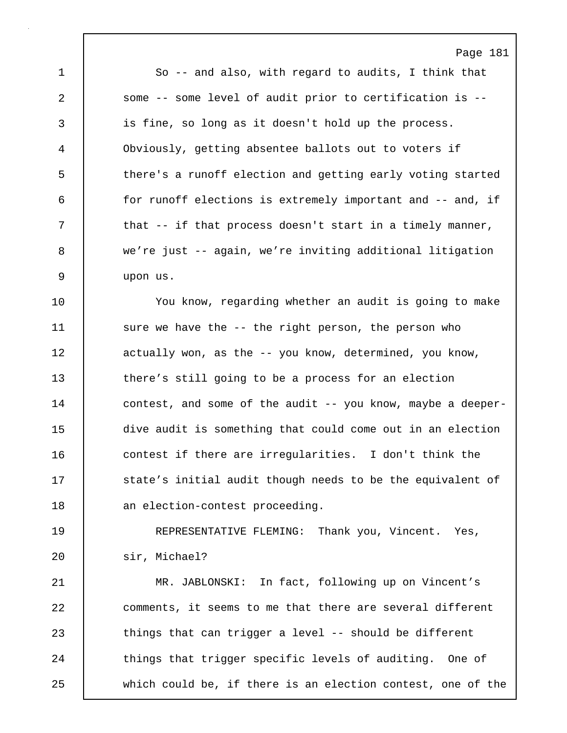Page 181 1 So -- and also, with regard to audits, I think that 2 some -- some level of audit prior to certification is -- 3 is fine, so long as it doesn't hold up the process. 4 Obviously, getting absentee ballots out to voters if 5 there's a runoff election and getting early voting started 6 for runoff elections is extremely important and -- and, if 7 | that -- if that process doesn't start in a timely manner, 8 we're just -- again, we're inviting additional litigation 9 upon us. 10 | You know, regarding whether an audit is going to make 11 | sure we have the -- the right person, the person who 12 **duali** actually won, as the -- you know, determined, you know, 13 there's still going to be a process for an election 14 | contest, and some of the audit -- you know, maybe a deeper-15 dive audit is something that could come out in an election 16 contest if there are irregularities. I don't think the 17 **State's** initial audit though needs to be the equivalent of 18 | an election-contest proceeding. 19 REPRESENTATIVE FLEMING: Thank you, Vincent. Yes, 20 sir, Michael? 21 MR. JABLONSKI: In fact, following up on Vincent's 22 comments, it seems to me that there are several different 23 things that can trigger a level -- should be different 24 things that trigger specific levels of auditing. One of 25 which could be, if there is an election contest, one of the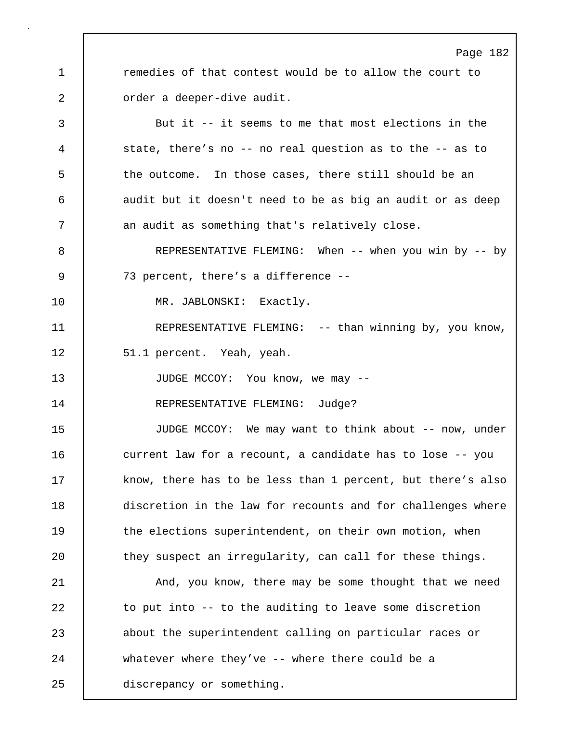1 **c** remedies of that contest would be to allow the court to 2 **canadical** order a deeper-dive audit. 3 But it -- it seems to me that most elections in the

4 state, there's no -- no real question as to the -- as to 5 the outcome. In those cases, there still should be an 6 audit but it doesn't need to be as big an audit or as deep 7 an audit as something that's relatively close.

8 REPRESENTATIVE FLEMING: When -- when you win by -- by 9 73 percent, there's a difference --

10 | MR. JABLONSKI: Exactly.

11 | REPRESENTATIVE FLEMING: -- than winning by, you know, 12 | 51.1 percent. Yeah, yeah.

13 JUDGE MCCOY: You know, we may --

14 REPRESENTATIVE FLEMING: Judge?

15 JUDGE MCCOY: We may want to think about -- now, under 16 **current law for a recount, a candidate has to lose -- you** 17 know, there has to be less than 1 percent, but there's also 18 discretion in the law for recounts and for challenges where 19 the elections superintendent, on their own motion, when 20 they suspect an irregularity, can call for these things.

21 | And, you know, there may be some thought that we need 22 to put into -- to the auditing to leave some discretion 23 about the superintendent calling on particular races or 24 whatever where they've -- where there could be a 25 discrepancy or something.

# Page 182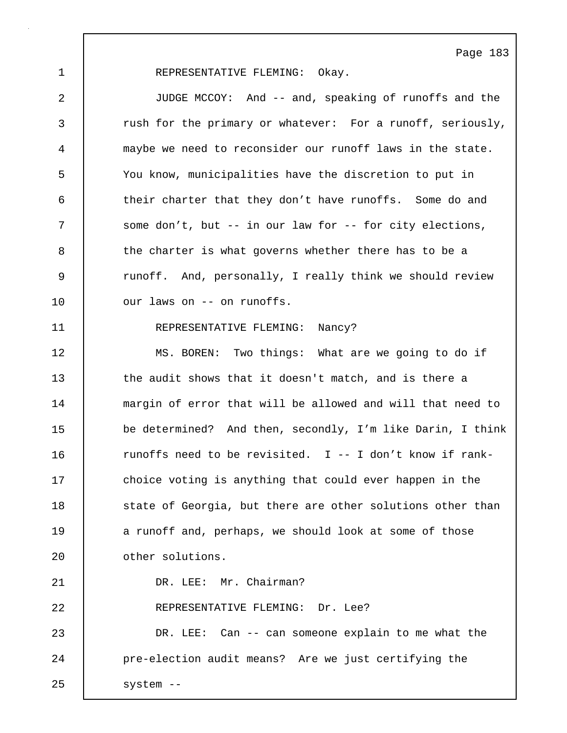# 1 | REPRESENTATIVE FLEMING: Okay.

2 JUDGE MCCOY: And -- and, speaking of runoffs and the 3 xush for the primary or whatever: For a runoff, seriously, 4 maybe we need to reconsider our runoff laws in the state. 5 You know, municipalities have the discretion to put in 6 their charter that they don't have runoffs. Some do and 7 Some don't, but -- in our law for -- for city elections, 8 the charter is what governs whether there has to be a 9 xunoff. And, personally, I really think we should review 10 | our laws on -- on runoffs.

# 11 | REPRESENTATIVE FLEMING: Nancy?

12 MS. BOREN: Two things: What are we going to do if 13 the audit shows that it doesn't match, and is there a 14 margin of error that will be allowed and will that need to 15 be determined? And then, secondly, I'm like Darin, I think 16  $\vert$  runoffs need to be revisited. I -- I don't know if rank-17 choice voting is anything that could ever happen in the 18 State of Georgia, but there are other solutions other than 19 a runoff and, perhaps, we should look at some of those 20 **delar** other solutions.

21 | DR. LEE: Mr. Chairman? 22 REPRESENTATIVE FLEMING: Dr. Lee? 23 DR. LEE: Can -- can someone explain to me what the 24 **pre-election audit means?** Are we just certifying the 25 | system --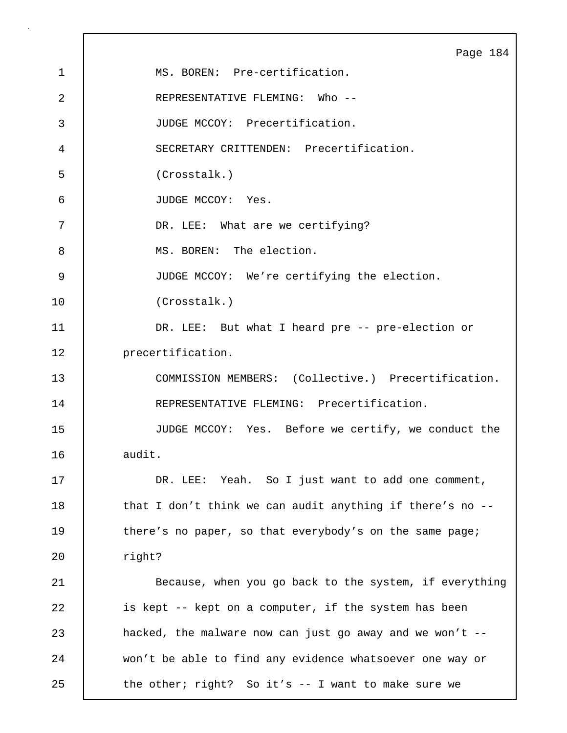|             | Page 184                                                  |
|-------------|-----------------------------------------------------------|
| $\mathbf 1$ | MS. BOREN: Pre-certification.                             |
| 2           | REPRESENTATIVE FLEMING: Who --                            |
| 3           | JUDGE MCCOY: Precertification.                            |
| 4           | SECRETARY CRITTENDEN: Precertification.                   |
| 5           | (Crosstalk.)                                              |
| 6           | JUDGE MCCOY: Yes.                                         |
| 7           | DR. LEE: What are we certifying?                          |
| 8           | MS. BOREN: The election.                                  |
| 9           | JUDGE MCCOY: We're certifying the election.               |
| 10          | (Crosstalk.)                                              |
| 11          | DR. LEE: But what I heard pre -- pre-election or          |
| 12          | precertification.                                         |
| 13          | COMMISSION MEMBERS: (Collective.) Precertification.       |
| 14          | REPRESENTATIVE FLEMING: Precertification.                 |
| 15          | JUDGE MCCOY: Yes. Before we certify, we conduct the       |
| 16          | audit.                                                    |
| 17          | DR. LEE: Yeah. So I just want to add one comment,         |
| 18          | that I don't think we can audit anything if there's no -- |
| 19          | there's no paper, so that everybody's on the same page;   |
| 20          | right?                                                    |
| 21          | Because, when you go back to the system, if everything    |
| 22          | is kept -- kept on a computer, if the system has been     |
| 23          | hacked, the malware now can just go away and we won't --  |
| 24          | won't be able to find any evidence whatsoever one way or  |
| 25          | the other; right? So it's -- I want to make sure we       |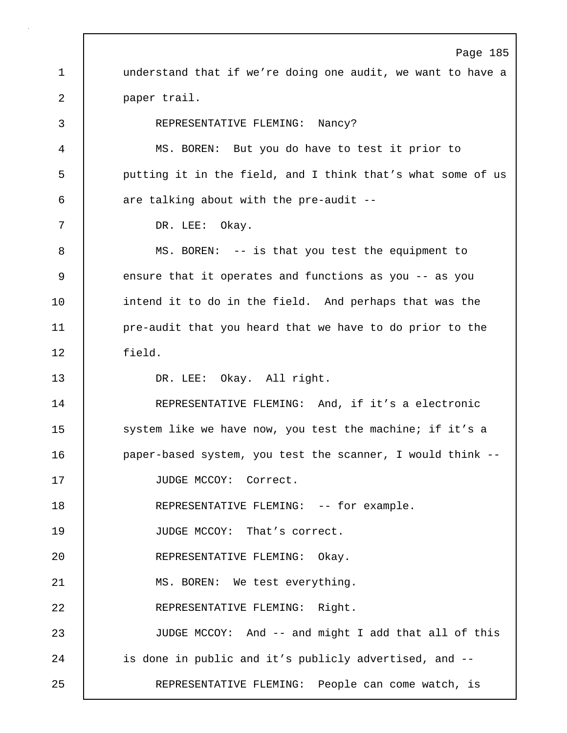Page 185 1 understand that if we're doing one audit, we want to have a 2 paper trail. 3 REPRESENTATIVE FLEMING: Nancy? 4 MS. BOREN: But you do have to test it prior to 5 putting it in the field, and I think that's what some of us  $6$  are talking about with the pre-audit --7 DR. LEE: Okay. 8 MS. BOREN: -- is that you test the equipment to 9 ensure that it operates and functions as you -- as you 10 intend it to do in the field. And perhaps that was the 11 **pre-audit that you heard that we have to do prior to the** 12 field. 13 DR. LEE: Okay. All right. 14 REPRESENTATIVE FLEMING: And, if it's a electronic 15 | system like we have now, you test the machine; if it's a 16 | paper-based system, you test the scanner, I would think --17 | JUDGE MCCOY: Correct. 18 | REPRESENTATIVE FLEMING: -- for example. 19 JUDGE MCCOY: That's correct. 20 REPRESENTATIVE FLEMING: Okay. 21 | MS. BOREN: We test everything. 22 REPRESENTATIVE FLEMING: Right. 23 | JUDGE MCCOY: And -- and might I add that all of this 24 | is done in public and it's publicly advertised, and --25 REPRESENTATIVE FLEMING: People can come watch, is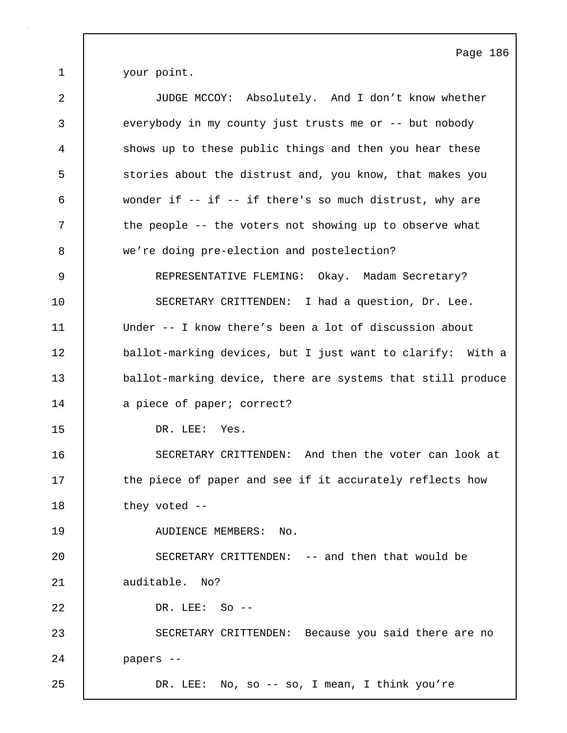1 your point.

| 2      | JUDGE MCCOY: Absolutely. And I don't know whether           |
|--------|-------------------------------------------------------------|
| 3      | everybody in my county just trusts me or -- but nobody      |
| 4      | shows up to these public things and then you hear these     |
| 5      | stories about the distrust and, you know, that makes you    |
| 6      | wonder if -- if -- if there's so much distrust, why are     |
| 7      | the people -- the voters not showing up to observe what     |
| 8      | we're doing pre-election and postelection?                  |
| 9      | REPRESENTATIVE FLEMING: Okay. Madam Secretary?              |
| 10     | SECRETARY CRITTENDEN: I had a question, Dr. Lee.            |
| 11     | Under -- I know there's been a lot of discussion about      |
| 12     | ballot-marking devices, but I just want to clarify: With a  |
| 13     | ballot-marking device, there are systems that still produce |
| 14     | a piece of paper; correct?                                  |
| 15     | DR. LEE: Yes.                                               |
| 16     | SECRETARY CRITTENDEN: And then the voter can look at        |
| 17     | the piece of paper and see if it accurately reflects how    |
| $18\,$ | they voted --                                               |
| 19     | AUDIENCE MEMBERS: No.                                       |
| 20     | SECRETARY CRITTENDEN: -- and then that would be             |
| 21     | auditable. No?                                              |
| 22     | DR. LEE: So --                                              |
| 23     | SECRETARY CRITTENDEN: Because you said there are no         |
| 24     | papers --                                                   |
| 25     | DR. LEE: No, so -- so, I mean, I think you're               |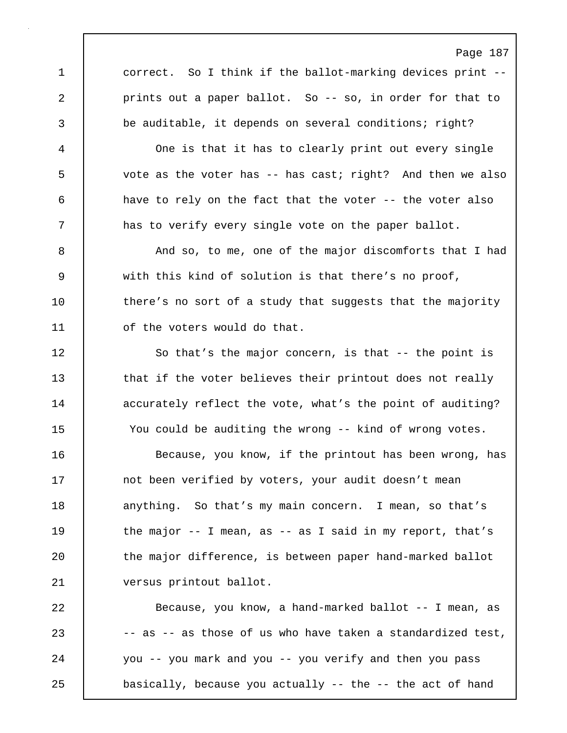1 correct. So I think if the ballot-marking devices print --2 **prints out a paper ballot.** So -- so, in order for that to 3 be auditable, it depends on several conditions; right?

4 One is that it has to clearly print out every single 5 vote as the voter has -- has cast; right? And then we also 6 have to rely on the fact that the voter -- the voter also 7 and  $\vert$  and has to verify every single vote on the paper ballot.

8 And so, to me, one of the major discomforts that I had 9 with this kind of solution is that there's no proof, 10 there's no sort of a study that suggests that the majority 11 | of the voters would do that.

12 So that's the major concern, is that -- the point is 13 that if the voter believes their printout does not really 14 accurately reflect the vote, what's the point of auditing? 15 You could be auditing the wrong -- kind of wrong votes.

16 Because, you know, if the printout has been wrong, has 17 | not been verified by voters, your audit doesn't mean 18 anything. So that's my main concern. I mean, so that's 19 the major -- I mean, as -- as I said in my report, that's 20 the major difference, is between paper hand-marked ballot 21 versus printout ballot.

22 Because, you know, a hand-marked ballot -- I mean, as 23  $\vert$  -- as -- as those of us who have taken a standardized test, 24 you -- you mark and you -- you verify and then you pass 25 basically, because you actually -- the -- the act of hand

# Page 187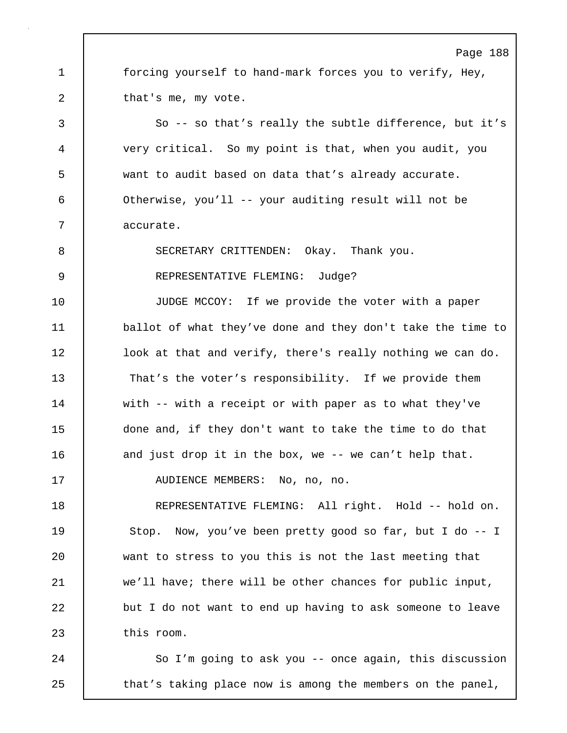Page 188 1 forcing yourself to hand-mark forces you to verify, Hey, 2 that's me, my vote. 3 So -- so that's really the subtle difference, but it's 4 very critical. So my point is that, when you audit, you 5 want to audit based on data that's already accurate. 6 Otherwise, you'll -- your auditing result will not be 7 | accurate. 8 SECRETARY CRITTENDEN: Okay. Thank you. 9 | REPRESENTATIVE FLEMING: Judge? 10 JUDGE MCCOY: If we provide the voter with a paper 11 ballot of what they've done and they don't take the time to 12 | look at that and verify, there's really nothing we can do. 13 That's the voter's responsibility. If we provide them 14 with -- with a receipt or with paper as to what they've 15 done and, if they don't want to take the time to do that 16 and just drop it in the box, we -- we can't help that. 17 | AUDIENCE MEMBERS: No, no, no. 18 REPRESENTATIVE FLEMING: All right. Hold -- hold on. 19 Stop. Now, you've been pretty good so far, but I do -- I 20 want to stress to you this is not the last meeting that 21 we'll have; there will be other chances for public input, 22 but I do not want to end up having to ask someone to leave 23 this room. 24 So I'm going to ask you -- once again, this discussion

25 that's taking place now is among the members on the panel,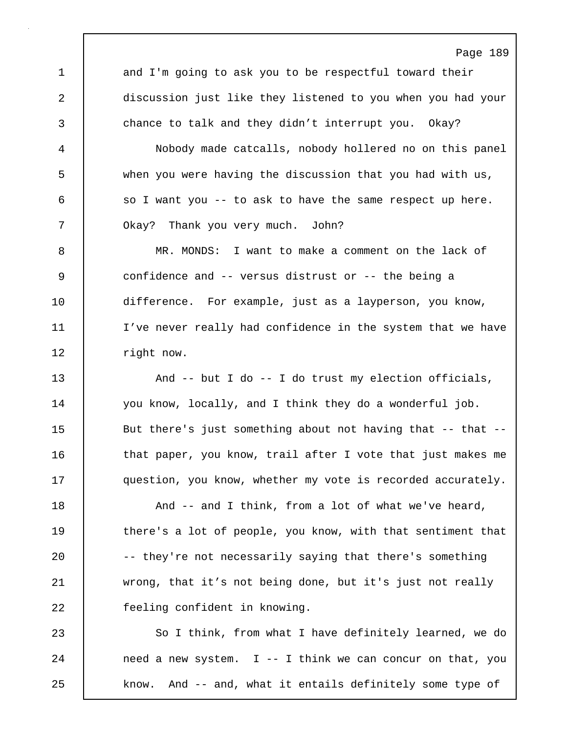1 and I'm going to ask you to be respectful toward their 2 discussion just like they listened to you when you had your 3 chance to talk and they didn't interrupt you. Okay?

Page 189

4 Nobody made catcalls, nobody hollered no on this panel 5 when you were having the discussion that you had with us,  $6$  so I want you -- to ask to have the same respect up here. 7 | Okay? Thank you very much. John?

8 MR. MONDS: I want to make a comment on the lack of 9 confidence and -- versus distrust or -- the being a 10 difference. For example, just as a layperson, you know, 11 I've never really had confidence in the system that we have 12 | right now.

13 And -- but I do -- I do trust my election officials, 14 you know, locally, and I think they do a wonderful job. 15 But there's just something about not having that -- that --16 that paper, you know, trail after I vote that just makes me 17 **question, you know, whether my vote is recorded accurately.** 

18 **And -- and I think, from a lot of what we've heard,** 19 there's a lot of people, you know, with that sentiment that 20 | -- they're not necessarily saying that there's something 21 wrong, that it's not being done, but it's just not really 22 **feeling confident in knowing.** 

23 So I think, from what I have definitely learned, we do  $24$  need a new system. I -- I think we can concur on that, you 25 | know. And -- and, what it entails definitely some type of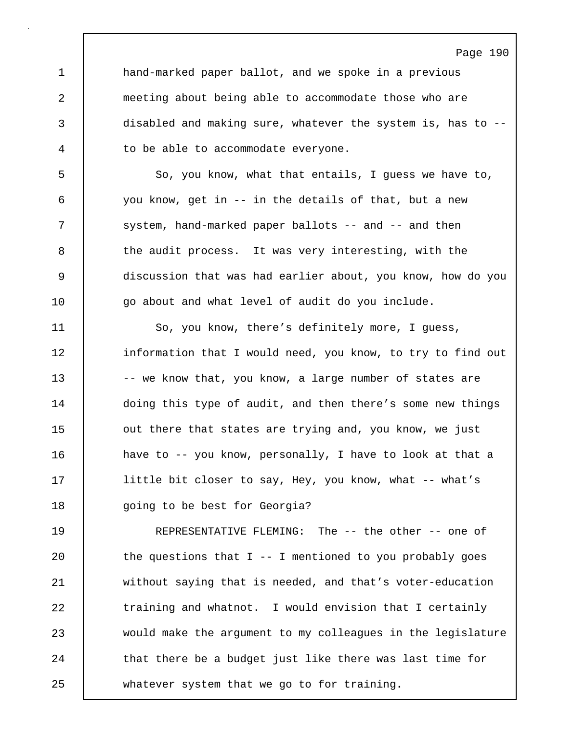1 hand-marked paper ballot, and we spoke in a previous 2 meeting about being able to accommodate those who are 3 disabled and making sure, whatever the system is, has to -- 4 to be able to accommodate everyone.

5 So, you know, what that entails, I quess we have to, 6 you know, get in -- in the details of that, but a new 7 | system, hand-marked paper ballots -- and -- and then 8 the audit process. It was very interesting, with the 9 discussion that was had earlier about, you know, how do you 10  $\vert$  go about and what level of audit do you include.

11 So, you know, there's definitely more, I guess, 12 information that I would need, you know, to try to find out 13 -- we know that, you know, a large number of states are 14 | doing this type of audit, and then there's some new things 15 **out there that states are trying and, you know, we just** 16 have to -- you know, personally, I have to look at that a 17 | little bit closer to say, Hey, you know, what -- what's 18 | going to be best for Georgia?

19 REPRESENTATIVE FLEMING: The -- the other -- one of 20  $\vert$  the questions that I -- I mentioned to you probably goes 21 without saying that is needed, and that's voter-education 22 **training and whatnot.** I would envision that I certainly 23 would make the argument to my colleagues in the legislature 24 that there be a budget just like there was last time for 25 whatever system that we go to for training.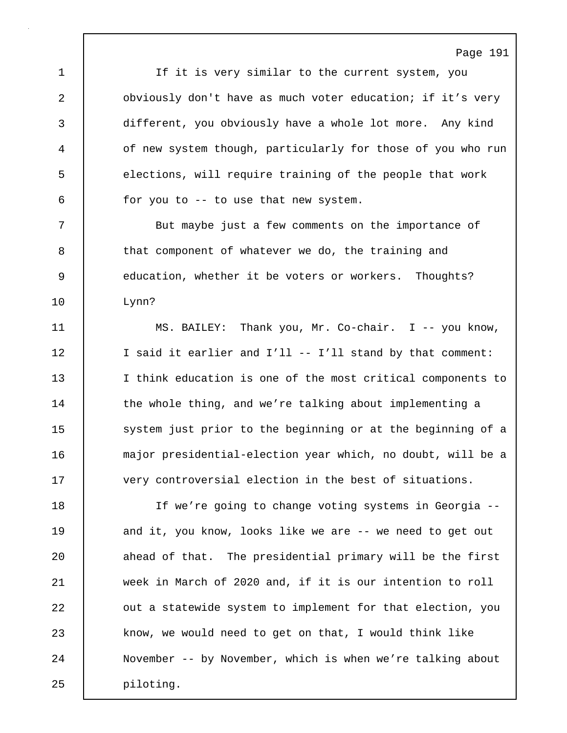1 If it is very similar to the current system, you 2 **budge 1** obviously don't have as much voter education; if it's very 3 different, you obviously have a whole lot more. Any kind 4 of new system though, particularly for those of you who run 5 elections, will require training of the people that work  $6$  for you to -- to use that new system.

Page 191

7 But maybe just a few comments on the importance of 8 that component of whatever we do, the training and 9 | education, whether it be voters or workers. Thoughts? 10 Lynn?

11 | MS. BAILEY: Thank you, Mr. Co-chair. I -- you know, 12 | I said it earlier and I'll -- I'll stand by that comment: 13 I think education is one of the most critical components to 14 the whole thing, and we're talking about implementing a 15 System just prior to the beginning or at the beginning of a 16 major presidential-election year which, no doubt, will be a 17 very controversial election in the best of situations.

18 If we're going to change voting systems in Georgia -- 19 and it, you know, looks like we are -- we need to get out 20 ahead of that. The presidential primary will be the first 21 week in March of 2020 and, if it is our intention to roll 22 **out a statewide system to implement for that election, you** 23 know, we would need to get on that, I would think like 24 November -- by November, which is when we're talking about 25 piloting.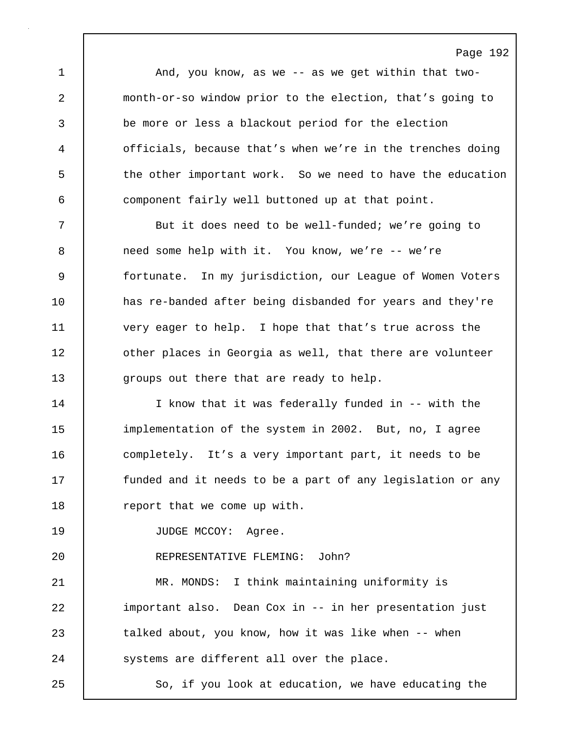Page 192 1 | And, you know, as we -- as we get within that two-2 month-or-so window prior to the election, that's going to 3 be more or less a blackout period for the election 4 officials, because that's when we're in the trenches doing 5 the other important work. So we need to have the education 6 component fairly well buttoned up at that point. 7 But it does need to be well-funded; we're going to 8 need some help with it. You know, we're -- we're 9 fortunate. In my jurisdiction, our League of Women Voters 10 has re-banded after being disbanded for years and they're 11 very eager to help. I hope that that's true across the 12 | other places in Georgia as well, that there are volunteer 13 **qroups out there that are ready to help.** 14 I know that it was federally funded in -- with the 15 implementation of the system in 2002. But, no, I agree 16 completely. It's a very important part, it needs to be 17 **funded and it needs to be a part of any legislation or any** 18 | report that we come up with. 19 | JUDGE MCCOY: Agree. 20 REPRESENTATIVE FLEMING: John? 21 MR. MONDS: I think maintaining uniformity is 22 important also. Dean Cox in -- in her presentation just 23 talked about, you know, how it was like when -- when 24 **Systems** are different all over the place. 25 So, if you look at education, we have educating the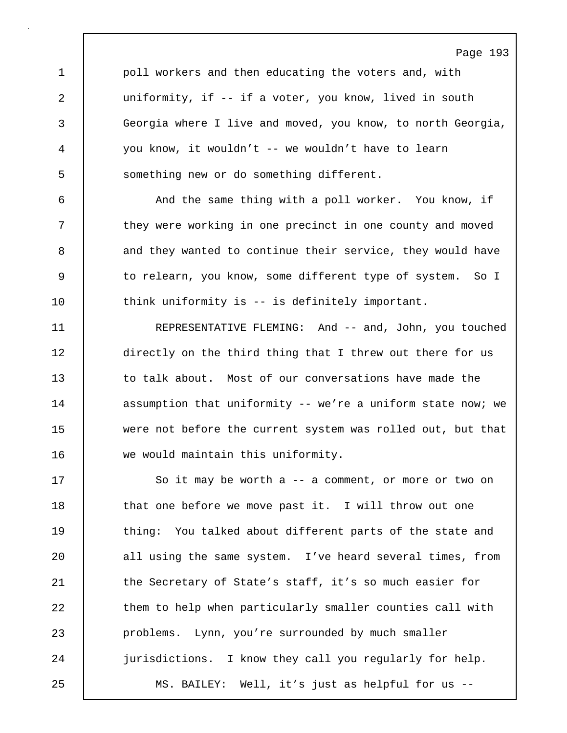1 | poll workers and then educating the voters and, with 2 uniformity, if -- if a voter, you know, lived in south 3 Georgia where I live and moved, you know, to north Georgia, 4 you know, it wouldn't -- we wouldn't have to learn 5 Something new or do something different.

6 And the same thing with a poll worker. You know, if 7 they were working in one precinct in one county and moved 8 and they wanted to continue their service, they would have 9 to relearn, you know, some different type of system. So I 10 | think uniformity is -- is definitely important.

11 REPRESENTATIVE FLEMING: And -- and, John, you touched 12 directly on the third thing that I threw out there for us 13 to talk about. Most of our conversations have made the 14 assumption that uniformity -- we're a uniform state now; we 15 were not before the current system was rolled out, but that 16 we would maintain this uniformity.

17 So it may be worth a -- a comment, or more or two on 18 | that one before we move past it. I will throw out one 19 | thing: You talked about different parts of the state and 20 all using the same system. I've heard several times, from 21 | the Secretary of State's staff, it's so much easier for 22 them to help when particularly smaller counties call with 23 problems. Lynn, you're surrounded by much smaller 24 jurisdictions. I know they call you regularly for help. 25 MS. BAILEY: Well, it's just as helpful for us --

# Page 193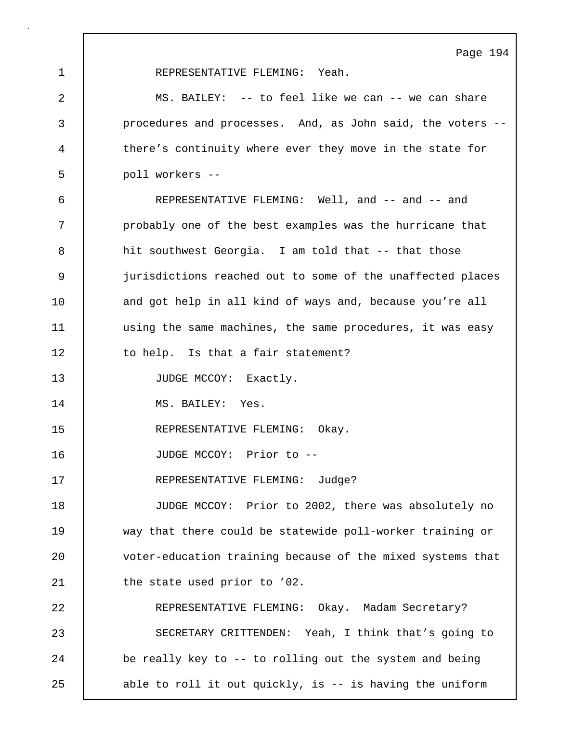1 REPRESENTATIVE FLEMING: Yeah.

2 MS. BAILEY: -- to feel like we can -- we can share 3 procedures and processes. And, as John said, the voters -- 4 there's continuity where ever they move in the state for 5 poll workers -- 6 REPRESENTATIVE FLEMING: Well, and -- and -- and 7 probably one of the best examples was the hurricane that 8 hit southwest Georgia. I am told that -- that those 9 jurisdictions reached out to some of the unaffected places 10 | and got help in all kind of ways and, because you're all 11 | using the same machines, the same procedures, it was easy 12 to help. Is that a fair statement? 13 | JUDGE MCCOY: Exactly. 14 MS. BAILEY: Yes. 15 REPRESENTATIVE FLEMING: Okay. 16 JUDGE MCCOY: Prior to -- 17 REPRESENTATIVE FLEMING: Judge? 18 JUDGE MCCOY: Prior to 2002, there was absolutely no 19 way that there could be statewide poll-worker training or 20 voter-education training because of the mixed systems that 21 | the state used prior to '02. 22 REPRESENTATIVE FLEMING: Okay. Madam Secretary? 23 SECRETARY CRITTENDEN: Yeah, I think that's going to 24 be really key to -- to rolling out the system and being

25 able to roll it out quickly, is -- is having the uniform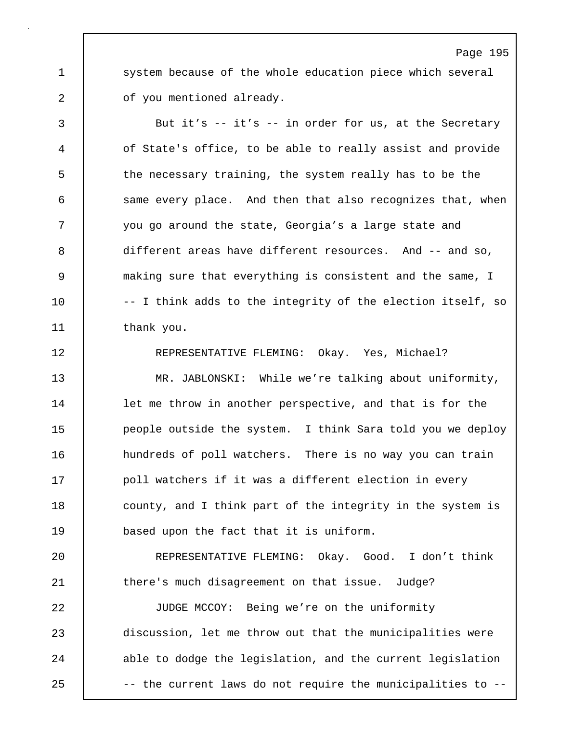1 system because of the whole education piece which several 2 of you mentioned already.

3 But it's -- it's -- in order for us, at the Secretary 4 of State's office, to be able to really assist and provide 5 the necessary training, the system really has to be the 6 same every place. And then that also recognizes that, when 7 you go around the state, Georgia's a large state and 8 different areas have different resources. And -- and so, 9 making sure that everything is consistent and the same, I 10 | -- I think adds to the integrity of the election itself, so 11 thank you. 12 REPRESENTATIVE FLEMING: Okay. Yes, Michael?

13 MR. JABLONSKI: While we're talking about uniformity, 14 | let me throw in another perspective, and that is for the 15 people outside the system. I think Sara told you we deploy 16 | hundreds of poll watchers. There is no way you can train 17 **poll watchers if it was a different election in every** 18 **county, and I think part of the integrity in the system is** 19 based upon the fact that it is uniform.

20 REPRESENTATIVE FLEMING: Okay. Good. I don't think 21 **there's much disagreement on that issue.** Judge?

22 JUDGE MCCOY: Being we're on the uniformity 23 discussion, let me throw out that the municipalities were 24 able to dodge the legislation, and the current legislation 25 | -- the current laws do not require the municipalities to --

#### Page 195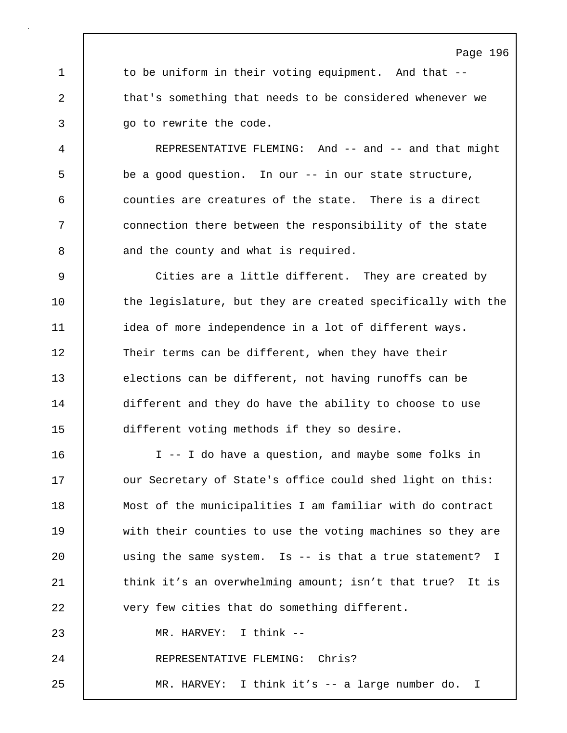1 to be uniform in their voting equipment. And that --2 that's something that needs to be considered whenever we 3 **go to rewrite the code.** 

4 REPRESENTATIVE FLEMING: And -- and -- and that might 5 be a good question. In our -- in our state structure, 6 counties are creatures of the state. There is a direct 7 connection there between the responsibility of the state 8 and the county and what is required.

9 Cities are a little different. They are created by 10 | the legislature, but they are created specifically with the 11 | idea of more independence in a lot of different ways. 12 Their terms can be different, when they have their 13 elections can be different, not having runoffs can be 14 different and they do have the ability to choose to use 15 different voting methods if they so desire.

16 I -- I do have a question, and maybe some folks in 17 | our Secretary of State's office could shed light on this: 18 Most of the municipalities I am familiar with do contract 19 with their counties to use the voting machines so they are 20 | using the same system. Is -- is that a true statement? I 21 think it's an overwhelming amount; isn't that true? It is 22 very few cities that do something different. 23 MR. HARVEY: I think -- 24 REPRESENTATIVE FLEMING: Chris? 25 MR. HARVEY: I think it's -- a large number do. I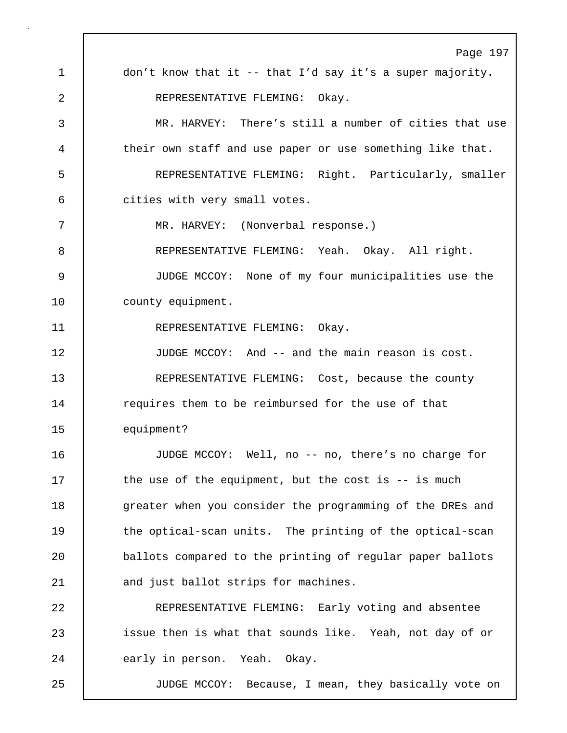Page 197 1 don't know that it -- that I'd say it's a super majority. 2 | REPRESENTATIVE FLEMING: Okav. 3 MR. HARVEY: There's still a number of cities that use 4 their own staff and use paper or use something like that. 5 REPRESENTATIVE FLEMING: Right. Particularly, smaller 6 cities with very small votes. 7 MR. HARVEY: (Nonverbal response.) 8 REPRESENTATIVE FLEMING: Yeah. Okay. All right. 9 JUDGE MCCOY: None of my four municipalities use the 10 | county equipment. 11 REPRESENTATIVE FLEMING: Okay. 12 JUDGE MCCOY: And -- and the main reason is cost. 13 REPRESENTATIVE FLEMING: Cost, because the county 14 **requires them to be reimbursed for the use of that** 15 equipment? 16 JUDGE MCCOY: Well, no -- no, there's no charge for 17 the use of the equipment, but the cost is -- is much 18 | greater when you consider the programming of the DREs and 19 | the optical-scan units. The printing of the optical-scan 20 ballots compared to the printing of regular paper ballots 21 and just ballot strips for machines. 22 REPRESENTATIVE FLEMING: Early voting and absentee 23 issue then is what that sounds like. Yeah, not day of or 24 early in person. Yeah. Okay. 25 JUDGE MCCOY: Because, I mean, they basically vote on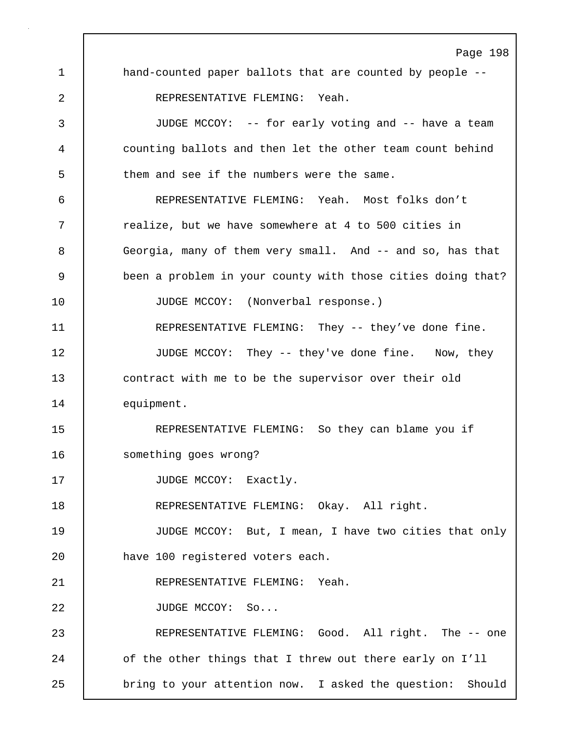Page 198 1 hand-counted paper ballots that are counted by people --2 | REPRESENTATIVE FLEMING: Yeah. 3 JUDGE MCCOY: -- for early voting and -- have a team 4 counting ballots and then let the other team count behind 5 them and see if the numbers were the same. 6 REPRESENTATIVE FLEMING: Yeah. Most folks don't 7 | realize, but we have somewhere at 4 to 500 cities in 8 Georgia, many of them very small. And -- and so, has that 9 been a problem in your county with those cities doing that? 10 JUDGE MCCOY: (Nonverbal response.) 11 REPRESENTATIVE FLEMING: They -- they've done fine. 12 | JUDGE MCCOY: They -- they've done fine. Now, they 13 contract with me to be the supervisor over their old 14 equipment. 15 REPRESENTATIVE FLEMING: So they can blame you if 16 something goes wrong? 17 | JUDGE MCCOY: Exactly. 18 | REPRESENTATIVE FLEMING: Okay. All right. 19 JUDGE MCCOY: But, I mean, I have two cities that only 20 have 100 registered voters each. 21 REPRESENTATIVE FLEMING: Yeah. 22 | JUDGE MCCOY: So... 23 REPRESENTATIVE FLEMING: Good. All right. The -- one 24 of the other things that I threw out there early on I'll 25 | bring to your attention now. I asked the question: Should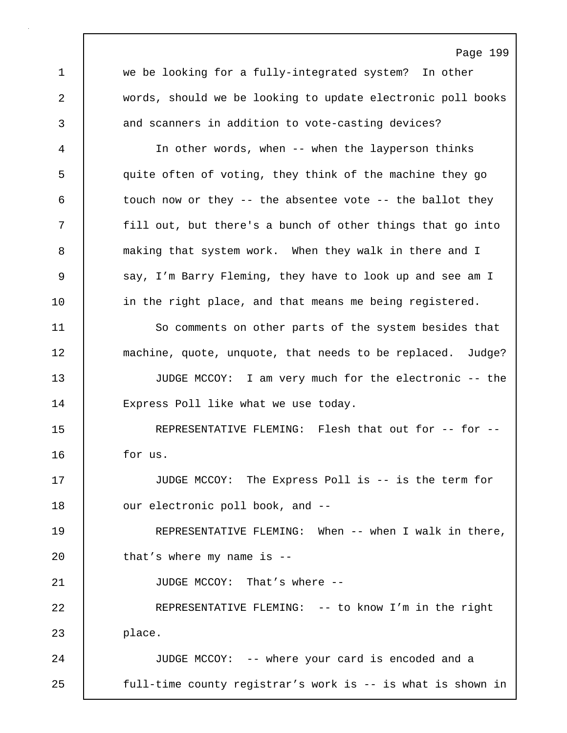Page 199 1 we be looking for a fully-integrated system? In other 2 words, should we be looking to update electronic poll books 3 and scanners in addition to vote-casting devices? 4 In other words, when -- when the layperson thinks 5 quite often of voting, they think of the machine they go 6 touch now or they -- the absentee vote -- the ballot they 7 | fill out, but there's a bunch of other things that go into 8 making that system work. When they walk in there and I 9 say, I'm Barry Fleming, they have to look up and see am I 10 | in the right place, and that means me being registered. 11 | So comments on other parts of the system besides that 12 machine, quote, unquote, that needs to be replaced. Judge? 13 JUDGE MCCOY: I am very much for the electronic -- the 14 | Express Poll like what we use today. 15 | REPRESENTATIVE FLEMING: Flesh that out for -- for --16 for us. 17 JUDGE MCCOY: The Express Poll is -- is the term for 18 our electronic poll book, and --19 REPRESENTATIVE FLEMING: When -- when I walk in there, 20 | that's where my name is --21 JUDGE MCCOY: That's where --22 REPRESENTATIVE FLEMING: -- to know I'm in the right 23 place. 24 JUDGE MCCOY: -- where your card is encoded and a 25 full-time county registrar's work is -- is what is shown in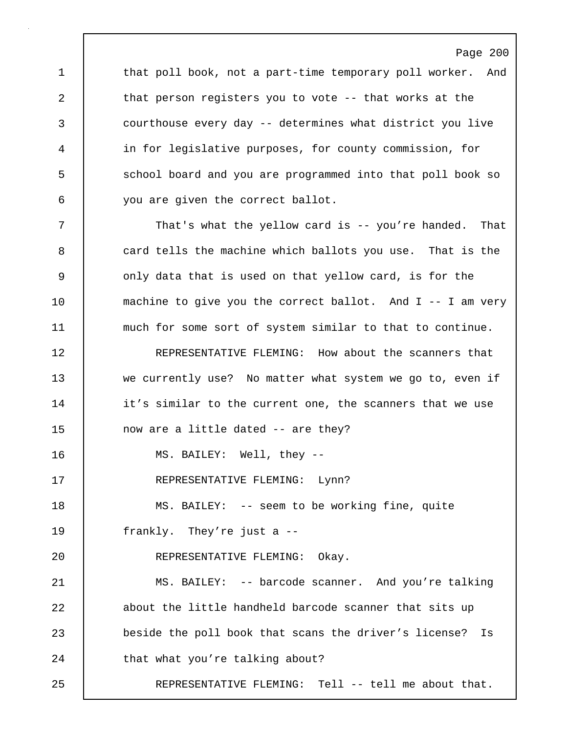1 that poll book, not a part-time temporary poll worker. And 2 that person registers you to vote -- that works at the 3 courthouse every day -- determines what district you live 4 in for legislative purposes, for county commission, for 5 S school board and you are programmed into that poll book so 6 you are given the correct ballot.

Page 200

7 That's what the yellow card is -- you're handed. That 8 card tells the machine which ballots you use. That is the 9 | only data that is used on that yellow card, is for the 10 machine to give you the correct ballot. And I -- I am very 11 | much for some sort of system similar to that to continue.

12 **REPRESENTATIVE FLEMING:** How about the scanners that 13 we currently use? No matter what system we go to, even if 14 it's similar to the current one, the scanners that we use 15 now are a little dated -- are they?

16 MS. BAILEY: Well, they --

17 REPRESENTATIVE FLEMING: Lynn?

18 MS. BAILEY: -- seem to be working fine, quite 19 frankly. They're just a --

20 REPRESENTATIVE FLEMING: Okay.

21 MS. BAILEY: -- barcode scanner. And you're talking 22 about the little handheld barcode scanner that sits up 23 beside the poll book that scans the driver's license? Is 24 that what you're talking about?

25 REPRESENTATIVE FLEMING: Tell -- tell me about that.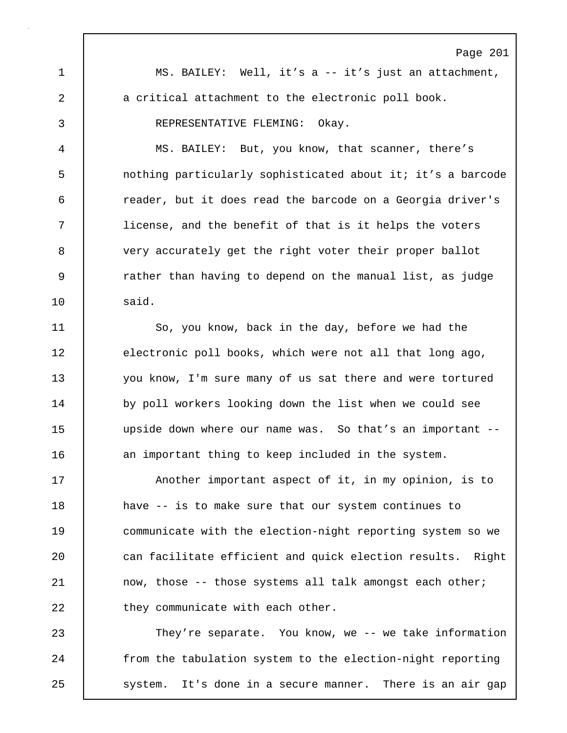Page 201 1 MS. BAILEY: Well, it's a -- it's just an attachment, 2 a critical attachment to the electronic poll book. 3 REPRESENTATIVE FLEMING: Okay. 4 MS. BAILEY: But, you know, that scanner, there's 5 nothing particularly sophisticated about it; it's a barcode 6 reader, but it does read the barcode on a Georgia driver's 7 license, and the benefit of that is it helps the voters 8 very accurately get the right voter their proper ballot 9 rather than having to depend on the manual list, as judge 10 said. 11 So, you know, back in the day, before we had the 12 electronic poll books, which were not all that long ago,

13 you know, I'm sure many of us sat there and were tortured 14 by poll workers looking down the list when we could see 15 upside down where our name was. So that's an important -- 16 an important thing to keep included in the system.

17 | Another important aspect of it, in my opinion, is to 18 **have -- is to make sure that our system continues to** 19 communicate with the election-night reporting system so we 20 **can facilitate efficient and quick election results.** Right 21 now, those -- those systems all talk amongst each other; 22 **they communicate with each other.** 

23 They're separate. You know, we -- we take information 24 | from the tabulation system to the election-night reporting 25 | system. It's done in a secure manner. There is an air gap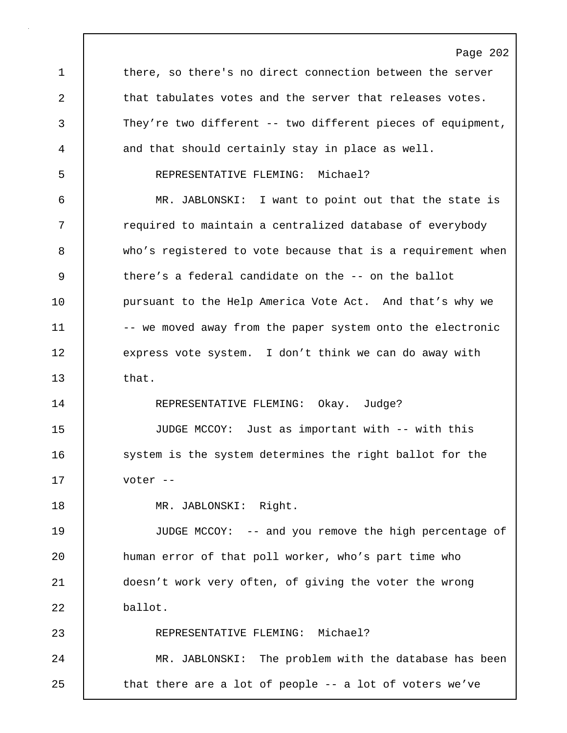Page 202 1 there, so there's no direct connection between the server 2 that tabulates votes and the server that releases votes. 3 They're two different -- two different pieces of equipment, 4 and that should certainly stay in place as well. 5 REPRESENTATIVE FLEMING: Michael? 6 MR. JABLONSKI: I want to point out that the state is 7 Tequired to maintain a centralized database of everybody 8 who's registered to vote because that is a requirement when 9 there's a federal candidate on the -- on the ballot 10 | pursuant to the Help America Vote Act. And that's why we 11 | -- we moved away from the paper system onto the electronic 12 express vote system. I don't think we can do away with 13 that. 14 REPRESENTATIVE FLEMING: Okay. Judge? 15 JUDGE MCCOY: Just as important with -- with this 16 system is the system determines the right ballot for the 17 voter -- 18 | MR. JABLONSKI: Right. 19 JUDGE MCCOY: -- and you remove the high percentage of 20 human error of that poll worker, who's part time who 21 doesn't work very often, of giving the voter the wrong 22 ballot. 23 REPRESENTATIVE FLEMING: Michael? 24 MR. JABLONSKI: The problem with the database has been 25 | that there are a lot of people -- a lot of voters we've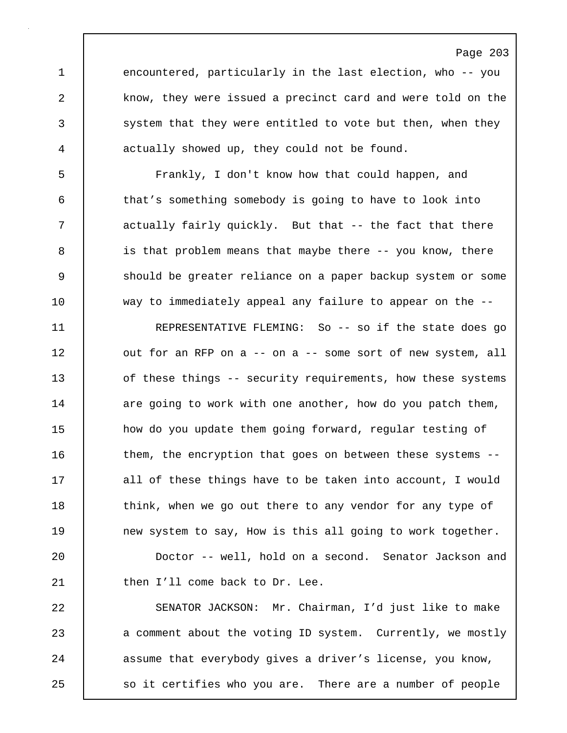1 encountered, particularly in the last election, who -- you 2 know, they were issued a precinct card and were told on the 3 system that they were entitled to vote but then, when they 4 actually showed up, they could not be found.

5 Frankly, I don't know how that could happen, and 6 that's something somebody is going to have to look into 7 actually fairly quickly. But that -- the fact that there 8 is that problem means that maybe there -- you know, there 9 Should be greater reliance on a paper backup system or some 10 way to immediately appeal any failure to appear on the --

11 REPRESENTATIVE FLEMING: So -- so if the state does go 12 | out for an RFP on a -- on a -- some sort of new system, all 13 of these things -- security requirements, how these systems 14 are going to work with one another, how do you patch them, 15 how do you update them going forward, regular testing of 16 them, the encryption that goes on between these systems --17 all of these things have to be taken into account, I would 18 think, when we go out there to any vendor for any type of 19 new system to say, How is this all going to work together.

20 Doctor -- well, hold on a second. Senator Jackson and 21 | then I'll come back to Dr. Lee.

22 SENATOR JACKSON: Mr. Chairman, I'd just like to make 23 a comment about the voting ID system. Currently, we mostly 24 assume that everybody gives a driver's license, you know, 25 so it certifies who you are. There are a number of people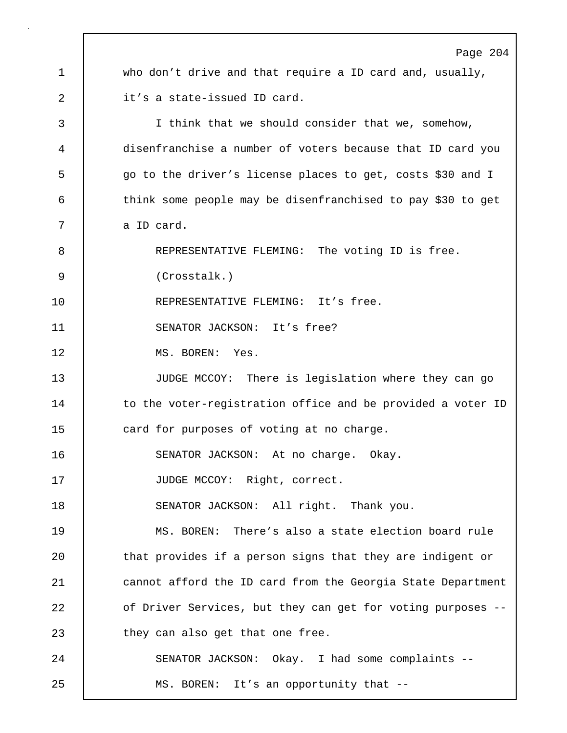Page 204 1 who don't drive and that require a ID card and, usually, 2 it's a state-issued ID card. 3 I think that we should consider that we, somehow, 4 disenfranchise a number of voters because that ID card you 5 go to the driver's license places to get, costs \$30 and I 6 think some people may be disenfranchised to pay \$30 to get 7 a ID card. 8 REPRESENTATIVE FLEMING: The voting ID is free. 9 (Crosstalk.) 10 | REPRESENTATIVE FLEMING: It's free. 11 SENATOR JACKSON: It's free? 12 MS. BOREN: Yes. 13 JUDGE MCCOY: There is legislation where they can go 14 to the voter-registration office and be provided a voter ID 15 **card for purposes of voting at no charge.** 16 | SENATOR JACKSON: At no charge. Okay. 17 JUDGE MCCOY: Right, correct. 18 | SENATOR JACKSON: All right. Thank you. 19 MS. BOREN: There's also a state election board rule 20 | that provides if a person signs that they are indigent or 21 | cannot afford the ID card from the Georgia State Department 22 | of Driver Services, but they can get for voting purposes --23 they can also get that one free. 24 | SENATOR JACKSON: Okay. I had some complaints --25 MS. BOREN: It's an opportunity that --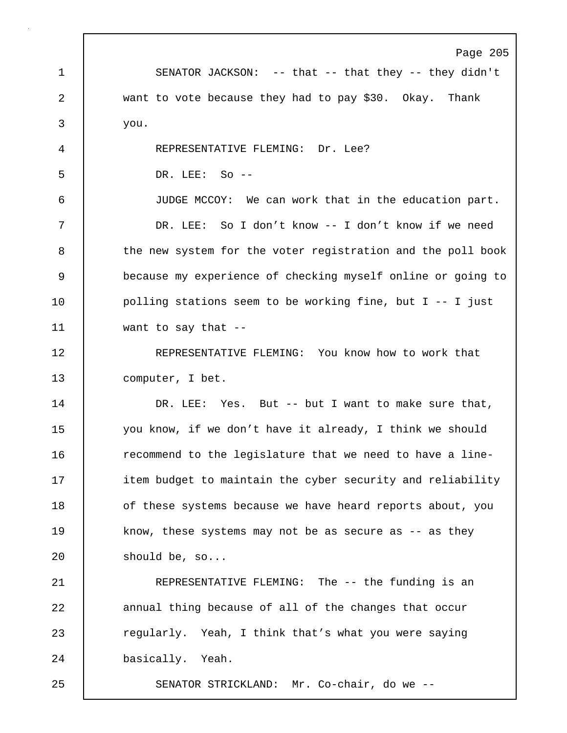Page 205 1 SENATOR JACKSON: -- that -- that they -- they didn't 2 want to vote because they had to pay \$30. Okay. Thank 3 you. 4 REPRESENTATIVE FLEMING: Dr. Lee? 5 DR. LEE: So -- 6 JUDGE MCCOY: We can work that in the education part. 7 DR. LEE: So I don't know -- I don't know if we need 8 the new system for the voter registration and the poll book 9 because my experience of checking myself online or going to 10 | polling stations seem to be working fine, but I -- I just 11 want to say that -- 12 | REPRESENTATIVE FLEMING: You know how to work that 13 computer, I bet. 14 DR. LEE: Yes. But -- but I want to make sure that, 15 you know, if we don't have it already, I think we should 16 **c** recommend to the legislature that we need to have a line-17 **item budget to maintain the cyber security and reliability** 18 | of these systems because we have heard reports about, you 19 know, these systems may not be as secure as -- as they 20 should be, so... 21 | REPRESENTATIVE FLEMING: The -- the funding is an 22 **annual thing because of all of the changes that occur** 23 exteedarly. Yeah, I think that's what you were saying 24 basically. Yeah. 25 SENATOR STRICKLAND: Mr. Co-chair, do we --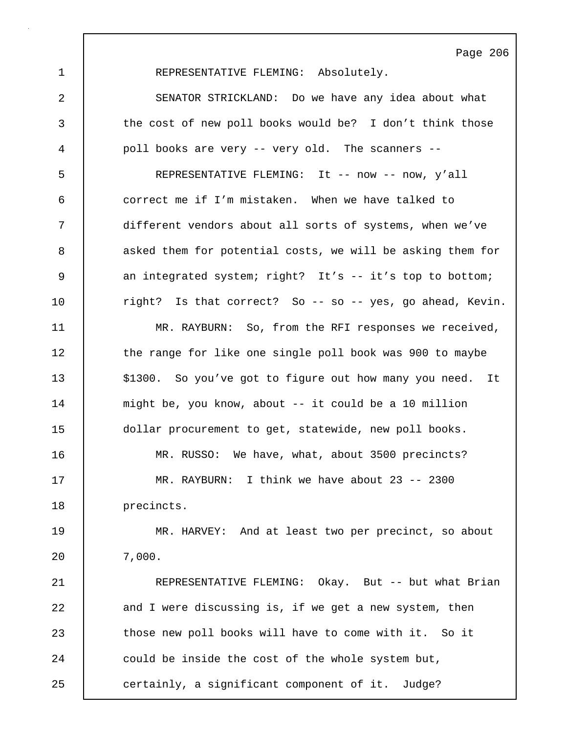1 REPRESENTATIVE FLEMING: Absolutely.

2 SENATOR STRICKLAND: Do we have any idea about what 3 the cost of new poll books would be? I don't think those 4 poll books are very -- very old. The scanners --

5 REPRESENTATIVE FLEMING: It -- now -- now, y'all 6 correct me if I'm mistaken. When we have talked to 7 different vendors about all sorts of systems, when we've 8 asked them for potential costs, we will be asking them for 9 an integrated system; right? It's -- it's top to bottom; 10 | right? Is that correct? So -- so -- yes, go ahead, Kevin.

11 MR. RAYBURN: So, from the RFI responses we received, 12 the range for like one single poll book was 900 to maybe 13 | \$1300. So you've got to figure out how many you need. It 14 might be, you know, about -- it could be a 10 million 15 dollar procurement to get, statewide, new poll books. 16 MR. RUSSO: We have, what, about 3500 precincts? 17 MR. RAYBURN: I think we have about 23 -- 2300

18 | precincts.

19 MR. HARVEY: And at least two per precinct, so about 20 7,000.

21 | REPRESENTATIVE FLEMING: Okay. But -- but what Brian 22 and I were discussing is, if we get a new system, then 23 those new poll books will have to come with it. So it 24 could be inside the cost of the whole system but, 25 certainly, a significant component of it. Judge?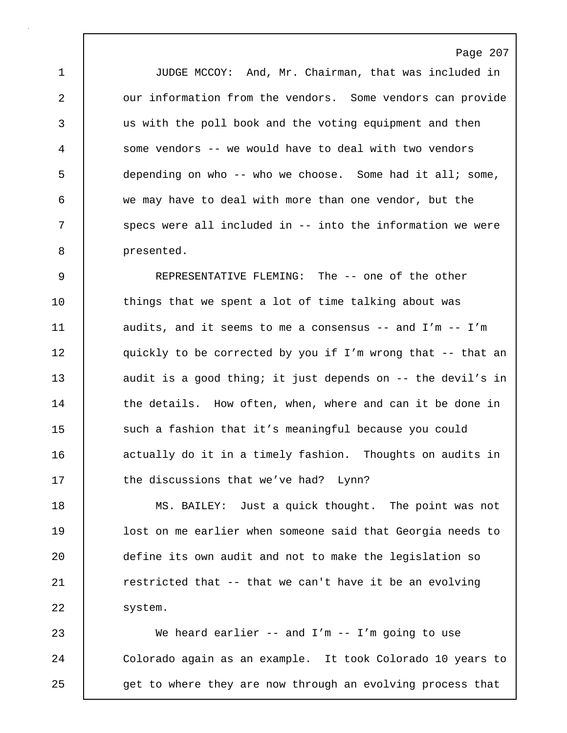1 JUDGE MCCOY: And, Mr. Chairman, that was included in 2 our information from the vendors. Some vendors can provide 3 us with the poll book and the voting equipment and then 4 some vendors -- we would have to deal with two vendors 5 depending on who -- who we choose. Some had it all; some, 6 we may have to deal with more than one vendor, but the 7 | specs were all included in -- into the information we were 8 presented.

9 REPRESENTATIVE FLEMING: The -- one of the other 10 | things that we spent a lot of time talking about was 11 | audits, and it seems to me a consensus -- and I'm -- I'm 12 | quickly to be corrected by you if I'm wrong that -- that an 13 audit is a good thing; it just depends on -- the devil's in 14 the details. How often, when, where and can it be done in 15 such a fashion that it's meaningful because you could 16 | actually do it in a timely fashion. Thoughts on audits in 17 the discussions that we've had? Lynn?

18 MS. BAILEY: Just a quick thought. The point was not 19 lost on me earlier when someone said that Georgia needs to 20 define its own audit and not to make the legislation so 21 **c** restricted that -- that we can't have it be an evolving 22 | system.

23 We heard earlier -- and I'm -- I'm going to use 24 | Colorado again as an example. It took Colorado 10 years to 25 get to where they are now through an evolving process that

Page 207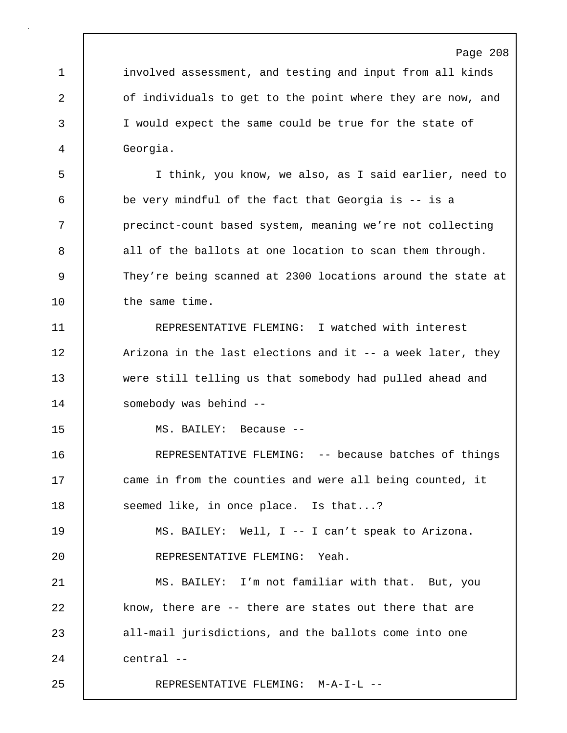1 involved assessment, and testing and input from all kinds 2 **o**f individuals to get to the point where they are now, and 3 I would expect the same could be true for the state of 4 Georgia.

5 I think, you know, we also, as I said earlier, need to 6 be very mindful of the fact that Georgia is -- is a 7 precinct-count based system, meaning we're not collecting 8 all of the ballots at one location to scan them through. 9 They're being scanned at 2300 locations around the state at 10 | the same time.

11 REPRESENTATIVE FLEMING: I watched with interest 12 | Arizona in the last elections and it -- a week later, they 13 were still telling us that somebody had pulled ahead and 14 somebody was behind --

15 MS. BAILEY: Because --

16 REPRESENTATIVE FLEMING: -- because batches of things 17 came in from the counties and were all being counted, it 18 **Seemed like, in once place.** Is that...?

19 MS. BAILEY: Well, I -- I can't speak to Arizona. 20 REPRESENTATIVE FLEMING: Yeah.

21 MS. BAILEY: I'm not familiar with that. But, you 22 know, there are -- there are states out there that are 23 all-mail jurisdictions, and the ballots come into one 24 central --

25 REPRESENTATIVE FLEMING: M-A-I-L --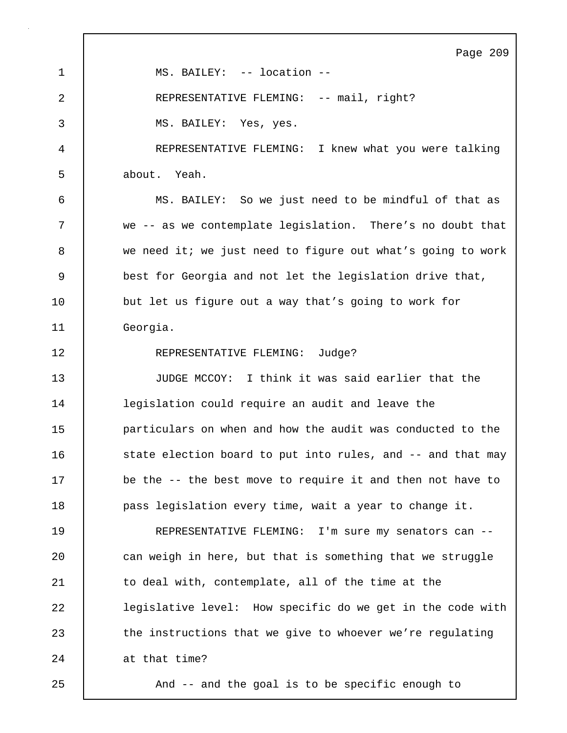Page 209 1 | MS. BAILEY: -- location --2 REPRESENTATIVE FLEMING: -- mail, right? 3 MS. BAILEY: Yes, yes. 4 REPRESENTATIVE FLEMING: I knew what you were talking 5 about. Yeah. 6 MS. BAILEY: So we just need to be mindful of that as 7 we -- as we contemplate legislation. There's no doubt that 8 we need it; we just need to figure out what's going to work 9 best for Georgia and not let the legislation drive that, 10 | but let us figure out a way that's going to work for 11 Georgia. 12 REPRESENTATIVE FLEMING: Judge? 13 JUDGE MCCOY: I think it was said earlier that the 14 legislation could require an audit and leave the 15 **particulars on when and how the audit was conducted to the** 16 state election board to put into rules, and -- and that may 17 be the -- the best move to require it and then not have to 18 **pass** legislation every time, wait a year to change it. 19 REPRESENTATIVE FLEMING: I'm sure my senators can -- 20 **can weigh in here, but that is something that we struggle** 21 | to deal with, contemplate, all of the time at the 22 | legislative level: How specific do we get in the code with 23 the instructions that we give to whoever we're regulating 24 at that time? 25 And -- and the goal is to be specific enough to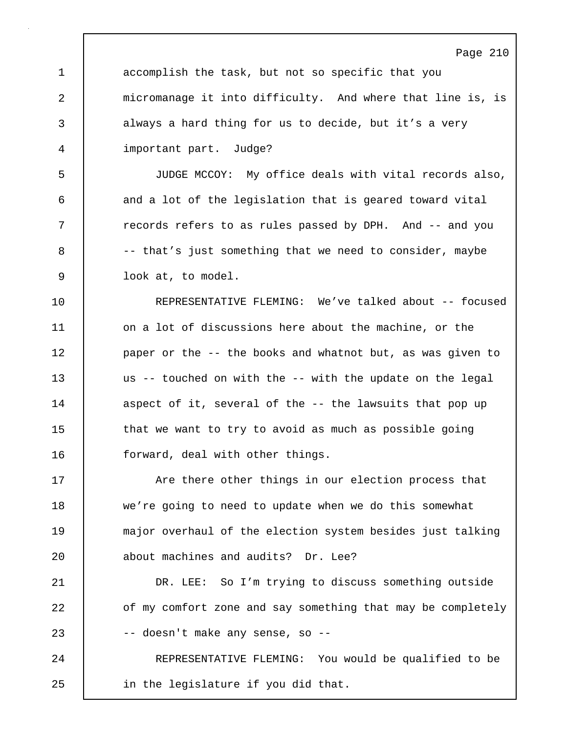Page 210 1 accomplish the task, but not so specific that you 2 micromanage it into difficulty. And where that line is, is 3 always a hard thing for us to decide, but it's a very 4 important part. Judge? 5 JUDGE MCCOY: My office deals with vital records also, 6 and a lot of the legislation that is geared toward vital 7 T records refers to as rules passed by DPH. And -- and you  $8$   $-$  that's just something that we need to consider, maybe 9 look at, to model. 10 REPRESENTATIVE FLEMING: We've talked about -- focused 11 on a lot of discussions here about the machine, or the 12 | paper or the -- the books and whatnot but, as was given to 13 us -- touched on with the -- with the update on the legal 14 aspect of it, several of the -- the lawsuits that pop up 15 that we want to try to avoid as much as possible going 16 **forward, deal with other things.** 17 The State other things in our election process that 18 we're going to need to update when we do this somewhat 19 major overhaul of the election system besides just talking 20 about machines and audits? Dr. Lee? 21 DR. LEE: So I'm trying to discuss something outside 22 **of my comfort zone and say something that may be completely** 23 -- doesn't make any sense, so -- 24 | REPRESENTATIVE FLEMING: You would be qualified to be 25 in the legislature if you did that.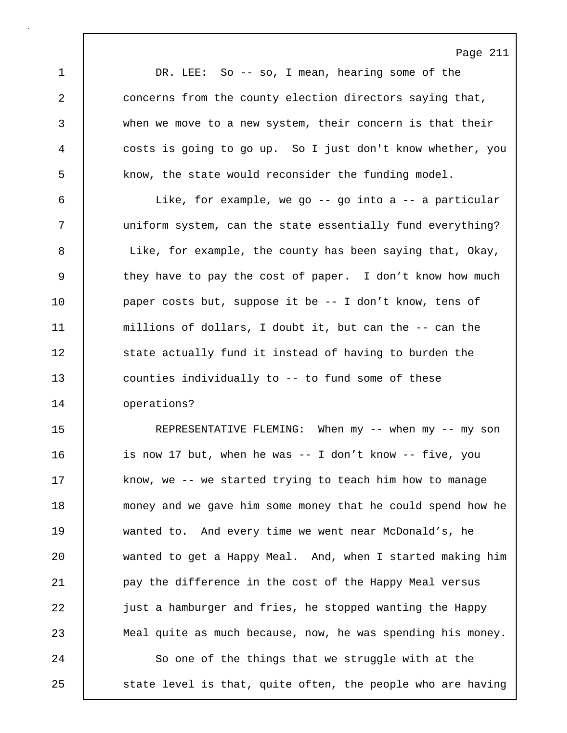Page 211 1 DR. LEE: So -- so, I mean, hearing some of the 2 concerns from the county election directors saying that, 3 when we move to a new system, their concern is that their 4 costs is going to go up. So I just don't know whether, you 5 **know, the state would reconsider the funding model.** 6 Like, for example, we go -- go into a -- a particular 7 uniform system, can the state essentially fund everything? 8 | Like, for example, the county has been saying that, Okay, 9 they have to pay the cost of paper. I don't know how much 10 paper costs but, suppose it be -- I don't know, tens of 11 millions of dollars, I doubt it, but can the -- can the 12 | state actually fund it instead of having to burden the 13 counties individually to -- to fund some of these 14 operations? 15 REPRESENTATIVE FLEMING: When my -- when my -- my son 16 is now 17 but, when he was -- I don't know -- five, you 17 | know, we -- we started trying to teach him how to manage 18 money and we gave him some money that he could spend how he 19 wanted to. And every time we went near McDonald's, he 20 wanted to get a Happy Meal. And, when I started making him 21 | pay the difference in the cost of the Happy Meal versus 22 just a hamburger and fries, he stopped wanting the Happy 23 Meal quite as much because, now, he was spending his money. 24 So one of the things that we struggle with at the 25 | state level is that, quite often, the people who are having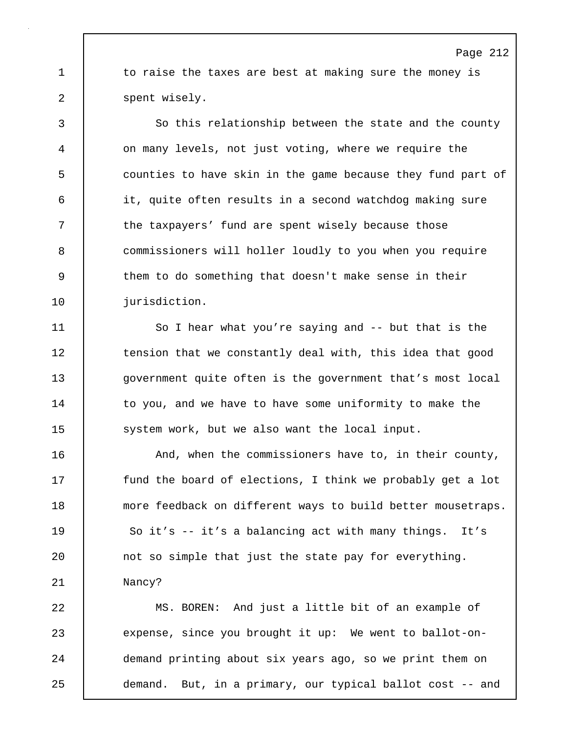1 to raise the taxes are best at making sure the money is 2 | spent wisely.

3 So this relationship between the state and the county 4 on many levels, not just voting, where we require the 5 counties to have skin in the game because they fund part of 6 it, quite often results in a second watchdog making sure 7 T the taxpayers' fund are spent wisely because those 8 commissioners will holler loudly to you when you require 9 them to do something that doesn't make sense in their 10 | jurisdiction.

11 So I hear what you're saying and -- but that is the 12 tension that we constantly deal with, this idea that good 13 **government quite often is the government that's most local** 14 | to you, and we have to have some uniformity to make the 15 system work, but we also want the local input.

16 **And, when the commissioners have to, in their county,** 17 **fund the board of elections, I think we probably get a lot** 18 more feedback on different ways to build better mousetraps. 19 | So it's -- it's a balancing act with many things. It's 20 **not** so simple that just the state pay for everything. 21 Nancy?

22 MS. BOREN: And just a little bit of an example of 23 expense, since you brought it up: We went to ballot-on-24 demand printing about six years ago, so we print them on 25 demand. But, in a primary, our typical ballot cost -- and

# Page 212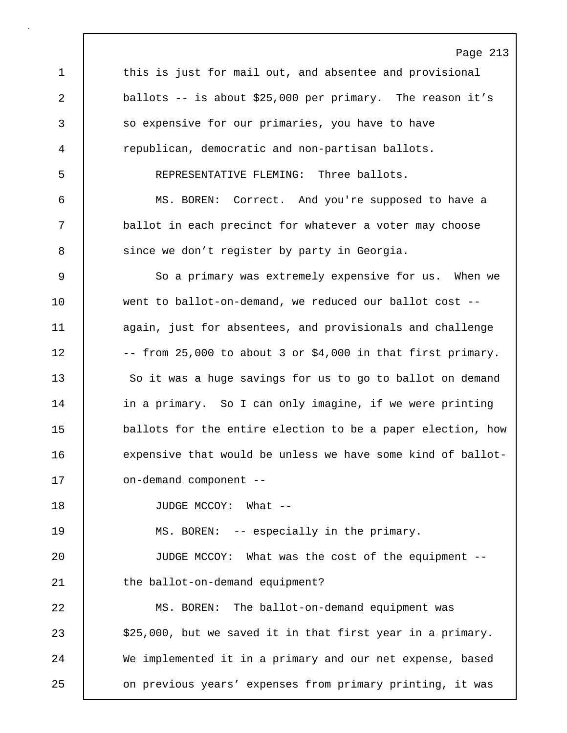Page 213 1 this is just for mail out, and absentee and provisional 2 ballots -- is about \$25,000 per primary. The reason it's 3 so expensive for our primaries, you have to have 4 republican, democratic and non-partisan ballots. 5 REPRESENTATIVE FLEMING: Three ballots. 6 MS. BOREN: Correct. And you're supposed to have a 7 ballot in each precinct for whatever a voter may choose 8 | since we don't register by party in Georgia. 9 So a primary was extremely expensive for us. When we 10 went to ballot-on-demand, we reduced our ballot cost --11 | again, just for absentees, and provisionals and challenge 12  $\vert$  -- from 25,000 to about 3 or \$4,000 in that first primary. 13 So it was a huge savings for us to go to ballot on demand 14 | in a primary. So I can only imagine, if we were printing 15 ballots for the entire election to be a paper election, how 16 expensive that would be unless we have some kind of ballot-17 on-demand component --18 | JUDGE MCCOY: What --19 | MS. BOREN: -- especially in the primary. 20 JUDGE MCCOY: What was the cost of the equipment -- 21 | the ballot-on-demand equipment? 22 MS. BOREN: The ballot-on-demand equipment was 23 | \$25,000, but we saved it in that first year in a primary. 24 We implemented it in a primary and our net expense, based 25 on previous years' expenses from primary printing, it was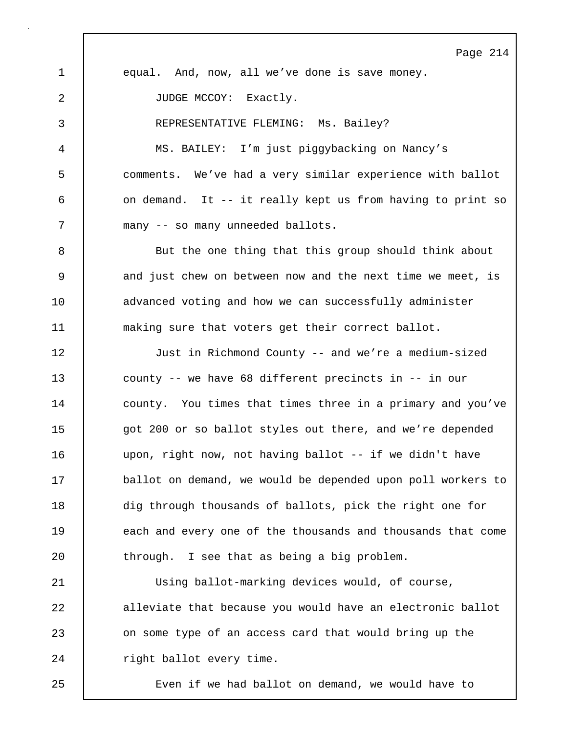Page 214 1 equal. And, now, all we've done is save money. 2 | JUDGE MCCOY: Exactly. 3 REPRESENTATIVE FLEMING: Ms. Bailey? 4 MS. BAILEY: I'm just piggybacking on Nancy's 5 comments. We've had a very similar experience with ballot 6 on demand. It -- it really kept us from having to print so 7 many -- so many unneeded ballots. 8 But the one thing that this group should think about 9 and just chew on between now and the next time we meet, is 10 advanced voting and how we can successfully administer 11 making sure that voters get their correct ballot. 12 Just in Richmond County -- and we're a medium-sized 13 county -- we have 68 different precincts in -- in our 14 county. You times that times three in a primary and you've 15 got 200 or so ballot styles out there, and we're depended 16 upon, right now, not having ballot -- if we didn't have 17 ballot on demand, we would be depended upon poll workers to 18 dig through thousands of ballots, pick the right one for 19 **each and every one of the thousands and thousands that come**  $20$  through. I see that as being a big problem. 21 Using ballot-marking devices would, of course, 22 alleviate that because you would have an electronic ballot 23 on some type of an access card that would bring up the 24 | right ballot every time.

25 Even if we had ballot on demand, we would have to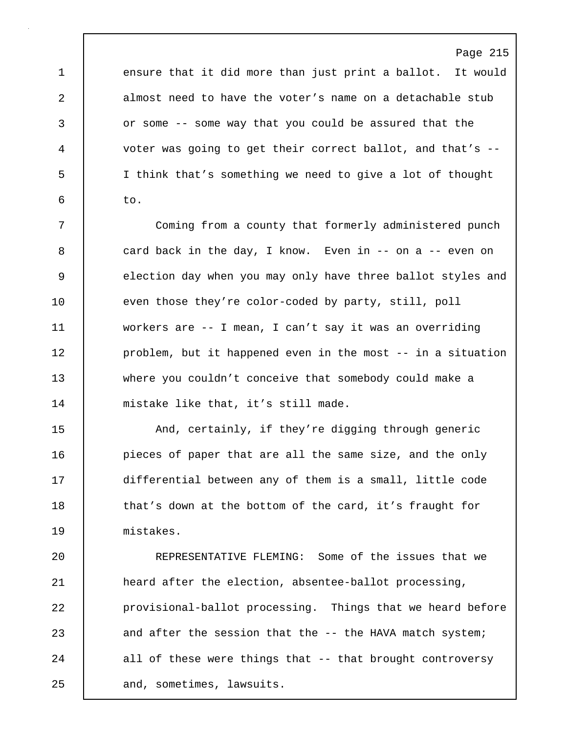Page 215 1 ensure that it did more than just print a ballot. It would 2 almost need to have the voter's name on a detachable stub 3 or some -- some way that you could be assured that the 4 voter was going to get their correct ballot, and that's -- 5 I think that's something we need to give a lot of thought  $6 \quad b \quad \text{to.}$ 

7 Coming from a county that formerly administered punch 8 card back in the day, I know. Even in -- on a -- even on 9 election day when you may only have three ballot styles and 10 even those they're color-coded by party, still, poll 11 workers are -- I mean, I can't say it was an overriding 12 **problem, but it happened even in the most** -- in a situation 13 where you couldn't conceive that somebody could make a 14 mistake like that, it's still made.

15 | And, certainly, if they're digging through generic 16 **pieces of paper that are all the same size, and the only** 17 differential between any of them is a small, little code 18 | that's down at the bottom of the card, it's fraught for 19 mistakes.

20 REPRESENTATIVE FLEMING: Some of the issues that we 21 heard after the election, absentee-ballot processing, 22 **provisional-ballot processing.** Things that we heard before 23 and after the session that the -- the HAVA match system; 24 all of these were things that -- that brought controversy 25 and, sometimes, lawsuits.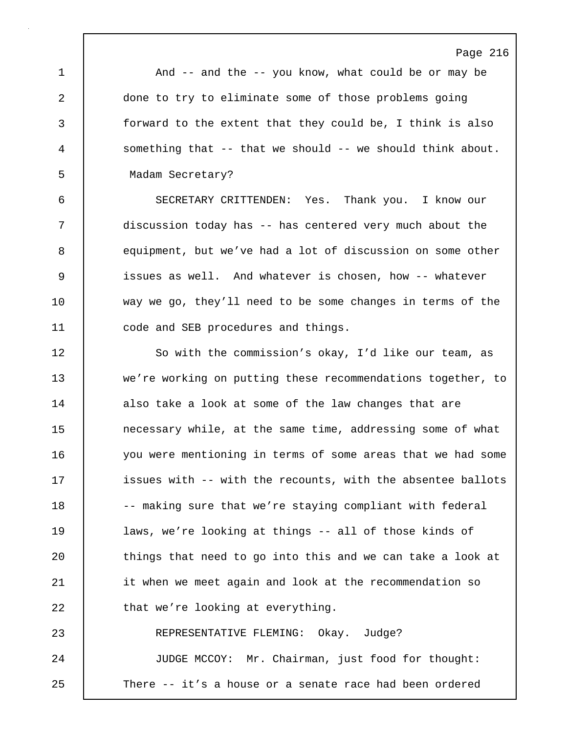1 | And -- and the -- you know, what could be or may be 2 done to try to eliminate some of those problems going 3 forward to the extent that they could be, I think is also 4 something that -- that we should -- we should think about. 5 Madam Secretary?

6 SECRETARY CRITTENDEN: Yes. Thank you. I know our 7 discussion today has -- has centered very much about the 8 equipment, but we've had a lot of discussion on some other 9 issues as well. And whatever is chosen, how -- whatever 10 way we go, they'll need to be some changes in terms of the 11 **code and SEB procedures and things.** 

12 | So with the commission's okay, I'd like our team, as 13 we're working on putting these recommendations together, to 14 also take a look at some of the law changes that are 15 **necessary while, at the same time, addressing some of what** 16 you were mentioning in terms of some areas that we had some 17 **issues with -- with the recounts, with the absentee ballots** 18 -- making sure that we're staying compliant with federal 19 laws, we're looking at things -- all of those kinds of 20 things that need to go into this and we can take a look at 21 it when we meet again and look at the recommendation so 22 **that we're looking at everything.** 23 REPRESENTATIVE FLEMING: Okay. Judge? 24 JUDGE MCCOY: Mr. Chairman, just food for thought:

25 There -- it's a house or a senate race had been ordered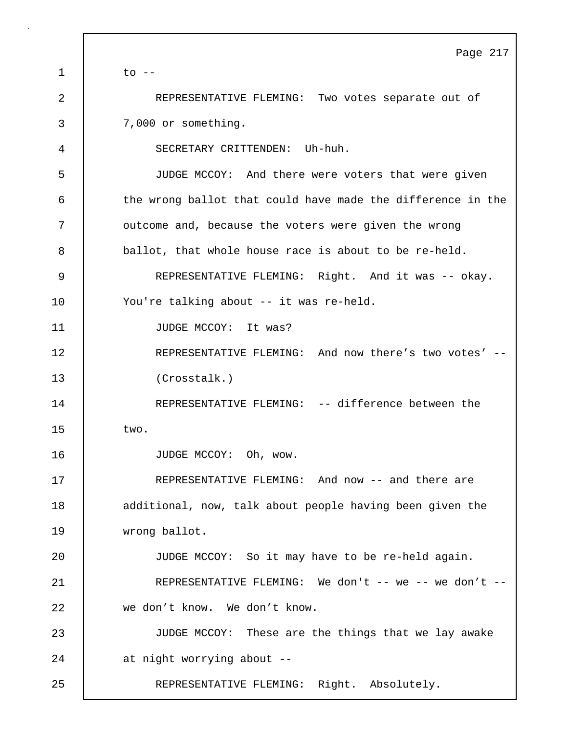|              | Page 217                                                    |
|--------------|-------------------------------------------------------------|
| $\mathbf{1}$ | $\circ$ --                                                  |
| 2            | REPRESENTATIVE FLEMING: Two votes separate out of           |
| 3            | 7,000 or something.                                         |
| 4            | SECRETARY CRITTENDEN: Uh-huh.                               |
| 5            | JUDGE MCCOY: And there were voters that were given          |
| 6            | the wrong ballot that could have made the difference in the |
| 7            | outcome and, because the voters were given the wrong        |
| 8            | ballot, that whole house race is about to be re-held.       |
| 9            | REPRESENTATIVE FLEMING: Right. And it was -- okay.          |
| 10           | You're talking about -- it was re-held.                     |
| 11           | JUDGE MCCOY: It was?                                        |
| 12           | REPRESENTATIVE FLEMING: And now there's two votes' --       |
| 13           | (Crosstalk.)                                                |
| 14           | REPRESENTATIVE FLEMING: -- difference between the           |
| 15           | two.                                                        |
| 16           | JUDGE MCCOY: Oh, wow.                                       |
| 17           | REPRESENTATIVE FLEMING: And now -- and there are            |
| 18           | additional, now, talk about people having been given the    |
| 19           | wrong ballot.                                               |
| 20           | JUDGE MCCOY: So it may have to be re-held again.            |
| 21           | REPRESENTATIVE FLEMING: We don't -- we -- we don't --       |
| 22           | we don't know. We don't know.                               |
| 23           | JUDGE MCCOY: These are the things that we lay awake         |
| 24           | at night worrying about --                                  |
| 25           | REPRESENTATIVE FLEMING: Right. Absolutely.                  |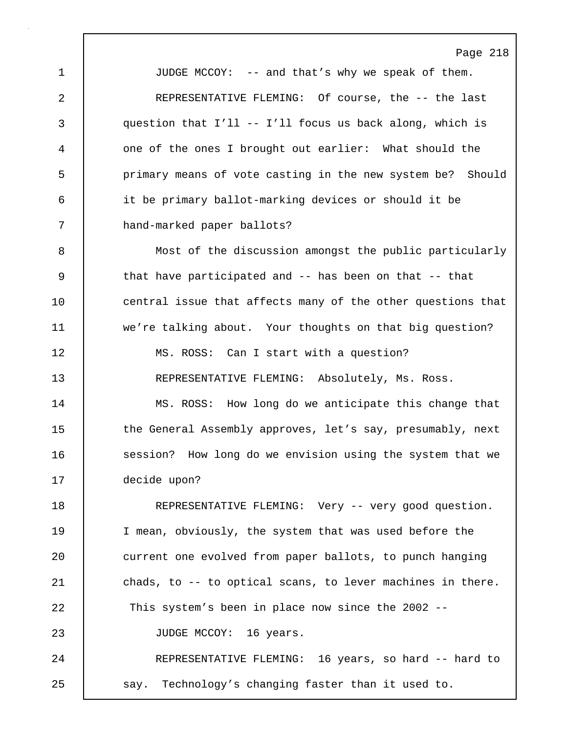1 JUDGE MCCOY: -- and that's why we speak of them. 2 | REPRESENTATIVE FLEMING: Of course, the -- the last 3 question that I'll -- I'll focus us back along, which is 4 one of the ones I brought out earlier: What should the 5 | primary means of vote casting in the new system be? Should 6 it be primary ballot-marking devices or should it be 7 hand-marked paper ballots?

8 Most of the discussion amongst the public particularly 9 | that have participated and -- has been on that -- that 10 central issue that affects many of the other questions that 11 we're talking about. Your thoughts on that big question? 12 | MS. ROSS: Can I start with a question? 13 REPRESENTATIVE FLEMING: Absolutely, Ms. Ross.

14 | MS. ROSS: How long do we anticipate this change that 15 the General Assembly approves, let's say, presumably, next 16 **SALI** session? How long do we envision using the system that we 17 decide upon?

18 | REPRESENTATIVE FLEMING: Very -- very good question. 19 I mean, obviously, the system that was used before the 20 current one evolved from paper ballots, to punch hanging 21 chads, to -- to optical scans, to lever machines in there. 22 This system's been in place now since the 2002 -- 23 | JUDGE MCCOY: 16 years. 24 REPRESENTATIVE FLEMING: 16 years, so hard -- hard to 25 say. Technology's changing faster than it used to.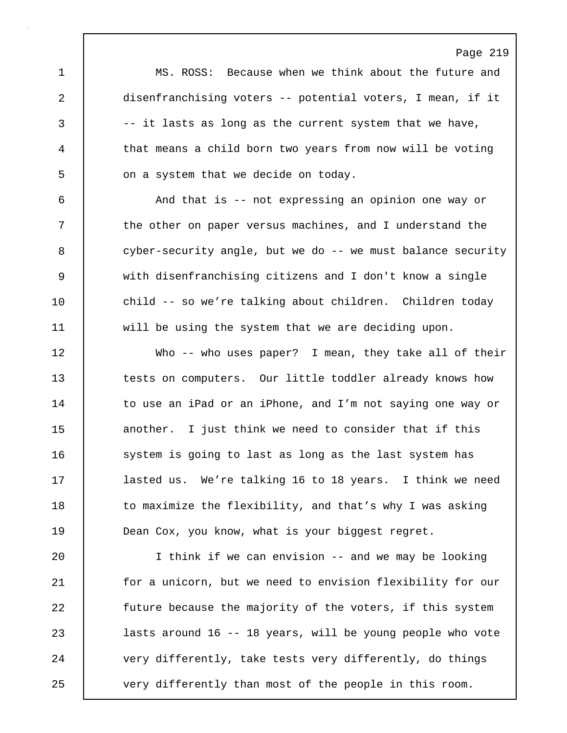1 MS. ROSS: Because when we think about the future and 2 disenfranchising voters -- potential voters, I mean, if it 3 -- it lasts as long as the current system that we have, 4 that means a child born two years from now will be voting 5 on a system that we decide on today.

6 And that is -- not expressing an opinion one way or 7 T the other on paper versus machines, and I understand the 8 | cyber-security angle, but we do -- we must balance security 9 with disenfranchising citizens and I don't know a single 10 child -- so we're talking about children. Children today 11 will be using the system that we are deciding upon.

12 Who -- who uses paper? I mean, they take all of their 13 tests on computers. Our little toddler already knows how 14 | to use an iPad or an iPhone, and I'm not saying one way or 15 another. I just think we need to consider that if this 16 system is going to last as long as the last system has 17 | lasted us. We're talking 16 to 18 years. I think we need 18 to maximize the flexibility, and that's why I was asking 19 **Dean Cox, you know, what is your biggest regret.** 

20 I think if we can envision -- and we may be looking 21 | for a unicorn, but we need to envision flexibility for our 22 future because the majority of the voters, if this system 23 lasts around 16 -- 18 years, will be young people who vote 24 very differently, take tests very differently, do things 25 very differently than most of the people in this room.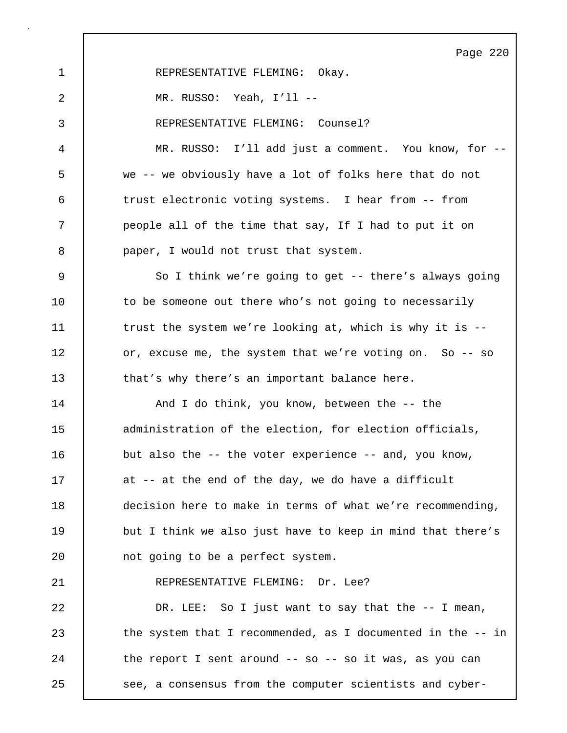Page 220 1 | REPRESENTATIVE FLEMING: Okay. 2 MR. RUSSO: Yeah, I'll -- 3 REPRESENTATIVE FLEMING: Counsel? 4 MR. RUSSO: I'll add just a comment. You know, for -- 5 we -- we obviously have a lot of folks here that do not 6 trust electronic voting systems. I hear from -- from 7 people all of the time that say, If I had to put it on 8 **paper**, I would not trust that system. 9 So I think we're going to get -- there's always going 10 to be someone out there who's not going to necessarily 11 The strust the system we're looking at, which is why it is --12 or, excuse me, the system that we're voting on. So -- so 13 that's why there's an important balance here. 14 | And I do think, you know, between the -- the 15 **dema** administration of the election, for election officials, 16 but also the -- the voter experience -- and, you know, 17 at -- at the end of the day, we do have a difficult 18 decision here to make in terms of what we're recommending, 19 but I think we also just have to keep in mind that there's 20 not going to be a perfect system. 21 | REPRESENTATIVE FLEMING: Dr. Lee? 22 DR. LEE: So I just want to say that the -- I mean, 23 the system that I recommended, as I documented in the -- in 24 the report I sent around -- so -- so it was, as you can 25 see, a consensus from the computer scientists and cyber-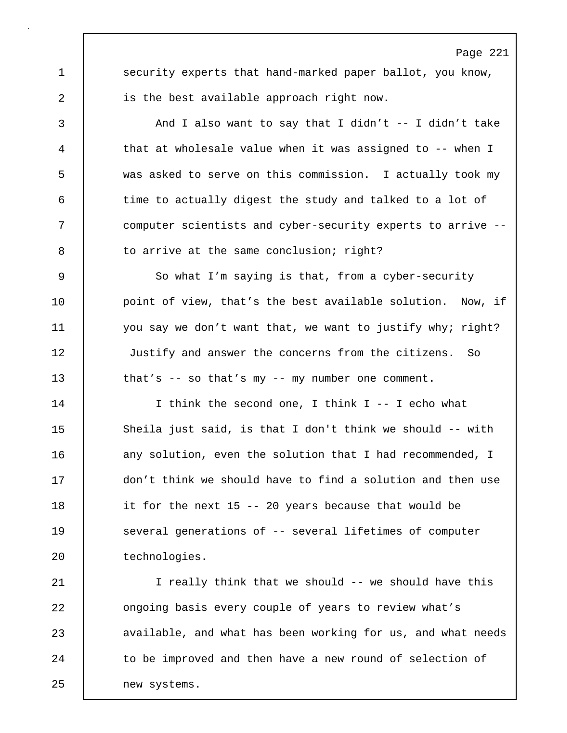Page 221 1 security experts that hand-marked paper ballot, you know, 2 is the best available approach right now.

3 And I also want to say that I didn't -- I didn't take 4 that at wholesale value when it was assigned to -- when I 5 was asked to serve on this commission. I actually took my 6 time to actually digest the study and talked to a lot of 7 computer scientists and cyber-security experts to arrive -- 8 to arrive at the same conclusion; right?

9 So what I'm saying is that, from a cyber-security 10 | point of view, that's the best available solution. Now, if 11 you say we don't want that, we want to justify why; right? 12 Justify and answer the concerns from the citizens. So 13 | that's -- so that's my -- my number one comment.

14 I think the second one, I think I -- I echo what 15 Sheila just said, is that I don't think we should -- with 16 any solution, even the solution that I had recommended, I 17 don't think we should have to find a solution and then use 18 it for the next 15 -- 20 years because that would be 19 | several generations of -- several lifetimes of computer 20 technologies.

21 | I really think that we should -- we should have this 22 **ongoing basis every couple of years to review what's** 23 **a**vailable, and what has been working for us, and what needs 24 to be improved and then have a new round of selection of 25 new systems.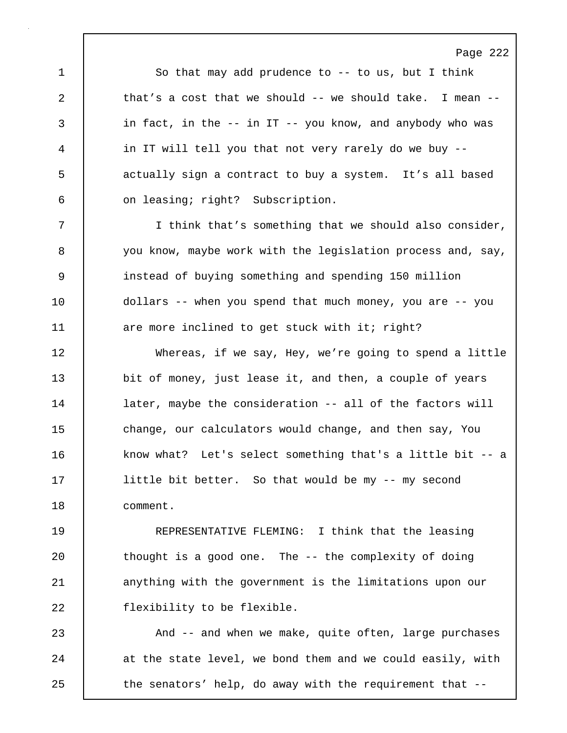1 So that may add prudence to -- to us, but I think 2 that's a cost that we should -- we should take. I mean --3 in fact, in the -- in IT -- you know, and anybody who was 4 in IT will tell you that not very rarely do we buy -- 5 actually sign a contract to buy a system. It's all based 6 on leasing; right? Subscription.

Page 222

7 I think that's something that we should also consider, 8 you know, maybe work with the legislation process and, say, 9 instead of buying something and spending 150 million 10 dollars -- when you spend that much money, you are -- you 11 are more inclined to get stuck with it; right?

12 Whereas, if we say, Hey, we're going to spend a little 13 bit of money, just lease it, and then, a couple of years 14 **later, maybe the consideration -- all of the factors will** 15 change, our calculators would change, and then say, You 16 know what? Let's select something that's a little bit -- a 17 | little bit better. So that would be my -- my second 18 comment.

19 REPRESENTATIVE FLEMING: I think that the leasing 20 | thought is a good one. The -- the complexity of doing 21 anything with the government is the limitations upon our 22 | flexibility to be flexible.

23 And -- and when we make, quite often, large purchases 24 at the state level, we bond them and we could easily, with 25 | the senators' help, do away with the requirement that --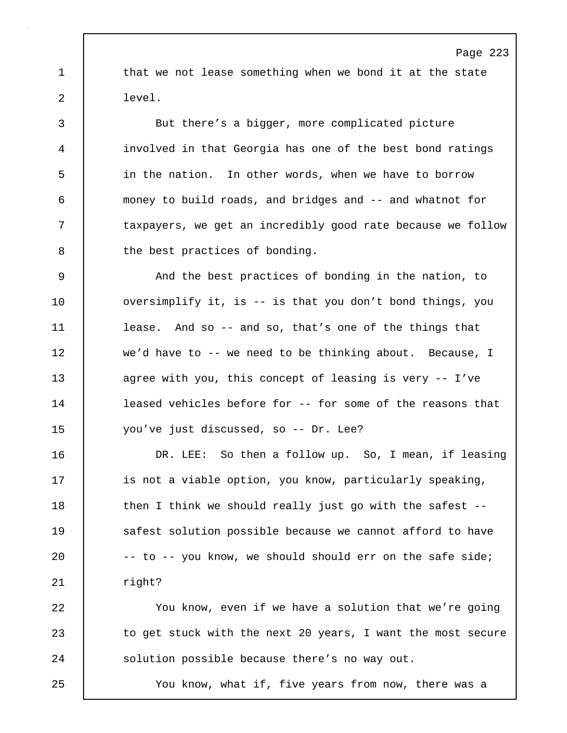1 that we not lease something when we bond it at the state 2 level.

3 But there's a bigger, more complicated picture 4 involved in that Georgia has one of the best bond ratings 5 in the nation. In other words, when we have to borrow 6 money to build roads, and bridges and -- and whatnot for 7 | taxpayers, we get an incredibly good rate because we follow 8 the best practices of bonding.

9 And the best practices of bonding in the nation, to 10 versimplify it, is -- is that you don't bond things, you 11 lease. And so -- and so, that's one of the things that 12 we'd have to -- we need to be thinking about. Because, I 13 agree with you, this concept of leasing is very -- I've 14 **leased vehicles before for -- for some of the reasons that** 15 you've just discussed, so -- Dr. Lee?

16 | DR. LEE: So then a follow up. So, I mean, if leasing 17 is not a viable option, you know, particularly speaking, 18 | then I think we should really just go with the safest --19 **Safest solution possible because we cannot afford to have** 20  $\vert$  -- to -- you know, we should should err on the safe side; 21 | right?

22 You know, even if we have a solution that we're going 23 | to get stuck with the next 20 years, I want the most secure 24 Solution possible because there's no way out.

25 You know, what if, five years from now, there was a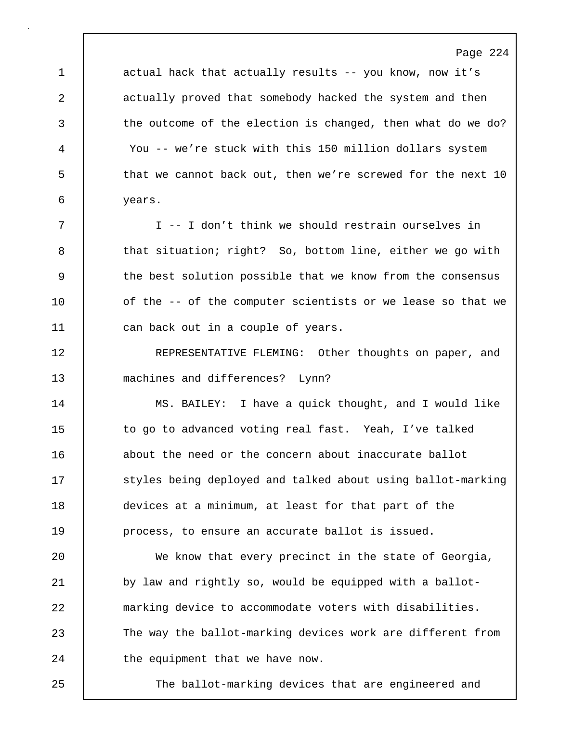1 actual hack that actually results -- you know, now it's 2 actually proved that somebody hacked the system and then 3 the outcome of the election is changed, then what do we do? 4 You -- we're stuck with this 150 million dollars system 5 that we cannot back out, then we're screwed for the next 10 6 years.

7 I -- I don't think we should restrain ourselves in 8 that situation; right? So, bottom line, either we go with 9 the best solution possible that we know from the consensus 10 | of the -- of the computer scientists or we lease so that we 11 can back out in a couple of years.

12 REPRESENTATIVE FLEMING: Other thoughts on paper, and 13 machines and differences? Lynn?

14 MS. BAILEY: I have a quick thought, and I would like 15 to go to advanced voting real fast. Yeah, I've talked 16 about the need or the concern about inaccurate ballot 17 Styles being deployed and talked about using ballot-marking 18 devices at a minimum, at least for that part of the 19 **process**, to ensure an accurate ballot is issued.

20 We know that every precinct in the state of Georgia, 21 by law and rightly so, would be equipped with a ballot-22 marking device to accommodate voters with disabilities. 23 The way the ballot-marking devices work are different from 24 the equipment that we have now.

25 The ballot-marking devices that are engineered and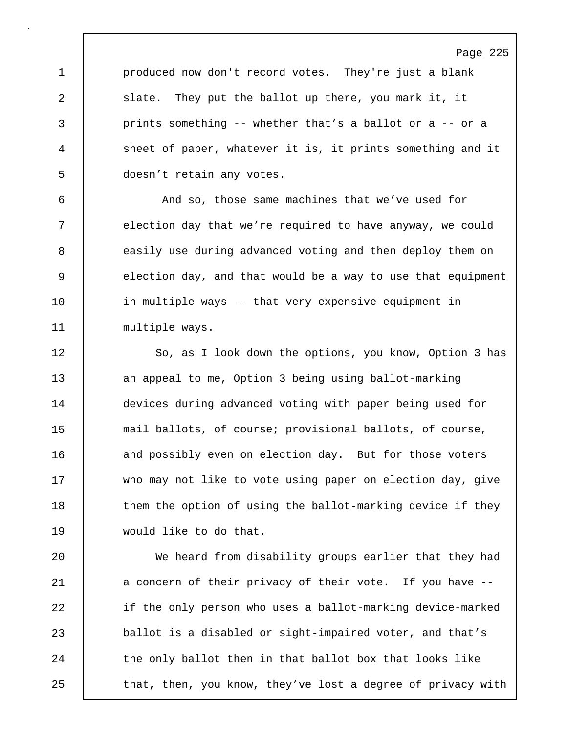1 produced now don't record votes. They're just a blank 2 slate. They put the ballot up there, you mark it, it 3 prints something -- whether that's a ballot or a -- or a 4 sheet of paper, whatever it is, it prints something and it 5 doesn't retain any votes.

6 And so, those same machines that we've used for 7 election day that we're required to have anyway, we could 8 | easily use during advanced voting and then deploy them on 9 election day, and that would be a way to use that equipment 10 | in multiple ways -- that very expensive equipment in 11 | multiple ways.

12 | So, as I look down the options, you know, Option 3 has 13 an appeal to me, Option 3 being using ballot-marking 14 devices during advanced voting with paper being used for 15 mail ballots, of course; provisional ballots, of course, 16 and possibly even on election day. But for those voters 17 who may not like to vote using paper on election day, give 18 | them the option of using the ballot-marking device if they 19 would like to do that.

20 We heard from disability groups earlier that they had 21 a concern of their privacy of their vote. If you have --22 if the only person who uses a ballot-marking device-marked 23 ballot is a disabled or sight-impaired voter, and that's 24 the only ballot then in that ballot box that looks like 25 that, then, you know, they've lost a degree of privacy with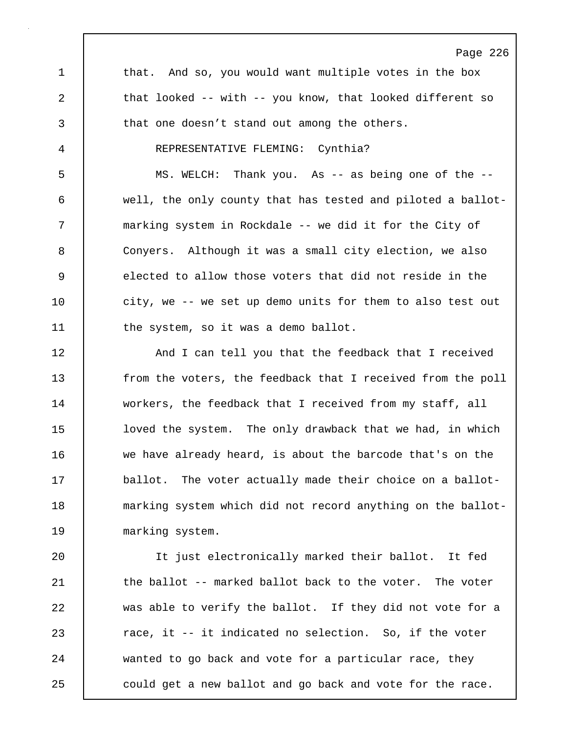Page 226 1 that. And so, you would want multiple votes in the box 2 that looked -- with -- you know, that looked different so 3 that one doesn't stand out among the others. 4 REPRESENTATIVE FLEMING: Cynthia? 5 MS. WELCH: Thank you. As -- as being one of the -- 6 well, the only county that has tested and piloted a ballot-7 marking system in Rockdale -- we did it for the City of 8 Conyers. Although it was a small city election, we also 9 elected to allow those voters that did not reside in the 10 | city, we -- we set up demo units for them to also test out 11 the system, so it was a demo ballot. 12 | And I can tell you that the feedback that I received 13 from the voters, the feedback that I received from the poll 14 workers, the feedback that I received from my staff, all 15 | loved the system. The only drawback that we had, in which 16 we have already heard, is about the barcode that's on the 17 **ballot.** The voter actually made their choice on a ballot-18 | marking system which did not record anything on the ballot-19 marking system. 20 It just electronically marked their ballot. It fed 21 | the ballot -- marked ballot back to the voter. The voter

23 **race, it -- it indicated no selection.** So, if the voter 24 wanted to go back and vote for a particular race, they 25 could get a new ballot and go back and vote for the race.

22 was able to verify the ballot. If they did not vote for a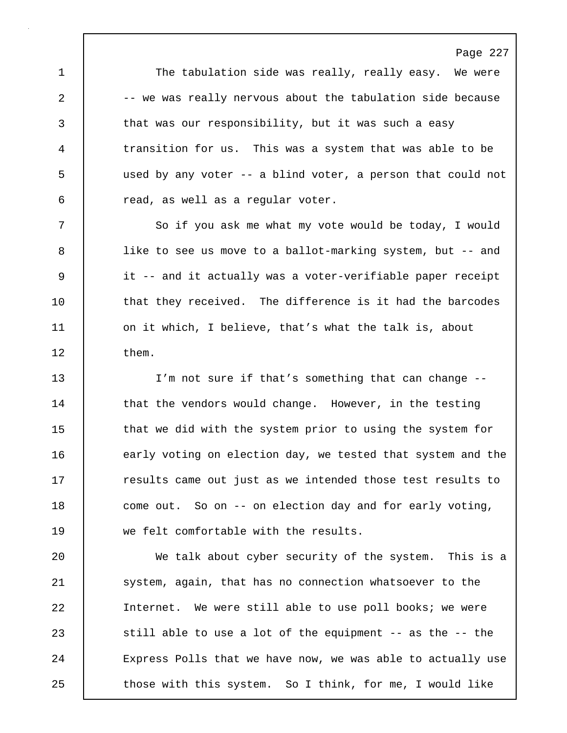1 | The tabulation side was really, really easy. We were 2 -- we was really nervous about the tabulation side because 3 that was our responsibility, but it was such a easy 4 transition for us. This was a system that was able to be 5 used by any voter -- a blind voter, a person that could not 6 read, as well as a regular voter.

7 So if you ask me what my vote would be today, I would 8 | like to see us move to a ballot-marking system, but -- and 9 it -- and it actually was a voter-verifiable paper receipt 10 that they received. The difference is it had the barcodes 11 | on it which, I believe, that's what the talk is, about 12 them.

13 I'm not sure if that's something that can change -- 14 that the vendors would change. However, in the testing 15 that we did with the system prior to using the system for 16 early voting on election day, we tested that system and the 17 The results came out just as we intended those test results to 18 come out. So on -- on election day and for early voting, 19 we felt comfortable with the results.

20 We talk about cyber security of the system. This is a 21 | system, again, that has no connection whatsoever to the 22 Internet. We were still able to use poll books; we were 23 Still able to use a lot of the equipment -- as the -- the 24 Express Polls that we have now, we was able to actually use 25 | those with this system. So I think, for me, I would like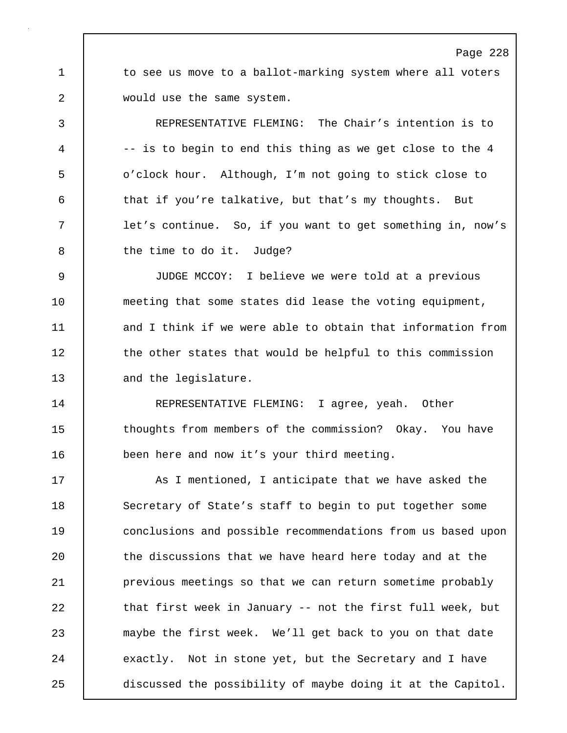1 to see us move to a ballot-marking system where all voters 2 would use the same system.

3 REPRESENTATIVE FLEMING: The Chair's intention is to 4 | -- is to begin to end this thing as we get close to the 4 5 o'clock hour. Although, I'm not going to stick close to 6 that if you're talkative, but that's my thoughts. But 7 | let's continue. So, if you want to get something in, now's 8 the time to do it. Judge?

9 JUDGE MCCOY: I believe we were told at a previous 10 meeting that some states did lease the voting equipment, 11 and I think if we were able to obtain that information from 12 the other states that would be helpful to this commission 13 and the legislature.

14 | REPRESENTATIVE FLEMING: I agree, yeah. Other 15 thoughts from members of the commission? Okay. You have 16 **been here and now it's your third meeting.** 

17 As I mentioned, I anticipate that we have asked the 18 Secretary of State's staff to begin to put together some 19 conclusions and possible recommendations from us based upon 20 the discussions that we have heard here today and at the 21 previous meetings so that we can return sometime probably 22 | that first week in January -- not the first full week, but 23 maybe the first week. We'll get back to you on that date 24 exactly. Not in stone yet, but the Secretary and I have 25 discussed the possibility of maybe doing it at the Capitol.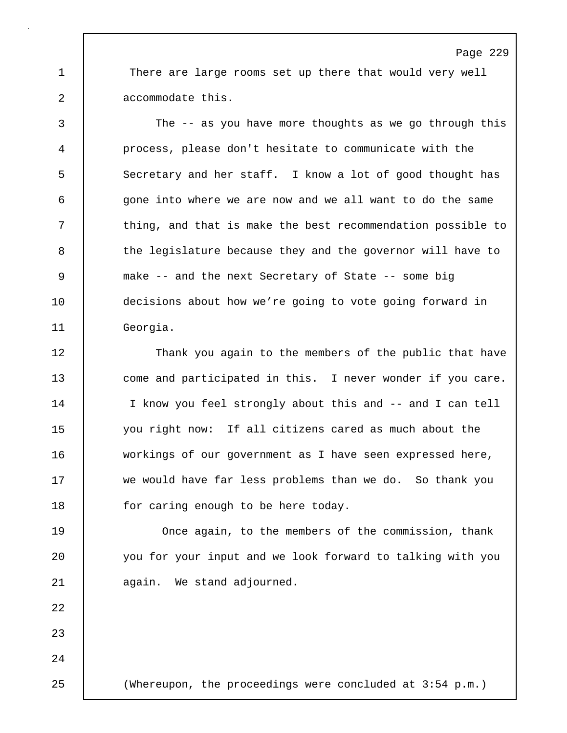1 There are large rooms set up there that would very well 2 accommodate this.

3 The -- as you have more thoughts as we go through this 4 process, please don't hesitate to communicate with the 5 Secretary and her staff. I know a lot of good thought has 6 gone into where we are now and we all want to do the same 7 thing, and that is make the best recommendation possible to 8 the legislature because they and the governor will have to 9 make -- and the next Secretary of State -- some big 10 decisions about how we're going to vote going forward in 11 Georgia.

12 Thank you again to the members of the public that have 13 come and participated in this. I never wonder if you care. 14 I know you feel strongly about this and -- and I can tell 15 you right now: If all citizens cared as much about the 16 workings of our government as I have seen expressed here, 17 we would have far less problems than we do. So thank you 18 for caring enough to be here today.

19 **Once again, to the members of the commission, thank** 20 you for your input and we look forward to talking with you 21 again. We stand adjourned.

22

23

24

25 (Whereupon, the proceedings were concluded at 3:54 p.m.)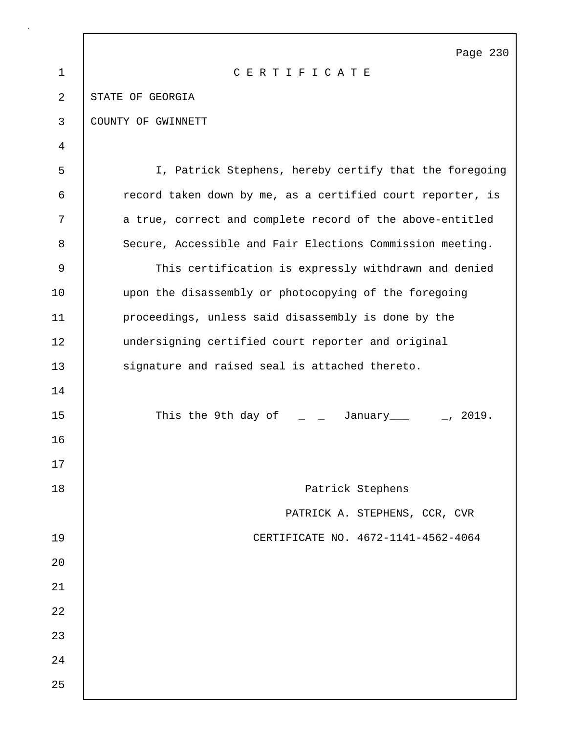|                | Page 230                                                                |
|----------------|-------------------------------------------------------------------------|
| $\mathbf{1}$   | CERTIFICATE                                                             |
| $\overline{2}$ | STATE OF GEORGIA                                                        |
| 3              | COUNTY OF GWINNETT                                                      |
| 4              |                                                                         |
| 5              | I, Patrick Stephens, hereby certify that the foregoing                  |
| 6              | record taken down by me, as a certified court reporter, is              |
| 7              | a true, correct and complete record of the above-entitled               |
| 8              | Secure, Accessible and Fair Elections Commission meeting.               |
| 9              | This certification is expressly withdrawn and denied                    |
| 10             | upon the disassembly or photocopying of the foregoing                   |
| 11             | proceedings, unless said disassembly is done by the                     |
| 12             | undersigning certified court reporter and original                      |
| 13             | signature and raised seal is attached thereto.                          |
| 14             |                                                                         |
| 15             | This the 9th day of $\qquad \qquad =$ January $\qquad \qquad =$ , 2019. |
| 16             |                                                                         |
| 17             |                                                                         |
| 18             | Patrick Stephens                                                        |
|                | PATRICK A. STEPHENS, CCR, CVR                                           |
| 19             | CERTIFICATE NO. 4672-1141-4562-4064                                     |
| 20             |                                                                         |
| 21             |                                                                         |
| 22             |                                                                         |
| 23             |                                                                         |
| 24             |                                                                         |
| 25             |                                                                         |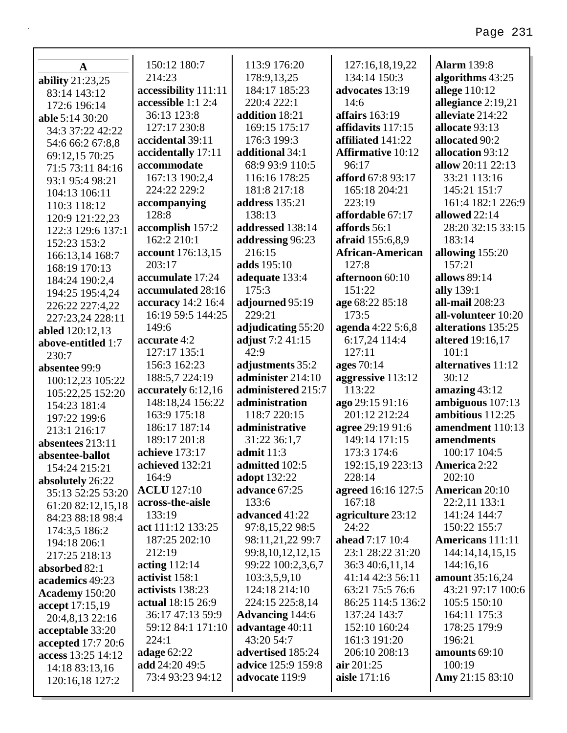|                                          | 150:12 180:7                    | 113:9 176:20                      | 127:16,18,19,22                     | <b>Alarm</b> 139:8           |
|------------------------------------------|---------------------------------|-----------------------------------|-------------------------------------|------------------------------|
| $\mathbf A$                              | 214:23                          | 178:9,13,25                       | 134:14 150:3                        | algorithms 43:25             |
| ability 21:23,25                         | accessibility 111:11            | 184:17 185:23                     | advocates 13:19                     | allege 110:12                |
| 83:14 143:12                             | accessible 1:1 2:4              | 220:4 222:1                       | 14:6                                | allegiance 2:19,21           |
| 172:6 196:14                             | 36:13 123:8                     | addition 18:21                    | affairs 163:19                      | alleviate 214:22             |
| able 5:14 30:20<br>34:3 37:22 42:22      | 127:17 230:8                    | 169:15 175:17                     | affidavits 117:15                   | allocate 93:13               |
|                                          | accidental 39:11                | 176:3 199:3                       | affiliated 141:22                   | allocated 90:2               |
| 54:6 66:2 67:8,8<br>69:12,15 70:25       | accidentally 17:11              | additional 34:1                   | <b>Affirmative 10:12</b>            | allocation 93:12             |
| 71:5 73:11 84:16                         | accommodate                     | 68:9 93:9 110:5                   | 96:17                               | allow 20:11 22:13            |
| 93:1 95:4 98:21                          | 167:13 190:2,4                  | 116:16 178:25                     | afford 67:8 93:17                   | 33:21 113:16                 |
| 104:13 106:11                            | 224:22 229:2                    | 181:8 217:18                      | 165:18 204:21                       | 145:21 151:7                 |
| 110:3 118:12                             | accompanying                    | address 135:21                    | 223:19                              | 161:4 182:1 226:9            |
| 120:9 121:22,23                          | 128:8                           | 138:13                            | affordable 67:17                    | allowed 22:14                |
| 122:3 129:6 137:1                        | accomplish 157:2                | addressed 138:14                  | affords 56:1                        | 28:20 32:15 33:15            |
| 152:23 153:2                             | 162:2 210:1                     | addressing 96:23                  | afraid 155:6,8,9                    | 183:14                       |
| 166:13,14 168:7                          | account 176:13,15               | 216:15                            | <b>African-American</b>             | allowing 155:20              |
| 168:19 170:13                            | 203:17                          | adds 195:10                       | 127:8                               | 157:21                       |
| 184:24 190:2,4                           | accumulate 17:24                | adequate 133:4                    | afternoon 60:10                     | allows 89:14                 |
| 194:25 195:4,24                          | accumulated 28:16               | 175:3                             | 151:22                              | ally 139:1                   |
| 226:22 227:4,22                          | accuracy 14:2 16:4              | adjourned 95:19                   | age 68:22 85:18                     | all-mail 208:23              |
| 227:23,24 228:11                         | 16:19 59:5 144:25               | 229:21                            | 173:5                               | all-volunteer 10:20          |
| abled 120:12,13                          | 149:6                           | adjudicating 55:20                | agenda 4:22 5:6,8                   | alterations 135:25           |
| above-entitled 1:7                       | accurate 4:2                    | adjust 7:2 41:15                  | 6:17,24 114:4                       | altered 19:16,17             |
| 230:7                                    | 127:17 135:1                    | 42:9                              | 127:11                              | 101:1                        |
| absentee 99:9                            | 156:3 162:23                    | adjustments 35:2                  | ages 70:14                          | alternatives 11:12           |
| 100:12,23 105:22                         | 188:5,7 224:19                  | administer 214:10                 | aggressive 113:12                   | 30:12                        |
| 105:22,25 152:20                         | accurately 6:12,16              | administered 215:7                |                                     |                              |
|                                          |                                 |                                   | 113:22                              | amazing $43:12$              |
| 154:23 181:4                             | 148:18,24 156:22                | administration                    | ago 29:15 91:16                     | ambiguous 107:13             |
| 197:22 199:6                             | 163:9 175:18                    | 118:7 220:15                      | 201:12 212:24                       | ambitious 112:25             |
| 213:1 216:17                             | 186:17 187:14                   | administrative                    | agree 29:19 91:6                    | amendment 110:13             |
| absentees 213:11                         | 189:17 201:8                    | 31:22 36:1,7                      | 149:14 171:15                       | amendments                   |
| absentee-ballot                          | achieve 173:17                  | admit $11:3$                      | 173:3 174:6                         | 100:17 104:5                 |
| 154:24 215:21                            | achieved 132:21                 | admitted 102:5                    | 192:15,19 223:13                    | America 2:22                 |
| absolutely 26:22                         | 164:9                           | <b>adopt</b> 132:22               | 228:14                              | 202:10                       |
| 35:13 52:25 53:20                        | <b>ACLU</b> 127:10              | advance 67:25                     | agreed 16:16 127:5                  | <b>American 20:10</b>        |
| 61:20 82:12,15,18                        | across-the-aisle                | 133:6                             | 167:18                              | 22:2,11 133:1                |
| 84:23 88:18 98:4                         | 133:19                          | advanced 41:22                    | agriculture 23:12                   | 141:24 144:7                 |
| 174:3,5 186:2                            | act 111:12 133:25               | 97:8,15,22 98:5                   | 24:22                               | 150:22 155:7                 |
| 194:18 206:1                             | 187:25 202:10                   | 98:11,21,22 99:7                  | ahead 7:17 10:4                     | <b>Americans</b> 111:11      |
| 217:25 218:13                            | 212:19                          | 99:8, 10, 12, 12, 15              | 23:1 28:22 31:20                    | 144:14,14,15,15              |
| absorbed 82:1                            | acting 112:14<br>activist 158:1 | 99:22 100:2,3,6,7<br>103:3,5,9,10 | 36:3 40:6,11,14<br>41:14 42:3 56:11 | 144:16,16<br>amount 35:16,24 |
| academics 49:23                          | activists 138:23                | 124:18 214:10                     | 63:21 75:5 76:6                     | 43:21 97:17 100:6            |
| Academy 150:20                           | actual 18:15 26:9               | 224:15 225:8,14                   | 86:25 114:5 136:2                   | 105:5 150:10                 |
| accept 17:15,19                          | 36:17 47:13 59:9                | <b>Advancing 144:6</b>            | 137:24 143:7                        | 164:11 175:3                 |
| 20:4,8,13 22:16                          | 59:12 84:1 171:10               | advantage 40:11                   | 152:10 160:24                       | 178:25 179:9                 |
| acceptable 33:20                         | 224:1                           | 43:20 54:7                        | 161:3 191:20                        | 196:21                       |
| accepted 17:7 20:6<br>access 13:25 14:12 | adage $62:22$                   | advertised 185:24                 | 206:10 208:13                       | amounts 69:10                |
| 14:18 83:13,16                           | add 24:20 49:5                  | advice 125:9 159:8                | air 201:25                          | 100:19                       |
| 120:16,18 127:2                          | 73:4 93:23 94:12                | advocate 119:9                    | aisle 171:16                        | Amy 21:15 83:10              |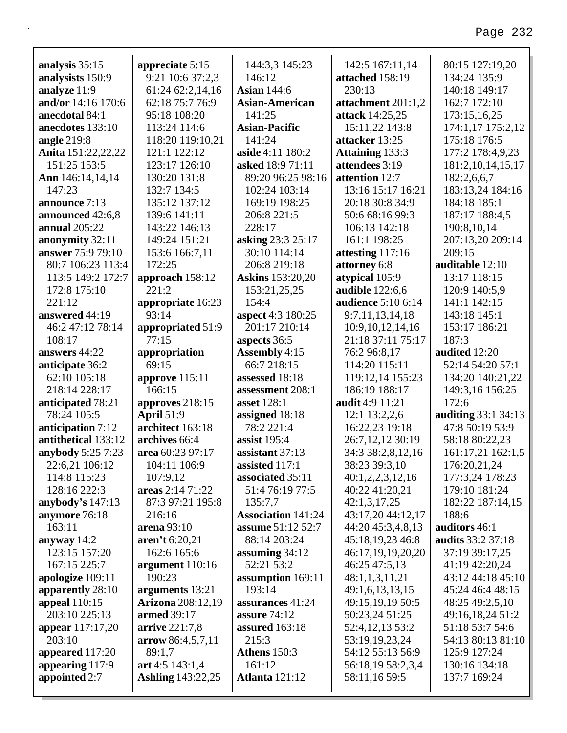|                                    |                                     | 144:3,3 145:23            | 142:5 167:11,14           | 80:15 127:19,20            |
|------------------------------------|-------------------------------------|---------------------------|---------------------------|----------------------------|
| analysis 35:15<br>analysists 150:9 | appreciate 5:15<br>9:21 10:6 37:2,3 | 146:12                    | attached 158:19           | 134:24 135:9               |
| analyze 11:9                       | 61:24 62:2,14,16                    | <b>Asian 144:6</b>        | 230:13                    | 140:18 149:17              |
| and/or 14:16 170:6                 | 62:18 75:7 76:9                     | <b>Asian-American</b>     | attachment 201:1,2        | 162:7 172:10               |
| anecdotal 84:1                     | 95:18 108:20                        | 141:25                    | <b>attack</b> 14:25,25    | 173:15,16,25               |
| anecdotes 133:10                   | 113:24 114:6                        | <b>Asian-Pacific</b>      | 15:11,22 143:8            | 174:1,17 175:2,12          |
| angle 219:8                        | 118:20 119:10,21                    | 141:24                    | attacker 13:25            | 175:18 176:5               |
| Anita 151:22,22,22                 | 121:1 122:12                        | aside 4:11 180:2          | <b>Attaining 133:3</b>    | 177:2 178:4,9,23           |
| 151:25 153:5                       | 123:17 126:10                       | asked 18:9 71:11          | attendees 3:19            | 181:2, 10, 14, 15, 17      |
| Ann 146:14,14,14                   | 130:20 131:8                        | 89:20 96:25 98:16         | attention 12:7            | 182:2,6,6,7                |
| 147:23                             | 132:7 134:5                         | 102:24 103:14             | 13:16 15:17 16:21         | 183:13,24 184:16           |
| announce 7:13                      | 135:12 137:12                       | 169:19 198:25             | 20:18 30:8 34:9           | 184:18 185:1               |
| announced 42:6,8                   | 139:6 141:11                        | 206:8 221:5               | 50:6 68:16 99:3           | 187:17 188:4,5             |
| annual $205:22$                    | 143:22 146:13                       | 228:17                    | 106:13 142:18             | 190:8,10,14                |
| anonymity 32:11                    | 149:24 151:21                       | asking 23:3 25:17         | 161:1 198:25              | 207:13,20 209:14           |
| answer 75:9 79:10                  | 153:6 166:7,11                      | 30:10 114:14              | attesting 117:16          | 209:15                     |
| 80:7 106:23 113:4                  | 172:25                              | 206:8 219:18              | attorney 6:8              | auditable 12:10            |
| 113:5 149:2 172:7                  | approach 158:12                     | <b>Askins</b> 153:20,20   | atypical 105:9            | 13:17 118:15               |
| 172:8 175:10                       | 221:2                               | 153:21,25,25              | audible 122:6,6           | 120:9 140:5,9              |
| 221:12                             | appropriate 16:23                   | 154:4                     | <b>audience</b> 5:10 6:14 | 141:1 142:15               |
| answered 44:19                     | 93:14                               | aspect 4:3 180:25         | 9:7,11,13,14,18           | 143:18 145:1               |
| 46:2 47:12 78:14                   | appropriated 51:9                   | 201:17 210:14             | 10:9, 10, 12, 14, 16      | 153:17 186:21              |
| 108:17                             | 77:15                               | aspects 36:5              | 21:18 37:11 75:17         | 187:3                      |
| answers 44:22                      | appropriation                       | <b>Assembly 4:15</b>      | 76:2 96:8,17              | audited 12:20              |
| anticipate 36:2                    | 69:15                               | 66:7 218:15               | 114:20 115:11             | 52:14 54:20 57:1           |
| 62:10 105:18                       | approve 115:11                      | assessed 18:18            | 119:12,14 155:23          | 134:20 140:21,22           |
| 218:14 228:17                      | 166:15                              | assessment 208:1          | 186:19 188:17             | 149:3,16 156:25            |
| anticipated 78:21                  | approves 218:15                     | asset 128:1               | audit 4:9 11:21           | 172:6                      |
| 78:24 105:5                        | <b>April 51:9</b>                   | assigned 18:18            | 12:1 13:2,2,6             | <b>auditing 33:1 34:13</b> |
| anticipation 7:12                  | architect 163:18                    | 78:2 221:4                | 16:22,23 19:18            | 47:8 50:19 53:9            |
| antithetical 133:12                | archives 66:4                       | assist $195:4$            | 26:7,12,12 30:19          | 58:18 80:22,23             |
| anybody 5:25 7:23                  | area 60:23 97:17                    | assistant 37:13           | 34:3 38:2,8,12,16         | 161:17,21 162:1,5          |
| 22:6,21 106:12                     | 104:11 106:9                        | assisted 117:1            | 38:23 39:3,10             | 176:20,21,24               |
| 114:8 115:23                       | 107:9,12                            | associated 35:11          | 40:1,2,2,3,12,16          | 177:3,24 178:23            |
| 128:16 222:3                       | areas 2:14 71:22                    | 51:4 76:19 77:5           | 40:22 41:20,21            | 179:10 181:24              |
| anybody's 147:13                   | 87:3 97:21 195:8                    | 135:7,7                   | 42:1,3,17,25              | 182:22 187:14,15           |
| anymore 76:18                      | 216:16                              | <b>Association 141:24</b> | 43:17,20 44:12,17         | 188:6                      |
| 163:11                             | arena 93:10                         | <b>assume 51:12 52:7</b>  | 44:20 45:3,4,8,13         | auditors 46:1              |
| anyway $14:2$                      | aren't 6:20,21                      | 88:14 203:24              | 45:18,19,23 46:8          | <b>audits</b> 33:2 37:18   |
| 123:15 157:20                      | 162:6 165:6                         | assuming $34:12$          | 46:17,19,19,20,20         | 37:19 39:17,25             |
| 167:15 225:7                       | argument 110:16                     | 52:21 53:2                | 46:25 47:5,13             | 41:19 42:20,24             |
| apologize 109:11                   | 190:23                              | assumption 169:11         | 48:1,1,3,11,21            | 43:12 44:18 45:10          |
| apparently 28:10                   | arguments 13:21                     | 193:14                    | 49:1,6,13,13,15           | 45:24 46:4 48:15           |
| appeal 110:15                      | <b>Arizona</b> 208:12,19            | assurances 41:24          | 49:15,19,19 50:5          | 48:25 49:2,5,10            |
| 203:10 225:13                      | armed 39:17                         | assure 74:12              | 50:23,24 51:25            | 49:16,18,24 51:2           |
| appear $117:17,20$                 | arrive 221:7,8                      | assured 163:18            | 52:4, 12, 13 53:2         | 51:18 53:7 54:6            |
| 203:10                             | arrow 86:4,5,7,11                   | 215:3                     | 53:19,19,23,24            | 54:13 80:13 81:10          |
| appeared 117:20                    | 89:1,7                              | <b>Athens</b> 150:3       | 54:12 55:13 56:9          | 125:9 127:24               |
| appearing 117:9                    | art 4:5 143:1,4                     | 161:12                    | 56:18,19 58:2,3,4         | 130:16 134:18              |
| appointed 2:7                      | <b>Ashling</b> 143:22,25            | <b>Atlanta</b> 121:12     | 58:11,16 59:5             | 137:7 169:24               |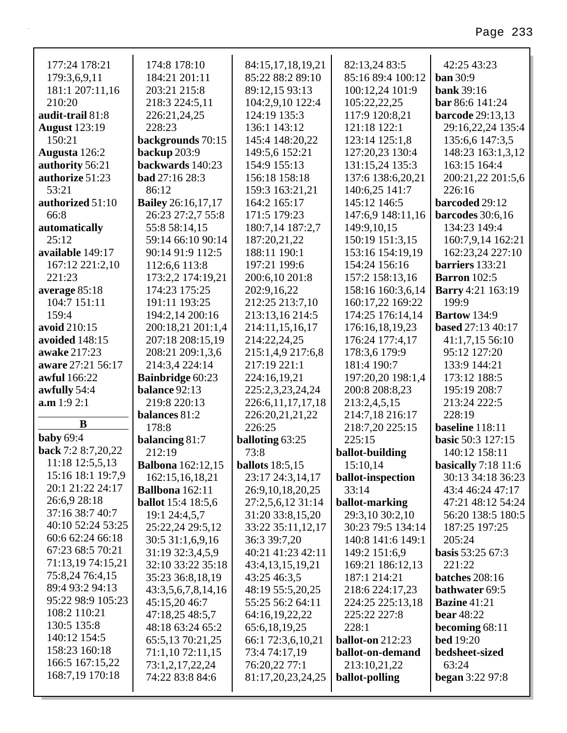| 177:24 178:21                          | 174:8 178:10              | 84:15,17,18,19,21     | 82:13,24 83:5           | 42:25 43:23              |
|----------------------------------------|---------------------------|-----------------------|-------------------------|--------------------------|
| 179:3,6,9,11                           | 184:21 201:11             | 85:22 88:2 89:10      | 85:16 89:4 100:12       | <b>ban</b> 30:9          |
| 181:1 207:11,16                        | 203:21 215:8              | 89:12,15 93:13        | 100:12,24 101:9         | <b>bank</b> 39:16        |
| 210:20                                 | 218:3 224:5,11            | 104:2,9,10 122:4      | 105:22,22,25            | bar 86:6 141:24          |
| audit-trail 81:8                       | 226:21,24,25              | 124:19 135:3          | 117:9 120:8,21          | barcode 29:13,13         |
| <b>August 123:19</b>                   | 228:23                    | 136:1 143:12          | 121:18 122:1            | 29:16,22,24 135:4        |
| 150:21                                 | backgrounds 70:15         | 145:4 148:20,22       | 123:14 125:1,8          | 135:6,6 147:3,5          |
| Augusta 126:2                          | backup 203:9              | 149:5,6 152:21        | 127:20,23 130:4         | 148:23 163:1,3,12        |
| authority 56:21                        | backwards 140:23          | 154:9 155:13          | 131:15,24 135:3         | 163:15 164:4             |
| authorize 51:23                        | <b>bad</b> 27:16 28:3     | 156:18 158:18         | 137:6 138:6,20,21       | 200:21,22 201:5,6        |
| 53:21                                  | 86:12                     | 159:3 163:21,21       | 140:6,25 141:7          | 226:16                   |
| authorized 51:10                       | <b>Bailey</b> 26:16,17,17 | 164:2 165:17          | 145:12 146:5            | barcoded 29:12           |
| 66:8                                   | 26:23 27:2,7 55:8         | 171:5 179:23          | 147:6,9 148:11,16       | barcodes $30:6,16$       |
| automatically                          | 55:8 58:14,15             | 180:7,14 187:2,7      | 149:9,10,15             | 134:23 149:4             |
| 25:12                                  | 59:14 66:10 90:14         | 187:20,21,22          | 150:19 151:3,15         | 160:7,9,14 162:21        |
| available 149:17                       | 90:14 91:9 112:5          | 188:11 190:1          | 153:16 154:19,19        | 162:23,24 227:10         |
| 167:12 221:2,10                        | 112:6,6 113:8             | 197:21 199:6          | 154:24 156:16           | barriers 133:21          |
| 221:23                                 | 173:2,2 174:19,21         | 200:6,10 201:8        | 157:2 158:13,16         | <b>Barron</b> 102:5      |
| average 85:18                          | 174:23 175:25             | 202:9,16,22           | 158:16 160:3,6,14       | Barry 4:21 163:19        |
| 104:7 151:11                           | 191:11 193:25             | 212:25 213:7,10       | 160:17,22 169:22        | 199:9                    |
| 159:4                                  | 194:2,14 200:16           | 213:13,16 214:5       | 174:25 176:14,14        | <b>Bartow</b> 134:9      |
| avoid 210:15                           | 200:18,21 201:1,4         | 214:11,15,16,17       | 176:16,18,19,23         | based 27:13 40:17        |
| avoided 148:15                         | 207:18 208:15,19          | 214:22,24,25          | 176:24 177:4,17         | 41:1,7,15 56:10          |
| awake 217:23                           | 208:21 209:1,3,6          | 215:1,4,9 217:6,8     | 178:3,6 179:9           | 95:12 127:20             |
| aware 27:21 56:17                      | 214:3,4 224:14            | 217:19 221:1          | 181:4 190:7             | 133:9 144:21             |
| awful 166:22                           | <b>Bainbridge 60:23</b>   | 224:16,19,21          | 197:20,20 198:1,4       | 173:12 188:5             |
| awfully 54:4                           | balance 92:13             | 225:2,3,23,24,24      | 200:8 208:8,23          | 195:19 208:7             |
| a.m 1:9 2:1                            | 219:8 220:13              | 226:6, 11, 17, 17, 18 | 213:2,4,5,15            | 213:24 222:5             |
| B                                      | balances 81:2             | 226:20,21,21,22       | 214:7,18 216:17         | 228:19                   |
|                                        | 178:8                     | 226:25                | 218:7,20 225:15         | baseline 118:11          |
| <b>baby</b> 69:4<br>back 7:2 8:7,20,22 | balancing 81:7            | balloting 63:25       | 225:15                  | <b>basic 50:3 127:15</b> |
|                                        | 212:19                    | 73:8                  | ballot-building         | 140:12 158:11            |
| 11:18 12:5,5,13<br>15:16 18:1 19:7,9   | <b>Balbona</b> 162:12,15  | ballots $18:5,15$     | 15:10,14                | basically $7:18$ 11:6    |
| 20:1 21:22 24:17                       | 162:15,16,18,21           | 23:17 24:3,14,17      | ballot-inspection       | 30:13 34:18 36:23        |
| 26:6,9 28:18                           | <b>Ballbona</b> 162:11    | 26:9,10,18,20,25      | 33:14                   | 43:4 46:24 47:17         |
|                                        | <b>ballot</b> 15:4 18:5,6 | 27:2,5,6,12 31:14     | ballot-marking          | 47:21 48:12 54:24        |
| 37:16 38:7 40:7<br>40:10 52:24 53:25   | 19:1 24:4,5,7             | 31:20 33:8,15,20      | 29:3,10 30:2,10         | 56:20 138:5 180:5        |
| 60:6 62:24 66:18                       | 25:22,24 29:5,12          | 33:22 35:11,12,17     | 30:23 79:5 134:14       | 187:25 197:25            |
| 67:23 68:5 70:21                       | 30:5 31:1,6,9,16          | 36:3 39:7,20          | 140:8 141:6 149:1       | 205:24                   |
| 71:13,19 74:15,21                      | 31:19 32:3,4,5,9          | 40:21 41:23 42:11     | 149:2 151:6,9           | basis 53:25 67:3         |
| 75:8,24 76:4,15                        | 32:10 33:22 35:18         | 43:4,13,15,19,21      | 169:21 186:12,13        | 221:22                   |
| 89:4 93:2 94:13                        | 35:23 36:8,18,19          | 43:25 46:3,5          | 187:1 214:21            | <b>batches</b> 208:16    |
| 95:22 98:9 105:23                      | 43:3,5,6,7,8,14,16        | 48:19 55:5,20,25      | 218:6 224:17,23         | bathwater 69:5           |
| 108:2 110:21                           | 45:15,20 46:7             | 55:25 56:2 64:11      | 224:25 225:13,18        | <b>Bazine</b> 41:21      |
| 130:5 135:8                            | 47:18,25 48:5,7           | 64:16,19,22,22        | 225:22 227:8            | <b>bear</b> 48:22        |
| 140:12 154:5                           | 48:18 63:24 65:2          | 65:6,18,19,25         | 228:1                   | becoming $68:11$         |
| 158:23 160:18                          | 65:5,13 70:21,25          | 66:1 72:3,6,10,21     | <b>ballot-on</b> 212:23 | <b>bed</b> 19:20         |
| 166:5 167:15,22                        | 71:1,10 72:11,15          | 73:4 74:17,19         | ballot-on-demand        | bedsheet-sized           |
|                                        |                           |                       |                         |                          |
|                                        | 73:1,2,17,22,24           | 76:20,22 77:1         | 213:10,21,22            | 63:24                    |
| 168:7,19 170:18                        | 74:22 83:8 84:6           | 81:17,20,23,24,25     | ballot-polling          | <b>began</b> 3:22 97:8   |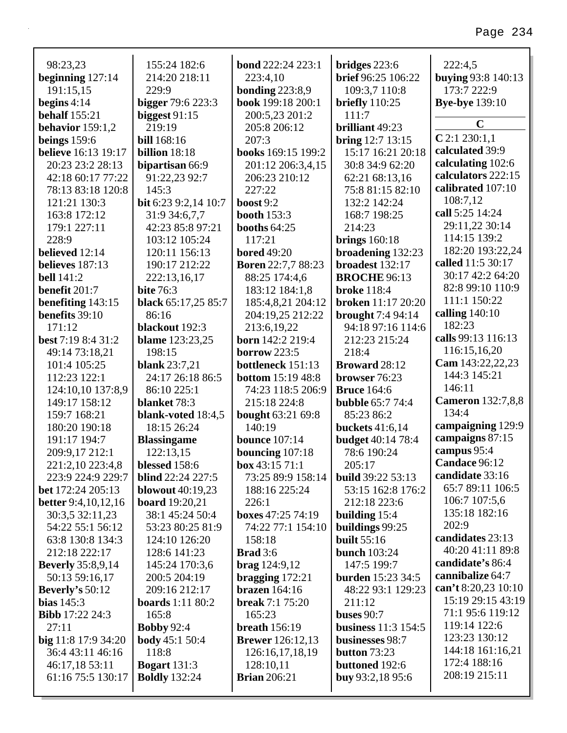| 98:23,23                      | 155:24 182:6                | <b>bond</b> 222:24 223:1  | bridges $223:6$            | 222:4,5                   |
|-------------------------------|-----------------------------|---------------------------|----------------------------|---------------------------|
| beginning $127:14$            | 214:20 218:11               | 223:4,10                  | brief 96:25 106:22         | <b>buying 93:8 140:13</b> |
| 191:15,15                     | 229:9                       | bonding $223:8,9$         | 109:3,7 110:8              | 173:7 222:9               |
| begins $4:14$                 | <b>bigger</b> 79:6 223:3    | book 199:18 200:1         | briefly $110:25$           | <b>Bye-bye</b> 139:10     |
| <b>behalf</b> 155:21          | biggest $91:15$             | 200:5,23 201:2            | 111:7                      |                           |
| behavior $159:1,2$            | 219:19                      | 205:8 206:12              | brilliant 49:23            | $\mathbf C$               |
| beings $159:6$                | <b>bill</b> 168:16          | 207:3                     | <b>bring</b> 12:7 13:15    | $C$ 2:1 230:1,1           |
| <b>believe</b> 16:13 19:17    | billion 18:18               | books 169:15 199:2        | 15:17 16:21 20:18          | calculated 39:9           |
| 20:23 23:2 28:13              | bipartisan 66:9             | 201:12 206:3,4,15         | 30:8 34:9 62:20            | calculating 102:6         |
| 42:18 60:17 77:22             | 91:22,23 92:7               | 206:23 210:12             | 62:21 68:13,16             | calculators 222:15        |
| 78:13 83:18 120:8             | 145:3                       | 227:22                    | 75:8 81:15 82:10           | calibrated 107:10         |
| 121:21 130:3                  | <b>bit</b> 6:23 9:2,14 10:7 | boost $9:2$               | 132:2 142:24               | 108:7,12                  |
| 163:8 172:12                  | 31:9 34:6,7,7               | booth $153:3$             | 168:7 198:25               | call 5:25 14:24           |
| 179:1 227:11                  | 42:23 85:8 97:21            | <b>booths 64:25</b>       | 214:23                     | 29:11,22 30:14            |
| 228:9                         | 103:12 105:24               | 117:21                    | brings $160:18$            | 114:15 139:2              |
| believed 12:14                | 120:11 156:13               | <b>bored</b> 49:20        | broadening 132:23          | 182:20 193:22,24          |
| believes 187:13               | 190:17 212:22               | <b>Boren 22:7,7 88:23</b> | broadest 132:17            | called 11:5 30:17         |
| <b>bell</b> 141:2             | 222:13,16,17                | 88:25 174:4,6             | <b>BROCHE 96:13</b>        | 30:17 42:2 64:20          |
| benefit 201:7                 | <b>bite 76:3</b>            | 183:12 184:1,8            | <b>broke</b> 118:4         | 82:8 99:10 110:9          |
| benefiting 143:15             | black 65:17,25 85:7         | 185:4,8,21 204:12         | broken 11:17 20:20         | 111:1 150:22              |
| <b>benefits</b> 39:10         | 86:16                       | 204:19,25 212:22          | <b>brought</b> 7:4 94:14   | calling $140:10$          |
| 171:12                        | blackout 192:3              | 213:6,19,22               | 94:18 97:16 114:6          | 182:23                    |
| best 7:19 8:4 31:2            | <b>blame</b> 123:23,25      | born 142:2 219:4          | 212:23 215:24              | calls 99:13 116:13        |
| 49:14 73:18,21                | 198:15                      | <b>borrow</b> 223:5       | 218:4                      | 116:15,16,20              |
| 101:4 105:25                  | <b>blank</b> 23:7,21        | bottleneck 151:13         | <b>Broward</b> 28:12       | Cam 143:22,22,23          |
| 112:23 122:1                  | 24:17 26:18 86:5            | <b>bottom</b> 15:19 48:8  | browser 76:23              | 144:3 145:21              |
| 124:10,10 137:8,9             | 86:10 225:1                 | 74:23 118:5 206:9         | <b>Bruce</b> 164:6         | 146:11                    |
| 149:17 158:12                 | blanket 78:3                | 215:18 224:8              | <b>bubble</b> 65:7 74:4    | <b>Cameron</b> 132:7,8,8  |
| 159:7 168:21                  | blank-voted 18:4,5          | <b>bought</b> 63:21 69:8  | 85:23 86:2                 | 134:4                     |
| 180:20 190:18                 | 18:15 26:24                 | 140:19                    | buckets 41:6,14            | campaigning 129:9         |
| 191:17 194:7                  | <b>Blassingame</b>          | <b>bounce</b> 107:14      | <b>budget</b> 40:14 78:4   | campaigns 87:15           |
| 209:9,17 212:1                | 122:13,15                   | bouncing 107:18           | 78:6 190:24                | campus 95:4               |
| 221:2,10 223:4,8              | blessed 158:6               | box $43:1571:1$           | 205:17                     | Candace 96:12             |
| 223:9 224:9 229:7             | <b>blind</b> 22:24 227:5    | 73:25 89:9 158:14         | <b>build</b> 39:22 53:13   | candidate 33:16           |
| <b>bet</b> 172:24 205:13      | <b>blowout</b> 40:19,23     | 188:16 225:24             | 53:15 162:8 176:2          | 65:7 89:11 106:5          |
| <b>better</b> 9:4, 10, 12, 16 | <b>board</b> 19:20,21       | 226:1                     | 212:18 223:6               | 106:7 107:5,6             |
| 30:3,5 32:11,23               | 38:1 45:24 50:4             | boxes 47:25 74:19         | building 15:4              | 135:18 182:16             |
| 54:22 55:1 56:12              | 53:23 80:25 81:9            | 74:22 77:1 154:10         | buildings 99:25            | 202:9                     |
| 63:8 130:8 134:3              | 124:10 126:20               | 158:18                    | <b>built</b> 55:16         | candidates 23:13          |
| 212:18 222:17                 | 128:6 141:23                | <b>Brad</b> 3:6           | bunch $103:24$             | 40:20 41:11 89:8          |
| <b>Beverly</b> 35:8,9,14      | 145:24 170:3,6              | $\frac{124:9,12}{2}$      | 147:5 199:7                | candidate's 86:4          |
| 50:13 59:16,17                | 200:5 204:19                | bragging $172:21$         | <b>burden</b> 15:23 34:5   | cannibalize 64:7          |
| Beverly's $50:12$             | 209:16 212:17               | brazen $164:16$           | 48:22 93:1 129:23          | can't 8:20,23 10:10       |
| bias $145:3$                  | <b>boards</b> 1:11 80:2     | <b>break</b> 7:1 75:20    | 211:12                     | 15:19 29:15 43:19         |
| <b>Bibb</b> 17:22 24:3        | 165:8                       | 165:23                    | <b>buses</b> 90:7          | 71:1 95:6 119:12          |
| 27:11                         | <b>Bobby 92:4</b>           | <b>breath</b> 156:19      | <b>business</b> 11:3 154:5 | 119:14 122:6              |
| big 11:8 17:9 34:20           | <b>body</b> $45:150:4$      | <b>Brewer</b> 126:12,13   | businesses 98:7            | 123:23 130:12             |
| 36:4 43:11 46:16              | 118:8                       | 126:16,17,18,19           | button $73:23$             | 144:18 161:16,21          |
| 46:17,18 53:11                | <b>Bogart</b> 131:3         | 128:10,11                 | buttoned 192:6             | 172:4 188:16              |
| 61:16 75:5 130:17             | <b>Boldly</b> 132:24        | <b>Brian</b> 206:21       | buy $93:2,1895:6$          | 208:19 215:11             |
|                               |                             |                           |                            |                           |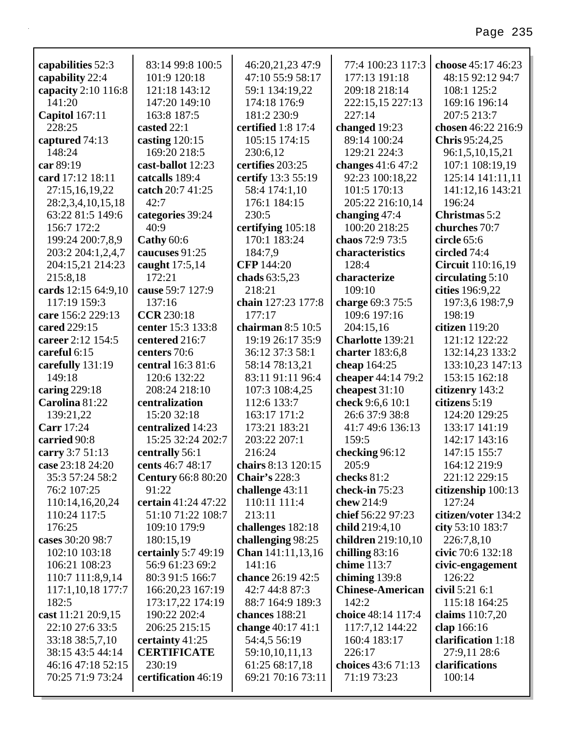| capabilities 52:3     | 83:14 99:8 100:5          | 46:20,21,23 47:9     | 77:4 100:23 117:3       | choose 45:17 46:23  |
|-----------------------|---------------------------|----------------------|-------------------------|---------------------|
| capability 22:4       | 101:9 120:18              | 47:10 55:9 58:17     | 177:13 191:18           | 48:15 92:12 94:7    |
| capacity 2:10 116:8   | 121:18 143:12             | 59:1 134:19,22       | 209:18 218:14           | 108:1 125:2         |
| 141:20                | 147:20 149:10             | 174:18 176:9         | 222:15,15 227:13        | 169:16 196:14       |
| <b>Capitol</b> 167:11 | 163:8 187:5               | 181:2 230:9          | 227:14                  | 207:5 213:7         |
| 228:25                | casted 22:1               | certified 1:8 17:4   | changed 19:23           | chosen 46:22 216:9  |
| captured 74:13        | casting $120:15$          | 105:15 174:15        | 89:14 100:24            | Chris 95:24,25      |
| 148:24                | 169:20 218:5              | 230:6,12             | 129:21 224:3            | 96:1,5,10,15,21     |
| car 89:19             | cast-ballot 12:23         | certifies 203:25     | changes 41:6 47:2       | 107:1 108:19,19     |
| card 17:12 18:11      | catcalls 189:4            | certify 13:3 55:19   | 92:23 100:18,22         | 125:14 141:11,11    |
| 27:15,16,19,22        | catch 20:7 41:25          | 58:4 174:1,10        | 101:5 170:13            | 141:12,16 143:21    |
| 28:2,3,4,10,15,18     | 42:7                      | 176:1 184:15         | 205:22 216:10,14        | 196:24              |
| 63:22 81:5 149:6      | categories 39:24          | 230:5                | changing $47:4$         | Christmas 5:2       |
| 156:7 172:2           | 40:9                      | certifying 105:18    | 100:20 218:25           | churches 70:7       |
| 199:24 200:7,8,9      | Cathy 60:6                | 170:1 183:24         | chaos 72:9 73:5         | circle 65:6         |
| 203:2 204:1,2,4,7     | caucuses 91:25            | 184:7,9              | characteristics         | circled 74:4        |
| 204:15,21 214:23      | caught 17:5,14            | <b>CFP</b> 144:20    | 128:4                   | Circuit 110:16,19   |
| 215:8,18              | 172:21                    | chads 63:5,23        | characterize            | circulating $5:10$  |
| cards 12:15 64:9,10   | cause 59:7 127:9          | 218:21               | 109:10                  | cities 196:9,22     |
| 117:19 159:3          | 137:16                    | chain 127:23 177:8   | charge 69:3 75:5        | 197:3,6 198:7,9     |
| care 156:2 229:13     | <b>CCR 230:18</b>         | 177:17               | 109:6 197:16            | 198:19              |
| cared 229:15          | center 15:3 133:8         | chairman $8:5$ 10:5  | 204:15,16               | citizen 119:20      |
| career 2:12 154:5     | centered 216:7            | 19:19 26:17 35:9     | Charlotte 139:21        | 121:12 122:22       |
| careful 6:15          | centers 70:6              | 36:12 37:3 58:1      | charter 183:6,8         | 132:14,23 133:2     |
| carefully 131:19      | central 16:3 81:6         | 58:14 78:13,21       | cheap 164:25            | 133:10,23 147:13    |
| 149:18                | 120:6 132:22              | 83:11 91:11 96:4     | cheaper 44:14 79:2      | 153:15 162:18       |
| caring $229:18$       | 208:24 218:10             | 107:3 108:4,25       | cheapest $31:10$        | citizenry 143:2     |
| Carolina 81:22        | centralization            | 112:6 133:7          | check 9:6,6 10:1        | citizens 5:19       |
| 139:21,22             | 15:20 32:18               | 163:17 171:2         | 26:6 37:9 38:8          | 124:20 129:25       |
| <b>Carr</b> 17:24     | centralized 14:23         | 173:21 183:21        | 41:7 49:6 136:13        | 133:17 141:19       |
| carried 90:8          | 15:25 32:24 202:7         | 203:22 207:1         | 159:5                   | 142:17 143:16       |
| carry 3:7 51:13       | centrally 56:1            | 216:24               | checking 96:12          | 147:15 155:7        |
| case 23:18 24:20      | cents 46:7 48:17          | chairs 8:13 120:15   | 205:9                   | 164:12 219:9        |
| 35:3 57:24 58:2       | <b>Century 66:8 80:20</b> | <b>Chair's 228:3</b> | checks 81:2             | 221:12 229:15       |
| 76:2 107:25           | 91:22                     | challenge 43:11      | check-in 75:23          | citizenship 100:13  |
| 110:14,16,20,24       | certain 41:24 47:22       | 110:11 111:4         | chew 214:9              | 127:24              |
| 110:24 117:5          | 51:10 71:22 108:7         | 213:11               | chief 56:22 97:23       | citizen/voter 134:2 |
| 176:25                | 109:10 179:9              | challenges 182:18    | child 219:4,10          | city 53:10 183:7    |
| cases 30:20 98:7      | 180:15,19                 | challenging 98:25    | children 219:10,10      | 226:7,8,10          |
| 102:10 103:18         | certainly 5:7 49:19       | Chan 141:11,13,16    | chilling $83:16$        | civic 70:6 132:18   |
| 106:21 108:23         | 56:9 61:23 69:2           | 141:16               | chime 113:7             | civic-engagement    |
| 110:7 111:8,9,14      | 80:3 91:5 166:7           | chance 26:19 42:5    | chiming 139:8           | 126:22              |
| 117:1,10,18 177:7     | 166:20,23 167:19          | 42:7 44:8 87:3       | <b>Chinese-American</b> | civil 5:21 6:1      |
| 182:5                 | 173:17,22 174:19          | 88:7 164:9 189:3     | 142:2                   | 115:18 164:25       |
| cast 11:21 20:9,15    | 190:22 202:4              | chances 188:21       | choice 48:14 117:4      | claims 110:7,20     |
| 22:10 27:6 33:5       | 206:25 215:15             | change 40:17 41:1    | 117:7,12 144:22         | clap 166:16         |
| 33:18 38:5,7,10       | certainty 41:25           | 54:4,5 56:19         | 160:4 183:17            | clarification 1:18  |
| 38:15 43:5 44:14      | <b>CERTIFICATE</b>        | 59:10,10,11,13       | 226:17                  | 27:9,11 28:6        |
| 46:16 47:18 52:15     | 230:19                    | 61:25 68:17,18       | choices 43:6 71:13      | clarifications      |
| 70:25 71:9 73:24      | certification 46:19       | 69:21 70:16 73:11    | 71:19 73:23             | 100:14              |
|                       |                           |                      |                         |                     |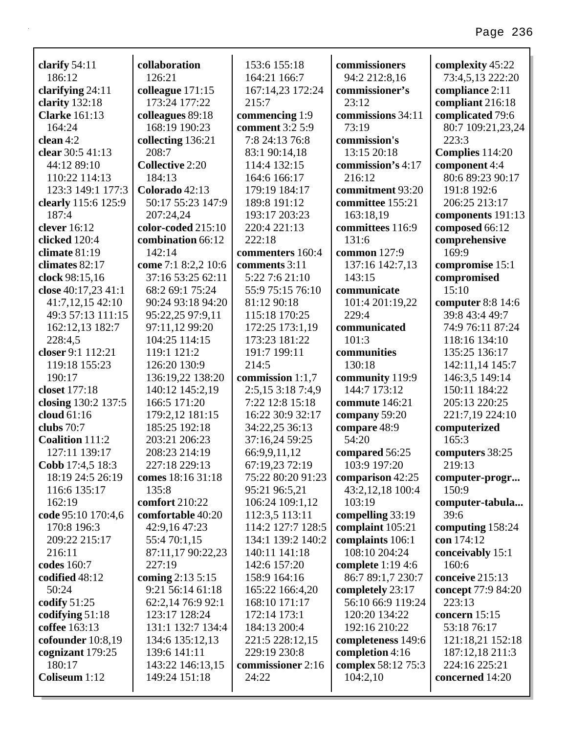| clarify $54:11$        | collaboration          | 153:6 155:18      | commissioners      | complexity 45:22   |
|------------------------|------------------------|-------------------|--------------------|--------------------|
| 186:12                 | 126:21                 | 164:21 166:7      | 94:2 212:8,16      | 73:4,5,13 222:20   |
| clarifying 24:11       | colleague 171:15       | 167:14,23 172:24  | commissioner's     | compliance 2:11    |
| clarity 132:18         | 173:24 177:22          | 215:7             | 23:12              | compliant 216:18   |
| <b>Clarke</b> 161:13   | colleagues 89:18       | commencing 1:9    | commissions 34:11  | complicated 79:6   |
| 164:24                 | 168:19 190:23          | comment 3:2 5:9   | 73:19              | 80:7 109:21,23,24  |
| clean 4:2              | collecting 136:21      | 7:8 24:13 76:8    | commission's       | 223:3              |
| clear 30:5 41:13       | 208:7                  | 83:1 90:14,18     | 13:15 20:18        | Complies 114:20    |
| 44:12 89:10            | <b>Collective 2:20</b> | 114:4 132:15      | commission's 4:17  | component 4:4      |
| 110:22 114:13          | 184:13                 | 164:6 166:17      | 216:12             | 80:6 89:23 90:17   |
| 123:3 149:1 177:3      | Colorado 42:13         | 179:19 184:17     | commitment 93:20   | 191:8 192:6        |
| clearly 115:6 125:9    | 50:17 55:23 147:9      | 189:8 191:12      | committee 155:21   | 206:25 213:17      |
| 187:4                  | 207:24,24              | 193:17 203:23     | 163:18,19          | components 191:13  |
| clever 16:12           | color-coded 215:10     | 220:4 221:13      | committees 116:9   | composed 66:12     |
| clicked 120:4          | combination 66:12      | 222:18            | 131:6              | comprehensive      |
| climate 81:19          | 142:14                 | commenters 160:4  | common 127:9       | 169:9              |
| climates 82:17         | come 7:1 8:2,2 10:6    | comments 3:11     | 137:16 142:7,13    | compromise 15:1    |
| clock 98:15,16         | 37:16 53:25 62:11      | 5:22 7:6 21:10    | 143:15             | compromised        |
| close 40:17,23 41:1    | 68:2 69:1 75:24        | 55:9 75:15 76:10  | communicate        | 15:10              |
| 41:7,12,15 42:10       | 90:24 93:18 94:20      | 81:12 90:18       | 101:4 201:19,22    | computer 8:8 14:6  |
| 49:3 57:13 111:15      | 95:22,25 97:9,11       | 115:18 170:25     | 229:4              | 39:8 43:4 49:7     |
| 162:12,13 182:7        | 97:11,12 99:20         | 172:25 173:1,19   | communicated       | 74:9 76:11 87:24   |
| 228:4,5                | 104:25 114:15          | 173:23 181:22     | 101:3              | 118:16 134:10      |
| closer 9:1 112:21      | 119:1 121:2            | 191:7 199:11      | communities        | 135:25 136:17      |
| 119:18 155:23          | 126:20 130:9           | 214:5             | 130:18             | 142:11,14 145:7    |
| 190:17                 | 136:19,22 138:20       | commission 1:1,7  | community 119:9    | 146:3,5 149:14     |
| closet 177:18          | 140:12 145:2,19        | 2:5,15 3:18 7:4,9 | 144:7 173:12       | 150:11 184:22      |
| closing 130:2 137:5    | 166:5 171:20           | 7:22 12:8 15:18   | commute 146:21     | 205:13 220:25      |
| cloud 61:16            | 179:2,12 181:15        | 16:22 30:9 32:17  | company 59:20      | 221:7,19 224:10    |
| clubs 70:7             | 185:25 192:18          | 34:22,25 36:13    | compare 48:9       | computerized       |
| <b>Coalition 111:2</b> | 203:21 206:23          | 37:16,24 59:25    | 54:20              | 165:3              |
| 127:11 139:17          | 208:23 214:19          | 66:9,9,11,12      | compared 56:25     | computers 38:25    |
| Cobb 17:4,5 18:3       | 227:18 229:13          | 67:19,23 72:19    | 103:9 197:20       | 219:13             |
| 18:19 24:5 26:19       | comes 18:16 31:18      | 75:22 80:20 91:23 | comparison 42:25   | computer-progr     |
| 116:6 135:17           | 135:8                  | 95:21 96:5,21     | 43:2,12,18 100:4   | 150:9              |
| 162:19                 | comfort 210:22         | 106:24 109:1,12   | 103:19             | computer-tabula    |
| code 95:10 170:4,6     | comfortable 40:20      | 112:3,5 113:11    | compelling 33:19   | 39:6               |
| 170:8 196:3            | 42:9,16 47:23          | 114:2 127:7 128:5 | complaint 105:21   | computing 158:24   |
| 209:22 215:17          | 55:4 70:1,15           | 134:1 139:2 140:2 | complaints 106:1   | con 174:12         |
| 216:11                 | 87:11,17 90:22,23      | 140:11 141:18     | 108:10 204:24      | conceivably 15:1   |
| codes 160:7            | 227:19                 | 142:6 157:20      | complete 1:19 4:6  | 160:6              |
| codified 48:12         | coming 2:13 5:15       | 158:9 164:16      | 86:7 89:1,7 230:7  | conceive 215:13    |
| 50:24                  | 9:21 56:14 61:18       | 165:22 166:4,20   | completely 23:17   | concept 77:9 84:20 |
| codify $51:25$         | 62:2,14 76:9 92:1      | 168:10 171:17     | 56:10 66:9 119:24  | 223:13             |
| codifying 51:18        | 123:17 128:24          | 172:14 173:1      | 120:20 134:22      | concern $15:15$    |
| coffee 163:13          | 131:1 132:7 134:4      | 184:13 200:4      | 192:16 210:22      | 53:18 76:17        |
| cofounder 10:8,19      | 134:6 135:12,13        | 221:5 228:12,15   | completeness 149:6 | 121:18,21 152:18   |
| cognizant 179:25       | 139:6 141:11           | 229:19 230:8      | completion 4:16    | 187:12,18 211:3    |
| 180:17                 | 143:22 146:13,15       | commissioner 2:16 | complex 58:12 75:3 | 224:16 225:21      |
| Coliseum 1:12          | 149:24 151:18          | 24:22             | 104:2,10           | concerned 14:20    |
|                        |                        |                   |                    |                    |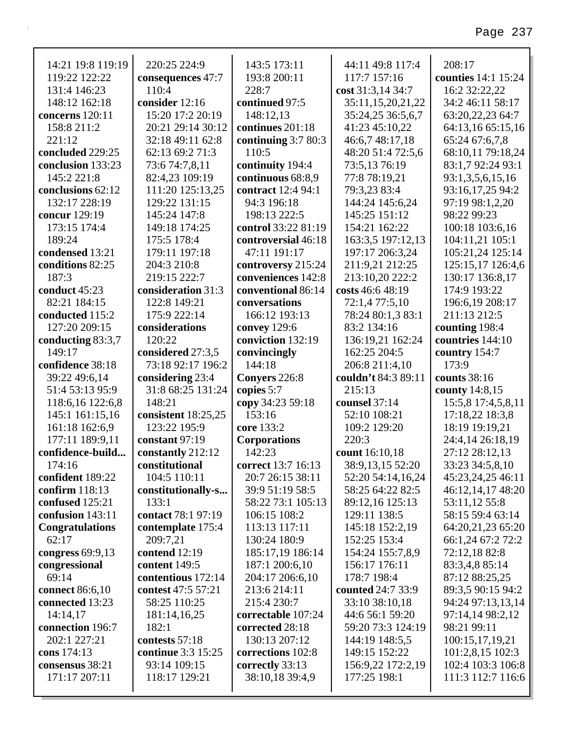| 14:21 19:8 119:19                | 220:25 224:9                       | 143:5 173:11                               | 44:11 49:8 117:4                       | 208:17                                 |
|----------------------------------|------------------------------------|--------------------------------------------|----------------------------------------|----------------------------------------|
| 119:22 122:22                    |                                    | 193:8 200:11                               | 117:7 157:16                           | counties 14:1 15:24                    |
| 131:4 146:23                     | consequences 47:7<br>110:4         | 228:7                                      |                                        | 16:2 32:22,22                          |
| 148:12 162:18                    | consider 12:16                     | continued 97:5                             | cost 31:3,14 34:7                      | 34:2 46:11 58:17                       |
| concerns 120:11                  | 15:20 17:2 20:19                   | 148:12,13                                  | 35:11,15,20,21,22<br>35:24,25 36:5,6,7 | 63:20,22,23 64:7                       |
| 158:8 211:2                      | 20:21 29:14 30:12                  | continues 201:18                           | 41:23 45:10,22                         |                                        |
| 221:12                           | 32:18 49:11 62:8                   |                                            |                                        | 64:13,16 65:15,16                      |
| concluded 229:25                 | 62:13 69:2 71:3                    | continuing $3:780:3$<br>110:5              | 46:6,7 48:17,18<br>48:20 51:4 72:5,6   | 65:24 67:6,7,8                         |
| conclusion 133:23                | 73:6 74:7,8,11                     |                                            |                                        | 68:10,11 79:18,24                      |
| 145:2 221:8                      |                                    | continuity 194:4                           | 73:5,13 76:19                          | 83:1,7 92:24 93:1                      |
| conclusions 62:12                | 82:4,23 109:19                     | continuous 68:8,9<br>contract 12:4 94:1    | 77:8 78:19,21<br>79:3,23 83:4          | 93:1,3,5,6,15,16                       |
| 132:17 228:19                    | 111:20 125:13,25                   | 94:3 196:18                                |                                        | 93:16,17,25 94:2<br>97:19 98:1,2,20    |
|                                  | 129:22 131:15                      |                                            | 144:24 145:6,24                        |                                        |
| concur 129:19                    | 145:24 147:8                       | 198:13 222:5                               | 145:25 151:12                          | 98:22 99:23                            |
| 173:15 174:4<br>189:24           | 149:18 174:25                      | control 33:22 81:19<br>controversial 46:18 | 154:21 162:22                          | 100:18 103:6,16                        |
|                                  | 175:5 178:4                        |                                            | 163:3,5 197:12,13                      | 104:11,21 105:1                        |
| condensed 13:21                  | 179:11 197:18                      | 47:11 191:17                               | 197:17 206:3,24                        | 105:21,24 125:14                       |
| conditions 82:25<br>187:3        | 204:3 210:8<br>219:15 222:7        | controversy 215:24<br>conveniences 142:8   | 211:9,21 212:25                        | 125:15,17 126:4,6<br>130:17 136:8,17   |
|                                  |                                    | conventional 86:14                         | 213:10,20 222:2                        |                                        |
| conduct 45:23                    | consideration 31:3<br>122:8 149:21 |                                            | costs 46:6 48:19                       | 174:9 193:22                           |
| 82:21 184:15                     | 175:9 222:14                       | conversations<br>166:12 193:13             | 72:1,4 77:5,10                         | 196:6,19 208:17                        |
| conducted 115:2                  |                                    |                                            | 78:24 80:1,3 83:1                      | 211:13 212:5                           |
| 127:20 209:15                    | considerations                     | convey 129:6                               | 83:2 134:16                            | counting 198:4                         |
| conducting 83:3,7                | 120:22                             | conviction 132:19                          | 136:19,21 162:24                       | countries 144:10                       |
| 149:17                           | considered 27:3,5                  | convincingly                               | 162:25 204:5                           | country 154:7                          |
| confidence 38:18                 | 73:18 92:17 196:2                  | 144:18                                     | 206:8 211:4,10                         | 173:9                                  |
|                                  |                                    |                                            |                                        |                                        |
| 39:22 49:6,14                    | considering 23:4                   | Conyers 226:8                              | couldn't 84:3 89:11                    | counts 38:16                           |
| 51:4 53:13 95:9                  | 31:8 68:25 131:24                  | copies 5:7                                 | 215:13                                 | county 14:8,15                         |
| 118:6,16 122:6,8                 | 148:21                             | copy 34:23 59:18                           | counsel 37:14                          | 15:5,8 17:4,5,8,11                     |
| 145:1 161:15,16                  | consistent 18:25,25                | 153:16                                     | 52:10 108:21                           | 17:18,22 18:3,8                        |
| 161:18 162:6,9                   | 123:22 195:9                       | core 133:2                                 | 109:2 129:20                           | 18:19 19:19,21                         |
| 177:11 189:9,11                  | constant 97:19                     | <b>Corporations</b>                        | 220:3                                  | 24:4,14 26:18,19                       |
| confidence-build                 | constantly 212:12                  | 142:23                                     | count 16:10,18                         | 27:12 28:12,13                         |
| 174:16                           | constitutional                     | correct 13:7 16:13                         | 38:9,13,15 52:20                       | 33:23 34:5,8,10                        |
| confident 189:22                 | 104:5 110:11                       | 20:7 26:15 38:11                           | 52:20 54:14,16,24                      | 45:23,24,25 46:11                      |
| confirm 118:13                   | constitutionally-s                 | 39:9 51:19 58:5                            | 58:25 64:22 82:5                       | 46:12,14,17 48:20                      |
| confused 125:21                  | 133:1                              | 58:22 73:1 105:13                          | 89:12,16 125:13                        | 53:11,12 55:8                          |
| confusion 143:11                 | contact 78:1 97:19                 | 106:15 108:2                               | 129:11 138:5                           | 58:15 59:4 63:14                       |
| <b>Congratulations</b>           | contemplate 175:4                  | 113:13 117:11                              | 145:18 152:2,19                        | 64:20,21,23 65:20                      |
| 62:17                            | 209:7,21                           | 130:24 180:9                               | 152:25 153:4                           | 66:1,24 67:2 72:2                      |
| congress $69:9,13$               | contend $12:19$                    | 185:17,19 186:14                           | 154:24 155:7,8,9                       | 72:12,18 82:8                          |
| congressional                    | content 149:5                      | 187:1 200:6,10                             | 156:17 176:11                          | 83:3,4,8 85:14                         |
| 69:14                            | contentious 172:14                 | 204:17 206:6,10                            | 178:7 198:4                            | 87:12 88:25,25                         |
| connect 86:6,10                  | contest 47:5 57:21                 | 213:6 214:11                               | counted 24:7 33:9                      | 89:3,5 90:15 94:2                      |
| connected 13:23                  | 58:25 110:25                       | 215:4 230:7                                | 33:10 38:10,18                         | 94:24 97:13,13,14                      |
| 14:14,17                         | 181:14,16,25                       | correctable 107:24                         | 44:6 56:1 59:20                        | 97:14,14 98:2,12                       |
| connection 196:7                 | 182:1                              | corrected 28:18                            | 59:20 73:3 124:19                      | 98:21 99:11                            |
| 202:1 227:21                     | contests 57:18                     | 130:13 207:12                              | 144:19 148:5,5                         | 100:15,17,19,21                        |
| cons 174:13                      | continue 3:3 15:25                 | corrections 102:8                          | 149:15 152:22                          | 101:2,8,15 102:3                       |
| consensus 38:21<br>171:17 207:11 | 93:14 109:15<br>118:17 129:21      | correctly 33:13<br>38:10,18 39:4,9         | 156:9,22 172:2,19<br>177:25 198:1      | 102:4 103:3 106:8<br>111:3 112:7 116:6 |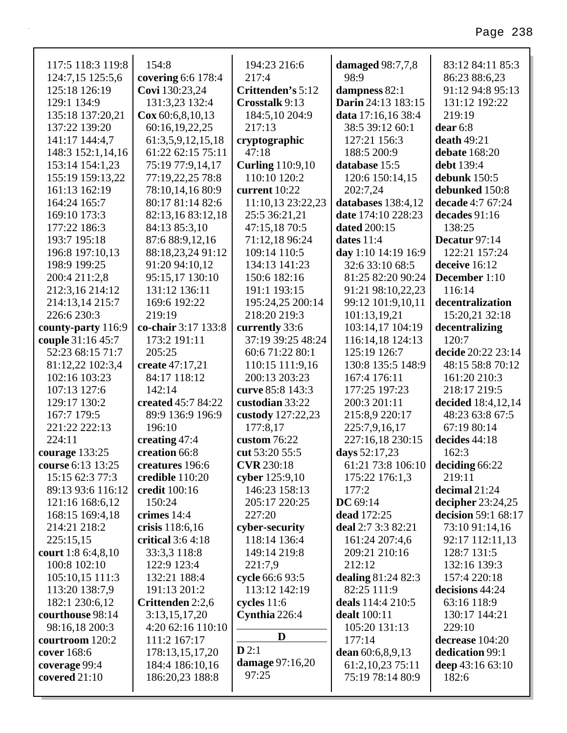| 117:5 118:3 119:8  | 154:8                  | 194:23 216:6            | damaged 98:7,7,8                        | 83:12 84:11 85:3    |
|--------------------|------------------------|-------------------------|-----------------------------------------|---------------------|
| 124:7,15 125:5,6   | covering 6:6 178:4     | 217:4                   | 98:9                                    | 86:23 88:6,23       |
| 125:18 126:19      | Covi 130:23,24         | Crittenden's 5:12       | dampness 82:1                           | 91:12 94:8 95:13    |
| 129:1 134:9        | 131:3,23 132:4         | Crosstalk 9:13          | Darin 24:13 183:15                      | 131:12 192:22       |
| 135:18 137:20,21   | $\cos 60:6, 8, 10, 13$ | 184:5,10 204:9          | data 17:16,16 38:4                      | 219:19              |
| 137:22 139:20      | 60:16,19,22,25         | 217:13                  | 38:5 39:12 60:1                         | $dear 6:8$          |
| 141:17 144:4,7     | 61:3,5,9,12,15,18      | cryptographic           | 127:21 156:3                            | death $49:21$       |
| 148:3 152:1,14,16  | 61:22 62:15 75:11      | 47:18                   | 188:5 200:9                             | debate 168:20       |
| 153:14 154:1,23    | 75:19 77:9,14,17       | <b>Curling</b> 110:9,10 | database 15:5                           | debt 139:4          |
| 155:19 159:13,22   | 77:19,22,25 78:8       | 110:10 120:2            | 120:6 150:14,15                         | debunk $150:5$      |
| 161:13 162:19      | 78:10,14,16 80:9       | current 10:22           | 202:7,24                                | debunked 150:8      |
| 164:24 165:7       | 80:17 81:14 82:6       | 11:10,13 23:22,23       | databases 138:4,12                      | decade 4:7 67:24    |
| 169:10 173:3       | 82:13,16 83:12,18      | 25:5 36:21,21           | date 174:10 228:23                      | decades 91:16       |
| 177:22 186:3       | 84:13 85:3,10          | 47:15,18 70:5           | <b>dated</b> 200:15                     | 138:25              |
| 193:7 195:18       | 87:6 88:9,12,16        | 71:12,18 96:24          | dates $11:4$                            | Decatur 97:14       |
| 196:8 197:10,13    | 88:18,23,24 91:12      | 109:14 110:5            | day 1:10 14:19 16:9                     | 122:21 157:24       |
| 198:9 199:25       | 91:20 94:10,12         | 134:13 141:23           | 32:6 33:10 68:5                         | deceive 16:12       |
| 200:4 211:2,8      | 95:15,17 130:10        | 150:6 182:16            | 81:25 82:20 90:24                       | December 1:10       |
| 212:3,16 214:12    | 131:12 136:11          | 191:1 193:15            | 91:21 98:10,22,23                       | 116:14              |
| 214:13,14 215:7    | 169:6 192:22           | 195:24,25 200:14        | 99:12 101:9,10,11                       | decentralization    |
| 226:6 230:3        | 219:19                 | 218:20 219:3            | 101:13,19,21                            | 15:20,21 32:18      |
| county-party 116:9 | co-chair 3:17 133:8    | currently 33:6          | 103:14,17 104:19                        | decentralizing      |
| couple 31:16 45:7  | 173:2 191:11           | 37:19 39:25 48:24       | 116:14,18 124:13                        | 120:7               |
| 52:23 68:15 71:7   | 205:25                 | 60:6 71:22 80:1         | 125:19 126:7                            | decide 20:22 23:14  |
| 81:12,22 102:3,4   | create 47:17,21        | 110:15 111:9,16         | 130:8 135:5 148:9                       | 48:15 58:8 70:12    |
| 102:16 103:23      | 84:17 118:12           | 200:13 203:23           | 167:4 176:11                            | 161:20 210:3        |
| 107:13 127:6       | 142:14                 | curve 85:8 143:3        | 177:25 197:23                           | 218:17 219:5        |
| 129:17 130:2       | created 45:7 84:22     | custodian 33:22         | 200:3 201:11                            | decided 18:4,12,14  |
| 167:7 179:5        | 89:9 136:9 196:9       | custody 127:22,23       | 215:8,9 220:17                          | 48:23 63:8 67:5     |
| 221:22 222:13      | 196:10                 | 177:8,17                | 225:7,9,16,17                           | 67:19 80:14         |
| 224:11             | creating 47:4          | custom $76:22$          | 227:16,18 230:15                        | decides 44:18       |
| courage $133:25$   | creation 66:8          | cut 53:20 55:5          | days 52:17,23                           | 162:3               |
| course 6:13 13:25  | creatures 196:6        | <b>CVR</b> 230:18       | 61:21 73:8 106:10 <b>deciding</b> 66:22 |                     |
| 15:15 62:3 77:3    | credible 110:20        | cyber 125:9,10          | 175:22 176:1,3                          | 219:11              |
| 89:13 93:6 116:12  | credit 100:16          | 146:23 158:13           | 177:2                                   | decimal 21:24       |
| 121:16 168:6,12    | 150:24                 | 205:17 220:25           | DC $69:14$                              | decipher 23:24,25   |
| 168:15 169:4,18    | crimes 14:4            | 227:20                  | dead 172:25                             | decision 59:1 68:17 |
| 214:21 218:2       | crisis 118:6,16        | cyber-security          | deal 2:7 3:3 82:21                      | 73:10 91:14,16      |
| 225:15,15          | critical $3:64:18$     | 118:14 136:4            | 161:24 207:4,6                          | 92:17 112:11,13     |
| court 1:8 6:4,8,10 | 33:3,3 118:8           | 149:14 219:8            | 209:21 210:16                           | 128:7 131:5         |
| 100:8 102:10       | 122:9 123:4            | 221:7,9                 | 212:12                                  | 132:16 139:3        |
| 105:10,15 111:3    | 132:21 188:4           | cycle 66:6 93:5         | dealing 81:24 82:3                      | 157:4 220:18        |
| 113:20 138:7,9     | 191:13 201:2           | 113:12 142:19           | 82:25 111:9                             | decisions 44:24     |
| 182:1 230:6,12     | Crittenden 2:2,6       | cycles $11:6$           | deals 114:4 210:5                       | 63:16 118:9         |
| courthouse 98:14   | 3:13,15,17,20          | Cynthia 226:4           | dealt 100:11                            | 130:17 144:21       |
| 98:16,18 200:3     | 4:20 62:16 110:10      |                         | 105:20 131:13                           | 229:10              |
| courtroom 120:2    | 111:2 167:17           | D                       | 177:14                                  | decrease 104:20     |
| cover 168:6        | 178:13,15,17,20        | D2:1                    | dean 60:6,8,9,13                        | dedication 99:1     |
| coverage 99:4      | 184:4 186:10,16        | <b>damage</b> 97:16,20  | 61:2, 10, 23 75:11                      | deep 43:16 63:10    |
| covered $21:10$    | 186:20,23 188:8        | 97:25                   | 75:19 78:14 80:9                        | 182:6               |
|                    |                        |                         |                                         |                     |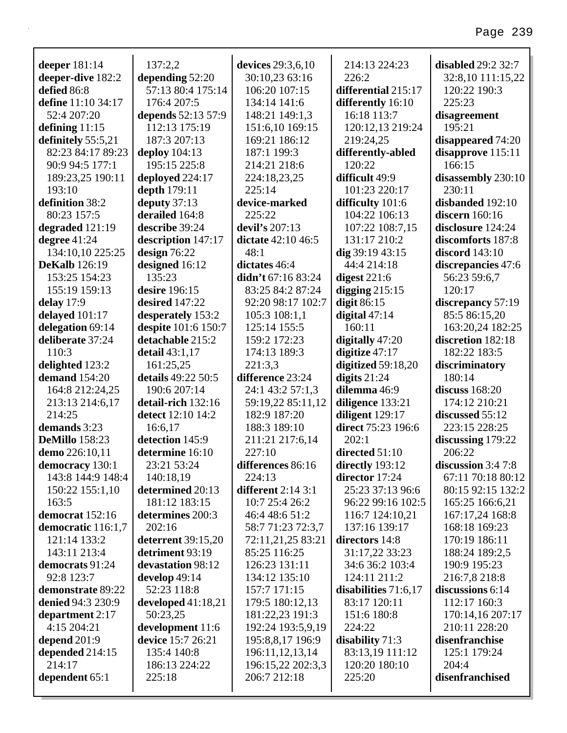| deeper 181:14            | 137:2,2              | devices 29:3,6,10    | 214:13 224:23          | <b>disabled</b> 29:2 32:7 |
|--------------------------|----------------------|----------------------|------------------------|---------------------------|
| deeper-dive 182:2        | depending 52:20      | 30:10,23 63:16       | 226:2                  | 32:8,10 111:15,22         |
| defied 86:8              | 57:13 80:4 175:14    | 106:20 107:15        | differential 215:17    | 120:22 190:3              |
| define 11:10 34:17       | 176:4 207:5          | 134:14 141:6         | differently 16:10      | 225:23                    |
| 52:4 207:20              | depends 52:13 57:9   | 148:21 149:1,3       | 16:18 113:7            | disagreement              |
| defining $11:15$         | 112:13 175:19        | 151:6,10 169:15      | 120:12,13 219:24       | 195:21                    |
| definitely 55:5,21       | 187:3 207:13         | 169:21 186:12        | 219:24,25              | disappeared 74:20         |
| 82:23 84:17 89:23        | deploy $104:13$      | 187:1 199:3          | differently-abled      | disapprove 115:11         |
| 90:9 94:5 177:1          | 195:15 225:8         | 214:21 218:6         | 120:22                 | 166:15                    |
| 189:23,25 190:11         | deployed 224:17      | 224:18,23,25         | difficult 49:9         | disassembly 230:10        |
| 193:10                   | depth 179:11         | 225:14               | 101:23 220:17          | 230:11                    |
| definition 38:2          | deputy $37:13$       | device-marked        | difficulty 101:6       | disbanded 192:10          |
| 80:23 157:5              | derailed 164:8       | 225:22               | 104:22 106:13          | discern $160:16$          |
| degraded 121:19          | describe 39:24       | devil's 207:13       | 107:22 108:7,15        | disclosure 124:24         |
| degree 41:24             | description 147:17   | dictate $42:10,46:5$ | 131:17 210:2           | discomforts 187:8         |
| 134:10,10 225:25         | design $76:22$       | 48:1                 | dig $39:1943:15$       | <b>discord</b> 143:10     |
| <b>DeKalb</b> 126:19     | designed 16:12       | dictates 46:4        | 44:4 214:18            | discrepancies 47:6        |
| 153:25 154:23            | 135:23               | didn't $67:1683:24$  | digest $221:6$         | 56:23 59:6,7              |
| 155:19 159:13            | desire 196:15        | 83:25 84:2 87:24     | digging $215:15$       | 120:17                    |
| delay $17:9$             | desired 147:22       | 92:20 98:17 102:7    | digit $86:15$          | discrepancy 57:19         |
| delayed 101:17           | desperately 153:2    | 105:3 108:1,1        | digital $47:14$        | 85:5 86:15,20             |
| delegation 69:14         | despite 101:6 150:7  | 125:14 155:5         | 160:11                 | 163:20,24 182:25          |
| deliberate 37:24         | detachable 215:2     | 159:2 172:23         | digitally 47:20        | discretion 182:18         |
| 110:3                    | detail $43:1,17$     | 174:13 189:3         | digitize $47:17$       | 182:22 183:5              |
| delighted 123:2          | 161:25,25            | 221:3,3              | digitized $59:18,20$   | discriminatory            |
| demand 154:20            | details 49:22 50:5   | difference 23:24     | digits $21:24$         | 180:14                    |
| 164:8 212:24,25          | 190:6 207:14         | 24:1 43:2 57:1,3     | dilemma 46:9           | discuss $168:20$          |
| 213:13 214:6,17          | detail-rich 132:16   | 59:19,22 85:11,12    | diligence 133:21       | 174:12 210:21             |
| 214:25                   | detect 12:10 14:2    | 182:9 187:20         | diligent 129:17        | discussed 55:12           |
| demands 3:23             | 16:6,17              | 188:3 189:10         | direct 75:23 196:6     | 223:15 228:25             |
| <b>DeMillo</b> 158:23    | detection 145:9      | 211:21 217:6,14      | 202:1                  | discussing $179:22$       |
| demo 226:10,11           | determine 16:10      | 227:10               | directed 51:10         | 206:22                    |
| democracy 130:1          | 23:21 53:24          | differences 86:16    | directly 193:12        | discussion $3:47:8$       |
| 143:8 144:9 148:4        | 140:18,19            | 224:13               | director 17:24         | 67:11 70:18 80:12         |
| 150:22 155:1,10          | determined 20:13     | different $2:14$ 3:1 | 25:23 37:13 96:6       | 80:15 92:15 132:2         |
| 163:5                    | 181:12 183:15        | 10:7 25:4 26:2       | 96:22 99:16 102:5      | 165:25 166:6,21           |
| democrat 152:16          | determines 200:3     | 46:4 48:6 51:2       | 116:7 124:10,21        | 167:17,24 168:8           |
| democratic 116:1,7       | 202:16               | 58:7 71:23 72:3,7    | 137:16 139:17          | 168:18 169:23             |
| 121:14 133:2             | deterrent 39:15,20   | 72:11,21,25 83:21    | directors 14:8         | 170:19 186:11             |
| 143:11 213:4             | detriment 93:19      | 85:25 116:25         | 31:17,22 33:23         | 188:24 189:2,5            |
| democrats 91:24          | devastation 98:12    | 126:23 131:11        | 34:6 36:2 103:4        | 190:9 195:23              |
| 92:8 123:7               | develop 49:14        | 134:12 135:10        | 124:11 211:2           | 216:7,8 218:8             |
| demonstrate 89:22        | 52:23 118:8          | 157:7 171:15         | disabilities $71:6,17$ | discussions 6:14          |
| <b>denied 94:3 230:9</b> | developed $41:18,21$ | 179:5 180:12,13      | 83:17 120:11           | 112:17 160:3              |
| department 2:17          | 50:23,25             | 181:22,23 191:3      | 151:6 180:8            | 170:14,16 207:17          |
| 4:15 204:21              | development 11:6     | 192:24 193:5,9,19    | 224:22                 | 210:11 228:20             |
| depend $201:9$           | device 15:7 26:21    | 195:8,8,17 196:9     | disability $71:3$      | disenfranchise            |
| depended 214:15          | 135:4 140:8          | 196:11,12,13,14      | 83:13,19 111:12        | 125:1 179:24              |
| 214:17                   | 186:13 224:22        | 196:15,22 202:3,3    | 120:20 180:10          | 204:4                     |
| dependent 65:1           | 225:18               | 206:7 212:18         | 225:20                 | disenfranchised           |
|                          |                      |                      |                        |                           |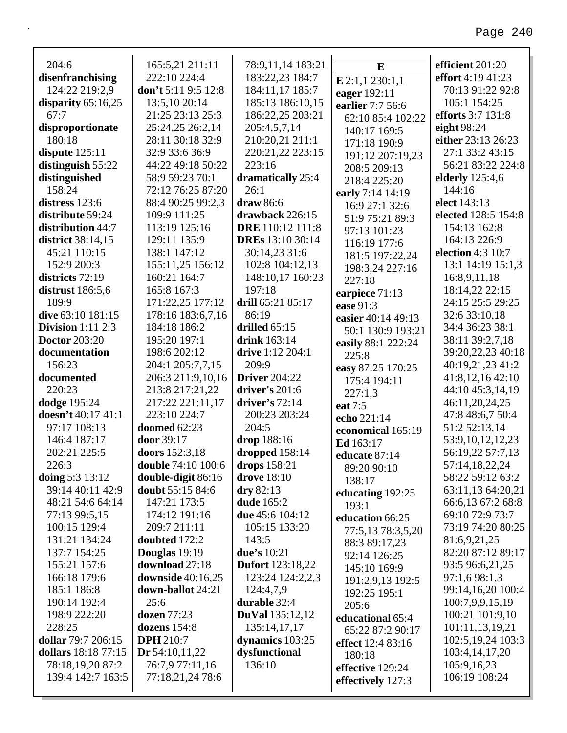| 204:6                    | 165:5,21 211:11           | 78:9,11,14 183:21       | E                  | efficient 201:20    |
|--------------------------|---------------------------|-------------------------|--------------------|---------------------|
| disenfranchising         | 222:10 224:4              | 183:22,23 184:7         | E 2:1,1 230:1,1    | effort 4:19 41:23   |
| 124:22 219:2,9           | don't $5:119:512:8$       | 184:11,17 185:7         | eager 192:11       | 70:13 91:22 92:8    |
| disparity $65:16,25$     | 13:5,10 20:14             | 185:13 186:10,15        | earlier 7:7 56:6   | 105:1 154:25        |
| 67:7                     | 21:25 23:13 25:3          | 186:22,25 203:21        | 62:10 85:4 102:22  | efforts 3:7 131:8   |
| disproportionate         | 25:24,25 26:2,14          | 205:4,5,7,14            | 140:17 169:5       | eight 98:24         |
| 180:18                   | 28:11 30:18 32:9          | 210:20,21 211:1         | 171:18 190:9       | either 23:13 26:23  |
| dispute $125:11$         | 32:9 33:6 36:9            | 220:21,22 223:15        | 191:12 207:19,23   | 27:1 33:2 43:15     |
| distinguish 55:22        | 44:22 49:18 50:22         | 223:16                  | 208:5 209:13       | 56:21 83:22 224:8   |
| distinguished            | 58:9 59:23 70:1           | dramatically 25:4       | 218:4 225:20       | elderly 125:4,6     |
| 158:24                   | 72:12 76:25 87:20         | 26:1                    | early 7:14 14:19   | 144:16              |
| distress 123:6           | 88:4 90:25 99:2,3         | draw 86:6               | 16:9 27:1 32:6     | elect 143:13        |
| distribute 59:24         | 109:9 111:25              | drawback 226:15         | 51:9 75:21 89:3    | elected 128:5 154:8 |
| distribution 44:7        | 113:19 125:16             | DRE 110:12 111:8        | 97:13 101:23       | 154:13 162:8        |
| district 38:14,15        | 129:11 135:9              | <b>DREs</b> 13:10 30:14 | 116:19 177:6       | 164:13 226:9        |
| 45:21 110:15             | 138:1 147:12              | 30:14,23 31:6           | 181:5 197:22,24    | election 4:3 10:7   |
| 152:9 200:3              | 155:11,25 156:12          | 102:8 104:12,13         | 198:3,24 227:16    | 13:1 14:19 15:1,3   |
| districts 72:19          | 160:21 164:7              | 148:10,17 160:23        | 227:18             | 16:8,9,11,18        |
| distrust $186:5,6$       | 165:8 167:3               | 197:18                  | earpiece 71:13     | 18:14,22 22:15      |
| 189:9                    | 171:22,25 177:12          | drill 65:21 85:17       | ease 91:3          | 24:15 25:5 29:25    |
| dive 63:10 181:15        | 178:16 183:6,7,16         | 86:19                   | easier 40:14 49:13 | 32:6 33:10,18       |
| <b>Division</b> 1:11 2:3 | 184:18 186:2              | drilled $65:15$         | 50:1 130:9 193:21  | 34:4 36:23 38:1     |
| <b>Doctor</b> 203:20     | 195:20 197:1              | drink 163:14            | easily 88:1 222:24 | 38:11 39:2,7,18     |
| documentation            | 198:6 202:12              | drive 1:12 204:1        | 225:8              | 39:20,22,23 40:18   |
| 156:23                   | 204:1 205:7,7,15          | 209:9                   | easy 87:25 170:25  | 40:19,21,23 41:2    |
| documented               | 206:3 211:9,10,16         | <b>Driver</b> 204:22    | 175:4 194:11       | 41:8,12,16 42:10    |
| 220:23                   | 213:8 217:21,22           | driver's 201:6          | 227:1,3            | 44:10 45:3,14,19    |
| dodge 195:24             | 217:22 221:11,17          | driver's $72:14$        | eat 7:5            | 46:11,20,24,25      |
| doesn't 40:17 41:1       | 223:10 224:7              | 200:23 203:24           | echo 221:14        | 47:8 48:6,7 50:4    |
| 97:17 108:13             | doomed 62:23              | 204:5                   | economical 165:19  | 51:2 52:13,14       |
| 146:4 187:17             | door 39:17                | drop 188:16             | Ed 163:17          | 53:9,10,12,12,23    |
| 202:21 225:5             | doors 152:3,18            | dropped 158:14          | educate 87:14      | 56:19,22 57:7,13    |
| 226:3                    | <b>double</b> 74:10 100:6 | drops 158:21            | 89:20 90:10        | 57:14,18,22,24      |
| doing 5:3 13:12          | double-digit 86:16        | drove 18:10             | 138:17             | 58:22 59:12 63:2    |
| 39:14 40:11 42:9         | doubt 55:15 84:6          | dry 82:13               | educating 192:25   | 63:11,13 64:20,21   |
| 48:21 54:6 64:14         | 147:21 173:5              | dude 165:2              | 193:1              | 66:6,13 67:2 68:8   |
| 77:13 99:5,15            | 174:12 191:16             | due 45:6 104:12         | education 66:25    | 69:10 72:9 73:7     |
| 100:15 129:4             | 209:7 211:11              | 105:15 133:20           | 77:5,13 78:3,5,20  | 73:19 74:20 80:25   |
| 131:21 134:24            | doubted 172:2             | 143:5                   | 88:3 89:17,23      | 81:6,9,21,25        |
| 137:7 154:25             | Douglas 19:19             | due's 10:21             | 92:14 126:25       | 82:20 87:12 89:17   |
| 155:21 157:6             | download 27:18            | <b>Dufort</b> 123:18,22 | 145:10 169:9       | 93:5 96:6,21,25     |
| 166:18 179:6             | <b>downside</b> 40:16,25  | 123:24 124:2,2,3        | 191:2,9,13 192:5   | 97:1,6 98:1,3       |
| 185:1 186:8              | down-ballot 24:21         | 124:4,7,9               | 192:25 195:1       | 99:14,16,20 100:4   |
| 190:14 192:4             | 25:6                      | durable 32:4            | 205:6              | 100:7,9,9,15,19     |
| 198:9 222:20             | dozen 77:23               | <b>DuVal</b> 135:12,12  | educational 65:4   | 100:21 101:9,10     |
| 228:25                   | dozens $154:8$            | 135:14,17,17            | 65:22 87:2 90:17   | 101:11,13,19,21     |
| dollar 79:7 206:15       | <b>DPH</b> 210:7          | dynamics 103:25         | effect 12:4 83:16  | 102:5, 19, 24 103:3 |
| dollars 18:18 77:15      | Dr $54:10,11,22$          | dysfunctional           | 180:18             | 103:4, 14, 17, 20   |
| 78:18,19,20 87:2         | 76:7,9 77:11,16           | 136:10                  | effective 129:24   | 105:9,16,23         |
| 139:4 142:7 163:5        | 77:18,21,24 78:6          |                         | effectively 127:3  | 106:19 108:24       |
|                          |                           |                         |                    |                     |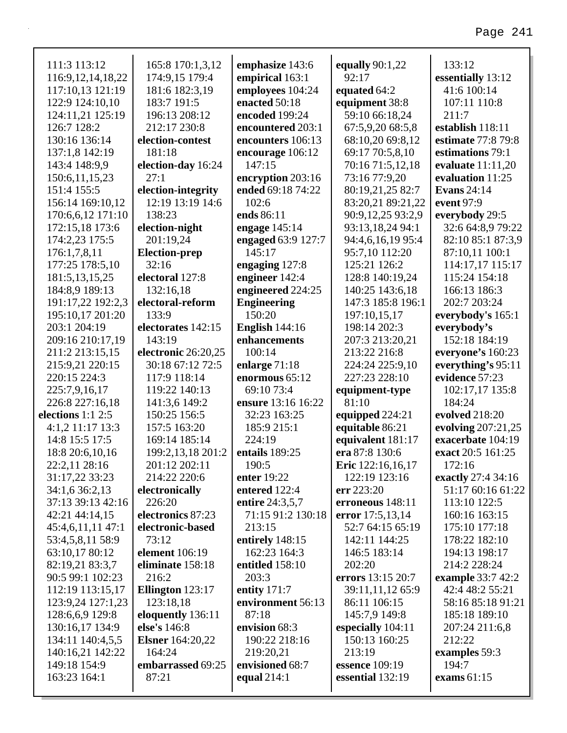### 111:3 113:12 116:9,12,14,18,22 117:10,13 121:19 122:9 124:10,10 124:11,21 125:19 126:7 128:2 130:16 136:14 137:1,8 142:19 143:4 148:9,9 150:6,11,15,23 151:4 155:5 156:14 169:10,12 170:6,6,12 171:10 172:15,18 173:6 174:2,23 175:5 176:1,7,8,11 177:25 178:5,10 181:5,13,15,25 184:8,9 189:13 191:17,22 192:2,3 195:10,17 201:20 203:1 204:19 209:16 210:17,19 211:2 213:15,15 215:9,21 220:15 220:15 224:3 225:7,9,16,17 226:8 227:16,18 **elections** 1:1 2:5 4:1,2 11:17 13:3 14:8 15:5 17:5 18:8 20:6,10,16 22:2,11 28:16 31:17,22 33:23 34:1,6 36:2,13 37:13 39:13 42:16 42:21 44:14,15 45:4,6,11,11 47:1 53:4,5,8,11 58:9 63:10,17 80:12 82:19,21 83:3,7 90:5 99:1 102:23 112:19 113:15,17 123:9,24 127:1,23 128:6,6,9 129:8 130:16,17 134:9 165:8 170:1,3,12 174:9,15 179:4 181:6 182:3,19 183:7 191:5 196:13 208:12 212:17 230:8 **election-contest** 181:18 **election-day** 16:24 27:1 **election-integrity** 12:19 13:19 14:6 138:23 **election-night** 201:19,24 **Election-prep** 32:16 **electoral** 127:8 132:16,18 **electoral-reform** 133:9 **electorates** 142:15 143:19 **electronic** 26:20,25 30:18 67:12 72:5 117:9 118:14 119:22 140:13 141:3,6 149:2 150:25 156:5 157:5 163:20 169:14 185:14 199:2,13,18 201:2 201:12 202:11 214:22 220:6 **electronically** 226:20 **electronics** 87:23 **electronic-based** 73:12 **element** 106:19 **eliminate** 158:18 216:2 **Ellington** 123:17 123:18,18 **eloquently** 136:11 **else's** 146:8 **emphasize** 143:6 **empirical** 163:1 **employees** 104:24 **enacted** 50:18 **encoded** 199:24 **encountered** 203:1 **encounters** 106:13 **encourage** 106:12 147:15 **encryption** 203:16 **ended** 69:18 74:22 102:6 **ends** 86:11 **engage** 145:14 **engaged** 63:9 127:7 145:17 **engaging** 127:8 **engineer** 142:4 **engineered** 224:25 **Engineering** 150:20 **English** 144:16 **enhancements** 100:14 **enlarge** 71:18 **enormous** 65:12 69:10 73:4 **ensure** 13:16 16:22 32:23 163:25 185:9 215:1 224:19 **entails** 189:25 190:5 **enter** 19:22 **entered** 122:4 **entire** 24:3,5,7 71:15 91:2 130:18 213:15 **entirely** 148:15 162:23 164:3 **entitled** 158:10 203:3 **entity** 171:7 **environment** 56:13 87:18 **envision** 68:3 190:22 218:16 **equally** 90:1,22 92:17 **equated** 64:2 **equipment** 38:8 59:10 66:18,24 67:5,9,20 68:5,8 68:10,20 69:8,12 69:17 70:5,8,10 70:16 71:5,12,18 73:16 77:9,20 80:19,21,25 82:7 83:20,21 89:21,22 90:9,12,25 93:2,9 93:13,18,24 94:1 94:4,6,16,19 95:4 95:7,10 112:20 125:21 126:2 128:8 140:19,24 140:25 143:6,18 147:3 185:8 196:1 197:10,15,17 198:14 202:3 207:3 213:20,21 213:22 216:8 224:24 225:9,10 227:23 228:10 **equipment-type** 81:10 **equipped** 224:21 **equitable** 86:21 **equivalent** 181:17 **era** 87:8 130:6 **Eric** 122:16,16,17 122:19 123:16 **err** 223:20 **erroneous** 148:11 **error** 17:5,13,14 52:7 64:15 65:19 142:11 144:25 146:5 183:14 202:20 **errors** 13:15 20:7 39:11,11,12 65:9 86:11 106:15 145:7,9 149:8 **especially** 104:11 133:12 **essentially** 13:12 41:6 100:14 107:11 110:8 211:7 **establish** 118:11 **estimate** 77:8 79:8 **estimations** 79:1 **evaluate** 11:11,20 **evaluation** 11:25 **Evans** 24:14 **event** 97:9 **everybody** 29:5 32:6 64:8,9 79:22 82:10 85:1 87:3,9 87:10,11 100:1 114:17,17 115:17 115:24 154:18 166:13 186:3 202:7 203:24 **everybody's** 165:1 **everybody's** 152:18 184:19 **everyone's** 160:23 **everything's** 95:11 **evidence** 57:23 102:17,17 135:8 184:24 **evolved** 218:20 **evolving** 207:21,25 **exacerbate** 104:19 **exact** 20:5 161:25 172:16 **exactly** 27:4 34:16 51:17 60:16 61:22 113:10 122:5 160:16 163:15 175:10 177:18 178:22 182:10 194:13 198:17 214:2 228:24 **example** 33:7 42:2 42:4 48:2 55:21 58:16 85:18 91:21 185:18 189:10 207:24 211:6,8 212:22

219:20,21 **envisioned** 68:7 **equal** 214:1

150:13 160:25

**examples** 59:3 194:7 **exams** 61:15

213:19 **essence** 109:19 **essential** 132:19

134:11 140:4,5,5 140:16,21 142:22 149:18 154:9 163:23 164:1

**Elsner** 164:20,22

**embarrassed** 69:25

164:24

87:21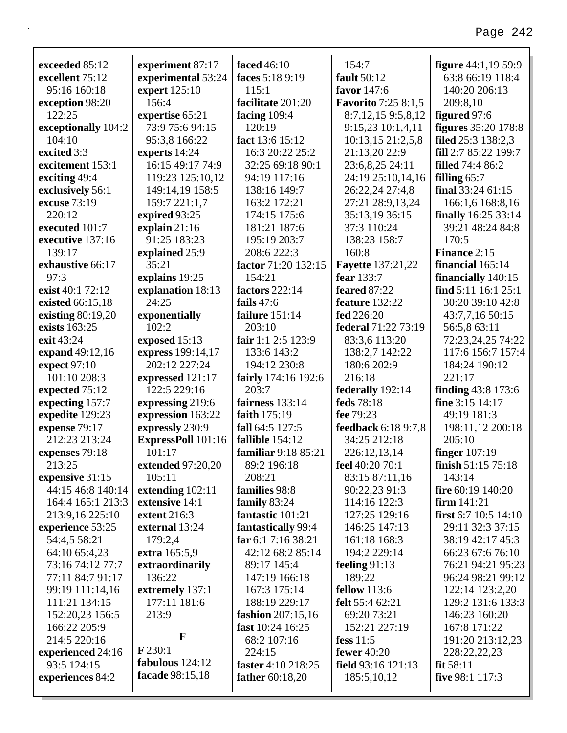| exceeded 85:12      | experiment 87:17   | faced 46:10            | 154:7                      | <b>figure</b> 44:1,19 59:9 |
|---------------------|--------------------|------------------------|----------------------------|----------------------------|
| excellent 75:12     | experimental 53:24 | faces 5:18 9:19        | fault 50:12                | 63:8 66:19 118:4           |
| 95:16 160:18        | expert 125:10      | 115:1                  | favor 147:6                | 140:20 206:13              |
| exception 98:20     | 156:4              | facilitate 201:20      | <b>Favorito</b> 7:25 8:1,5 | 209:8,10                   |
| 122:25              | expertise 65:21    | facing 109:4           | 8:7,12,15 9:5,8,12         | figured 97:6               |
| exceptionally 104:2 | 73:9 75:6 94:15    | 120:19                 | 9:15,23 10:1,4,11          | <b>figures</b> 35:20 178:8 |
| 104:10              | 95:3,8 166:22      | fact 13:6 15:12        | 10:13,15 21:2,5,8          | filed 25:3 138:2,3         |
| excited 3:3         | experts 14:24      | 16:3 20:22 25:2        | 21:13,20 22:9              | fill 2:7 85:22 199:7       |
| excitement 153:1    | 16:15 49:17 74:9   | 32:25 69:18 90:1       | 23:6,8,25 24:11            | <b>filled</b> 74:4 86:2    |
| exciting 49:4       | 119:23 125:10,12   | 94:19 117:16           | 24:19 25:10,14,16          | filling $65:7$             |
| exclusively 56:1    | 149:14,19 158:5    | 138:16 149:7           | 26:22,24 27:4,8            | final $33:2461:15$         |
| excuse 73:19        | 159:7 221:1,7      | 163:2 172:21           | 27:21 28:9,13,24           | 166:1,6 168:8,16           |
| 220:12              | expired 93:25      | 174:15 175:6           | 35:13,19 36:15             | <b>finally</b> 16:25 33:14 |
| executed 101:7      | explain $21:16$    | 181:21 187:6           | 37:3 110:24                | 39:21 48:24 84:8           |
| executive 137:16    | 91:25 183:23       | 195:19 203:7           | 138:23 158:7               | 170:5                      |
| 139:17              | explained 25:9     | 208:6 222:3            | 160:8                      | Finance 2:15               |
| exhaustive 66:17    | 35:21              | factor 71:20 132:15    | <b>Fayette</b> 137:21,22   | financial 165:14           |
| 97:3                | explains 19:25     | 154:21                 | fear 133:7                 | financially 140:15         |
| exist 40:1 72:12    | explanation 18:13  | factors 222:14         | feared 87:22               | find $5:11$ 16:1 25:1      |
| existed 66:15,18    | 24:25              | fails $47:6$           | feature 132:22             | 30:20 39:10 42:8           |
| existing 80:19,20   | exponentially      | failure 151:14         | fed 226:20                 | 43:7,7,16 50:15            |
| exists 163:25       | 102:2              | 203:10                 | federal 71:22 73:19        | 56:5,8 63:11               |
| exit 43:24          | exposed 15:13      | fair 1:1 2:5 123:9     | 83:3,6 113:20              | 72:23,24,25 74:22          |
| expand 49:12,16     | express 199:14,17  | 133:6 143:2            | 138:2,7 142:22             | 117:6 156:7 157:4          |
| expect 97:10        | 202:12 227:24      | 194:12 230:8           | 180:6 202:9                | 184:24 190:12              |
| 101:10 208:3        | expressed 121:17   | fairly 174:16 192:6    | 216:18                     | 221:17                     |
| expected 75:12      | 122:5 229:16       | 203:7                  | federally 192:14           | finding 43:8 173:6         |
| expecting 157:7     | expressing 219:6   | fairness 133:14        | feds 78:18                 | fine 3:15 14:17            |
| expedite 129:23     | expression 163:22  | faith 175:19           | fee 79:23                  | 49:19 181:3                |
| expense 79:17       | expressly 230:9    | fall 64:5 127:5        | feedback 6:18 9:7,8        | 198:11,12 200:18           |
| 212:23 213:24       | ExpressPoll 101:16 | fallible 154:12        | 34:25 212:18               | 205:10                     |
| expenses 79:18      | 101:17             | familiar 9:18 85:21    | 226:12,13,14               | <b>finger</b> 107:19       |
| 213:25              | extended 97:20,20  | 89:2 196:18            | feel 40:20 70:1            | finish 51:15 75:18         |
| expensive 31:15     | 105:11             | 208:21                 | 83:15 87:11,16             | 143:14                     |
| 44:15 46:8 140:14   | extending 102:11   | families 98:8          | 90:22,23 91:3              | fire 60:19 140:20          |
| 164:4 165:1 213:3   | extensive 14:1     | family 83:24           | 114:16 122:3               | firm 141:21                |
| 213:9,16 225:10     | extent 216:3       | fantastic 101:21       | 127:25 129:16              | first $6:7$ 10:5 14:10     |
| experience 53:25    | external 13:24     | fantastically 99:4     | 146:25 147:13              | 29:11 32:3 37:15           |
| 54:4,5 58:21        | 179:2,4            | far 6:1 7:16 38:21     | 161:18 168:3               | 38:19 42:17 45:3           |
| 64:10 65:4,23       | extra 165:5,9      | 42:12 68:2 85:14       | 194:2 229:14               | 66:23 67:6 76:10           |
| 73:16 74:12 77:7    | extraordinarily    | 89:17 145:4            | feeling $91:13$            | 76:21 94:21 95:23          |
| 77:11 84:7 91:17    | 136:22             | 147:19 166:18          | 189:22                     | 96:24 98:21 99:12          |
| 99:19 111:14,16     | extremely 137:1    | 167:3 175:14           | <b>fellow</b> 113:6        | 122:14 123:2,20            |
| 111:21 134:15       | 177:11 181:6       | 188:19 229:17          | <b>felt</b> 55:4 62:21     | 129:2 131:6 133:3          |
| 152:20,23 156:5     | 213:9              | fashion 207:15,16      | 69:20 73:21                | 146:23 160:20              |
| 166:22 205:9        |                    | fast 10:24 16:25       | 152:21 227:19              | 167:8 171:22               |
| 214:5 220:16        | F                  | 68:2 107:16            | fess $11:5$                | 191:20 213:12,23           |
| experienced 24:16   | $F$ 230:1          | 224:15                 | fewer $40:20$              | 228:22,22,23               |
| 93:5 124:15         | fabulous 124:12    | faster 4:10 218:25     | field $93:16$ 121:13       | fit $58:11$                |
| experiences 84:2    | facade 98:15,18    | <b>father</b> 60:18,20 | 185:5,10,12                | five 98:1 117:3            |
|                     |                    |                        |                            |                            |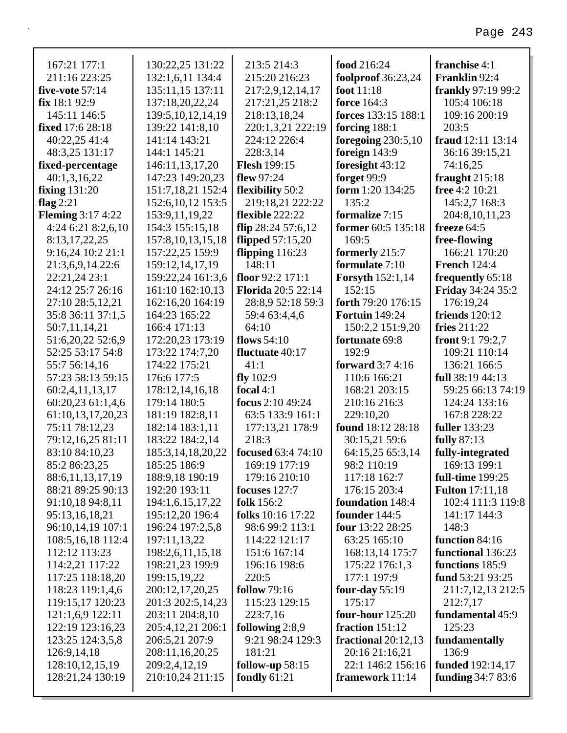| 167:21 177:1                          | 130:22,25 131:22                  | 213:5 214:3                 | food 216:24                             | franchise 4:1                               |
|---------------------------------------|-----------------------------------|-----------------------------|-----------------------------------------|---------------------------------------------|
| 211:16 223:25                         | 132:1,6,11 134:4                  | 215:20 216:23               | <b>foolproof</b> 36:23,24               | Franklin 92:4                               |
| five-vote $57:14$                     | 135:11,15 137:11                  | 217:2,9,12,14,17            | foot $11:18$                            | <b>frankly</b> 97:19 99:2                   |
| fix 18:192:9                          | 137:18,20,22,24                   | 217:21,25 218:2             | <b>force</b> 164:3                      | 105:4 106:18                                |
| 145:11 146:5                          | 139:5, 10, 12, 14, 19             | 218:13,18,24                | forces 133:15 188:1                     | 109:16 200:19                               |
| <b>fixed</b> 17:6 28:18               | 139:22 141:8,10                   | 220:1,3,21 222:19           | forcing 188:1                           | 203:5                                       |
| 40:22,25 41:4                         | 141:14 143:21                     | 224:12 226:4                | foregoing $230:5,10$                    | fraud 12:11 13:14                           |
| 48:3,25 131:17                        | 144:1 145:21                      | 228:3,14                    | foreign 143:9                           | 36:16 39:15,21                              |
| fixed-percentage                      | 146:11,13,17,20                   | <b>Flesh 199:15</b>         | foresight 43:12                         | 74:16,25                                    |
| 40:1,3,16,22                          | 147:23 149:20,23                  | flew 97:24                  | forget 99:9                             | fraught $215:18$                            |
| fixing $131:20$                       | 151:7,18,21 152:4                 | flexibility 50:2            | form $1:20$ 134:25                      | free 4:2 10:21                              |
| flag $2:21$                           | 152:6, 10, 12 153:5               | 219:18,21 222:22            | 135:2                                   | 145:2,7 168:3                               |
| <b>Fleming 3:17 4:22</b>              | 153:9, 11, 19, 22                 | flexible 222:22             | formalize 7:15                          | 204:8, 10, 11, 23                           |
| 4:24 6:21 8:2,6,10                    | 154:3 155:15,18                   | flip $28:24$ 57:6,12        | former 60:5 135:18                      | freeze $64:5$                               |
| 8:13,17,22,25                         | 157:8, 10, 13, 15, 18             | flipped $57:15,20$          | 169:5                                   | free-flowing                                |
| 9:16,24 10:2 21:1                     | 157:22,25 159:9                   | flipping $116:23$           | formerly 215:7                          | 166:21 170:20                               |
| 21:3,6,9,14 22:6                      | 159:12, 14, 17, 19                | 148:11                      | formulate 7:10                          | <b>French 124:4</b>                         |
| 22:21,24 23:1                         | 159:22,24 161:3,6                 | floor 92:2 171:1            | <b>Forsyth</b> 152:1,14                 | frequently 65:18                            |
| 24:12 25:7 26:16                      | 161:10 162:10,13                  | <b>Florida</b> 20:5 22:14   | 152:15                                  | <b>Friday 34:24 35:2</b>                    |
| 27:10 28:5,12,21                      | 162:16,20 164:19                  | 28:8,9 52:18 59:3           | forth 79:20 176:15                      | 176:19,24                                   |
| 35:8 36:11 37:1,5                     | 164:23 165:22                     | 59:4 63:4,4,6               | <b>Fortuin</b> 149:24                   | <b>friends</b> 120:12                       |
| 50:7,11,14,21                         | 166:4 171:13                      | 64:10                       | 150:2,2 151:9,20                        | fries $211:22$                              |
| 51:6,20,22 52:6,9                     | 172:20,23 173:19                  | flows $54:10$               | fortunate 69:8                          | front $9:179:2,7$                           |
| 52:25 53:17 54:8                      | 173:22 174:7,20                   | fluctuate 40:17             | 192:9                                   | 109:21 110:14                               |
| 55:7 56:14,16                         | 174:22 175:21                     | 41:1                        | forward 3:7 4:16                        | 136:21 166:5                                |
| 57:23 58:13 59:15                     | 176:6 177:5                       | fly $102:9$                 | 110:6 166:21                            | full 38:19 44:13                            |
| 60:2,4,11,13,17                       | 178:12,14,16,18                   | focal $4:1$                 | 168:21 203:15                           | 59:25 66:13 74:19                           |
| 60:20,23 61:1,4,6                     | 179:14 180:5                      | focus 2:10 49:24            | 210:16 216:3                            | 124:24 133:16                               |
| 61:10,13,17,20,23                     | 181:19 182:8,11                   | 63:5 133:9 161:1            | 229:10,20                               | 167:8 228:22                                |
| 75:11 78:12,23                        | 182:14 183:1,11                   | 177:13,21 178:9             | found 18:12 28:18                       | <b>fuller</b> 133:23                        |
| 79:12,16,25 81:11                     | 183:22 184:2,14                   | 218:3                       | 30:15,21 59:6                           | fully 87:13                                 |
| 83:10 84:10,23                        | 185:3,14,18,20,22                 | <b>focused</b> 63:4 74:10   | 64:15,25 65:3,14                        | fully-integrated                            |
| 85:2 86:23,25                         | 185:25 186:9<br>188:9,18 190:19   | 169:19 177:19               | 98:2 110:19                             | 169:13 199:1<br>full-time 199:25            |
| 88:6,11,13,17,19<br>88:21 89:25 90:13 |                                   | 179:16 210:10               | 117:18 162:7                            |                                             |
|                                       | 192:20 193:11<br>194:1,6,15,17,22 | focuses 127:7<br>folk 156:2 | 176:15 203:4<br><b>foundation</b> 148:4 | <b>Fulton</b> 17:11,18<br>102:4 111:3 119:8 |
| 91:10,18 94:8,11<br>95:13,16,18,21    | 195:12,20 196:4                   | <b>folks</b> 10:16 17:22    | founder 144:5                           | 141:17 144:3                                |
| 96:10,14,19 107:1                     | 196:24 197:2,5,8                  | 98:6 99:2 113:1             | four 13:22 28:25                        | 148:3                                       |
| 108:5, 16, 18 112:4                   | 197:11,13,22                      | 114:22 121:17               | 63:25 165:10                            | function 84:16                              |
| 112:12 113:23                         | 198:2,6,11,15,18                  | 151:6 167:14                | 168:13,14 175:7                         | functional 136:23                           |
| 114:2,21 117:22                       | 198:21,23 199:9                   | 196:16 198:6                | 175:22 176:1,3                          | functions 185:9                             |
| 117:25 118:18,20                      | 199:15,19,22                      | 220:5                       | 177:1 197:9                             | fund 53:21 93:25                            |
| 118:23 119:1,4,6                      | 200:12,17,20,25                   | <b>follow</b> 79:16         | four-day $55:19$                        | 211:7,12,13 212:5                           |
| 119:15,17 120:23                      | 201:3 202:5,14,23                 | 115:23 129:15               | 175:17                                  | 212:7,17                                    |
| 121:1,6,9 122:11                      | 203:11 204:8,10                   | 223:7,16                    | <b>four-hour</b> 125:20                 | fundamental 45:9                            |
| 122:19 123:16,23                      | 205:4,12,21 206:1                 | following $2:8,9$           | fraction $151:12$                       | 125:23                                      |
| 123:25 124:3,5,8                      | 206:5,21 207:9                    | 9:21 98:24 129:3            | fractional $20:12,13$                   | fundamentally                               |
| 126:9,14,18                           | 208:11,16,20,25                   | 181:21                      | 20:16 21:16,21                          | 136:9                                       |
| 128:10,12,15,19                       | 209:2,4,12,19                     | follow-up 58:15             | 22:1 146:2 156:16                       | <b>funded</b> 192:14,17                     |
| 128:21,24 130:19                      | 210:10,24 211:15                  | fondly 61:21                | framework 11:14                         | <b>funding</b> 34:7 83:6                    |
|                                       |                                   |                             |                                         |                                             |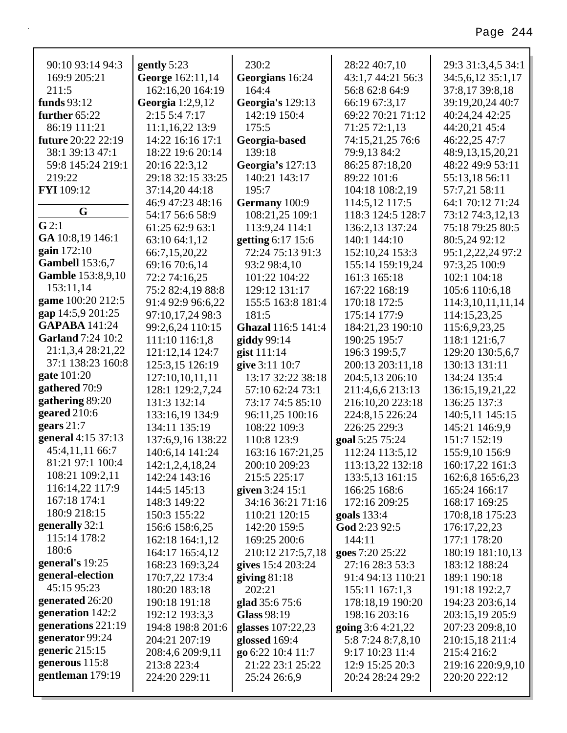| 90:10 93:14 94:3            | gently $5:23$                      | 230:2                             | 28:22 40:7,10                  | 29:3 31:3,4,5 34:1              |
|-----------------------------|------------------------------------|-----------------------------------|--------------------------------|---------------------------------|
| 169:9 205:21                | George 162:11,14                   | Georgians 16:24                   | 43:1,7 44:21 56:3              | 34:5,6,12 35:1,17               |
| 211:5                       | 162:16,20 164:19                   | 164:4                             | 56:8 62:8 64:9                 | 37:8,17 39:8,18                 |
| funds 93:12                 | <b>Georgia</b> 1:2,9,12            | <b>Georgia's 129:13</b>           | 66:19 67:3,17                  | 39:19,20,24 40:7                |
| further $65:22$             | 2:15 5:4 7:17                      | 142:19 150:4                      | 69:22 70:21 71:12              | 40:24,24 42:25                  |
| 86:19 111:21                | 11:1,16,22 13:9                    | 175:5                             | 71:25 72:1,13                  | 44:20,21 45:4                   |
| <b>future</b> 20:22 22:19   | 14:22 16:16 17:1                   | Georgia-based                     | 74:15,21,25 76:6               | 46:22,25 47:7                   |
| 38:1 39:13 47:1             | 18:22 19:6 20:14                   | 139:18                            | 79:9,13 84:2                   | 48:9,13,15,20,21                |
| 59:8 145:24 219:1<br>219:22 | 20:16 22:3,12<br>29:18 32:15 33:25 | Georgia's 127:13<br>140:21 143:17 | 86:25 87:18,20                 | 48:22 49:9 53:11                |
| <b>FYI</b> 109:12           | 37:14,20 44:18                     | 195:7                             | 89:22 101:6<br>104:18 108:2,19 | 55:13,18 56:11<br>57:7,21 58:11 |
|                             | 46:9 47:23 48:16                   | Germany 100:9                     | 114:5,12 117:5                 | 64:1 70:12 71:24                |
| G                           | 54:17 56:6 58:9                    | 108:21,25 109:1                   | 118:3 124:5 128:7              | 73:12 74:3,12,13                |
| G2:1                        | 61:25 62:9 63:1                    | 113:9,24 114:1                    | 136:2,13 137:24                | 75:18 79:25 80:5                |
| GA 10:8,19 146:1            | 63:10 64:1,12                      | getting 6:17 15:6                 | 140:1 144:10                   | 80:5,24 92:12                   |
| gain 172:10                 | 66:7,15,20,22                      | 72:24 75:13 91:3                  | 152:10,24 153:3                | 95:1,2,22,24 97:2               |
| <b>Gambell</b> 153:6,7      | 69:16 70:6,14                      | 93:2 98:4,10                      | 155:14 159:19,24               | 97:3,25 100:9                   |
| <b>Gamble</b> 153:8,9,10    | 72:2 74:16,25                      | 101:22 104:22                     | 161:3 165:18                   | 102:1 104:18                    |
| 153:11,14                   | 75:2 82:4,19 88:8                  | 129:12 131:17                     | 167:22 168:19                  | 105:6 110:6,18                  |
| game 100:20 212:5           | 91:4 92:9 96:6,22                  | 155:5 163:8 181:4                 | 170:18 172:5                   | 114:3,10,11,11,14               |
| gap 14:5,9 201:25           | 97:10,17,24 98:3                   | 181:5                             | 175:14 177:9                   | 114:15,23,25                    |
| <b>GAPABA</b> 141:24        | 99:2,6,24 110:15                   | Ghazal 116:5 141:4                | 184:21,23 190:10               | 115:6,9,23,25                   |
| <b>Garland</b> 7:24 10:2    | 111:10 116:1,8                     | giddy 99:14                       | 190:25 195:7                   | 118:1 121:6,7                   |
| 21:1,3,4 28:21,22           | 121:12,14 124:7                    | gist $111:14$                     | 196:3 199:5,7                  | 129:20 130:5,6,7                |
| 37:1 138:23 160:8           | 125:3,15 126:19                    | give 3:11 10:7                    | 200:13 203:11,18               | 130:13 131:11                   |
| gate 101:20                 | 127:10,10,11,11                    | 13:17 32:22 38:18                 | 204:5,13 206:10                | 134:24 135:4                    |
| gathered 70:9               | 128:1 129:2,7,24                   | 57:10 62:24 73:1                  | 211:4,6,6 213:13               | 136:15,19,21,22                 |
| gathering 89:20             | 131:3 132:14                       | 73:17 74:5 85:10                  | 216:10,20 223:18               | 136:25 137:3                    |
| geared 210:6                | 133:16,19 134:9                    | 96:11,25 100:16                   | 224:8,15 226:24                | 140:5,11 145:15                 |
| gears $21:7$                | 134:11 135:19                      | 108:22 109:3                      | 226:25 229:3                   | 145:21 146:9,9                  |
| general 4:15 37:13          | 137:6,9,16 138:22                  | 110:8 123:9                       | goal 5:25 75:24                | 151:7 152:19                    |
| 45:4,11,11 66:7             | 140:6,14 141:24                    | 163:16 167:21,25                  | 112:24 113:5,12                | 155:9,10 156:9                  |
| 81:21 97:1 100:4            | 142:1,2,4,18,24                    | 200:10 209:23                     | 113:13,22 132:18               | 160:17,22 161:3                 |
| 108:21 109:2,11             | 142:24 143:16                      | 215:5 225:17                      | 133:5,13 161:15                | 162:6,8 165:6,23                |
| 116:14,22 117:9             | 144:5 145:13                       | given 3:24 15:1                   | 166:25 168:6                   | 165:24 166:17                   |
| 167:18 174:1                | 148:3 149:22                       | 34:16 36:21 71:16                 | 172:16 209:25                  | 168:17 169:25                   |
| 180:9 218:15                | 150:3 155:22                       | 110:21 120:15                     | <b>goals</b> 133:4             | 170:8,18 175:23                 |
| generally 32:1              | 156:6 158:6,25                     | 142:20 159:5                      | God 2:23 92:5                  | 176:17,22,23                    |
| 115:14 178:2                | 162:18 164:1,12                    | 169:25 200:6                      | 144:11                         | 177:1 178:20                    |
| 180:6                       | 164:17 165:4,12                    | 210:12 217:5,7,18                 | goes 7:20 25:22                | 180:19 181:10,13                |
| general's 19:25             | 168:23 169:3,24                    | gives 15:4 203:24                 | 27:16 28:3 53:3                | 183:12 188:24                   |
| general-election            | 170:7,22 173:4                     | giving $81:18$                    | 91:4 94:13 110:21              | 189:1 190:18                    |
| 45:15 95:23                 | 180:20 183:18                      | 202:21                            | 155:11 167:1,3                 | 191:18 192:2,7                  |
| generated 26:20             | 190:18 191:18                      | glad 35:6 75:6                    | 178:18,19 190:20               | 194:23 203:6,14                 |
| generation 142:2            | 192:12 193:3,3                     | Glass 98:19                       | 198:16 203:16                  | 203:15,19 205:9                 |
| generations 221:19          | 194:8 198:8 201:6                  | glasses 107:22,23                 | going $3:64:21,22$             | 207:23 209:8,10                 |
| generator 99:24             | 204:21 207:19                      | glossed 169:4                     | 5:8 7:24 8:7,8,10              | 210:15,18 211:4                 |
| generic 215:15              | 208:4,6 209:9,11                   | go 6:22 10:4 11:7                 | 9:17 10:23 11:4                | 215:4 216:2                     |
| generous 115:8              | 213:8 223:4                        | 21:22 23:1 25:22                  | 12:9 15:25 20:3                | 219:16 220:9,9,10               |
| gentleman 179:19            | 224:20 229:11                      | 25:24 26:6,9                      | 20:24 28:24 29:2               | 220:20 222:12                   |
|                             |                                    |                                   |                                |                                 |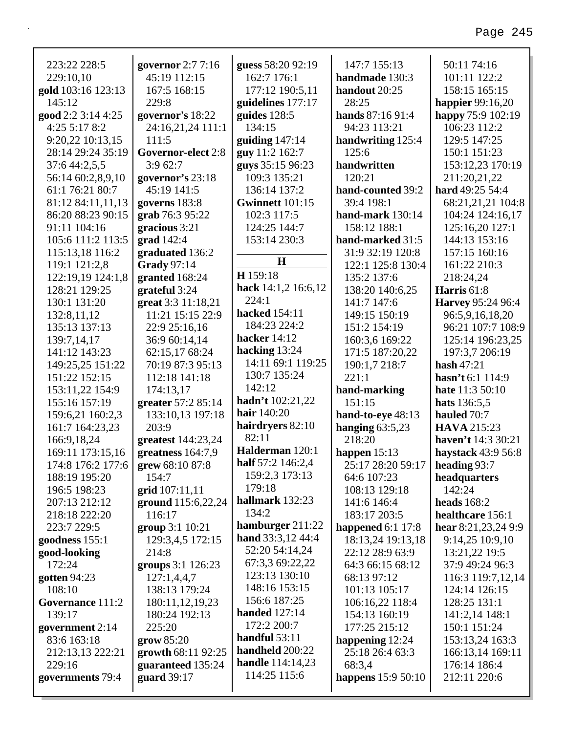| 223:22 228:5                       | governor 2:7 7:16                 | guess 58:20 92:19                | 147:7 155:13                   | 50:11 74:16                          |
|------------------------------------|-----------------------------------|----------------------------------|--------------------------------|--------------------------------------|
| 229:10,10                          | 45:19 112:15                      | 162:7 176:1                      | handmade 130:3                 | 101:11 122:2                         |
| gold 103:16 123:13                 | 167:5 168:15                      | 177:12 190:5,11                  | handout 20:25                  | 158:15 165:15                        |
| 145:12                             | 229:8                             | guidelines 177:17                | 28:25                          | <b>happier</b> 99:16,20              |
| good 2:2 3:14 4:25                 | governor's 18:22                  | guides 128:5                     | hands 87:16 91:4               | happy 75:9 102:19                    |
| 4:25 5:17 8:2                      | 24:16,21,24 111:1                 | 134:15                           | 94:23 113:21                   | 106:23 112:2                         |
| 9:20,22 10:13,15                   | 111:5                             | guiding $147:14$                 | handwriting 125:4              | 129:5 147:25                         |
| 28:14 29:24 35:19                  | Governor-elect 2:8                | guy 11:2 162:7                   | 125:6                          | 150:1 151:23                         |
| 37:6 44:2,5,5                      | 3:962:7                           | guys 35:15 96:23<br>109:3 135:21 | handwritten<br>120:21          | 153:12,23 170:19                     |
| 56:14 60:2,8,9,10                  | governor's 23:18                  |                                  |                                | 211:20,21,22                         |
| 61:1 76:21 80:7                    | 45:19 141:5                       | 136:14 137:2                     | hand-counted 39:2              | hard 49:25 54:4                      |
| 81:12 84:11,11,13                  | governs 183:8                     | Gwinnett 101:15                  | 39:4 198:1                     | 68:21,21,21 104:8                    |
| 86:20 88:23 90:15                  | grab 76:3 95:22                   | 102:3 117:5                      | hand-mark $130:14$             | 104:24 124:16,17                     |
| 91:11 104:16                       | gracious 3:21                     | 124:25 144:7                     | 158:12 188:1                   | 125:16,20 127:1                      |
| 105:6 111:2 113:5                  | grad 142:4                        | 153:14 230:3                     | hand-marked 31:5               | 144:13 153:16                        |
| 115:13,18 116:2                    | graduated 136:2                   | H                                | 31:9 32:19 120:8               | 157:15 160:16                        |
| 119:1 121:2,8                      | Grady 97:14                       | H 159:18                         | 122:1 125:8 130:4              | 161:22 210:3                         |
| 122:19,19 124:1,8<br>128:21 129:25 | granted 168:24<br>grateful 3:24   | hack 14:1,2 16:6,12              | 135:2 137:6                    | 218:24,24<br>Harris 61:8             |
| 130:1 131:20                       | great 3:3 11:18,21                | 224:1                            | 138:20 140:6,25<br>141:7 147:6 | Harvey 95:24 96:4                    |
|                                    | 11:21 15:15 22:9                  | <b>hacked</b> 154:11             | 149:15 150:19                  |                                      |
| 132:8,11,12<br>135:13 137:13       |                                   | 184:23 224:2                     | 151:2 154:19                   | 96:5,9,16,18,20<br>96:21 107:7 108:9 |
|                                    | 22:9 25:16,16                     | hacker 14:12                     |                                |                                      |
| 139:7,14,17<br>141:12 143:23       | 36:9 60:14,14                     | hacking 13:24                    | 160:3,6 169:22                 | 125:14 196:23,25                     |
|                                    | 62:15,17 68:24                    | 14:11 69:1 119:25                | 171:5 187:20,22                | 197:3,7 206:19<br>hash $47:21$       |
| 149:25,25 151:22<br>151:22 152:15  | 70:19 87:3 95:13<br>112:18 141:18 | 130:7 135:24                     | 190:1,7 218:7<br>221:1         | hasn't 6:1 114:9                     |
| 153:11,22 154:9                    | 174:13,17                         | 142:12                           |                                | hate 11:3 50:10                      |
| 155:16 157:19                      | greater 57:2 85:14                | hadn't 102:21,22                 | hand-marking<br>151:15         | hats 136:5,5                         |
| 159:6,21 160:2,3                   | 133:10,13 197:18                  | hair 140:20                      | hand-to-eye 48:13              | hauled 70:7                          |
| 161:7 164:23,23                    | 203:9                             | hairdryers 82:10                 | hanging $63:5,23$              | <b>HAVA</b> 215:23                   |
| 166:9,18,24                        | greatest 144:23,24                | 82:11                            | 218:20                         | haven't 14:3 30:21                   |
| 169:11 173:15,16                   | greatness $164:7,9$               | Halderman 120:1                  | happen $15:13$                 | haystack 43:9 56:8                   |
| 174:8 176:2 177:6                  | grew 68:10 87:8                   | half 57:2 146:2,4                | 25:17 28:20 59:17              | heading 93:7                         |
| 188:19 195:20                      | 154:7                             | 159:2,3 173:13                   | 64:6 107:23                    | headquarters                         |
| 196:5 198:23                       | grid 107:11,11                    | 179:18                           | 108:13 129:18                  | 142:24                               |
| 207:13 212:12                      | ground 115:6,22,24                | hallmark 132:23                  | 141:6 146:4                    | <b>heads</b> 168:2                   |
| 218:18 222:20                      | 116:17                            | 134:2                            | 183:17 203:5                   | healthcare 156:1                     |
| 223:7 229:5                        | group 3:1 10:21                   | hamburger 211:22                 | happened $6:1$ 17:8            | hear $8:21,23,249:9$                 |
| goodness 155:1                     | 129:3,4,5 172:15                  | hand 33:3,12 44:4                | 18:13,24 19:13,18              | 9:14,25 10:9,10                      |
| good-looking                       | 214:8                             | 52:20 54:14,24                   | 22:12 28:9 63:9                | 13:21,22 19:5                        |
| 172:24                             | groups 3:1 126:23                 | 67:3,3 69:22,22                  | 64:3 66:15 68:12               | 37:9 49:24 96:3                      |
| gotten 94:23                       | 127:1,4,4,7                       | 123:13 130:10                    | 68:13 97:12                    | 116:3 119:7,12,14                    |
| 108:10                             | 138:13 179:24                     | 148:16 153:15                    | 101:13 105:17                  | 124:14 126:15                        |
| Governance 111:2                   | 180:11,12,19,23                   | 156:6 187:25                     | 106:16,22 118:4                | 128:25 131:1                         |
| 139:17                             | 180:24 192:13                     | <b>handed</b> 127:14             | 154:13 160:19                  | 141:2,14 148:1                       |
| government 2:14                    | 225:20                            | 172:2 200:7                      | 177:25 215:12                  | 150:1 151:24                         |
| 83:6 163:18                        | grow 85:20                        | handful 53:11                    | happening 12:24                | 153:13,24 163:3                      |
| 212:13,13 222:21                   | growth 68:11 92:25                | handheld 200:22                  | 25:18 26:4 63:3                | 166:13,14 169:11                     |
| 229:16                             | guaranteed 135:24                 | <b>handle</b> 114:14,23          | 68:3,4                         | 176:14 186:4                         |
| governments 79:4                   | guard 39:17                       | 114:25 115:6                     | happens 15:9 50:10             | 212:11 220:6                         |
|                                    |                                   |                                  |                                |                                      |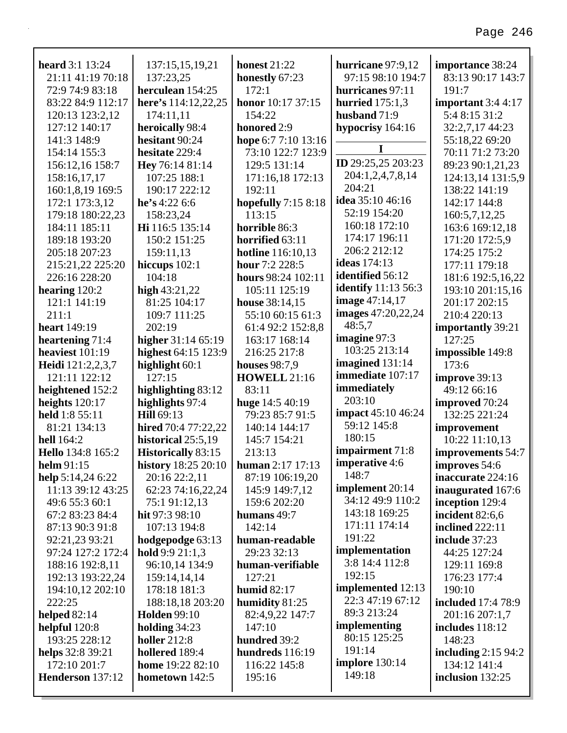| <b>heard</b> 3:1 13:24 | 137:15,15,19,21                           | <b>honest</b> 21:22      | hurricane 97:9,12          | importance 38:24          |
|------------------------|-------------------------------------------|--------------------------|----------------------------|---------------------------|
| 21:11 41:19 70:18      | 137:23,25                                 | honestly 67:23           | 97:15 98:10 194:7          | 83:13 90:17 143:7         |
| 72:9 74:9 83:18        | herculean 154:25                          | 172:1                    | hurricanes 97:11           | 191:7                     |
| 83:22 84:9 112:17      | here's 114:12,22,25                       | honor 10:17 37:15        | hurried $175:1,3$          | important 3:4 4:17        |
| 120:13 123:2,12        | 174:11,11                                 | 154:22                   | husband 71:9               | 5:4 8:15 31:2             |
| 127:12 140:17          | heroically 98:4                           | honored 2:9              | hypocrisy 164:16           | 32:2,7,17 44:23           |
| 141:3 148:9            | hesitant 90:24                            | hope 6:7 7:10 13:16      | I                          | 55:18,22 69:20            |
| 154:14 155:3           | hesitate 229:4                            | 73:10 122:7 123:9        |                            | 70:11 71:2 73:20          |
| 156:12,16 158:7        | Hey 76:14 81:14                           | 129:5 131:14             | ID 29:25,25 203:23         | 89:23 90:1,21,23          |
| 158:16,17,17           | 107:25 188:1                              | 171:16,18 172:13         | 204:1,2,4,7,8,14           | 124:13,14 131:5,9         |
| 160:1,8,19 169:5       | 190:17 222:12                             | 192:11                   | 204:21                     | 138:22 141:19             |
| 172:1 173:3,12         | he's 4:22 6:6                             | hopefully $7:158:18$     | idea 35:10 46:16           | 142:17 144:8              |
| 179:18 180:22,23       | 158:23,24                                 | 113:15                   | 52:19 154:20               | 160:5,7,12,25             |
| 184:11 185:11          | Hi 116:5 135:14                           | horrible 86:3            | 160:18 172:10              | 163:6 169:12,18           |
| 189:18 193:20          | 150:2 151:25                              | horrified 63:11          | 174:17 196:11              | 171:20 172:5,9            |
| 205:18 207:23          | 159:11,13                                 | <b>hotline</b> 116:10,13 | 206:2 212:12               | 174:25 175:2              |
| 215:21,22 225:20       | hiccups $102:1$                           | hour 7:2 228:5           | <b>ideas</b> 174:13        | 177:11 179:18             |
| 226:16 228:20          | 104:18                                    | hours 98:24 102:11       | identified 56:12           | 181:6 192:5,16,22         |
| hearing $120:2$        | high $43:21,22$                           | 105:11 125:19            | <b>identify</b> 11:13 56:3 | 193:10 201:15,16          |
| 121:1 141:19           | 81:25 104:17                              | house 38:14,15           | <b>image</b> 47:14,17      | 201:17 202:15             |
| 211:1                  | 109:7 111:25                              | 55:10 60:15 61:3         | images 47:20,22,24         | 210:4 220:13              |
| <b>heart</b> 149:19    | 202:19                                    | 61:4 92:2 152:8,8        | 48:5,7                     | importantly 39:21         |
| heartening 71:4        | higher 31:14 65:19                        | 163:17 168:14            | imagine 97:3               | 127:25                    |
| heaviest 101:19        | highest 64:15 123:9                       | 216:25 217:8             | 103:25 213:14              | impossible 149:8          |
| Heidi 121:2,2,3,7      | highlight 60:1                            | <b>houses</b> 98:7,9     | imagined $131:14$          | 173:6                     |
| 121:11 122:12          | 127:15                                    | <b>HOWELL 21:16</b>      | immediate 107:17           |                           |
|                        |                                           |                          |                            | improve 39:13             |
| heightened 152:2       | highlighting 83:12                        | 83:11                    | immediately                | 49:12 66:16               |
| heights $120:17$       | highlights 97:4                           | huge 14:5 40:19          | 203:10                     | improved 70:24            |
| held 1:8 55:11         | <b>Hill 69:13</b>                         | 79:23 85:7 91:5          | <b>impact</b> 45:10 46:24  | 132:25 221:24             |
| 81:21 134:13           | hired 70:4 77:22,22                       | 140:14 144:17            | 59:12 145:8                | improvement               |
| hell 164:2             | historical $25:5,19$                      | 145:7 154:21             | 180:15                     | 10:22 11:10,13            |
| Hello 134:8 165:2      | <b>Historically 83:15</b>                 | 213:13                   | impairment 71:8            | improvements 54:7         |
| helm $91:15$           | history $18:25\ 20:10$   human 2:17 17:13 |                          | <b>imperative</b> 4:6      | <b>improves</b> 54:6      |
| help $5:14,246:22$     | 20:16 22:2,11                             | 87:19 106:19,20          | 148:7                      | inaccurate 224:16         |
| 11:13 39:12 43:25      | 62:23 74:16,22,24                         | 145:9 149:7,12           | implement 20:14            | inaugurated 167:6         |
| 49:6 55:3 60:1         | 75:191:12,13                              | 159:6 202:20             | 34:12 49:9 110:2           | inception 129:4           |
| 67:2 83:23 84:4        | hit $97:398:10$                           | humans $49:7$            | 143:18 169:25              | incident 82:6,6           |
| 87:13 90:3 91:8        | 107:13 194:8                              | 142:14                   | 171:11 174:14              | <b>inclined</b> 222:11    |
| 92:21,23 93:21         | hodgepodge 63:13                          | human-readable           | 191:22                     | include $37:23$           |
| 97:24 127:2 172:4      | hold 9:9 21:1,3                           | 29:23 32:13              | implementation             | 44:25 127:24              |
| 188:16 192:8,11        | 96:10,14 134:9                            | human-verifiable         | 3:8 14:4 112:8             | 129:11 169:8              |
| 192:13 193:22,24       | 159:14,14,14                              | 127:21                   | 192:15                     | 176:23 177:4              |
| 194:10,12 202:10       | 178:18 181:3                              | humid $82:17$            | implemented 12:13          | 190:10                    |
| 222:25                 | 188:18,18 203:20                          | humidity 81:25           | 22:3 47:19 67:12           | <b>included</b> 17:4 78:9 |
| helped $82:14$         | <b>Holden</b> 99:10                       | 82:4,9,22 147:7          | 89:3 213:24                | 201:16 207:1,7            |
| helpful $120:8$        | holding $34:23$                           | 147:10                   | implementing               | includes $118:12$         |
| 193:25 228:12          | <b>holler</b> 212:8                       | hundred 39:2             | 80:15 125:25               | 148:23                    |
| helps 32:8 39:21       | hollered 189:4                            | hundreds 116:19          | 191:14                     | including $2:15\,94:2$    |
| 172:10 201:7           | home 19:22 82:10                          | 116:22 145:8             | <b>implore</b> 130:14      | 134:12 141:4              |
| Henderson 137:12       | hometown 142:5                            | 195:16                   | 149:18                     | inclusion 132:25          |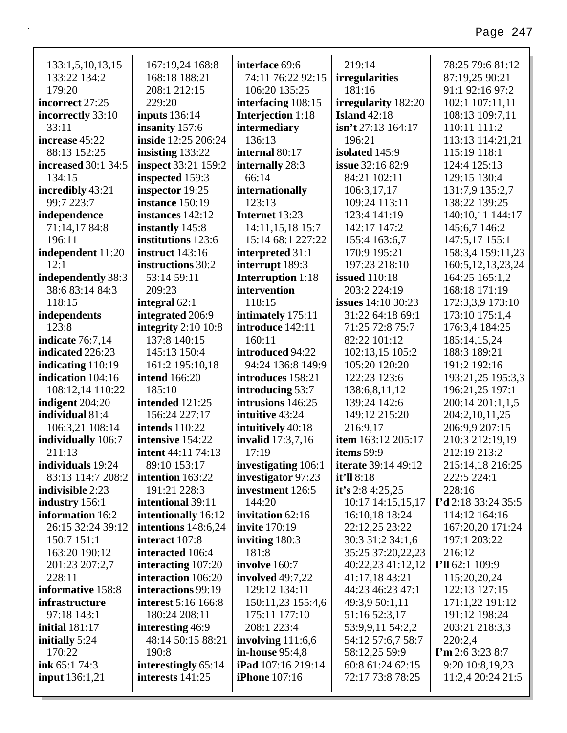| 133:1,5,10,13,15           | 167:19,24 168:8            | interface 69:6            | 219:14                     | 78:25 79:6 81:12        |
|----------------------------|----------------------------|---------------------------|----------------------------|-------------------------|
| 133:22 134:2               | 168:18 188:21              | 74:11 76:22 92:15         | <i>irregularities</i>      | 87:19,25 90:21          |
| 179:20                     | 208:1 212:15               | 106:20 135:25             | 181:16                     | 91:1 92:16 97:2         |
| incorrect 27:25            | 229:20                     | interfacing 108:15        | irregularity 182:20        | 102:1 107:11,11         |
| incorrectly 33:10          | <b>inputs</b> 136:14       | Interjection 1:18         | Island $42:18$             | 108:13 109:7,11         |
| 33:11                      | insanity 157:6             | intermediary              | $\sin$ 't 27:13 164:17     | 110:11 111:2            |
| increase 45:22             | inside 12:25 206:24        | 136:13                    | 196:21                     | 113:13 114:21,21        |
| 88:13 152:25               | insisting $133:22$         | internal 80:17            | isolated 145:9             | 115:19 118:1            |
| <b>increased</b> 30:1 34:5 | <b>inspect</b> 33:21 159:2 | internally 28:3           | <b>issue</b> 32:16 82:9    | 124:4 125:13            |
| 134:15                     | inspected 159:3            | 66:14                     | 84:21 102:11               | 129:15 130:4            |
| incredibly 43:21           | inspector 19:25            | internationally           | 106:3,17,17                | 131:7,9 135:2,7         |
| 99:7 223:7                 | instance 150:19            | 123:13                    | 109:24 113:11              | 138:22 139:25           |
| independence               | instances 142:12           | Internet 13:23            | 123:4 141:19               | 140:10,11 144:17        |
| 71:14,17 84:8              | instantly 145:8            | 14:11,15,18 15:7          | 142:17 147:2               | 145:6,7 146:2           |
| 196:11                     | institutions 123:6         | 15:14 68:1 227:22         | 155:4 163:6,7              | 147:5,17 155:1          |
| independent 11:20          | <b>instruct</b> 143:16     | interpreted 31:1          | 170:9 195:21               | 158:3,4 159:11,23       |
| 12:1                       | instructions 30:2          | interrupt 189:3           | 197:23 218:10              | 160:5, 12, 13, 23, 24   |
| independently 38:3         | 53:14 59:11                | <b>Interruption</b> 1:18  | <b>issued</b> 110:18       | 164:25 165:1,2          |
| 38:6 83:14 84:3            | 209:23                     | intervention              | 203:2 224:19               | 168:18 171:19           |
| 118:15                     | integral $62:1$            | 118:15                    | <b>issues</b> 14:10 30:23  | 172:3,3,9 173:10        |
| independents               | integrated 206:9           | intimately 175:11         | 31:22 64:18 69:1           | 173:10 175:1,4          |
| 123:8                      | integrity $2:10$ 10:8      | introduce 142:11          | 71:25 72:8 75:7            | 176:3,4 184:25          |
| indicate $76:7,14$         | 137:8 140:15               | 160:11                    | 82:22 101:12               | 185:14,15,24            |
| indicated 226:23           | 145:13 150:4               | introduced 94:22          | 102:13,15 105:2            | 188:3 189:21            |
| indicating $110:19$        | 161:2 195:10,18            | 94:24 136:8 149:9         | 105:20 120:20              | 191:2 192:16            |
| indication 104:16          | <b>intend</b> 166:20       | introduces 158:21         | 122:23 123:6               | 193:21,25 195:3,3       |
| 108:12,14 110:22           | 185:10                     | introducing 53:7          | 138:6,8,11,12              | 196:21,25 197:1         |
| indigent 204:20            | intended 121:25            | intrusions 146:25         | 139:24 142:6               | 200:14 201:1,1,5        |
| individual 81:4            | 156:24 227:17              | intuitive 43:24           | 149:12 215:20              | 204:2,10,11,25          |
| 106:3,21 108:14            | <b>intends</b> 110:22      | intuitively 40:18         | 216:9,17                   | 206:9,9 207:15          |
| individually 106:7         | intensive 154:22           | <b>invalid</b> 17:3,7,16  | item 163:12 205:17         | 210:3 212:19,19         |
| 211:13                     | <b>intent</b> 44:11 74:13  | 17:19                     | items $59:9$               | 212:19 213:2            |
| individuals 19:24          | 89:10 153:17               | investigating 106:1       | <b>iterate</b> 39:14 49:12 | 215:14,18 216:25        |
| 83:13 114:7 208:2          | intention 163:22           | investigator 97:23        | it'll 8:18                 | 222:5 224:1             |
| indivisible 2:23           | 191:21 228:3               | investment 126:5          | it's 2:8 4:25,25           | 228:16                  |
| industry 156:1             | intentional 39:11          | 144:20                    | 10:17 14:15,15,17          | I'd 2:18 33:24 35:5     |
| information 16:2           | intentionally 16:12        | invitation 62:16          | 16:10,18 18:24             | 114:12 164:16           |
| 26:15 32:24 39:12          | intentions $148:6,24$      | <b>invite</b> 170:19      | 22:12,25 23:22             | 167:20,20 171:24        |
| 150:7 151:1                | interact 107:8             | inviting $180:3$          | 30:3 31:2 34:1,6           | 197:1 203:22            |
| 163:20 190:12              | interacted 106:4           | 181:8                     | 35:25 37:20,22,23          | 216:12                  |
| 201:23 207:2,7             | interacting 107:20         | involve 160:7             | 40:22,23 41:12,12          | I'll 62:1 109:9         |
| 228:11                     | interaction 106:20         | involved $49:7,22$        | 41:17,18 43:21             | 115:20,20,24            |
| informative 158:8          | interactions 99:19         | 129:12 134:11             | 44:23 46:23 47:1           | 122:13 127:15           |
| infrastructure             | <b>interest</b> 5:16 166:8 | 150:11,23 155:4,6         | 49:3,9 50:1,11             | 171:1,22 191:12         |
| 97:18 143:1                | 180:24 208:11              | 175:11 177:10             | 51:16 52:3,17              | 191:12 198:24           |
| <b>initial</b> 181:17      | interesting 46:9           | 208:1 223:4               | 53:9,9,11 54:2,2           | 203:21 218:3,3          |
| initially 5:24             | 48:14 50:15 88:21          | involving $111:6,6$       | 54:12 57:6,7 58:7          | 220:2,4                 |
| 170:22                     | 190:8                      | in-house 95:4,8           | 58:12,25 59:9              | $\Gamma$ m 2:6 3:23 8:7 |
| ink 65:1 74:3              | interestingly 65:14        | <b>iPad</b> 107:16 219:14 | 60:8 61:24 62:15           | 9:20 10:8,19,23         |
| <b>input</b> 136:1,21      | interests 141:25           | <b>iPhone</b> 107:16      | 72:17 73:8 78:25           | 11:2,4 20:24 21:5       |
|                            |                            |                           |                            |                         |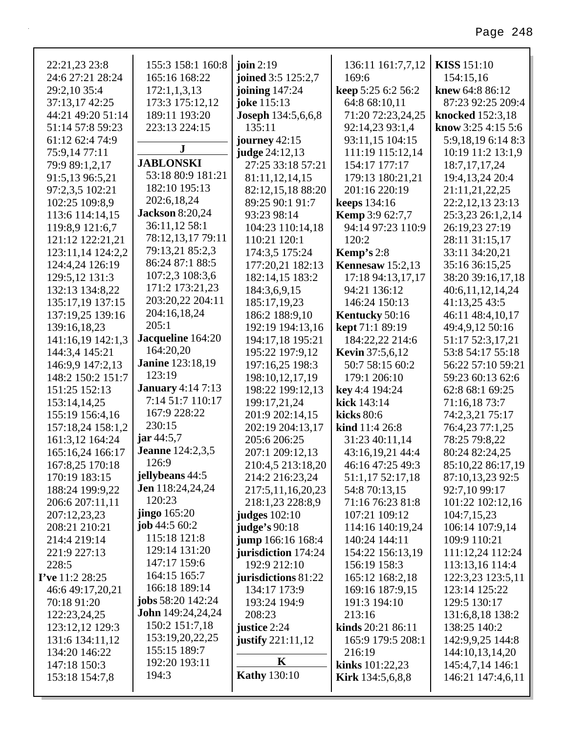| 22:21,23 23:8                     | 155:3 158:1 160:8            | join $2:19$                         | 136:11 161:7,7,12                       | <b>KISS 151:10</b>                  |
|-----------------------------------|------------------------------|-------------------------------------|-----------------------------------------|-------------------------------------|
| 24:6 27:21 28:24                  | 165:16 168:22                | joined 3:5 125:2,7                  | 169:6                                   | 154:15,16                           |
| 29:2,10 35:4                      | 172:1,1,3,13                 | joining 147:24                      | keep 5:25 6:2 56:2                      | knew 64:8 86:12                     |
| 37:13,17 42:25                    | 173:3 175:12,12              | joke 115:13                         | 64:8 68:10,11                           | 87:23 92:25 209:4                   |
| 44:21 49:20 51:14                 | 189:11 193:20                | <b>Joseph 134:5,6,6,8</b>           | 71:20 72:23,24,25                       | knocked 152:3,18                    |
| 51:14 57:8 59:23                  | 223:13 224:15                | 135:11                              | 92:14,23 93:1,4                         | know 3:25 4:15 5:6                  |
| 61:12 62:4 74:9                   | ${\bf J}$                    | journey 42:15                       | 93:11,15 104:15                         | 5:9,18,19 6:14 8:3                  |
| 75:9,14 77:11                     | <b>JABLONSKI</b>             | judge 24:12,13                      | 111:19 115:12,14                        | 10:19 11:2 13:1,9                   |
| 79:9 89:1,2,17                    | 53:18 80:9 181:21            | 27:25 33:18 57:21                   | 154:17 177:17                           | 18:7, 17, 17, 24                    |
| 91:5,13 96:5,21                   | 182:10 195:13                | 81:11,12,14,15                      | 179:13 180:21,21                        | 19:4, 13, 24 20:4                   |
| 97:2,3,5 102:21                   | 202:6,18,24                  | 82:12,15,18 88:20                   | 201:16 220:19                           | 21:11,21,22,25                      |
| 102:25 109:8,9                    | <b>Jackson</b> 8:20,24       | 89:25 90:1 91:7                     | <b>keeps</b> 134:16                     | 22:2,12,13 23:13                    |
| 113:6 114:14,15                   | 36:11,12 58:1                | 93:23 98:14                         | <b>Kemp</b> 3:9 62:7,7                  | 25:3,23 26:1,2,14                   |
| 119:8,9 121:6,7                   | 78:12,13,17 79:11            | 104:23 110:14,18<br>110:21 120:1    | 94:14 97:23 110:9<br>120:2              | 26:19,23 27:19                      |
| 121:12 122:21,21                  | 79:13,21 85:2,3              |                                     |                                         | 28:11 31:15,17                      |
| 123:11,14 124:2,2                 | 86:24 87:1 88:5              | 174:3,5 175:24                      | <b>Kemp's</b> $2:8$                     | 33:11 34:20,21                      |
| 124:4,24 126:19<br>129:5,12 131:3 | 107:2,3 108:3,6              | 177:20,21 182:13<br>182:14,15 183:2 | Kennesaw $15:2,13$<br>17:18 94:13,17,17 | 35:16 36:15,25<br>38:20 39:16,17,18 |
| 132:13 134:8,22                   | 171:2 173:21,23              | 184:3,6,9,15                        | 94:21 136:12                            |                                     |
| 135:17,19 137:15                  | 203:20,22 204:11             | 185:17,19,23                        | 146:24 150:13                           | 40:6,11,12,14,24<br>41:13,25 43:5   |
| 137:19,25 139:16                  | 204:16,18,24                 | 186:2 188:9,10                      | Kentucky 50:16                          | 46:11 48:4,10,17                    |
| 139:16,18,23                      | 205:1                        | 192:19 194:13,16                    | <b>kept</b> 71:1 89:19                  | 49:4,9,12 50:16                     |
| 141:16,19 142:1,3                 | Jacqueline 164:20            | 194:17,18 195:21                    | 184:22,22 214:6                         | 51:17 52:3,17,21                    |
| 144:3,4 145:21                    | 164:20,20                    | 195:22 197:9,12                     | <b>Kevin</b> 37:5,6,12                  | 53:8 54:17 55:18                    |
| 146:9,9 147:2,13                  | <b>Janine</b> 123:18,19      | 197:16,25 198:3                     | 50:7 58:15 60:2                         | 56:22 57:10 59:21                   |
| 148:2 150:2 151:7                 | 123:19                       | 198:10,12,17,19                     | 179:1 206:10                            | 59:23 60:13 62:6                    |
| 151:25 152:13                     | <b>January</b> 4:14 7:13     | 198:22 199:12,13                    | key 4:4 194:24                          | 62:8 68:1 69:25                     |
| 153:14,14,25                      | 7:14 51:7 110:17             | 199:17,21,24                        | kick 143:14                             | 71:16,18 73:7                       |
| 155:19 156:4,16                   | 167:9 228:22                 | 201:9 202:14,15                     | kicks $80:6$                            | 74:2,3,21 75:17                     |
| 157:18,24 158:1,2                 | 230:15                       | 202:19 204:13,17                    | kind 11:4 26:8                          | 76:4,23 77:1,25                     |
| 161:3,12 164:24                   | $\ar{44:5,7}$                | 205:6 206:25                        | 31:23 40:11,14                          | 78:25 79:8,22                       |
| 165:16,24 166:17                  | <b>Jeanne</b> 124:2,3,5      | 207:1 209:12,13                     | 43:16,19,21 44:4                        | 80:24 82:24,25                      |
| 167:8,25 170:18                   | 126:9                        | 210:4,5 213:18,20                   | 46:16 47:25 49:3                        | 85:10,22 86:17,19                   |
| 170:19 183:15                     | jellybeans 44:5              | 214:2 216:23,24                     | 51:1,17 52:17,18                        | 87:10,13,23 92:5                    |
| 188:24 199:9,22                   | <b>Jen</b> 118:24,24,24      | 217:5,11,16,20,23                   | 54:8 70:13,15                           | 92:7,10 99:17                       |
| 206:6 207:11,11                   | 120:23                       | 218:1,23 228:8,9                    | 71:16 76:23 81:8                        | 101:22 102:12,16                    |
| 207:12,23,23                      | <b>jingo</b> 165:20          | <b>judges</b> 102:10                | 107:21 109:12                           | 104:7,15,23                         |
| 208:21 210:21                     | job $44:560:2$               | judge's 90:18                       | 114:16 140:19,24                        | 106:14 107:9,14                     |
| 214:4 219:14                      | 115:18 121:8                 | jump 166:16 168:4                   | 140:24 144:11                           | 109:9 110:21                        |
| 221:9 227:13                      | 129:14 131:20                | jurisdiction 174:24                 | 154:22 156:13,19                        | 111:12,24 112:24                    |
| 228:5                             | 147:17 159:6                 | 192:9 212:10                        | 156:19 158:3                            | 113:13,16 114:4                     |
| I've 11:2 28:25                   | 164:15 165:7                 | jurisdictions 81:22                 | 165:12 168:2,18                         | 122:3,23 123:5,11                   |
| 46:6 49:17,20,21                  | 166:18 189:14                | 134:17 173:9                        | 169:16 187:9,15                         | 123:14 125:22                       |
| 70:18 91:20                       | <b>jobs</b> $58:20$ $142:24$ | 193:24 194:9                        | 191:3 194:10                            | 129:5 130:17                        |
| 122:23,24,25                      | <b>John</b> 149:24,24,24     | 208:23                              | 213:16                                  | 131:6,8,18 138:2                    |
| 123:12,12 129:3                   | 150:2 151:7,18               | justice 2:24                        | kinds 20:21 86:11                       | 138:25 140:2                        |
| 131:6 134:11,12                   | 153:19,20,22,25              | justify $221:11,12$                 | 165:9 179:5 208:1                       | 142:9,9,25 144:8                    |
| 134:20 146:22                     | 155:15 189:7                 |                                     | 216:19                                  | 144:10,13,14,20                     |
| 147:18 150:3                      | 192:20 193:11                | K                                   | <b>kinks</b> $101:22,23$                | 145:4,7,14 146:1                    |
| 153:18 154:7,8                    | 194:3                        | <b>Kathy</b> 130:10                 | <b>Kirk</b> 134:5,6,8,8                 | 146:21 147:4,6,11                   |
|                                   |                              |                                     |                                         |                                     |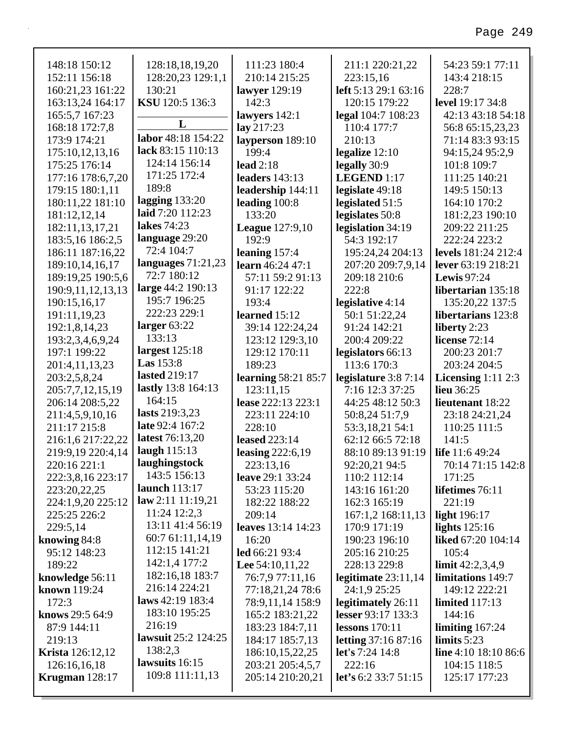| 148:18 150:12                  | 128:18,18,19,20                     | 111:23 180:4                         | 211:1 220:21,22                | 54:23 59:1 77:11              |
|--------------------------------|-------------------------------------|--------------------------------------|--------------------------------|-------------------------------|
| 152:11 156:18                  | 128:20,23 129:1,1                   | 210:14 215:25                        | 223:15,16                      | 143:4 218:15                  |
| 160:21,23 161:22               | 130:21                              | lawyer 129:19                        | left 5:13 29:1 63:16           | 228:7                         |
| 163:13,24 164:17               | KSU 120:5 136:3                     | 142:3                                | 120:15 179:22                  | level 19:17 34:8              |
| 165:5,7 167:23                 |                                     | lawyers 142:1                        | legal 104:7 108:23             | 42:13 43:18 54:18             |
| 168:18 172:7,8                 | L                                   | lay 217:23                           | 110:4 177:7                    | 56:8 65:15,23,23              |
| 173:9 174:21                   | labor 48:18 154:22                  | layperson 189:10                     | 210:13                         | 71:14 83:3 93:15              |
| 175:10,12,13,16                | lack 83:15 110:13                   | 199:4                                | legalize $12:10$               | 94:15,24 95:2,9               |
| 175:25 176:14                  | 124:14 156:14                       | lead $2:18$                          | legally 30:9                   | 101:8 109:7                   |
| 177:16 178:6,7,20              | 171:25 172:4                        | <b>leaders</b> 143:13                | LEGEND 1:17                    | 111:25 140:21                 |
| 179:15 180:1,11                | 189:8                               | leadership 144:11                    | legislate 49:18                | 149:5 150:13                  |
| 180:11,22 181:10               | lagging $133:20$                    | leading $100:8$                      | legislated 51:5                | 164:10 170:2                  |
| 181:12,12,14                   | laid 7:20 112:23                    | 133:20                               | legislates 50:8                | 181:2,23 190:10               |
| 182:11,13,17,21                | lakes 74:23                         | <b>League</b> 127:9,10               | legislation 34:19              | 209:22 211:25                 |
| 183:5,16 186:2,5               | language 29:20<br>72:4 104:7        | 192:9                                | 54:3 192:17                    | 222:24 223:2                  |
| 186:11 187:16,22               |                                     | leaning $157:4$                      | 195:24,24 204:13               | <b>levels</b> 181:24 212:4    |
| 189:10,14,16,17                | languages $71:21,23$<br>72:7 180:12 | learn 46:24 47:1                     | 207:20 209:7,9,14              | lever 63:19 218:21            |
| 189:19,25 190:5,6              |                                     | 57:11 59:2 91:13                     | 209:18 210:6                   | <b>Lewis</b> 97:24            |
| 190:9,11,12,13,13              | large 44:2 190:13<br>195:7 196:25   | 91:17 122:22                         | 222:8                          | libertarian 135:18            |
| 190:15,16,17                   | 222:23 229:1                        | 193:4                                | legislative 4:14               | 135:20,22 137:5               |
| 191:11,19,23                   | larger $63:22$                      | learned 15:12                        | 50:1 51:22,24                  | libertarians 123:8            |
| 192:1,8,14,23                  | 133:13                              | 39:14 122:24,24                      | 91:24 142:21                   | liberty 2:23                  |
| 193:2,3,4,6,9,24               | largest $125:18$                    | 123:12 129:3,10                      | 200:4 209:22                   | license $72:14$               |
| 197:1 199:22                   | Las $153:8$                         | 129:12 170:11                        | legislators 66:13              | 200:23 201:7                  |
| 201:4,11,13,23                 |                                     | 189:23                               | 113:6 170:3                    | 203:24 204:5                  |
|                                |                                     |                                      |                                |                               |
| 203:2,5,8,24                   | <b>lasted</b> 219:17                | <b>learning 58:21 85:7</b>           | legislature $3:87:14$          | Licensing $1:11$ 2:3          |
| 205:7,7,12,15,19               | lastly 13:8 164:13                  | 123:11,15                            | 7:16 12:3 37:25                | lieu 36:25                    |
| 206:14 208:5,22                | 164:15                              | lease 222:13 223:1                   | 44:25 48:12 50:3               | lieutenant 18:22              |
| 211:4,5,9,10,16                | lasts 219:3,23                      | 223:11 224:10                        | 50:8,24 51:7,9                 | 23:18 24:21,24                |
| 211:17 215:8                   | late 92:4 167:2                     | 228:10                               | 53:3,18,21 54:1                | 110:25 111:5                  |
| 216:1,6 217:22,22              | latest 76:13,20                     | <b>leased</b> 223:14                 | 62:12 66:5 72:18               | 141:5                         |
| 219:9,19 220:4,14              | laugh $115:13$                      | leasing $222:6,19$                   | 88:10 89:13 91:19              | life 11:6 49:24               |
| 220:16 221:1                   | laughingstock                       | 223:13,16                            | 92:20,21 94:5                  | 70:14 71:15 142:8             |
| 222:3,8,16 223:17              | 143:5 156:13                        | leave 29:1 33:24                     | 110:2 112:14                   | 171:25                        |
| 223:20,22,25                   | <b>launch</b> 113:17                | 53:23 115:20                         | 143:16 161:20                  | lifetimes 76:11               |
| 224:1,9,20 225:12              | law 2:11 11:19,21                   | 182:22 188:22                        | 162:3 165:19                   | 221:19                        |
| 225:25 226:2                   | 11:24 12:2,3                        | 209:14                               | 167:1,2 168:11,13              | light 196:17                  |
| 229:5,14                       | 13:11 41:4 56:19                    | leaves 13:14 14:23                   | 170:9 171:19                   | lights $125:16$               |
| knowing 84:8                   | 60:7 61:11,14,19                    | 16:20                                | 190:23 196:10                  | liked 67:20 104:14            |
| 95:12 148:23                   | 112:15 141:21                       | led 66:21 93:4                       | 205:16 210:25                  | 105:4                         |
| 189:22                         | 142:1,4 177:2                       | Lee $54:10,11,22$                    | 228:13 229:8                   | limit $42:2,3,4,9$            |
| knowledge 56:11                | 182:16,18 183:7                     | 76:7,9 77:11,16                      | legitimate $23:11,14$          | limitations 149:7             |
| <b>known</b> 119:24            | 216:14 224:21                       | 77:18,21,24 78:6                     | 24:1,9 25:25                   | 149:12 222:21                 |
| 172:3                          | laws $42:19$ 183:4<br>183:10 195:25 | 78:9,11,14 158:9                     | legitimately 26:11             | <b>limited</b> 117:13         |
| knows 29:5 64:9                | 216:19                              | 165:2 183:21,22                      | lesser 93:17 133:3             | 144:16                        |
| 87:9 144:11                    | lawsuit 25:2 124:25                 | 183:23 184:7,11                      | lessons $170:11$               | limiting $167:24$             |
| 219:13                         | 138:2,3                             | 184:17 185:7,13                      | <b>letting</b> 37:16 87:16     | limits $5:23$                 |
| <b>Krista</b> 126:12,12        | lawsuits 16:15                      | 186:10,15,22,25                      | let's 7:24 14:8                | line $4:10$ 18:10 86:6        |
| 126:16,16,18<br>Krugman 128:17 | 109:8 111:11,13                     | 203:21 205:4,5,7<br>205:14 210:20,21 | 222:16<br>let's 6:2 33:7 51:15 | 104:15 118:5<br>125:17 177:23 |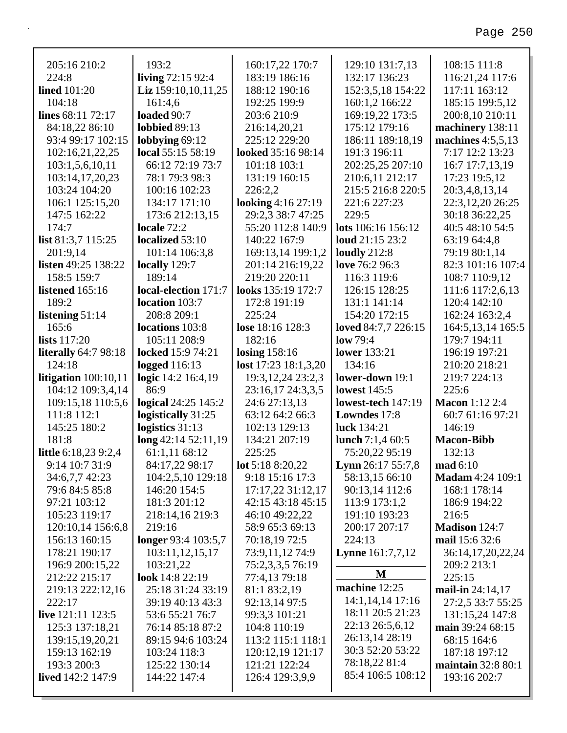| 205:16 210:2                | 193:2                    | 160:17,22 170:7          | 129:10 131:7,13          | 108:15 111:8            |
|-----------------------------|--------------------------|--------------------------|--------------------------|-------------------------|
| 224:8                       | living 72:15 92:4        | 183:19 186:16            | 132:17 136:23            | 116:21,24 117:6         |
| lined $101:20$              | Liz $159:10,10,11,25$    | 188:12 190:16            | 152:3,5,18 154:22        | 117:11 163:12           |
| 104:18                      | 161:4,6                  | 192:25 199:9             | 160:1,2 166:22           | 185:15 199:5,12         |
| lines 68:11 72:17           | loaded 90:7              | 203:6 210:9              | 169:19,22 173:5          | 200:8,10 210:11         |
| 84:18,22 86:10              | <b>lobbied</b> 89:13     | 216:14,20,21             | 175:12 179:16            | machinery 138:11        |
| 93:4 99:17 102:15           | lobbying $69:12$         | 225:12 229:20            | 186:11 189:18,19         | machines $4:5,5,13$     |
| 102:16,21,22,25             | local 55:15 58:19        | looked 35:16 98:14       | 191:3 196:11             | 7:17 12:2 13:23         |
| 103:1,5,6,10,11             | 66:12 72:19 73:7         | 101:18 103:1             | 202:25,25 207:10         | 16:7 17:7,13,19         |
| 103:14,17,20,23             | 78:1 79:3 98:3           | 131:19 160:15            | 210:6,11 212:17          | 17:23 19:5,12           |
| 103:24 104:20               | 100:16 102:23            | 226:2,2                  | 215:5 216:8 220:5        | 20:3,4,8,13,14          |
| 106:1 125:15,20             | 134:17 171:10            | looking 4:16 27:19       | 221:6 227:23             | 22:3, 12, 20 26: 25     |
| 147:5 162:22                | 173:6 212:13,15          | 29:2,3 38:7 47:25        | 229:5                    | 30:18 36:22,25          |
| 174:7                       | locale 72:2              | 55:20 112:8 140:9        | lots 106:16 156:12       | 40:5 48:10 54:5         |
| list $81:3,7$ 115:25        | localized 53:10          | 140:22 167:9             | loud 21:15 23:2          | 63:19 64:4,8            |
| 201:9,14                    | 101:14 106:3,8           | 169:13,14 199:1,2        | loudly $212:8$           | 79:19 80:1,14           |
| <b>listen</b> 49:25 138:22  | locally 129:7            | 201:14 216:19,22         | love 76:2 96:3           | 82:3 101:16 107:4       |
| 158:5 159:7                 | 189:14                   | 219:20 220:11            | 116:3 119:6              | 108:7 110:9,12          |
| <b>listened</b> 165:16      | local-election 171:7     | looks 135:19 172:7       | 126:15 128:25            | 111:6 117:2,6,13        |
| 189:2                       | location 103:7           | 172:8 191:19             | 131:1 141:14             | 120:4 142:10            |
| listening 51:14             | 208:8 209:1              | 225:24                   | 154:20 172:15            | 162:24 163:2,4          |
| 165:6                       | locations 103:8          | lose 18:16 128:3         | loved 84:7,7 226:15      | 164:5, 13, 14 165:5     |
| lists $117:20$              | 105:11 208:9             | 182:16                   | low 79:4                 | 179:7 194:11            |
| <b>literally</b> 64:7 98:18 | <b>locked</b> 15:9 74:21 | losing $158:16$          | <b>lower</b> 133:21      | 196:19 197:21           |
| 124:18                      | logged $116:13$          | lost $17:23$ $18:1,3,20$ | 134:16                   | 210:20 218:21           |
| litigation $100:10,11$      | logic 14:2 16:4,19       | 19:3, 12, 24 23:2, 3     | lower-down 19:1          | 219:7 224:13            |
| 104:12 109:3,4,14           | 86:9                     | 23:16,17 24:3,3,5        | <b>lowest</b> 145:5      | 225:6                   |
| 109:15,18 110:5,6           | logical 24:25 145:2      | 24:6 27:13,13            | lowest-tech 147:19       | <b>Macon</b> 1:12 2:4   |
| 111:8 112:1                 | logistically 31:25       | 63:12 64:2 66:3          | <b>Lowndes</b> 17:8      | 60:7 61:16 97:21        |
| 145:25 180:2                | logistics 31:13          | 102:13 129:13            | luck 134:21              | 146:19                  |
| 181:8                       | long 42:14 52:11,19      | 134:21 207:19            | lunch $7:1,460:5$        | <b>Macon-Bibb</b>       |
| <b>little</b> 6:18,23 9:2,4 | 61:1,11 68:12            | 225:25                   | 75:20,22 95:19           | 132:13                  |
| 9:14 10:7 31:9              | 84:17,22 98:17           | lot 5:18 8:20,22         | <b>Lynn</b> 26:17 55:7,8 | $\mathbf{mad} 6:10$     |
| 34:6,7,7 42:23              | 104:2,5,10 129:18        | 9:18 15:16 17:3          | 58:13,15 66:10           | <b>Madam</b> 4:24 109:1 |
| 79:6 84:5 85:8              | 146:20 154:5             | 17:17,22 31:12,17        | 90:13,14 112:6           | 168:1 178:14            |
| 97:21 103:12                | 181:3 201:12             | 42:15 43:18 45:15        | 113:9 173:1,2            | 186:9 194:22            |
| 105:23 119:17               | 218:14,16 219:3          | 46:10 49:22,22           | 191:10 193:23            | 216:5                   |
| 120:10,14 156:6,8           | 219:16                   | 58:9 65:3 69:13          | 200:17 207:17            | Madison 124:7           |
| 156:13 160:15               | longer 93:4 103:5,7      | 70:18,19 72:5            | 224:13                   | mail 15:6 32:6          |
| 178:21 190:17               | 103:11,12,15,17          | 73:9,11,12 74:9          | <b>Lynne</b> 161:7,7,12  | 36:14,17,20,22,24       |
| 196:9 200:15,22             | 103:21,22                | 75:2,3,3,5 76:19         | M                        | 209:2 213:1             |
| 212:22 215:17               | look $14:822:19$         | 77:4,13 79:18            | machine 12:25            | 225:15                  |
| 219:13 222:12,16            | 25:18 31:24 33:19        | 81:1 83:2,19             | 14:1,14,14 17:16         | mail-in 24:14,17        |
| 222:17                      | 39:19 40:13 43:3         | 92:13,14 97:5            | 18:11 20:5 21:23         | 27:2,5 33:7 55:25       |
| live 121:11 123:5           | 53:6 55:21 76:7          | 99:3,3 101:21            | 22:13 26:5,6,12          | 131:15,24 147:8         |
| 125:3 137:18,21             | 76:14 85:18 87:2         | 104:8 110:19             | 26:13,14 28:19           | main 39:24 68:15        |
| 139:15,19,20,21             | 89:15 94:6 103:24        | 113:2 115:1 118:1        |                          | 68:15 164:6             |
| 159:13 162:19               |                          |                          |                          |                         |
|                             | 103:24 118:3             | 120:12,19 121:17         | 30:3 52:20 53:22         | 187:18 197:12           |
| 193:3 200:3                 | 125:22 130:14            | 121:21 122:24            | 78:18,22 81:4            | maintain $32:880:1$     |
| <b>lived</b> 142:2 147:9    | 144:22 147:4             | 126:4 129:3,9,9          | 85:4 106:5 108:12        | 193:16 202:7            |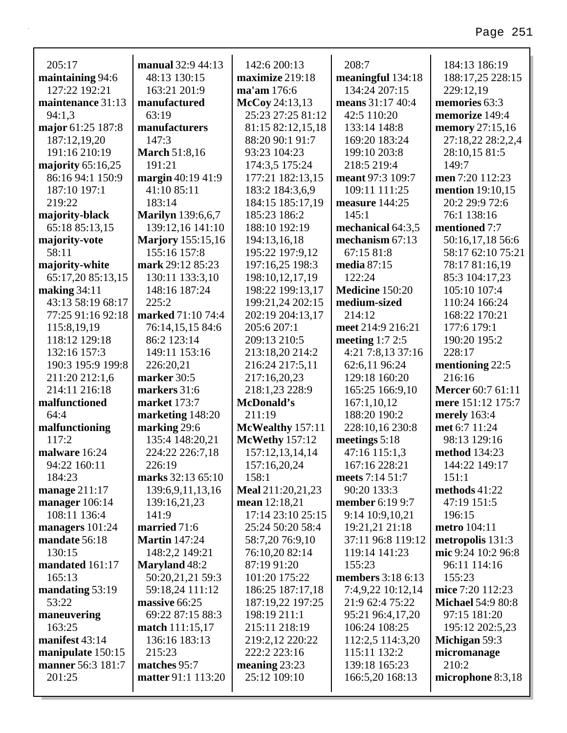| 205:17                                 | manual 32:9 44:13         | 142:6 200:13                    | 208:7                            | 184:13 186:19            |
|----------------------------------------|---------------------------|---------------------------------|----------------------------------|--------------------------|
| maintaining 94:6                       | 48:13 130:15              | maximize 219:18                 | meaningful 134:18                | 188:17,25 228:15         |
| 127:22 192:21                          | 163:21 201:9              | ma'am 176:6                     | 134:24 207:15                    | 229:12,19                |
| maintenance 31:13                      | manufactured              | McCoy 24:13,13                  | means 31:17 40:4                 | memories 63:3            |
| 94:1,3                                 | 63:19                     | 25:23 27:25 81:12               | 42:5 110:20                      | memorize 149:4           |
| major 61:25 187:8                      | manufacturers             | 81:15 82:12,15,18               | 133:14 148:8                     | memory 27:15,16          |
| 187:12,19,20                           | 147:3                     | 88:20 90:1 91:7                 | 169:20 183:24                    | 27:18,22 28:2,2,4        |
| 191:16 210:19                          | <b>March 51:8,16</b>      | 93:23 104:23                    | 199:10 203:8                     | 28:10,15 81:5            |
| majority $65:16,25$                    | 191:21                    | 174:3,5 175:24                  | 218:5 219:4                      | 149:7                    |
| 86:16 94:1 150:9                       | margin 40:19 41:9         | 177:21 182:13,15                | meant 97:3 109:7                 | men 7:20 112:23          |
| 187:10 197:1                           | 41:10 85:11               | 183:2 184:3,6,9                 | 109:11 111:25                    | <b>mention</b> 19:10,15  |
| 219:22                                 | 183:14                    | 184:15 185:17,19                | measure 144:25                   | 20:2 29:9 72:6           |
| majority-black                         | <b>Marilyn</b> 139:6,6,7  | 185:23 186:2                    | 145:1                            | 76:1 138:16              |
| 65:18 85:13,15                         | 139:12,16 141:10          | 188:10 192:19                   | mechanical 64:3,5                | mentioned 7:7            |
| majority-vote                          | <b>Marjory</b> 155:15,16  | 194:13,16,18                    | mechanism 67:13                  | 50:16,17,18 56:6         |
| 58:11                                  | 155:16 157:8              | 195:22 197:9,12                 | 67:15 81:8                       | 58:17 62:10 75:21        |
| majority-white                         | mark 29:12 85:23          | 197:16,25 198:3                 | media 87:15                      | 78:17 81:16,19           |
| 65:17,20 85:13,15                      | 130:11 133:3,10           | 198:10,12,17,19                 | 122:24                           | 85:3 104:17,23           |
| making $34:11$                         | 148:16 187:24             | 198:22 199:13,17                | Medicine 150:20                  | 105:10 107:4             |
| 43:13 58:19 68:17                      | 225:2                     | 199:21,24 202:15                | medium-sized                     | 110:24 166:24            |
| 77:25 91:16 92:18                      | marked 71:10 74:4         | 202:19 204:13,17                | 214:12                           | 168:22 170:21            |
| 115:8,19,19                            | 76:14,15,15 84:6          | 205:6 207:1                     | meet 214:9 216:21                | 177:6 179:1              |
| 118:12 129:18                          | 86:2 123:14               | 209:13 210:5                    | meeting $1:72:5$                 | 190:20 195:2             |
| 132:16 157:3                           | 149:11 153:16             | 213:18,20 214:2                 | 4:21 7:8,13 37:16                | 228:17                   |
| 190:3 195:9 199:8                      | 226:20,21                 | 216:24 217:5,11                 | 62:6,11 96:24                    | mentioning 22:5          |
| 211:20 212:1,6                         | marker 30:5               | 217:16,20,23                    | 129:18 160:20                    | 216:16                   |
| 214:11 216:18                          | markers 31:6              | 218:1,23 228:9                  | 165:25 166:9,10                  | <b>Mercer</b> 60:7 61:11 |
| malfunctioned                          | market 173:7              | McDonald's                      | 167:1,10,12                      | mere 151:12 175:7        |
| 64:4                                   | marketing 148:20          | 211:19                          | 188:20 190:2                     | merely 163:4             |
| malfunctioning                         | marking 29:6              | McWealthy 157:11                | 228:10,16 230:8                  | met 6:7 11:24            |
| 117:2                                  | 135:4 148:20,21           | <b>McWethy</b> 157:12           | meetings $5:18$                  | 98:13 129:16             |
| malware 16:24                          | 224:22 226:7,18           | 157:12,13,14,14                 | 47:16 115:1,3                    | method 134:23            |
| 94:22 160:11                           | 226:19                    | 157:16,20,24                    | 167:16 228:21                    | 144:22 149:17            |
| 184:23                                 | marks 32:13 65:10         | 158:1                           | meets 7:14 51:7                  | 151:1                    |
| manage $211:17$                        | 139:6,9,11,13,16          | Meal 211:20,21,23               | 90:20 133:3                      | methods $41:22$          |
| manager 106:14                         | 139:16,21,23              | mean 12:18,21                   | <b>member</b> 6:19 9:7           | 47:19 151:5              |
| 108:11 136:4                           | 141:9                     | 17:14 23:10 25:15               | 9:14 10:9,10,21                  | 196:15                   |
| managers $101:24$                      | married 71:6              | 25:24 50:20 58:4                | 19:21,21 21:18                   | metro 104:11             |
| mandate 56:18                          | <b>Martin</b> 147:24      | 58:7,20 76:9,10                 | 37:11 96:8 119:12                | metropolis 131:3         |
| 130:15                                 | 148:2,2 149:21            | 76:10,20 82:14                  | 119:14 141:23                    | mic 9:24 10:2 96:8       |
| mandated 161:17                        | <b>Maryland 48:2</b>      | 87:19 91:20                     | 155:23                           | 96:11 114:16             |
| 165:13                                 | 50:20,21,21 59:3          | 101:20 175:22                   | members 3:18 6:13                | 155:23                   |
| mandating 53:19                        | 59:18,24 111:12           | 186:25 187:17,18                | 7:4,9,22 10:12,14                | mice 7:20 112:23         |
| 53:22                                  | massive 66:25             | 187:19,22 197:25                | 21:9 62:4 75:22                  | <b>Michael 54:9 80:8</b> |
| maneuvering                            | 69:22 87:15 88:3          | 198:19 211:1                    | 95:21 96:4,17,20                 | 97:15 181:20             |
| 163:25                                 | match 111:15,17           | 215:11 218:19                   | 106:24 108:25                    | 195:12 202:5,23          |
| manifest 43:14                         | 136:16 183:13             | 219:2,12 220:22                 | 112:2,5 114:3,20                 | Michigan 59:3            |
| manipulate 150:15<br>manner 56:3 181:7 | 215:23<br>matches 95:7    | 222:2 223:16                    | 115:11 132:2                     | micromanage<br>210:2     |
| 201:25                                 | <b>matter 91:1 113:20</b> | meaning $23:23$<br>25:12 109:10 | 139:18 165:23<br>166:5,20 168:13 | microphone 8:3,18        |
|                                        |                           |                                 |                                  |                          |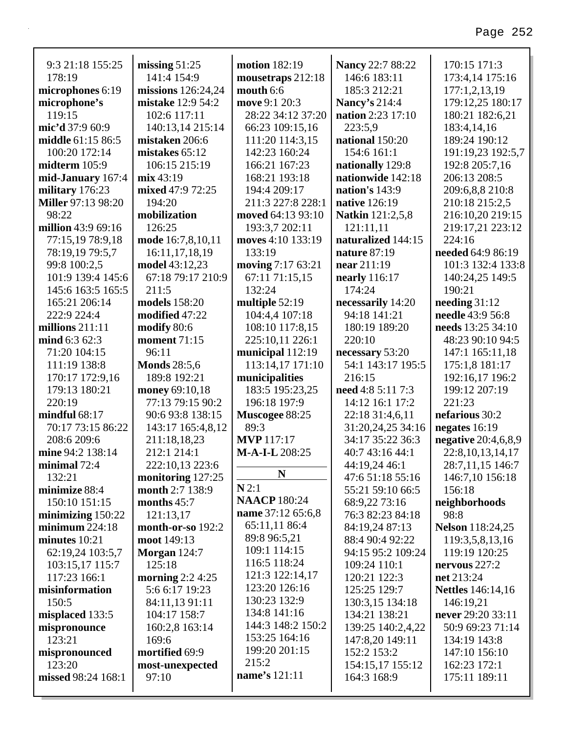| 9:3 21:18 155:25          | missing $51:25$                | <b>motion</b> 182:19               | Nancy 22:7 88:22                 | 170:15 171:3                     |
|---------------------------|--------------------------------|------------------------------------|----------------------------------|----------------------------------|
| 178:19                    | 141:4 154:9                    | mousetraps 212:18                  | 146:6 183:11                     | 173:4,14 175:16                  |
| microphones 6:19          | missions $126:24,24$           | mouth 6:6                          | 185:3 212:21                     | 177:1,2,13,19                    |
| microphone's              | mistake 12:9 54:2              | move 9:1 20:3                      | Nancy's 214:4                    | 179:12,25 180:17                 |
| 119:15                    | 102:6 117:11                   | 28:22 34:12 37:20                  | nation 2:23 17:10                | 180:21 182:6,21                  |
| mic'd 37:9 60:9           | 140:13,14 215:14               | 66:23 109:15,16                    | 223:5,9                          | 183:4,14,16                      |
| middle 61:15 86:5         | mistaken 206:6                 | 111:20 114:3,15                    | national 150:20                  | 189:24 190:12                    |
| 100:20 172:14             | mistakes 65:12                 | 142:23 160:24                      | 154:6 161:1                      | 191:19,23 192:5,7                |
| midterm 105:9             | 106:15 215:19                  | 166:21 167:23                      | nationally 129:8                 | 192:8 205:7,16                   |
| mid-January 167:4         | mix 43:19                      | 168:21 193:18                      | nationwide 142:18                | 206:13 208:5                     |
| military 176:23           | mixed 47:9 72:25               | 194:4 209:17                       | nation's $143:9$                 | 209:6,8,8 210:8                  |
| <b>Miller 97:13 98:20</b> | 194:20                         | 211:3 227:8 228:1                  | native 126:19                    | 210:18 215:2,5                   |
| 98:22                     | mobilization                   | moved 64:13 93:10                  | <b>Natkin</b> 121:2,5,8          | 216:10,20 219:15                 |
| million 43:9 69:16        | 126:25                         | 193:3,7 202:11                     | 121:11,11                        | 219:17,21 223:12                 |
| 77:15,19 78:9,18          | mode 16:7,8,10,11              | moves 4:10 133:19                  | naturalized 144:15               | 224:16                           |
| 78:19,19 79:5,7           | 16:11,17,18,19                 | 133:19                             | nature 87:19                     | needed 64:9 86:19                |
| 99:8 100:2,5              | model 43:12,23                 | moving 7:17 63:21                  | near 211:19                      | 101:3 132:4 133:8                |
| 101:9 139:4 145:6         | 67:18 79:17 210:9              | 67:11 71:15,15                     | nearly 116:17                    | 140:24,25 149:5                  |
| 145:6 163:5 165:5         | 211:5                          | 132:24                             | 174:24                           | 190:21                           |
| 165:21 206:14             | models 158:20                  | multiple 52:19                     | necessarily 14:20                | needing $31:12$                  |
| 222:9 224:4               | modified 47:22                 | 104:4,4 107:18                     | 94:18 141:21                     | needle 43:9 56:8                 |
| millions $211:11$         | modify 80:6                    | 108:10 117:8,15                    | 180:19 189:20                    | needs 13:25 34:10                |
| mind 6:3 62:3             | <b>moment</b> 71:15            | 225:10,11 226:1                    | 220:10                           | 48:23 90:10 94:5                 |
| 71:20 104:15              | 96:11                          | municipal 112:19                   | necessary 53:20                  | 147:1 165:11,18                  |
| 111:19 138:8              | <b>Monds</b> 28:5,6            | 113:14,17 171:10                   | 54:1 143:17 195:5                | 175:1,8 181:17                   |
| 170:17 172:9,16           | 189:8 192:21                   | municipalities                     | 216:15                           | 192:16,17 196:2                  |
| 179:13 180:21             | money 69:10,18                 | 183:5 195:23,25                    | need 4:8 5:11 7:3                | 199:12 207:19                    |
| 220:19                    | 77:13 79:15 90:2               | 196:18 197:9                       | 14:12 16:1 17:2                  | 221:23                           |
| mindful $68:17$           | 90:6 93:8 138:15               | Muscogee 88:25                     | 22:18 31:4,6,11                  | nefarious 30:2                   |
| 70:17 73:15 86:22         | 143:17 165:4,8,12              | 89:3                               | 31:20,24,25 34:16                | negates $16:19$                  |
| 208:6 209:6               | 211:18,18,23                   | <b>MVP</b> 117:17                  | 34:17 35:22 36:3                 | negative 20:4,6,8,9              |
| mine 94:2 138:14          | 212:1 214:1                    | M-A-I-L 208:25                     | 40:7 43:16 44:1                  | 22:8, 10, 13, 14, 17             |
| minimal $72:4$            | 222:10,13 223:6                | N                                  | 44:19,24 46:1                    | 28:7,11,15 146:7                 |
| 132:21                    | monitoring 127:25              |                                    | 47:6 51:18 55:16                 | 146:7,10 156:18                  |
| minimize 88:4             | month 2:7 138:9                | N2:1                               | 55:21 59:10 66:5                 | 156:18                           |
| 150:10 151:15             | months 45:7                    | <b>NAACP</b> 180:24                | 68:9,22 73:16                    | neighborhoods                    |
| minimizing $150:22$       | 121:13,17                      | name 37:12 65:6,8<br>65:11,11 86:4 | 76:3 82:23 84:18                 | 98:8                             |
| minimum 224:18            | month-or-so 192:2              | 89:8 96:5,21                       | 84:19,24 87:13                   | <b>Nelson</b> 118:24,25          |
| minutes $10:21$           | moot 149:13                    | 109:1 114:15                       | 88:4 90:4 92:22                  | 119:3,5,8,13,16                  |
| 62:19,24 103:5,7          | Morgan $124:7$                 | 116:5 118:24                       | 94:15 95:2 109:24                | 119:19 120:25                    |
| 103:15,17 115:7           | 125:18                         | 121:3 122:14,17                    | 109:24 110:1                     | nervous $227:2$                  |
| 117:23 166:1              | morning $2:2$ 4:25             | 123:20 126:16                      | 120:21 122:3                     | net 213:24                       |
| misinformation            | 5:6 6:17 19:23                 | 130:23 132:9                       | 125:25 129:7                     | <b>Nettles</b> 146:14,16         |
| 150:5                     | 84:11,13 91:11<br>104:17 158:7 | 134:8 141:16                       | 130:3,15 134:18<br>134:21 138:21 | 146:19,21<br>never 29:20 33:11   |
| misplaced 133:5           |                                | 144:3 148:2 150:2                  |                                  |                                  |
| mispronounce<br>123:21    | 160:2,8 163:14<br>169:6        | 153:25 164:16                      | 139:25 140:2,4,22                | 50:9 69:23 71:14<br>134:19 143:8 |
| mispronounced             | mortified 69:9                 | 199:20 201:15                      | 147:8,20 149:11<br>152:2 153:2   | 147:10 156:10                    |
| 123:20                    | most-unexpected                | 215:2                              | 154:15,17 155:12                 | 162:23 172:1                     |
| missed 98:24 168:1        | 97:10                          | name's 121:11                      | 164:3 168:9                      | 175:11 189:11                    |
|                           |                                |                                    |                                  |                                  |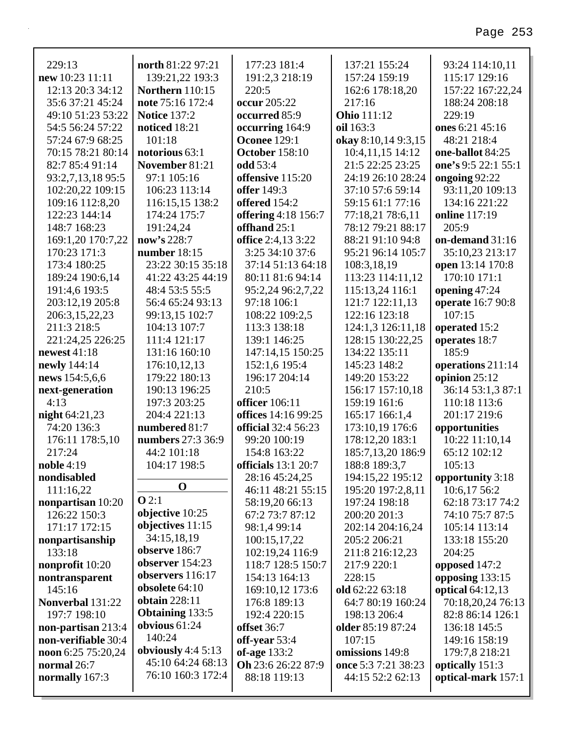| 229:13            | north 81:22 97:21      | 177:23 181:4            | 137:21 155:24       | 93:24 114:10,11     |
|-------------------|------------------------|-------------------------|---------------------|---------------------|
| new 10:23 11:11   | 139:21,22 193:3        | 191:2,3 218:19          | 157:24 159:19       | 115:17 129:16       |
| 12:13 20:3 34:12  | <b>Northern</b> 110:15 | 220:5                   | 162:6 178:18,20     | 157:22 167:22,24    |
| 35:6 37:21 45:24  | note 75:16 172:4       | occur 205:22            | 217:16              | 188:24 208:18       |
| 49:10 51:23 53:22 | <b>Notice 137:2</b>    | occurred 85:9           | <b>Ohio</b> 111:12  | 229:19              |
| 54:5 56:24 57:22  | noticed 18:21          | occurring 164:9         | oil 163:3           | ones 6:21 45:16     |
| 57:24 67:9 68:25  | 101:18                 | <b>Oconee 129:1</b>     | okay 8:10,14 9:3,15 | 48:21 218:4         |
| 70:15 78:21 80:14 | notorious 63:1         | <b>October 158:10</b>   | 10:4,11,15 14:12    | one-ballot 84:25    |
| 82:7 85:4 91:14   | November 81:21         | odd 53:4                | 21:5 22:25 23:25    | one's 9:5 22:1 55:1 |
| 93:2,7,13,18 95:5 | 97:1 105:16            | offensive 115:20        | 24:19 26:10 28:24   | ongoing 92:22       |
| 102:20,22 109:15  | 106:23 113:14          | <b>offer</b> 149:3      | 37:10 57:6 59:14    | 93:11,20 109:13     |
| 109:16 112:8,20   | 116:15,15 138:2        | offered 154:2           | 59:15 61:1 77:16    | 134:16 221:22       |
| 122:23 144:14     | 174:24 175:7           | offering 4:18 156:7     | 77:18,21 78:6,11    | online 117:19       |
| 148:7 168:23      | 191:24,24              | offhand 25:1            | 78:12 79:21 88:17   | 205:9               |
| 169:1,20 170:7,22 | now's 228:7            | office 2:4,13 3:22      | 88:21 91:10 94:8    | on-demand 31:16     |
| 170:23 171:3      | number $18:15$         | 3:25 34:10 37:6         | 95:21 96:14 105:7   | 35:10,23 213:17     |
| 173:4 180:25      | 23:22 30:15 35:18      | 37:14 51:13 64:18       | 108:3,18,19         | open 13:14 170:8    |
| 189:24 190:6,14   | 41:22 43:25 44:19      | 80:11 81:6 94:14        | 113:23 114:11,12    | 170:10 171:1        |
| 191:4,6 193:5     | 48:4 53:5 55:5         | 95:2,24 96:2,7,22       | 115:13,24 116:1     | opening 47:24       |
| 203:12,19 205:8   | 56:4 65:24 93:13       | 97:18 106:1             | 121:7 122:11,13     | operate 16:7 90:8   |
| 206:3,15,22,23    | 99:13,15 102:7         | 108:22 109:2,5          | 122:16 123:18       | 107:15              |
| 211:3 218:5       | 104:13 107:7           | 113:3 138:18            | 124:1,3 126:11,18   | operated 15:2       |
| 221:24,25 226:25  | 111:4 121:17           | 139:1 146:25            | 128:15 130:22,25    | operates 18:7       |
| newest 41:18      | 131:16 160:10          | 147:14,15 150:25        | 134:22 135:11       | 185:9               |
| newly 144:14      | 176:10,12,13           | 152:1,6 195:4           | 145:23 148:2        | operations 211:14   |
| news 154:5,6,6    | 179:22 180:13          | 196:17 204:14           | 149:20 153:22       | opinion $25:12$     |
| next-generation   | 190:13 196:25          | 210:5                   | 156:17 157:10,18    | 36:14 53:1,3 87:1   |
| 4:13              | 197:3 203:25           | <b>officer</b> 106:11   | 159:19 161:6        | 110:18 113:6        |
| night 64:21,23    | 204:4 221:13           | offices 14:16 99:25     | 165:17 166:1,4      | 201:17 219:6        |
| 74:20 136:3       | numbered 81:7          | official 32:4 56:23     | 173:10,19 176:6     | opportunities       |
| 176:11 178:5,10   | numbers 27:3 36:9      | 99:20 100:19            | 178:12,20 183:1     | 10:22 11:10,14      |
| 217:24            | 44:2 101:18            | 154:8 163:22            | 185:7,13,20 186:9   | 65:12 102:12        |
| noble $4:19$      | 104:17 198:5           | officials $13:1$ $20:7$ | 188:8 189:3,7       | 105:13              |
| nondisabled       |                        | 28:16 45:24,25          | 194:15,22 195:12    | opportunity 3:18    |
| 111:16,22         | $\mathbf 0$            | 46:11 48:21 55:15       | 195:20 197:2,8,11   | 10:6,17 56:2        |
| nonpartisan 10:20 | Q2:1                   | 58:19,20 66:13          | 197:24 198:18       | 62:18 73:17 74:2    |
| 126:22 150:3      | objective 10:25        | 67:2 73:7 87:12         | 200:20 201:3        | 74:10 75:7 87:5     |
| 171:17 172:15     | objectives 11:15       | 98:1,4 99:14            | 202:14 204:16,24    | 105:14 113:14       |
| nonpartisanship   | 34:15,18,19            | 100:15,17,22            | 205:2 206:21        | 133:18 155:20       |
| 133:18            | observe 186:7          | 102:19,24 116:9         | 211:8 216:12,23     | 204:25              |
| nonprofit 10:20   | observer $154:23$      | 118:7 128:5 150:7       | 217:9 220:1         | opposed 147:2       |
| nontransparent    | observers 116:17       | 154:13 164:13           | 228:15              | opposing 133:15     |
| 145:16            | obsolete 64:10         | 169:10,12 173:6         | old $62:2263:18$    | optical $64:12,13$  |

176:8 189:13

192:4 220:15

Oh 23:6 26:22 87:9

88:18 119:13

offset 36:7

off-year 53:4

of-age 133:2

64:7 80:19 160:24

198:13 206:4

older 85:19 87:24

omissions 149:8

once 5:3 7:21 38:23

44:15 52:2 62:13

 $107:15$ 

obtain 228:11

obvious  $61:24$ 

140:24

**Obtaining 133:5** 

obviously  $4:45:13$ 

45:10 64:24 68:13

76:10 160:3 172:4

Nonverbal 131:22

non-partisan 213:4

non-verifiable 30:4

noon 6:25 75:20,24

normal 26:7

normally 167:3

197:7 198:10

Page 253

82:8 86:14 126:1

136:18 145:5

149:16 158:19

179:7,8 218:21

optical-mark 157:1

optically 151:3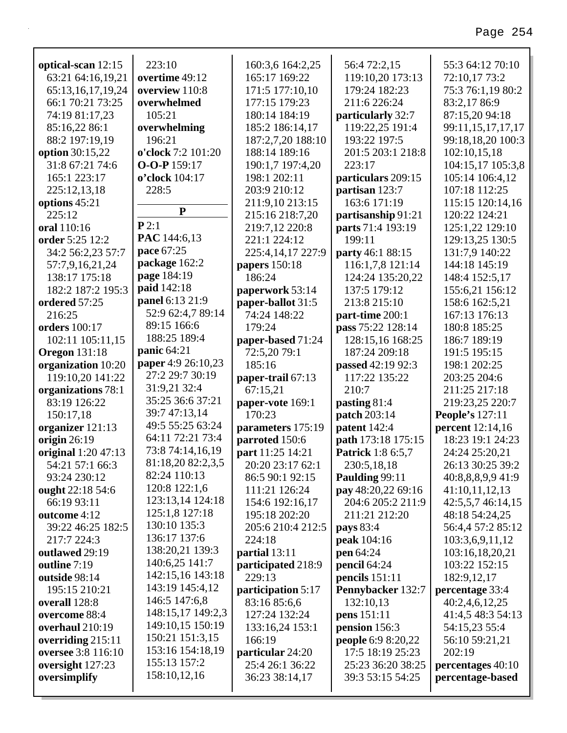| optical-scan 12:15   | 223:10             | 160:3,6 164:2,25   | 56:4 72:2,15              | 55:3 64:12 70:10        |
|----------------------|--------------------|--------------------|---------------------------|-------------------------|
| 63:21 64:16,19,21    | overtime 49:12     | 165:17 169:22      | 119:10,20 173:13          | 72:10,17 73:2           |
| 65:13,16,17,19,24    | overview 110:8     | 171:5 177:10,10    | 179:24 182:23             | 75:3 76:1,19 80:2       |
| 66:1 70:21 73:25     | overwhelmed        | 177:15 179:23      | 211:6 226:24              | 83:2,17 86:9            |
| 74:19 81:17,23       | 105:21             | 180:14 184:19      | particularly 32:7         | 87:15,20 94:18          |
| 85:16,22 86:1        | overwhelming       | 185:2 186:14,17    | 119:22,25 191:4           | 99:11,15,17,17,17       |
| 88:2 197:19,19       | 196:21             | 187:2,7,20 188:10  | 193:22 197:5              | 99:18,18,20 100:3       |
| option 30:15,22      | o'clock 7:2 101:20 | 188:14 189:16      | 201:5 203:1 218:8         | 102:10,15,18            |
| 31:8 67:21 74:6      | O-O-P 159:17       | 190:1,7 197:4,20   | 223:17                    | 104:15,17 105:3,8       |
| 165:1 223:17         | o'clock 104:17     | 198:1 202:11       | particulars 209:15        | 105:14 106:4,12         |
| 225:12,13,18         | 228:5              | 203:9 210:12       | partisan 123:7            | 107:18 112:25           |
| options 45:21        | ${\bf P}$          | 211:9,10 213:15    | 163:6 171:19              | 115:15 120:14,16        |
| 225:12               |                    | 215:16 218:7,20    | partisanship 91:21        | 120:22 124:21           |
| oral 110:16          | P2:1               | 219:7,12 220:8     | parts 71:4 193:19         | 125:1,22 129:10         |
| order 5:25 12:2      | PAC 144:6,13       | 221:1 224:12       | 199:11                    | 129:13,25 130:5         |
| 34:2 56:2,23 57:7    | pace 67:25         | 225:4,14,17 227:9  | party 46:1 88:15          | 131:7,9 140:22          |
| 57:7,9,16,21,24      | package 162:2      | papers 150:18      | 116:1,7,8 121:14          | 144:18 145:19           |
| 138:17 175:18        | page 184:19        | 186:24             | 124:24 135:20,22          | 148:4 152:5,17          |
| 182:2 187:2 195:3    | paid 142:18        | paperwork 53:14    | 137:5 179:12              | 155:6,21 156:12         |
| ordered 57:25        | panel 6:13 21:9    | paper-ballot 31:5  | 213:8 215:10              | 158:6 162:5,21          |
| 216:25               | 52:9 62:4,7 89:14  | 74:24 148:22       | part-time 200:1           | 167:13 176:13           |
| <b>orders</b> 100:17 | 89:15 166:6        | 179:24             | pass 75:22 128:14         | 180:8 185:25            |
| 102:11 105:11,15     | 188:25 189:4       | paper-based 71:24  | 128:15,16 168:25          | 186:7 189:19            |
| <b>Oregon</b> 131:18 | panic $64:21$      | 72:5,20 79:1       | 187:24 209:18             | 191:5 195:15            |
| organization 10:20   | paper 4:9 26:10,23 | 185:16             | passed 42:19 92:3         | 198:1 202:25            |
| 119:10,20 141:22     | 27:2 29:7 30:19    | paper-trail 67:13  | 117:22 135:22             | 203:25 204:6            |
| organizations 78:1   | 31:9,21 32:4       | 67:15,21           | 210:7                     | 211:25 217:18           |
| 83:19 126:22         | 35:25 36:6 37:21   | paper-vote 169:1   | pasting 81:4              | 219:23,25 220:7         |
| 150:17,18            | 39:7 47:13,14      | 170:23             | patch 203:14              | <b>People's 127:11</b>  |
| organizer 121:13     | 49:5 55:25 63:24   | parameters 175:19  | patent 142:4              | <b>percent</b> 12:14,16 |
| origin $26:19$       | 64:11 72:21 73:4   | parroted 150:6     | path 173:18 175:15        | 18:23 19:1 24:23        |
| original 1:20 47:13  | 73:8 74:14,16,19   | part 11:25 14:21   | <b>Patrick</b> 1:8 6:5,7  | 24:24 25:20,21          |
| 54:21 57:1 66:3      | 81:18,20 82:2,3,5  | 20:20 23:17 62:1   | 230:5,18,18               | 26:13 30:25 39:2        |
| 93:24 230:12         | 82:24 110:13       | 86:5 90:1 92:15    | Paulding 99:11            | 40:8,8,8,9,9 41:9       |
| ought 22:18 54:6     | 120:8 122:1,6      | 111:21 126:24      | pay 48:20,22 69:16        | 41:10,11,12,13          |
| 66:19 93:11          | 123:13,14 124:18   | 154:6 192:16,17    | 204:6 205:2 211:9         | 42:5,5,7 46:14,15       |
| outcome 4:12         | 125:1,8 127:18     | 195:18 202:20      | 211:21 212:20             | 48:18 54:24,25          |
| 39:22 46:25 182:5    | 130:10 135:3       | 205:6 210:4 212:5  | pays 83:4                 | 56:4,4 57:2 85:12       |
| 217:7 224:3          | 136:17 137:6       | 224:18             | peak 104:16               | 103:3,6,9,11,12         |
| outlawed 29:19       | 138:20,21 139:3    | partial 13:11      | <b>pen</b> 64:24          | 103:16,18,20,21         |
| outline 7:19         | 140:6,25 141:7     | participated 218:9 | pencil 64:24              | 103:22 152:15           |
| outside 98:14        | 142:15,16 143:18   | 229:13             | pencils $151:11$          | 182:9, 12, 17           |
| 195:15 210:21        | 143:19 145:4,12    | participation 5:17 | Pennybacker 132:7         | percentage 33:4         |
| overall 128:8        | 146:5 147:6,8      | 83:16 85:6,6       | 132:10,13                 | 40:2,4,6,12,25          |
| overcome 88:4        | 148:15,17 149:2,3  | 127:24 132:24      | <b>pens</b> 151:11        | 41:4,5 48:3 54:13       |
| overhaul 210:19      | 149:10,15 150:19   | 133:16,24 153:1    | pension 156:3             | 54:15,23 55:4           |
| overriding $215:11$  | 150:21 151:3,15    | 166:19             | <b>people</b> 6:9 8:20,22 | 56:10 59:21,21          |
| oversee 3:8 116:10   | 153:16 154:18,19   | particular 24:20   | 17:5 18:19 25:23          | 202:19                  |
|                      |                    |                    |                           |                         |
| oversight 127:23     | 155:13 157:2       | 25:4 26:1 36:22    | 25:23 36:20 38:25         | percentages 40:10       |
| oversimplify         | 158:10,12,16       | 36:23 38:14,17     | 39:3 53:15 54:25          | percentage-based        |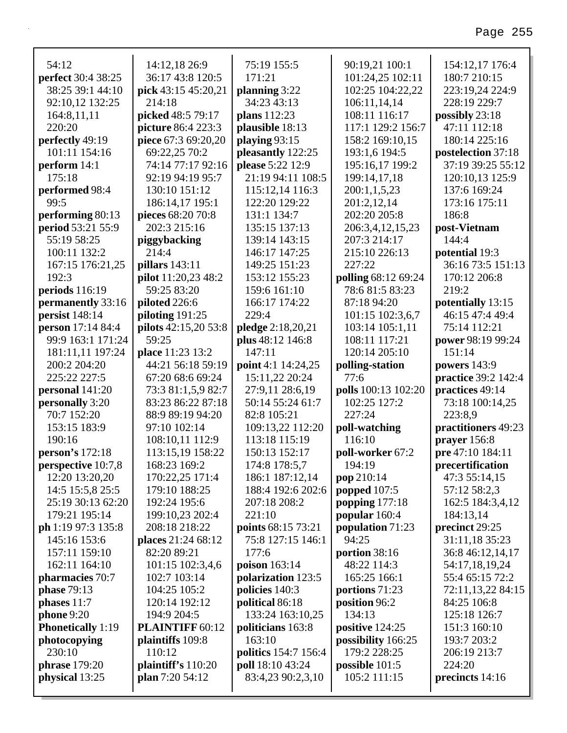| 54:12                                  | 14:12,18 26:9                         | 75:19 155:5                              | 90:19,21 100:1                     | 154:12,17 176:4                      |
|----------------------------------------|---------------------------------------|------------------------------------------|------------------------------------|--------------------------------------|
| perfect 30:4 38:25                     | 36:17 43:8 120:5                      | 171:21                                   | 101:24,25 102:11                   | 180:7 210:15                         |
| 38:25 39:1 44:10                       | pick 43:15 45:20,21                   | planning $3:22$                          | 102:25 104:22,22                   | 223:19,24 224:9                      |
| 92:10,12 132:25                        | 214:18                                | 34:23 43:13                              | 106:11,14,14                       | 228:19 229:7                         |
| 164:8,11,11                            | picked 48:5 79:17                     | plans 112:23                             | 108:11 116:17                      | possibly 23:18                       |
| 220:20                                 | picture 86:4 223:3                    | plausible 18:13                          | 117:1 129:2 156:7                  | 47:11 112:18                         |
| perfectly 49:19                        | piece 67:3 69:20,20                   | playing 93:15                            | 158:2 169:10,15                    | 180:14 225:16                        |
| 101:11 154:16                          | 69:22,25 70:2                         | pleasantly 122:25                        | 193:1,6 194:5                      | postelection 37:18                   |
| perform 14:1                           | 74:14 77:17 92:16                     | please 5:22 12:9                         | 195:16,17 199:2                    | 37:19 39:25 55:12                    |
| 175:18                                 | 92:19 94:19 95:7                      | 21:19 94:11 108:5                        | 199:14,17,18                       | 120:10,13 125:9                      |
| performed 98:4                         | 130:10 151:12                         | 115:12,14 116:3                          | 200:1,1,5,23                       | 137:6 169:24                         |
| 99:5                                   | 186:14,17 195:1                       | 122:20 129:22                            | 201:2,12,14                        | 173:16 175:11                        |
| performing 80:13                       | pieces 68:20 70:8                     | 131:1 134:7                              | 202:20 205:8                       | 186:8                                |
| period 53:21 55:9                      | 202:3 215:16                          | 135:15 137:13                            | 206:3,4,12,15,23                   | post-Vietnam                         |
| 55:19 58:25                            | piggybacking                          | 139:14 143:15                            | 207:3 214:17                       | 144:4                                |
| 100:11 132:2                           | 214:4                                 | 146:17 147:25                            | 215:10 226:13                      | potential 19:3                       |
| 167:15 176:21,25                       | pillars 143:11                        | 149:25 151:23                            | 227:22                             | 36:16 73:5 151:13                    |
| 192:3                                  | <b>pilot</b> 11:20,23 48:2            | 153:12 155:23                            | polling 68:12 69:24                | 170:12 206:8                         |
| periods $116:19$                       | 59:25 83:20                           | 159:6 161:10                             | 78:6 81:5 83:23                    | 219:2                                |
| permanently 33:16                      | piloted 226:6                         | 166:17 174:22                            | 87:18 94:20                        | potentially 13:15                    |
| persist 148:14                         | piloting $191:25$                     | 229:4                                    | 101:15 102:3,6,7                   | 46:15 47:4 49:4                      |
| person 17:14 84:4                      | pilots 42:15,20 53:8                  | pledge 2:18,20,21                        | 103:14 105:1,11                    | 75:14 112:21                         |
| 99:9 163:1 171:24                      | 59:25                                 | plus 48:12 146:8                         | 108:11 117:21                      | power 98:19 99:24                    |
| 181:11,11 197:24                       | place 11:23 13:2                      | 147:11                                   | 120:14 205:10                      | 151:14                               |
| 200:2 204:20                           | 44:21 56:18 59:19                     | point 4:1 14:24,25                       | polling-station                    | powers $143:9$                       |
| 225:22 227:5                           | 67:20 68:6 69:24                      | 15:11,22 20:24                           | 77:6                               | <b>practice</b> 39:2 142:4           |
| personal 141:20                        | 73:3 81:1,5,9 82:7                    | 27:9,11 28:6,19                          | polls 100:13 102:20                | practices 49:14                      |
| personally 3:20                        | 83:23 86:22 87:18                     | 50:14 55:24 61:7                         | 102:25 127:2                       | 73:18 100:14,25                      |
| 70:7 152:20                            | 88:9 89:19 94:20                      | 82:8 105:21                              | 227:24                             | 223:8,9                              |
| 153:15 183:9<br>190:16                 | 97:10 102:14<br>108:10,11 112:9       | 109:13,22 112:20                         | poll-watching<br>116:10            | practitioners 49:23                  |
| person's 172:18                        |                                       | 113:18 115:19<br>150:13 152:17           |                                    | prayer 156:8                         |
|                                        | 113:15,19 158:22                      |                                          | poll-worker 67:2                   | pre 47:10 184:11<br>precertification |
| perspective 10:7,8                     | 168:23 169:2<br>170:22,25 171:4       | 174:8 178:5,7                            | 194:19                             |                                      |
| 12:20 13:20,20<br>14:5 15:5,8 25:5     | 179:10 188:25                         | 186:1 187:12,14<br>188:4 192:6 202:6     | pop 210:14                         | 47:3 55:14,15                        |
| 25:19 30:13 62:20                      |                                       | 207:18 208:2                             | popped 107:5                       | 57:12 58:2,3<br>162:5 184:3,4,12     |
|                                        | 192:24 195:6                          |                                          | popping 177:18                     |                                      |
| 179:21 195:14                          | 199:10,23 202:4                       | 221:10                                   | popular 160:4                      | 184:13,14                            |
| ph 1:19 97:3 135:8                     | 208:18 218:22                         | points 68:15 73:21                       | population 71:23<br>94:25          | precinct 29:25                       |
| 145:16 153:6<br>157:11 159:10          | places 21:24 68:12                    | 75:8 127:15 146:1                        |                                    | 31:11,18 35:23                       |
|                                        | 82:20 89:21                           | 177:6                                    | portion 38:16                      | 36:8 46:12,14,17                     |
| 162:11 164:10                          | 101:15 102:3,4,6                      | poison 163:14                            | 48:22 114:3                        | 54:17,18,19,24                       |
| pharmacies 70:7                        | 102:7 103:14                          | polarization 123:5                       | 165:25 166:1                       | 55:4 65:15 72:2                      |
| <b>phase</b> 79:13                     | 104:25 105:2                          | policies 140:3                           | portions 71:23                     | 72:11,13,22 84:15                    |
| phases $11:7$<br>phone 9:20            | 120:14 192:12<br>194:9 204:5          | political 86:18<br>133:24 163:10,25      | position 96:2<br>134:13            | 84:25 106:8<br>125:18 126:7          |
|                                        |                                       |                                          |                                    |                                      |
| <b>Phonetically</b> 1:19               | <b>PLAINTIFF 60:12</b>                | politicians 163:8<br>163:10              | positive 124:25                    | 151:3 160:10                         |
| photocopying<br>230:10                 | plaintiffs 109:8                      |                                          | possibility 166:25<br>179:2 228:25 | 193:7 203:2                          |
|                                        | 110:12                                | politics 154:7 156:4<br>poll 18:10 43:24 |                                    | 206:19 213:7                         |
| <b>phrase</b> 179:20<br>physical 13:25 | plaintiff's 110:20<br>plan 7:20 54:12 | 83:4,23 90:2,3,10                        | possible $101:5$<br>105:2 111:15   | 224:20                               |
|                                        |                                       |                                          |                                    | precincts 14:16                      |
|                                        |                                       |                                          |                                    |                                      |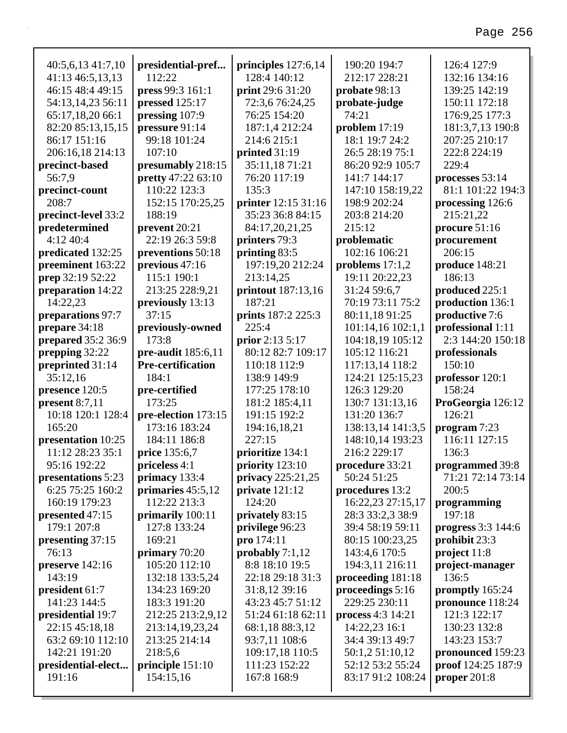٦

| 40:5,6,13 41:7,10   | presidential-pref        | principles 127:6,14 | 190:20 194:7      | 126:4 127:9               |
|---------------------|--------------------------|---------------------|-------------------|---------------------------|
| 41:13 46:5,13,13    | 112:22                   | 128:4 140:12        | 212:17 228:21     | 132:16 134:16             |
| 46:15 48:4 49:15    | press 99:3 161:1         | print 29:6 31:20    | probate 98:13     | 139:25 142:19             |
| 54:13,14,23 56:11   | pressed 125:17           | 72:3,6 76:24,25     | probate-judge     | 150:11 172:18             |
| 65:17,18,20 66:1    | pressing 107:9           | 76:25 154:20        | 74:21             | 176:9,25 177:3            |
| 82:20 85:13,15,15   | pressure 91:14           | 187:1,4 212:24      | problem 17:19     | 181:3,7,13 190:8          |
| 86:17 151:16        | 99:18 101:24             | 214:6 215:1         | 18:1 19:7 24:2    | 207:25 210:17             |
| 206:16,18 214:13    | 107:10                   | printed 31:19       | 26:5 28:19 75:1   | 222:8 224:19              |
| precinct-based      | presumably 218:15        | 35:11,18 71:21      | 86:20 92:9 105:7  | 229:4                     |
| 56:7.9              | pretty 47:22 63:10       | 76:20 117:19        | 141:7 144:17      | processes 53:14           |
| precinct-count      | 110:22 123:3             | 135:3               | 147:10 158:19,22  | 81:1 101:22 194:3         |
| 208:7               | 152:15 170:25,25         | printer 12:15 31:16 | 198:9 202:24      | processing 126:6          |
| precinct-level 33:2 | 188:19                   | 35:23 36:8 84:15    | 203:8 214:20      | 215:21,22                 |
| predetermined       | prevent 20:21            | 84:17,20,21,25      | 215:12            | procure 51:16             |
| 4:12 40:4           | 22:19 26:3 59:8          | printers 79:3       | problematic       | procurement               |
| predicated 132:25   | preventions 50:18        | printing 83:5       | 102:16 106:21     | 206:15                    |
| preeminent 163:22   | previous 47:16           | 197:19,20 212:24    | problems $17:1,2$ | produce 148:21            |
| prep 32:19 52:22    | 115:1 190:1              | 213:14,25           | 19:11 20:22,23    | 186:13                    |
| preparation 14:22   | 213:25 228:9,21          | printout 187:13,16  | 31:24 59:6,7      | produced 225:1            |
| 14:22,23            | previously 13:13         | 187:21              | 70:19 73:11 75:2  | production 136:1          |
| preparations 97:7   | 37:15                    | prints 187:2 225:3  | 80:11,18 91:25    | productive 7:6            |
| prepare 34:18       | previously-owned         | 225:4               | 101:14,16 102:1,1 | professional 1:11         |
| prepared 35:2 36:9  | 173:8                    | prior 2:13 5:17     | 104:18,19 105:12  | 2:3 144:20 150:18         |
| prepping 32:22      | pre-audit 185:6,11       | 80:12 82:7 109:17   | 105:12 116:21     | professionals             |
| preprinted 31:14    | <b>Pre-certification</b> | 110:18 112:9        | 117:13,14 118:2   | 150:10                    |
| 35:12,16            | 184:1                    | 138:9 149:9         | 124:21 125:15,23  | professor 120:1           |
| presence 120:5      | pre-certified            | 177:25 178:10       | 126:3 129:20      | 158:24                    |
| present $8:7,11$    | 173:25                   | 181:2 185:4,11      | 130:7 131:13,16   | ProGeorgia 126:12         |
| 10:18 120:1 128:4   | pre-election 173:15      | 191:15 192:2        | 131:20 136:7      | 126:21                    |
| 165:20              | 173:16 183:24            | 194:16,18,21        | 138:13,14 141:3,5 | program 7:23              |
| presentation 10:25  | 184:11 186:8             | 227:15              | 148:10,14 193:23  | 116:11 127:15             |
| 11:12 28:23 35:1    | price 135:6,7            | prioritize 134:1    | 216:2 229:17      | 136:3                     |
| 95:16 192:22        | priceless 4:1            | priority 123:10     | procedure 33:21   | programmed 39:8           |
| presentations 5:23  | primacy 133:4            | privacy 225:21,25   | 50:24 51:25       | 71:21 72:14 73:14         |
| 6:25 75:25 160:2    | primaries 45:5,12        | private 121:12      | procedures 13:2   | 200:5                     |
| 160:19 179:23       | 112:22 213:3             | 124:20              | 16:22,23 27:15,17 | programming               |
| presented 47:15     | primarily 100:11         | privately 83:15     | 28:3 33:2,3 38:9  | 197:18                    |
| 179:1 207:8         | 127:8 133:24             | privilege 96:23     | 39:4 58:19 59:11  | <b>progress</b> 3:3 144:6 |
| presenting 37:15    | 169:21                   | pro 174:11          | 80:15 100:23,25   | prohibit 23:3             |
| 76:13               | primary $70:20$          | probably $7:1,12$   | 143:4,6 170:5     | project 11:8              |
| preserve 142:16     | 105:20 112:10            | 8:8 18:10 19:5      | 194:3,11 216:11   | project-manager           |
| 143:19              | 132:18 133:5,24          | 22:18 29:18 31:3    | proceeding 181:18 | 136:5                     |
| president 61:7      | 134:23 169:20            | 31:8,12 39:16       | proceedings 5:16  | promptly 165:24           |
| 141:23 144:5        | 183:3 191:20             | 43:23 45:7 51:12    | 229:25 230:11     | pronounce 118:24          |
| presidential 19:7   | 212:25 213:2,9,12        | 51:24 61:18 62:11   | process 4:3 14:21 | 121:3 122:17              |
| 22:15 45:18,18      | 213:14,19,23,24          | 68:1,18 88:3,12     | 14:22,23 16:1     | 130:23 132:8              |
| 63:2 69:10 112:10   | 213:25 214:14            | 93:7,11 108:6       | 34:4 39:13 49:7   | 143:23 153:7              |
| 142:21 191:20       | 218:5,6                  | 109:17,18 110:5     | 50:1,2 51:10,12   | pronounced 159:23         |
| presidential-elect  | principle 151:10         | 111:23 152:22       | 52:12 53:2 55:24  | proof 124:25 187:9        |
| 191:16              | 154:15,16                | 167:8 168:9         | 83:17 91:2 108:24 | proper $201:8$            |
|                     |                          |                     |                   |                           |

Г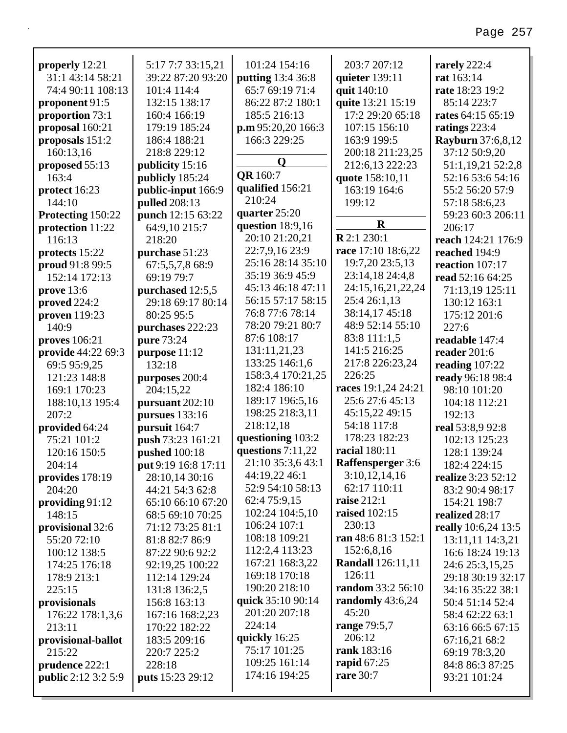| properly 12:21             | 5:17 7:7 33:15,21       | 101:24 154:16       | 203:7 207:12             | rarely 222:4               |
|----------------------------|-------------------------|---------------------|--------------------------|----------------------------|
| 31:1 43:14 58:21           | 39:22 87:20 93:20       | putting 13:4 36:8   | quieter $139:11$         | rat 163:14                 |
| 74:4 90:11 108:13          | 101:4 114:4             | 65:7 69:19 71:4     | quit 140:10              | rate 18:23 19:2            |
| proponent 91:5             | 132:15 138:17           | 86:22 87:2 180:1    | quite 13:21 15:19        | 85:14 223:7                |
| proportion 73:1            | 160:4 166:19            | 185:5 216:13        | 17:2 29:20 65:18         | rates 64:15 65:19          |
| proposal 160:21            | 179:19 185:24           | p.m 95:20,20 166:3  | 107:15 156:10            | ratings 223:4              |
| proposals 151:2            | 186:4 188:21            | 166:3 229:25        | 163:9 199:5              | <b>Rayburn</b> 37:6,8,12   |
| 160:13,16                  | 218:8 229:12            |                     | 200:18 211:23,25         | 37:12 50:9,20              |
| proposed 55:13             | publicity 15:16         | $\mathbf 0$         | 212:6,13 222:23          | 51:1,19,21 52:2,8          |
| 163:4                      | publicly 185:24         | <b>QR</b> 160:7     | quote 158:10,11          | 52:16 53:6 54:16           |
| protect 16:23              | public-input 166:9      | qualified 156:21    | 163:19 164:6             | 55:2 56:20 57:9            |
| 144:10                     | pulled 208:13           | 210:24              | 199:12                   | 57:18 58:6,23              |
| Protecting 150:22          | punch 12:15 63:22       | quarter 25:20       |                          | 59:23 60:3 206:11          |
| protection 11:22           | 64:9,10 215:7           | question 18:9,16    | $\mathbf R$              | 206:17                     |
| 116:13                     | 218:20                  | 20:10 21:20,21      | <b>R</b> 2:1 230:1       | reach 124:21 176:9         |
| protects 15:22             | purchase 51:23          | 22:7,9,16 23:9      | race 17:10 18:6,22       | reached 194:9              |
| proud 91:8 99:5            | 67:5,5,7,8 68:9         | 25:16 28:14 35:10   | 19:7,20 23:5,13          | reaction 107:17            |
| 152:14 172:13              | 69:19 79:7              | 35:19 36:9 45:9     | 23:14,18 24:4,8          | read 52:16 64:25           |
| prove 13:6                 | purchased 12:5,5        | 45:13 46:18 47:11   | 24:15,16,21,22,24        | 71:13,19 125:11            |
| proved $224:2$             | 29:18 69:17 80:14       | 56:15 57:17 58:15   | 25:4 26:1,13             | 130:12 163:1               |
| proven 119:23              | 80:25 95:5              | 76:8 77:6 78:14     | 38:14,17 45:18           | 175:12 201:6               |
| 140:9                      | purchases 222:23        | 78:20 79:21 80:7    | 48:9 52:14 55:10         | 227:6                      |
| proves 106:21              | pure 73:24              | 87:6 108:17         | 83:8 111:1,5             | readable 147:4             |
| provide 44:22 69:3         | purpose 11:12           | 131:11,21,23        | 141:5 216:25             | reader 201:6               |
| 69:5 95:9,25               | 132:18                  | 133:25 146:1,6      | 217:8 226:23,24          | reading $107:22$           |
| 121:23 148:8               | purposes 200:4          | 158:3,4 170:21,25   | 226:25                   | ready 96:18 98:4           |
| 169:1 170:23               | 204:15,22               | 182:4 186:10        | races 19:1,24 24:21      | 98:10 101:20               |
| 188:10,13 195:4            | pursuant 202:10         | 189:17 196:5,16     | 25:6 27:6 45:13          | 104:18 112:21              |
| 207:2                      | <b>pursues</b> 133:16   | 198:25 218:3,11     | 45:15,22 49:15           | 192:13                     |
| provided 64:24             | pursuit 164:7           | 218:12,18           | 54:18 117:8              | real 53:8,9 92:8           |
| 75:21 101:2                | push 73:23 161:21       | questioning 103:2   | 178:23 182:23            | 102:13 125:23              |
| 120:16 150:5               | <b>pushed</b> 100:18    | questions $7:11,22$ | racial 180:11            | 128:1 139:24               |
| 204:14                     | put 9:19 16:8 17:11     | 21:10 35:3,6 43:1   | <b>Raffensperger</b> 3:6 | 182:4 224:15               |
| provides 178:19            | 28:10,14 30:16          | 44:19,22 46:1       | 3:10,12,14,16            | realize 3:23 52:12         |
| 204:20                     | 44:21 54:3 62:8         | 52:9 54:10 58:13    | 62:17 110:11             | 83:2 90:4 98:17            |
| providing 91:12            | 65:10 66:10 67:20       | 62:4 75:9,15        | <b>raise</b> 212:1       | 154:21 198:7               |
| 148:15                     | 68:5 69:10 70:25        | 102:24 104:5,10     | <b>raised</b> 102:15     | realized 28:17             |
| provisional 32:6           | 71:12 73:25 81:1        | 106:24 107:1        | 230:13                   | <b>really</b> 10:6,24 13:5 |
| 55:20 72:10                | 81:8 82:7 86:9          | 108:18 109:21       | ran 48:6 81:3 152:1      | 13:11,11 14:3,21           |
| 100:12 138:5               | 87:22 90:6 92:2         | 112:2,4 113:23      | 152:6,8,16               | 16:6 18:24 19:13           |
| 174:25 176:18              | 92:19,25 100:22         | 167:21 168:3,22     | <b>Randall</b> 126:11,11 | 24:6 25:3,15,25            |
| 178:9 213:1                | 112:14 129:24           | 169:18 170:18       | 126:11                   | 29:18 30:19 32:17          |
| 225:15                     | 131:8 136:2,5           | 190:20 218:10       | random 33:2 56:10        | 34:16 35:22 38:1           |
| provisionals               | 156:8 163:13            | quick 35:10 90:14   | randomly 43:6,24         | 50:4 51:14 52:4            |
| 176:22 178:1,3,6           | 167:16 168:2,23         | 201:20 207:18       | 45:20                    | 58:4 62:22 63:1            |
| 213:11                     | 170:22 182:22           | 224:14              | range 79:5,7             | 63:16 66:5 67:15           |
| provisional-ballot         | 183:5 209:16            | quickly 16:25       | 206:12                   | 67:16,21 68:2              |
| 215:22                     | 220:7 225:2             | 75:17 101:25        | rank 183:16              | 69:19 78:3,20              |
| prudence 222:1             | 228:18                  | 109:25 161:14       | rapid $67:25$            | 84:8 86:3 87:25            |
| <b>public</b> 2:12 3:2 5:9 | <b>puts</b> 15:23 29:12 | 174:16 194:25       | <b>rare</b> 30:7         | 93:21 101:24               |

**public** 2:12 3:2 5:9 **puts** 15:23 29:12

93:21 101:24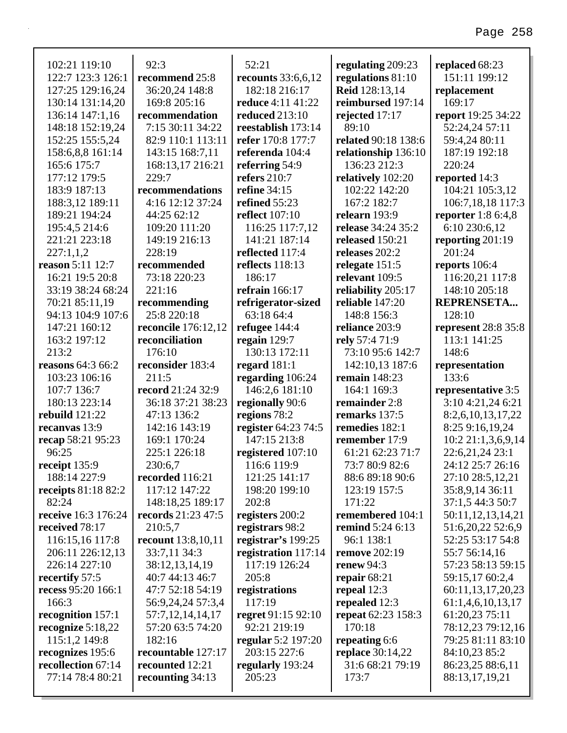#### $92:3$ 52:21 regulating 209:23 replaced 68:23 recounts  $33:6.6.12$  regulations  $81:10$ recommend 25:8 36:20.24 148:8  $182:$ reduce 169:8 205:16 reduce recommendation 7:15 30:11 34:22 reestal refer 1 82:9 110:1 113:11 referer 143:15 168:7,11

136:14 147:1,16 148:18 152:19,24 152:25 155:5,24 158:6,8,8 161:14 165:6 175:7 168:13.17 216:21 177:12 179:5 229:7 183:9 187:13 recommendations 4:16 12:12 37:24 188:3,12 189:11 189:21 194:24 44:25 62:12 195:4,5 214:6 109:20 111:20 221:21 223:18 149:19 216:13  $227:1,1,2$  $228:19$ reason 5:11 12:7 recommended 16:21 19:5 20:8 73:18 220:23 33:19 38:24 68:24  $221:16$ 70:21 85:11.19 recommending 94:13 104:9 107:6 25:8 220:18  $147:21$  160:12 **reconcile** 176:12.12 163:2 197:12 reconciliation  $213:2$  $176:10$ reasons  $64:366:2$ reconsider 183:4 103:23 106:16  $211:5$ 107:7 136:7 **record** 21:24 32:9 180:13 223:14 36:18 37:21 38:23 rebuild  $121:22$ 47:13 136:2 142:16 143:19 recanvas 13:9 recap 58:21 95:23  $169:1170:24$ 96:25 225:1 226:18 receipt  $135:9$ 230:6.7 188:14 227:9 recorded 116:21 **receipts** 81:18 82:2 117:12 147:22 82:24 148:18,25 189:17 receive 16:3 176:24 records 21:23 47:5 received 78:17 210:5.7 **recount** 13:8,10,11 116:15,16 117:8 206:11 226:12.13 33:7,11 34:3 226:14 227:10 38:12,13,14,19 recertify 57:5 40:7 44:13 46:7 recess 95:20 166:1 47:7 52:18 54:19  $166:3$ 56:9,24,24 57:3,4 recognition 157:1 57:7,12,14,14,17 57:20 63:5 74:20 recognize  $5:18,22$ 115:1,2 149:8 182:16 recognizes 195:6 recountable 127:17 recollection 67:14 recounted 12:21 77:14 78:4 80:21 recounting  $34:13$ 

102:21 119:10

122:7 123:3 126:1

127:25 129:16.24

130:14 131:14.20

| 182:18 216:17         | <b>Reid</b> 128:13,14     | replacement         |
|-----------------------|---------------------------|---------------------|
| reduce 4:11 41:22     | reimbursed 197:14         | 169:17              |
| <b>reduced</b> 213:10 | rejected 17:17            | report 19:25 34:22  |
| reestablish 173:14    | 89:10                     | 52:24,24 57:11      |
| refer 170:8 177:7     | related 90:18 138:6       | 59:4,24 80:11       |
| referenda 104:4       | relationship 136:10       | 187:19 192:18       |
| referring 54:9        | 136:23 212:3              | 220:24              |
| refers $210:7$        | relatively 102:20         | reported 14:3       |
| refine $34:15$        | 102:22 142:20             | 104:21 105:3,12     |
| refined 55:23         | 167:2 182:7               | 106:7,18,18 117:3   |
| reflect 107:10        | relearn 193:9             | reporter $1:86:4,8$ |
| 116:25 117:7,12       | release 34:24 35:2        | 6:10 230:6,12       |
| 141:21 187:14         | released 150:21           | reporting 201:19    |
| reflected 117:4       | releases 202:2            | 201:24              |
| reflects 118:13       | relegate 151:5            | reports 106:4       |
| 186:17                | relevant 109:5            | 116:20,21 117:8     |
| refrain $166:17$      | reliability 205:17        | 148:10 205:18       |
| refrigerator-sized    | reliable 147:20           | <b>REPRENSETA</b>   |
| 63:18 64:4            | 148:8 156:3               | 128:10              |
| refugee 144:4         | reliance 203:9            | represent 28:8 35:8 |
| regain $129:7$        | rely 57:4 71:9            | 113:1 141:25        |
| 130:13 172:11         | 73:10 95:6 142:7          | 148:6               |
| regard $181:1$        | 142:10,13 187:6           | representation      |
| regarding 106:24      | remain $148:23$           | 133:6               |
| 146:2,6 181:10        | 164:1 169:3               | representative 3:5  |
| regionally 90:6       | remainder 2:8             | 3:10 4:21,24 6:21   |
| regions 78:2          | remarks 137:5             | 8:2,6,10,13,17,22   |
| register 64:23 74:5   | remedies 182:1            | 8:25 9:16,19,24     |
| 147:15 213:8          | remember 17:9             | 10:2 21:1,3,6,9,14  |
|                       |                           |                     |
| registered 107:10     | 61:21 62:23 71:7          | 22:6,21,24 23:1     |
| 116:6 119:9           | 73:7 80:9 82:6            | 24:12 25:7 26:16    |
| 121:25 141:17         | 88:6 89:18 90:6           | 27:10 28:5,12,21    |
| 198:20 199:10         | 123:19 157:5              | 35:8,9,14 36:11     |
| 202:8                 | 171:22                    | 37:1,5 44:3 50:7    |
| registers 200:2       | remembered 104:1          | 50:11,12,13,14,21   |
| registrars 98:2       | <b>remind</b> 5:24 6:13   | 51:6,20,22 52:6,9   |
| registrar's 199:25    | 96:1 138:1                | 52:25 53:17 54:8    |
| registration 117:14   | <b>remove</b> 202:19      | 55:7 56:14,16       |
| 117:19 126:24         | renew $94:3$              | 57:23 58:13 59:15   |
| 205:8                 | repair $68:21$            | 59:15,17 60:2,4     |
| registrations         | repeal $12:3$             | 60:11,13,17,20,23   |
| 117:19                | repealed 12:3             | 61:1,4,6,10,13,17   |
| regret 91:15 92:10    | <b>repeat</b> 62:23 158:3 | 61:20,23 75:11      |
| 92:21 219:19          | 170:18                    | 78:12,23 79:12,16   |
| regular 5:2 197:20    | repeating 6:6             | 79:25 81:11 83:10   |
| 203:15 227:6          | <b>replace</b> 30:14,22   | 84:10,23 85:2       |
| regularly 193:24      | 31:6 68:21 79:19          | 86:23,25 88:6,11    |
| 205:23                | 173:7                     | 88:13,17,19,21      |

151:11 199:12 **lacement** 69:17 ort 19:25 34:22 2:24,24 57:11 9:4,24 80:11 87:19 192:18 20:24 orted  $14:3$ 04:21 105:3.12 06:7,18,18 117:3 **orter** 1:8 6:4.8  $:10230:6,12$ orting  $201:19$ 01:24 **orts** 106:4 16:20,21 117:8 48:10 205:18 PRENSETA... 28:10 resent 28:8 35:8 13:1 141:25 48:6 resentation 33:6 resentative 3:5 :10 4:21,24 6:21  $:2.6.10.13.17.22$  $:259:16,19,24$  $0:221:1,3,6,9,14$ 2:6,21,24 23:1 4:12 25:7 26:16 7:10 28:5,12,21 5:8,9,14 36:11 7:1,5 44:3 50:7  $0:11,12,13,14,21$  $1:6,20,22$  52:6,9 2:25 53:17 54:8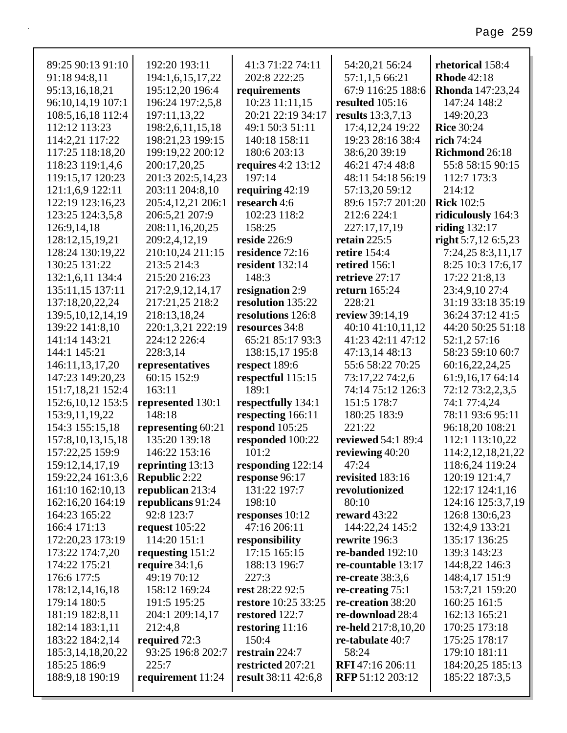| 89:25 90:13 91:10     | 192:20 193:11        | 41:3 71:22 74:11     | 54:20,21 56:24            | rhetorical 158:4        |
|-----------------------|----------------------|----------------------|---------------------------|-------------------------|
| 91:18 94:8,11         | 194:1,6,15,17,22     | 202:8 222:25         | 57:1,1,5 66:21            | <b>Rhode 42:18</b>      |
| 95:13,16,18,21        | 195:12,20 196:4      | requirements         | 67:9 116:25 188:6         | <b>Rhonda</b> 147:23,24 |
| 96:10,14,19 107:1     | 196:24 197:2,5,8     | 10:23 11:11,15       | resulted 105:16           | 147:24 148:2            |
| 108:5,16,18 112:4     | 197:11,13,22         | 20:21 22:19 34:17    | results 13:3,7,13         | 149:20,23               |
| 112:12 113:23         | 198:2,6,11,15,18     | 49:1 50:3 51:11      | 17:4,12,24 19:22          | <b>Rice 30:24</b>       |
| 114:2,21 117:22       | 198:21,23 199:15     | 140:18 158:11        | 19:23 28:16 38:4          | rich 74:24              |
| 117:25 118:18,20      | 199:19,22 200:12     | 180:6 203:13         | 38:6,20 39:19             | Richmond 26:18          |
| 118:23 119:1,4,6      | 200:17,20,25         | requires $4:2$ 13:12 | 46:21 47:4 48:8           | 55:8 58:15 90:15        |
| 119:15,17 120:23      | 201:3 202:5,14,23    | 197:14               | 48:11 54:18 56:19         | 112:7 173:3             |
| 121:1,6,9 122:11      | 203:11 204:8,10      | requiring $42:19$    | 57:13,20 59:12            | 214:12                  |
| 122:19 123:16,23      | 205:4,12,21 206:1    | research 4:6         | 89:6 157:7 201:20         | <b>Rick 102:5</b>       |
| 123:25 124:3,5,8      | 206:5,21 207:9       | 102:23 118:2         | 212:6 224:1               | ridiculously 164:3      |
| 126:9,14,18           | 208:11,16,20,25      | 158:25               | 227:17,17,19              | riding 132:17           |
| 128:12,15,19,21       | 209:2,4,12,19        | reside 226:9         | retain $225:5$            | right $5:7,12$ 6:5,23   |
| 128:24 130:19,22      | 210:10,24 211:15     | residence 72:16      | <b>retire</b> 154:4       | 7:24,25 8:3,11,17       |
| 130:25 131:22         | 213:5 214:3          | resident 132:14      | retired 156:1             | 8:25 10:3 17:6,17       |
| 132:1,6,11 134:4      | 215:20 216:23        | 148:3                | retrieve 27:17            | 17:22 21:8,13           |
| 135:11,15 137:11      | 217:2,9,12,14,17     | resignation 2:9      | return 165:24             | 23:4,9,10 27:4          |
| 137:18,20,22,24       | 217:21,25 218:2      | resolution 135:22    | 228:21                    | 31:19 33:18 35:19       |
| 139:5, 10, 12, 14, 19 | 218:13,18,24         | resolutions 126:8    | review 39:14,19           | 36:24 37:12 41:5        |
| 139:22 141:8,10       | 220:1,3,21 222:19    | resources 34:8       | 40:10 41:10,11,12         | 44:20 50:25 51:18       |
| 141:14 143:21         | 224:12 226:4         | 65:21 85:17 93:3     | 41:23 42:11 47:12         | 52:1,2 57:16            |
| 144:1 145:21          | 228:3,14             | 138:15,17 195:8      | 47:13,14 48:13            | 58:23 59:10 60:7        |
| 146:11,13,17,20       | representatives      | respect 189:6        | 55:6 58:22 70:25          | 60:16,22,24,25          |
| 147:23 149:20,23      | 60:15 152:9          | respectful 115:15    | 73:17,22 74:2,6           | 61:9,16,17 64:14        |
| 151:7,18,21 152:4     | 163:11               | 189:1                | 74:14 75:12 126:3         | 72:12 73:2,2,3,5        |
| 152:6, 10, 12 153:5   | represented 130:1    | respectfully 134:1   | 151:5 178:7               | 74:1 77:4,24            |
| 153:9, 11, 19, 22     | 148:18               | respecting 166:11    | 180:25 183:9              | 78:11 93:6 95:11        |
| 154:3 155:15,18       | representing 60:21   | respond 105:25       | 221:22                    | 96:18,20 108:21         |
| 157:8, 10, 13, 15, 18 | 135:20 139:18        | responded 100:22     | <b>reviewed</b> 54:1 89:4 | 112:1 113:10,22         |
| 157:22,25 159:9       | 146:22 153:16        | 101:2                | reviewing 40:20           | 114:2, 12, 18, 21, 22   |
| 159:12,14,17,19       | reprinting 13:13     | responding 122:14    | 47:24                     | 118:6,24 119:24         |
| 159:22,24 161:3,6     | <b>Republic 2:22</b> | response 96:17       | revisited 183:16          | 120:19 121:4,7          |
| 161:10 162:10,13      | republican 213:4     | 131:22 197:7         | revolutionized            | 122:17 124:1,16         |
| 162:16,20 164:19      | republicans 91:24    | 198:10               | 80:10                     | 124:16 125:3,7,19       |
| 164:23 165:22         | 92:8 123:7           | responses 10:12      | reward $43:22$            | 126:8 130:6,23          |
| 166:4 171:13          | request $105:22$     | 47:16 206:11         | 144:22,24 145:2           | 132:4,9 133:21          |
| 172:20,23 173:19      | 114:20 151:1         | responsibility       | rewrite 196:3             | 135:17 136:25           |
| 173:22 174:7,20       | requesting $151:2$   | 17:15 165:15         | re-banded $192:10$        | 139:3 143:23            |
| 174:22 175:21         | require $34:1,6$     | 188:13 196:7         | re-countable 13:17        | 144:8,22 146:3          |
| 176:6 177:5           | 49:19 70:12          | 227:3                | re-create $38:3,6$        | 148:4,17 151:9          |
| 178:12,14,16,18       | 158:12 169:24        | rest 28:22 92:5      | re-creating $75:1$        | 153:7,21 159:20         |
| 179:14 180:5          | 191:5 195:25         | restore 10:25 33:25  | re-creation 38:20         | 160:25 161:5            |
| 181:19 182:8,11       | 204:1 209:14,17      | restored 122:7       | re-download 28:4          | 162:13 165:21           |
| 182:14 183:1,11       | 212:4,8              | restoring $11:16$    | re-held 217:8,10,20       | 170:25 173:18           |
| 183:22 184:2,14       | required 72:3        | 150:4                | re-tabulate 40:7          | 175:25 178:17           |
| 185:3,14,18,20,22     | 93:25 196:8 202:7    | restrain 224:7       | 58:24                     | 179:10 181:11           |
| 185:25 186:9          | 225:7                | restricted 207:21    | RFI 47:16 206:11          | 184:20,25 185:13        |
| 188:9,18 190:19       | requirement 11:24    | result 38:11 42:6,8  | RFP 51:12 203:12          | 185:22 187:3,5          |
|                       |                      |                      |                           |                         |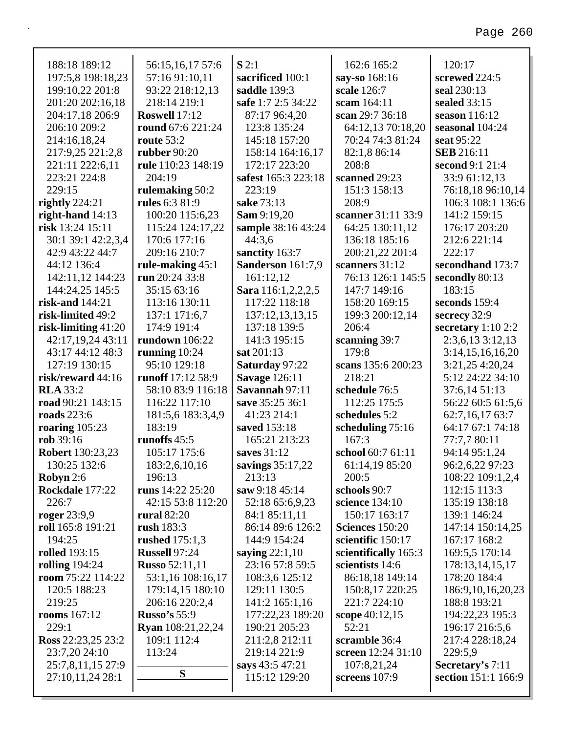| 188:18 189:12           | 56:15,16,17 57:6         | S2:1                 | 162:6 165:2            | 120:17                |
|-------------------------|--------------------------|----------------------|------------------------|-----------------------|
| 197:5,8 198:18,23       | 57:16 91:10,11           | sacrificed 100:1     | say-so 168:16          | screwed 224:5         |
| 199:10,22 201:8         | 93:22 218:12,13          | saddle 139:3         | scale 126:7            | seal 230:13           |
| 201:20 202:16,18        | 218:14 219:1             | safe 1:7 2:5 34:22   | scam 164:11            | sealed 33:15          |
| 204:17,18 206:9         | Roswell 17:12            | 87:17 96:4,20        | scan 29:7 36:18        | season $116:12$       |
| 206:10 209:2            | round 67:6 221:24        | 123:8 135:24         | 64:12,13 70:18,20      | seasonal 104:24       |
| 214:16,18,24            | route 53:2               | 145:18 157:20        | 70:24 74:3 81:24       | seat 95:22            |
| 217:9,25 221:2,8        | <b>rubber</b> 90:20      | 158:14 164:16,17     | 82:1,8 86:14           | <b>SEB</b> 216:11     |
| 221:11 222:6,11         | rule 110:23 148:19       | 172:17 223:20        | 208:8                  | second 9:1 21:4       |
| 223:21 224:8            | 204:19                   | safest 165:3 223:18  | scanned 29:23          | 33:9 61:12,13         |
| 229:15                  | rulemaking 50:2          | 223:19               | 151:3 158:13           | 76:18,18 96:10,14     |
| rightly $224:21$        | rules 6:3 81:9           | sake 73:13           | 208:9                  | 106:3 108:1 136:6     |
| right-hand $14:13$      | 100:20 115:6,23          | <b>Sam</b> 9:19,20   | scanner 31:11 33:9     | 141:2 159:15          |
| risk 13:24 15:11        | 115:24 124:17,22         | sample 38:16 43:24   | 64:25 130:11,12        | 176:17 203:20         |
| 30:1 39:1 42:2,3,4      | 170:6 177:16             | 44:3,6               | 136:18 185:16          | 212:6 221:14          |
| 42:9 43:22 44:7         | 209:16 210:7             | sanctity 163:7       | 200:21,22 201:4        | 222:17                |
| 44:12 136:4             | rule-making 45:1         | Sanderson 161:7,9    | scanners 31:12         | secondhand 173:7      |
| 142:11,12 144:23        | run 20:24 33:8           | 161:12,12            | 76:13 126:1 145:5      | secondly 80:13        |
| 144:24,25 145:5         | 35:15 63:16              | Sara 116:1,2,2,2,5   | 147:7 149:16           | 183:15                |
| risk-and 144:21         | 113:16 130:11            | 117:22 118:18        | 158:20 169:15          | seconds 159:4         |
| risk-limited 49:2       | 137:1 171:6,7            | 137:12,13,13,15      | 199:3 200:12,14        | secrecy 32:9          |
| risk-limiting $41:20$   | 174:9 191:4              | 137:18 139:5         | 206:4                  | secretary $1:10$ 2:2  |
| 42:17,19,24 43:11       | <b>rundown</b> 106:22    | 141:3 195:15         | scanning 39:7          | $2:3,6,13$ 3:12,13    |
| 43:17 44:12 48:3        | running $10:24$          | sat 201:13           | 179:8                  | 3:14,15,16,16,20      |
| 127:19 130:15           | 95:10 129:18             | Saturday 97:22       | scans 135:6 200:23     | 3:21,25 4:20,24       |
| risk/reward 44:16       | runoff 17:12 58:9        | <b>Savage 126:11</b> | 218:21                 | 5:12 24:22 34:10      |
| <b>RLA</b> 33:2         | 58:10 83:9 116:18        | Savannah 97:11       | schedule 76:5          | 37:6,14 51:13         |
| road 90:21 143:15       | 116:22 117:10            | save 35:25 36:1      | 112:25 175:5           | 56:22 60:5 61:5,6     |
| <b>roads</b> 223:6      | 181:5,6 183:3,4,9        | 41:23 214:1          | schedules 5:2          | 62:7,16,17 63:7       |
| roaring $105:23$        | 183:19                   | saved 153:18         | scheduling 75:16       | 64:17 67:1 74:18      |
| rob 39:16               | runoffs 45:5             | 165:21 213:23        | 167:3                  | 77:7,7 80:11          |
| <b>Robert</b> 130:23,23 | 105:17 175:6             | saves 31:12          | school 60:7 61:11      | 94:14 95:1,24         |
| 130:25 132:6            | 183:2,6,10,16            | savings 35:17,22     | 61:14,19 85:20         | 96:2,6,22 97:23       |
| Robyn 2:6               | 196:13                   | 213:13               | 200:5                  | 108:22 109:1,2,4      |
| Rockdale 177:22         | runs 14:22 25:20         | saw 9:18 45:14       | schools 90:7           | 112:15 113:3          |
| 226:7                   | 42:15 53:8 112:20        | 52:18 65:6,9,23      | science 134:10         | 135:19 138:18         |
| roger $23:9,9$          | rural $82:20$            | 84:1 85:11,11        | 150:17 163:17          | 139:1 146:24          |
| roll 165:8 191:21       | rush $183:3$             | 86:14 89:6 126:2     | <b>Sciences</b> 150:20 | 147:14 150:14,25      |
| 194:25                  | rushed $175:1,3$         | 144:9 154:24         | scientific 150:17      | 167:17 168:2          |
| <b>rolled</b> 193:15    | <b>Russell 97:24</b>     | saying $22:1,10$     | scientifically 165:3   | 169:5,5 170:14        |
| rolling $194:24$        | <b>Russo 52:11,11</b>    | 23:16 57:8 59:5      | scientists 14:6        | 178:13,14,15,17       |
| room 75:22 114:22       | 53:1,16 108:16,17        | 108:3,6 125:12       | 86:18,18 149:14        | 178:20 184:4          |
| 120:5 188:23            | 179:14,15 180:10         | 129:11 130:5         | 150:8,17 220:25        | 186:9, 10, 16, 20, 23 |
| 219:25                  | 206:16 220:2,4           | 141:2 165:1,16       | 221:7 224:10           | 188:8 193:21          |
| <b>rooms</b> 167:12     | <b>Russo's</b> 55:9      | 177:22,23 189:20     | scope $40:12,15$       | 194:22,23 195:3       |
| 229:1                   | <b>Ryan</b> 108:21,22,24 | 190:21 205:23        | 52:21                  | 196:17 216:5,6        |
| Ross 22:23,25 23:2      | 109:1 112:4              | 211:2,8 212:11       | scramble 36:4          | 217:4 228:18,24       |
| 23:7,20 24:10           | 113:24                   | 219:14 221:9         | screen 12:24 31:10     | 229:5,9               |
| 25:7,8,11,15 27:9       | S                        | says 43:5 47:21      | 107:8,21,24            | Secretary's 7:11      |
| 27:10,11,24 28:1        |                          | 115:12 129:20        | screens $107:9$        | section 151:1 166:9   |
|                         |                          |                      |                        |                       |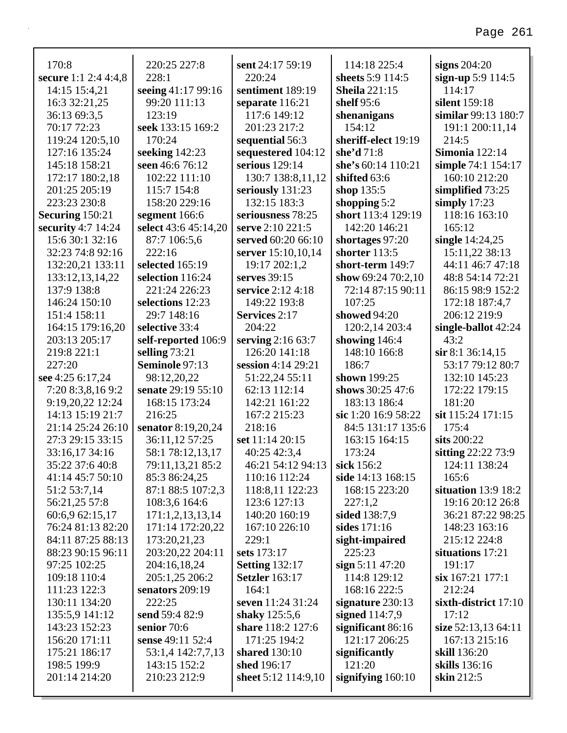| 170:8                            | 220:25 227:8                | sent 24:17 59:19                      | 114:18 225:4                  | signs $204:20$                       |
|----------------------------------|-----------------------------|---------------------------------------|-------------------------------|--------------------------------------|
| secure 1:1 2:4 4:4,8             | 228:1                       | 220:24                                | sheets 5:9 114:5              | sign-up $5:9$ 114:5                  |
| 14:15 15:4,21                    | seeing 41:17 99:16          | sentiment 189:19                      | <b>Sheila</b> 221:15          | 114:17                               |
| 16:3 32:21,25                    | 99:20 111:13                | separate 116:21                       | shelf $95:6$                  | silent 159:18<br>similar 99:13 180:7 |
| 36:13 69:3,5                     | 123:19                      | 117:6 149:12                          | shenanigans                   |                                      |
| 70:17 72:23                      | seek 133:15 169:2<br>170:24 | 201:23 217:2                          | 154:12<br>sheriff-elect 19:19 | 191:1 200:11,14<br>214:5             |
| 119:24 120:5,10<br>127:16 135:24 | seeking $142:23$            | sequential 56:3                       | she'd 71:8                    | <b>Simonia</b> 122:14                |
| 145:18 158:21                    | seen 46:6 76:12             | sequestered 104:12<br>serious 129:14  | she's 60:14 110:21            |                                      |
| 172:17 180:2,18                  | 102:22 111:10               |                                       | shifted 63:6                  | simple 74:1 154:17<br>160:10 212:20  |
| 201:25 205:19                    | 115:7 154:8                 | 130:7 138:8,11,12<br>seriously 131:23 | shop 135:5                    | simplified 73:25                     |
| 223:23 230:8                     | 158:20 229:16               | 132:15 183:3                          | shopping $5:2$                | simply $17:23$                       |
| Securing 150:21                  | segment 166:6               | seriousness 78:25                     | short 113:4 129:19            | 118:16 163:10                        |
| security 4:7 14:24               | select 43:6 45:14,20        | serve 2:10 221:5                      | 142:20 146:21                 | 165:12                               |
| 15:6 30:1 32:16                  | 87:7 106:5,6                | served 60:20 66:10                    | shortages 97:20               | single $14:24,25$                    |
| 32:23 74:8 92:16                 | 222:16                      | server 15:10,10,14                    | shorter $113:5$               | 15:11,22 38:13                       |
| 132:20,21 133:11                 | selected 165:19             | 19:17 202:1,2                         | short-term 149:7              | 44:11 46:7 47:18                     |
| 133:12,13,14,22                  | selection 116:24            | serves 39:15                          | show $69:2470:2,10$           | 48:8 54:14 72:21                     |
| 137:9 138:8                      | 221:24 226:23               | service 2:12 4:18                     | 72:14 87:15 90:11             | 86:15 98:9 152:2                     |
| 146:24 150:10                    | selections 12:23            | 149:22 193:8                          | 107:25                        | 172:18 187:4,7                       |
| 151:4 158:11                     | 29:7 148:16                 | Services 2:17                         | showed 94:20                  | 206:12 219:9                         |
| 164:15 179:16,20                 | selective 33:4              | 204:22                                | 120:2,14 203:4                | single-ballot 42:24                  |
| 203:13 205:17                    | self-reported 106:9         | serving $2:1663:7$                    | showing $146:4$               | 43:2                                 |
| 219:8 221:1                      | selling $73:21$             | 126:20 141:18                         | 148:10 166:8                  | $\sin 8:136:14,15$                   |
| 227:20                           | Seminole 97:13              | session 4:14 29:21                    | 186:7                         | 53:17 79:12 80:7                     |
| see 4:25 6:17,24                 | 98:12,20,22                 | 51:22,24 55:11                        | shown 199:25                  | 132:10 145:23                        |
| 7:20 8:3,8,16 9:2                | senate 29:19 55:10          | 62:13 112:14                          | shows 30:25 47:6              | 172:22 179:15                        |
| 9:19,20,22 12:24                 | 168:15 173:24               | 142:21 161:22                         | 183:13 186:4                  | 181:20                               |
| 14:13 15:19 21:7                 | 216:25                      | 167:2 215:23                          | sic 1:20 16:9 58:22           | sit 115:24 171:15                    |
| 21:14 25:24 26:10                | senator 8:19,20,24          | 218:16                                | 84:5 131:17 135:6             | 175:4                                |
| 27:3 29:15 33:15                 | 36:11,12 57:25              | set 11:14 20:15                       | 163:15 164:15                 | sits 200:22                          |
| 33:16,17 34:16                   | 58:1 78:12,13,17            | 40:25 42:3,4                          | 173:24                        | sitting 22:22 73:9                   |
| 35:22 37:6 40:8                  | 79:11,13,21 85:2            | 46:21 54:12 94:13   sick 156:2        |                               | 124:11 138:24                        |
| 41:14 45:7 50:10                 | 85:3 86:24,25               | 110:16 112:24                         | side 14:13 168:15             | 165:6                                |
| 51:2 53:7,14                     | 87:1 88:5 107:2,3           | 118:8,11 122:23                       | 168:15 223:20                 | situation $13:9$ $18:2$              |
| 56:21,25 57:8                    | 108:3,6 164:6               | 123:6 127:13                          | 227:1,2                       | 19:16 20:12 26:8                     |
| 60:6,9 62:15,17                  | 171:1,2,13,13,14            | 140:20 160:19                         | sided 138:7,9                 | 36:21 87:22 98:25                    |
| 76:24 81:13 82:20                | 171:14 172:20,22            | 167:10 226:10                         | sides 171:16                  | 148:23 163:16                        |
| 84:11 87:25 88:13                | 173:20,21,23                | 229:1                                 | sight-impaired                | 215:12 224:8                         |
| 88:23 90:15 96:11                | 203:20,22 204:11            | sets 173:17                           | 225:23                        | situations 17:21                     |
| 97:25 102:25                     | 204:16,18,24                | <b>Setting 132:17</b>                 | sign $5:11\,47:20$            | 191:17                               |
| 109:18 110:4                     | 205:1,25 206:2              | <b>Setzler</b> 163:17                 | 114:8 129:12                  | six 167:21 177:1                     |
| 111:23 122:3                     | senators 209:19             | 164:1                                 | 168:16 222:5                  | 212:24                               |
| 130:11 134:20                    | 222:25                      | seven 11:24 31:24                     | signature $230:13$            | sixth-district 17:10                 |
| 135:5,9 141:12                   | send 59:4 82:9              | shaky 125:5,6                         | signed $114:7,9$              | 17:12                                |
| 143:23 152:23                    | senior 70:6                 | share 118:2 127:6                     | significant $86:16$           | size 52:13,13 64:11                  |
| 156:20 171:11                    | sense 49:11 52:4            | 171:25 194:2                          | 121:17 206:25                 | 167:13 215:16                        |
| 175:21 186:17                    | 53:1,4 142:7,7,13           | <b>shared</b> 130:10                  | significantly                 | <b>skill</b> 136:20                  |
| 198:5 199:9                      | 143:15 152:2                | shed 196:17                           | 121:20                        | skills 136:16                        |
| 201:14 214:20                    | 210:23 212:9                | sheet 5:12 114:9,10                   | signifying $160:10$           | skin 212:5                           |
|                                  |                             |                                       |                               |                                      |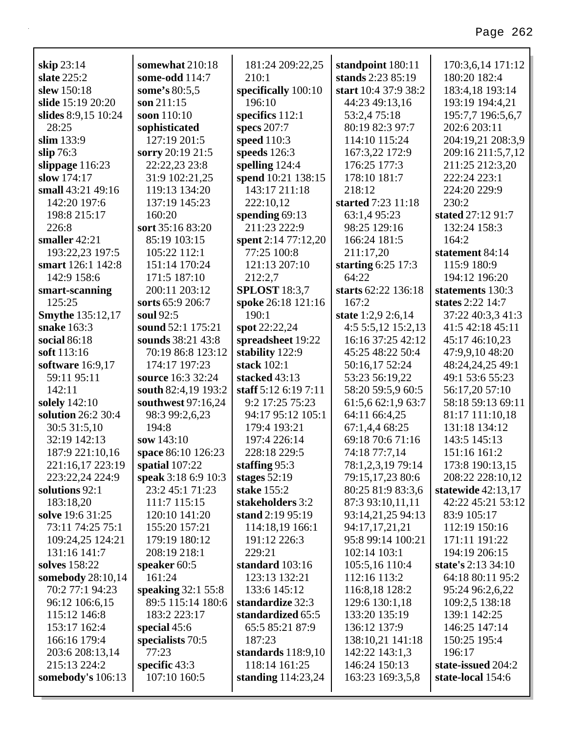| skip 23:14              | somewhat 210:18     | 181:24 209:22,25     | standpoint 180:11    | 170:3,6,14 171:12    |
|-------------------------|---------------------|----------------------|----------------------|----------------------|
| slate 225:2             | some-odd 114:7      | 210:1                | stands 2:23 85:19    | 180:20 182:4         |
| slew 150:18             | some's 80:5,5       | specifically 100:10  | start 10:4 37:9 38:2 | 183:4,18 193:14      |
| slide 15:19 20:20       | son $211:15$        | 196:10               | 44:23 49:13,16       | 193:19 194:4,21      |
| slides 8:9,15 10:24     | soon 110:10         | specifics 112:1      | 53:2,475:18          | 195:7,7 196:5,6,7    |
| 28:25                   | sophisticated       | specs 207:7          | 80:19 82:3 97:7      | 202:6 203:11         |
| slim 133:9              | 127:19 201:5        | speed 110:3          | 114:10 115:24        | 204:19,21 208:3,9    |
| slip $76:3$             | sorry 20:19 21:5    | speeds 126:3         | 167:3,22 172:9       | 209:16 211:5,7,12    |
| slippage $116:23$       | 22:22,23 23:8       | spelling $124:4$     | 176:25 177:3         | 211:25 212:3,20      |
| slow 174:17             | 31:9 102:21,25      | spend 10:21 138:15   | 178:10 181:7         | 222:24 223:1         |
| small 43:21 49:16       | 119:13 134:20       | 143:17 211:18        | 218:12               | 224:20 229:9         |
| 142:20 197:6            | 137:19 145:23       | 222:10,12            | started 7:23 11:18   | 230:2                |
| 198:8 215:17            | 160:20              | spending $69:13$     | 63:1,4 95:23         | stated 27:12 91:7    |
| 226:8                   | sort 35:16 83:20    | 211:23 222:9         | 98:25 129:16         | 132:24 158:3         |
| smaller $42:21$         | 85:19 103:15        | spent 2:14 77:12,20  | 166:24 181:5         | 164:2                |
| 193:22,23 197:5         | 105:22 112:1        | 77:25 100:8          | 211:17,20            | statement 84:14      |
| smart 126:1 142:8       | 151:14 170:24       | 121:13 207:10        | starting $6:25$ 17:3 | 115:9 180:9          |
| 142:9 158:6             | 171:5 187:10        | 212:2,7              | 64:22                | 194:12 196:20        |
| smart-scanning          | 200:11 203:12       | <b>SPLOST</b> 18:3,7 | starts 62:22 136:18  | statements 130:3     |
| 125:25                  | sorts 65:9 206:7    | spoke 26:18 121:16   | 167:2                | states 2:22 14:7     |
| <b>Smythe 135:12,17</b> | soul 92:5           | 190:1                | state 1:2,9 2:6,14   | 37:22 40:3.3 41:3    |
| snake 163:3             | sound 52:1 175:21   | spot 22:22,24        | 4:5 5:5,12 15:2,13   | 41:5 42:18 45:11     |
| social 86:18            | sounds 38:21 43:8   | spreadsheet 19:22    | 16:16 37:25 42:12    | 45:17 46:10,23       |
| soft 113:16             | 70:19 86:8 123:12   | stability 122:9      | 45:25 48:22 50:4     | 47:9,9,10 48:20      |
| software 16:9,17        | 174:17 197:23       | stack 102:1          | 50:16,17 52:24       | 48:24,24,25 49:1     |
| 59:11 95:11             | source 16:3 32:24   | stacked 43:13        | 53:23 56:19,22       | 49:1 53:6 55:23      |
| 142:11                  | south 82:4,19 193:2 | staff 5:12 6:19 7:11 | 58:20 59:5,9 60:5    | 56:17,20 57:10       |
| solely 142:10           | southwest 97:16,24  | 9:2 17:25 75:23      | 61:5,6 62:1,9 63:7   | 58:18 59:13 69:11    |
| solution 26:2 30:4      | 98:3 99:2,6,23      | 94:17 95:12 105:1    | 64:11 66:4,25        | 81:17 111:10,18      |
| 30:5 31:5,10            | 194:8               | 179:4 193:21         | 67:1,4,4 68:25       | 131:18 134:12        |
| 32:19 142:13            | sow 143:10          | 197:4 226:14         | 69:18 70:6 71:16     | 143:5 145:13         |
| 187:9 221:10,16         | space 86:10 126:23  | 228:18 229:5         | 74:18 77:7,14        | 151:16 161:2         |
| 221:16,17 223:19        | spatial 107:22      | staffing 95:3        | 78:1,2,3,19 79:14    | 173:8 190:13,15      |
| 223:22,24 224:9         | speak 3:18 6:9 10:3 | stages $52:19$       | 79:15,17,23 80:6     | 208:22 228:10,12     |
| solutions 92:1          | 23:2 45:1 71:23     | stake 155:2          | 80:25 81:9 83:3,6    | statewide $42:13,17$ |
| 183:18,20               | 111:7 115:15        | stakeholders 3:2     | 87:3 93:10,11,11     | 42:22 45:21 53:12    |
| solve 19:6 31:25        | 120:10 141:20       | stand 2:19 95:19     | 93:14,21,25 94:13    | 83:9 105:17          |
| 73:11 74:25 75:1        | 155:20 157:21       | 114:18,19 166:1      | 94:17,17,21,21       | 112:19 150:16        |
| 109:24,25 124:21        | 179:19 180:12       | 191:12 226:3         | 95:8 99:14 100:21    | 171:11 191:22        |
| 131:16 141:7            | 208:19 218:1        | 229:21               | 102:14 103:1         | 194:19 206:15        |
| solves 158:22           | speaker 60:5        | standard 103:16      | 105:5,16 110:4       | state's 2:13 34:10   |
| somebody 28:10,14       | 161:24              | 123:13 132:21        | 112:16 113:2         | 64:18 80:11 95:2     |
| 70:2 77:1 94:23         | speaking 32:1 55:8  | 133:6 145:12         | 116:8,18 128:2       | 95:24 96:2,6,22      |
| 96:12 106:6,15          | 89:5 115:14 180:6   | standardize 32:3     | 129:6 130:1,18       | 109:2,5 138:18       |
| 115:12 146:8            | 183:2 223:17        | standardized 65:5    | 133:20 135:19        | 139:1 142:25         |
| 153:17 162:4            | special $45:6$      | 65:5 85:21 87:9      | 136:12 137:9         | 146:25 147:14        |
| 166:16 179:4            | specialists 70:5    | 187:23               | 138:10,21 141:18     | 150:25 195:4         |
| 203:6 208:13,14         | 77:23               | standards $118:9,10$ | 142:22 143:1,3       | 196:17               |
| 215:13 224:2            | specific $43:3$     | 118:14 161:25        | 146:24 150:13        | state-issued 204:2   |
| somebody's 106:13       | 107:10 160:5        | standing 114:23,24   | 163:23 169:3,5,8     | state-local 154:6    |
|                         |                     |                      |                      |                      |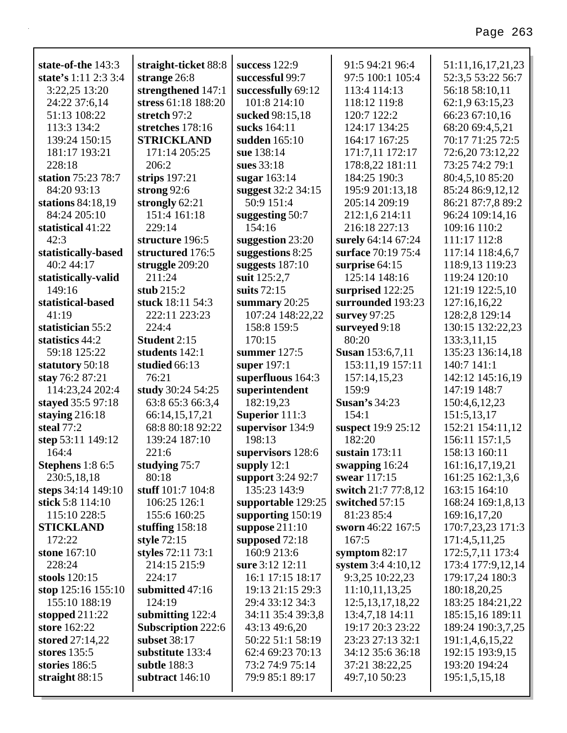| state-of-the 143:3              | straight-ticket 88:8             | success 122:9                      | 91:5 94:21 96:4         | 51:11,16,17,21,23              |
|---------------------------------|----------------------------------|------------------------------------|-------------------------|--------------------------------|
| state's 1:11 2:3 3:4            | strange 26:8                     | successful 99:7                    | 97:5 100:1 105:4        | 52:3,5 53:22 56:7              |
| 3:22,25 13:20                   | strengthened 147:1               | successfully 69:12                 | 113:4 114:13            | 56:18 58:10,11                 |
| 24:22 37:6,14                   | stress 61:18 188:20              | 101:8 214:10                       | 118:12 119:8            | 62:1,9 63:15,23                |
| 51:13 108:22                    | stretch 97:2                     | sucked 98:15,18                    | 120:7 122:2             | 66:23 67:10,16                 |
| 113:3 134:2                     | stretches 178:16                 | sucks 164:11                       | 124:17 134:25           | 68:20 69:4,5,21                |
| 139:24 150:15                   | <b>STRICKLAND</b>                | sudden 165:10                      | 164:17 167:25           | 70:17 71:25 72:5               |
| 181:17 193:21                   | 171:14 205:25                    | sue 138:14                         | 171:7,11 172:17         | 72:6,20 73:12,22               |
| 228:18                          | 206:2                            | sues 33:18                         | 178:8,22 181:11         | 73:25 74:2 79:1                |
| station 75:23 78:7              | strips $197:21$                  | sugar 163:14                       | 184:25 190:3            | 80:4,5,10 85:20                |
| 84:20 93:13                     | strong $92:6$                    | suggest 32:2 34:15                 | 195:9 201:13,18         | 85:24 86:9,12,12               |
| stations 84:18,19               | strongly 62:21                   | 50:9 151:4                         | 205:14 209:19           | 86:21 87:7,8 89:2              |
| 84:24 205:10                    | 151:4 161:18                     | suggesting 50:7                    | 212:1,6 214:11          | 96:24 109:14,16                |
| statistical 41:22               | 229:14                           | 154:16                             | 216:18 227:13           | 109:16 110:2                   |
| 42:3                            | structure 196:5                  | suggestion 23:20                   | surely 64:14 67:24      | 111:17 112:8                   |
| statistically-based             | structured 176:5                 | suggestions 8:25                   | surface 70:19 75:4      | 117:14 118:4,6,7               |
| 40:2 44:17                      | struggle $209:20$                | suggests $187:10$                  | surprise 64:15          | 118:9,13 119:23                |
| statistically-valid             | 211:24                           | suit 125:2,7                       | 125:14 148:16           | 119:24 120:10                  |
| 149:16                          | stub $215:2$                     | suits $72:15$                      | surprised 122:25        | 121:19 122:5,10                |
| statistical-based               | stuck 18:11 54:3                 | summary $20:25$                    | surrounded 193:23       | 127:16,16,22                   |
| 41:19                           | 222:11 223:23                    | 107:24 148:22,22                   | survey $97:25$          | 128:2,8 129:14                 |
| statistician 55:2               | 224:4                            | 158:8 159:5                        | surveyed 9:18           | 130:15 132:22,23               |
| statistics 44:2                 | Student 2:15                     | 170:15                             | 80:20                   | 133:3,11,15                    |
| 59:18 125:22                    | students 142:1                   | summer $127:5$                     | <b>Susan</b> 153:6,7,11 | 135:23 136:14,18               |
| statutory 50:18                 | studied 66:13                    | super $197:1$                      | 153:11,19 157:11        | 140:7 141:1                    |
| stay 76:2 87:21                 | 76:21                            | superfluous 164:3                  | 157:14,15,23            | 142:12 145:16,19               |
| 114:23,24 202:4                 | study 30:24 54:25                | superintendent                     | 159:9                   | 147:19 148:7                   |
| stayed 35:5 97:18               | 63:8 65:3 66:3,4                 | 182:19,23                          | <b>Susan's 34:23</b>    | 150:4,6,12,23                  |
| staying $216:18$                | 66:14,15,17,21                   | Superior 111:3                     | 154:1                   | 151:5,13,17                    |
| steal 77:2                      | 68:8 80:18 92:22                 | supervisor 134:9                   | suspect 19:9 25:12      | 152:21 154:11,12               |
| step 53:11 149:12               | 139:24 187:10                    | 198:13                             | 182:20                  | 156:11 157:1,5                 |
| 164:4                           | 221:6                            | supervisors 128:6                  | sustain $173:11$        | 158:13 160:11                  |
| Stephens 1:8 6:5                | studying 75:7                    | supply $12:1$                      | swapping 16:24          | 161:16,17,19,21                |
| 230:5,18,18                     | 80:18                            | support 3:24 92:7                  | swear 117:15            | 161:25 162:1,3,6               |
| steps 34:14 149:10              | stuff 101:7 104:8                | 135:23 143:9                       | switch 21:7 77:8,12     | 163:15 164:10                  |
| stick 5:8 114:10                | 106:25 126:1                     | supportable 129:25                 | switched 57:15          | 168:24 169:1,8,13              |
| 115:10 228:5                    | 155:6 160:25                     | supporting 150:19                  | 81:23 85:4              | 169:16,17,20                   |
| <b>STICKLAND</b>                | stuffing $158:18$                | suppose $211:10$                   | sworn 46:22 167:5       | 170:7,23,23 171:3              |
| 172:22                          | style 72:15                      | supposed 72:18                     | 167:5                   | 171:4,5,11,25                  |
| stone 167:10                    | styles 72:11 73:1                | 160:9 213:6                        | symptom $82:17$         | 172:5,7,11 173:4               |
| 228:24                          | 214:15 215:9                     | sure 3:12 12:11                    | system 3:4 4:10,12      | 173:4 177:9,12,14              |
| stools 120:15                   | 224:17                           | 16:1 17:15 18:17                   | 9:3,25 10:22,23         | 179:17,24 180:3                |
| stop $125:16$ 155:10            | submitted 47:16                  | 19:13 21:15 29:3                   | 11:10,11,13,25          | 180:18,20,25                   |
| 155:10 188:19                   | 124:19                           | 29:4 33:12 34:3                    | 12:5, 13, 17, 18, 22    | 183:25 184:21,22               |
| stopped $211:22$                | submitting $122:4$               | 34:11 35:4 39:3,8                  | 13:4,7,18 14:11         | 185:15,16 189:11               |
| store 162:22                    | <b>Subscription 222:6</b>        | 43:13 49:6,20                      | 19:17 20:3 23:22        | 189:24 190:3,7,25              |
| stored 27:14,22                 | subset 38:17                     | 50:22 51:1 58:19                   | 23:23 27:13 32:1        | 191:1,4,6,15,22                |
| stores $135:5$<br>stories 186:5 | substitute 133:4<br>subtle 188:3 | 62:4 69:23 70:13                   | 34:12 35:6 36:18        | 192:15 193:9,15                |
|                                 |                                  | 73:2 74:9 75:14<br>79:9 85:1 89:17 | 37:21 38:22,25          | 193:20 194:24<br>195:1,5,15,18 |
| straight $88:15$                | subtract 146:10                  |                                    | 49:7,10 50:23           |                                |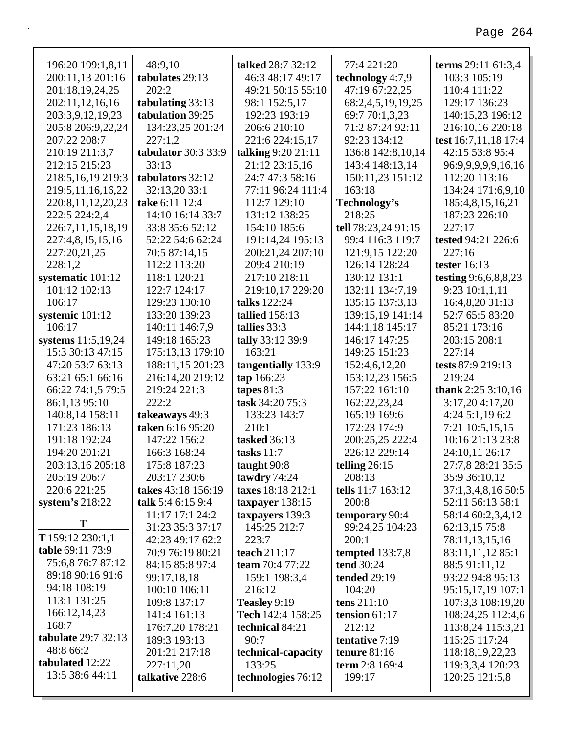| 196:20 199:1,8,11            | 48:9,10             | talked 28:7 32:12     | 77:4 221:20         | terms 29:11 61:3,4   |
|------------------------------|---------------------|-----------------------|---------------------|----------------------|
| 200:11,13 201:16             | tabulates 29:13     | 46:3 48:17 49:17      | technology 4:7,9    | 103:3 105:19         |
| 201:18,19,24,25              | 202:2               | 49:21 50:15 55:10     | 47:19 67:22,25      | 110:4 111:22         |
| 202:11,12,16,16              | tabulating 33:13    | 98:1 152:5,17         | 68:2,4,5,19,19,25   | 129:17 136:23        |
| 203:3,9,12,19,23             | tabulation 39:25    | 192:23 193:19         | 69:7 70:1,3,23      | 140:15,23 196:12     |
| 205:8 206:9,22,24            | 134:23,25 201:24    | 206:6 210:10          | 71:2 87:24 92:11    | 216:10,16 220:18     |
| 207:22 208:7                 | 227:1,2             | 221:6 224:15,17       | 92:23 134:12        | test 16:7,11,18 17:4 |
| 210:19 211:3,7               | tabulator 30:3 33:9 | talking 9:20 21:11    | 136:8 142:8,10,14   | 42:15 53:8 95:4      |
| 212:15 215:23                | 33:13               | 21:12 23:15,16        | 143:4 148:13,14     | 96:9,9,9,9,9,16,16   |
| 218:5,16,19 219:3            | tabulators 32:12    | 24:7 47:3 58:16       | 150:11,23 151:12    | 112:20 113:16        |
| 219:5,11,16,16,22            | 32:13,20 33:1       | 77:11 96:24 111:4     | 163:18              | 134:24 171:6,9,10    |
| 220:8,11,12,20,23            | take 6:11 12:4      | 112:7 129:10          | Technology's        | 185:4,8,15,16,21     |
| 222:5 224:2,4                | 14:10 16:14 33:7    | 131:12 138:25         | 218:25              | 187:23 226:10        |
| 226:7,11,15,18,19            | 33:8 35:6 52:12     | 154:10 185:6          | tell 78:23,24 91:15 | 227:17               |
| 227:4,8,15,15,16             | 52:22 54:6 62:24    | 191:14,24 195:13      | 99:4 116:3 119:7    | tested 94:21 226:6   |
| 227:20,21,25                 | 70:5 87:14,15       | 200:21,24 207:10      | 121:9,15 122:20     | 227:16               |
| 228:1,2                      | 112:2 113:20        | 209:4 210:19          | 126:14 128:24       | tester $16:13$       |
| systematic 101:12            | 118:1 120:21        | 217:10 218:11         | 130:12 131:1        | testing 9:6,6,8,8,23 |
| 101:12 102:13                | 122:7 124:17        | 219:10,17 229:20      | 132:11 134:7,19     | 9:23 10:1,1,11       |
| 106:17                       | 129:23 130:10       | talks 122:24          | 135:15 137:3,13     | 16:4,8,20 31:13      |
| systemic 101:12              | 133:20 139:23       | <b>tallied</b> 158:13 | 139:15,19 141:14    | 52:7 65:5 83:20      |
| 106:17                       | 140:11 146:7,9      | tallies 33:3          | 144:1,18 145:17     | 85:21 173:16         |
| systems 11:5,19,24           | 149:18 165:23       | tally 33:12 39:9      | 146:17 147:25       | 203:15 208:1         |
| 15:3 30:13 47:15             | 175:13,13 179:10    | 163:21                | 149:25 151:23       | 227:14               |
| 47:20 53:7 63:13             | 188:11,15 201:23    | tangentially 133:9    | 152:4,6,12,20       | tests 87:9 219:13    |
| 63:21 65:1 66:16             | 216:14,20 219:12    | tap 166:23            | 153:12,23 156:5     | 219:24               |
| 66:22 74:1,5 79:5            | 219:24 221:3        | tapes $81:3$          | 157:22 161:10       | thank $2:253:10,16$  |
| 86:1,13 95:10                | 222:2               | task 34:20 75:3       | 162:22,23,24        | 3:17,20 4:17,20      |
| 140:8,14 158:11              | takeaways 49:3      | 133:23 143:7          | 165:19 169:6        | 4:24 5:1,19 6:2      |
| 171:23 186:13                | taken 6:16 95:20    | 210:1                 | 172:23 174:9        | 7:21 10:5,15,15      |
| 191:18 192:24                | 147:22 156:2        | tasked 36:13          | 200:25,25 222:4     | 10:16 21:13 23:8     |
| 194:20 201:21                | 166:3 168:24        | tasks $11:7$          | 226:12 229:14       | 24:10,11 26:17       |
| 203:13,16 205:18             | 175:8 187:23        | taught 90:8           | telling $26:15$     | 27:7,8 28:21 35:5    |
| 205:19 206:7                 | 203:17 230:6        | tawdry 74:24          | 208:13              | 35:9 36:10,12        |
| 220:6 221:25                 | takes 43:18 156:19  | taxes 18:18 212:1     | tells 11:7 163:12   | 37:1,3,4,8,16 50:5   |
| system's $218:22$            | talk 5:4 6:15 9:4   | taxpayer 138:15       | 200:8               | 52:11 56:13 58:1     |
| T                            | 11:17 17:1 24:2     | taxpayers 139:3       | temporary 90:4      | 58:14 60:2,3,4,12    |
|                              | 31:23 35:3 37:17    | 145:25 212:7          | 99:24,25 104:23     | 62:13,15 75:8        |
| T $159:12$ $230:1,1$         | 42:23 49:17 62:2    | 223:7                 | 200:1               | 78:11,13,15,16       |
| table 69:11 73:9             | 70:9 76:19 80:21    | teach 211:17          | tempted $133:7,8$   | 83:11,11,12 85:1     |
| 75:6,8 76:7 87:12            | 84:15 85:8 97:4     | team 70:4 77:22       | tend 30:24          | 88:5 91:11,12        |
| 89:18 90:16 91:6             | 99:17,18,18         | 159:1 198:3,4         | <b>tended</b> 29:19 | 93:22 94:8 95:13     |
| 94:18 108:19                 | 100:10 106:11       | 216:12                | 104:20              | 95:15,17,19 107:1    |
| 113:1 131:25                 | 109:8 137:17        | Teasley 9:19          | tens $211:10$       | 107:3,3 108:19,20    |
| 166:12,14,23                 | 141:4 161:13        | Tech 142:4 158:25     | tension $61:17$     | 108:24,25 112:4,6    |
| 168:7<br>tabulate 29:7 32:13 | 176:7,20 178:21     | technical 84:21       | 212:12              | 113:8,24 115:3,21    |
|                              | 189:3 193:13        | 90:7                  | tentative 7:19      | 115:25 117:24        |
| 48:8 66:2<br>tabulated 12:22 | 201:21 217:18       | technical-capacity    | tenure $81:16$      | 118:18,19,22,23      |
| 13:5 38:6 44:11              | 227:11,20           | 133:25                | term 2:8 169:4      | 119:3,3,4 120:23     |
|                              | talkative 228:6     | technologies 76:12    | 199:17              | 120:25 121:5,8       |
|                              |                     |                       |                     |                      |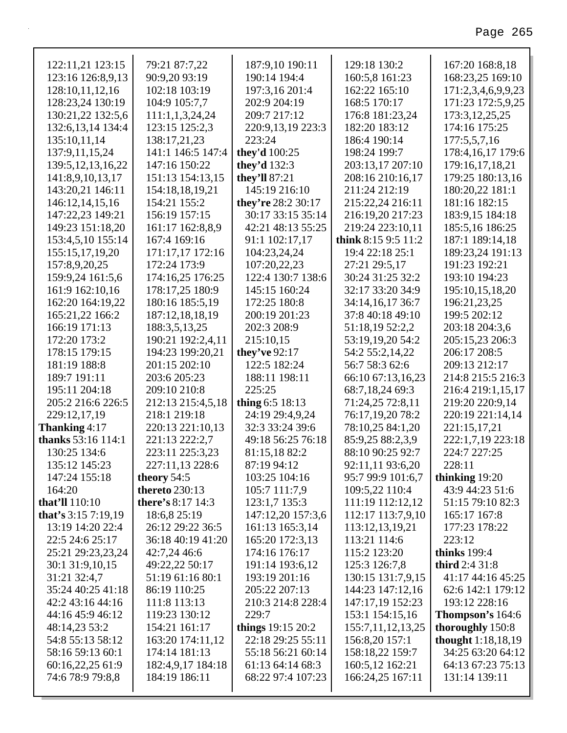| 122:11,21 123:15          | 79:21 87:7,22            | 187:9,10 190:11    | 129:18 130:2        | 167:20 168:8,18           |
|---------------------------|--------------------------|--------------------|---------------------|---------------------------|
| 123:16 126:8,9,13         | 90:9,20 93:19            | 190:14 194:4       | 160:5,8 161:23      | 168:23,25 169:10          |
| 128:10,11,12,16           | 102:18 103:19            | 197:3,16 201:4     | 162:22 165:10       | 171:2,3,4,6,9,9,23        |
| 128:23,24 130:19          | 104:9 105:7,7            | 202:9 204:19       | 168:5 170:17        | 171:23 172:5,9,25         |
| 130:21,22 132:5,6         | 111:1,1,3,24,24          | 209:7 217:12       | 176:8 181:23,24     | 173:3, 12, 25, 25         |
| 132:6, 13, 14 134:4       | 123:15 125:2,3           | 220:9,13,19 223:3  | 182:20 183:12       | 174:16 175:25             |
| 135:10,11,14              | 138:17,21,23             | 223:24             | 186:4 190:14        | 177:5,5,7,16              |
| 137:9,11,15,24            | 141:1 146:5 147:4        | they'd 100:25      | 198:24 199:7        | 178:4,16,17 179:6         |
| 139:5, 12, 13, 16, 22     | 147:16 150:22            | they'd $132:3$     | 203:13,17 207:10    | 179:16,17,18,21           |
| 141:8,9,10,13,17          | 151:13 154:13,15         | they'll 87:21      | 208:16 210:16,17    | 179:25 180:13,16          |
| 143:20,21 146:11          | 154:18,18,19,21          | 145:19 216:10      | 211:24 212:19       | 180:20,22 181:1           |
| 146:12,14,15,16           | 154:21 155:2             | they're 28:2 30:17 | 215:22,24 216:11    | 181:16 182:15             |
| 147:22,23 149:21          | 156:19 157:15            | 30:17 33:15 35:14  | 216:19,20 217:23    | 183:9,15 184:18           |
| 149:23 151:18,20          | 161:17 162:8,8,9         | 42:21 48:13 55:25  | 219:24 223:10,11    | 185:5,16 186:25           |
| 153:4,5,10 155:14         | 167:4 169:16             | 91:1 102:17,17     | think 8:15 9:5 11:2 | 187:1 189:14,18           |
| 155:15,17,19,20           | 171:17,17 172:16         | 104:23,24,24       | 19:4 22:18 25:1     | 189:23,24 191:13          |
| 157:8,9,20,25             | 172:24 173:9             | 107:20,22,23       | 27:21 29:5,17       | 191:23 192:21             |
| 159:9,24 161:5,6          | 174:16,25 176:25         | 122:4 130:7 138:6  | 30:24 31:25 32:2    | 193:10 194:23             |
| 161:9 162:10,16           | 178:17,25 180:9          | 145:15 160:24      | 32:17 33:20 34:9    | 195:10,15,18,20           |
| 162:20 164:19,22          | 180:16 185:5,19          | 172:25 180:8       | 34:14,16,17 36:7    | 196:21,23,25              |
| 165:21,22 166:2           | 187:12,18,18,19          | 200:19 201:23      | 37:8 40:18 49:10    | 199:5 202:12              |
| 166:19 171:13             | 188:3,5,13,25            | 202:3 208:9        | 51:18,19 52:2,2     | 203:18 204:3,6            |
| 172:20 173:2              | 190:21 192:2,4,11        | 215:10,15          | 53:19,19,20 54:2    | 205:15,23 206:3           |
| 178:15 179:15             | 194:23 199:20,21         | they've 92:17      | 54:2 55:2,14,22     | 206:17 208:5              |
| 181:19 188:8              | 201:15 202:10            | 122:5 182:24       | 56:7 58:3 62:6      | 209:13 212:17             |
| 189:7 191:11              | 203:6 205:23             | 188:11 198:11      | 66:10 67:13,16,23   | 214:8 215:5 216:3         |
| 195:11 204:18             | 209:10 210:8             | 225:25             | 68:7,18,24 69:3     | 216:4 219:1,15,17         |
| 205:2 216:6 226:5         | 212:13 215:4,5,18        | thing $6:5$ 18:13  | 71:24,25 72:8,11    | 219:20 220:9,14           |
| 229:12,17,19              | 218:1 219:18             | 24:19 29:4,9,24    | 76:17,19,20 78:2    | 220:19 221:14,14          |
| Thanking 4:17             | 220:13 221:10,13         | 32:3 33:24 39:6    | 78:10,25 84:1,20    | 221:15,17,21              |
| <b>thanks</b> 53:16 114:1 | 221:13 222:2,7           | 49:18 56:25 76:18  | 85:9,25 88:2,3,9    | 222:1,7,19 223:18         |
| 130:25 134:6              | 223:11 225:3,23          | 81:15,18 82:2      | 88:10 90:25 92:7    | 224:7 227:25              |
| 135:12 145:23             | 227:11,13 228:6          | 87:19 94:12        | 92:11,11 93:6,20    | 228:11                    |
| 147:24 155:18             | theory 54:5              | 103:25 104:16      | 95:7 99:9 101:6,7   | thinking 19:20            |
| 164:20                    | <b>thereto</b> 230:13    | 105:7 111:7,9      | 109:5,22 110:4      | 43:9 44:23 51:6           |
| that'll 110:10            | <b>there's 8:17 14:3</b> | 123:1,7 135:3      | 111:19 112:12,12    | 51:15 79:10 82:3          |
| that's $3:157:19,19$      | 18:6,8 25:19             | 147:12,20 157:3,6  | 112:17 113:7,9,10   | 165:17 167:8              |
| 13:19 14:20 22:4          | 26:12 29:22 36:5         | 161:13 165:3,14    | 113:12,13,19,21     | 177:23 178:22             |
| 22:5 24:6 25:17           | 36:18 40:19 41:20        | 165:20 172:3,13    | 113:21 114:6        | 223:12                    |
| 25:21 29:23,23,24         | 42:7,24 46:6             | 174:16 176:17      | 115:2 123:20        | <b>thinks</b> 199:4       |
| 30:1 31:9,10,15           | 49:22,22 50:17           | 191:14 193:6,12    | 125:3 126:7,8       | <b>third</b> 2:4 31:8     |
| 31:21 32:4,7              | 51:19 61:16 80:1         | 193:19 201:16      | 130:15 131:7,9,15   | 41:17 44:16 45:25         |
| 35:24 40:25 41:18         | 86:19 110:25             | 205:22 207:13      | 144:23 147:12,16    | 62:6 142:1 179:12         |
| 42:2 43:16 44:16          | 111:8 113:13             | 210:3 214:8 228:4  | 147:17,19 152:23    | 193:12 228:16             |
| 44:16 45:9 46:12          | 119:23 130:12            | 229:7              | 153:1 154:15,16     | <b>Thompson's</b> $164:6$ |
| 48:14,23 53:2             | 154:21 161:17            | things 19:15 20:2  | 155:7,11,12,13,25   | thoroughly 150:8          |
| 54:8 55:13 58:12          | 163:20 174:11,12         | 22:18 29:25 55:11  | 156:8,20 157:1      | thought 1:18,18,19        |
| 58:16 59:13 60:1          | 174:14 181:13            | 55:18 56:21 60:14  | 158:18,22 159:7     | 34:25 63:20 64:12         |
| 60:16,22,25 61:9          | 182:4,9,17 184:18        | 61:13 64:14 68:3   | 160:5,12 162:21     | 64:13 67:23 75:13         |
| 74:6 78:9 79:8,8          | 184:19 186:11            | 68:22 97:4 107:23  | 166:24,25 167:11    | 131:14 139:11             |
|                           |                          |                    |                     |                           |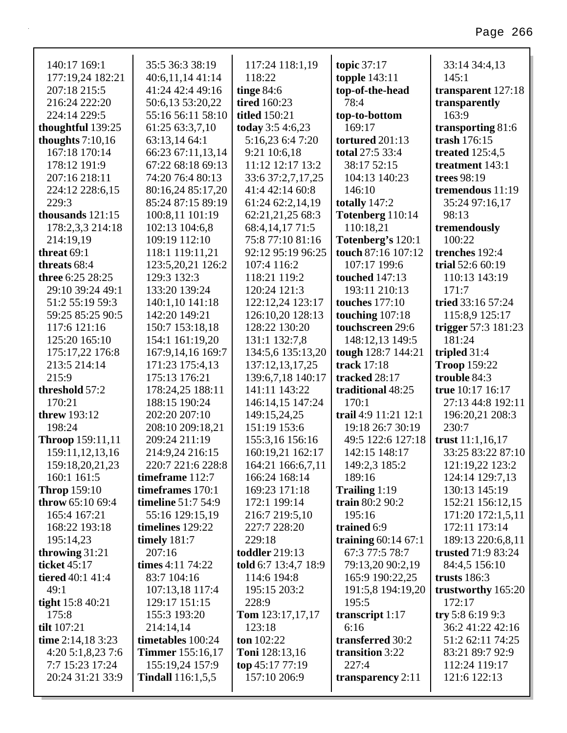| 140:17 169:1        | 35:5 36:3 38:19           | 117:24 118:1,19           | topic 37:17             | 33:14 34:4,13             |
|---------------------|---------------------------|---------------------------|-------------------------|---------------------------|
| 177:19,24 182:21    | 40:6,11,14 41:14          | 118:22                    | <b>topple</b> 143:11    | 145:1                     |
| 207:18 215:5        | 41:24 42:4 49:16          | tinge $84:6$              | top-of-the-head         | transparent 127:18        |
| 216:24 222:20       | 50:6,13 53:20,22          | <b>tired</b> 160:23       | 78:4                    | transparently             |
| 224:14 229:5        | 55:16 56:11 58:10         | <b>titled</b> 150:21      | top-to-bottom           | 163:9                     |
| thoughtful 139:25   | 61:25 63:3,7,10           | today 3:5 4:6,23          | 169:17                  | transporting 81:6         |
| thoughts $7:10,16$  | 63:13,14 64:1             | 5:16,23 6:4 7:20          | tortured 201:13         | trash $176:15$            |
| 167:18 170:14       | 66:23 67:11,13,14         | 9:21 10:6,18              | total 27:5 33:4         | treated $125:4,5$         |
| 178:12 191:9        | 67:22 68:18 69:13         | 11:12 12:17 13:2          | 38:17 52:15             | treatment 143:1           |
| 207:16 218:11       | 74:20 76:4 80:13          | 33:6 37:2,7,17,25         | 104:13 140:23           | trees 98:19               |
| 224:12 228:6,15     | 80:16,24 85:17,20         | 41:4 42:14 60:8           | 146:10                  | tremendous 11:19          |
| 229:3               | 85:24 87:15 89:19         | 61:24 62:2,14,19          | totally $147:2$         | 35:24 97:16,17            |
| thousands $121:15$  | 100:8,11 101:19           | 62:21,21,25 68:3          | Totenberg 110:14        | 98:13                     |
| 178:2,3,3 214:18    | 102:13 104:6,8            | 68:4, 14, 17 71:5         | 110:18,21               | tremendously              |
| 214:19,19           | 109:19 112:10             | 75:8 77:10 81:16          | Totenberg's 120:1       | 100:22                    |
| threat $69:1$       | 118:1 119:11,21           | 92:12 95:19 96:25         | touch 87:16 107:12      | trenches 192:4            |
| threats $68:4$      | 123:5,20,21 126:2         | 107:4 116:2               | 107:17 199:6            | trial $52:660:19$         |
| three 6:25 28:25    | 129:3 132:3               | 118:21 119:2              | <b>touched</b> 147:13   | 110:13 143:19             |
| 29:10 39:24 49:1    | 133:20 139:24             | 120:24 121:3              | 193:11 210:13           | 171:7                     |
| 51:2 55:19 59:3     | 140:1,10 141:18           | 122:12,24 123:17          | touches $177:10$        | tried 33:16 57:24         |
| 59:25 85:25 90:5    | 142:20 149:21             | 126:10,20 128:13          | touching $107:18$       | 115:8,9 125:17            |
| 117:6 121:16        | 150:7 153:18,18           | 128:22 130:20             | touchscreen 29:6        | trigger 57:3 181:23       |
| 125:20 165:10       | 154:1 161:19,20           | 131:1 132:7,8             | 148:12,13 149:5         | 181:24                    |
| 175:17,22 176:8     | 167:9,14,16 169:7         | 134:5,6 135:13,20         | tough 128:7 144:21      | tripled $31:4$            |
| 213:5 214:14        | 171:23 175:4,13           | 137:12,13,17,25           | track 17:18             | <b>Troop 159:22</b>       |
| 215:9               | 175:13 176:21             | 139:6,7,18 140:17         | tracked 28:17           | trouble 84:3              |
| threshold 57:2      | 178:24,25 188:11          | 141:11 143:22             | traditional 48:25       | true 10:17 16:17          |
| 170:21              | 188:15 190:24             | 146:14,15 147:24          | 170:1                   | 27:13 44:8 192:11         |
| <b>threw</b> 193:12 | 202:20 207:10             | 149:15,24,25              | trail 4:9 11:21 12:1    | 196:20,21 208:3           |
| 198:24              | 208:10 209:18,21          | 151:19 153:6              | 19:18 26:7 30:19        | 230:7                     |
| Throop 159:11,11    | 209:24 211:19             | 155:3,16 156:16           | 49:5 122:6 127:18       | trust $11:1,16,17$        |
| 159:11,12,13,16     | 214:9,24 216:15           | 160:19,21 162:17          | 142:15 148:17           | 33:25 83:22 87:10         |
| 159:18,20,21,23     | 220:7 221:6 228:8         | 164:21 166:6,7,11         | 149:2,3 185:2           | 121:19,22 123:2           |
| 160:1 161:5         | timeframe 112:7           | 166:24 168:14             | 189:16                  | 124:14 129:7,13           |
| <b>Throp</b> 159:10 | timeframes 170:1          | 169:23 171:18             | Trailing 1:19           | 130:13 145:19             |
| throw 65:10 69:4    | <b>timeline</b> 51:7 54:9 | 172:1 199:14              | train $80:290:2$        | 152:21 156:12,15          |
| 165:4 167:21        | 55:16 129:15,19           | 216:7 219:5,10            | 195:16                  | 171:20 172:1,5,11         |
| 168:22 193:18       | timelines 129:22          | 227:7 228:20              | trained 6:9             | 172:11 173:14             |
| 195:14,23           | timely $181:7$            | 229:18                    | training $60:14$ $67:1$ | 189:13 220:6,8,11         |
| throwing $31:21$    | 207:16                    | <b>toddler</b> 219:13     | 67:3 77:5 78:7          | <b>trusted</b> 71:9 83:24 |
| ticket 45:17        | times 4:11 74:22          | told 6:7 13:4,7 18:9      | 79:13,20 90:2,19        | 84:4,5 156:10             |
| tiered 40:1 41:4    | 83:7 104:16               | 114:6 194:8               | 165:9 190:22,25         | trusts $186:3$            |
| 49:1                | 107:13,18 117:4           | 195:15 203:2              | 191:5,8 194:19,20       | trustworthy 165:20        |
| tight 15:8 40:21    | 129:17 151:15             | 228:9                     | 195:5                   | 172:17                    |
| 175:8               | 155:3 193:20              | <b>Tom</b> $123:17,17,17$ | transcript $1:17$       | try 5:8 6:19 9:3          |
| tilt 107:21         | 214:14,14                 | 123:18                    | 6:16                    | 36:2 41:22 42:16          |
| time $2:14,183:23$  | timetables 100:24         | ton $102:22$              | transferred 30:2        | 51:2 62:11 74:25          |
| 4:205:1,8,237:6     | <b>Timmer</b> 155:16,17   | Toni 128:13,16            | transition 3:22         | 83:21 89:7 92:9           |
| 7:7 15:23 17:24     | 155:19,24 157:9           | top $45:177:19$           | 227:4                   | 112:24 119:17             |
| 20:24 31:21 33:9    | <b>Tindall</b> 116:1,5,5  | 157:10 206:9              | transparency $2:11$     | 121:6 122:13              |
|                     |                           |                           |                         |                           |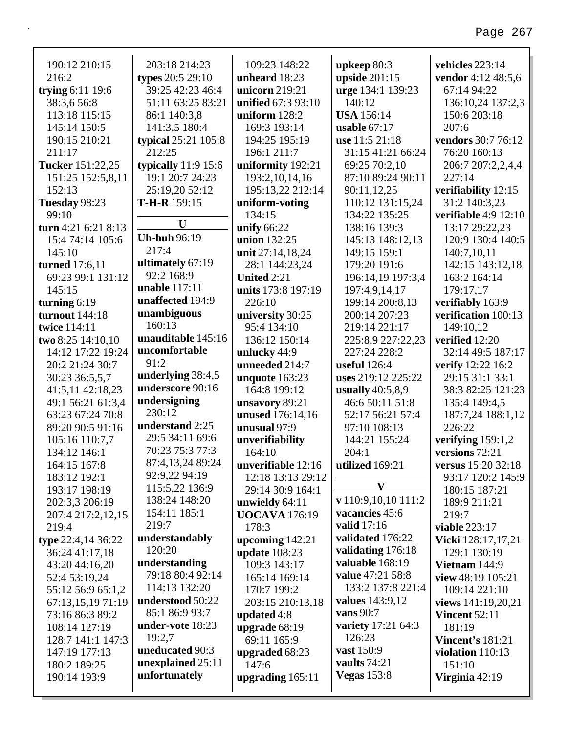| 190:12 210:15         | 203:18 214:23                      | 109:23 148:22        | upkeep 80:3                         | vehicles 223:14           |
|-----------------------|------------------------------------|----------------------|-------------------------------------|---------------------------|
| 216:2                 | types 20:5 29:10                   | unheard 18:23        | upside $201:15$                     | vendor 4:12 48:5,6        |
| trying $6:11$ 19:6    | 39:25 42:23 46:4                   | unicorn 219:21       | urge 134:1 139:23                   | 67:14 94:22               |
| 38:3,6 56:8           | 51:11 63:25 83:21                  | unified 67:3 93:10   | 140:12                              | 136:10,24 137:2,3         |
| 113:18 115:15         | 86:1 140:3,8                       | uniform $128:2$      | <b>USA</b> 156:14                   | 150:6 203:18              |
| 145:14 150:5          | 141:3,5 180:4                      | 169:3 193:14         | usable $67:17$                      | 207:6                     |
| 190:15 210:21         | typical 25:21 105:8                | 194:25 195:19        | use 11:5 21:18                      | vendors 30:7 76:12        |
| 211:17                | 212:25                             | 196:1 211:7          | 31:15 41:21 66:24                   | 76:20 160:13              |
| Tucker 151:22,25      | typically $11:9$ 15:6              | uniformity 192:21    | 69:25 70:2,10                       | 206:7 207:2,2,4,4         |
| 151:25 152:5,8,11     | 19:1 20:7 24:23                    | 193:2, 10, 14, 16    | 87:10 89:24 90:11                   | 227:14                    |
| 152:13                | 25:19,20 52:12                     | 195:13,22 212:14     | 90:11,12,25                         | verifiability 12:15       |
| Tuesday 98:23         | $T-H-R$ 159:15                     | uniform-voting       | 110:12 131:15,24                    | 31:2 140:3,23             |
| 99:10                 | U                                  | 134:15               | 134:22 135:25                       | verifiable $4:9$ 12:10    |
| turn 4:21 6:21 8:13   |                                    | unify 66:22          | 138:16 139:3                        | 13:17 29:22,23            |
| 15:4 74:14 105:6      | <b>Uh-huh 96:19</b>                | union 132:25         | 145:13 148:12,13                    | 120:9 130:4 140:5         |
| 145:10                | 217:4                              | unit 27:14,18,24     | 149:15 159:1                        | 140:7,10,11               |
| <b>turned</b> 17:6,11 | ultimately 67:19                   | 28:1 144:23,24       | 179:20 191:6                        | 142:15 143:12,18          |
| 69:23 99:1 131:12     | 92:2 168:9                         | United 2:21          | 196:14,19 197:3,4                   | 163:2 164:14              |
| 145:15                | unable 117:11                      | units 173:8 197:19   | 197:4,9,14,17                       | 179:17,17                 |
| turning $6:19$        | unaffected 194:9                   | 226:10               | 199:14 200:8,13                     | verifiably 163:9          |
| <b>turnout</b> 144:18 | unambiguous                        | university 30:25     | 200:14 207:23                       | verification 100:13       |
| twice 114:11          | 160:13                             | 95:4 134:10          | 219:14 221:17                       | 149:10,12                 |
| two 8:25 14:10,10     | unauditable 145:16                 | 136:12 150:14        | 225:8,9 227:22,23                   | verified 12:20            |
| 14:12 17:22 19:24     | uncomfortable                      | unlucky 44:9         | 227:24 228:2                        | 32:14 49:5 187:17         |
| 20:2 21:24 30:7       | 91:2                               | unneeded 214:7       | useful $126:4$                      | verify 12:22 16:2         |
| 30:23 36:5,5,7        | underlying 38:4,5                  | unquote 163:23       | uses 219:12 225:22                  | 29:15 31:1 33:1           |
| 41:5,11 42:18,23      | underscore 90:16                   | 164:8 199:12         | usually $40:5,8,9$                  | 38:3 82:25 121:23         |
| 49:1 56:21 61:3,4     | undersigning                       | unsavory 89:21       | 46:6 50:11 51:8                     | 135:4 149:4,5             |
| 63:23 67:24 70:8      | 230:12                             | unused 176:14,16     | 52:17 56:21 57:4                    | 187:7,24 188:1,12         |
| 89:20 90:5 91:16      | understand 2:25                    | unusual 97:9         | 97:10 108:13                        | 226:22                    |
| 105:16 110:7,7        | 29:5 34:11 69:6                    | unverifiability      | 144:21 155:24                       | verifying $159:1,2$       |
| 134:12 146:1          | 70:23 75:3 77:3                    | 164:10               | 204:1                               | versions 72:21            |
| 164:15 167:8          | 87:4,13,24 89:24                   | unverifiable 12:16   | utilized 169:21                     | <b>versus</b> 15:20 32:18 |
| 183:12 192:1          | 92:9,22 94:19                      | 12:18 13:13 29:12    | $\mathbf{V}$                        | 93:17 120:2 145:9         |
| 193:17 198:19         | 115:5,22 136:9                     | 29:14 30:9 164:1     |                                     | 180:15 187:21             |
| 202:3,3 206:19        | 138:24 148:20                      | unwieldy 64:11       | v 110:9,10,10 111:2                 | 189:9 211:21              |
| 207:4 217:2,12,15     | 154:11 185:1                       | <b>UOCAVA</b> 176:19 | vacancies 45:6                      | 219:7                     |
| 219:4                 | 219:7                              | 178:3                | valid 17:16                         | viable 223:17             |
| type 22:4,14 36:22    | understandably                     | upcoming $142:21$    | validated 176:22                    | <b>Vicki</b> 128:17,17,21 |
| 36:24 41:17,18        | 120:20                             | <b>update</b> 108:23 | validating 176:18                   | 129:1 130:19              |
| 43:20 44:16,20        | understanding<br>79:18 80:4 92:14  | 109:3 143:17         | valuable 168:19                     | Vietnam 144:9             |
| 52:4 53:19,24         |                                    | 165:14 169:14        | value 47:21 58:8                    | view 48:19 105:21         |
| 55:12 56:9 65:1,2     | 114:13 132:20                      | 170:7 199:2          | 133:2 137:8 221:4                   | 109:14 221:10             |
| 67:13,15,19 71:19     | understood 50:22<br>85:1 86:9 93:7 | 203:15 210:13,18     | values 143:9,12                     | views 141:19,20,21        |
| 73:16 86:3 89:2       |                                    | updated 4:8          | vans 90:7                           | <b>Vincent 52:11</b>      |
| 108:14 127:19         | under-vote 18:23                   | upgrade 68:19        | <b>variety</b> 17:21 64:3<br>126:23 | 181:19                    |
| 128:7 141:1 147:3     | 19:2,7<br>uneducated 90:3          | 69:11 165:9          | vast 150:9                          | <b>Vincent's 181:21</b>   |
| 147:19 177:13         | unexplained 25:11                  | upgraded 68:23       | vaults 74:21                        | violation $110:13$        |
| 180:2 189:25          | unfortunately                      | 147:6                | <b>Vegas</b> 153:8                  | 151:10                    |
| 190:14 193:9          |                                    | upgrading $165:11$   |                                     | Virginia 42:19            |
|                       |                                    |                      |                                     |                           |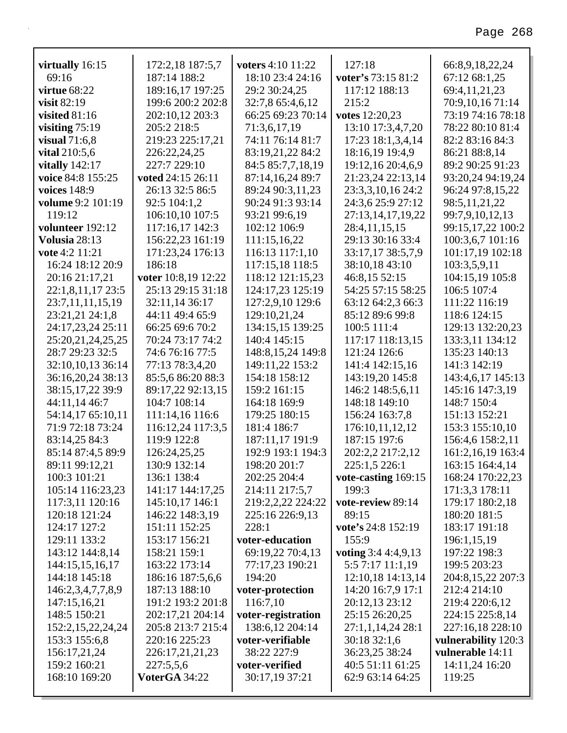| virtually 16:15          | 172:2,18 187:5,7                      | voters 4:10 11:22<br>18:10 23:4 24:16 | 127:18                              | 66:8,9,18,22,24                   |
|--------------------------|---------------------------------------|---------------------------------------|-------------------------------------|-----------------------------------|
| 69:16<br>virtue $68:22$  | 187:14 188:2                          | 29:2 30:24,25                         | voter's 73:15 81:2<br>117:12 188:13 | 67:12 68:1,25                     |
| visit $82:19$            | 189:16,17 197:25<br>199:6 200:2 202:8 | 32:7,8 65:4,6,12                      | 215:2                               | 69:4,11,21,23<br>70:9,10,16 71:14 |
| visited $81:16$          | 202:10,12 203:3                       | 66:25 69:23 70:14                     | votes 12:20,23                      | 73:19 74:16 78:18                 |
| visiting $75:19$         | 205:2 218:5                           | 71:3,6,17,19                          | 13:10 17:3,4,7,20                   | 78:22 80:10 81:4                  |
| visual $71:6,8$          | 219:23 225:17,21                      | 74:11 76:14 81:7                      | 17:23 18:1,3,4,14                   | 82:2 83:16 84:3                   |
| vital 210:5,6            | 226:22,24,25                          | 83:19,21,22 84:2                      | 18:16,19 19:4,9                     | 86:21 88:8,14                     |
| vitally $142:17$         | 227:7 229:10                          | 84:5 85:7,7,18,19                     | 19:12,16 20:4,6,9                   | 89:2 90:25 91:23                  |
| voice 84:8 155:25        | voted 24:15 26:11                     | 87:14,16,24 89:7                      | 21:23,24 22:13,14                   | 93:20,24 94:19,24                 |
| voices 148:9             | 26:13 32:5 86:5                       | 89:24 90:3,11,23                      | 23:3,3,10,16 24:2                   | 96:24 97:8,15,22                  |
| <b>volume</b> 9:2 101:19 | 92:5 104:1,2                          | 90:24 91:3 93:14                      | 24:3,6 25:9 27:12                   | 98:5,11,21,22                     |
| 119:12                   | 106:10,10 107:5                       | 93:21 99:6,19                         | 27:13,14,17,19,22                   | 99:7,9,10,12,13                   |
| volunteer 192:12         | 117:16,17 142:3                       | 102:12 106:9                          | 28:4,11,15,15                       | 99:15,17,22 100:2                 |
| Volusia 28:13            | 156:22,23 161:19                      | 111:15,16,22                          | 29:13 30:16 33:4                    | 100:3,6,7 101:16                  |
| vote 4:2 11:21           | 171:23,24 176:13                      | 116:13 117:1,10                       | 33:17,17 38:5,7,9                   | 101:17,19 102:18                  |
| 16:24 18:12 20:9         | 186:18                                | 117:15,18 118:5                       | 38:10,18 43:10                      | 103:3,5,9,11                      |
| 20:16 21:17,21           | voter 10:8,19 12:22                   | 118:12 121:15,23                      | 46:8,15 52:15                       | 104:15,19 105:8                   |
| 22:1,8,11,17 23:5        | 25:13 29:15 31:18                     | 124:17,23 125:19                      | 54:25 57:15 58:25                   | 106:5 107:4                       |
| 23:7,11,11,15,19         | 32:11,14 36:17                        | 127:2,9,10 129:6                      | 63:12 64:2,3 66:3                   | 111:22 116:19                     |
| 23:21,21 24:1,8          | 44:11 49:4 65:9                       | 129:10,21,24                          | 85:12 89:6 99:8                     | 118:6 124:15                      |
| 24:17,23,24 25:11        | 66:25 69:6 70:2                       | 134:15,15 139:25                      | 100:5 111:4                         | 129:13 132:20,23                  |
| 25:20,21,24,25,25        | 70:24 73:17 74:2                      | 140:4 145:15                          | 117:17 118:13,15                    | 133:3,11 134:12                   |
| 28:7 29:23 32:5          | 74:6 76:16 77:5                       | 148:8, 15, 24 149:8                   | 121:24 126:6                        | 135:23 140:13                     |
| 32:10,10,13 36:14        | 77:13 78:3,4,20                       | 149:11,22 153:2                       | 141:4 142:15,16                     | 141:3 142:19                      |
| 36:16,20,24 38:13        | 85:5,6 86:20 88:3                     | 154:18 158:12                         | 143:19,20 145:8                     | 143:4,6,17 145:13                 |
| 38:15,17,22 39:9         | 89:17,22 92:13,15                     | 159:2 161:15                          | 146:2 148:5,6,11                    | 145:16 147:3,19                   |
| 44:11,14 46:7            | 104:7 108:14                          | 164:18 169:9                          | 148:18 149:10                       | 148:7 150:4                       |
| 54:14,17 65:10,11        | 111:14,16 116:6                       | 179:25 180:15                         | 156:24 163:7,8                      | 151:13 152:21                     |
| 71:9 72:18 73:24         | 116:12,24 117:3,5                     | 181:4 186:7                           | 176:10,11,12,12                     | 153:3 155:10,10                   |
| 83:14,25 84:3            | 119:9 122:8                           | 187:11,17 191:9                       | 187:15 197:6                        | 156:4,6 158:2,11                  |
| 85:14 87:4,5 89:9        | 126:24,25,25                          | 192:9 193:1 194:3                     | 202:2,2 217:2,12                    | 161:2, 16, 19 163:4               |
| 89:11 99:12,21           | 130:9 132:14                          | 198:20 201:7                          | 225:1,5 226:1                       | 163:15 164:4,14                   |
| 100:3 101:21             | 136:1 138:4                           | 202:25 204:4                          | vote-casting 169:15                 | 168:24 170:22,23                  |
| 105:14 116:23,23         | 141:17 144:17,25                      | 214:11 217:5,7                        | 199:3                               | 171:3,3 178:11                    |
| 117:3,11 120:16          | 145:10,17 146:1                       | 219:2,2,22 224:22                     | vote-review 89:14                   | 179:17 180:2,18                   |
| 120:18 121:24            | 146:22 148:3,19                       | 225:16 226:9,13                       | 89:15                               | 180:20 181:5                      |
| 124:17 127:2             | 151:11 152:25                         | 228:1                                 | vote's 24:8 152:19                  | 183:17 191:18                     |
| 129:11 133:2             | 153:17 156:21                         | voter-education                       | 155:9                               | 196:1,15,19                       |
| 143:12 144:8,14          | 158:21 159:1                          | 69:19,22 70:4,13                      | voting 3:4 4:4,9,13                 | 197:22 198:3                      |
| 144:15,15,16,17          | 163:22 173:14                         | 77:17,23 190:21                       | 5:5 7:17 11:1,19                    | 199:5 203:23                      |
| 144:18 145:18            | 186:16 187:5,6,6                      | 194:20                                | 12:10,18 14:13,14                   | 204:8,15,22 207:3                 |
| 146:2,3,4,7,7,8,9        | 187:13 188:10                         | voter-protection                      | 14:20 16:7,9 17:1                   | 212:4 214:10                      |
| 147:15,16,21             | 191:2 193:2 201:8                     | 116:7,10                              | 20:12,13 23:12                      | 219:4 220:6,12                    |
| 148:5 150:21             | 202:17,21 204:14                      | voter-registration                    | 25:15 26:20,25                      | 224:15 225:8,14                   |
| 152:2,15,22,24,24        | 205:8 213:7 215:4                     | 138:6,12 204:14                       | 27:1,1,14,24 28:1                   | 227:16,18 228:10                  |
| 153:3 155:6,8            | 220:16 225:23                         | voter-verifiable                      | 30:18 32:1,6                        | vulnerability 120:3               |
| 156:17,21,24             | 226:17,21,21,23                       | 38:22 227:9                           | 36:23,25 38:24                      | vulnerable 14:11                  |
| 159:2 160:21             | 227:5,5,6                             | voter-verified                        | 40:5 51:11 61:25                    | 14:11,24 16:20                    |
| 168:10 169:20            | VoterGA 34:22                         | 30:17,19 37:21                        | 62:9 63:14 64:25                    | 119:25                            |
|                          |                                       |                                       |                                     |                                   |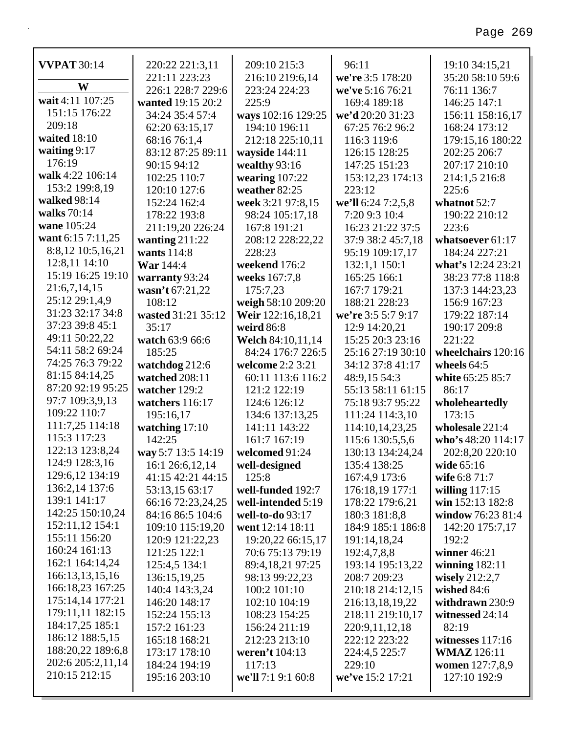| <b>VVPAT 30:14</b>                     | 220:22 221:3,11    | 209:10 215:3       | 96:11              | 19:10 34:15,21     |
|----------------------------------------|--------------------|--------------------|--------------------|--------------------|
|                                        | 221:11 223:23      | 216:10 219:6,14    | we're 3:5 178:20   | 35:20 58:10 59:6   |
| W                                      | 226:1 228:7 229:6  | 223:24 224:23      | we've 5:16 76:21   | 76:11 136:7        |
| wait 4:11 107:25                       | wanted 19:15 20:2  | 225:9              | 169:4 189:18       | 146:25 147:1       |
| 151:15 176:22                          | 34:24 35:4 57:4    | ways 102:16 129:25 | we'd 20:20 31:23   | 156:11 158:16,17   |
| 209:18                                 | 62:20 63:15,17     | 194:10 196:11      | 67:25 76:2 96:2    | 168:24 173:12      |
| waited 18:10                           | 68:16 76:1,4       | 212:18 225:10,11   | 116:3 119:6        | 179:15,16 180:22   |
| waiting $9:17$                         | 83:12 87:25 89:11  | wayside 144:11     | 126:15 128:25      | 202:25 206:7       |
| 176:19                                 | 90:15 94:12        | wealthy 93:16      | 147:25 151:23      | 207:17 210:10      |
| walk 4:22 106:14                       | 102:25 110:7       | wearing $107:22$   | 153:12,23 174:13   | 214:1,5 216:8      |
| 153:2 199:8,19                         | 120:10 127:6       | weather 82:25      | 223:12             | 225:6              |
| walked 98:14                           | 152:24 162:4       | week 3:21 97:8,15  | we'll 6:24 7:2,5,8 | whatnot 52:7       |
| walks 70:14                            | 178:22 193:8       | 98:24 105:17,18    | 7:20 9:3 10:4      | 190:22 210:12      |
| wane 105:24                            | 211:19,20 226:24   | 167:8 191:21       | 16:23 21:22 37:5   | 223:6              |
| want 6:15 7:11,25                      | wanting $211:22$   | 208:12 228:22,22   | 37:9 38:2 45:7,18  | whatsoever 61:17   |
| 8:8,12 10:5,16,21                      | wants 114:8        | 228:23             | 95:19 109:17,17    | 184:24 227:21      |
| 12:8,11 14:10                          | War 144:4          | weekend 176:2      | 132:1,1 150:1      | what's 12:24 23:21 |
| 15:19 16:25 19:10                      | warranty 93:24     | weeks 167:7,8      | 165:25 166:1       | 38:23 77:8 118:8   |
| 21:6,7,14,15                           | wasn't 67:21,22    | 175:7,23           | 167:7 179:21       | 137:3 144:23,23    |
| 25:12 29:1,4,9                         | 108:12             | weigh 58:10 209:20 | 188:21 228:23      | 156:9 167:23       |
| 31:23 32:17 34:8                       | wasted 31:21 35:12 | Weir 122:16,18,21  | we're 3:5 5:7 9:17 | 179:22 187:14      |
| 37:23 39:8 45:1                        | 35:17              | weird 86:8         | 12:9 14:20,21      | 190:17 209:8       |
| 49:11 50:22,22                         | watch 63:9 66:6    | Welch 84:10,11,14  | 15:25 20:3 23:16   | 221:22             |
| 54:11 58:2 69:24                       | 185:25             | 84:24 176:7 226:5  | 25:16 27:19 30:10  | wheelchairs 120:16 |
| 74:25 76:3 79:22                       | watchdog 212:6     | welcome 2:2 3:21   | 34:12 37:8 41:17   | wheels $64:5$      |
| 81:15 84:14,25                         | watched 208:11     | 60:11 113:6 116:2  | 48:9,15 54:3       | white 65:25 85:7   |
| 87:20 92:19 95:25                      | watcher 129:2      | 121:2 122:19       | 55:13 58:11 61:15  | 86:17              |
| 97:7 109:3,9,13<br>109:22 110:7        | watchers 116:17    | 124:6 126:12       | 75:18 93:7 95:22   | wholeheartedly     |
| 111:7,25 114:18                        | 195:16,17          | 134:6 137:13,25    | 111:24 114:3,10    | 173:15             |
| 115:3 117:23                           | watching 17:10     | 141:11 143:22      | 114:10,14,23,25    | wholesale 221:4    |
|                                        | 142:25             | 161:7 167:19       | 115:6 130:5,5,6    | who's 48:20 114:17 |
| 122:13 123:8,24<br>124:9 128:3,16      | way 5:7 13:5 14:19 | welcomed 91:24     | 130:13 134:24,24   | 202:8,20 220:10    |
|                                        | 16:1 26:6,12,14    | well-designed      | 135:4 138:25       | wide 65:16         |
| 129:6,12 134:19<br>136:2,14 137:6      | 41:15 42:21 44:15  | 125:8              | 167:4,9 173:6      | wife 6:8 71:7      |
| 139:1 141:17                           | 53:13,15 63:17     | well-funded 192:7  | 176:18,19 177:1    | willing $117:15$   |
| 142:25 150:10,24                       | 66:16 72:23,24,25  | well-intended 5:19 | 178:22 179:6,21    | win 152:13 182:8   |
|                                        | 84:16 86:5 104:6   | well-to-do 93:17   | 180:3 181:8,8      | window 76:23 81:4  |
| 152:11,12 154:1<br>155:11 156:20       | 109:10 115:19,20   | went 12:14 18:11   | 184:9 185:1 186:8  | 142:20 175:7,17    |
| 160:24 161:13                          | 120:9 121:22,23    | 19:20,22 66:15,17  | 191:14,18,24       | 192:2              |
| 162:1 164:14,24                        | 121:25 122:1       | 70:6 75:13 79:19   | 192:4,7,8,8        | winner $46:21$     |
| 166:13,13,15,16                        | 125:4,5 134:1      | 89:4,18,21 97:25   | 193:14 195:13,22   | winning $182:11$   |
| 166:18,23 167:25                       | 136:15,19,25       | 98:13 99:22,23     | 208:7 209:23       | wisely 212:2,7     |
| 175:14,14 177:21                       | 140:4 143:3,24     | 100:2 101:10       | 210:18 214:12,15   | wished 84:6        |
| 179:11,11 182:15                       | 146:20 148:17      | 102:10 104:19      | 216:13,18,19,22    | withdrawn 230:9    |
| 184:17,25 185:1                        | 152:24 155:13      | 108:23 154:25      | 218:11 219:10,17   | witnessed 24:14    |
| 186:12 188:5,15                        | 157:2 161:23       | 156:24 211:19      | 220:9,11,12,18     | 82:19              |
|                                        | 165:18 168:21      | 212:23 213:10      | 222:12 223:22      | witnesses $117:16$ |
| 188:20,22 189:6,8<br>202:6 205:2,11,14 | 173:17 178:10      | weren't 104:13     | 224:4,5 225:7      | <b>WMAZ</b> 126:11 |
| 210:15 212:15                          | 184:24 194:19      | 117:13             | 229:10             | women 127:7,8,9    |
|                                        | 195:16 203:10      | we'll 7:1 9:1 60:8 | we've 15:2 17:21   | 127:10 192:9       |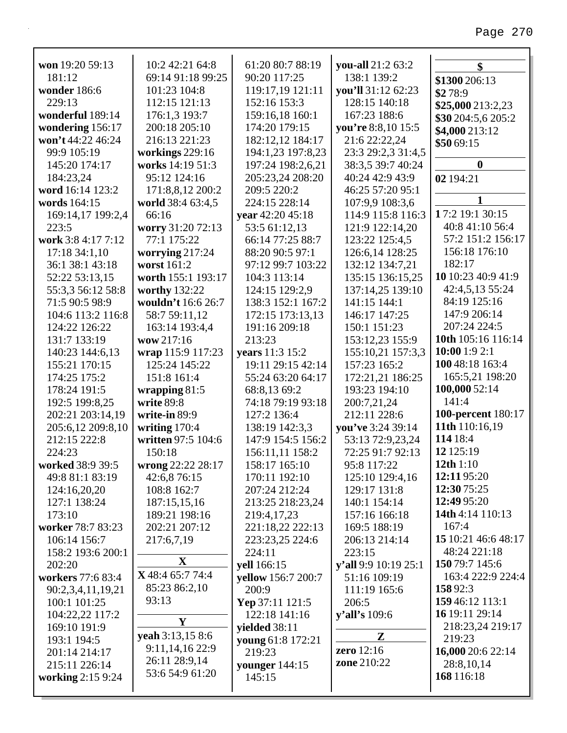| won 19:20 59:13    | 10:2 42:21 64:8    | 61:20 80:7 88:19   | you-all 21:2 63:2    | \$                        |
|--------------------|--------------------|--------------------|----------------------|---------------------------|
| 181:12             | 69:14 91:18 99:25  | 90:20 117:25       | 138:1 139:2          | \$1300 206:13             |
| wonder 186:6       | 101:23 104:8       | 119:17,19 121:11   | you'll 31:12 62:23   | \$278:9                   |
| 229:13             | 112:15 121:13      | 152:16 153:3       | 128:15 140:18        | \$25,000 213:2,23         |
| wonderful 189:14   | 176:1,3 193:7      | 159:16,18 160:1    | 167:23 188:6         | \$30 204:5,6 205:2        |
| wondering 156:17   | 200:18 205:10      | 174:20 179:15      | you're 8:8,10 15:5   | \$4,000 213:12            |
| won't 44:22 46:24  | 216:13 221:23      | 182:12,12 184:17   | 21:6 22:22,24        | \$5069:15                 |
| 99:9 105:19        | workings 229:16    | 194:1,23 197:8,23  | 23:3 29:2,3 31:4,5   |                           |
| 145:20 174:17      | works 14:19 51:3   | 197:24 198:2,6,21  | 38:3,5 39:7 40:24    | $\boldsymbol{0}$          |
| 184:23,24          | 95:12 124:16       | 205:23,24 208:20   | 40:24 42:9 43:9      | 02 194:21                 |
| word 16:14 123:2   | 171:8,8,12 200:2   | 209:5 220:2        | 46:25 57:20 95:1     |                           |
| words 164:15       | world 38:4 63:4,5  | 224:15 228:14      | 107:9,9 108:3,6      | 1                         |
| 169:14,17 199:2,4  | 66:16              | year 42:20 45:18   | 114:9 115:8 116:3    | 17:2 19:1 30:15           |
| 223:5              | worry 31:20 72:13  | 53:5 61:12,13      | 121:9 122:14,20      | 40:8 41:10 56:4           |
| work 3:8 4:17 7:12 | 77:1 175:22        | 66:14 77:25 88:7   | 123:22 125:4,5       | 57:2 151:2 156:17         |
| 17:1834:1,10       | worrying $217:24$  | 88:20 90:5 97:1    | 126:6,14 128:25      | 156:18 176:10             |
| 36:1 38:1 43:18    | worst 161:2        | 97:12 99:7 103:22  | 132:12 134:7,21      | 182:17                    |
| 52:22 53:13,15     | worth 155:1 193:17 | 104:3 113:14       | 135:15 136:15,25     | 10 10:23 40:9 41:9        |
| 55:3,3 56:12 58:8  | worthy 132:22      | 124:15 129:2,9     | 137:14,25 139:10     | 42:4,5,13 55:24           |
| 71:5 90:5 98:9     | wouldn't 16:6 26:7 | 138:3 152:1 167:2  | 141:15 144:1         | 84:19 125:16              |
| 104:6 113:2 116:8  | 58:7 59:11,12      | 172:15 173:13,13   | 146:17 147:25        | 147:9 206:14              |
| 124:22 126:22      | 163:14 193:4,4     | 191:16 209:18      | 150:1 151:23         | 207:24 224:5              |
| 131:7 133:19       | wow 217:16         | 213:23             | 153:12,23 155:9      | 10th 105:16 116:14        |
| 140:23 144:6,13    | wrap 115:9 117:23  | years 11:3 15:2    | 155:10,21 157:3,3    | 10:00 1:9 2:1             |
| 155:21 170:15      | 125:24 145:22      | 19:11 29:15 42:14  | 157:23 165:2         | 100 48:18 163:4           |
| 174:25 175:2       | 151:8 161:4        | 55:24 63:20 64:17  | 172:21,21 186:25     | 165:5,21 198:20           |
| 178:24 191:5       | wrapping $81:5$    | 68:8,13 69:2       | 193:23 194:10        | 100,000 52:14             |
| 192:5 199:8,25     | write 89:8         | 74:18 79:19 93:18  | 200:7,21,24          | 141:4                     |
| 202:21 203:14,19   | write-in 89:9      | 127:2 136:4        | 212:11 228:6         | <b>100-percent</b> 180:17 |
| 205:6,12 209:8,10  | writing $170:4$    | 138:19 142:3,3     | you've 3:24 39:14    | 11th 110:16,19            |
| 212:15 222:8       | written 97:5 104:6 | 147:9 154:5 156:2  | 53:13 72:9,23,24     | 114 18:4                  |
| 224:23             | 150:18             | 156:11,11 158:2    | 72:25 91:7 92:13     | 12 125:19                 |
| worked 38:9 39:5   | wrong 22:22 28:17  | 158:17 165:10      | 95:8 117:22          | 12th $1:10$               |
| 49:8 81:1 83:19    | 42:6,8 76:15       | 170:11 192:10      | 125:10 129:4,16      | 12:11 95:20               |
| 124:16,20,20       | 108:8 162:7        | 207:24 212:24      | 129:17 131:8         | 12:30 75:25               |
| 127:1 138:24       | 187:15,15,16       | 213:25 218:23,24   | 140:1 154:14         | 12:49 95:20               |
| 173:10             | 189:21 198:16      | 219:4,17,23        | 157:16 166:18        | 14th 4:14 110:13          |
| worker 78:7 83:23  | 202:21 207:12      | 221:18,22 222:13   | 169:5 188:19         | 167:4                     |
| 106:14 156:7       | 217:6,7,19         | 223:23,25 224:6    | 206:13 214:14        | 15 10:21 46:6 48:17       |
| 158:2 193:6 200:1  |                    | 224:11             | 223:15               | 48:24 221:18              |
| 202:20             | X                  | yell 166:15        | y'all 9:9 10:19 25:1 | 150 79:7 145:6            |
| workers 77:6 83:4  | X 48:4 65:7 74:4   | yellow 156:7 200:7 | 51:16 109:19         | 163:4 222:9 224:4         |
| 90:2,3,4,11,19,21  | 85:23 86:2,10      | 200:9              | 111:19 165:6         | 15892:3                   |
| 100:1 101:25       | 93:13              | Yep 37:11 121:5    | 206:5                | 159 46:12 113:1           |
| 104:22,22 117:2    |                    | 122:18 141:16      | <b>y'all's</b> 109:6 | 16 19:11 29:14            |
| 169:10 191:9       | Y                  | yielded 38:11      |                      | 218:23,24 219:17          |
| 193:1 194:5        | yeah 3:13,15 8:6   | young 61:8 172:21  | Z                    | 219:23                    |
| 201:14 214:17      | 9:11, 14, 16 22: 9 | 219:23             | zero 12:16           | 16,000 20:6 22:14         |
| 215:11 226:14      | 26:11 28:9,14      | younger 144:15     | <b>zone</b> 210:22   | 28:8,10,14                |
| working 2:15 9:24  | 53:6 54:9 61:20    | 145:15             |                      | 168 116:18                |
|                    |                    |                    |                      |                           |